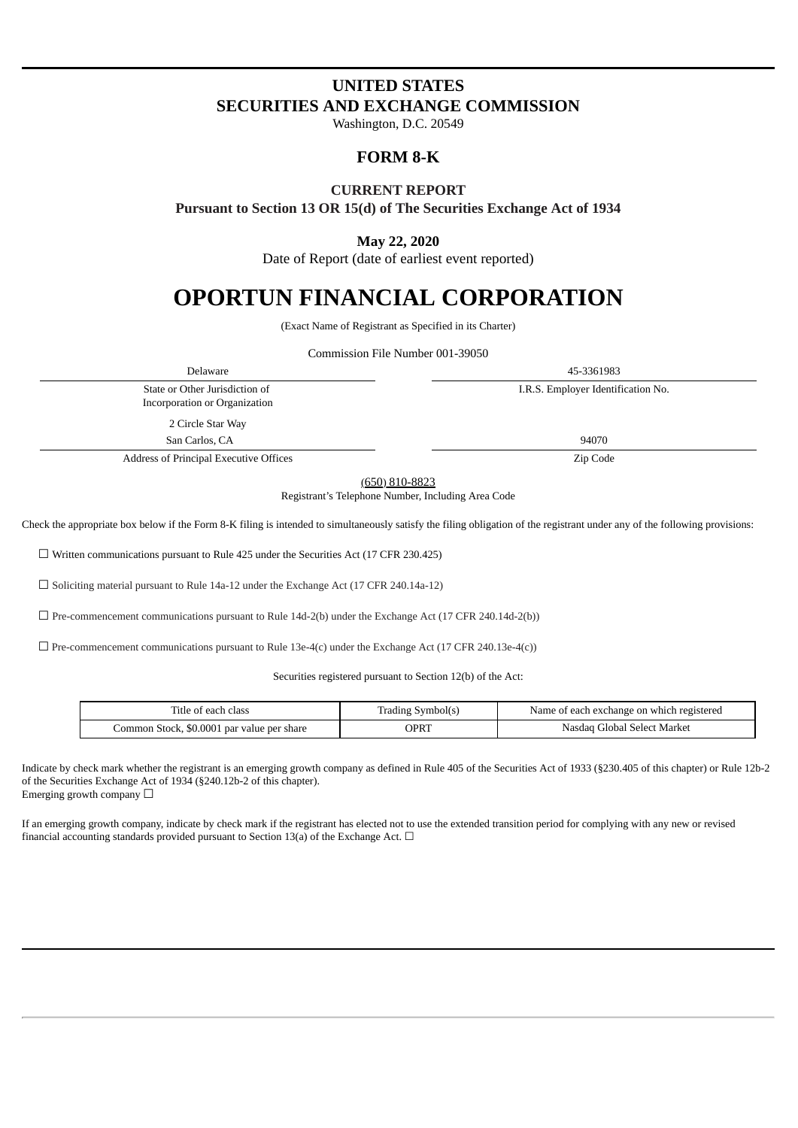# **UNITED STATES SECURITIES AND EXCHANGE COMMISSION**

Washington, D.C. 20549

# **FORM 8-K**

### **CURRENT REPORT**

**Pursuant to Section 13 OR 15(d) of The Securities Exchange Act of 1934**

## **May 22, 2020**

Date of Report (date of earliest event reported)

# **OPORTUN FINANCIAL CORPORATION**

(Exact Name of Registrant as Specified in its Charter)

Commission File Number 001-39050

Delaware 45-3361983 State or Other Jurisdiction of Incorporation or Organization I.R.S. Employer Identification No. 2 Circle Star Way San Carlos, CA 94070 Address of Principal Executive Offices **Zip Code Zip Code** 

(650) 810-8823

Registrant's Telephone Number, Including Area Code

Check the appropriate box below if the Form 8-K filing is intended to simultaneously satisfy the filing obligation of the registrant under any of the following provisions:

☐ Written communications pursuant to Rule 425 under the Securities Act (17 CFR 230.425)

☐ Soliciting material pursuant to Rule 14a-12 under the Exchange Act (17 CFR 240.14a-12)

 $\Box$  Pre-commencement communications pursuant to Rule 14d-2(b) under the Exchange Act (17 CFR 240.14d-2(b))

 $\Box$  Pre-commencement communications pursuant to Rule 13e-4(c) under the Exchange Act (17 CFR 240.13e-4(c))

Securities registered pursuant to Section 12(b) of the Act:

| Title of each class                        | Trading Symbol(s) | Name of each exchange on which registered |
|--------------------------------------------|-------------------|-------------------------------------------|
| Common Stock, \$0.0001 par value per share | OPRT              | Nasdaq Global Select Market               |

Indicate by check mark whether the registrant is an emerging growth company as defined in Rule 405 of the Securities Act of 1933 (§230.405 of this chapter) or Rule 12b-2 of the Securities Exchange Act of 1934 (§240.12b-2 of this chapter). Emerging growth company  $\Box$ 

If an emerging growth company, indicate by check mark if the registrant has elected not to use the extended transition period for complying with any new or revised financial accounting standards provided pursuant to Section 13(a) of the Exchange Act.  $\Box$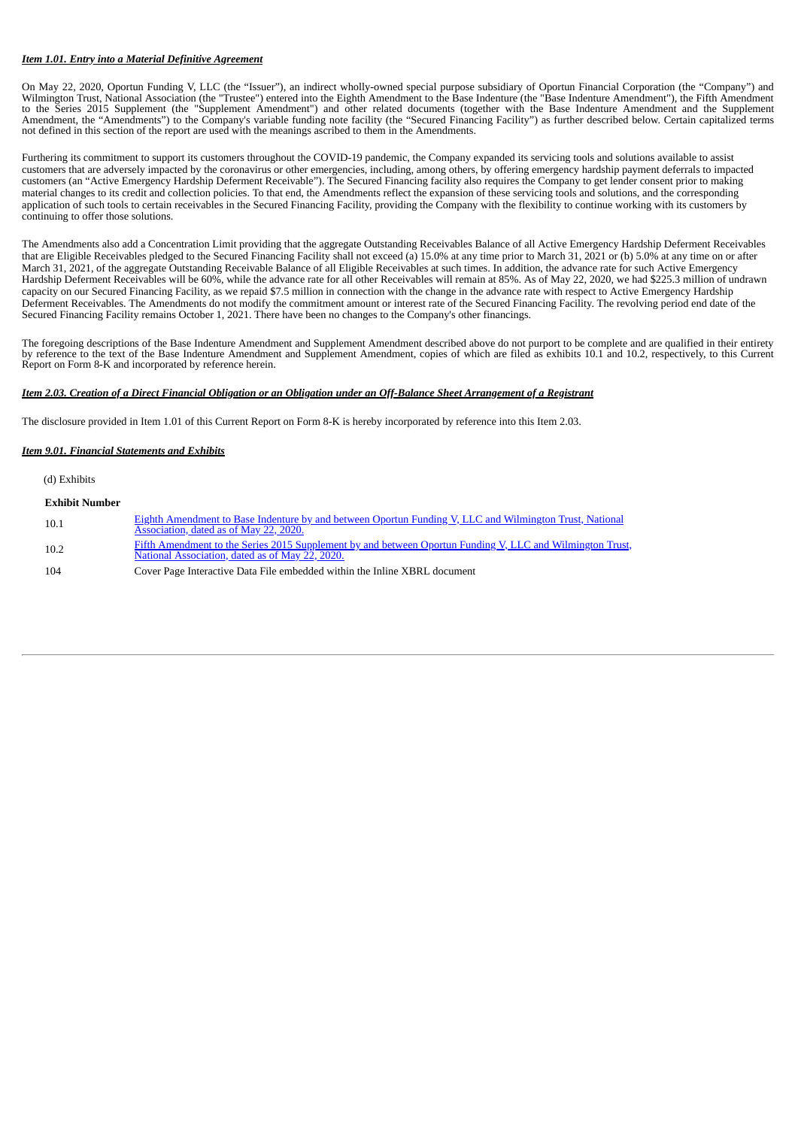#### *Item 1.01. Entry into a Material Definitive Agreement*

On May 22, 2020, Oportun Funding V, LLC (the "Issuer"), an indirect wholly-owned special purpose subsidiary of Oportun Financial Corporation (the "Company") and Wilmington Trust, National Association (the "Trustee") entered into the Eighth Amendment to the Base Indenture (the "Base Indenture Amendment"), the Fifth Amendment to the Series 2015 Supplement (the "Supplement Amendment") and other related documents (together with the Base Indenture Amendment and the Supplement Amendment, the "Amendments") to the Company's variable funding note facility (the "Secured Financing Facility") as further described below. Certain capitalized terms not defined in this section of the report are used with the meanings ascribed to them in the Amendments.

Furthering its commitment to support its customers throughout the COVID-19 pandemic, the Company expanded its servicing tools and solutions available to assist customers that are adversely impacted by the coronavirus or other emergencies, including, among others, by offering emergency hardship payment deferrals to impacted customers (an "Active Emergency Hardship Deferment Receivable"). The Secured Financing facility also requires the Company to get lender consent prior to making material changes to its credit and collection policies. To that end, the Amendments reflect the expansion of these servicing tools and solutions, and the corresponding application of such tools to certain receivables in the Secured Financing Facility, providing the Company with the flexibility to continue working with its customers by continuing to offer those solutions.

The Amendments also add a Concentration Limit providing that the aggregate Outstanding Receivables Balance of all Active Emergency Hardship Deferment Receivables that are Eligible Receivables pledged to the Secured Financing Facility shall not exceed (a) 15.0% at any time prior to March 31, 2021 or (b) 5.0% at any time on or after March 31, 2021, of the aggregate Outstanding Receivable Balance of all Eligible Receivables at such times. In addition, the advance rate for such Active Emergency Hardship Deferment Receivables will be 60%, while the advance rate for all other Receivables will remain at 85%. As of May 22, 2020, we had \$225.3 million of undrawn capacity on our Secured Financing Facility, as we repaid \$7.5 million in connection with the change in the advance rate with respect to Active Emergency Hardship Deferment Receivables. The Amendments do not modify the commitment amount or interest rate of the Secured Financing Facility. The revolving period end date of the Secured Financing Facility remains October 1, 2021. There have been no changes to the Company's other financings.

The foregoing descriptions of the Base Indenture Amendment and Supplement Amendment described above do not purport to be complete and are qualified in their entirety by reference to the text of the Base Indenture Amendment and Supplement Amendment, copies of which are filed as exhibits 10.1 and 10.2, respectively, to this Current Report on Form 8-K and incorporated by reference herein.

#### *Item 2.03. Creation of a Direct Financial Obligation or an Obligation under an Off-Balance Sheet Arrangement of a Registrant*

The disclosure provided in Item 1.01 of this Current Report on Form 8-K is hereby incorporated by reference into this Item 2.03.

#### *Item 9.01. Financial Statements and Exhibits*

(d) Exhibits

| <b>Exhibit Number</b> |                                                                                                                                                              |
|-----------------------|--------------------------------------------------------------------------------------------------------------------------------------------------------------|
| 10.1                  | Eighth Amendment to Base Indenture by and between Oportun Funding V, LLC and Wilmington Trust, National<br>Association, dated as of May 22, 2020.            |
| 10.2                  | Fifth Amendment to the Series 2015 Supplement by and between Oportun Funding V, LLC and Wilmington Trust,<br>National Association, dated as of May 22, 2020. |
| 104                   | Cover Page Interactive Data File embedded within the Inline XBRL document                                                                                    |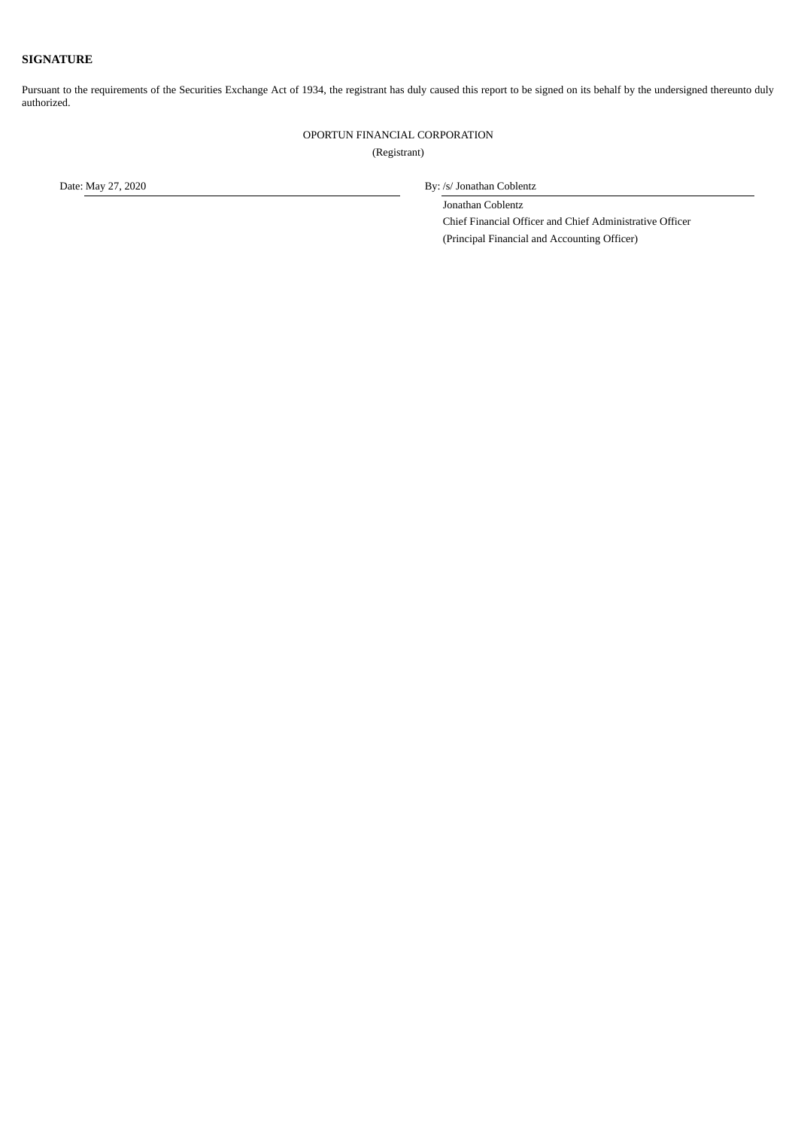#### **SIGNATURE**

Pursuant to the requirements of the Securities Exchange Act of 1934, the registrant has duly caused this report to be signed on its behalf by the undersigned thereunto duly authorized.

OPORTUN FINANCIAL CORPORATION

(Registrant)

Date: May 27, 2020 By: /s/ Jonathan Coblentz

Jonathan Coblentz

Chief Financial Officer and Chief Administrative Officer (Principal Financial and Accounting Officer)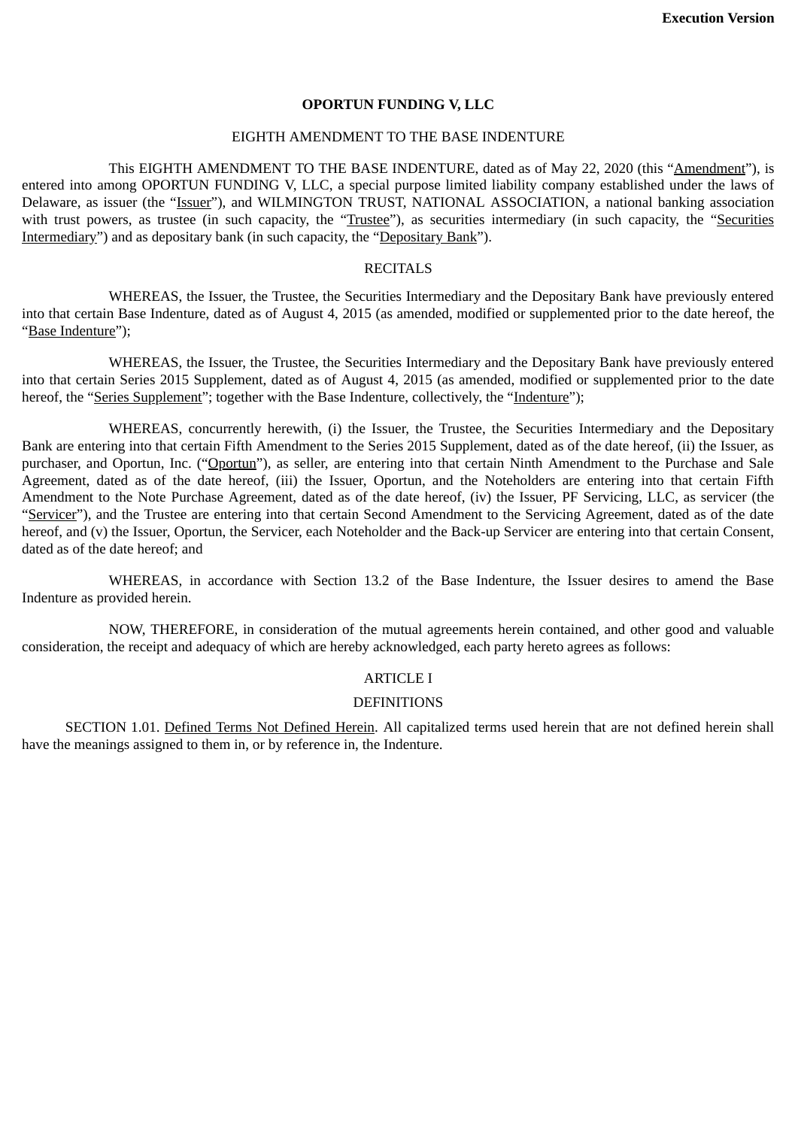#### **OPORTUN FUNDING V, LLC**

#### EIGHTH AMENDMENT TO THE BASE INDENTURE

<span id="page-3-0"></span>This EIGHTH AMENDMENT TO THE BASE INDENTURE, dated as of May 22, 2020 (this "Amendment"), is entered into among OPORTUN FUNDING V, LLC, a special purpose limited liability company established under the laws of Delaware, as issuer (the "Issuer"), and WILMINGTON TRUST, NATIONAL ASSOCIATION, a national banking association with trust powers, as trustee (in such capacity, the "Trustee"), as securities intermediary (in such capacity, the "Securities Intermediary") and as depositary bank (in such capacity, the "Depositary Bank").

## RECITALS

WHEREAS, the Issuer, the Trustee, the Securities Intermediary and the Depositary Bank have previously entered into that certain Base Indenture, dated as of August 4, 2015 (as amended, modified or supplemented prior to the date hereof, the "Base Indenture");

WHEREAS, the Issuer, the Trustee, the Securities Intermediary and the Depositary Bank have previously entered into that certain Series 2015 Supplement, dated as of August 4, 2015 (as amended, modified or supplemented prior to the date hereof, the "Series Supplement"; together with the Base Indenture, collectively, the "Indenture");

WHEREAS, concurrently herewith, (i) the Issuer, the Trustee, the Securities Intermediary and the Depositary Bank are entering into that certain Fifth Amendment to the Series 2015 Supplement, dated as of the date hereof, (ii) the Issuer, as purchaser, and Oportun, Inc. ("Oportun"), as seller, are entering into that certain Ninth Amendment to the Purchase and Sale Agreement, dated as of the date hereof, (iii) the Issuer, Oportun, and the Noteholders are entering into that certain Fifth Amendment to the Note Purchase Agreement, dated as of the date hereof, (iv) the Issuer, PF Servicing, LLC, as servicer (the "Servicer"), and the Trustee are entering into that certain Second Amendment to the Servicing Agreement, dated as of the date hereof, and (v) the Issuer, Oportun, the Servicer, each Noteholder and the Back-up Servicer are entering into that certain Consent, dated as of the date hereof; and

WHEREAS, in accordance with Section 13.2 of the Base Indenture, the Issuer desires to amend the Base Indenture as provided herein.

NOW, THEREFORE, in consideration of the mutual agreements herein contained, and other good and valuable consideration, the receipt and adequacy of which are hereby acknowledged, each party hereto agrees as follows:

#### ARTICLE I

#### **DEFINITIONS**

SECTION 1.01. Defined Terms Not Defined Herein. All capitalized terms used herein that are not defined herein shall have the meanings assigned to them in, or by reference in, the Indenture.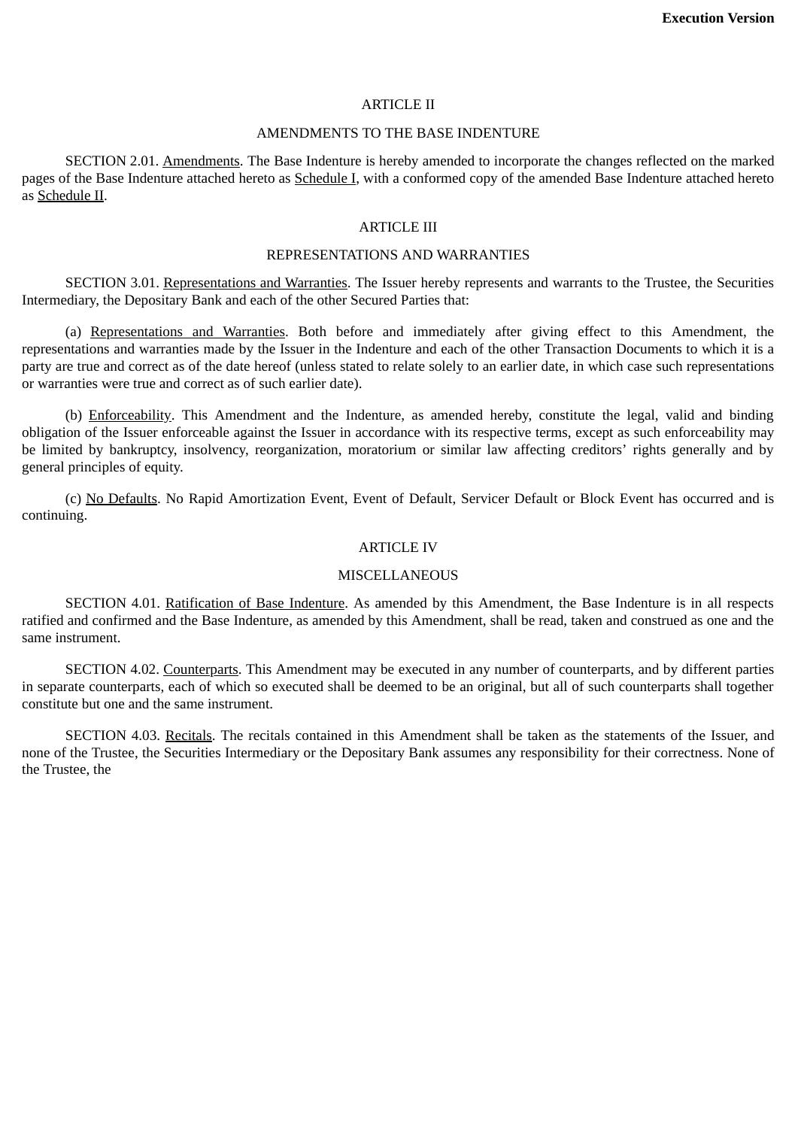### ARTICLE II

## AMENDMENTS TO THE BASE INDENTURE

SECTION 2.01. Amendments. The Base Indenture is hereby amended to incorporate the changes reflected on the marked pages of the Base Indenture attached hereto as Schedule I, with a conformed copy of the amended Base Indenture attached hereto as Schedule II.

## ARTICLE III

## REPRESENTATIONS AND WARRANTIES

SECTION 3.01. Representations and Warranties. The Issuer hereby represents and warrants to the Trustee, the Securities Intermediary, the Depositary Bank and each of the other Secured Parties that:

(a) Representations and Warranties. Both before and immediately after giving effect to this Amendment, the representations and warranties made by the Issuer in the Indenture and each of the other Transaction Documents to which it is a party are true and correct as of the date hereof (unless stated to relate solely to an earlier date, in which case such representations or warranties were true and correct as of such earlier date).

(b) Enforceability. This Amendment and the Indenture, as amended hereby, constitute the legal, valid and binding obligation of the Issuer enforceable against the Issuer in accordance with its respective terms, except as such enforceability may be limited by bankruptcy, insolvency, reorganization, moratorium or similar law affecting creditors' rights generally and by general principles of equity.

(c) No Defaults. No Rapid Amortization Event, Event of Default, Servicer Default or Block Event has occurred and is continuing.

#### ARTICLE IV

#### **MISCELLANEOUS**

SECTION 4.01. Ratification of Base Indenture. As amended by this Amendment, the Base Indenture is in all respects ratified and confirmed and the Base Indenture, as amended by this Amendment, shall be read, taken and construed as one and the same instrument.

SECTION 4.02. Counterparts. This Amendment may be executed in any number of counterparts, and by different parties in separate counterparts, each of which so executed shall be deemed to be an original, but all of such counterparts shall together constitute but one and the same instrument.

SECTION 4.03. Recitals. The recitals contained in this Amendment shall be taken as the statements of the Issuer, and none of the Trustee, the Securities Intermediary or the Depositary Bank assumes any responsibility for their correctness. None of the Trustee, the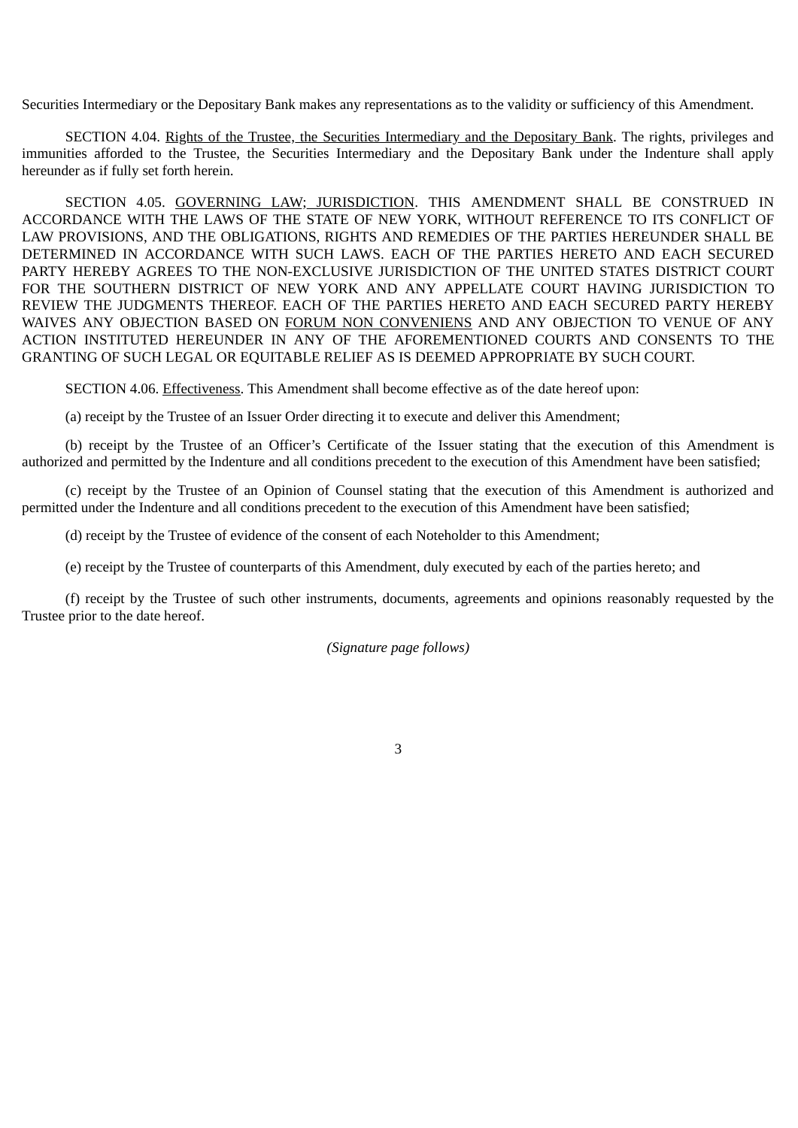Securities Intermediary or the Depositary Bank makes any representations as to the validity or sufficiency of this Amendment.

SECTION 4.04. Rights of the Trustee, the Securities Intermediary and the Depositary Bank. The rights, privileges and immunities afforded to the Trustee, the Securities Intermediary and the Depositary Bank under the Indenture shall apply hereunder as if fully set forth herein.

SECTION 4.05. GOVERNING LAW; JURISDICTION. THIS AMENDMENT SHALL BE CONSTRUED IN ACCORDANCE WITH THE LAWS OF THE STATE OF NEW YORK, WITHOUT REFERENCE TO ITS CONFLICT OF LAW PROVISIONS, AND THE OBLIGATIONS, RIGHTS AND REMEDIES OF THE PARTIES HEREUNDER SHALL BE DETERMINED IN ACCORDANCE WITH SUCH LAWS. EACH OF THE PARTIES HERETO AND EACH SECURED PARTY HEREBY AGREES TO THE NON-EXCLUSIVE JURISDICTION OF THE UNITED STATES DISTRICT COURT FOR THE SOUTHERN DISTRICT OF NEW YORK AND ANY APPELLATE COURT HAVING JURISDICTION TO REVIEW THE JUDGMENTS THEREOF. EACH OF THE PARTIES HERETO AND EACH SECURED PARTY HEREBY WAIVES ANY OBJECTION BASED ON FORUM NON CONVENIENS AND ANY OBJECTION TO VENUE OF ANY ACTION INSTITUTED HEREUNDER IN ANY OF THE AFOREMENTIONED COURTS AND CONSENTS TO THE GRANTING OF SUCH LEGAL OR EQUITABLE RELIEF AS IS DEEMED APPROPRIATE BY SUCH COURT.

SECTION 4.06. Effectiveness. This Amendment shall become effective as of the date hereof upon:

(a) receipt by the Trustee of an Issuer Order directing it to execute and deliver this Amendment;

(b) receipt by the Trustee of an Officer's Certificate of the Issuer stating that the execution of this Amendment is authorized and permitted by the Indenture and all conditions precedent to the execution of this Amendment have been satisfied;

(c) receipt by the Trustee of an Opinion of Counsel stating that the execution of this Amendment is authorized and permitted under the Indenture and all conditions precedent to the execution of this Amendment have been satisfied;

(d) receipt by the Trustee of evidence of the consent of each Noteholder to this Amendment;

(e) receipt by the Trustee of counterparts of this Amendment, duly executed by each of the parties hereto; and

(f) receipt by the Trustee of such other instruments, documents, agreements and opinions reasonably requested by the Trustee prior to the date hereof.

*(Signature page follows)*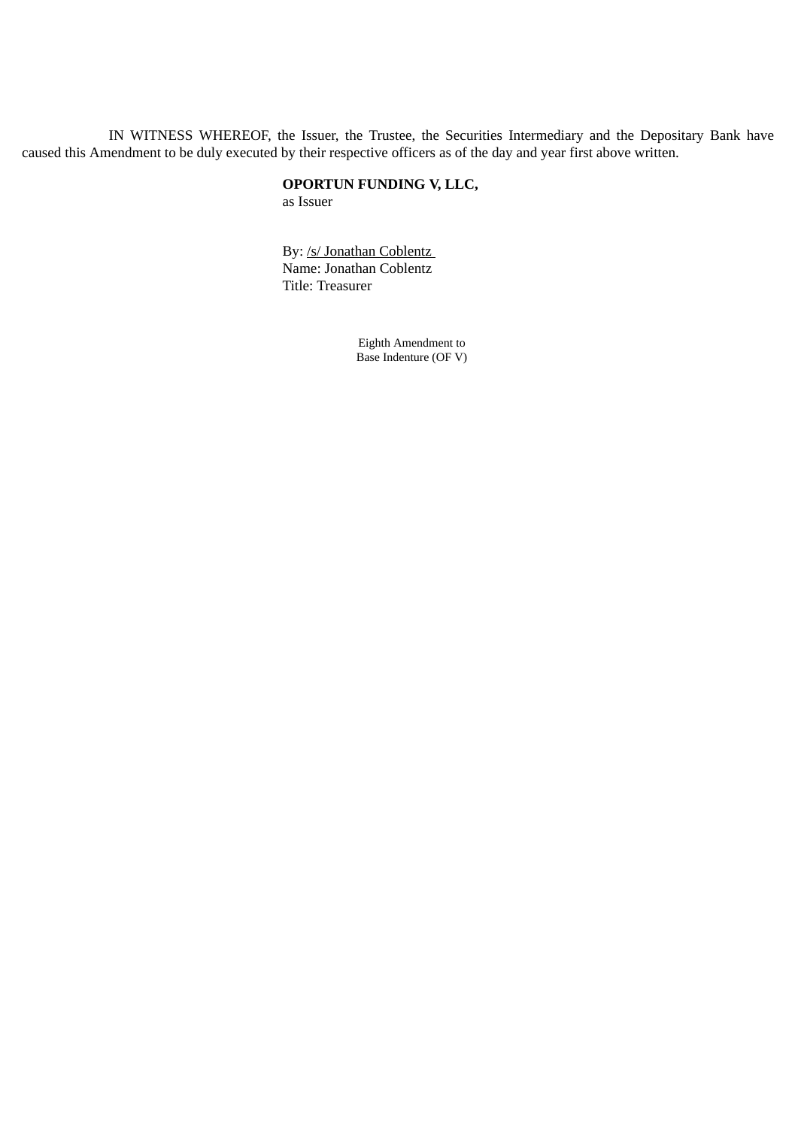IN WITNESS WHEREOF, the Issuer, the Trustee, the Securities Intermediary and the Depositary Bank have caused this Amendment to be duly executed by their respective officers as of the day and year first above written.

## **OPORTUN FUNDING V, LLC,**

as Issuer

By: /s/ Jonathan Coblentz Name: Jonathan Coblentz Title: Treasurer

> Eighth Amendment to Base Indenture (OF V)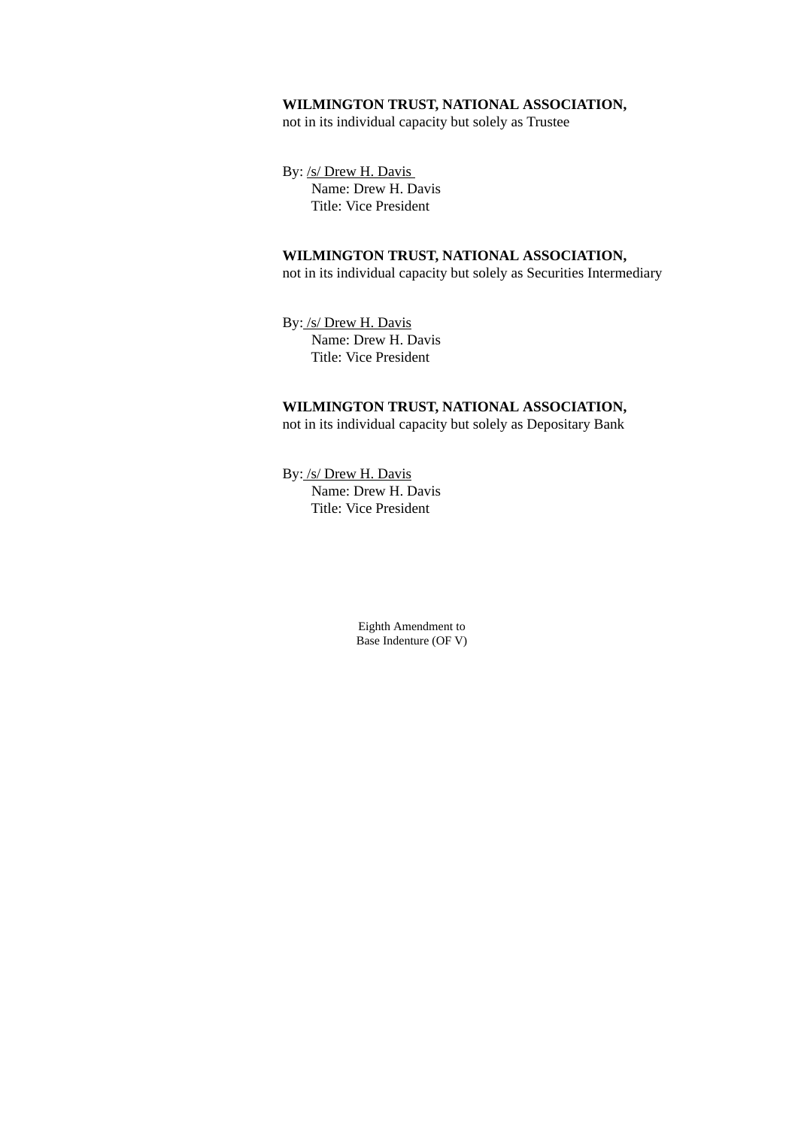## **WILMINGTON TRUST, NATIONAL ASSOCIATION,**

not in its individual capacity but solely as Trustee

By: /s/ Drew H. Davis Name: Drew H. Davis Title: Vice President

## **WILMINGTON TRUST, NATIONAL ASSOCIATION,**

not in its individual capacity but solely as Securities Intermediary

By: /s/ Drew H. Davis Name: Drew H. Davis Title: Vice President

## **WILMINGTON TRUST, NATIONAL ASSOCIATION,** not in its individual capacity but solely as Depositary Bank

By: /s/ Drew H. Davis Name: Drew H. Davis Title: Vice President

> Eighth Amendment to Base Indenture (OF V)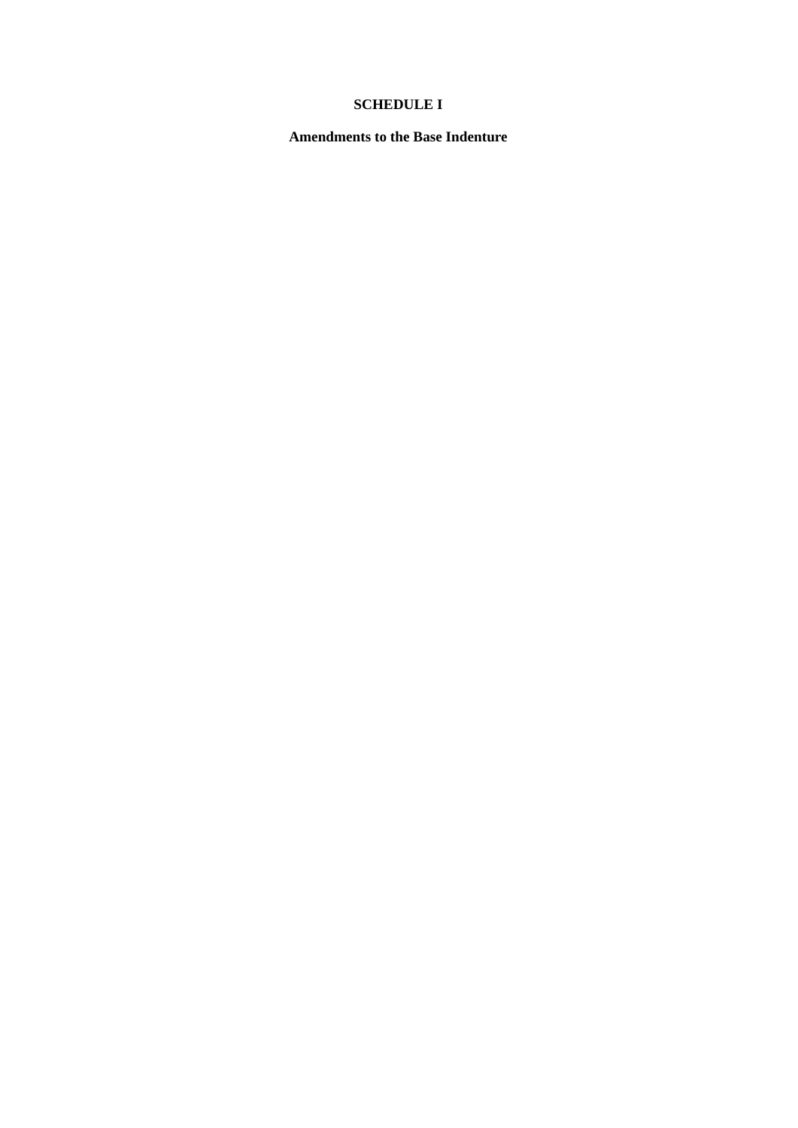# **SCHEDULE I**

**Amendments to the Base Indenture**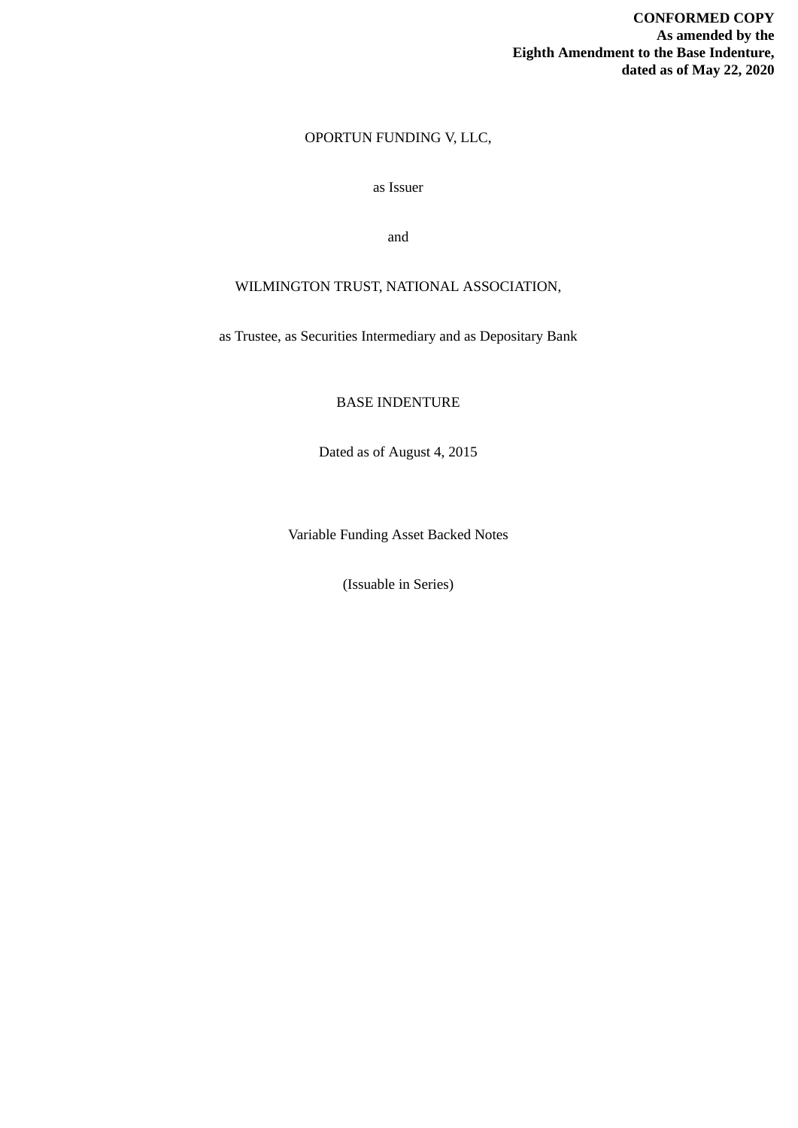## OPORTUN FUNDING V, LLC,

## as Issuer

and

## WILMINGTON TRUST, NATIONAL ASSOCIATION,

as Trustee, as Securities Intermediary and as Depositary Bank

BASE INDENTURE

Dated as of August 4, 2015

Variable Funding Asset Backed Notes

(Issuable in Series)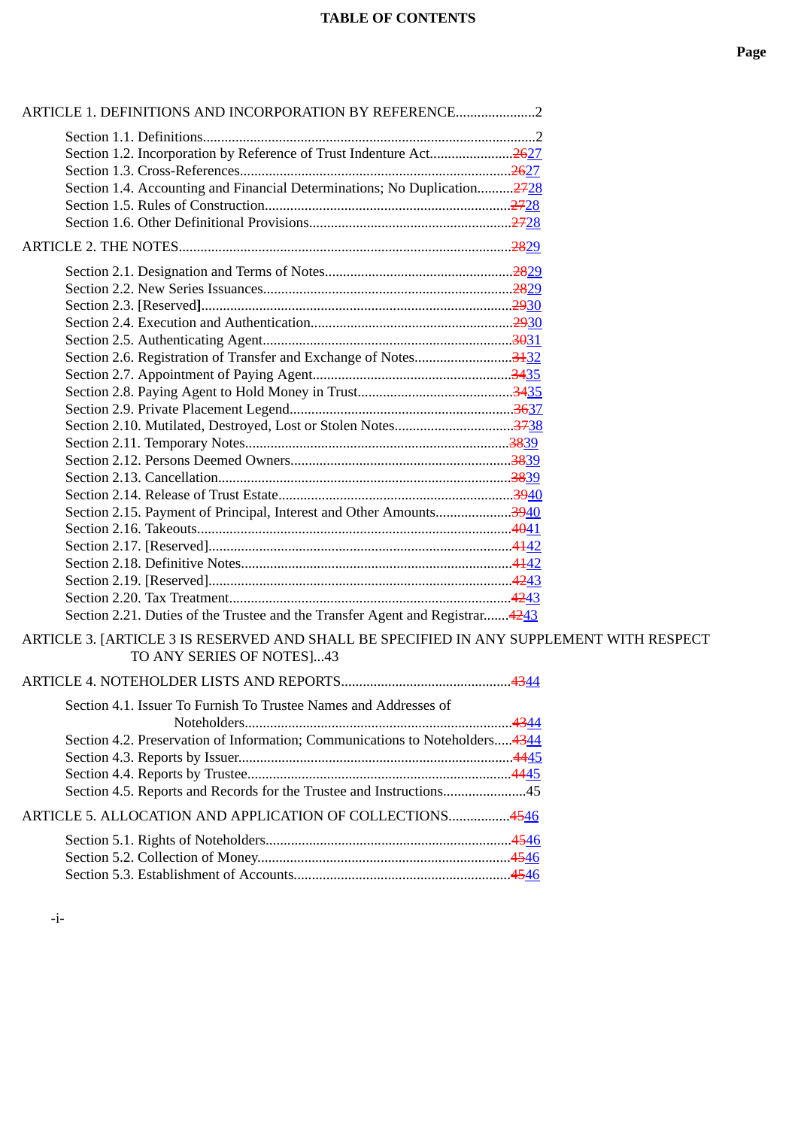| ARTICLE 1. DEFINITIONS AND INCORPORATION BY REFERENCE2                                                               |  |
|----------------------------------------------------------------------------------------------------------------------|--|
|                                                                                                                      |  |
| Section 1.2. Incorporation by Reference of Trust Indenture Act2627                                                   |  |
|                                                                                                                      |  |
| Section 1.4. Accounting and Financial Determinations; No Duplication2728                                             |  |
|                                                                                                                      |  |
|                                                                                                                      |  |
|                                                                                                                      |  |
|                                                                                                                      |  |
|                                                                                                                      |  |
|                                                                                                                      |  |
|                                                                                                                      |  |
|                                                                                                                      |  |
|                                                                                                                      |  |
|                                                                                                                      |  |
|                                                                                                                      |  |
|                                                                                                                      |  |
|                                                                                                                      |  |
|                                                                                                                      |  |
|                                                                                                                      |  |
|                                                                                                                      |  |
|                                                                                                                      |  |
| Section 2.15. Payment of Principal, Interest and Other Amounts3940                                                   |  |
|                                                                                                                      |  |
|                                                                                                                      |  |
|                                                                                                                      |  |
|                                                                                                                      |  |
|                                                                                                                      |  |
| Section 2.21. Duties of the Trustee and the Transfer Agent and Registrar4243                                         |  |
| ARTICLE 3. [ARTICLE 3 IS RESERVED AND SHALL BE SPECIFIED IN ANY SUPPLEMENT WITH RESPECT<br>TO ANY SERIES OF NOTES]43 |  |
|                                                                                                                      |  |
| Section 4.1. Issuer To Furnish To Trustee Names and Addresses of                                                     |  |
| Section 4.2. Preservation of Information; Communications to Noteholders 4344                                         |  |
|                                                                                                                      |  |
|                                                                                                                      |  |
| Section 4.5. Reports and Records for the Trustee and Instructions45                                                  |  |
| ARTICLE 5. ALLOCATION AND APPLICATION OF COLLECTIONS4546                                                             |  |
|                                                                                                                      |  |
|                                                                                                                      |  |
|                                                                                                                      |  |

-i-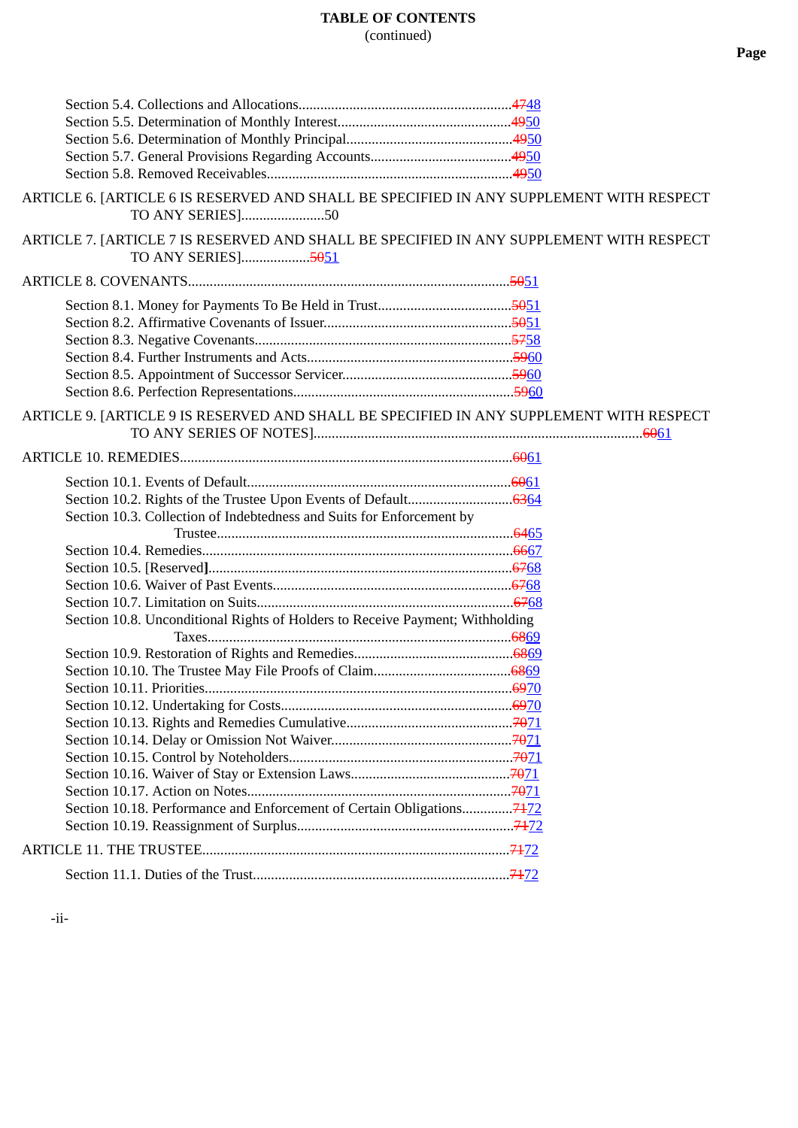| ARTICLE 6. [ARTICLE 6 IS RESERVED AND SHALL BE SPECIFIED IN ANY SUPPLEMENT WITH RESPECT<br>TO ANY SERIES]50   |  |
|---------------------------------------------------------------------------------------------------------------|--|
| ARTICLE 7. [ARTICLE 7 IS RESERVED AND SHALL BE SPECIFIED IN ANY SUPPLEMENT WITH RESPECT<br>TO ANY SERIES]5051 |  |
|                                                                                                               |  |
|                                                                                                               |  |
|                                                                                                               |  |
|                                                                                                               |  |
|                                                                                                               |  |
|                                                                                                               |  |
|                                                                                                               |  |
| ARTICLE 9. [ARTICLE 9 IS RESERVED AND SHALL BE SPECIFIED IN ANY SUPPLEMENT WITH RESPECT                       |  |
|                                                                                                               |  |
|                                                                                                               |  |
|                                                                                                               |  |
| Section 10.3. Collection of Indebtedness and Suits for Enforcement by                                         |  |
|                                                                                                               |  |
|                                                                                                               |  |
|                                                                                                               |  |
|                                                                                                               |  |
|                                                                                                               |  |
| Section 10.8. Unconditional Rights of Holders to Receive Payment; Withholding                                 |  |
|                                                                                                               |  |
|                                                                                                               |  |
|                                                                                                               |  |
|                                                                                                               |  |
|                                                                                                               |  |
|                                                                                                               |  |
|                                                                                                               |  |
|                                                                                                               |  |
|                                                                                                               |  |
|                                                                                                               |  |
|                                                                                                               |  |
|                                                                                                               |  |
|                                                                                                               |  |
|                                                                                                               |  |
|                                                                                                               |  |

-ii-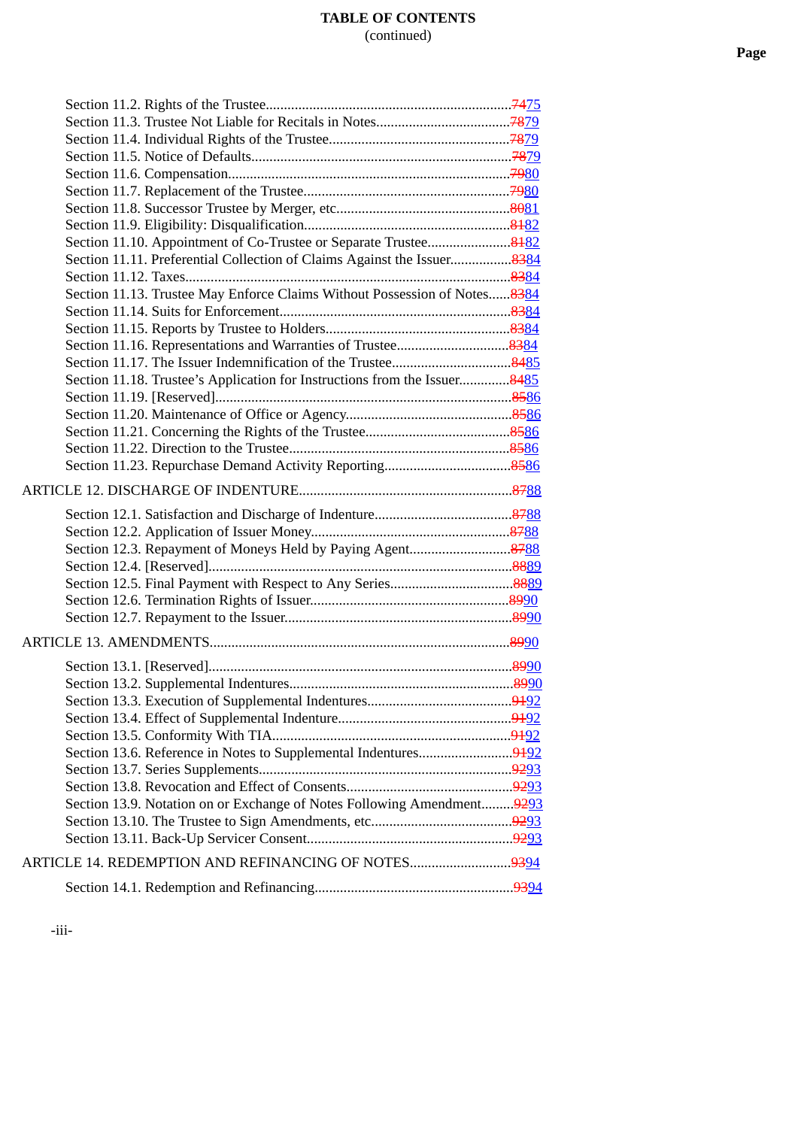| Section 11.10. Appointment of Co-Trustee or Separate Trustee8482           |  |
|----------------------------------------------------------------------------|--|
| Section 11.11. Preferential Collection of Claims Against the Issuer8384    |  |
|                                                                            |  |
| Section 11.13. Trustee May Enforce Claims Without Possession of Notes 8384 |  |
|                                                                            |  |
|                                                                            |  |
| Section 11.16. Representations and Warranties of Trustee8384               |  |
|                                                                            |  |
| Section 11.18. Trustee's Application for Instructions from the Issuer8485  |  |
|                                                                            |  |
|                                                                            |  |
|                                                                            |  |
|                                                                            |  |
|                                                                            |  |
|                                                                            |  |
|                                                                            |  |
|                                                                            |  |
|                                                                            |  |
|                                                                            |  |
| Section 12.3. Repayment of Moneys Held by Paying Agent8788                 |  |
|                                                                            |  |
|                                                                            |  |
| Section 12.5. Final Payment with Respect to Any Series8889                 |  |
|                                                                            |  |
|                                                                            |  |
|                                                                            |  |
|                                                                            |  |
|                                                                            |  |
|                                                                            |  |
|                                                                            |  |
|                                                                            |  |
| Section 13.6. Reference in Notes to Supplemental Indentures9492            |  |
|                                                                            |  |
|                                                                            |  |
| Section 13.9. Notation on or Exchange of Notes Following Amendment 9293    |  |
|                                                                            |  |
|                                                                            |  |
|                                                                            |  |
| ARTICLE 14. REDEMPTION AND REFINANCING OF NOTES9394                        |  |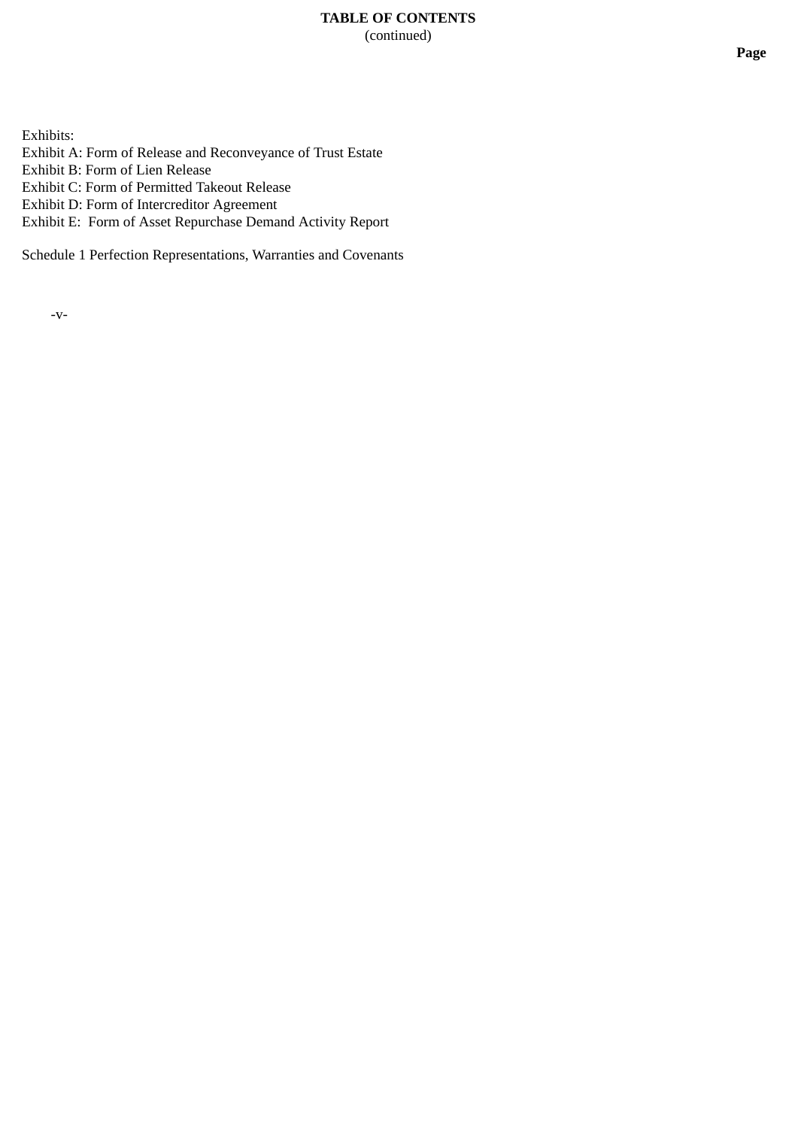## **TABLE OF CONTENTS** (continued)

Exhibits:

Exhibit A: Form of Release and Reconveyance of Trust Estate

Exhibit B: Form of Lien Release

Exhibit C: Form of Permitted Takeout Release

Exhibit D: Form of Intercreditor Agreement

Exhibit E: Form of Asset Repurchase Demand Activity Report

Schedule 1 Perfection Representations, Warranties and Covenants

-v-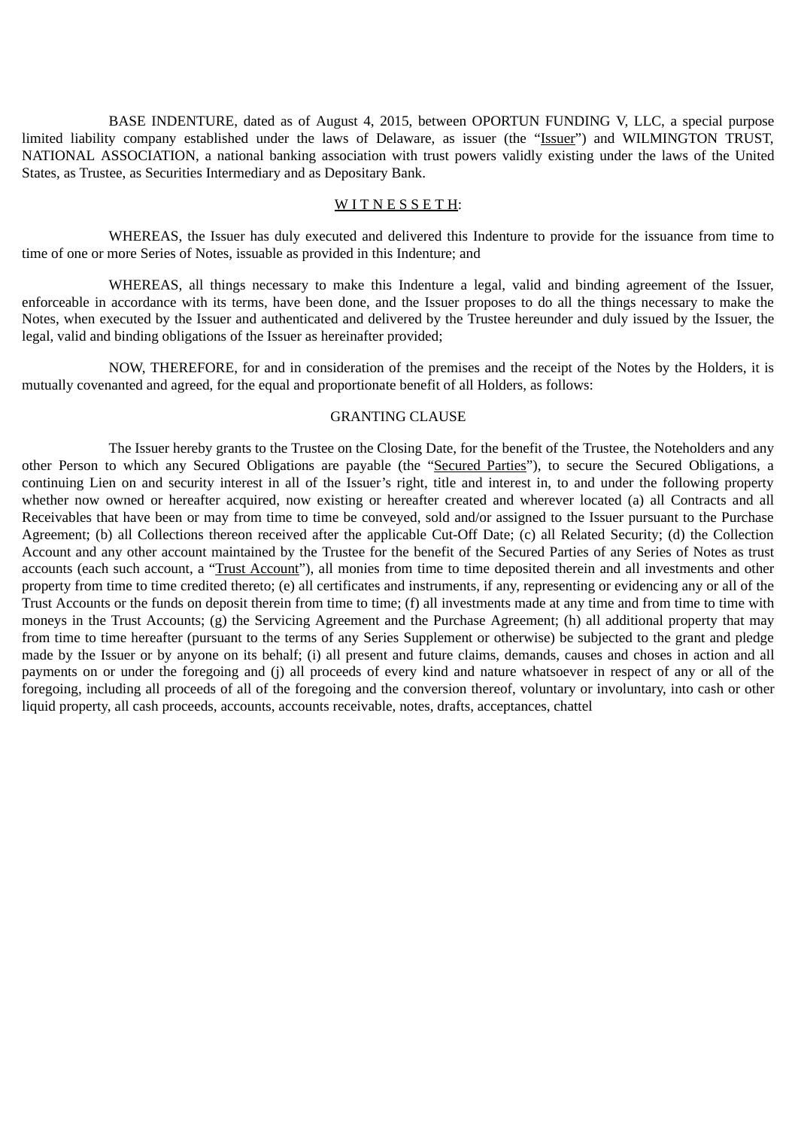BASE INDENTURE, dated as of August 4, 2015, between OPORTUN FUNDING V, LLC, a special purpose limited liability company established under the laws of Delaware, as issuer (the "Issuer") and WILMINGTON TRUST, NATIONAL ASSOCIATION, a national banking association with trust powers validly existing under the laws of the United States, as Trustee, as Securities Intermediary and as Depositary Bank.

#### WITNESSETH:

WHEREAS, the Issuer has duly executed and delivered this Indenture to provide for the issuance from time to time of one or more Series of Notes, issuable as provided in this Indenture; and

WHEREAS, all things necessary to make this Indenture a legal, valid and binding agreement of the Issuer, enforceable in accordance with its terms, have been done, and the Issuer proposes to do all the things necessary to make the Notes, when executed by the Issuer and authenticated and delivered by the Trustee hereunder and duly issued by the Issuer, the legal, valid and binding obligations of the Issuer as hereinafter provided;

NOW, THEREFORE, for and in consideration of the premises and the receipt of the Notes by the Holders, it is mutually covenanted and agreed, for the equal and proportionate benefit of all Holders, as follows:

### GRANTING CLAUSE

The Issuer hereby grants to the Trustee on the Closing Date, for the benefit of the Trustee, the Noteholders and any other Person to which any Secured Obligations are payable (the "Secured Parties"), to secure the Secured Obligations, a continuing Lien on and security interest in all of the Issuer's right, title and interest in, to and under the following property whether now owned or hereafter acquired, now existing or hereafter created and wherever located (a) all Contracts and all Receivables that have been or may from time to time be conveyed, sold and/or assigned to the Issuer pursuant to the Purchase Agreement; (b) all Collections thereon received after the applicable Cut-Off Date; (c) all Related Security; (d) the Collection Account and any other account maintained by the Trustee for the benefit of the Secured Parties of any Series of Notes as trust accounts (each such account, a "Trust Account"), all monies from time to time deposited therein and all investments and other property from time to time credited thereto; (e) all certificates and instruments, if any, representing or evidencing any or all of the Trust Accounts or the funds on deposit therein from time to time; (f) all investments made at any time and from time to time with moneys in the Trust Accounts; (g) the Servicing Agreement and the Purchase Agreement; (h) all additional property that may from time to time hereafter (pursuant to the terms of any Series Supplement or otherwise) be subjected to the grant and pledge made by the Issuer or by anyone on its behalf; (i) all present and future claims, demands, causes and choses in action and all payments on or under the foregoing and (j) all proceeds of every kind and nature whatsoever in respect of any or all of the foregoing, including all proceeds of all of the foregoing and the conversion thereof, voluntary or involuntary, into cash or other liquid property, all cash proceeds, accounts, accounts receivable, notes, drafts, acceptances, chattel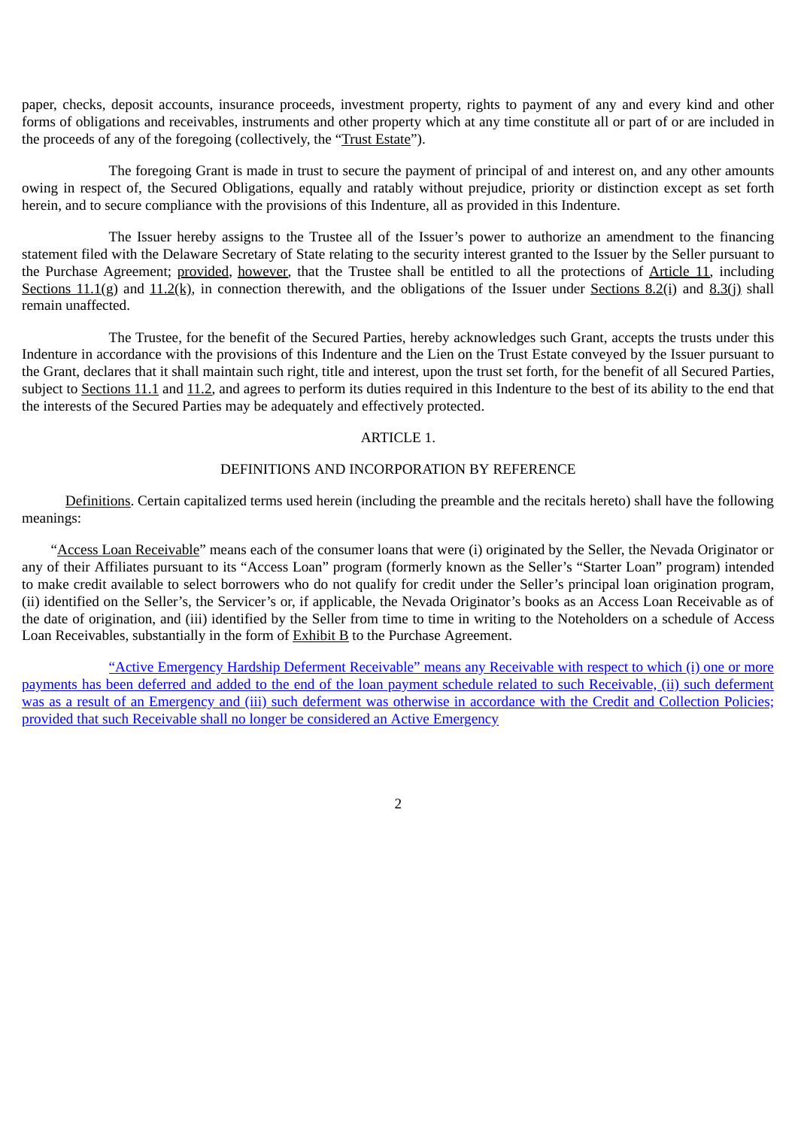paper, checks, deposit accounts, insurance proceeds, investment property, rights to payment of any and every kind and other forms of obligations and receivables, instruments and other property which at any time constitute all or part of or are included in the proceeds of any of the foregoing (collectively, the "Trust Estate").

The foregoing Grant is made in trust to secure the payment of principal of and interest on, and any other amounts owing in respect of, the Secured Obligations, equally and ratably without prejudice, priority or distinction except as set forth herein, and to secure compliance with the provisions of this Indenture, all as provided in this Indenture.

The Issuer hereby assigns to the Trustee all of the Issuer's power to authorize an amendment to the financing statement filed with the Delaware Secretary of State relating to the security interest granted to the Issuer by the Seller pursuant to the Purchase Agreement; provided, however, that the Trustee shall be entitled to all the protections of Article 11, including Sections 11.1(g) and 11.2(k), in connection therewith, and the obligations of the Issuer under Sections 8.2(i) and 8.3(j) shall remain unaffected.

The Trustee, for the benefit of the Secured Parties, hereby acknowledges such Grant, accepts the trusts under this Indenture in accordance with the provisions of this Indenture and the Lien on the Trust Estate conveyed by the Issuer pursuant to the Grant, declares that it shall maintain such right, title and interest, upon the trust set forth, for the benefit of all Secured Parties, subject to Sections 11.1 and 11.2, and agrees to perform its duties required in this Indenture to the best of its ability to the end that the interests of the Secured Parties may be adequately and effectively protected.

## ARTICLE 1.

### DEFINITIONS AND INCORPORATION BY REFERENCE

Definitions. Certain capitalized terms used herein (including the preamble and the recitals hereto) shall have the following meanings:

 "Access Loan Receivable" means each of the consumer loans that were (i) originated by the Seller, the Nevada Originator or any of their Affiliates pursuant to its "Access Loan" program (formerly known as the Seller's "Starter Loan" program) intended to make credit available to select borrowers who do not qualify for credit under the Seller's principal loan origination program, (ii) identified on the Seller's, the Servicer's or, if applicable, the Nevada Originator's books as an Access Loan Receivable as of the date of origination, and (iii) identified by the Seller from time to time in writing to the Noteholders on a schedule of Access Loan Receivables, substantially in the form of  $Exhibit B$  to the Purchase Agreement.

"Active Emergency Hardship Deferment Receivable" means any Receivable with respect to which (i) one or more payments has been deferred and added to the end of the loan payment schedule related to such Receivable, (ii) such deferment was as a result of an Emergency and (iii) such deferment was otherwise in accordance with the Credit and Collection Policies; provided that such Receivable shall no longer be considered an Active Emergency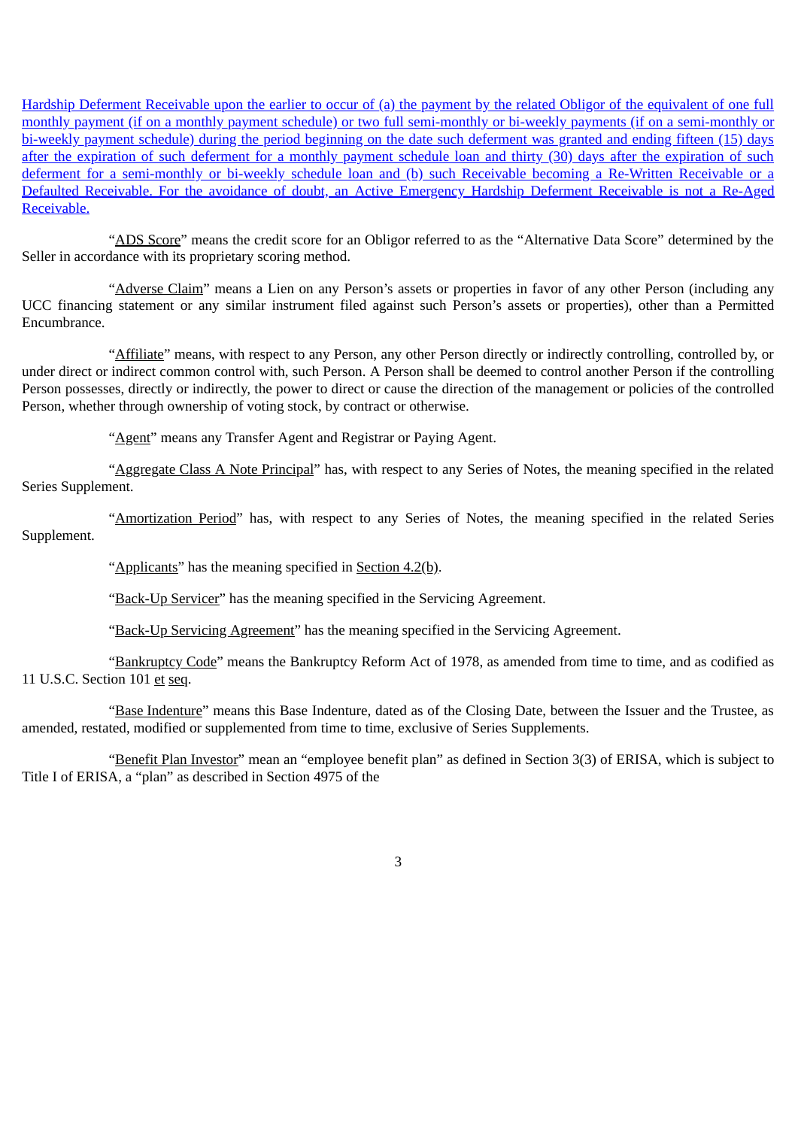Hardship Deferment Receivable upon the earlier to occur of (a) the payment by the related Obligor of the equivalent of one full monthly payment (if on a monthly payment schedule) or two full semi-monthly or bi-weekly payments (if on a semi-monthly or bi-weekly payment schedule) during the period beginning on the date such deferment was granted and ending fifteen (15) days after the expiration of such deferment for a monthly payment schedule loan and thirty (30) days after the expiration of such deferment for a semi-monthly or bi-weekly schedule loan and (b) such Receivable becoming a Re-Written Receivable or a Defaulted Receivable. For the avoidance of doubt, an Active Emergency Hardship Deferment Receivable is not a Re-Aged Receivable.

"ADS Score" means the credit score for an Obligor referred to as the "Alternative Data Score" determined by the Seller in accordance with its proprietary scoring method.

"Adverse Claim" means a Lien on any Person's assets or properties in favor of any other Person (including any UCC financing statement or any similar instrument filed against such Person's assets or properties), other than a Permitted Encumbrance.

"Affiliate" means, with respect to any Person, any other Person directly or indirectly controlling, controlled by, or under direct or indirect common control with, such Person. A Person shall be deemed to control another Person if the controlling Person possesses, directly or indirectly, the power to direct or cause the direction of the management or policies of the controlled Person, whether through ownership of voting stock, by contract or otherwise.

"Agent" means any Transfer Agent and Registrar or Paying Agent.

"Aggregate Class A Note Principal" has, with respect to any Series of Notes, the meaning specified in the related Series Supplement.

"Amortization Period" has, with respect to any Series of Notes, the meaning specified in the related Series Supplement.

"Applicants" has the meaning specified in Section 4.2(b).

"Back-Up Servicer" has the meaning specified in the Servicing Agreement.

"Back-Up Servicing Agreement" has the meaning specified in the Servicing Agreement.

"Bankruptcy Code" means the Bankruptcy Reform Act of 1978, as amended from time to time, and as codified as 11 U.S.C. Section 101 et seq.

"Base Indenture" means this Base Indenture, dated as of the Closing Date, between the Issuer and the Trustee, as amended, restated, modified or supplemented from time to time, exclusive of Series Supplements.

"Benefit Plan Investor" mean an "employee benefit plan" as defined in Section 3(3) of ERISA, which is subject to Title I of ERISA, a "plan" as described in Section 4975 of the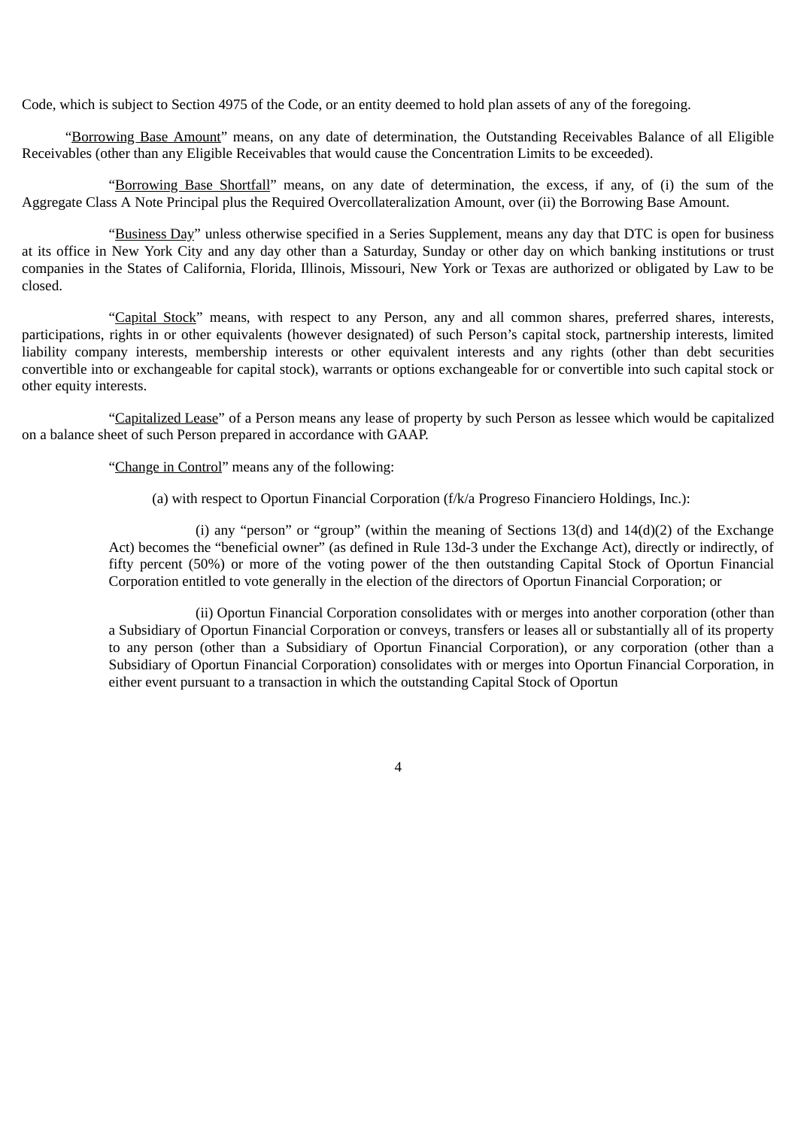Code, which is subject to Section 4975 of the Code, or an entity deemed to hold plan assets of any of the foregoing.

"Borrowing Base Amount" means, on any date of determination, the Outstanding Receivables Balance of all Eligible Receivables (other than any Eligible Receivables that would cause the Concentration Limits to be exceeded).

"Borrowing Base Shortfall" means, on any date of determination, the excess, if any, of (i) the sum of the Aggregate Class A Note Principal plus the Required Overcollateralization Amount, over (ii) the Borrowing Base Amount.

"Business Day" unless otherwise specified in a Series Supplement, means any day that DTC is open for business at its office in New York City and any day other than a Saturday, Sunday or other day on which banking institutions or trust companies in the States of California, Florida, Illinois, Missouri, New York or Texas are authorized or obligated by Law to be closed.

"Capital Stock" means, with respect to any Person, any and all common shares, preferred shares, interests, participations, rights in or other equivalents (however designated) of such Person's capital stock, partnership interests, limited liability company interests, membership interests or other equivalent interests and any rights (other than debt securities convertible into or exchangeable for capital stock), warrants or options exchangeable for or convertible into such capital stock or other equity interests.

"Capitalized Lease" of a Person means any lease of property by such Person as lessee which would be capitalized on a balance sheet of such Person prepared in accordance with GAAP.

"Change in Control" means any of the following:

(a) with respect to Oportun Financial Corporation (f/k/a Progreso Financiero Holdings, Inc.):

(i) any "person" or "group" (within the meaning of Sections 13(d) and  $14(d)(2)$  of the Exchange Act) becomes the "beneficial owner" (as defined in Rule 13d-3 under the Exchange Act), directly or indirectly, of fifty percent (50%) or more of the voting power of the then outstanding Capital Stock of Oportun Financial Corporation entitled to vote generally in the election of the directors of Oportun Financial Corporation; or

(ii) Oportun Financial Corporation consolidates with or merges into another corporation (other than a Subsidiary of Oportun Financial Corporation or conveys, transfers or leases all or substantially all of its property to any person (other than a Subsidiary of Oportun Financial Corporation), or any corporation (other than a Subsidiary of Oportun Financial Corporation) consolidates with or merges into Oportun Financial Corporation, in either event pursuant to a transaction in which the outstanding Capital Stock of Oportun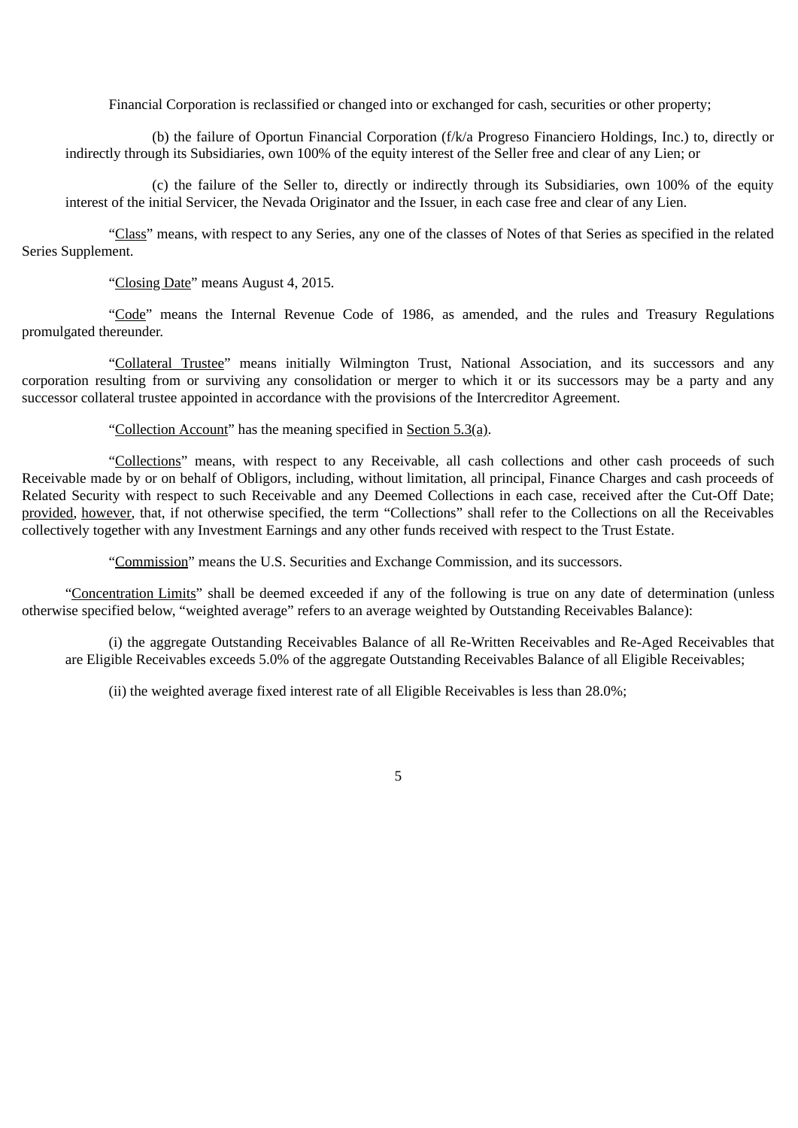Financial Corporation is reclassified or changed into or exchanged for cash, securities or other property;

(b) the failure of Oportun Financial Corporation (f/k/a Progreso Financiero Holdings, Inc.) to, directly or indirectly through its Subsidiaries, own 100% of the equity interest of the Seller free and clear of any Lien; or

(c) the failure of the Seller to, directly or indirectly through its Subsidiaries, own 100% of the equity interest of the initial Servicer, the Nevada Originator and the Issuer, in each case free and clear of any Lien.

"Class" means, with respect to any Series, any one of the classes of Notes of that Series as specified in the related Series Supplement.

"Closing Date" means August 4, 2015.

"Code" means the Internal Revenue Code of 1986, as amended, and the rules and Treasury Regulations promulgated thereunder.

"Collateral Trustee" means initially Wilmington Trust, National Association, and its successors and any corporation resulting from or surviving any consolidation or merger to which it or its successors may be a party and any successor collateral trustee appointed in accordance with the provisions of the Intercreditor Agreement.

"Collection Account" has the meaning specified in Section 5.3(a).

"Collections" means, with respect to any Receivable, all cash collections and other cash proceeds of such Receivable made by or on behalf of Obligors, including, without limitation, all principal, Finance Charges and cash proceeds of Related Security with respect to such Receivable and any Deemed Collections in each case, received after the Cut-Off Date; provided, however, that, if not otherwise specified, the term "Collections" shall refer to the Collections on all the Receivables collectively together with any Investment Earnings and any other funds received with respect to the Trust Estate.

"Commission" means the U.S. Securities and Exchange Commission, and its successors.

"Concentration Limits" shall be deemed exceeded if any of the following is true on any date of determination (unless otherwise specified below, "weighted average" refers to an average weighted by Outstanding Receivables Balance):

(i) the aggregate Outstanding Receivables Balance of all Re-Written Receivables and Re-Aged Receivables that are Eligible Receivables exceeds 5.0% of the aggregate Outstanding Receivables Balance of all Eligible Receivables;

(ii) the weighted average fixed interest rate of all Eligible Receivables is less than 28.0%;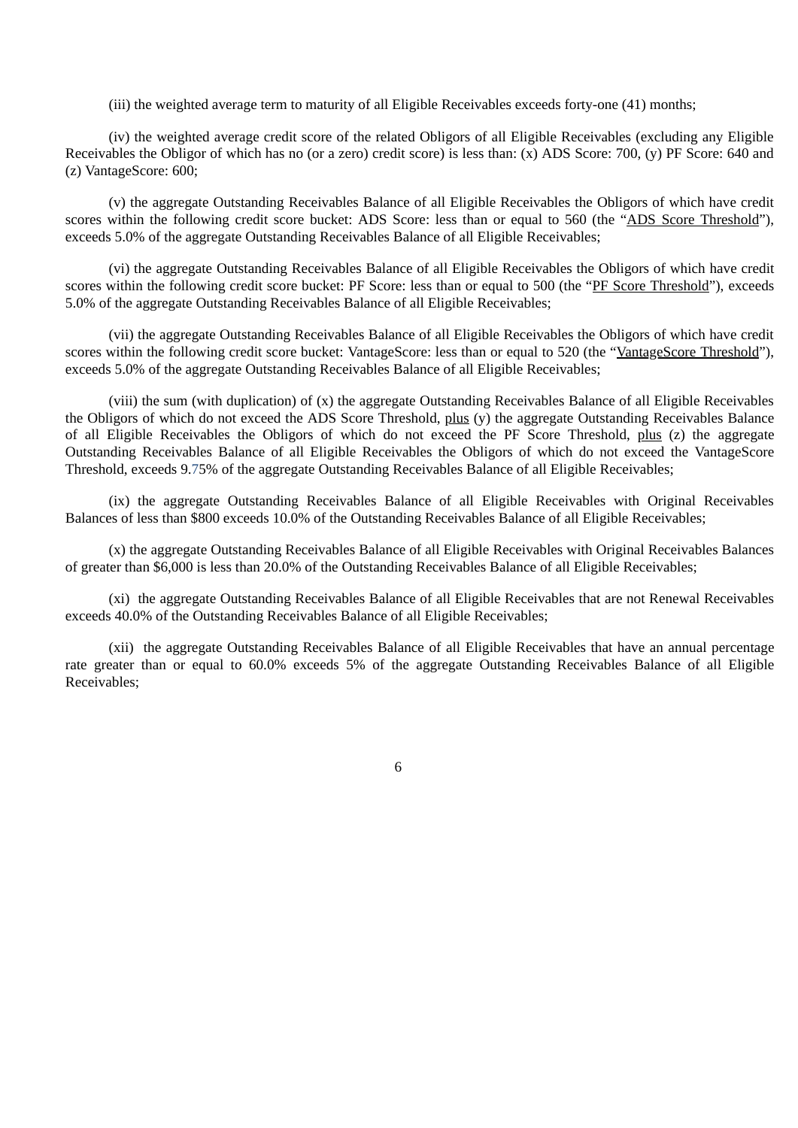(iii) the weighted average term to maturity of all Eligible Receivables exceeds forty-one (41) months;

(iv) the weighted average credit score of the related Obligors of all Eligible Receivables (excluding any Eligible Receivables the Obligor of which has no (or a zero) credit score) is less than: (x) ADS Score: 700, (y) PF Score: 640 and (z) VantageScore: 600;

(v) the aggregate Outstanding Receivables Balance of all Eligible Receivables the Obligors of which have credit scores within the following credit score bucket: ADS Score: less than or equal to 560 (the "ADS Score Threshold"), exceeds 5.0% of the aggregate Outstanding Receivables Balance of all Eligible Receivables;

(vi) the aggregate Outstanding Receivables Balance of all Eligible Receivables the Obligors of which have credit scores within the following credit score bucket: PF Score: less than or equal to 500 (the "PF Score Threshold"), exceeds 5.0% of the aggregate Outstanding Receivables Balance of all Eligible Receivables;

(vii) the aggregate Outstanding Receivables Balance of all Eligible Receivables the Obligors of which have credit scores within the following credit score bucket: VantageScore: less than or equal to 520 (the "VantageScore Threshold"), exceeds 5.0% of the aggregate Outstanding Receivables Balance of all Eligible Receivables;

(viii) the sum (with duplication) of (x) the aggregate Outstanding Receivables Balance of all Eligible Receivables the Obligors of which do not exceed the ADS Score Threshold, plus (y) the aggregate Outstanding Receivables Balance of all Eligible Receivables the Obligors of which do not exceed the PF Score Threshold, plus (z) the aggregate Outstanding Receivables Balance of all Eligible Receivables the Obligors of which do not exceed the VantageScore Threshold, exceeds 9.75% of the aggregate Outstanding Receivables Balance of all Eligible Receivables;

(ix) the aggregate Outstanding Receivables Balance of all Eligible Receivables with Original Receivables Balances of less than \$800 exceeds 10.0% of the Outstanding Receivables Balance of all Eligible Receivables;

(x) the aggregate Outstanding Receivables Balance of all Eligible Receivables with Original Receivables Balances of greater than \$6,000 is less than 20.0% of the Outstanding Receivables Balance of all Eligible Receivables;

(xi) the aggregate Outstanding Receivables Balance of all Eligible Receivables that are not Renewal Receivables exceeds 40.0% of the Outstanding Receivables Balance of all Eligible Receivables;

(xii) the aggregate Outstanding Receivables Balance of all Eligible Receivables that have an annual percentage rate greater than or equal to 60.0% exceeds 5% of the aggregate Outstanding Receivables Balance of all Eligible Receivables;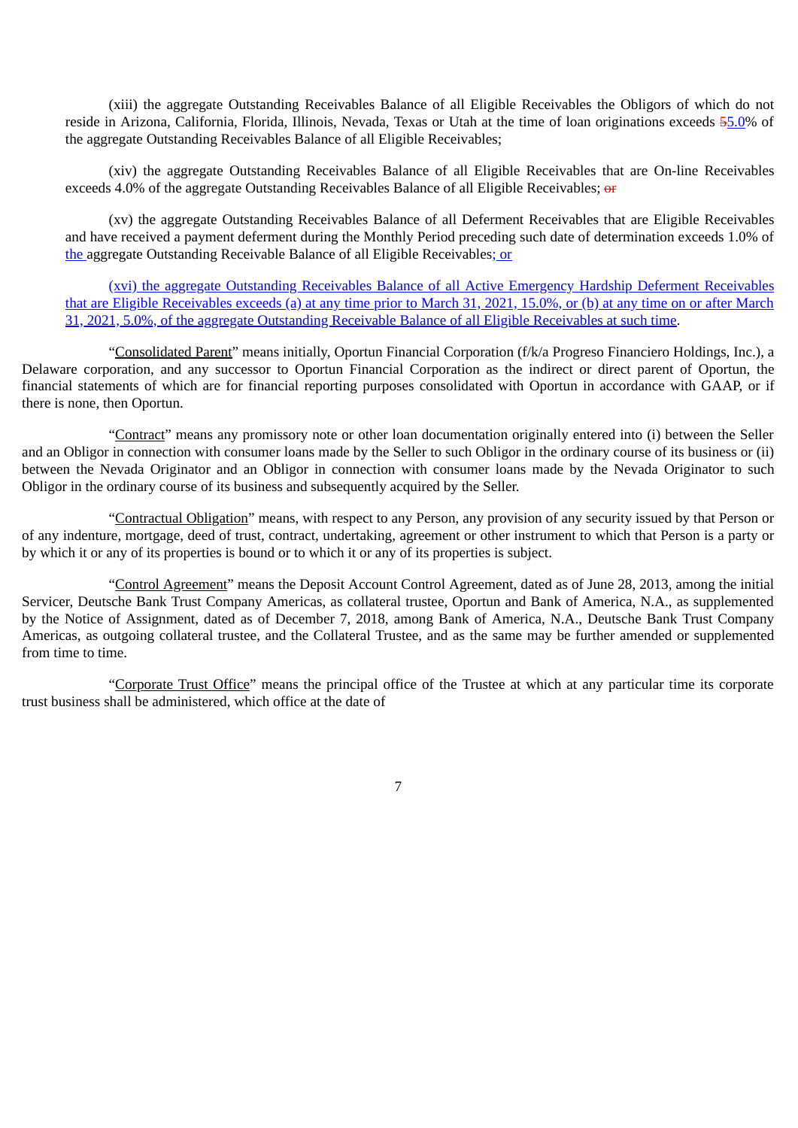(xiii) the aggregate Outstanding Receivables Balance of all Eligible Receivables the Obligors of which do not reside in Arizona, California, Florida, Illinois, Nevada, Texas or Utah at the time of loan originations exceeds 55.0% of the aggregate Outstanding Receivables Balance of all Eligible Receivables;

(xiv) the aggregate Outstanding Receivables Balance of all Eligible Receivables that are On-line Receivables exceeds 4.0% of the aggregate Outstanding Receivables Balance of all Eligible Receivables;  $\theta$ 

(xv) the aggregate Outstanding Receivables Balance of all Deferment Receivables that are Eligible Receivables and have received a payment deferment during the Monthly Period preceding such date of determination exceeds 1.0% of the aggregate Outstanding Receivable Balance of all Eligible Receivables; or

(xvi) the aggregate Outstanding Receivables Balance of all Active Emergency Hardship Deferment Receivables that are Eligible Receivables exceeds (a) at any time prior to March 31, 2021, 15.0%, or (b) at any time on or after March 31, 2021, 5.0%, of the aggregate Outstanding Receivable Balance of all Eligible Receivables at such time.

"Consolidated Parent" means initially, Oportun Financial Corporation (f/k/a Progreso Financiero Holdings, Inc.), a Delaware corporation, and any successor to Oportun Financial Corporation as the indirect or direct parent of Oportun, the financial statements of which are for financial reporting purposes consolidated with Oportun in accordance with GAAP, or if there is none, then Oportun.

"Contract" means any promissory note or other loan documentation originally entered into (i) between the Seller and an Obligor in connection with consumer loans made by the Seller to such Obligor in the ordinary course of its business or (ii) between the Nevada Originator and an Obligor in connection with consumer loans made by the Nevada Originator to such Obligor in the ordinary course of its business and subsequently acquired by the Seller.

"Contractual Obligation" means, with respect to any Person, any provision of any security issued by that Person or of any indenture, mortgage, deed of trust, contract, undertaking, agreement or other instrument to which that Person is a party or by which it or any of its properties is bound or to which it or any of its properties is subject.

"Control Agreement" means the Deposit Account Control Agreement, dated as of June 28, 2013, among the initial Servicer, Deutsche Bank Trust Company Americas, as collateral trustee, Oportun and Bank of America, N.A., as supplemented by the Notice of Assignment, dated as of December 7, 2018, among Bank of America, N.A., Deutsche Bank Trust Company Americas, as outgoing collateral trustee, and the Collateral Trustee, and as the same may be further amended or supplemented from time to time.

"Corporate Trust Office" means the principal office of the Trustee at which at any particular time its corporate trust business shall be administered, which office at the date of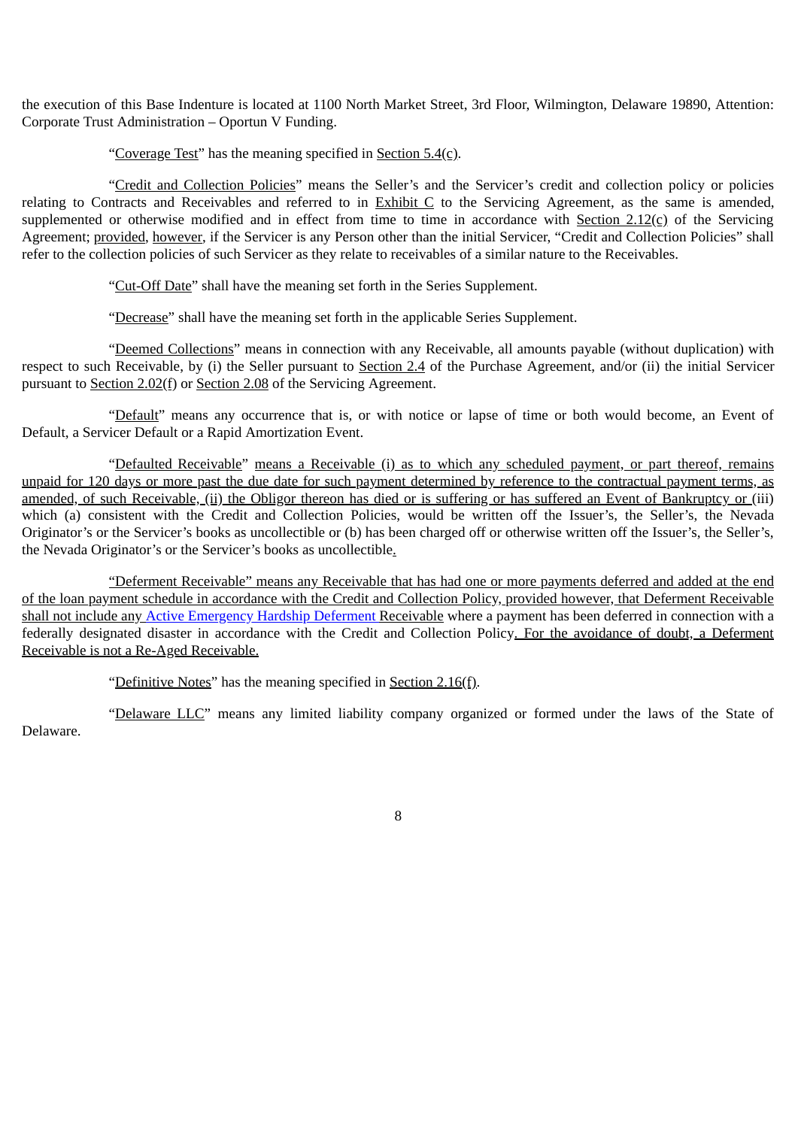the execution of this Base Indenture is located at 1100 North Market Street, 3rd Floor, Wilmington, Delaware 19890, Attention: Corporate Trust Administration – Oportun V Funding.

"Coverage Test" has the meaning specified in Section  $5.4(c)$ .

"Credit and Collection Policies" means the Seller's and the Servicer's credit and collection policy or policies relating to Contracts and Receivables and referred to in Exhibit C to the Servicing Agreement, as the same is amended, supplemented or otherwise modified and in effect from time to time in accordance with Section 2.12(c) of the Servicing Agreement; provided, however, if the Servicer is any Person other than the initial Servicer, "Credit and Collection Policies" shall refer to the collection policies of such Servicer as they relate to receivables of a similar nature to the Receivables.

"Cut-Off Date" shall have the meaning set forth in the Series Supplement.

"Decrease" shall have the meaning set forth in the applicable Series Supplement.

"Deemed Collections" means in connection with any Receivable, all amounts payable (without duplication) with respect to such Receivable, by (i) the Seller pursuant to Section 2.4 of the Purchase Agreement, and/or (ii) the initial Servicer pursuant to Section 2.02(f) or Section 2.08 of the Servicing Agreement.

"Default" means any occurrence that is, or with notice or lapse of time or both would become, an Event of Default, a Servicer Default or a Rapid Amortization Event.

"Defaulted Receivable" means a Receivable (i) as to which any scheduled payment, or part thereof, remains unpaid for 120 days or more past the due date for such payment determined by reference to the contractual payment terms, as amended, of such Receivable, (ii) the Obligor thereon has died or is suffering or has suffered an Event of Bankruptcy or (iii) which (a) consistent with the Credit and Collection Policies, would be written off the Issuer's, the Seller's, the Nevada Originator's or the Servicer's books as uncollectible or (b) has been charged off or otherwise written off the Issuer's, the Seller's, the Nevada Originator's or the Servicer's books as uncollectible.

"Deferment Receivable" means any Receivable that has had one or more payments deferred and added at the end of the loan payment schedule in accordance with the Credit and Collection Policy, provided however, that Deferment Receivable shall not include any Active Emergency Hardship Deferment Receivable where a payment has been deferred in connection with a federally designated disaster in accordance with the Credit and Collection Policy. For the avoidance of doubt, a Deferment Receivable is not a Re-Aged Receivable.

"Definitive Notes" has the meaning specified in Section 2.16(f).

"Delaware LLC" means any limited liability company organized or formed under the laws of the State of Delaware.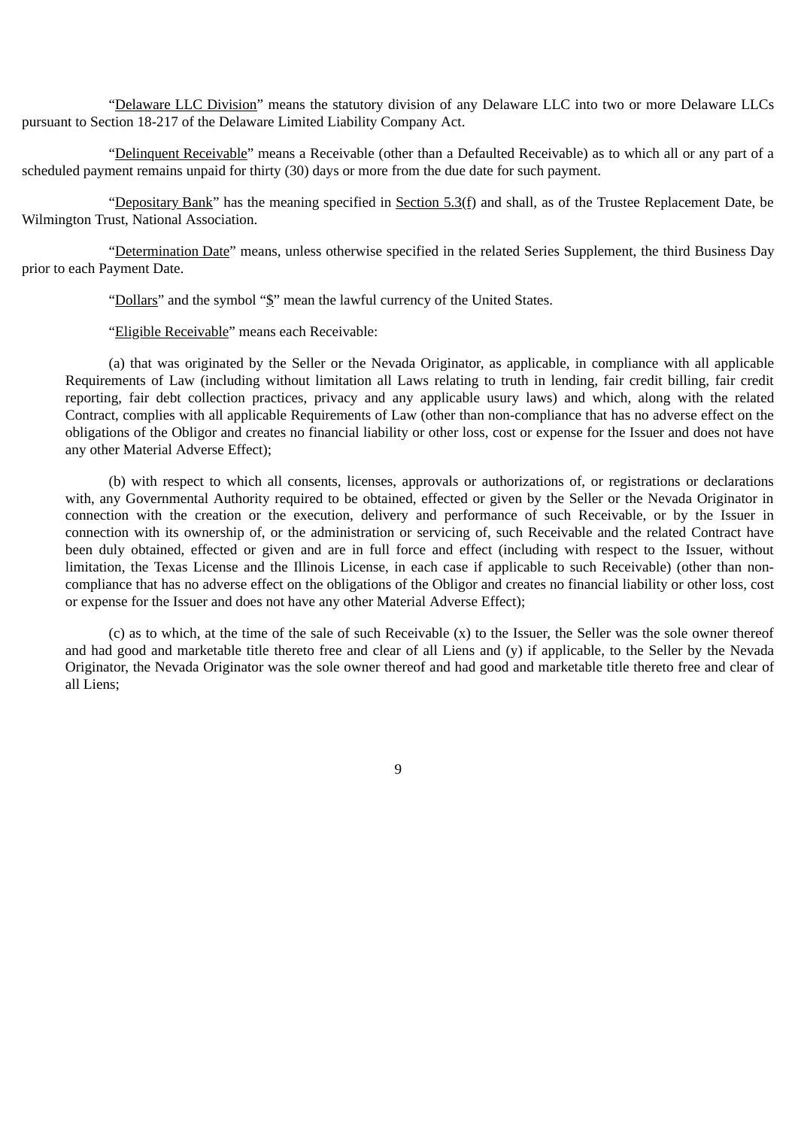"Delaware LLC Division" means the statutory division of any Delaware LLC into two or more Delaware LLCs pursuant to Section 18-217 of the Delaware Limited Liability Company Act.

"Delinquent Receivable" means a Receivable (other than a Defaulted Receivable) as to which all or any part of a scheduled payment remains unpaid for thirty (30) days or more from the due date for such payment.

"Depositary Bank" has the meaning specified in Section  $5.3(f)$  and shall, as of the Trustee Replacement Date, be Wilmington Trust, National Association.

"Determination Date" means, unless otherwise specified in the related Series Supplement, the third Business Day prior to each Payment Date.

"Dollars" and the symbol "\$" mean the lawful currency of the United States.

"Eligible Receivable" means each Receivable:

(a) that was originated by the Seller or the Nevada Originator, as applicable, in compliance with all applicable Requirements of Law (including without limitation all Laws relating to truth in lending, fair credit billing, fair credit reporting, fair debt collection practices, privacy and any applicable usury laws) and which, along with the related Contract, complies with all applicable Requirements of Law (other than non-compliance that has no adverse effect on the obligations of the Obligor and creates no financial liability or other loss, cost or expense for the Issuer and does not have any other Material Adverse Effect);

(b) with respect to which all consents, licenses, approvals or authorizations of, or registrations or declarations with, any Governmental Authority required to be obtained, effected or given by the Seller or the Nevada Originator in connection with the creation or the execution, delivery and performance of such Receivable, or by the Issuer in connection with its ownership of, or the administration or servicing of, such Receivable and the related Contract have been duly obtained, effected or given and are in full force and effect (including with respect to the Issuer, without limitation, the Texas License and the Illinois License, in each case if applicable to such Receivable) (other than noncompliance that has no adverse effect on the obligations of the Obligor and creates no financial liability or other loss, cost or expense for the Issuer and does not have any other Material Adverse Effect);

(c) as to which, at the time of the sale of such Receivable (x) to the Issuer, the Seller was the sole owner thereof and had good and marketable title thereto free and clear of all Liens and (y) if applicable, to the Seller by the Nevada Originator, the Nevada Originator was the sole owner thereof and had good and marketable title thereto free and clear of all Liens;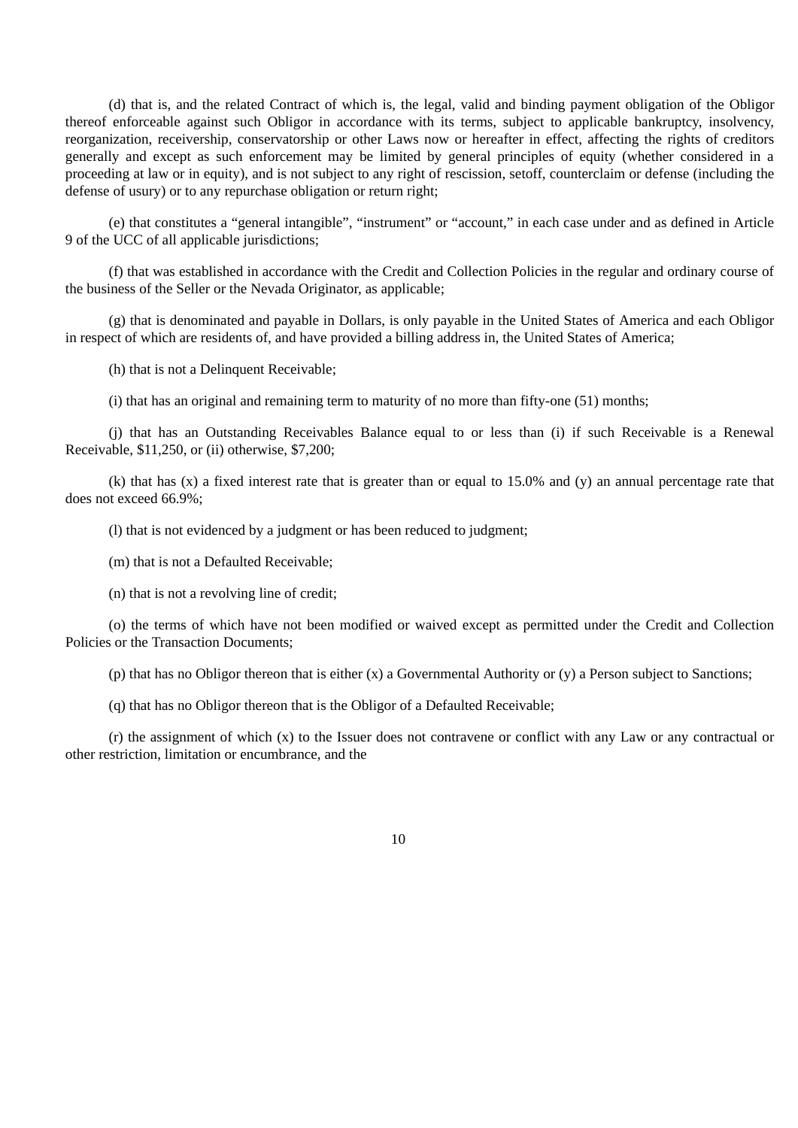(d) that is, and the related Contract of which is, the legal, valid and binding payment obligation of the Obligor thereof enforceable against such Obligor in accordance with its terms, subject to applicable bankruptcy, insolvency, reorganization, receivership, conservatorship or other Laws now or hereafter in effect, affecting the rights of creditors generally and except as such enforcement may be limited by general principles of equity (whether considered in a proceeding at law or in equity), and is not subject to any right of rescission, setoff, counterclaim or defense (including the defense of usury) or to any repurchase obligation or return right;

(e) that constitutes a "general intangible", "instrument" or "account," in each case under and as defined in Article 9 of the UCC of all applicable jurisdictions;

(f) that was established in accordance with the Credit and Collection Policies in the regular and ordinary course of the business of the Seller or the Nevada Originator, as applicable;

(g) that is denominated and payable in Dollars, is only payable in the United States of America and each Obligor in respect of which are residents of, and have provided a billing address in, the United States of America;

(h) that is not a Delinquent Receivable;

(i) that has an original and remaining term to maturity of no more than fifty-one (51) months;

(j) that has an Outstanding Receivables Balance equal to or less than (i) if such Receivable is a Renewal Receivable, \$11,250, or (ii) otherwise, \$7,200;

(k) that has (x) a fixed interest rate that is greater than or equal to 15.0% and (y) an annual percentage rate that does not exceed 66.9%;

(l) that is not evidenced by a judgment or has been reduced to judgment;

(m) that is not a Defaulted Receivable;

(n) that is not a revolving line of credit;

(o) the terms of which have not been modified or waived except as permitted under the Credit and Collection Policies or the Transaction Documents;

(p) that has no Obligor thereon that is either (x) a Governmental Authority or (y) a Person subject to Sanctions;

(q) that has no Obligor thereon that is the Obligor of a Defaulted Receivable;

(r) the assignment of which (x) to the Issuer does not contravene or conflict with any Law or any contractual or other restriction, limitation or encumbrance, and the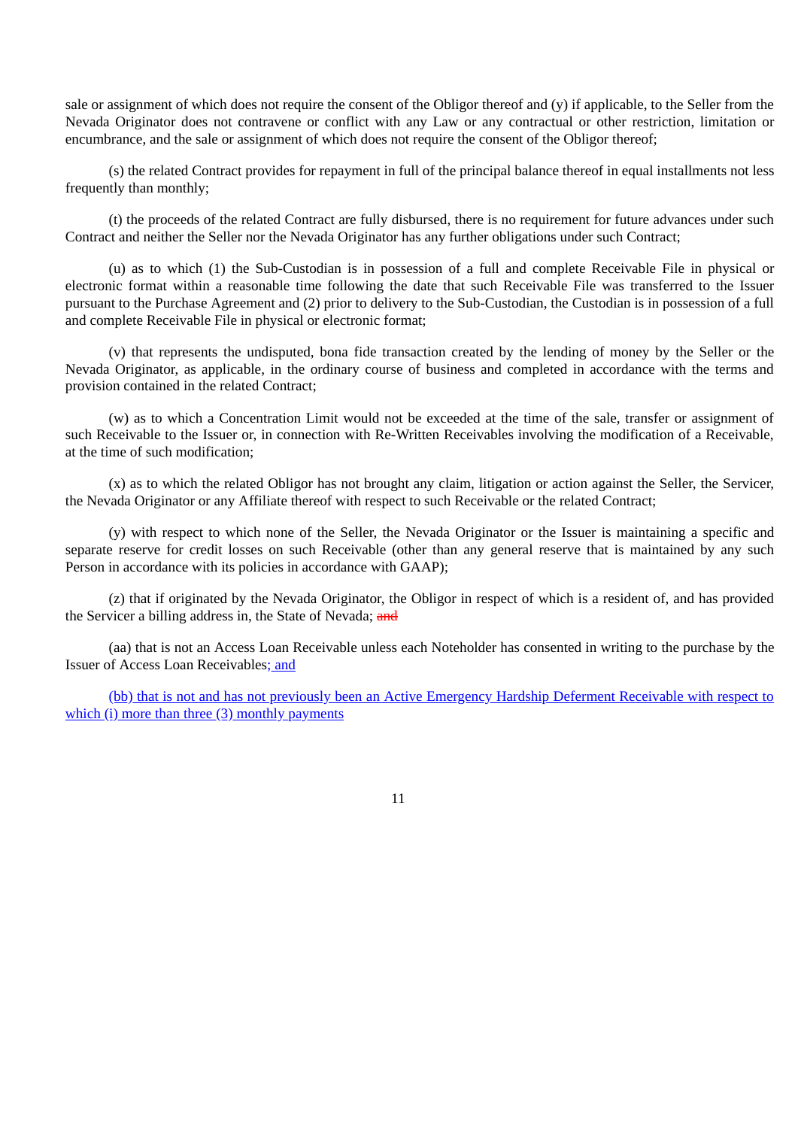sale or assignment of which does not require the consent of the Obligor thereof and  $(v)$  if applicable, to the Seller from the Nevada Originator does not contravene or conflict with any Law or any contractual or other restriction, limitation or encumbrance, and the sale or assignment of which does not require the consent of the Obligor thereof;

(s) the related Contract provides for repayment in full of the principal balance thereof in equal installments not less frequently than monthly;

(t) the proceeds of the related Contract are fully disbursed, there is no requirement for future advances under such Contract and neither the Seller nor the Nevada Originator has any further obligations under such Contract;

(u) as to which (1) the Sub-Custodian is in possession of a full and complete Receivable File in physical or electronic format within a reasonable time following the date that such Receivable File was transferred to the Issuer pursuant to the Purchase Agreement and (2) prior to delivery to the Sub-Custodian, the Custodian is in possession of a full and complete Receivable File in physical or electronic format;

(v) that represents the undisputed, bona fide transaction created by the lending of money by the Seller or the Nevada Originator, as applicable, in the ordinary course of business and completed in accordance with the terms and provision contained in the related Contract;

(w) as to which a Concentration Limit would not be exceeded at the time of the sale, transfer or assignment of such Receivable to the Issuer or, in connection with Re-Written Receivables involving the modification of a Receivable, at the time of such modification;

(x) as to which the related Obligor has not brought any claim, litigation or action against the Seller, the Servicer, the Nevada Originator or any Affiliate thereof with respect to such Receivable or the related Contract;

(y) with respect to which none of the Seller, the Nevada Originator or the Issuer is maintaining a specific and separate reserve for credit losses on such Receivable (other than any general reserve that is maintained by any such Person in accordance with its policies in accordance with GAAP);

(z) that if originated by the Nevada Originator, the Obligor in respect of which is a resident of, and has provided the Servicer a billing address in, the State of Nevada; and

(aa) that is not an Access Loan Receivable unless each Noteholder has consented in writing to the purchase by the Issuer of Access Loan Receivables; and

(bb) that is not and has not previously been an Active Emergency Hardship Deferment Receivable with respect to which (i) more than three (3) monthly payments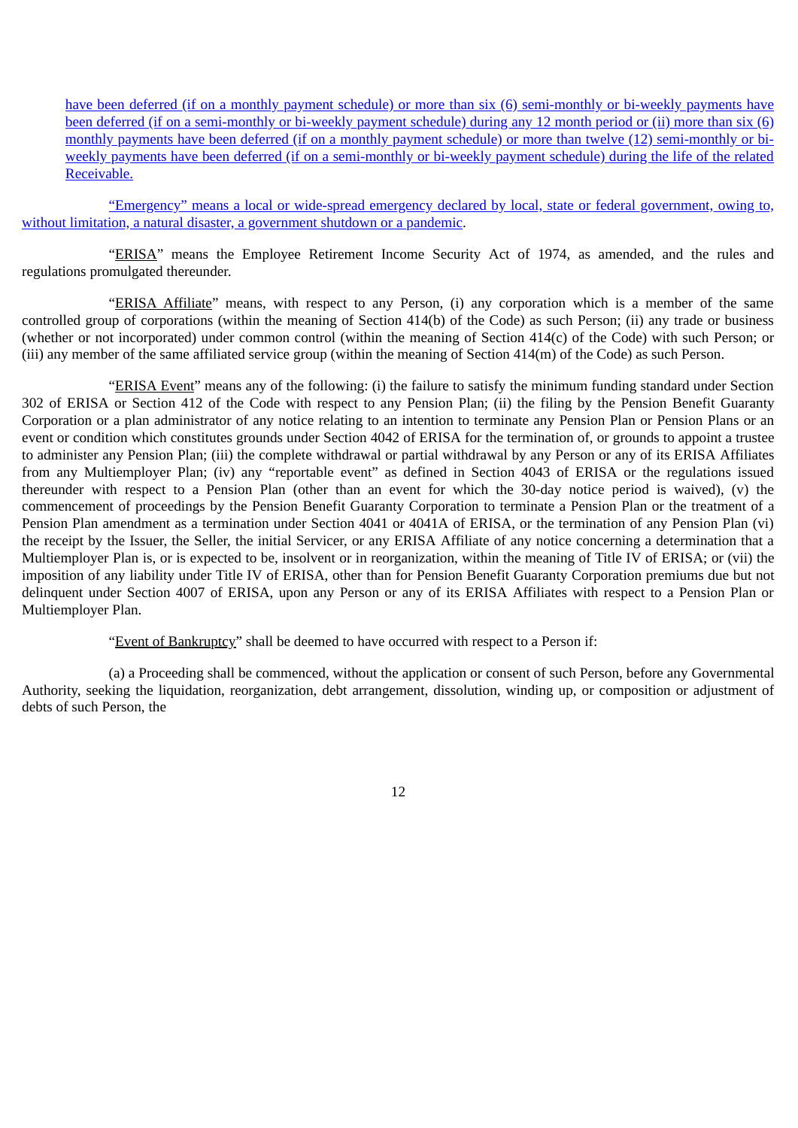have been deferred (if on a monthly payment schedule) or more than six (6) semi-monthly or bi-weekly payments have been deferred (if on a semi-monthly or bi-weekly payment schedule) during any 12 month period or (ii) more than six (6) monthly payments have been deferred (if on a monthly payment schedule) or more than twelve (12) semi-monthly or biweekly payments have been deferred (if on a semi-monthly or bi-weekly payment schedule) during the life of the related Receivable.

"Emergency" means a local or wide-spread emergency declared by local, state or federal government, owing to, without limitation, a natural disaster, a government shutdown or a pandemic.

"ERISA" means the Employee Retirement Income Security Act of 1974, as amended, and the rules and regulations promulgated thereunder.

"ERISA Affiliate" means, with respect to any Person, (i) any corporation which is a member of the same controlled group of corporations (within the meaning of Section 414(b) of the Code) as such Person; (ii) any trade or business (whether or not incorporated) under common control (within the meaning of Section 414(c) of the Code) with such Person; or (iii) any member of the same affiliated service group (within the meaning of Section 414(m) of the Code) as such Person.

"ERISA Event" means any of the following: (i) the failure to satisfy the minimum funding standard under Section 302 of ERISA or Section 412 of the Code with respect to any Pension Plan; (ii) the filing by the Pension Benefit Guaranty Corporation or a plan administrator of any notice relating to an intention to terminate any Pension Plan or Pension Plans or an event or condition which constitutes grounds under Section 4042 of ERISA for the termination of, or grounds to appoint a trustee to administer any Pension Plan; (iii) the complete withdrawal or partial withdrawal by any Person or any of its ERISA Affiliates from any Multiemployer Plan; (iv) any "reportable event" as defined in Section 4043 of ERISA or the regulations issued thereunder with respect to a Pension Plan (other than an event for which the 30-day notice period is waived), (v) the commencement of proceedings by the Pension Benefit Guaranty Corporation to terminate a Pension Plan or the treatment of a Pension Plan amendment as a termination under Section 4041 or 4041A of ERISA, or the termination of any Pension Plan (vi) the receipt by the Issuer, the Seller, the initial Servicer, or any ERISA Affiliate of any notice concerning a determination that a Multiemployer Plan is, or is expected to be, insolvent or in reorganization, within the meaning of Title IV of ERISA; or (vii) the imposition of any liability under Title IV of ERISA, other than for Pension Benefit Guaranty Corporation premiums due but not delinquent under Section 4007 of ERISA, upon any Person or any of its ERISA Affiliates with respect to a Pension Plan or Multiemployer Plan.

"Event of Bankruptcy" shall be deemed to have occurred with respect to a Person if:

(a) a Proceeding shall be commenced, without the application or consent of such Person, before any Governmental Authority, seeking the liquidation, reorganization, debt arrangement, dissolution, winding up, or composition or adjustment of debts of such Person, the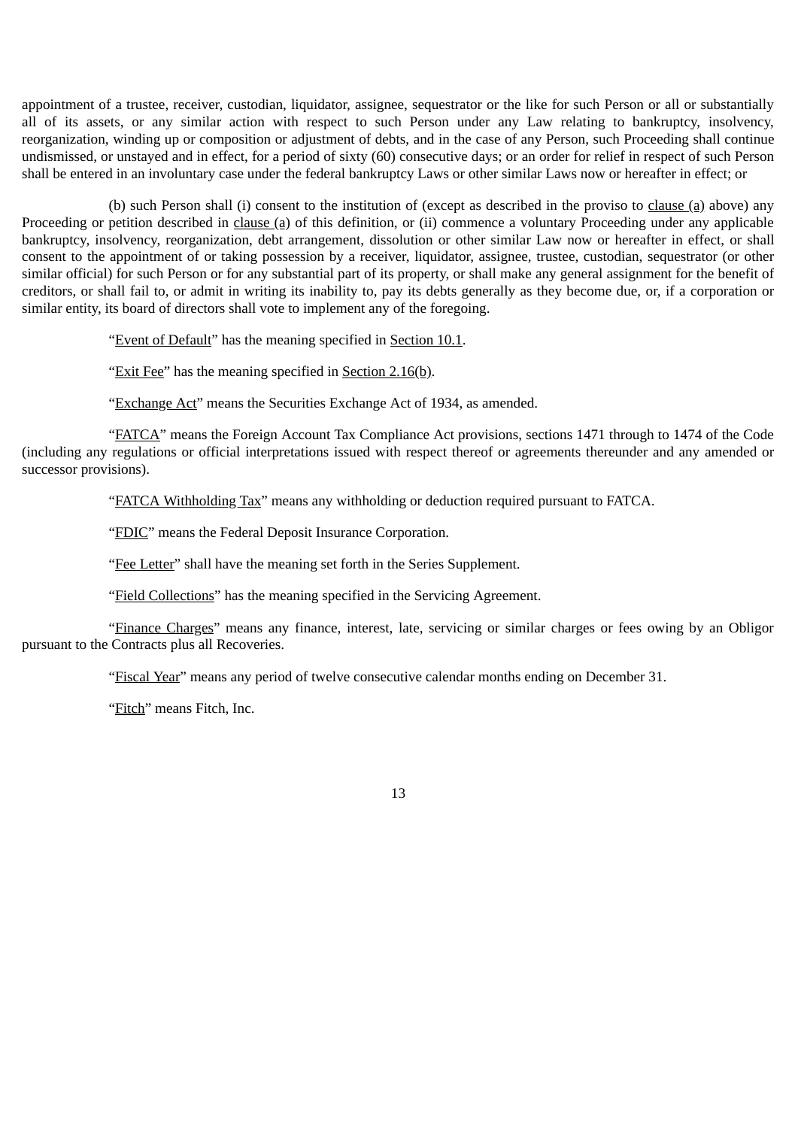appointment of a trustee, receiver, custodian, liquidator, assignee, sequestrator or the like for such Person or all or substantially all of its assets, or any similar action with respect to such Person under any Law relating to bankruptcy, insolvency, reorganization, winding up or composition or adjustment of debts, and in the case of any Person, such Proceeding shall continue undismissed, or unstayed and in effect, for a period of sixty (60) consecutive days; or an order for relief in respect of such Person shall be entered in an involuntary case under the federal bankruptcy Laws or other similar Laws now or hereafter in effect; or

(b) such Person shall (i) consent to the institution of (except as described in the proviso to clause (a) above) any Proceeding or petition described in clause (a) of this definition, or (ii) commence a voluntary Proceeding under any applicable bankruptcy, insolvency, reorganization, debt arrangement, dissolution or other similar Law now or hereafter in effect, or shall consent to the appointment of or taking possession by a receiver, liquidator, assignee, trustee, custodian, sequestrator (or other similar official) for such Person or for any substantial part of its property, or shall make any general assignment for the benefit of creditors, or shall fail to, or admit in writing its inability to, pay its debts generally as they become due, or, if a corporation or similar entity, its board of directors shall vote to implement any of the foregoing.

"Event of Default" has the meaning specified in Section 10.1.

"Exit Fee" has the meaning specified in Section  $2.16(b)$ .

"Exchange Act" means the Securities Exchange Act of 1934, as amended.

"FATCA" means the Foreign Account Tax Compliance Act provisions, sections 1471 through to 1474 of the Code (including any regulations or official interpretations issued with respect thereof or agreements thereunder and any amended or successor provisions).

"FATCA Withholding Tax" means any withholding or deduction required pursuant to FATCA.

"FDIC" means the Federal Deposit Insurance Corporation.

"Fee Letter" shall have the meaning set forth in the Series Supplement.

"Field Collections" has the meaning specified in the Servicing Agreement.

"Finance Charges" means any finance, interest, late, servicing or similar charges or fees owing by an Obligor pursuant to the Contracts plus all Recoveries.

"Fiscal Year" means any period of twelve consecutive calendar months ending on December 31.

"Fitch" means Fitch, Inc.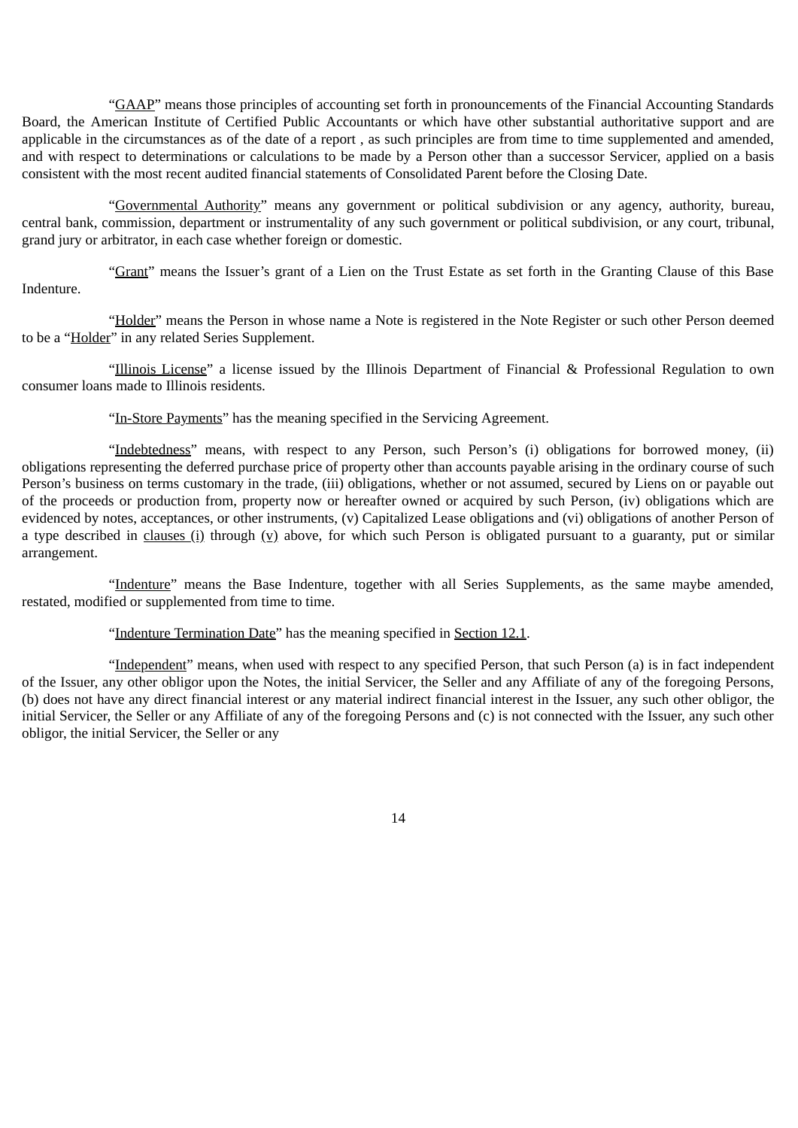"GAAP" means those principles of accounting set forth in pronouncements of the Financial Accounting Standards Board, the American Institute of Certified Public Accountants or which have other substantial authoritative support and are applicable in the circumstances as of the date of a report , as such principles are from time to time supplemented and amended, and with respect to determinations or calculations to be made by a Person other than a successor Servicer, applied on a basis consistent with the most recent audited financial statements of Consolidated Parent before the Closing Date.

"Governmental Authority" means any government or political subdivision or any agency, authority, bureau, central bank, commission, department or instrumentality of any such government or political subdivision, or any court, tribunal, grand jury or arbitrator, in each case whether foreign or domestic.

"Grant" means the Issuer's grant of a Lien on the Trust Estate as set forth in the Granting Clause of this Base Indenture.

"Holder" means the Person in whose name a Note is registered in the Note Register or such other Person deemed to be a "Holder" in any related Series Supplement.

"Illinois License" a license issued by the Illinois Department of Financial & Professional Regulation to own consumer loans made to Illinois residents.

"In-Store Payments" has the meaning specified in the Servicing Agreement.

"Indebtedness" means, with respect to any Person, such Person's (i) obligations for borrowed money, (ii) obligations representing the deferred purchase price of property other than accounts payable arising in the ordinary course of such Person's business on terms customary in the trade, (iii) obligations, whether or not assumed, secured by Liens on or payable out of the proceeds or production from, property now or hereafter owned or acquired by such Person, (iv) obligations which are evidenced by notes, acceptances, or other instruments, (v) Capitalized Lease obligations and (vi) obligations of another Person of a type described in clauses (i) through (v) above, for which such Person is obligated pursuant to a guaranty, put or similar arrangement.

"Indenture" means the Base Indenture, together with all Series Supplements, as the same maybe amended, restated, modified or supplemented from time to time.

"Indenture Termination Date" has the meaning specified in Section 12.1.

"Independent" means, when used with respect to any specified Person, that such Person (a) is in fact independent of the Issuer, any other obligor upon the Notes, the initial Servicer, the Seller and any Affiliate of any of the foregoing Persons, (b) does not have any direct financial interest or any material indirect financial interest in the Issuer, any such other obligor, the initial Servicer, the Seller or any Affiliate of any of the foregoing Persons and (c) is not connected with the Issuer, any such other obligor, the initial Servicer, the Seller or any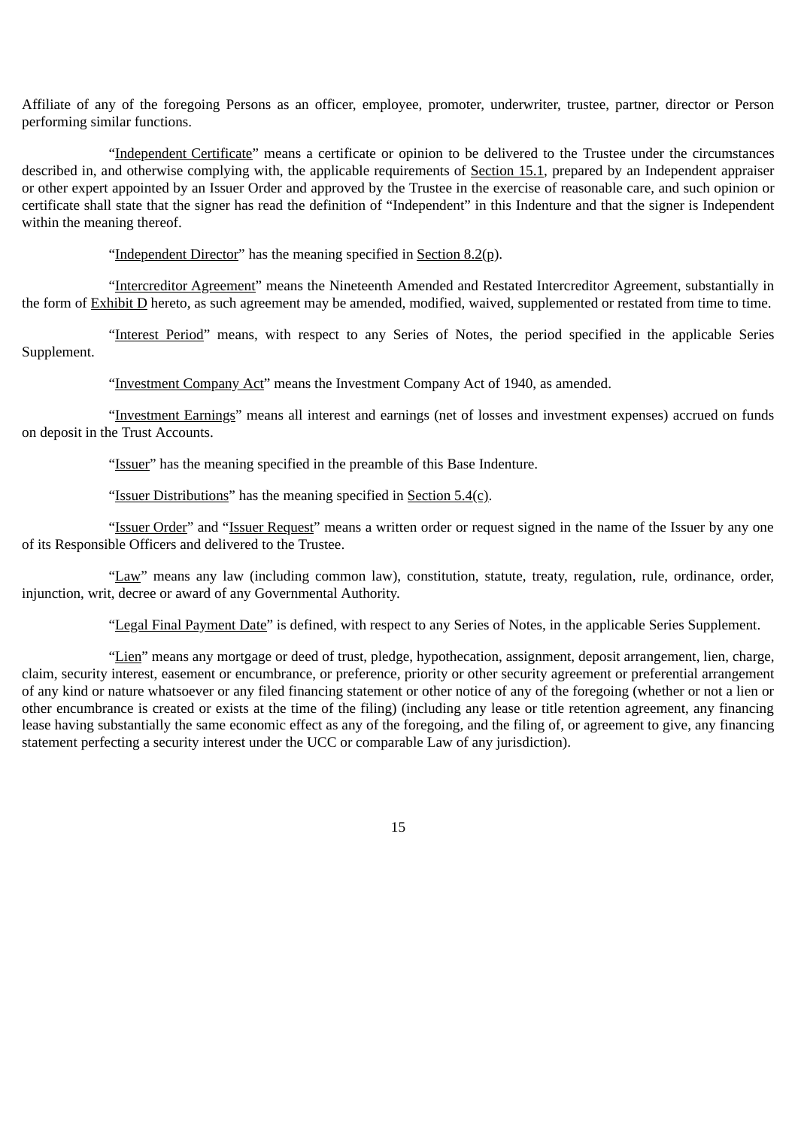Affiliate of any of the foregoing Persons as an officer, employee, promoter, underwriter, trustee, partner, director or Person performing similar functions.

"Independent Certificate" means a certificate or opinion to be delivered to the Trustee under the circumstances described in, and otherwise complying with, the applicable requirements of Section 15.1, prepared by an Independent appraiser or other expert appointed by an Issuer Order and approved by the Trustee in the exercise of reasonable care, and such opinion or certificate shall state that the signer has read the definition of "Independent" in this Indenture and that the signer is Independent within the meaning thereof.

"Independent Director" has the meaning specified in Section  $8.2(p)$ .

"Intercreditor Agreement" means the Nineteenth Amended and Restated Intercreditor Agreement, substantially in the form of Exhibit D hereto, as such agreement may be amended, modified, waived, supplemented or restated from time to time.

"Interest Period" means, with respect to any Series of Notes, the period specified in the applicable Series Supplement.

"Investment Company Act" means the Investment Company Act of 1940, as amended.

"Investment Earnings" means all interest and earnings (net of losses and investment expenses) accrued on funds on deposit in the Trust Accounts.

"Issuer" has the meaning specified in the preamble of this Base Indenture.

"Issuer Distributions" has the meaning specified in Section  $5.4(c)$ .

"Issuer Order" and "Issuer Request" means a written order or request signed in the name of the Issuer by any one of its Responsible Officers and delivered to the Trustee.

"Law" means any law (including common law), constitution, statute, treaty, regulation, rule, ordinance, order, injunction, writ, decree or award of any Governmental Authority.

"Legal Final Payment Date" is defined, with respect to any Series of Notes, in the applicable Series Supplement.

"Lien" means any mortgage or deed of trust, pledge, hypothecation, assignment, deposit arrangement, lien, charge, claim, security interest, easement or encumbrance, or preference, priority or other security agreement or preferential arrangement of any kind or nature whatsoever or any filed financing statement or other notice of any of the foregoing (whether or not a lien or other encumbrance is created or exists at the time of the filing) (including any lease or title retention agreement, any financing lease having substantially the same economic effect as any of the foregoing, and the filing of, or agreement to give, any financing statement perfecting a security interest under the UCC or comparable Law of any jurisdiction).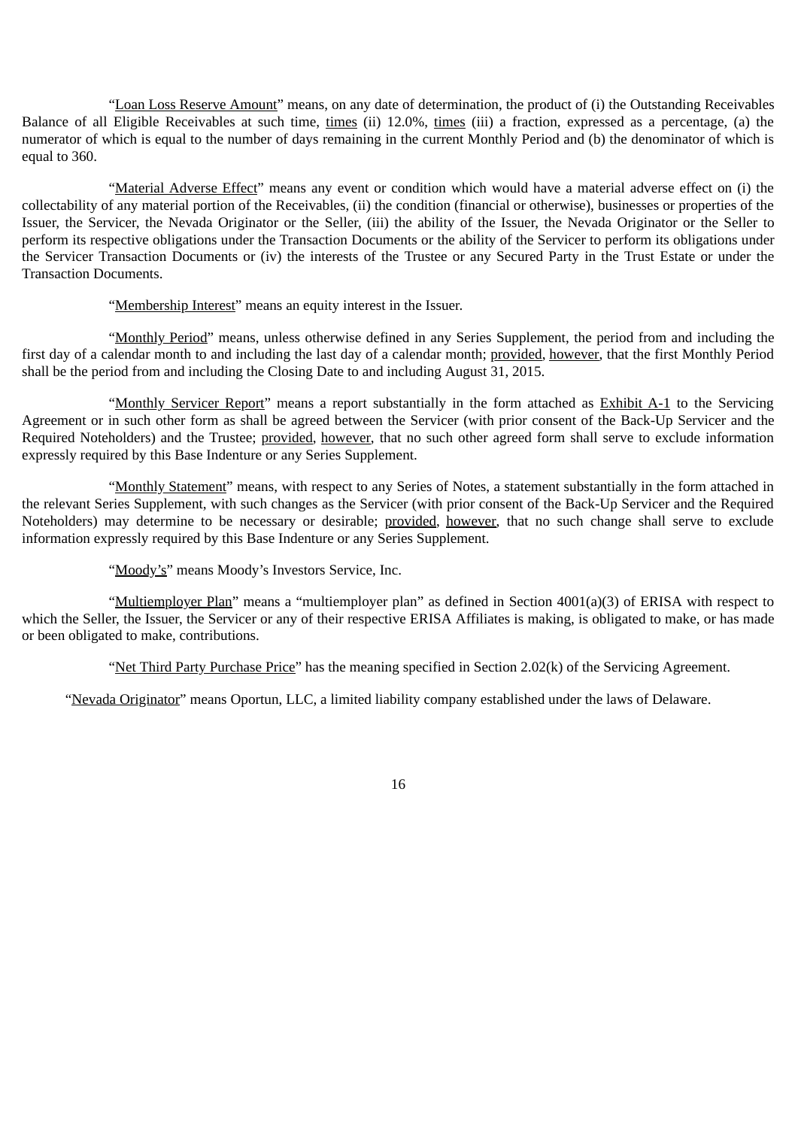"Loan Loss Reserve Amount" means, on any date of determination, the product of (i) the Outstanding Receivables Balance of all Eligible Receivables at such time, times (ii) 12.0%, times (iii) a fraction, expressed as a percentage, (a) the numerator of which is equal to the number of days remaining in the current Monthly Period and (b) the denominator of which is equal to 360.

"Material Adverse Effect" means any event or condition which would have a material adverse effect on (i) the collectability of any material portion of the Receivables, (ii) the condition (financial or otherwise), businesses or properties of the Issuer, the Servicer, the Nevada Originator or the Seller, (iii) the ability of the Issuer, the Nevada Originator or the Seller to perform its respective obligations under the Transaction Documents or the ability of the Servicer to perform its obligations under the Servicer Transaction Documents or (iv) the interests of the Trustee or any Secured Party in the Trust Estate or under the Transaction Documents.

"Membership Interest" means an equity interest in the Issuer.

"Monthly Period" means, unless otherwise defined in any Series Supplement, the period from and including the first day of a calendar month to and including the last day of a calendar month; provided, however, that the first Monthly Period shall be the period from and including the Closing Date to and including August 31, 2015.

"Monthly Servicer Report" means a report substantially in the form attached as Exhibit A-1 to the Servicing Agreement or in such other form as shall be agreed between the Servicer (with prior consent of the Back-Up Servicer and the Required Noteholders) and the Trustee; provided, however, that no such other agreed form shall serve to exclude information expressly required by this Base Indenture or any Series Supplement.

"Monthly Statement" means, with respect to any Series of Notes, a statement substantially in the form attached in the relevant Series Supplement, with such changes as the Servicer (with prior consent of the Back-Up Servicer and the Required Noteholders) may determine to be necessary or desirable; provided, however, that no such change shall serve to exclude information expressly required by this Base Indenture or any Series Supplement.

"Moody's" means Moody's Investors Service, Inc.

"Multiemployer Plan" means a "multiemployer plan" as defined in Section 4001(a)(3) of ERISA with respect to which the Seller, the Issuer, the Servicer or any of their respective ERISA Affiliates is making, is obligated to make, or has made or been obligated to make, contributions.

"Net Third Party Purchase Price" has the meaning specified in Section 2.02(k) of the Servicing Agreement.

"Nevada Originator" means Oportun, LLC, a limited liability company established under the laws of Delaware.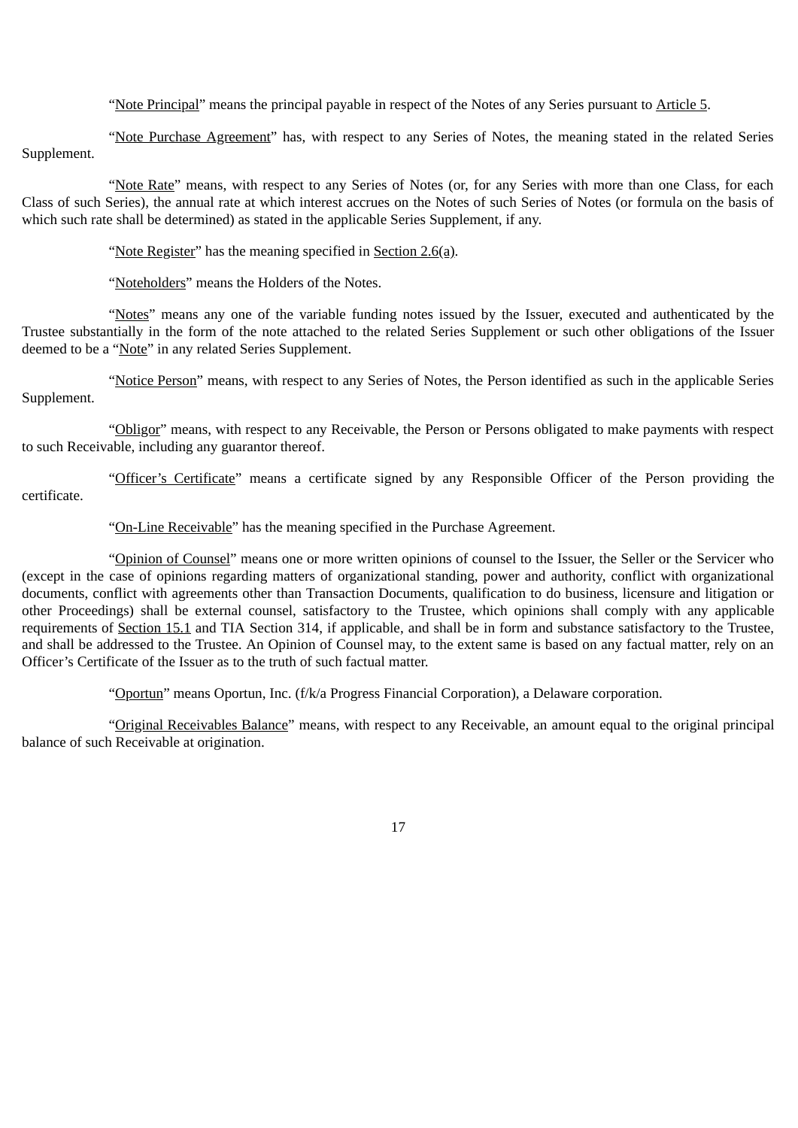"Note Principal" means the principal payable in respect of the Notes of any Series pursuant to Article 5.

"Note Purchase Agreement" has, with respect to any Series of Notes, the meaning stated in the related Series Supplement.

"Note Rate" means, with respect to any Series of Notes (or, for any Series with more than one Class, for each Class of such Series), the annual rate at which interest accrues on the Notes of such Series of Notes (or formula on the basis of which such rate shall be determined) as stated in the applicable Series Supplement, if any.

"Note Register" has the meaning specified in Section 2.6(a).

"Noteholders" means the Holders of the Notes.

"Notes" means any one of the variable funding notes issued by the Issuer, executed and authenticated by the Trustee substantially in the form of the note attached to the related Series Supplement or such other obligations of the Issuer deemed to be a "Note" in any related Series Supplement.

"Notice Person" means, with respect to any Series of Notes, the Person identified as such in the applicable Series Supplement.

"Obligor" means, with respect to any Receivable, the Person or Persons obligated to make payments with respect to such Receivable, including any guarantor thereof.

"Officer's Certificate" means a certificate signed by any Responsible Officer of the Person providing the certificate.

"On-Line Receivable" has the meaning specified in the Purchase Agreement.

"Opinion of Counsel" means one or more written opinions of counsel to the Issuer, the Seller or the Servicer who (except in the case of opinions regarding matters of organizational standing, power and authority, conflict with organizational documents, conflict with agreements other than Transaction Documents, qualification to do business, licensure and litigation or other Proceedings) shall be external counsel, satisfactory to the Trustee, which opinions shall comply with any applicable requirements of Section 15.1 and TIA Section 314, if applicable, and shall be in form and substance satisfactory to the Trustee, and shall be addressed to the Trustee. An Opinion of Counsel may, to the extent same is based on any factual matter, rely on an Officer's Certificate of the Issuer as to the truth of such factual matter.

"Oportun" means Oportun, Inc. (f/k/a Progress Financial Corporation), a Delaware corporation.

"Original Receivables Balance" means, with respect to any Receivable, an amount equal to the original principal balance of such Receivable at origination.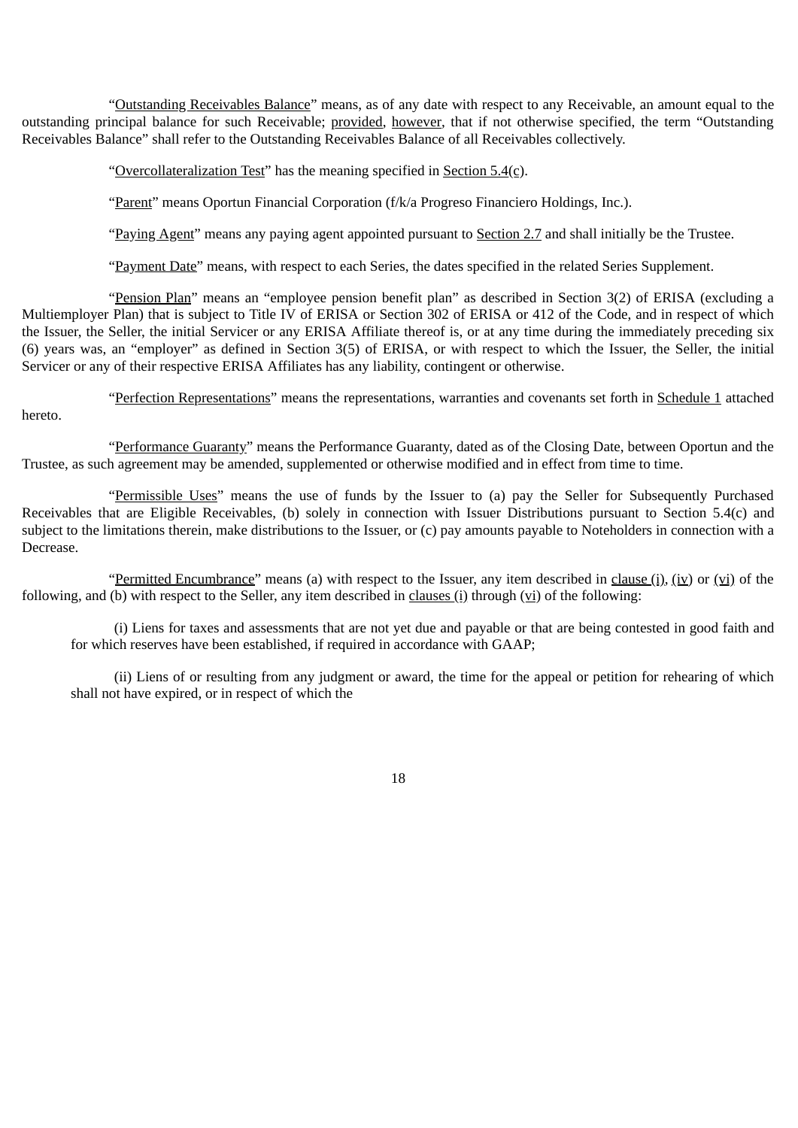"Outstanding Receivables Balance" means, as of any date with respect to any Receivable, an amount equal to the outstanding principal balance for such Receivable; provided, however, that if not otherwise specified, the term "Outstanding Receivables Balance" shall refer to the Outstanding Receivables Balance of all Receivables collectively.

"Overcollateralization Test" has the meaning specified in Section  $5.4(c)$ .

"Parent" means Oportun Financial Corporation (f/k/a Progreso Financiero Holdings, Inc.).

"Paying Agent" means any paying agent appointed pursuant to Section 2.7 and shall initially be the Trustee.

"Payment Date" means, with respect to each Series, the dates specified in the related Series Supplement.

"Pension Plan" means an "employee pension benefit plan" as described in Section 3(2) of ERISA (excluding a Multiemployer Plan) that is subject to Title IV of ERISA or Section 302 of ERISA or 412 of the Code, and in respect of which the Issuer, the Seller, the initial Servicer or any ERISA Affiliate thereof is, or at any time during the immediately preceding six (6) years was, an "employer" as defined in Section 3(5) of ERISA, or with respect to which the Issuer, the Seller, the initial Servicer or any of their respective ERISA Affiliates has any liability, contingent or otherwise.

"Perfection Representations" means the representations, warranties and covenants set forth in Schedule 1 attached hereto.

"Performance Guaranty" means the Performance Guaranty, dated as of the Closing Date, between Oportun and the Trustee, as such agreement may be amended, supplemented or otherwise modified and in effect from time to time.

"Permissible Uses" means the use of funds by the Issuer to (a) pay the Seller for Subsequently Purchased Receivables that are Eligible Receivables, (b) solely in connection with Issuer Distributions pursuant to Section 5.4(c) and subject to the limitations therein, make distributions to the Issuer, or (c) pay amounts payable to Noteholders in connection with a Decrease.

"Permitted Encumbrance" means (a) with respect to the Issuer, any item described in clause (i), (iv) or (vi) of the following, and (b) with respect to the Seller, any item described in clauses (i) through (vi) of the following:

(i) Liens for taxes and assessments that are not yet due and payable or that are being contested in good faith and for which reserves have been established, if required in accordance with GAAP;

(ii) Liens of or resulting from any judgment or award, the time for the appeal or petition for rehearing of which shall not have expired, or in respect of which the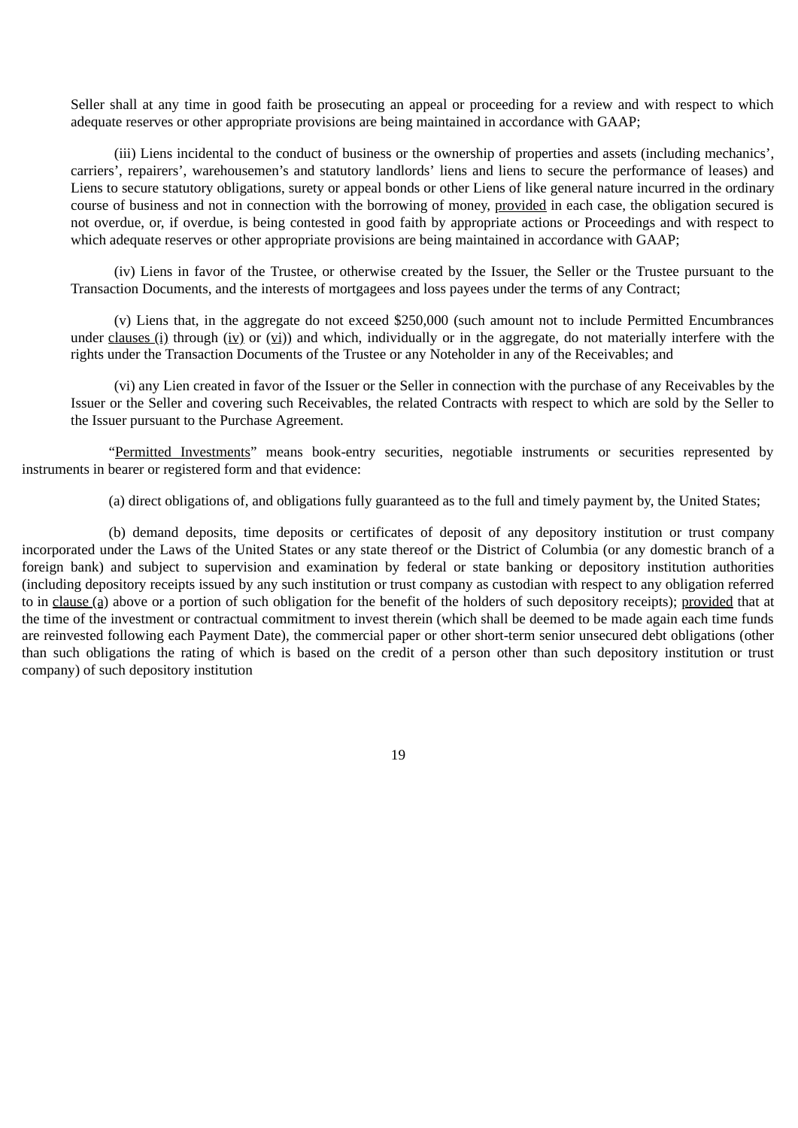Seller shall at any time in good faith be prosecuting an appeal or proceeding for a review and with respect to which adequate reserves or other appropriate provisions are being maintained in accordance with GAAP;

(iii) Liens incidental to the conduct of business or the ownership of properties and assets (including mechanics', carriers', repairers', warehousemen's and statutory landlords' liens and liens to secure the performance of leases) and Liens to secure statutory obligations, surety or appeal bonds or other Liens of like general nature incurred in the ordinary course of business and not in connection with the borrowing of money, provided in each case, the obligation secured is not overdue, or, if overdue, is being contested in good faith by appropriate actions or Proceedings and with respect to which adequate reserves or other appropriate provisions are being maintained in accordance with GAAP;

(iv) Liens in favor of the Trustee, or otherwise created by the Issuer, the Seller or the Trustee pursuant to the Transaction Documents, and the interests of mortgagees and loss payees under the terms of any Contract;

(v) Liens that, in the aggregate do not exceed \$250,000 (such amount not to include Permitted Encumbrances under clauses (i) through (iv) or (vi)) and which, individually or in the aggregate, do not materially interfere with the rights under the Transaction Documents of the Trustee or any Noteholder in any of the Receivables; and

(vi) any Lien created in favor of the Issuer or the Seller in connection with the purchase of any Receivables by the Issuer or the Seller and covering such Receivables, the related Contracts with respect to which are sold by the Seller to the Issuer pursuant to the Purchase Agreement.

"Permitted Investments" means book-entry securities, negotiable instruments or securities represented by instruments in bearer or registered form and that evidence:

(a) direct obligations of, and obligations fully guaranteed as to the full and timely payment by, the United States;

(b) demand deposits, time deposits or certificates of deposit of any depository institution or trust company incorporated under the Laws of the United States or any state thereof or the District of Columbia (or any domestic branch of a foreign bank) and subject to supervision and examination by federal or state banking or depository institution authorities (including depository receipts issued by any such institution or trust company as custodian with respect to any obligation referred to in clause (a) above or a portion of such obligation for the benefit of the holders of such depository receipts); provided that at the time of the investment or contractual commitment to invest therein (which shall be deemed to be made again each time funds are reinvested following each Payment Date), the commercial paper or other short-term senior unsecured debt obligations (other than such obligations the rating of which is based on the credit of a person other than such depository institution or trust company) of such depository institution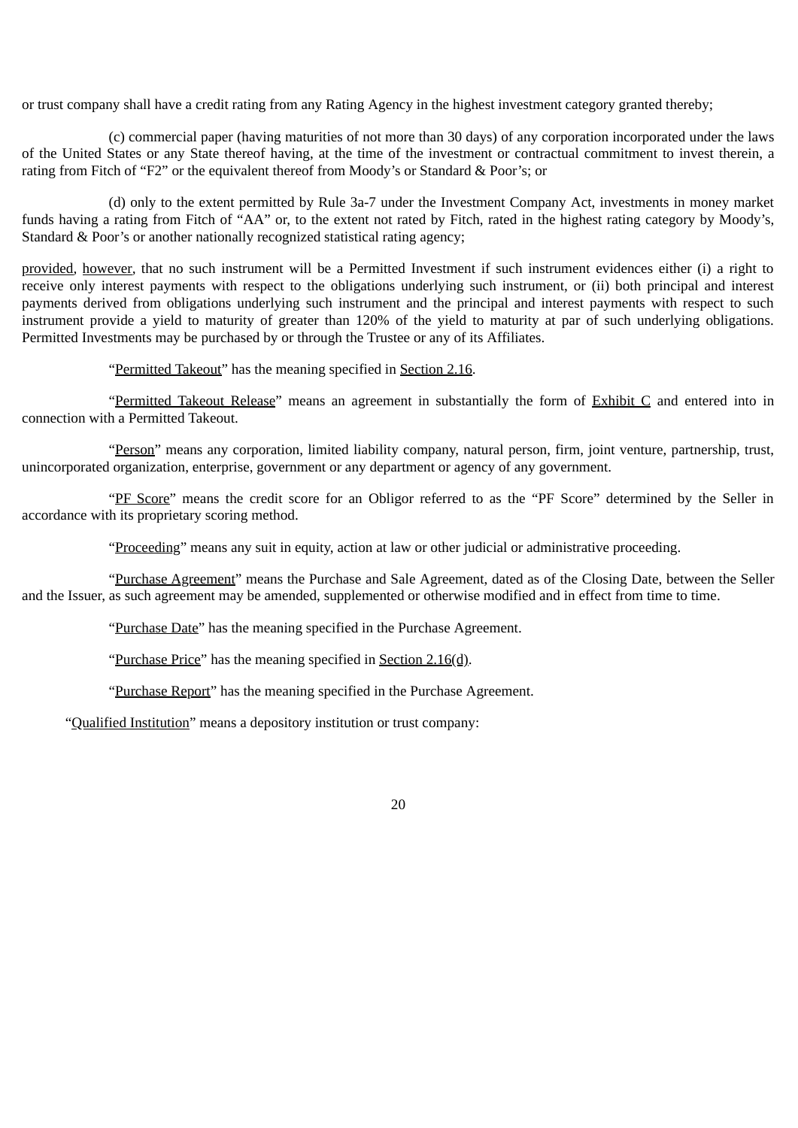or trust company shall have a credit rating from any Rating Agency in the highest investment category granted thereby;

(c) commercial paper (having maturities of not more than 30 days) of any corporation incorporated under the laws of the United States or any State thereof having, at the time of the investment or contractual commitment to invest therein, a rating from Fitch of "F2" or the equivalent thereof from Moody's or Standard & Poor's; or

(d) only to the extent permitted by Rule 3a-7 under the Investment Company Act, investments in money market funds having a rating from Fitch of "AA" or, to the extent not rated by Fitch, rated in the highest rating category by Moody's, Standard & Poor's or another nationally recognized statistical rating agency;

provided*,* however*,* that no such instrument will be a Permitted Investment if such instrument evidences either (i) a right to receive only interest payments with respect to the obligations underlying such instrument, or (ii) both principal and interest payments derived from obligations underlying such instrument and the principal and interest payments with respect to such instrument provide a yield to maturity of greater than 120% of the yield to maturity at par of such underlying obligations. Permitted Investments may be purchased by or through the Trustee or any of its Affiliates.

"Permitted Takeout" has the meaning specified in Section 2.16.

"Permitted Takeout Release" means an agreement in substantially the form of Exhibit C and entered into in connection with a Permitted Takeout.

"Person" means any corporation, limited liability company, natural person, firm, joint venture, partnership, trust, unincorporated organization, enterprise, government or any department or agency of any government.

"PF Score" means the credit score for an Obligor referred to as the "PF Score" determined by the Seller in accordance with its proprietary scoring method.

"Proceeding" means any suit in equity, action at law or other judicial or administrative proceeding.

"Purchase Agreement" means the Purchase and Sale Agreement, dated as of the Closing Date, between the Seller and the Issuer, as such agreement may be amended, supplemented or otherwise modified and in effect from time to time.

"Purchase Date" has the meaning specified in the Purchase Agreement.

"Purchase Price" has the meaning specified in Section 2.16(d).

"Purchase Report" has the meaning specified in the Purchase Agreement.

"Qualified Institution" means a depository institution or trust company: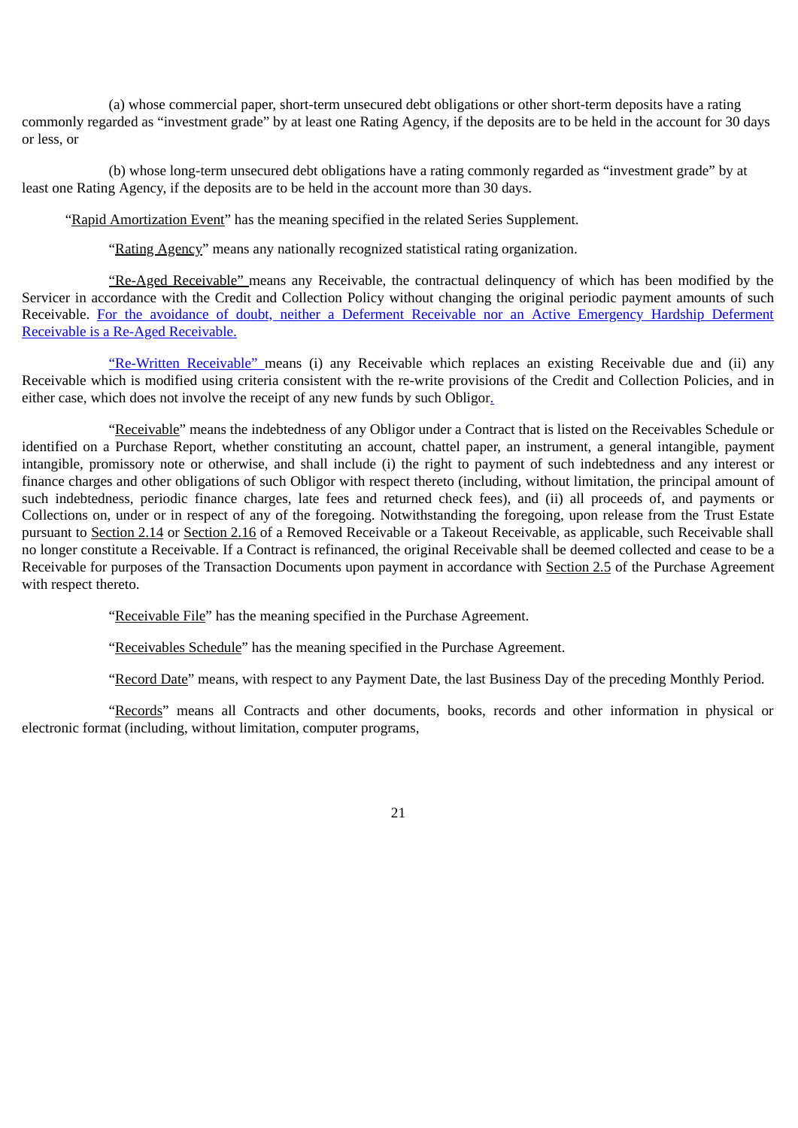(a) whose commercial paper, short-term unsecured debt obligations or other short-term deposits have a rating commonly regarded as "investment grade" by at least one Rating Agency, if the deposits are to be held in the account for 30 days or less, or

(b) whose long-term unsecured debt obligations have a rating commonly regarded as "investment grade" by at least one Rating Agency, if the deposits are to be held in the account more than 30 days.

"Rapid Amortization Event" has the meaning specified in the related Series Supplement.

"Rating Agency" means any nationally recognized statistical rating organization.

"Re-Aged Receivable" means any Receivable, the contractual delinquency of which has been modified by the Servicer in accordance with the Credit and Collection Policy without changing the original periodic payment amounts of such Receivable. For the avoidance of doubt, neither a Deferment Receivable nor an Active Emergency Hardship Deferment Receivable is a Re-Aged Receivable.

"Re-Written Receivable" means (i) any Receivable which replaces an existing Receivable due and (ii) any Receivable which is modified using criteria consistent with the re-write provisions of the Credit and Collection Policies, and in either case, which does not involve the receipt of any new funds by such Obligor.

"Receivable" means the indebtedness of any Obligor under a Contract that is listed on the Receivables Schedule or identified on a Purchase Report, whether constituting an account, chattel paper, an instrument, a general intangible, payment intangible, promissory note or otherwise, and shall include (i) the right to payment of such indebtedness and any interest or finance charges and other obligations of such Obligor with respect thereto (including, without limitation, the principal amount of such indebtedness, periodic finance charges, late fees and returned check fees), and (ii) all proceeds of, and payments or Collections on, under or in respect of any of the foregoing. Notwithstanding the foregoing, upon release from the Trust Estate pursuant to Section 2.14 or Section 2.16 of a Removed Receivable or a Takeout Receivable, as applicable, such Receivable shall no longer constitute a Receivable. If a Contract is refinanced, the original Receivable shall be deemed collected and cease to be a Receivable for purposes of the Transaction Documents upon payment in accordance with Section 2.5 of the Purchase Agreement with respect thereto.

"Receivable File" has the meaning specified in the Purchase Agreement.

"Receivables Schedule" has the meaning specified in the Purchase Agreement.

"Record Date" means, with respect to any Payment Date, the last Business Day of the preceding Monthly Period.

"Records" means all Contracts and other documents, books, records and other information in physical or electronic format (including, without limitation, computer programs,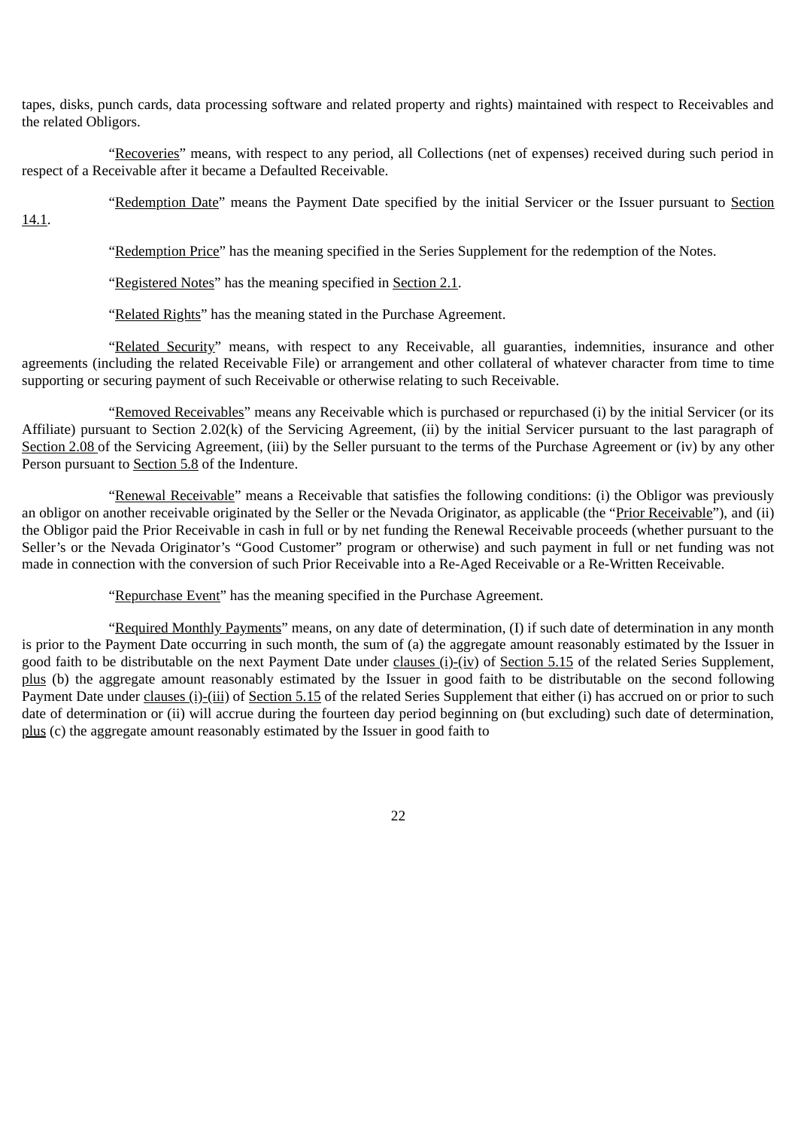tapes, disks, punch cards, data processing software and related property and rights) maintained with respect to Receivables and the related Obligors.

"Recoveries" means, with respect to any period, all Collections (net of expenses) received during such period in respect of a Receivable after it became a Defaulted Receivable.

"Redemption Date" means the Payment Date specified by the initial Servicer or the Issuer pursuant to Section

14.1.

"Redemption Price" has the meaning specified in the Series Supplement for the redemption of the Notes.

"Registered Notes" has the meaning specified in Section 2.1.

"Related Rights" has the meaning stated in the Purchase Agreement.

"Related Security" means, with respect to any Receivable, all guaranties, indemnities, insurance and other agreements (including the related Receivable File) or arrangement and other collateral of whatever character from time to time supporting or securing payment of such Receivable or otherwise relating to such Receivable.

"Removed Receivables" means any Receivable which is purchased or repurchased (i) by the initial Servicer (or its Affiliate) pursuant to Section 2.02(k) of the Servicing Agreement, (ii) by the initial Servicer pursuant to the last paragraph of Section 2.08 of the Servicing Agreement, (iii) by the Seller pursuant to the terms of the Purchase Agreement or (iv) by any other Person pursuant to Section 5.8 of the Indenture.

"Renewal Receivable" means a Receivable that satisfies the following conditions: (i) the Obligor was previously an obligor on another receivable originated by the Seller or the Nevada Originator, as applicable (the "Prior Receivable"), and (ii) the Obligor paid the Prior Receivable in cash in full or by net funding the Renewal Receivable proceeds (whether pursuant to the Seller's or the Nevada Originator's "Good Customer" program or otherwise) and such payment in full or net funding was not made in connection with the conversion of such Prior Receivable into a Re-Aged Receivable or a Re-Written Receivable.

"Repurchase Event" has the meaning specified in the Purchase Agreement.

"Required Monthly Payments" means, on any date of determination, (I) if such date of determination in any month is prior to the Payment Date occurring in such month, the sum of (a) the aggregate amount reasonably estimated by the Issuer in good faith to be distributable on the next Payment Date under clauses  $(i)$ - $(iv)$  of Section 5.15 of the related Series Supplement, plus (b) the aggregate amount reasonably estimated by the Issuer in good faith to be distributable on the second following Payment Date under clauses (i)-(iii) of Section 5.15 of the related Series Supplement that either (i) has accrued on or prior to such date of determination or (ii) will accrue during the fourteen day period beginning on (but excluding) such date of determination, plus (c) the aggregate amount reasonably estimated by the Issuer in good faith to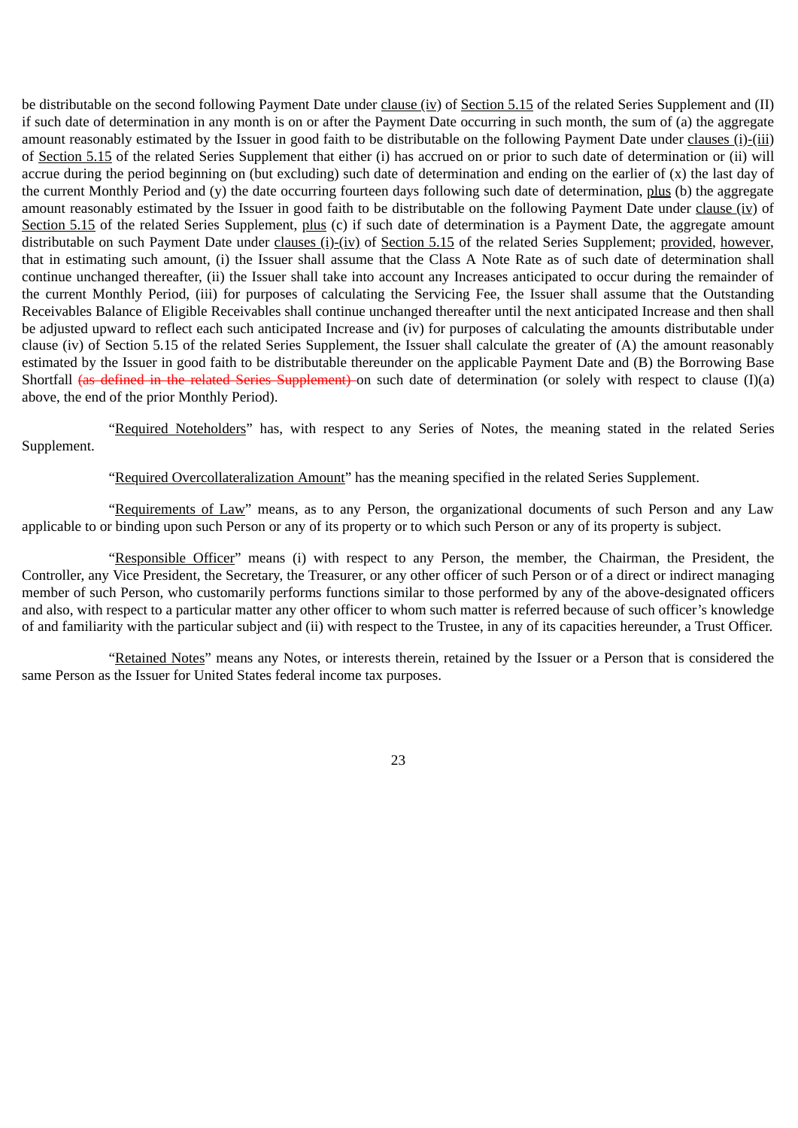be distributable on the second following Payment Date under clause (iv) of Section 5.15 of the related Series Supplement and (II) if such date of determination in any month is on or after the Payment Date occurring in such month, the sum of (a) the aggregate amount reasonably estimated by the Issuer in good faith to be distributable on the following Payment Date under clauses (i)-(iii) of Section 5.15 of the related Series Supplement that either (i) has accrued on or prior to such date of determination or (ii) will accrue during the period beginning on (but excluding) such date of determination and ending on the earlier of  $(x)$  the last day of the current Monthly Period and (y) the date occurring fourteen days following such date of determination, plus (b) the aggregate amount reasonably estimated by the Issuer in good faith to be distributable on the following Payment Date under clause (iv) of Section 5.15 of the related Series Supplement, plus (c) if such date of determination is a Payment Date, the aggregate amount distributable on such Payment Date under clauses (i)-(iv) of Section 5.15 of the related Series Supplement; provided, however, that in estimating such amount, (i) the Issuer shall assume that the Class A Note Rate as of such date of determination shall continue unchanged thereafter, (ii) the Issuer shall take into account any Increases anticipated to occur during the remainder of the current Monthly Period, (iii) for purposes of calculating the Servicing Fee, the Issuer shall assume that the Outstanding Receivables Balance of Eligible Receivables shall continue unchanged thereafter until the next anticipated Increase and then shall be adjusted upward to reflect each such anticipated Increase and (iv) for purposes of calculating the amounts distributable under clause (iv) of Section 5.15 of the related Series Supplement, the Issuer shall calculate the greater of (A) the amount reasonably estimated by the Issuer in good faith to be distributable thereunder on the applicable Payment Date and (B) the Borrowing Base Shortfall (as defined in the related Series Supplement) on such date of determination (or solely with respect to clause (I)(a) above, the end of the prior Monthly Period).

"Required Noteholders" has, with respect to any Series of Notes, the meaning stated in the related Series Supplement.

"Required Overcollateralization Amount" has the meaning specified in the related Series Supplement.

"Requirements of Law" means, as to any Person, the organizational documents of such Person and any Law applicable to or binding upon such Person or any of its property or to which such Person or any of its property is subject.

"Responsible Officer" means (i) with respect to any Person, the member, the Chairman, the President, the Controller, any Vice President, the Secretary, the Treasurer, or any other officer of such Person or of a direct or indirect managing member of such Person, who customarily performs functions similar to those performed by any of the above-designated officers and also, with respect to a particular matter any other officer to whom such matter is referred because of such officer's knowledge of and familiarity with the particular subject and (ii) with respect to the Trustee, in any of its capacities hereunder, a Trust Officer.

"Retained Notes" means any Notes, or interests therein, retained by the Issuer or a Person that is considered the same Person as the Issuer for United States federal income tax purposes.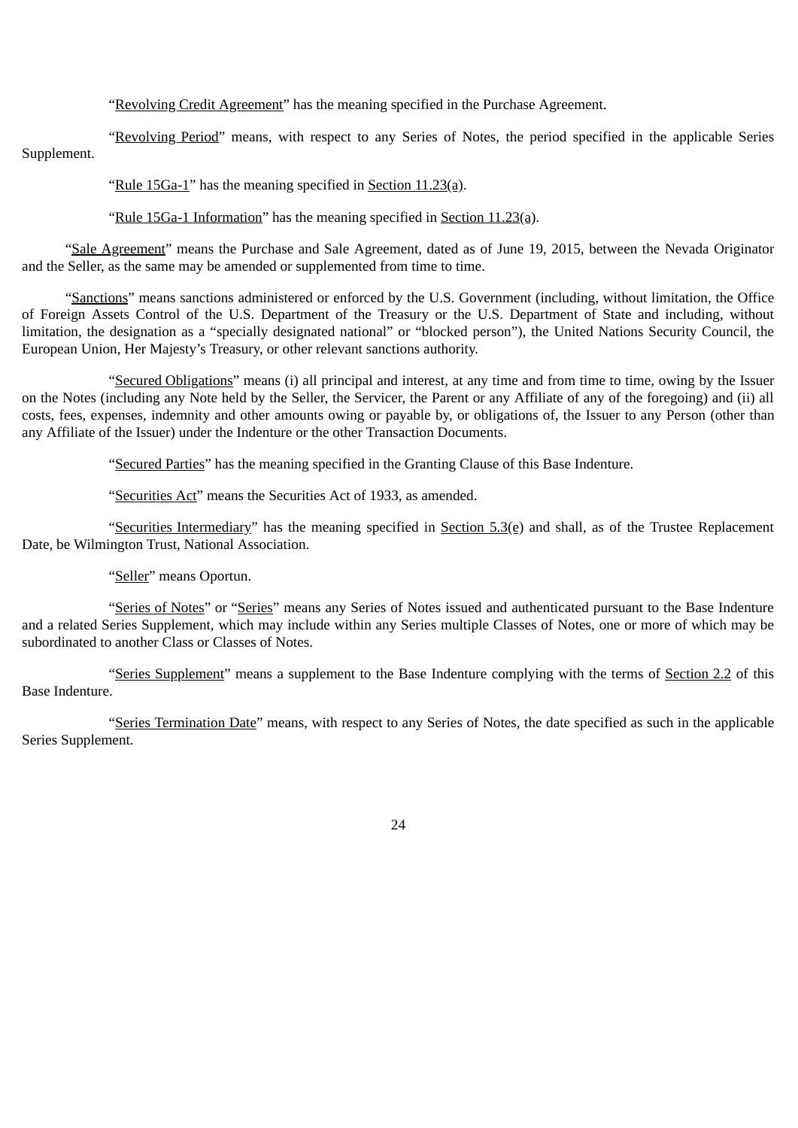"Revolving Credit Agreement" has the meaning specified in the Purchase Agreement.

"Revolving Period" means, with respect to any Series of Notes, the period specified in the applicable Series Supplement.

"Rule 15Ga-1" has the meaning specified in Section 11.23(a).

"Rule 15Ga-1 Information" has the meaning specified in Section 11.23(a).

"Sale Agreement" means the Purchase and Sale Agreement, dated as of June 19, 2015, between the Nevada Originator and the Seller, as the same may be amended or supplemented from time to time.

"Sanctions" means sanctions administered or enforced by the U.S. Government (including, without limitation, the Office of Foreign Assets Control of the U.S. Department of the Treasury or the U.S. Department of State and including, without limitation, the designation as a "specially designated national" or "blocked person"), the United Nations Security Council, the European Union, Her Majesty's Treasury, or other relevant sanctions authority.

"Secured Obligations" means (i) all principal and interest, at any time and from time to time, owing by the Issuer on the Notes (including any Note held by the Seller, the Servicer, the Parent or any Affiliate of any of the foregoing) and (ii) all costs, fees, expenses, indemnity and other amounts owing or payable by, or obligations of, the Issuer to any Person (other than any Affiliate of the Issuer) under the Indenture or the other Transaction Documents.

"Secured Parties" has the meaning specified in the Granting Clause of this Base Indenture.

"Securities Act" means the Securities Act of 1933, as amended.

"Securities Intermediary" has the meaning specified in Section  $5.3(e)$  and shall, as of the Trustee Replacement Date, be Wilmington Trust, National Association.

"Seller" means Oportun.

"Series of Notes" or "Series" means any Series of Notes issued and authenticated pursuant to the Base Indenture and a related Series Supplement, which may include within any Series multiple Classes of Notes, one or more of which may be subordinated to another Class or Classes of Notes.

"Series Supplement" means a supplement to the Base Indenture complying with the terms of Section 2.2 of this Base Indenture.

"Series Termination Date" means, with respect to any Series of Notes, the date specified as such in the applicable Series Supplement.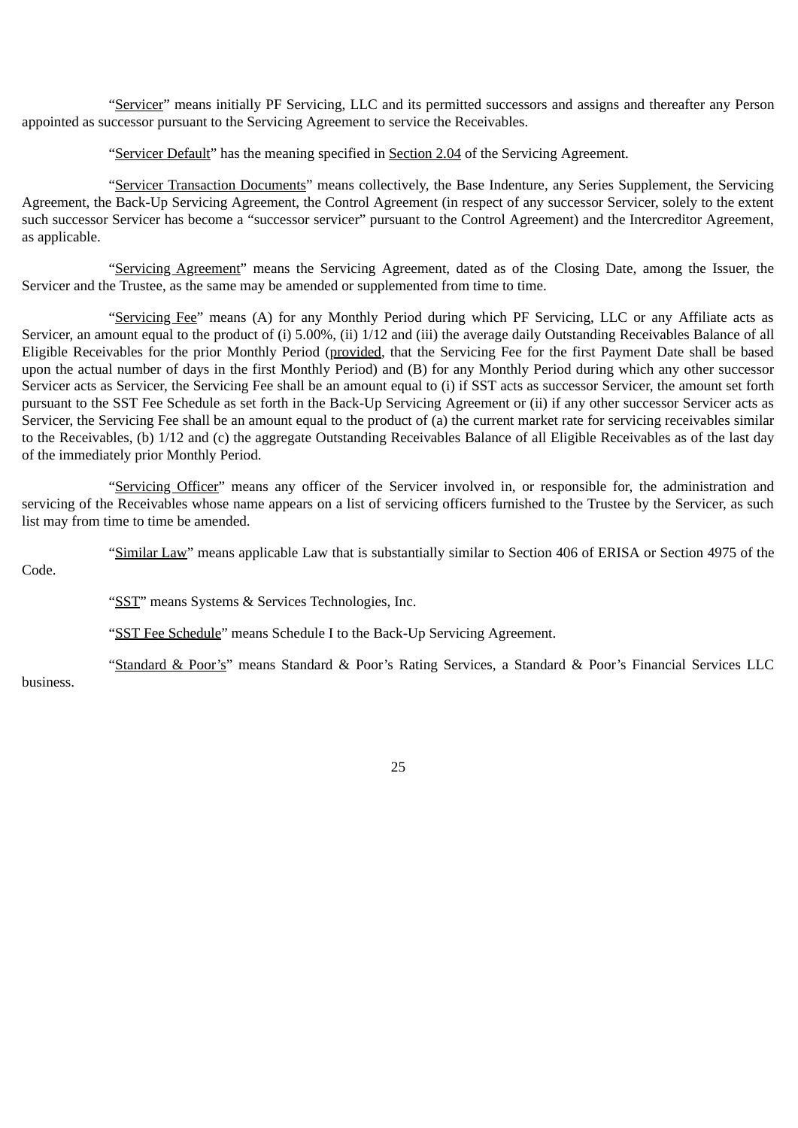"Servicer" means initially PF Servicing, LLC and its permitted successors and assigns and thereafter any Person appointed as successor pursuant to the Servicing Agreement to service the Receivables.

"Servicer Default" has the meaning specified in Section 2.04 of the Servicing Agreement.

"Servicer Transaction Documents" means collectively, the Base Indenture, any Series Supplement, the Servicing Agreement, the Back-Up Servicing Agreement, the Control Agreement (in respect of any successor Servicer, solely to the extent such successor Servicer has become a "successor servicer" pursuant to the Control Agreement) and the Intercreditor Agreement, as applicable.

"Servicing Agreement" means the Servicing Agreement, dated as of the Closing Date, among the Issuer, the Servicer and the Trustee, as the same may be amended or supplemented from time to time.

"Servicing Fee" means (A) for any Monthly Period during which PF Servicing, LLC or any Affiliate acts as Servicer, an amount equal to the product of (i) 5.00%, (ii) 1/12 and (iii) the average daily Outstanding Receivables Balance of all Eligible Receivables for the prior Monthly Period (provided, that the Servicing Fee for the first Payment Date shall be based upon the actual number of days in the first Monthly Period) and (B) for any Monthly Period during which any other successor Servicer acts as Servicer, the Servicing Fee shall be an amount equal to (i) if SST acts as successor Servicer, the amount set forth pursuant to the SST Fee Schedule as set forth in the Back-Up Servicing Agreement or (ii) if any other successor Servicer acts as Servicer, the Servicing Fee shall be an amount equal to the product of (a) the current market rate for servicing receivables similar to the Receivables, (b) 1/12 and (c) the aggregate Outstanding Receivables Balance of all Eligible Receivables as of the last day of the immediately prior Monthly Period.

"Servicing Officer" means any officer of the Servicer involved in, or responsible for, the administration and servicing of the Receivables whose name appears on a list of servicing officers furnished to the Trustee by the Servicer, as such list may from time to time be amended.

"Similar Law" means applicable Law that is substantially similar to Section 406 of ERISA or Section 4975 of the

Code.

"SST" means Systems & Services Technologies, Inc.

"SST Fee Schedule" means Schedule I to the Back-Up Servicing Agreement.

"Standard & Poor's" means Standard & Poor's Rating Services, a Standard & Poor's Financial Services LLC

business.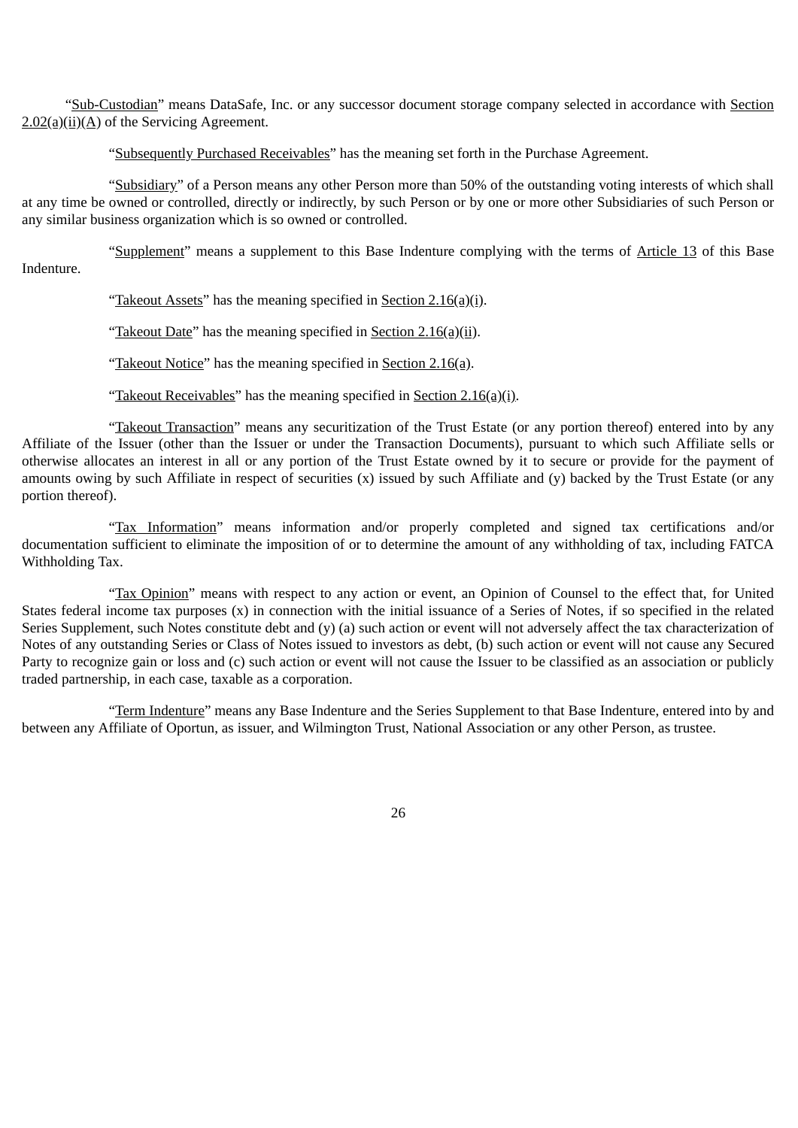"Sub-Custodian" means DataSafe, Inc. or any successor document storage company selected in accordance with Section  $2.02(a)(ii)(A)$  of the Servicing Agreement.

"Subsequently Purchased Receivables" has the meaning set forth in the Purchase Agreement.

"Subsidiary" of a Person means any other Person more than 50% of the outstanding voting interests of which shall at any time be owned or controlled, directly or indirectly, by such Person or by one or more other Subsidiaries of such Person or any similar business organization which is so owned or controlled.

"Supplement" means a supplement to this Base Indenture complying with the terms of Article 13 of this Base Indenture.

"Takeout Assets" has the meaning specified in Section  $2.16(a)(i)$ .

"Takeout Date" has the meaning specified in Section 2.16(a)(ii).

"Takeout Notice" has the meaning specified in Section 2.16(a).

"Takeout Receivables" has the meaning specified in Section 2.16(a)(i).

"Takeout Transaction" means any securitization of the Trust Estate (or any portion thereof) entered into by any Affiliate of the Issuer (other than the Issuer or under the Transaction Documents), pursuant to which such Affiliate sells or otherwise allocates an interest in all or any portion of the Trust Estate owned by it to secure or provide for the payment of amounts owing by such Affiliate in respect of securities  $(x)$  issued by such Affiliate and  $(y)$  backed by the Trust Estate (or any portion thereof).

"Tax Information" means information and/or properly completed and signed tax certifications and/or documentation sufficient to eliminate the imposition of or to determine the amount of any withholding of tax, including FATCA Withholding Tax.

"Tax Opinion" means with respect to any action or event, an Opinion of Counsel to the effect that, for United States federal income tax purposes (x) in connection with the initial issuance of a Series of Notes, if so specified in the related Series Supplement, such Notes constitute debt and (y) (a) such action or event will not adversely affect the tax characterization of Notes of any outstanding Series or Class of Notes issued to investors as debt, (b) such action or event will not cause any Secured Party to recognize gain or loss and (c) such action or event will not cause the Issuer to be classified as an association or publicly traded partnership, in each case, taxable as a corporation.

"Term Indenture" means any Base Indenture and the Series Supplement to that Base Indenture, entered into by and between any Affiliate of Oportun, as issuer, and Wilmington Trust, National Association or any other Person, as trustee.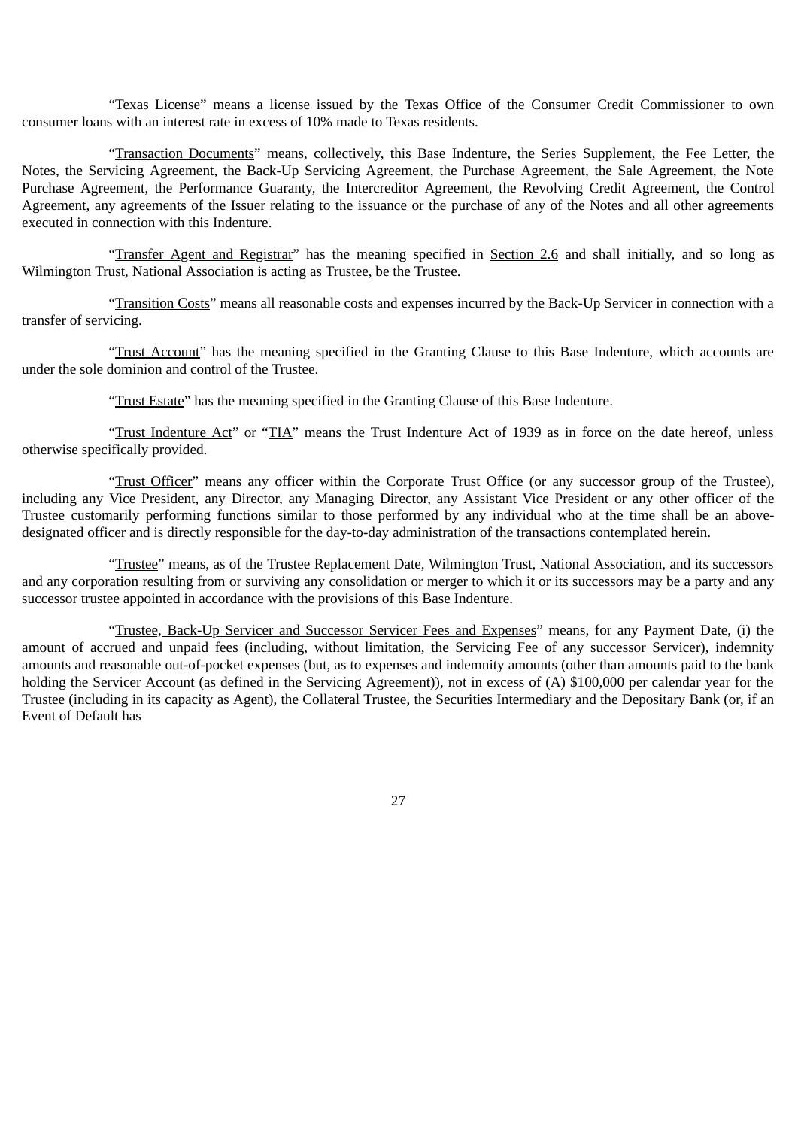"Texas License" means a license issued by the Texas Office of the Consumer Credit Commissioner to own consumer loans with an interest rate in excess of 10% made to Texas residents.

"Transaction Documents" means, collectively, this Base Indenture, the Series Supplement, the Fee Letter, the Notes, the Servicing Agreement, the Back-Up Servicing Agreement, the Purchase Agreement, the Sale Agreement, the Note Purchase Agreement, the Performance Guaranty, the Intercreditor Agreement, the Revolving Credit Agreement, the Control Agreement, any agreements of the Issuer relating to the issuance or the purchase of any of the Notes and all other agreements executed in connection with this Indenture.

"Transfer Agent and Registrar" has the meaning specified in Section 2.6 and shall initially, and so long as Wilmington Trust, National Association is acting as Trustee, be the Trustee.

"Transition Costs" means all reasonable costs and expenses incurred by the Back-Up Servicer in connection with a transfer of servicing.

"Trust Account" has the meaning specified in the Granting Clause to this Base Indenture, which accounts are under the sole dominion and control of the Trustee.

"Trust Estate" has the meaning specified in the Granting Clause of this Base Indenture.

"Trust Indenture Act" or "TIA" means the Trust Indenture Act of 1939 as in force on the date hereof, unless otherwise specifically provided.

"Trust Officer" means any officer within the Corporate Trust Office (or any successor group of the Trustee), including any Vice President, any Director, any Managing Director, any Assistant Vice President or any other officer of the Trustee customarily performing functions similar to those performed by any individual who at the time shall be an abovedesignated officer and is directly responsible for the day-to-day administration of the transactions contemplated herein.

"Trustee" means, as of the Trustee Replacement Date, Wilmington Trust, National Association, and its successors and any corporation resulting from or surviving any consolidation or merger to which it or its successors may be a party and any successor trustee appointed in accordance with the provisions of this Base Indenture.

"Trustee, Back-Up Servicer and Successor Servicer Fees and Expenses" means, for any Payment Date, (i) the amount of accrued and unpaid fees (including, without limitation, the Servicing Fee of any successor Servicer), indemnity amounts and reasonable out-of-pocket expenses (but, as to expenses and indemnity amounts (other than amounts paid to the bank holding the Servicer Account (as defined in the Servicing Agreement)), not in excess of (A) \$100,000 per calendar year for the Trustee (including in its capacity as Agent), the Collateral Trustee, the Securities Intermediary and the Depositary Bank (or, if an Event of Default has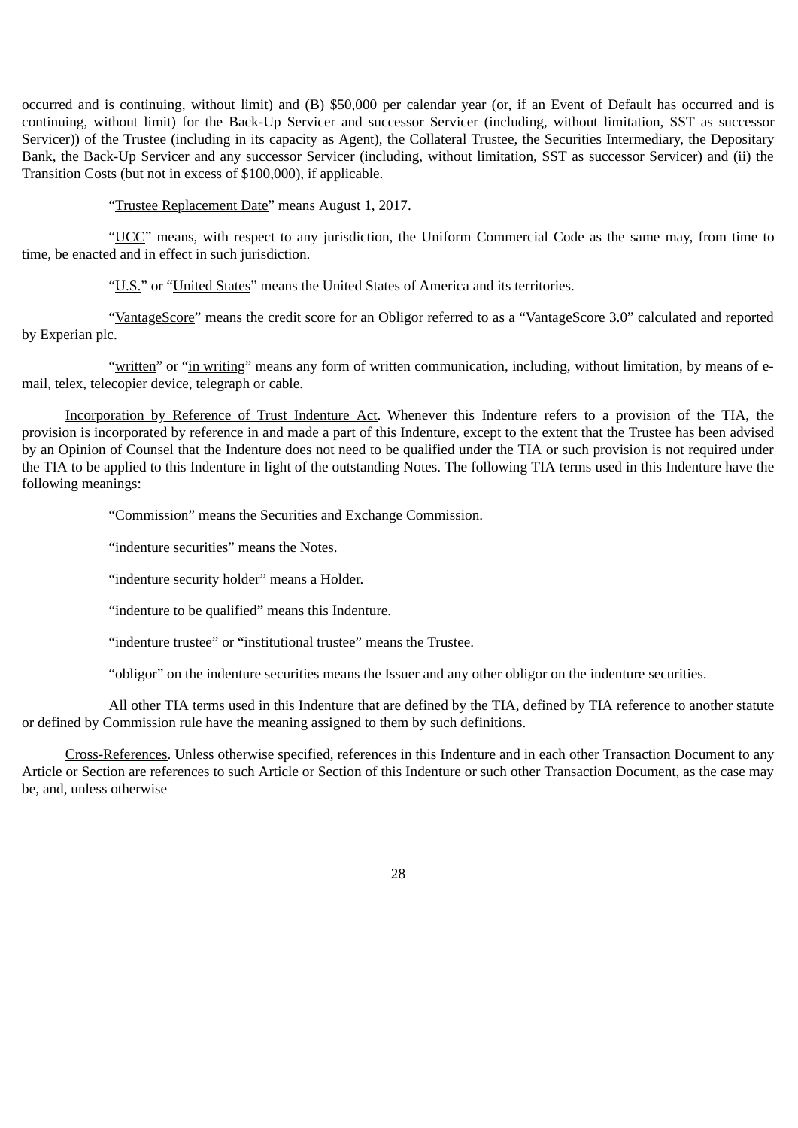occurred and is continuing, without limit) and (B) \$50,000 per calendar year (or, if an Event of Default has occurred and is continuing, without limit) for the Back-Up Servicer and successor Servicer (including, without limitation, SST as successor Servicer)) of the Trustee (including in its capacity as Agent), the Collateral Trustee, the Securities Intermediary, the Depositary Bank, the Back-Up Servicer and any successor Servicer (including, without limitation, SST as successor Servicer) and (ii) the Transition Costs (but not in excess of \$100,000), if applicable.

"Trustee Replacement Date" means August 1, 2017.

"UCC" means, with respect to any jurisdiction, the Uniform Commercial Code as the same may, from time to time, be enacted and in effect in such jurisdiction.

"U.S." or "United States" means the United States of America and its territories.

"VantageScore" means the credit score for an Obligor referred to as a "VantageScore 3.0" calculated and reported by Experian plc.

"written" or "in writing" means any form of written communication, including, without limitation, by means of email, telex, telecopier device, telegraph or cable.

Incorporation by Reference of Trust Indenture Act. Whenever this Indenture refers to a provision of the TIA, the provision is incorporated by reference in and made a part of this Indenture, except to the extent that the Trustee has been advised by an Opinion of Counsel that the Indenture does not need to be qualified under the TIA or such provision is not required under the TIA to be applied to this Indenture in light of the outstanding Notes. The following TIA terms used in this Indenture have the following meanings:

"Commission" means the Securities and Exchange Commission.

"indenture securities" means the Notes.

"indenture security holder" means a Holder.

"indenture to be qualified" means this Indenture.

"indenture trustee" or "institutional trustee" means the Trustee.

"obligor" on the indenture securities means the Issuer and any other obligor on the indenture securities.

All other TIA terms used in this Indenture that are defined by the TIA, defined by TIA reference to another statute or defined by Commission rule have the meaning assigned to them by such definitions.

Cross-References. Unless otherwise specified, references in this Indenture and in each other Transaction Document to any Article or Section are references to such Article or Section of this Indenture or such other Transaction Document, as the case may be, and, unless otherwise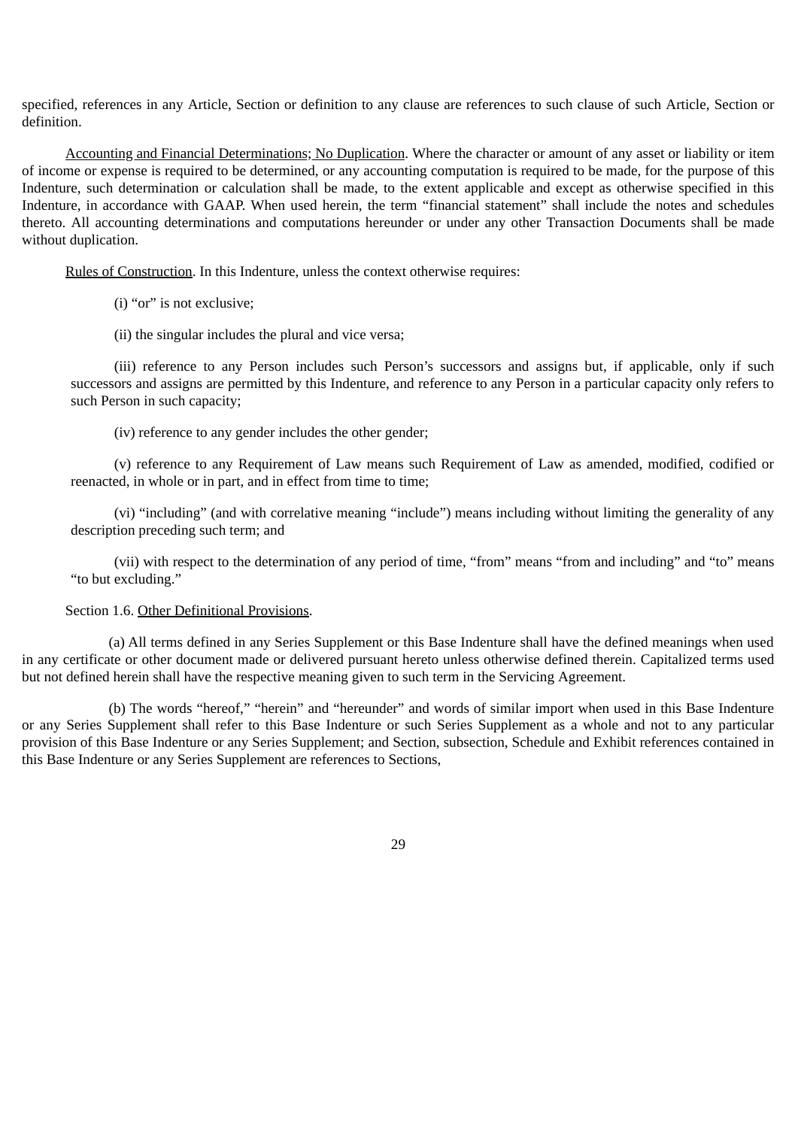specified, references in any Article, Section or definition to any clause are references to such clause of such Article, Section or definition.

Accounting and Financial Determinations; No Duplication. Where the character or amount of any asset or liability or item of income or expense is required to be determined, or any accounting computation is required to be made, for the purpose of this Indenture, such determination or calculation shall be made, to the extent applicable and except as otherwise specified in this Indenture, in accordance with GAAP. When used herein, the term "financial statement" shall include the notes and schedules thereto. All accounting determinations and computations hereunder or under any other Transaction Documents shall be made without duplication.

Rules of Construction. In this Indenture, unless the context otherwise requires:

(i) "or" is not exclusive;

(ii) the singular includes the plural and vice versa;

(iii) reference to any Person includes such Person's successors and assigns but, if applicable, only if such successors and assigns are permitted by this Indenture, and reference to any Person in a particular capacity only refers to such Person in such capacity;

(iv) reference to any gender includes the other gender;

(v) reference to any Requirement of Law means such Requirement of Law as amended, modified, codified or reenacted, in whole or in part, and in effect from time to time;

(vi) "including" (and with correlative meaning "include") means including without limiting the generality of any description preceding such term; and

(vii) with respect to the determination of any period of time, "from" means "from and including" and "to" means "to but excluding."

## Section 1.6. Other Definitional Provisions.

(a) All terms defined in any Series Supplement or this Base Indenture shall have the defined meanings when used in any certificate or other document made or delivered pursuant hereto unless otherwise defined therein. Capitalized terms used but not defined herein shall have the respective meaning given to such term in the Servicing Agreement.

(b) The words "hereof," "herein" and "hereunder" and words of similar import when used in this Base Indenture or any Series Supplement shall refer to this Base Indenture or such Series Supplement as a whole and not to any particular provision of this Base Indenture or any Series Supplement; and Section, subsection, Schedule and Exhibit references contained in this Base Indenture or any Series Supplement are references to Sections,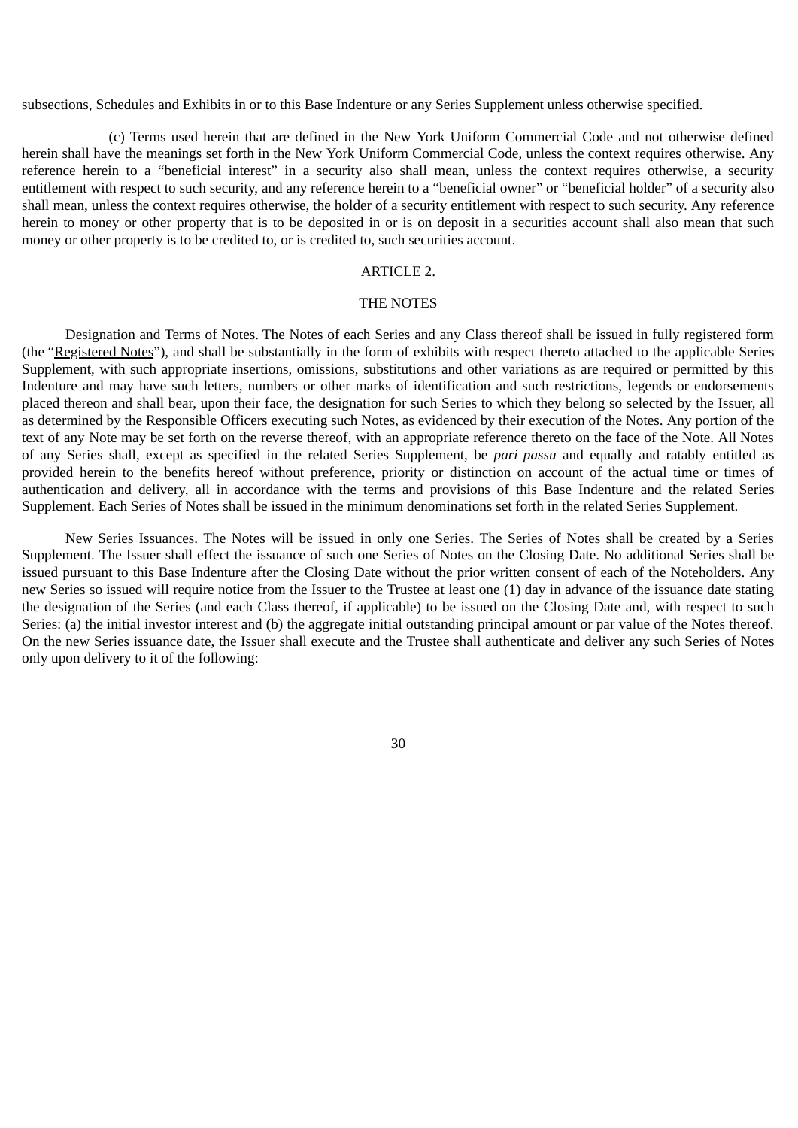subsections, Schedules and Exhibits in or to this Base Indenture or any Series Supplement unless otherwise specified.

(c) Terms used herein that are defined in the New York Uniform Commercial Code and not otherwise defined herein shall have the meanings set forth in the New York Uniform Commercial Code, unless the context requires otherwise. Any reference herein to a "beneficial interest" in a security also shall mean, unless the context requires otherwise, a security entitlement with respect to such security, and any reference herein to a "beneficial owner" or "beneficial holder" of a security also shall mean, unless the context requires otherwise, the holder of a security entitlement with respect to such security. Any reference herein to money or other property that is to be deposited in or is on deposit in a securities account shall also mean that such money or other property is to be credited to, or is credited to, such securities account.

# ARTICLE 2.

## THE NOTES

Designation and Terms of Notes. The Notes of each Series and any Class thereof shall be issued in fully registered form (the "Registered Notes"), and shall be substantially in the form of exhibits with respect thereto attached to the applicable Series Supplement, with such appropriate insertions, omissions, substitutions and other variations as are required or permitted by this Indenture and may have such letters, numbers or other marks of identification and such restrictions, legends or endorsements placed thereon and shall bear, upon their face, the designation for such Series to which they belong so selected by the Issuer, all as determined by the Responsible Officers executing such Notes, as evidenced by their execution of the Notes. Any portion of the text of any Note may be set forth on the reverse thereof, with an appropriate reference thereto on the face of the Note. All Notes of any Series shall, except as specified in the related Series Supplement, be *pari passu* and equally and ratably entitled as provided herein to the benefits hereof without preference, priority or distinction on account of the actual time or times of authentication and delivery, all in accordance with the terms and provisions of this Base Indenture and the related Series Supplement. Each Series of Notes shall be issued in the minimum denominations set forth in the related Series Supplement.

New Series Issuances. The Notes will be issued in only one Series. The Series of Notes shall be created by a Series Supplement. The Issuer shall effect the issuance of such one Series of Notes on the Closing Date. No additional Series shall be issued pursuant to this Base Indenture after the Closing Date without the prior written consent of each of the Noteholders. Any new Series so issued will require notice from the Issuer to the Trustee at least one (1) day in advance of the issuance date stating the designation of the Series (and each Class thereof, if applicable) to be issued on the Closing Date and, with respect to such Series: (a) the initial investor interest and (b) the aggregate initial outstanding principal amount or par value of the Notes thereof. On the new Series issuance date, the Issuer shall execute and the Trustee shall authenticate and deliver any such Series of Notes only upon delivery to it of the following: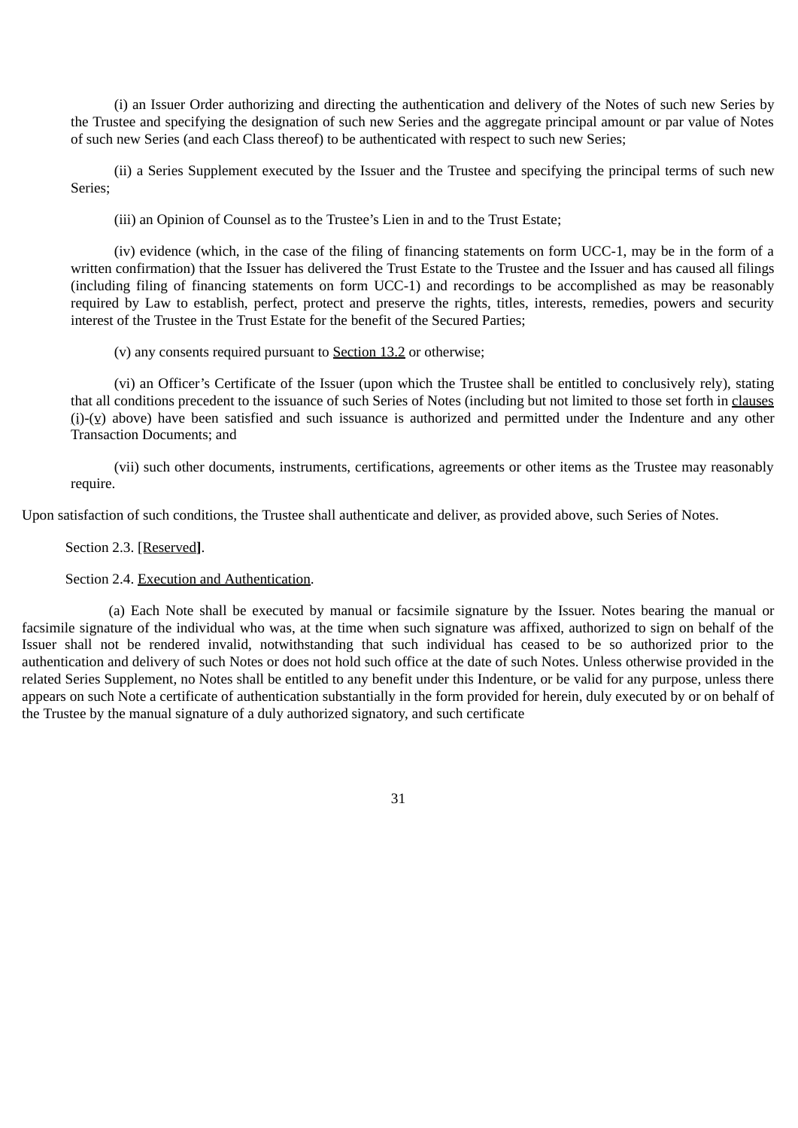(i) an Issuer Order authorizing and directing the authentication and delivery of the Notes of such new Series by the Trustee and specifying the designation of such new Series and the aggregate principal amount or par value of Notes of such new Series (and each Class thereof) to be authenticated with respect to such new Series;

(ii) a Series Supplement executed by the Issuer and the Trustee and specifying the principal terms of such new Series;

(iii) an Opinion of Counsel as to the Trustee's Lien in and to the Trust Estate;

(iv) evidence (which, in the case of the filing of financing statements on form UCC-1, may be in the form of a written confirmation) that the Issuer has delivered the Trust Estate to the Trustee and the Issuer and has caused all filings (including filing of financing statements on form UCC-1) and recordings to be accomplished as may be reasonably required by Law to establish, perfect, protect and preserve the rights, titles, interests, remedies, powers and security interest of the Trustee in the Trust Estate for the benefit of the Secured Parties;

(v) any consents required pursuant to Section 13.2 or otherwise;

(vi) an Officer's Certificate of the Issuer (upon which the Trustee shall be entitled to conclusively rely), stating that all conditions precedent to the issuance of such Series of Notes (including but not limited to those set forth in clauses (i)-(v) above) have been satisfied and such issuance is authorized and permitted under the Indenture and any other Transaction Documents; and

(vii) such other documents, instruments, certifications, agreements or other items as the Trustee may reasonably require.

Upon satisfaction of such conditions, the Trustee shall authenticate and deliver, as provided above, such Series of Notes.

Section 2.3. [Reserved**]**.

Section 2.4. Execution and Authentication.

(a) Each Note shall be executed by manual or facsimile signature by the Issuer. Notes bearing the manual or facsimile signature of the individual who was, at the time when such signature was affixed, authorized to sign on behalf of the Issuer shall not be rendered invalid, notwithstanding that such individual has ceased to be so authorized prior to the authentication and delivery of such Notes or does not hold such office at the date of such Notes. Unless otherwise provided in the related Series Supplement, no Notes shall be entitled to any benefit under this Indenture, or be valid for any purpose, unless there appears on such Note a certificate of authentication substantially in the form provided for herein, duly executed by or on behalf of the Trustee by the manual signature of a duly authorized signatory, and such certificate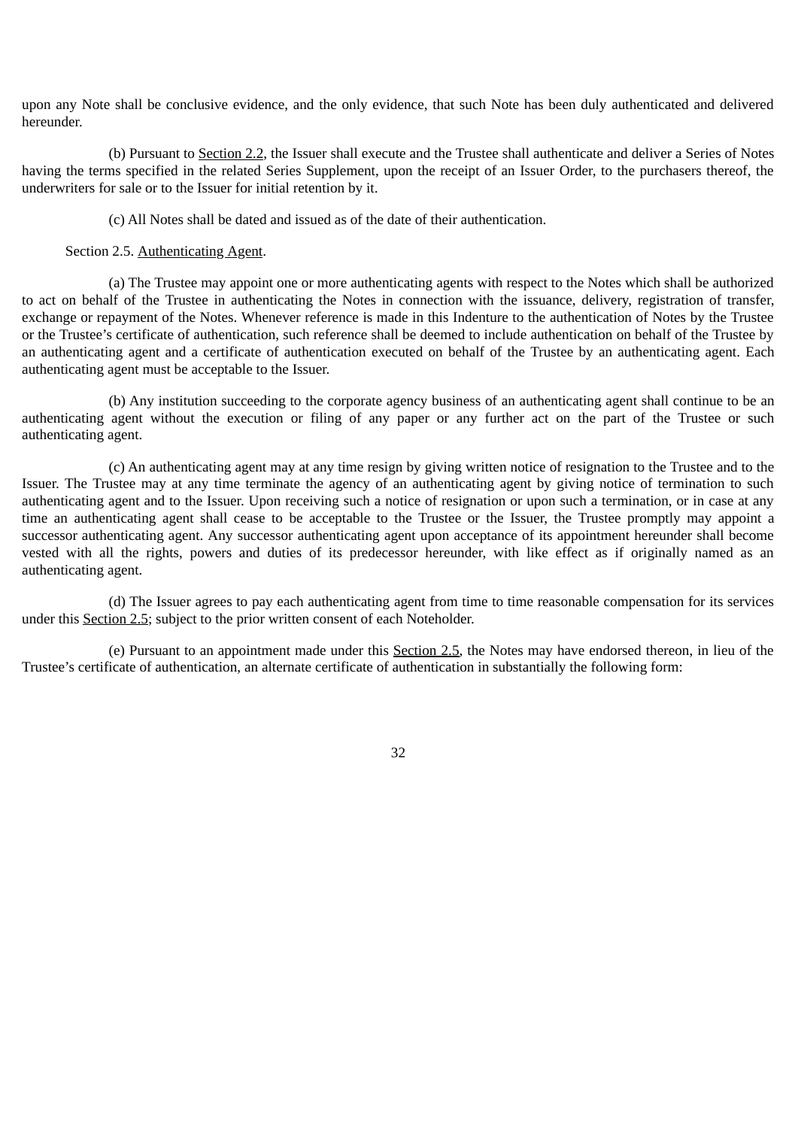upon any Note shall be conclusive evidence, and the only evidence, that such Note has been duly authenticated and delivered hereunder.

(b) Pursuant to Section 2.2, the Issuer shall execute and the Trustee shall authenticate and deliver a Series of Notes having the terms specified in the related Series Supplement, upon the receipt of an Issuer Order, to the purchasers thereof, the underwriters for sale or to the Issuer for initial retention by it.

(c) All Notes shall be dated and issued as of the date of their authentication.

Section 2.5. Authenticating Agent.

(a) The Trustee may appoint one or more authenticating agents with respect to the Notes which shall be authorized to act on behalf of the Trustee in authenticating the Notes in connection with the issuance, delivery, registration of transfer, exchange or repayment of the Notes. Whenever reference is made in this Indenture to the authentication of Notes by the Trustee or the Trustee's certificate of authentication, such reference shall be deemed to include authentication on behalf of the Trustee by an authenticating agent and a certificate of authentication executed on behalf of the Trustee by an authenticating agent. Each authenticating agent must be acceptable to the Issuer.

(b) Any institution succeeding to the corporate agency business of an authenticating agent shall continue to be an authenticating agent without the execution or filing of any paper or any further act on the part of the Trustee or such authenticating agent.

(c) An authenticating agent may at any time resign by giving written notice of resignation to the Trustee and to the Issuer. The Trustee may at any time terminate the agency of an authenticating agent by giving notice of termination to such authenticating agent and to the Issuer. Upon receiving such a notice of resignation or upon such a termination, or in case at any time an authenticating agent shall cease to be acceptable to the Trustee or the Issuer, the Trustee promptly may appoint a successor authenticating agent. Any successor authenticating agent upon acceptance of its appointment hereunder shall become vested with all the rights, powers and duties of its predecessor hereunder, with like effect as if originally named as an authenticating agent.

(d) The Issuer agrees to pay each authenticating agent from time to time reasonable compensation for its services under this Section 2.5; subject to the prior written consent of each Noteholder.

(e) Pursuant to an appointment made under this Section 2.5, the Notes may have endorsed thereon, in lieu of the Trustee's certificate of authentication, an alternate certificate of authentication in substantially the following form: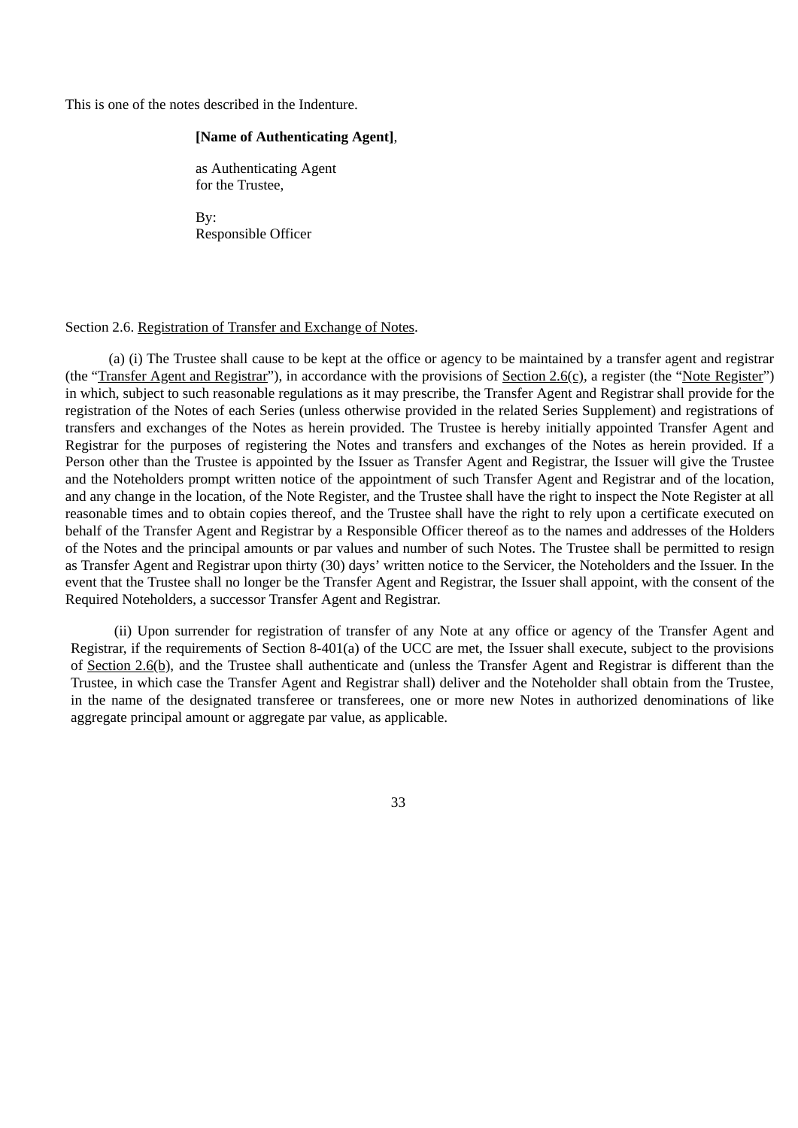This is one of the notes described in the Indenture.

## **[Name of Authenticating Agent]**,

as Authenticating Agent for the Trustee,

By: Responsible Officer

#### Section 2.6. Registration of Transfer and Exchange of Notes.

(a) (i) The Trustee shall cause to be kept at the office or agency to be maintained by a transfer agent and registrar (the "Transfer Agent and Registrar"), in accordance with the provisions of Section 2.6(c), a register (the "Note Register") in which, subject to such reasonable regulations as it may prescribe, the Transfer Agent and Registrar shall provide for the registration of the Notes of each Series (unless otherwise provided in the related Series Supplement) and registrations of transfers and exchanges of the Notes as herein provided. The Trustee is hereby initially appointed Transfer Agent and Registrar for the purposes of registering the Notes and transfers and exchanges of the Notes as herein provided. If a Person other than the Trustee is appointed by the Issuer as Transfer Agent and Registrar, the Issuer will give the Trustee and the Noteholders prompt written notice of the appointment of such Transfer Agent and Registrar and of the location, and any change in the location, of the Note Register, and the Trustee shall have the right to inspect the Note Register at all reasonable times and to obtain copies thereof, and the Trustee shall have the right to rely upon a certificate executed on behalf of the Transfer Agent and Registrar by a Responsible Officer thereof as to the names and addresses of the Holders of the Notes and the principal amounts or par values and number of such Notes. The Trustee shall be permitted to resign as Transfer Agent and Registrar upon thirty (30) days' written notice to the Servicer, the Noteholders and the Issuer. In the event that the Trustee shall no longer be the Transfer Agent and Registrar, the Issuer shall appoint, with the consent of the Required Noteholders, a successor Transfer Agent and Registrar.

(ii) Upon surrender for registration of transfer of any Note at any office or agency of the Transfer Agent and Registrar, if the requirements of Section 8-401(a) of the UCC are met, the Issuer shall execute, subject to the provisions of Section 2.6(b), and the Trustee shall authenticate and (unless the Transfer Agent and Registrar is different than the Trustee, in which case the Transfer Agent and Registrar shall) deliver and the Noteholder shall obtain from the Trustee, in the name of the designated transferee or transferees, one or more new Notes in authorized denominations of like aggregate principal amount or aggregate par value, as applicable.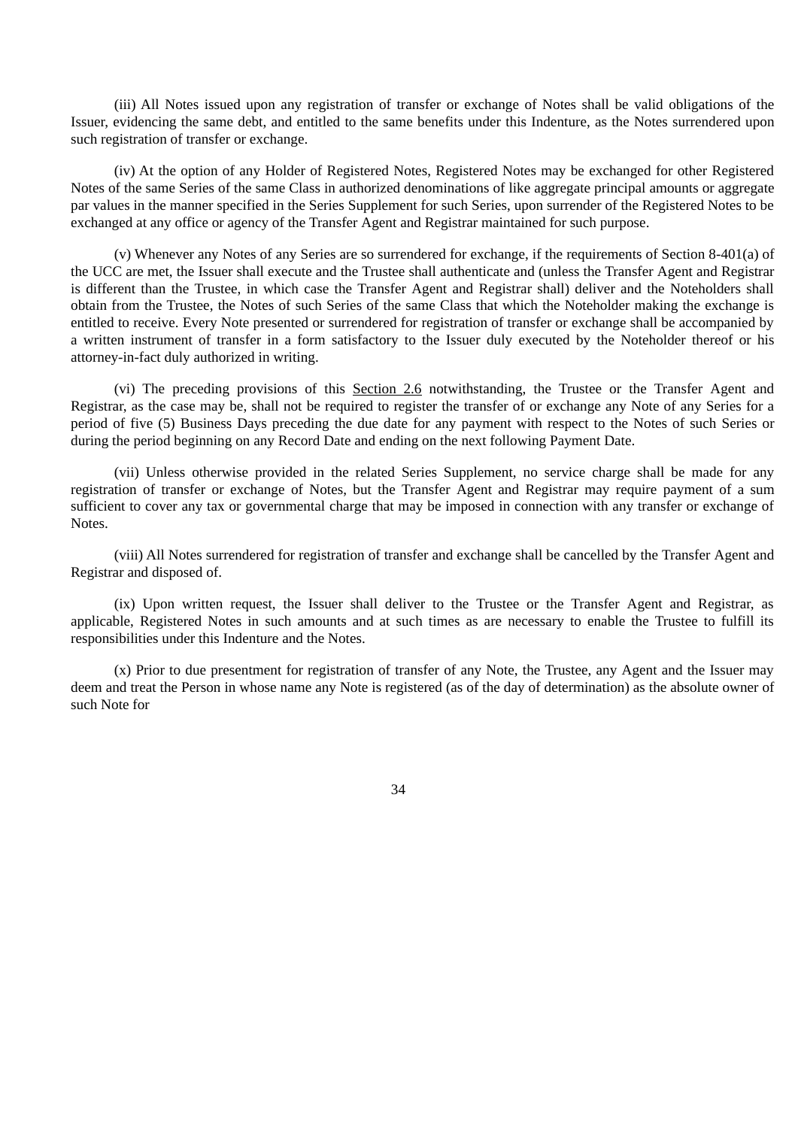(iii) All Notes issued upon any registration of transfer or exchange of Notes shall be valid obligations of the Issuer, evidencing the same debt, and entitled to the same benefits under this Indenture, as the Notes surrendered upon such registration of transfer or exchange.

(iv) At the option of any Holder of Registered Notes, Registered Notes may be exchanged for other Registered Notes of the same Series of the same Class in authorized denominations of like aggregate principal amounts or aggregate par values in the manner specified in the Series Supplement for such Series, upon surrender of the Registered Notes to be exchanged at any office or agency of the Transfer Agent and Registrar maintained for such purpose.

(v) Whenever any Notes of any Series are so surrendered for exchange, if the requirements of Section 8-401(a) of the UCC are met, the Issuer shall execute and the Trustee shall authenticate and (unless the Transfer Agent and Registrar is different than the Trustee, in which case the Transfer Agent and Registrar shall) deliver and the Noteholders shall obtain from the Trustee, the Notes of such Series of the same Class that which the Noteholder making the exchange is entitled to receive. Every Note presented or surrendered for registration of transfer or exchange shall be accompanied by a written instrument of transfer in a form satisfactory to the Issuer duly executed by the Noteholder thereof or his attorney-in-fact duly authorized in writing.

(vi) The preceding provisions of this Section 2.6 notwithstanding, the Trustee or the Transfer Agent and Registrar, as the case may be, shall not be required to register the transfer of or exchange any Note of any Series for a period of five (5) Business Days preceding the due date for any payment with respect to the Notes of such Series or during the period beginning on any Record Date and ending on the next following Payment Date.

(vii) Unless otherwise provided in the related Series Supplement, no service charge shall be made for any registration of transfer or exchange of Notes, but the Transfer Agent and Registrar may require payment of a sum sufficient to cover any tax or governmental charge that may be imposed in connection with any transfer or exchange of Notes.

(viii) All Notes surrendered for registration of transfer and exchange shall be cancelled by the Transfer Agent and Registrar and disposed of.

(ix) Upon written request, the Issuer shall deliver to the Trustee or the Transfer Agent and Registrar, as applicable, Registered Notes in such amounts and at such times as are necessary to enable the Trustee to fulfill its responsibilities under this Indenture and the Notes.

(x) Prior to due presentment for registration of transfer of any Note, the Trustee, any Agent and the Issuer may deem and treat the Person in whose name any Note is registered (as of the day of determination) as the absolute owner of such Note for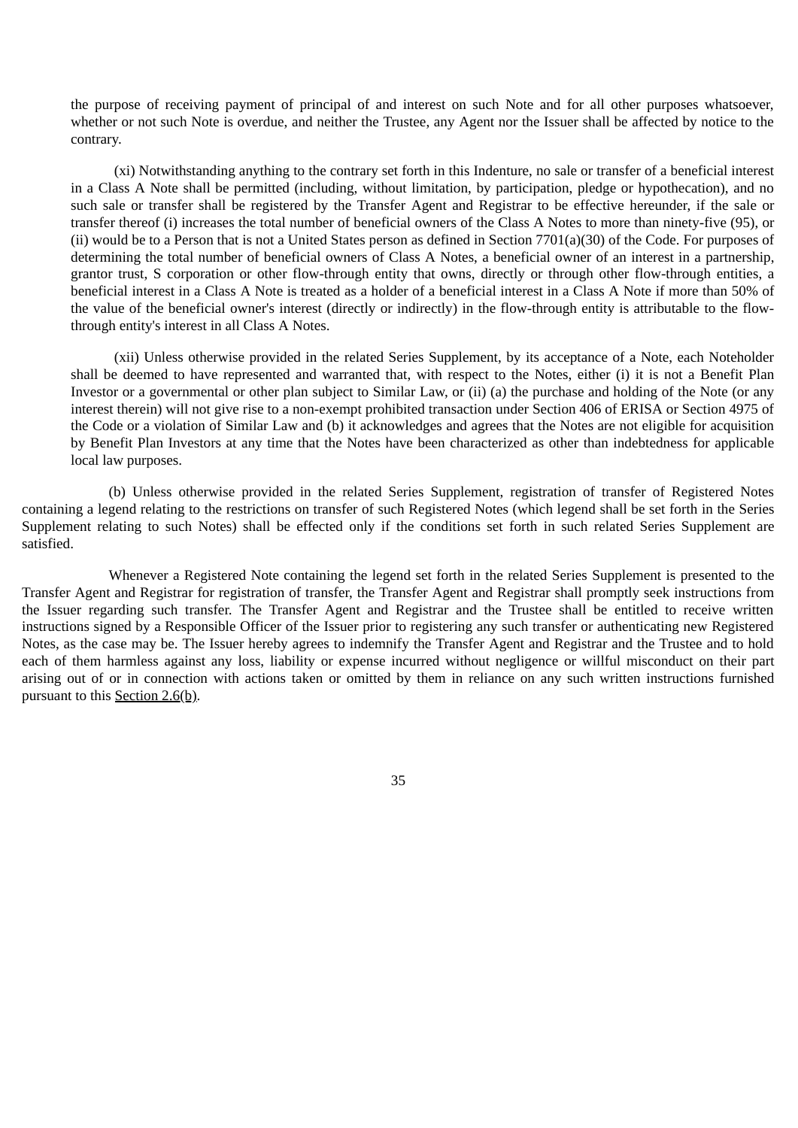the purpose of receiving payment of principal of and interest on such Note and for all other purposes whatsoever, whether or not such Note is overdue, and neither the Trustee, any Agent nor the Issuer shall be affected by notice to the contrary.

(xi) Notwithstanding anything to the contrary set forth in this Indenture, no sale or transfer of a beneficial interest in a Class A Note shall be permitted (including, without limitation, by participation, pledge or hypothecation), and no such sale or transfer shall be registered by the Transfer Agent and Registrar to be effective hereunder, if the sale or transfer thereof (i) increases the total number of beneficial owners of the Class A Notes to more than ninety-five (95), or (ii) would be to a Person that is not a United States person as defined in Section 7701(a)(30) of the Code. For purposes of determining the total number of beneficial owners of Class A Notes, a beneficial owner of an interest in a partnership, grantor trust, S corporation or other flow-through entity that owns, directly or through other flow-through entities, a beneficial interest in a Class A Note is treated as a holder of a beneficial interest in a Class A Note if more than 50% of the value of the beneficial owner's interest (directly or indirectly) in the flow-through entity is attributable to the flowthrough entity's interest in all Class A Notes.

(xii) Unless otherwise provided in the related Series Supplement, by its acceptance of a Note, each Noteholder shall be deemed to have represented and warranted that, with respect to the Notes, either (i) it is not a Benefit Plan Investor or a governmental or other plan subject to Similar Law, or (ii) (a) the purchase and holding of the Note (or any interest therein) will not give rise to a non-exempt prohibited transaction under Section 406 of ERISA or Section 4975 of the Code or a violation of Similar Law and (b) it acknowledges and agrees that the Notes are not eligible for acquisition by Benefit Plan Investors at any time that the Notes have been characterized as other than indebtedness for applicable local law purposes.

(b) Unless otherwise provided in the related Series Supplement, registration of transfer of Registered Notes containing a legend relating to the restrictions on transfer of such Registered Notes (which legend shall be set forth in the Series Supplement relating to such Notes) shall be effected only if the conditions set forth in such related Series Supplement are satisfied.

Whenever a Registered Note containing the legend set forth in the related Series Supplement is presented to the Transfer Agent and Registrar for registration of transfer, the Transfer Agent and Registrar shall promptly seek instructions from the Issuer regarding such transfer. The Transfer Agent and Registrar and the Trustee shall be entitled to receive written instructions signed by a Responsible Officer of the Issuer prior to registering any such transfer or authenticating new Registered Notes, as the case may be. The Issuer hereby agrees to indemnify the Transfer Agent and Registrar and the Trustee and to hold each of them harmless against any loss, liability or expense incurred without negligence or willful misconduct on their part arising out of or in connection with actions taken or omitted by them in reliance on any such written instructions furnished pursuant to this Section 2.6(b).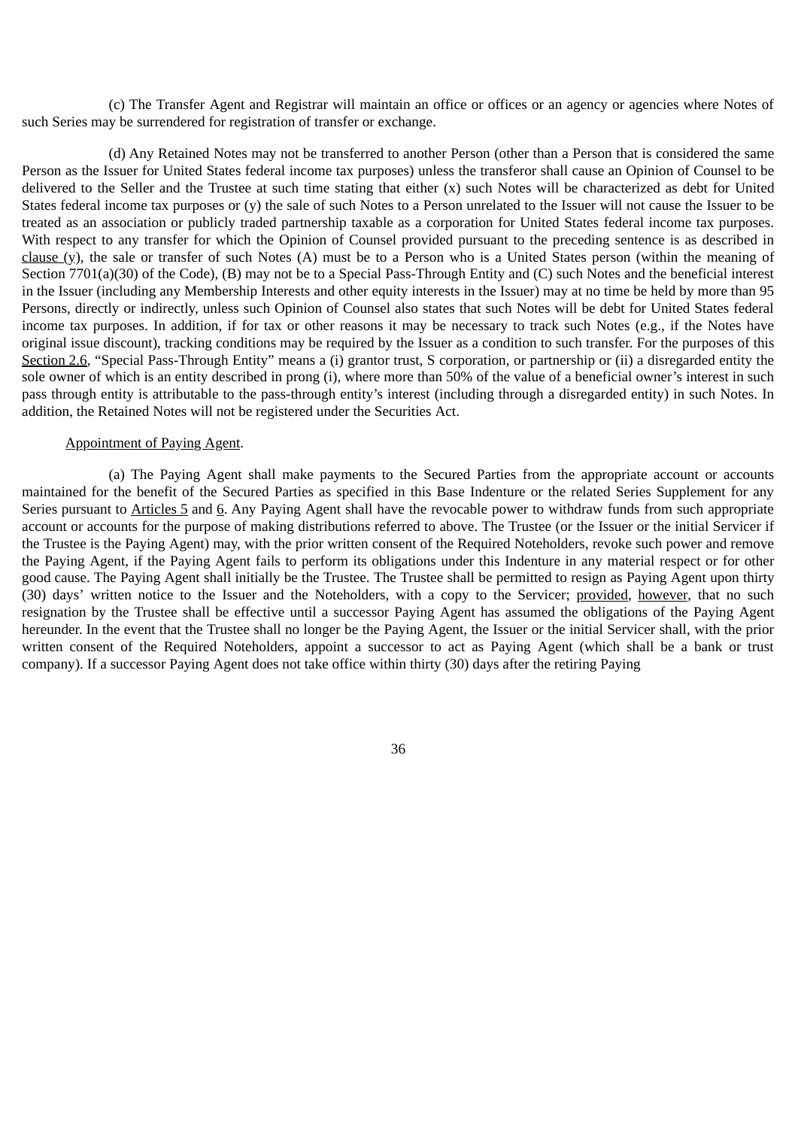(c) The Transfer Agent and Registrar will maintain an office or offices or an agency or agencies where Notes of such Series may be surrendered for registration of transfer or exchange.

(d) Any Retained Notes may not be transferred to another Person (other than a Person that is considered the same Person as the Issuer for United States federal income tax purposes) unless the transferor shall cause an Opinion of Counsel to be delivered to the Seller and the Trustee at such time stating that either (x) such Notes will be characterized as debt for United States federal income tax purposes or (y) the sale of such Notes to a Person unrelated to the Issuer will not cause the Issuer to be treated as an association or publicly traded partnership taxable as a corporation for United States federal income tax purposes. With respect to any transfer for which the Opinion of Counsel provided pursuant to the preceding sentence is as described in clause (y), the sale or transfer of such Notes (A) must be to a Person who is a United States person (within the meaning of Section 7701(a)(30) of the Code), (B) may not be to a Special Pass-Through Entity and (C) such Notes and the beneficial interest in the Issuer (including any Membership Interests and other equity interests in the Issuer) may at no time be held by more than 95 Persons, directly or indirectly, unless such Opinion of Counsel also states that such Notes will be debt for United States federal income tax purposes. In addition, if for tax or other reasons it may be necessary to track such Notes (e.g., if the Notes have original issue discount), tracking conditions may be required by the Issuer as a condition to such transfer. For the purposes of this Section 2.6, "Special Pass-Through Entity" means a (i) grantor trust, S corporation, or partnership or (ii) a disregarded entity the sole owner of which is an entity described in prong (i), where more than 50% of the value of a beneficial owner's interest in such pass through entity is attributable to the pass-through entity's interest (including through a disregarded entity) in such Notes. In addition, the Retained Notes will not be registered under the Securities Act.

## Appointment of Paying Agent.

(a) The Paying Agent shall make payments to the Secured Parties from the appropriate account or accounts maintained for the benefit of the Secured Parties as specified in this Base Indenture or the related Series Supplement for any Series pursuant to Articles 5 and 6. Any Paying Agent shall have the revocable power to withdraw funds from such appropriate account or accounts for the purpose of making distributions referred to above. The Trustee (or the Issuer or the initial Servicer if the Trustee is the Paying Agent) may, with the prior written consent of the Required Noteholders, revoke such power and remove the Paying Agent, if the Paying Agent fails to perform its obligations under this Indenture in any material respect or for other good cause. The Paying Agent shall initially be the Trustee. The Trustee shall be permitted to resign as Paying Agent upon thirty (30) days' written notice to the Issuer and the Noteholders, with a copy to the Servicer; provided, however, that no such resignation by the Trustee shall be effective until a successor Paying Agent has assumed the obligations of the Paying Agent hereunder. In the event that the Trustee shall no longer be the Paying Agent, the Issuer or the initial Servicer shall, with the prior written consent of the Required Noteholders, appoint a successor to act as Paying Agent (which shall be a bank or trust company). If a successor Paying Agent does not take office within thirty (30) days after the retiring Paying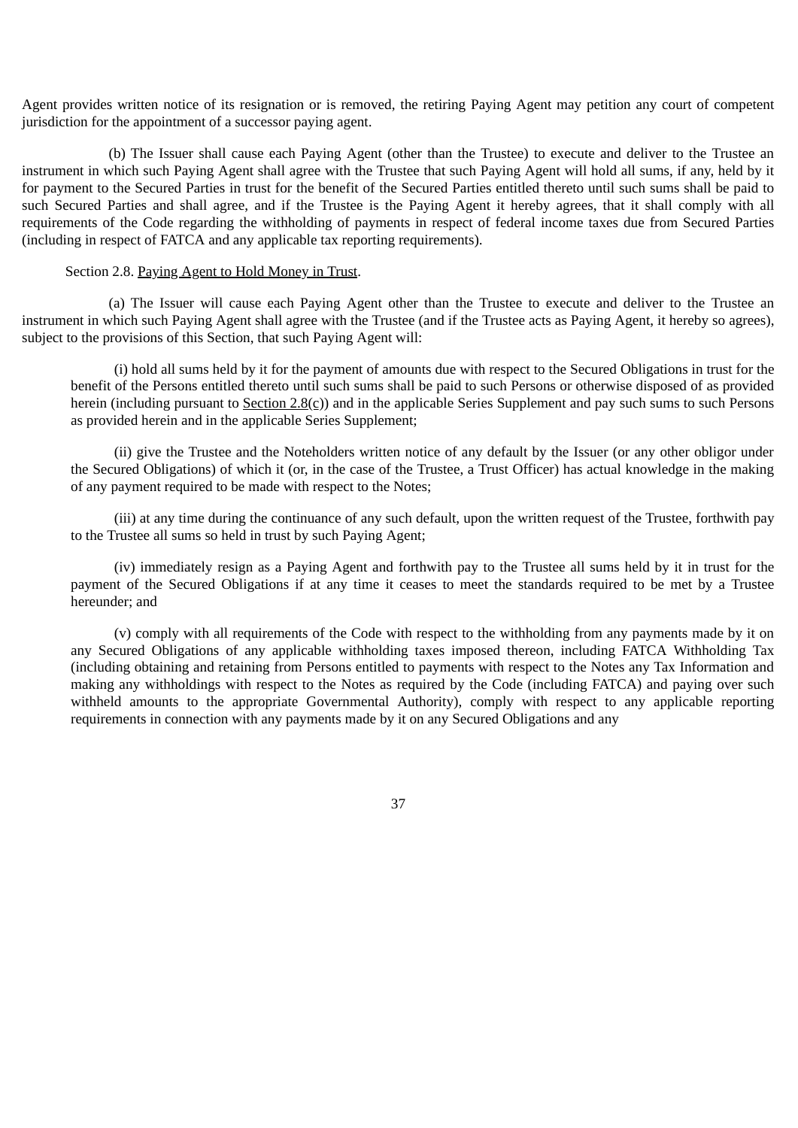Agent provides written notice of its resignation or is removed, the retiring Paying Agent may petition any court of competent jurisdiction for the appointment of a successor paying agent.

(b) The Issuer shall cause each Paying Agent (other than the Trustee) to execute and deliver to the Trustee an instrument in which such Paying Agent shall agree with the Trustee that such Paying Agent will hold all sums, if any, held by it for payment to the Secured Parties in trust for the benefit of the Secured Parties entitled thereto until such sums shall be paid to such Secured Parties and shall agree, and if the Trustee is the Paying Agent it hereby agrees, that it shall comply with all requirements of the Code regarding the withholding of payments in respect of federal income taxes due from Secured Parties (including in respect of FATCA and any applicable tax reporting requirements).

#### Section 2.8. Paying Agent to Hold Money in Trust.

(a) The Issuer will cause each Paying Agent other than the Trustee to execute and deliver to the Trustee an instrument in which such Paying Agent shall agree with the Trustee (and if the Trustee acts as Paying Agent, it hereby so agrees), subject to the provisions of this Section, that such Paying Agent will:

(i) hold all sums held by it for the payment of amounts due with respect to the Secured Obligations in trust for the benefit of the Persons entitled thereto until such sums shall be paid to such Persons or otherwise disposed of as provided herein (including pursuant to Section 2.8(c)) and in the applicable Series Supplement and pay such sums to such Persons as provided herein and in the applicable Series Supplement;

(ii) give the Trustee and the Noteholders written notice of any default by the Issuer (or any other obligor under the Secured Obligations) of which it (or, in the case of the Trustee, a Trust Officer) has actual knowledge in the making of any payment required to be made with respect to the Notes;

(iii) at any time during the continuance of any such default, upon the written request of the Trustee, forthwith pay to the Trustee all sums so held in trust by such Paying Agent;

(iv) immediately resign as a Paying Agent and forthwith pay to the Trustee all sums held by it in trust for the payment of the Secured Obligations if at any time it ceases to meet the standards required to be met by a Trustee hereunder; and

(v) comply with all requirements of the Code with respect to the withholding from any payments made by it on any Secured Obligations of any applicable withholding taxes imposed thereon, including FATCA Withholding Tax (including obtaining and retaining from Persons entitled to payments with respect to the Notes any Tax Information and making any withholdings with respect to the Notes as required by the Code (including FATCA) and paying over such withheld amounts to the appropriate Governmental Authority), comply with respect to any applicable reporting requirements in connection with any payments made by it on any Secured Obligations and any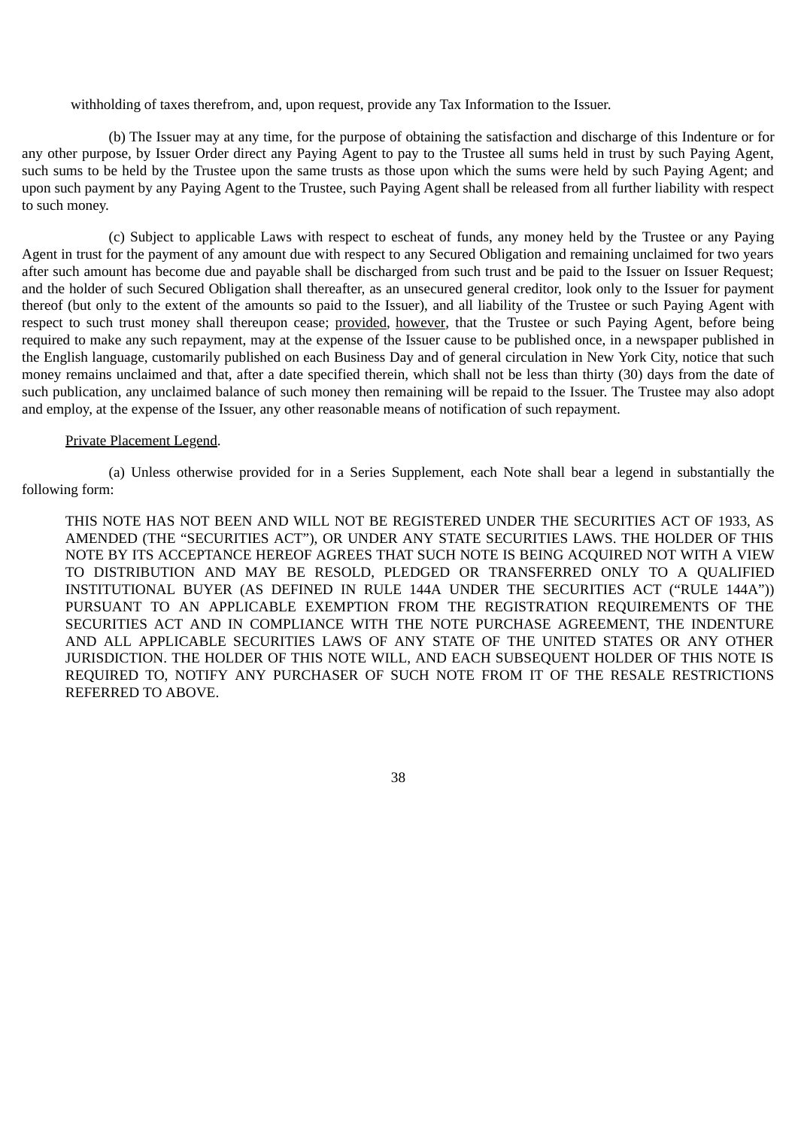withholding of taxes therefrom, and, upon request, provide any Tax Information to the Issuer.

(b) The Issuer may at any time, for the purpose of obtaining the satisfaction and discharge of this Indenture or for any other purpose, by Issuer Order direct any Paying Agent to pay to the Trustee all sums held in trust by such Paying Agent, such sums to be held by the Trustee upon the same trusts as those upon which the sums were held by such Paying Agent; and upon such payment by any Paying Agent to the Trustee, such Paying Agent shall be released from all further liability with respect to such money.

(c) Subject to applicable Laws with respect to escheat of funds, any money held by the Trustee or any Paying Agent in trust for the payment of any amount due with respect to any Secured Obligation and remaining unclaimed for two years after such amount has become due and payable shall be discharged from such trust and be paid to the Issuer on Issuer Request; and the holder of such Secured Obligation shall thereafter, as an unsecured general creditor, look only to the Issuer for payment thereof (but only to the extent of the amounts so paid to the Issuer), and all liability of the Trustee or such Paying Agent with respect to such trust money shall thereupon cease; provided, however, that the Trustee or such Paying Agent, before being required to make any such repayment, may at the expense of the Issuer cause to be published once, in a newspaper published in the English language, customarily published on each Business Day and of general circulation in New York City, notice that such money remains unclaimed and that, after a date specified therein, which shall not be less than thirty (30) days from the date of such publication, any unclaimed balance of such money then remaining will be repaid to the Issuer. The Trustee may also adopt and employ, at the expense of the Issuer, any other reasonable means of notification of such repayment.

### Private Placement Legend.

(a) Unless otherwise provided for in a Series Supplement, each Note shall bear a legend in substantially the following form:

THIS NOTE HAS NOT BEEN AND WILL NOT BE REGISTERED UNDER THE SECURITIES ACT OF 1933, AS AMENDED (THE "SECURITIES ACT"), OR UNDER ANY STATE SECURITIES LAWS. THE HOLDER OF THIS NOTE BY ITS ACCEPTANCE HEREOF AGREES THAT SUCH NOTE IS BEING ACQUIRED NOT WITH A VIEW TO DISTRIBUTION AND MAY BE RESOLD, PLEDGED OR TRANSFERRED ONLY TO A QUALIFIED INSTITUTIONAL BUYER (AS DEFINED IN RULE 144A UNDER THE SECURITIES ACT ("RULE 144A")) PURSUANT TO AN APPLICABLE EXEMPTION FROM THE REGISTRATION REQUIREMENTS OF THE SECURITIES ACT AND IN COMPLIANCE WITH THE NOTE PURCHASE AGREEMENT, THE INDENTURE AND ALL APPLICABLE SECURITIES LAWS OF ANY STATE OF THE UNITED STATES OR ANY OTHER JURISDICTION. THE HOLDER OF THIS NOTE WILL, AND EACH SUBSEQUENT HOLDER OF THIS NOTE IS REQUIRED TO, NOTIFY ANY PURCHASER OF SUCH NOTE FROM IT OF THE RESALE RESTRICTIONS REFERRED TO ABOVE.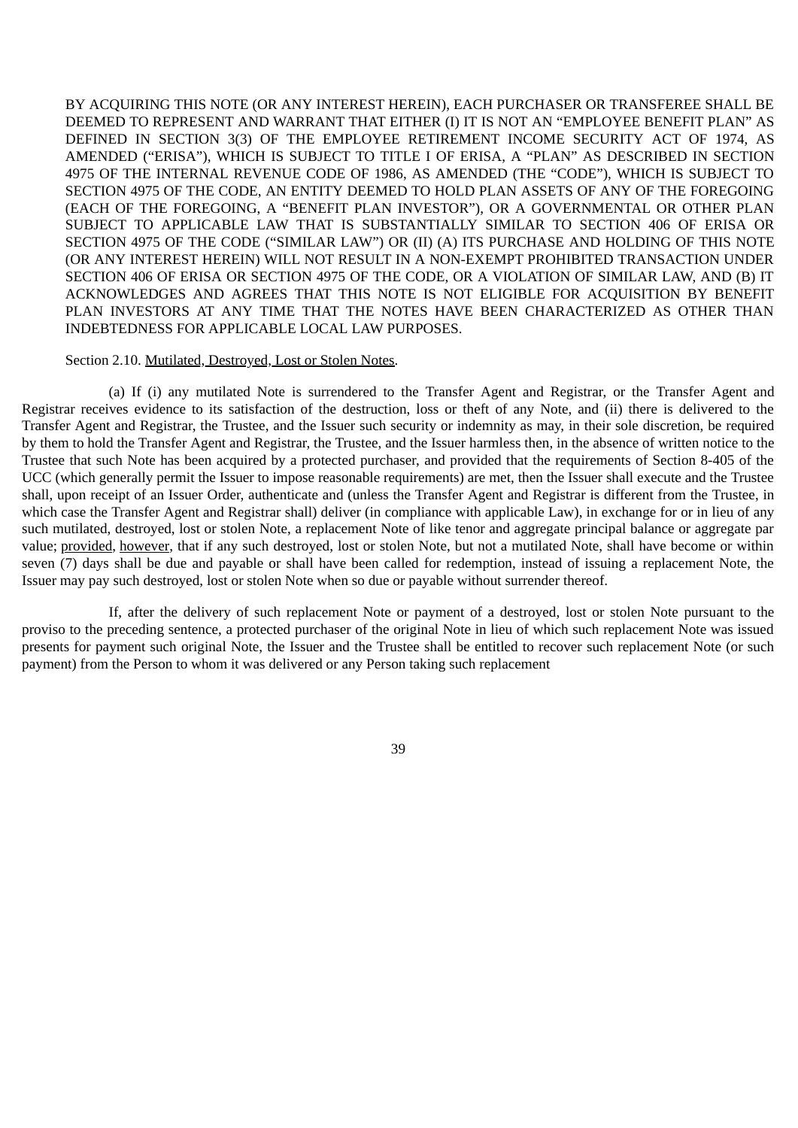BY ACQUIRING THIS NOTE (OR ANY INTEREST HEREIN), EACH PURCHASER OR TRANSFEREE SHALL BE DEEMED TO REPRESENT AND WARRANT THAT EITHER (I) IT IS NOT AN "EMPLOYEE BENEFIT PLAN" AS DEFINED IN SECTION 3(3) OF THE EMPLOYEE RETIREMENT INCOME SECURITY ACT OF 1974, AS AMENDED ("ERISA"), WHICH IS SUBJECT TO TITLE I OF ERISA, A "PLAN" AS DESCRIBED IN SECTION 4975 OF THE INTERNAL REVENUE CODE OF 1986, AS AMENDED (THE "CODE"), WHICH IS SUBJECT TO SECTION 4975 OF THE CODE, AN ENTITY DEEMED TO HOLD PLAN ASSETS OF ANY OF THE FOREGOING (EACH OF THE FOREGOING, A "BENEFIT PLAN INVESTOR"), OR A GOVERNMENTAL OR OTHER PLAN SUBJECT TO APPLICABLE LAW THAT IS SUBSTANTIALLY SIMILAR TO SECTION 406 OF ERISA OR SECTION 4975 OF THE CODE ("SIMILAR LAW") OR (II) (A) ITS PURCHASE AND HOLDING OF THIS NOTE (OR ANY INTEREST HEREIN) WILL NOT RESULT IN A NON-EXEMPT PROHIBITED TRANSACTION UNDER SECTION 406 OF ERISA OR SECTION 4975 OF THE CODE, OR A VIOLATION OF SIMILAR LAW, AND (B) IT ACKNOWLEDGES AND AGREES THAT THIS NOTE IS NOT ELIGIBLE FOR ACQUISITION BY BENEFIT PLAN INVESTORS AT ANY TIME THAT THE NOTES HAVE BEEN CHARACTERIZED AS OTHER THAN INDEBTEDNESS FOR APPLICABLE LOCAL LAW PURPOSES.

#### Section 2.10. Mutilated, Destroyed, Lost or Stolen Notes.

(a) If (i) any mutilated Note is surrendered to the Transfer Agent and Registrar, or the Transfer Agent and Registrar receives evidence to its satisfaction of the destruction, loss or theft of any Note, and (ii) there is delivered to the Transfer Agent and Registrar, the Trustee, and the Issuer such security or indemnity as may, in their sole discretion, be required by them to hold the Transfer Agent and Registrar, the Trustee, and the Issuer harmless then, in the absence of written notice to the Trustee that such Note has been acquired by a protected purchaser, and provided that the requirements of Section 8-405 of the UCC (which generally permit the Issuer to impose reasonable requirements) are met, then the Issuer shall execute and the Trustee shall, upon receipt of an Issuer Order, authenticate and (unless the Transfer Agent and Registrar is different from the Trustee, in which case the Transfer Agent and Registrar shall) deliver (in compliance with applicable Law), in exchange for or in lieu of any such mutilated, destroyed, lost or stolen Note, a replacement Note of like tenor and aggregate principal balance or aggregate par value; provided, however, that if any such destroyed, lost or stolen Note, but not a mutilated Note, shall have become or within seven (7) days shall be due and payable or shall have been called for redemption, instead of issuing a replacement Note, the Issuer may pay such destroyed, lost or stolen Note when so due or payable without surrender thereof.

If, after the delivery of such replacement Note or payment of a destroyed, lost or stolen Note pursuant to the proviso to the preceding sentence, a protected purchaser of the original Note in lieu of which such replacement Note was issued presents for payment such original Note, the Issuer and the Trustee shall be entitled to recover such replacement Note (or such payment) from the Person to whom it was delivered or any Person taking such replacement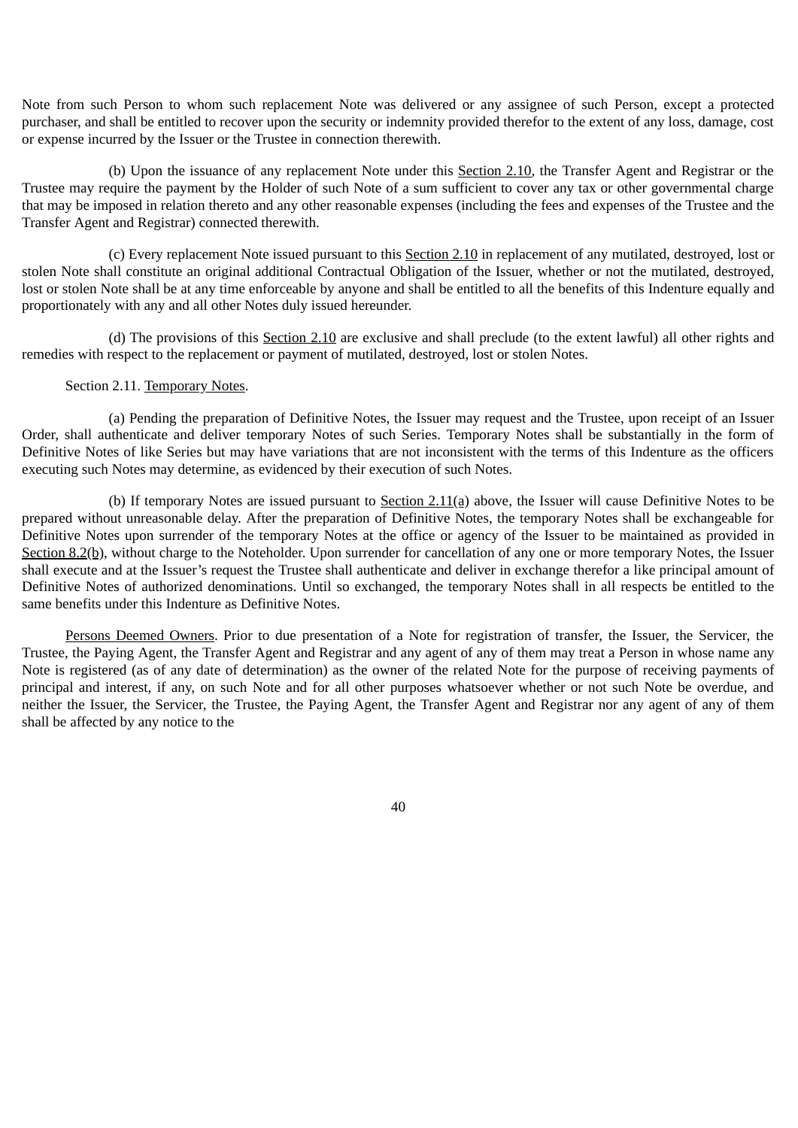Note from such Person to whom such replacement Note was delivered or any assignee of such Person, except a protected purchaser, and shall be entitled to recover upon the security or indemnity provided therefor to the extent of any loss, damage, cost or expense incurred by the Issuer or the Trustee in connection therewith.

(b) Upon the issuance of any replacement Note under this Section 2.10, the Transfer Agent and Registrar or the Trustee may require the payment by the Holder of such Note of a sum sufficient to cover any tax or other governmental charge that may be imposed in relation thereto and any other reasonable expenses (including the fees and expenses of the Trustee and the Transfer Agent and Registrar) connected therewith.

(c) Every replacement Note issued pursuant to this Section 2.10 in replacement of any mutilated, destroyed, lost or stolen Note shall constitute an original additional Contractual Obligation of the Issuer, whether or not the mutilated, destroyed, lost or stolen Note shall be at any time enforceable by anyone and shall be entitled to all the benefits of this Indenture equally and proportionately with any and all other Notes duly issued hereunder.

(d) The provisions of this Section 2.10 are exclusive and shall preclude (to the extent lawful) all other rights and remedies with respect to the replacement or payment of mutilated, destroyed, lost or stolen Notes.

## Section 2.11. Temporary Notes.

(a) Pending the preparation of Definitive Notes, the Issuer may request and the Trustee, upon receipt of an Issuer Order, shall authenticate and deliver temporary Notes of such Series. Temporary Notes shall be substantially in the form of Definitive Notes of like Series but may have variations that are not inconsistent with the terms of this Indenture as the officers executing such Notes may determine, as evidenced by their execution of such Notes.

(b) If temporary Notes are issued pursuant to  $Section 2.11(a)$  above, the Issuer will cause Definitive Notes to be</u> prepared without unreasonable delay. After the preparation of Definitive Notes, the temporary Notes shall be exchangeable for Definitive Notes upon surrender of the temporary Notes at the office or agency of the Issuer to be maintained as provided in Section 8.2(b), without charge to the Noteholder. Upon surrender for cancellation of any one or more temporary Notes, the Issuer shall execute and at the Issuer's request the Trustee shall authenticate and deliver in exchange therefor a like principal amount of Definitive Notes of authorized denominations. Until so exchanged, the temporary Notes shall in all respects be entitled to the same benefits under this Indenture as Definitive Notes.

Persons Deemed Owners. Prior to due presentation of a Note for registration of transfer, the Issuer, the Servicer, the Trustee, the Paying Agent, the Transfer Agent and Registrar and any agent of any of them may treat a Person in whose name any Note is registered (as of any date of determination) as the owner of the related Note for the purpose of receiving payments of principal and interest, if any, on such Note and for all other purposes whatsoever whether or not such Note be overdue, and neither the Issuer, the Servicer, the Trustee, the Paying Agent, the Transfer Agent and Registrar nor any agent of any of them shall be affected by any notice to the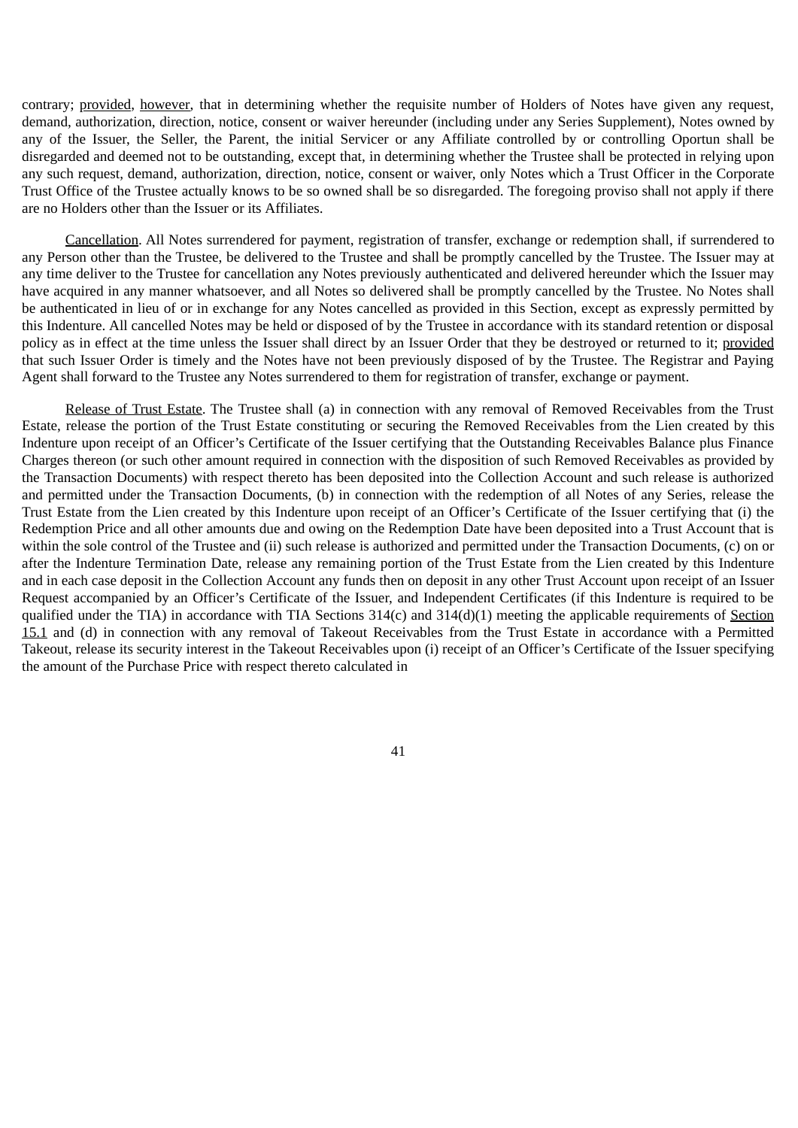contrary; provided, however, that in determining whether the requisite number of Holders of Notes have given any request, demand, authorization, direction, notice, consent or waiver hereunder (including under any Series Supplement), Notes owned by any of the Issuer, the Seller, the Parent, the initial Servicer or any Affiliate controlled by or controlling Oportun shall be disregarded and deemed not to be outstanding, except that, in determining whether the Trustee shall be protected in relying upon any such request, demand, authorization, direction, notice, consent or waiver, only Notes which a Trust Officer in the Corporate Trust Office of the Trustee actually knows to be so owned shall be so disregarded. The foregoing proviso shall not apply if there are no Holders other than the Issuer or its Affiliates.

Cancellation. All Notes surrendered for payment, registration of transfer, exchange or redemption shall, if surrendered to any Person other than the Trustee, be delivered to the Trustee and shall be promptly cancelled by the Trustee. The Issuer may at any time deliver to the Trustee for cancellation any Notes previously authenticated and delivered hereunder which the Issuer may have acquired in any manner whatsoever, and all Notes so delivered shall be promptly cancelled by the Trustee. No Notes shall be authenticated in lieu of or in exchange for any Notes cancelled as provided in this Section, except as expressly permitted by this Indenture. All cancelled Notes may be held or disposed of by the Trustee in accordance with its standard retention or disposal policy as in effect at the time unless the Issuer shall direct by an Issuer Order that they be destroyed or returned to it; provided that such Issuer Order is timely and the Notes have not been previously disposed of by the Trustee. The Registrar and Paying Agent shall forward to the Trustee any Notes surrendered to them for registration of transfer, exchange or payment.

Release of Trust Estate. The Trustee shall (a) in connection with any removal of Removed Receivables from the Trust Estate, release the portion of the Trust Estate constituting or securing the Removed Receivables from the Lien created by this Indenture upon receipt of an Officer's Certificate of the Issuer certifying that the Outstanding Receivables Balance plus Finance Charges thereon (or such other amount required in connection with the disposition of such Removed Receivables as provided by the Transaction Documents) with respect thereto has been deposited into the Collection Account and such release is authorized and permitted under the Transaction Documents, (b) in connection with the redemption of all Notes of any Series, release the Trust Estate from the Lien created by this Indenture upon receipt of an Officer's Certificate of the Issuer certifying that (i) the Redemption Price and all other amounts due and owing on the Redemption Date have been deposited into a Trust Account that is within the sole control of the Trustee and (ii) such release is authorized and permitted under the Transaction Documents, (c) on or after the Indenture Termination Date, release any remaining portion of the Trust Estate from the Lien created by this Indenture and in each case deposit in the Collection Account any funds then on deposit in any other Trust Account upon receipt of an Issuer Request accompanied by an Officer's Certificate of the Issuer, and Independent Certificates (if this Indenture is required to be qualified under the TIA) in accordance with TIA Sections 314(c) and 314(d)(1) meeting the applicable requirements of Section 15.1 and (d) in connection with any removal of Takeout Receivables from the Trust Estate in accordance with a Permitted Takeout, release its security interest in the Takeout Receivables upon (i) receipt of an Officer's Certificate of the Issuer specifying the amount of the Purchase Price with respect thereto calculated in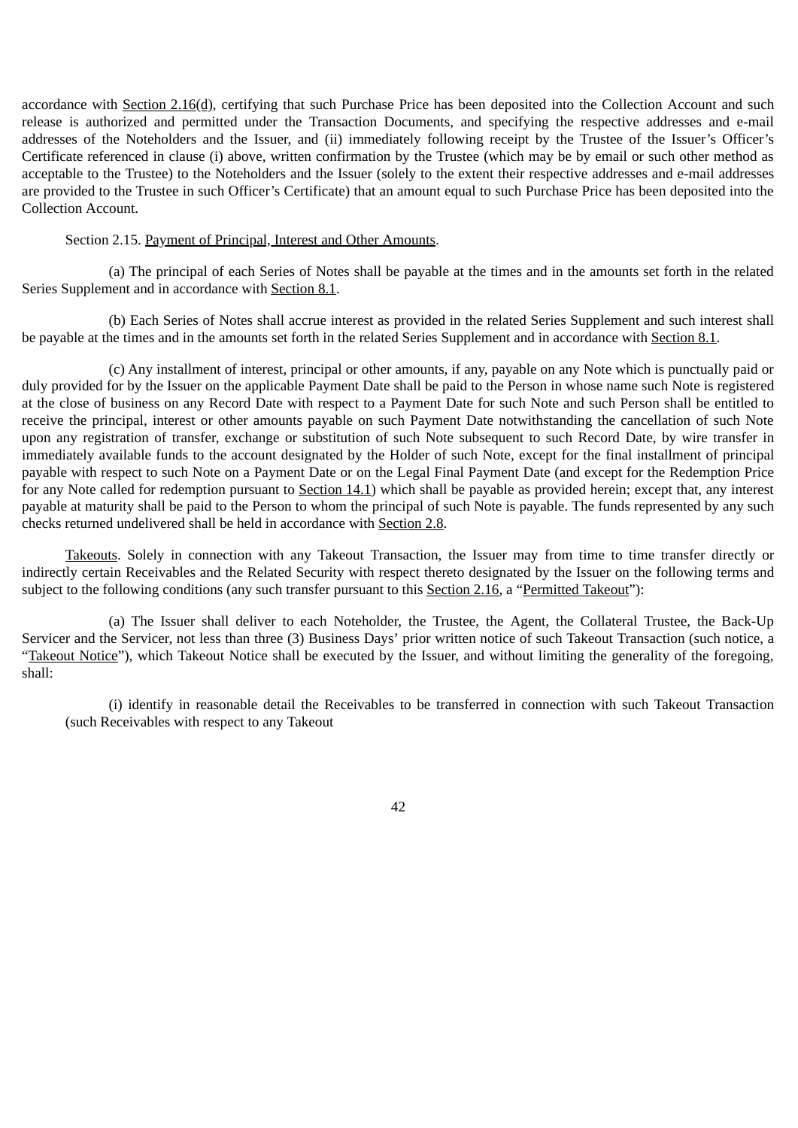accordance with Section 2.16(d), certifying that such Purchase Price has been deposited into the Collection Account and such release is authorized and permitted under the Transaction Documents, and specifying the respective addresses and e-mail addresses of the Noteholders and the Issuer, and (ii) immediately following receipt by the Trustee of the Issuer's Officer's Certificate referenced in clause (i) above, written confirmation by the Trustee (which may be by email or such other method as acceptable to the Trustee) to the Noteholders and the Issuer (solely to the extent their respective addresses and e-mail addresses are provided to the Trustee in such Officer's Certificate) that an amount equal to such Purchase Price has been deposited into the Collection Account.

#### Section 2.15. Payment of Principal, Interest and Other Amounts.

(a) The principal of each Series of Notes shall be payable at the times and in the amounts set forth in the related Series Supplement and in accordance with Section 8.1.

(b) Each Series of Notes shall accrue interest as provided in the related Series Supplement and such interest shall be payable at the times and in the amounts set forth in the related Series Supplement and in accordance with Section 8.1.

(c) Any installment of interest, principal or other amounts, if any, payable on any Note which is punctually paid or duly provided for by the Issuer on the applicable Payment Date shall be paid to the Person in whose name such Note is registered at the close of business on any Record Date with respect to a Payment Date for such Note and such Person shall be entitled to receive the principal, interest or other amounts payable on such Payment Date notwithstanding the cancellation of such Note upon any registration of transfer, exchange or substitution of such Note subsequent to such Record Date, by wire transfer in immediately available funds to the account designated by the Holder of such Note, except for the final installment of principal payable with respect to such Note on a Payment Date or on the Legal Final Payment Date (and except for the Redemption Price for any Note called for redemption pursuant to Section 14.1) which shall be payable as provided herein; except that, any interest payable at maturity shall be paid to the Person to whom the principal of such Note is payable. The funds represented by any such checks returned undelivered shall be held in accordance with Section 2.8.

Takeouts. Solely in connection with any Takeout Transaction, the Issuer may from time to time transfer directly or indirectly certain Receivables and the Related Security with respect thereto designated by the Issuer on the following terms and subject to the following conditions (any such transfer pursuant to this Section 2.16, a "Permitted Takeout"):

(a) The Issuer shall deliver to each Noteholder, the Trustee, the Agent, the Collateral Trustee, the Back-Up Servicer and the Servicer, not less than three (3) Business Days' prior written notice of such Takeout Transaction (such notice, a "Takeout Notice"), which Takeout Notice shall be executed by the Issuer, and without limiting the generality of the foregoing, shall:

(i) identify in reasonable detail the Receivables to be transferred in connection with such Takeout Transaction (such Receivables with respect to any Takeout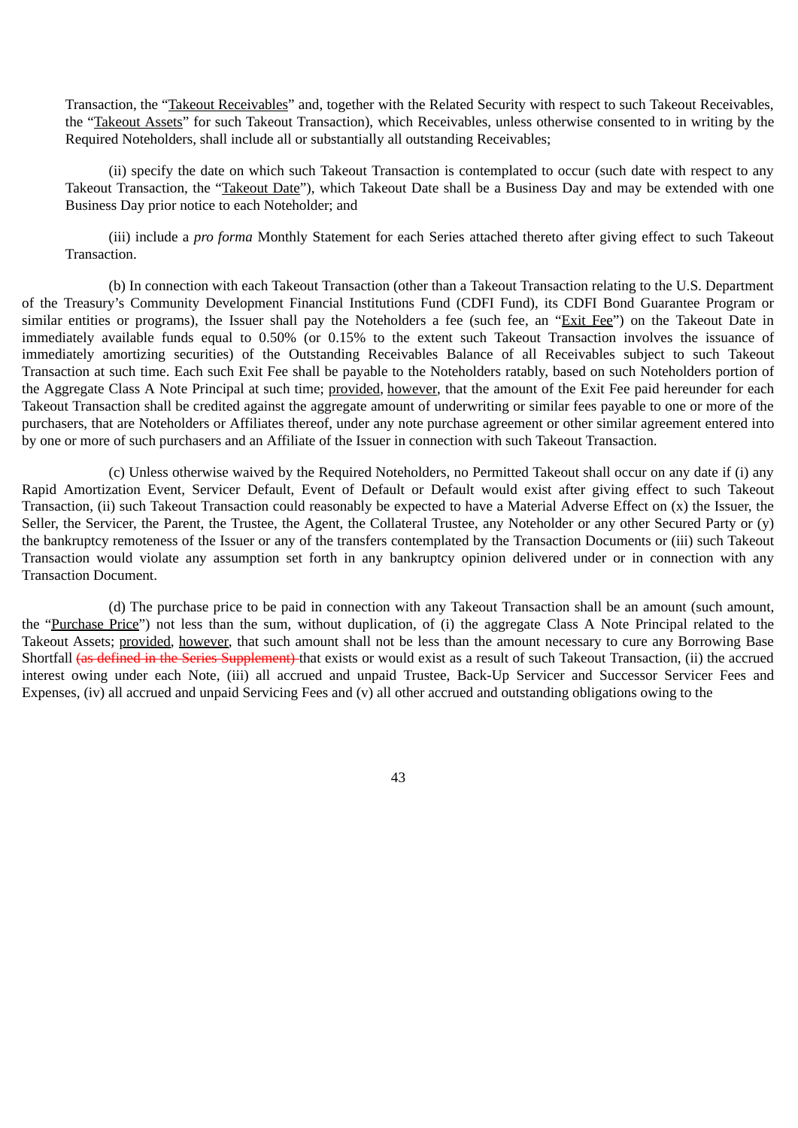Transaction, the "Takeout Receivables" and, together with the Related Security with respect to such Takeout Receivables, the "Takeout Assets" for such Takeout Transaction), which Receivables, unless otherwise consented to in writing by the Required Noteholders, shall include all or substantially all outstanding Receivables;

(ii) specify the date on which such Takeout Transaction is contemplated to occur (such date with respect to any Takeout Transaction, the "Takeout Date"), which Takeout Date shall be a Business Day and may be extended with one Business Day prior notice to each Noteholder; and

(iii) include a *pro forma* Monthly Statement for each Series attached thereto after giving effect to such Takeout Transaction.

(b) In connection with each Takeout Transaction (other than a Takeout Transaction relating to the U.S. Department of the Treasury's Community Development Financial Institutions Fund (CDFI Fund), its CDFI Bond Guarantee Program or similar entities or programs), the Issuer shall pay the Noteholders a fee (such fee, an "Exit Fee") on the Takeout Date in immediately available funds equal to 0.50% (or 0.15% to the extent such Takeout Transaction involves the issuance of immediately amortizing securities) of the Outstanding Receivables Balance of all Receivables subject to such Takeout Transaction at such time. Each such Exit Fee shall be payable to the Noteholders ratably, based on such Noteholders portion of the Aggregate Class A Note Principal at such time; provided, however, that the amount of the Exit Fee paid hereunder for each Takeout Transaction shall be credited against the aggregate amount of underwriting or similar fees payable to one or more of the purchasers, that are Noteholders or Affiliates thereof, under any note purchase agreement or other similar agreement entered into by one or more of such purchasers and an Affiliate of the Issuer in connection with such Takeout Transaction.

(c) Unless otherwise waived by the Required Noteholders, no Permitted Takeout shall occur on any date if (i) any Rapid Amortization Event, Servicer Default, Event of Default or Default would exist after giving effect to such Takeout Transaction, (ii) such Takeout Transaction could reasonably be expected to have a Material Adverse Effect on (x) the Issuer, the Seller, the Servicer, the Parent, the Trustee, the Agent, the Collateral Trustee, any Noteholder or any other Secured Party or (y) the bankruptcy remoteness of the Issuer or any of the transfers contemplated by the Transaction Documents or (iii) such Takeout Transaction would violate any assumption set forth in any bankruptcy opinion delivered under or in connection with any Transaction Document.

(d) The purchase price to be paid in connection with any Takeout Transaction shall be an amount (such amount, the "Purchase Price") not less than the sum, without duplication, of (i) the aggregate Class A Note Principal related to the Takeout Assets; provided, however, that such amount shall not be less than the amount necessary to cure any Borrowing Base Shortfall (as defined in the Series Supplement) that exists or would exist as a result of such Takeout Transaction, (ii) the accrued interest owing under each Note, (iii) all accrued and unpaid Trustee, Back-Up Servicer and Successor Servicer Fees and Expenses, (iv) all accrued and unpaid Servicing Fees and (v) all other accrued and outstanding obligations owing to the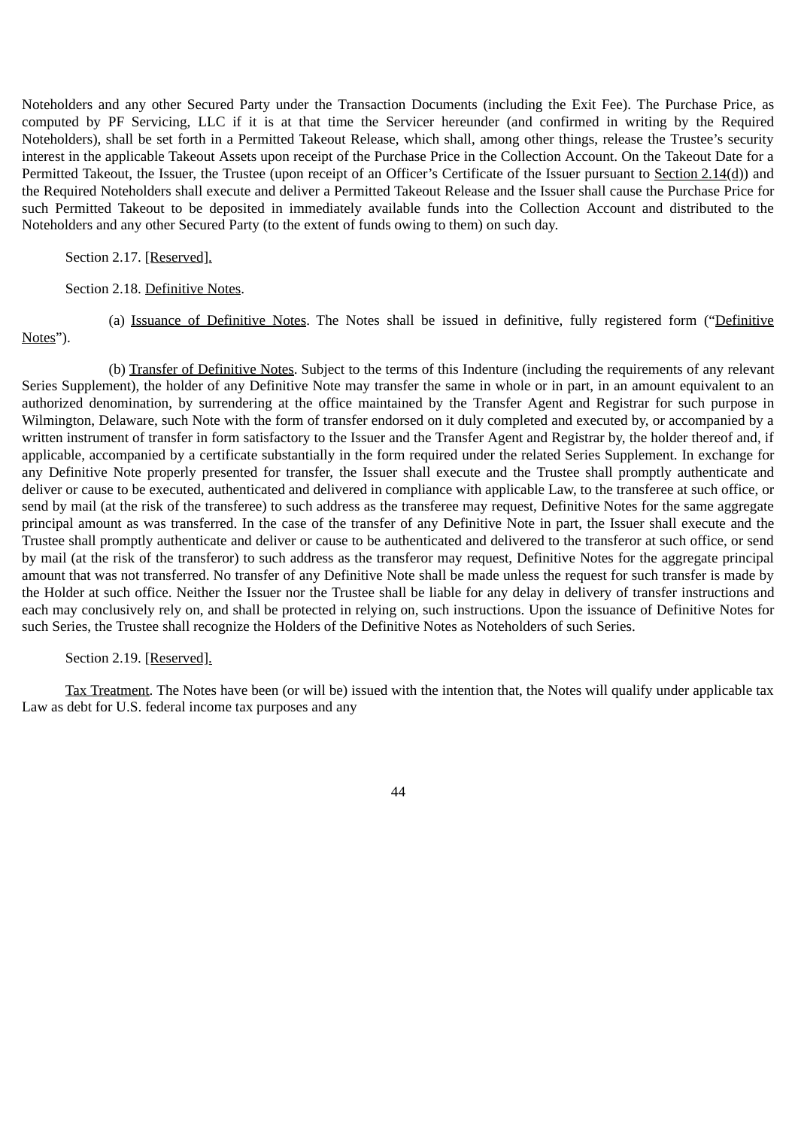Noteholders and any other Secured Party under the Transaction Documents (including the Exit Fee). The Purchase Price, as computed by PF Servicing, LLC if it is at that time the Servicer hereunder (and confirmed in writing by the Required Noteholders), shall be set forth in a Permitted Takeout Release, which shall, among other things, release the Trustee's security interest in the applicable Takeout Assets upon receipt of the Purchase Price in the Collection Account. On the Takeout Date for a Permitted Takeout, the Issuer, the Trustee (upon receipt of an Officer's Certificate of the Issuer pursuant to Section 2.14(d)) and the Required Noteholders shall execute and deliver a Permitted Takeout Release and the Issuer shall cause the Purchase Price for such Permitted Takeout to be deposited in immediately available funds into the Collection Account and distributed to the Noteholders and any other Secured Party (to the extent of funds owing to them) on such day.

Section 2.17. [Reserved].

Notes").

#### Section 2.18. Definitive Notes.

(a) Issuance of Definitive Notes. The Notes shall be issued in definitive, fully registered form ("Definitive

(b) Transfer of Definitive Notes. Subject to the terms of this Indenture (including the requirements of any relevant Series Supplement), the holder of any Definitive Note may transfer the same in whole or in part, in an amount equivalent to an authorized denomination, by surrendering at the office maintained by the Transfer Agent and Registrar for such purpose in Wilmington, Delaware, such Note with the form of transfer endorsed on it duly completed and executed by, or accompanied by a written instrument of transfer in form satisfactory to the Issuer and the Transfer Agent and Registrar by, the holder thereof and, if applicable, accompanied by a certificate substantially in the form required under the related Series Supplement. In exchange for any Definitive Note properly presented for transfer, the Issuer shall execute and the Trustee shall promptly authenticate and deliver or cause to be executed, authenticated and delivered in compliance with applicable Law, to the transferee at such office, or send by mail (at the risk of the transferee) to such address as the transferee may request, Definitive Notes for the same aggregate principal amount as was transferred. In the case of the transfer of any Definitive Note in part, the Issuer shall execute and the Trustee shall promptly authenticate and deliver or cause to be authenticated and delivered to the transferor at such office, or send by mail (at the risk of the transferor) to such address as the transferor may request, Definitive Notes for the aggregate principal amount that was not transferred. No transfer of any Definitive Note shall be made unless the request for such transfer is made by the Holder at such office. Neither the Issuer nor the Trustee shall be liable for any delay in delivery of transfer instructions and each may conclusively rely on, and shall be protected in relying on, such instructions. Upon the issuance of Definitive Notes for such Series, the Trustee shall recognize the Holders of the Definitive Notes as Noteholders of such Series.

## Section 2.19. [Reserved].

Tax Treatment. The Notes have been (or will be) issued with the intention that, the Notes will qualify under applicable tax Law as debt for U.S. federal income tax purposes and any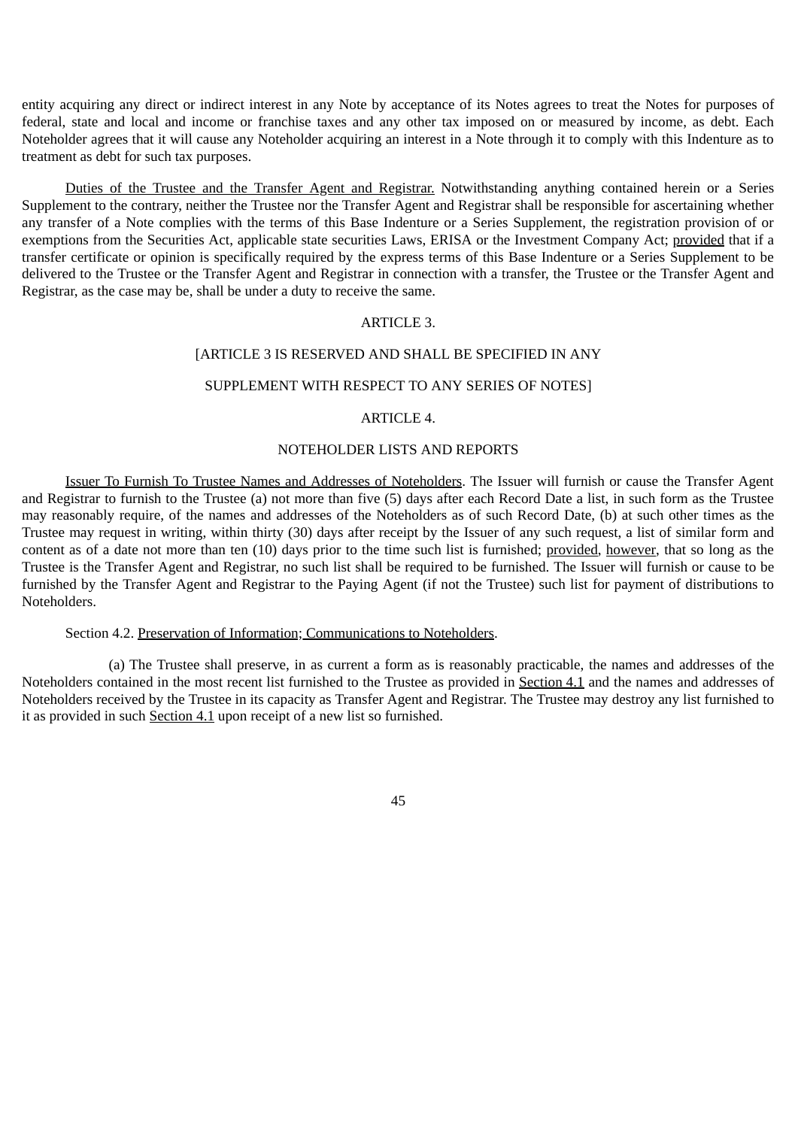entity acquiring any direct or indirect interest in any Note by acceptance of its Notes agrees to treat the Notes for purposes of federal, state and local and income or franchise taxes and any other tax imposed on or measured by income, as debt. Each Noteholder agrees that it will cause any Noteholder acquiring an interest in a Note through it to comply with this Indenture as to treatment as debt for such tax purposes.

Duties of the Trustee and the Transfer Agent and Registrar. Notwithstanding anything contained herein or a Series Supplement to the contrary, neither the Trustee nor the Transfer Agent and Registrar shall be responsible for ascertaining whether any transfer of a Note complies with the terms of this Base Indenture or a Series Supplement, the registration provision of or exemptions from the Securities Act, applicable state securities Laws, ERISA or the Investment Company Act; provided that if a transfer certificate or opinion is specifically required by the express terms of this Base Indenture or a Series Supplement to be delivered to the Trustee or the Transfer Agent and Registrar in connection with a transfer, the Trustee or the Transfer Agent and Registrar, as the case may be, shall be under a duty to receive the same.

#### ARTICLE 3.

## [ARTICLE 3 IS RESERVED AND SHALL BE SPECIFIED IN ANY

## SUPPLEMENT WITH RESPECT TO ANY SERIES OF NOTES]

#### ARTICLE 4.

## NOTEHOLDER LISTS AND REPORTS

Issuer To Furnish To Trustee Names and Addresses of Noteholders. The Issuer will furnish or cause the Transfer Agent and Registrar to furnish to the Trustee (a) not more than five (5) days after each Record Date a list, in such form as the Trustee may reasonably require, of the names and addresses of the Noteholders as of such Record Date, (b) at such other times as the Trustee may request in writing, within thirty (30) days after receipt by the Issuer of any such request, a list of similar form and content as of a date not more than ten (10) days prior to the time such list is furnished; provided, however, that so long as the Trustee is the Transfer Agent and Registrar, no such list shall be required to be furnished. The Issuer will furnish or cause to be furnished by the Transfer Agent and Registrar to the Paying Agent (if not the Trustee) such list for payment of distributions to Noteholders.

# Section 4.2. Preservation of Information; Communications to Noteholders.

(a) The Trustee shall preserve, in as current a form as is reasonably practicable, the names and addresses of the Noteholders contained in the most recent list furnished to the Trustee as provided in Section 4.1 and the names and addresses of Noteholders received by the Trustee in its capacity as Transfer Agent and Registrar. The Trustee may destroy any list furnished to it as provided in such Section 4.1 upon receipt of a new list so furnished.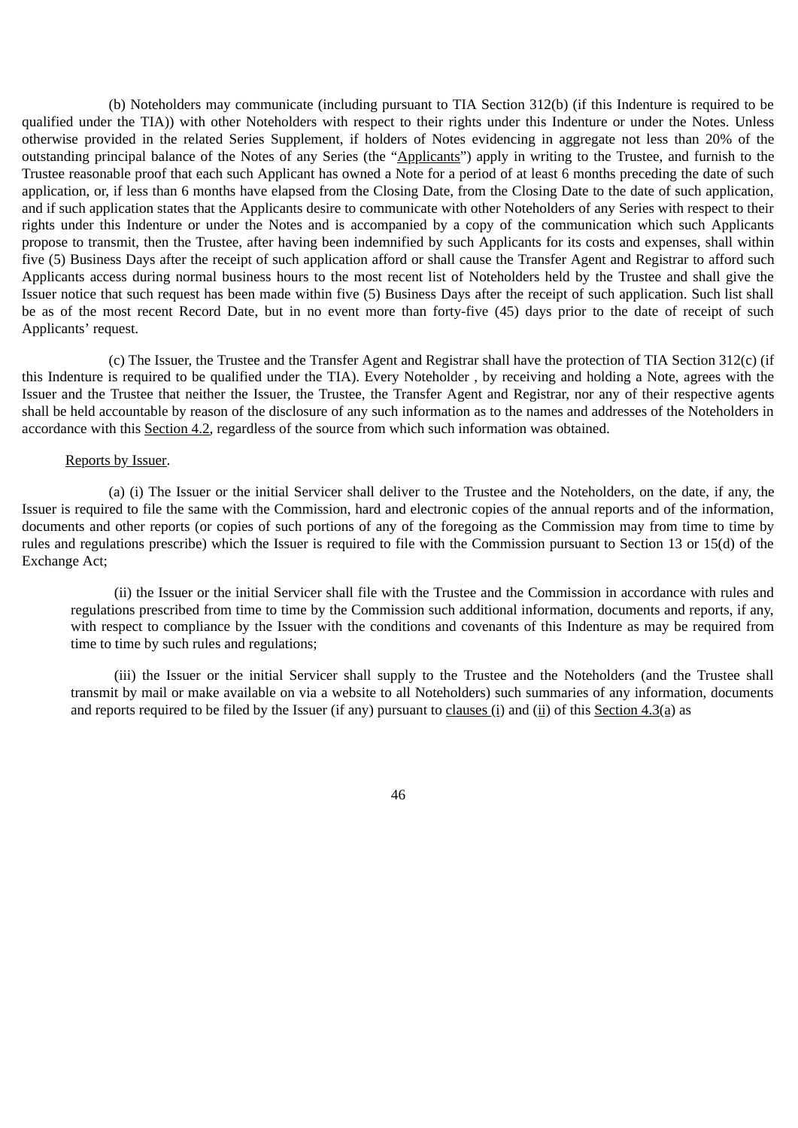(b) Noteholders may communicate (including pursuant to TIA Section 312(b) (if this Indenture is required to be qualified under the TIA)) with other Noteholders with respect to their rights under this Indenture or under the Notes. Unless otherwise provided in the related Series Supplement, if holders of Notes evidencing in aggregate not less than 20% of the outstanding principal balance of the Notes of any Series (the "Applicants") apply in writing to the Trustee, and furnish to the Trustee reasonable proof that each such Applicant has owned a Note for a period of at least 6 months preceding the date of such application, or, if less than 6 months have elapsed from the Closing Date, from the Closing Date to the date of such application, and if such application states that the Applicants desire to communicate with other Noteholders of any Series with respect to their rights under this Indenture or under the Notes and is accompanied by a copy of the communication which such Applicants propose to transmit, then the Trustee, after having been indemnified by such Applicants for its costs and expenses, shall within five (5) Business Days after the receipt of such application afford or shall cause the Transfer Agent and Registrar to afford such Applicants access during normal business hours to the most recent list of Noteholders held by the Trustee and shall give the Issuer notice that such request has been made within five (5) Business Days after the receipt of such application. Such list shall be as of the most recent Record Date, but in no event more than forty-five (45) days prior to the date of receipt of such Applicants' request.

(c) The Issuer, the Trustee and the Transfer Agent and Registrar shall have the protection of TIA Section 312(c) (if this Indenture is required to be qualified under the TIA). Every Noteholder , by receiving and holding a Note, agrees with the Issuer and the Trustee that neither the Issuer, the Trustee, the Transfer Agent and Registrar, nor any of their respective agents shall be held accountable by reason of the disclosure of any such information as to the names and addresses of the Noteholders in accordance with this Section 4.2, regardless of the source from which such information was obtained.

### Reports by Issuer.

(a) (i) The Issuer or the initial Servicer shall deliver to the Trustee and the Noteholders, on the date, if any, the Issuer is required to file the same with the Commission, hard and electronic copies of the annual reports and of the information, documents and other reports (or copies of such portions of any of the foregoing as the Commission may from time to time by rules and regulations prescribe) which the Issuer is required to file with the Commission pursuant to Section 13 or 15(d) of the Exchange Act;

(ii) the Issuer or the initial Servicer shall file with the Trustee and the Commission in accordance with rules and regulations prescribed from time to time by the Commission such additional information, documents and reports, if any, with respect to compliance by the Issuer with the conditions and covenants of this Indenture as may be required from time to time by such rules and regulations;

(iii) the Issuer or the initial Servicer shall supply to the Trustee and the Noteholders (and the Trustee shall transmit by mail or make available on via a website to all Noteholders) such summaries of any information, documents and reports required to be filed by the Issuer (if any) pursuant to clauses (i) and (ii) of this Section 4.3(a) as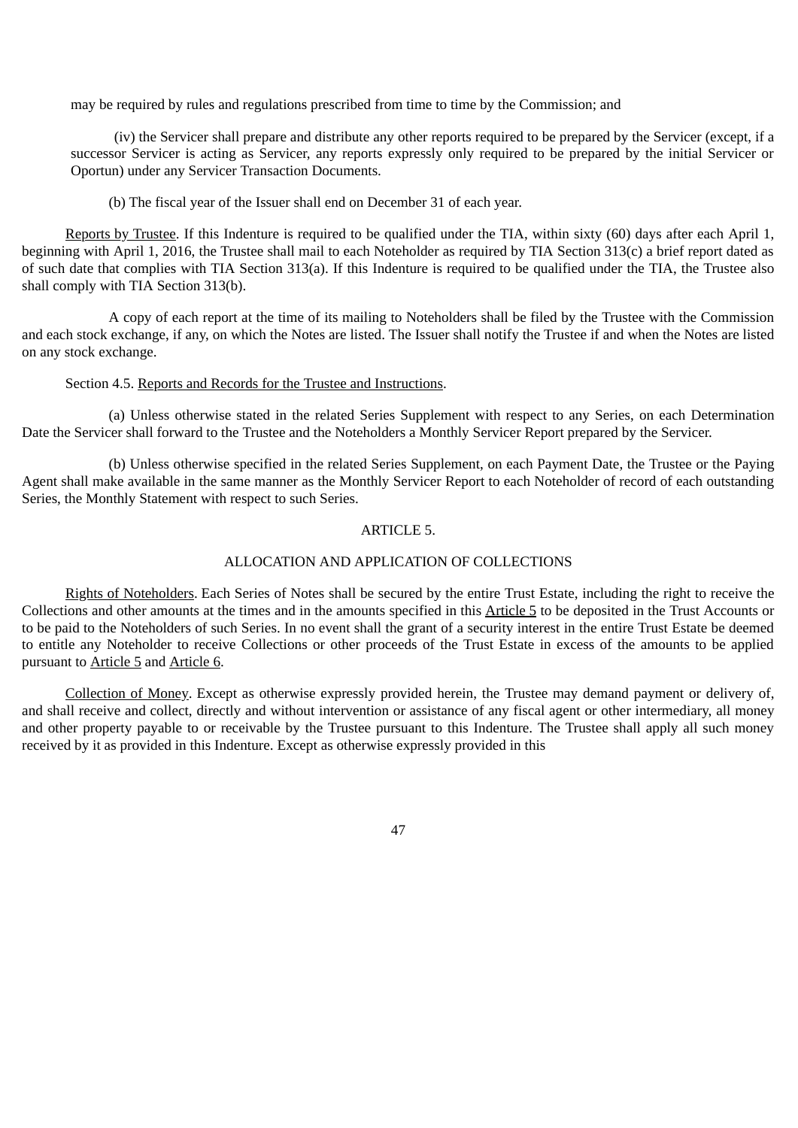may be required by rules and regulations prescribed from time to time by the Commission; and

(iv) the Servicer shall prepare and distribute any other reports required to be prepared by the Servicer (except, if a successor Servicer is acting as Servicer, any reports expressly only required to be prepared by the initial Servicer or Oportun) under any Servicer Transaction Documents.

(b) The fiscal year of the Issuer shall end on December 31 of each year.

Reports by Trustee. If this Indenture is required to be qualified under the TIA, within sixty (60) days after each April 1, beginning with April 1, 2016, the Trustee shall mail to each Noteholder as required by TIA Section 313(c) a brief report dated as of such date that complies with TIA Section 313(a). If this Indenture is required to be qualified under the TIA, the Trustee also shall comply with TIA Section 313(b).

A copy of each report at the time of its mailing to Noteholders shall be filed by the Trustee with the Commission and each stock exchange, if any, on which the Notes are listed. The Issuer shall notify the Trustee if and when the Notes are listed on any stock exchange.

#### Section 4.5. Reports and Records for the Trustee and Instructions.

(a) Unless otherwise stated in the related Series Supplement with respect to any Series, on each Determination Date the Servicer shall forward to the Trustee and the Noteholders a Monthly Servicer Report prepared by the Servicer.

(b) Unless otherwise specified in the related Series Supplement, on each Payment Date, the Trustee or the Paying Agent shall make available in the same manner as the Monthly Servicer Report to each Noteholder of record of each outstanding Series, the Monthly Statement with respect to such Series.

#### ARTICLE 5.

## ALLOCATION AND APPLICATION OF COLLECTIONS

Rights of Noteholders. Each Series of Notes shall be secured by the entire Trust Estate, including the right to receive the Collections and other amounts at the times and in the amounts specified in this Article 5 to be deposited in the Trust Accounts or to be paid to the Noteholders of such Series. In no event shall the grant of a security interest in the entire Trust Estate be deemed to entitle any Noteholder to receive Collections or other proceeds of the Trust Estate in excess of the amounts to be applied pursuant to Article 5 and Article 6.

Collection of Money. Except as otherwise expressly provided herein, the Trustee may demand payment or delivery of, and shall receive and collect, directly and without intervention or assistance of any fiscal agent or other intermediary, all money and other property payable to or receivable by the Trustee pursuant to this Indenture. The Trustee shall apply all such money received by it as provided in this Indenture. Except as otherwise expressly provided in this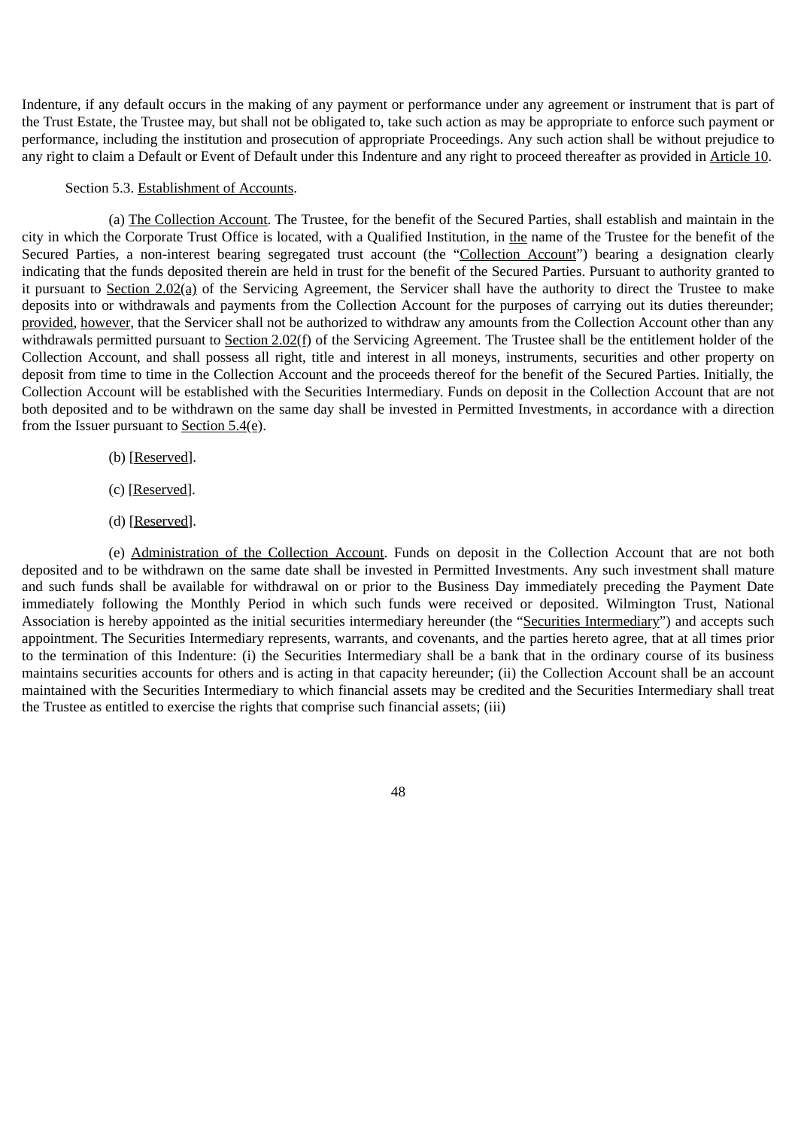Indenture, if any default occurs in the making of any payment or performance under any agreement or instrument that is part of the Trust Estate, the Trustee may, but shall not be obligated to, take such action as may be appropriate to enforce such payment or performance, including the institution and prosecution of appropriate Proceedings. Any such action shall be without prejudice to any right to claim a Default or Event of Default under this Indenture and any right to proceed thereafter as provided in Article 10.

## Section 5.3. Establishment of Accounts.

(a) The Collection Account. The Trustee, for the benefit of the Secured Parties, shall establish and maintain in the city in which the Corporate Trust Office is located, with a Qualified Institution, in the name of the Trustee for the benefit of the Secured Parties, a non-interest bearing segregated trust account (the "Collection Account") bearing a designation clearly indicating that the funds deposited therein are held in trust for the benefit of the Secured Parties. Pursuant to authority granted to it pursuant to Section 2.02(a) of the Servicing Agreement, the Servicer shall have the authority to direct the Trustee to make deposits into or withdrawals and payments from the Collection Account for the purposes of carrying out its duties thereunder; provided, however, that the Servicer shall not be authorized to withdraw any amounts from the Collection Account other than any withdrawals permitted pursuant to Section 2.02(f) of the Servicing Agreement. The Trustee shall be the entitlement holder of the Collection Account, and shall possess all right, title and interest in all moneys, instruments, securities and other property on deposit from time to time in the Collection Account and the proceeds thereof for the benefit of the Secured Parties. Initially, the Collection Account will be established with the Securities Intermediary. Funds on deposit in the Collection Account that are not both deposited and to be withdrawn on the same day shall be invested in Permitted Investments, in accordance with a direction from the Issuer pursuant to Section 5.4(e).

- (b) [Reserved].
- (c) [Reserved].
- (d) [Reserved].

(e) Administration of the Collection Account. Funds on deposit in the Collection Account that are not both deposited and to be withdrawn on the same date shall be invested in Permitted Investments. Any such investment shall mature and such funds shall be available for withdrawal on or prior to the Business Day immediately preceding the Payment Date immediately following the Monthly Period in which such funds were received or deposited. Wilmington Trust, National Association is hereby appointed as the initial securities intermediary hereunder (the "Securities Intermediary") and accepts such appointment. The Securities Intermediary represents, warrants, and covenants, and the parties hereto agree, that at all times prior to the termination of this Indenture: (i) the Securities Intermediary shall be a bank that in the ordinary course of its business maintains securities accounts for others and is acting in that capacity hereunder; (ii) the Collection Account shall be an account maintained with the Securities Intermediary to which financial assets may be credited and the Securities Intermediary shall treat the Trustee as entitled to exercise the rights that comprise such financial assets; (iii)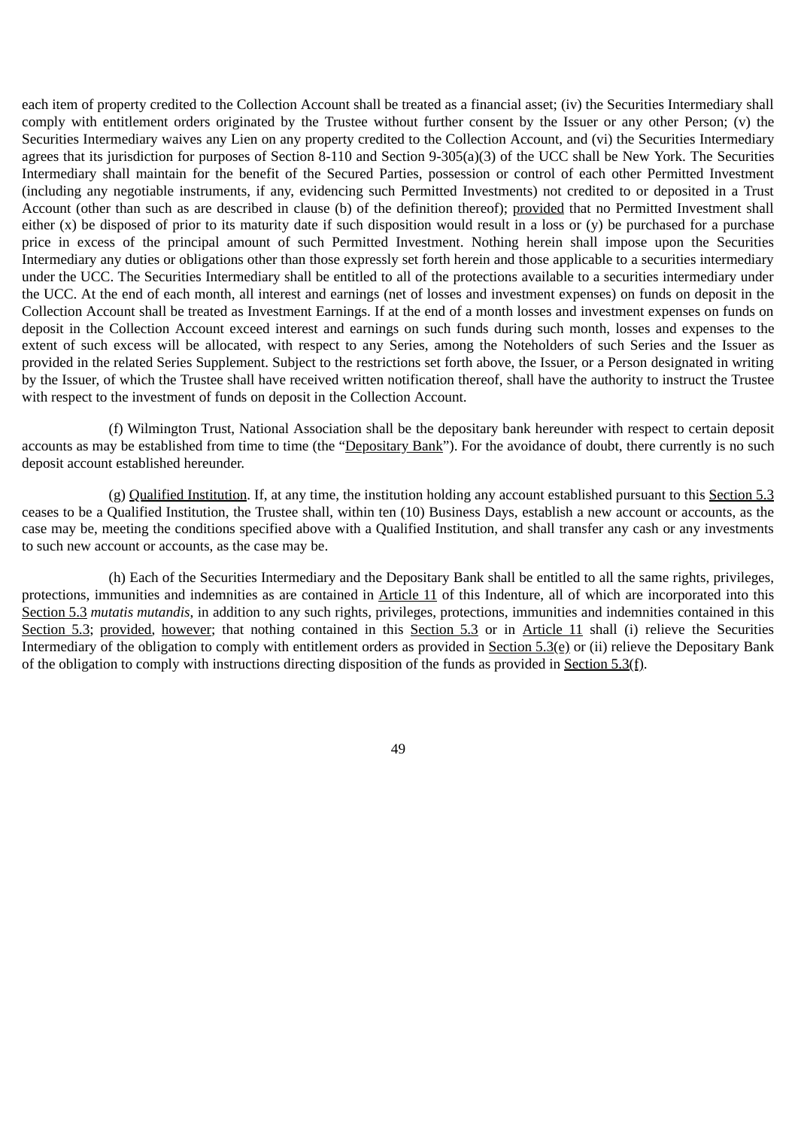each item of property credited to the Collection Account shall be treated as a financial asset; (iv) the Securities Intermediary shall comply with entitlement orders originated by the Trustee without further consent by the Issuer or any other Person; (v) the Securities Intermediary waives any Lien on any property credited to the Collection Account, and (vi) the Securities Intermediary agrees that its jurisdiction for purposes of Section 8-110 and Section 9-305(a)(3) of the UCC shall be New York. The Securities Intermediary shall maintain for the benefit of the Secured Parties, possession or control of each other Permitted Investment (including any negotiable instruments, if any, evidencing such Permitted Investments) not credited to or deposited in a Trust Account (other than such as are described in clause (b) of the definition thereof); provided that no Permitted Investment shall either  $(x)$  be disposed of prior to its maturity date if such disposition would result in a loss or  $(y)$  be purchased for a purchase price in excess of the principal amount of such Permitted Investment. Nothing herein shall impose upon the Securities Intermediary any duties or obligations other than those expressly set forth herein and those applicable to a securities intermediary under the UCC. The Securities Intermediary shall be entitled to all of the protections available to a securities intermediary under the UCC. At the end of each month, all interest and earnings (net of losses and investment expenses) on funds on deposit in the Collection Account shall be treated as Investment Earnings. If at the end of a month losses and investment expenses on funds on deposit in the Collection Account exceed interest and earnings on such funds during such month, losses and expenses to the extent of such excess will be allocated, with respect to any Series, among the Noteholders of such Series and the Issuer as provided in the related Series Supplement. Subject to the restrictions set forth above, the Issuer, or a Person designated in writing by the Issuer, of which the Trustee shall have received written notification thereof, shall have the authority to instruct the Trustee with respect to the investment of funds on deposit in the Collection Account.

(f) Wilmington Trust, National Association shall be the depositary bank hereunder with respect to certain deposit accounts as may be established from time to time (the "Depositary Bank"). For the avoidance of doubt, there currently is no such deposit account established hereunder.

(g) Qualified Institution. If, at any time, the institution holding any account established pursuant to this Section 5.3 ceases to be a Qualified Institution, the Trustee shall, within ten (10) Business Days, establish a new account or accounts, as the case may be, meeting the conditions specified above with a Qualified Institution, and shall transfer any cash or any investments to such new account or accounts, as the case may be.

(h) Each of the Securities Intermediary and the Depositary Bank shall be entitled to all the same rights, privileges, protections, immunities and indemnities as are contained in Article 11 of this Indenture, all of which are incorporated into this Section 5.3 *mutatis mutandis*, in addition to any such rights, privileges, protections, immunities and indemnities contained in this Section 5.3; provided, however; that nothing contained in this Section 5.3 or in Article 11 shall (i) relieve the Securities Intermediary of the obligation to comply with entitlement orders as provided in Section 5.3(e) or (ii) relieve the Depositary Bank of the obligation to comply with instructions directing disposition of the funds as provided in Section 5.3(f).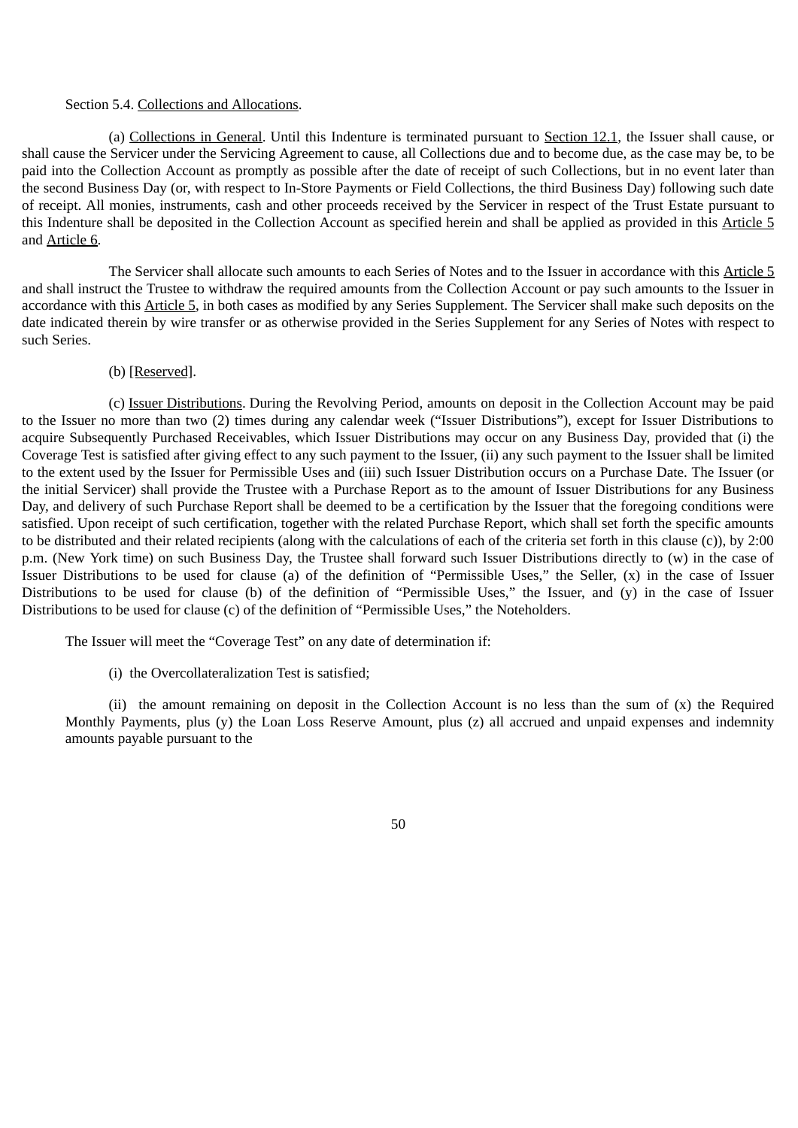#### Section 5.4. Collections and Allocations.

(a) Collections in General. Until this Indenture is terminated pursuant to Section 12.1, the Issuer shall cause, or shall cause the Servicer under the Servicing Agreement to cause, all Collections due and to become due, as the case may be, to be paid into the Collection Account as promptly as possible after the date of receipt of such Collections, but in no event later than the second Business Day (or, with respect to In-Store Payments or Field Collections, the third Business Day) following such date of receipt. All monies, instruments, cash and other proceeds received by the Servicer in respect of the Trust Estate pursuant to this Indenture shall be deposited in the Collection Account as specified herein and shall be applied as provided in this Article 5 and Article 6.

The Servicer shall allocate such amounts to each Series of Notes and to the Issuer in accordance with this Article 5 and shall instruct the Trustee to withdraw the required amounts from the Collection Account or pay such amounts to the Issuer in accordance with this Article 5, in both cases as modified by any Series Supplement. The Servicer shall make such deposits on the date indicated therein by wire transfer or as otherwise provided in the Series Supplement for any Series of Notes with respect to such Series.

## (b) [Reserved].

(c) Issuer Distributions. During the Revolving Period, amounts on deposit in the Collection Account may be paid to the Issuer no more than two (2) times during any calendar week ("Issuer Distributions"), except for Issuer Distributions to acquire Subsequently Purchased Receivables, which Issuer Distributions may occur on any Business Day, provided that (i) the Coverage Test is satisfied after giving effect to any such payment to the Issuer, (ii) any such payment to the Issuer shall be limited to the extent used by the Issuer for Permissible Uses and (iii) such Issuer Distribution occurs on a Purchase Date. The Issuer (or the initial Servicer) shall provide the Trustee with a Purchase Report as to the amount of Issuer Distributions for any Business Day, and delivery of such Purchase Report shall be deemed to be a certification by the Issuer that the foregoing conditions were satisfied. Upon receipt of such certification, together with the related Purchase Report, which shall set forth the specific amounts to be distributed and their related recipients (along with the calculations of each of the criteria set forth in this clause (c)), by 2:00 p.m. (New York time) on such Business Day, the Trustee shall forward such Issuer Distributions directly to (w) in the case of Issuer Distributions to be used for clause (a) of the definition of "Permissible Uses," the Seller, (x) in the case of Issuer Distributions to be used for clause (b) of the definition of "Permissible Uses," the Issuer, and (y) in the case of Issuer Distributions to be used for clause (c) of the definition of "Permissible Uses," the Noteholders.

The Issuer will meet the "Coverage Test" on any date of determination if:

(i) the Overcollateralization Test is satisfied;

(ii) the amount remaining on deposit in the Collection Account is no less than the sum of  $(x)$  the Required Monthly Payments, plus (y) the Loan Loss Reserve Amount, plus (z) all accrued and unpaid expenses and indemnity amounts payable pursuant to the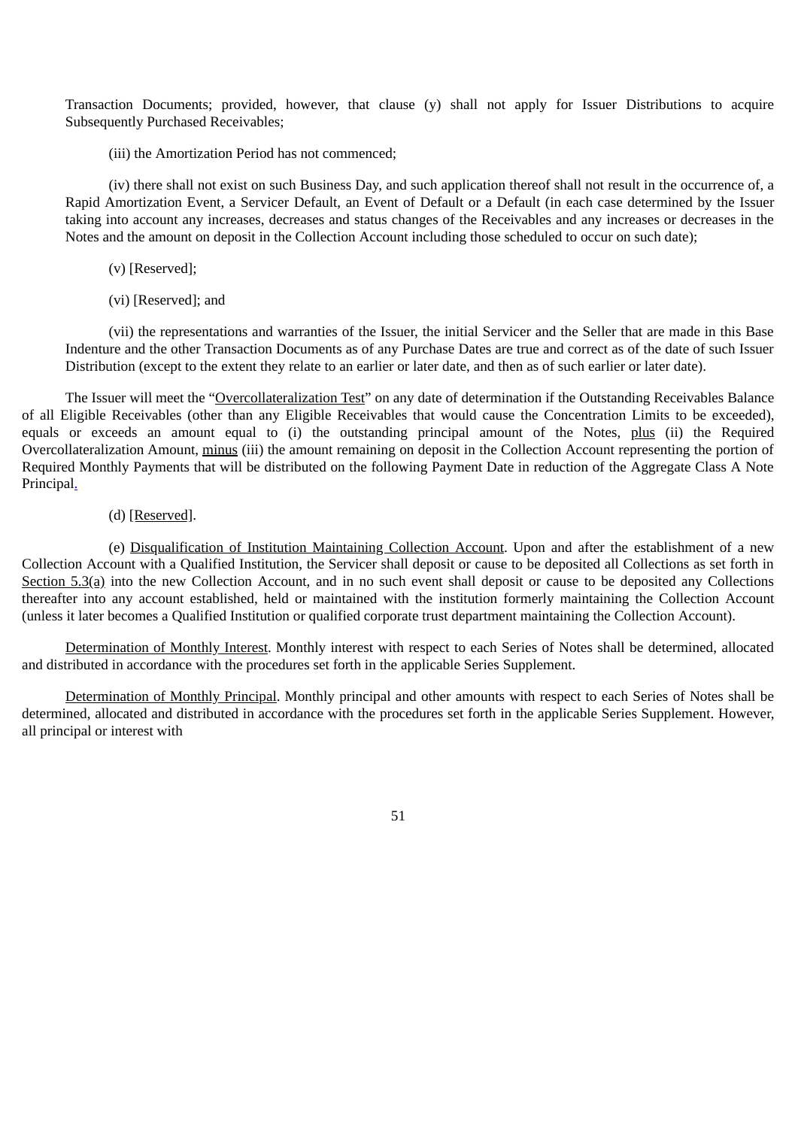Transaction Documents; provided, however, that clause (y) shall not apply for Issuer Distributions to acquire Subsequently Purchased Receivables;

(iii) the Amortization Period has not commenced;

(iv) there shall not exist on such Business Day, and such application thereof shall not result in the occurrence of, a Rapid Amortization Event, a Servicer Default, an Event of Default or a Default (in each case determined by the Issuer taking into account any increases, decreases and status changes of the Receivables and any increases or decreases in the Notes and the amount on deposit in the Collection Account including those scheduled to occur on such date);

- (v) [Reserved];
- (vi) [Reserved]; and

(vii) the representations and warranties of the Issuer, the initial Servicer and the Seller that are made in this Base Indenture and the other Transaction Documents as of any Purchase Dates are true and correct as of the date of such Issuer Distribution (except to the extent they relate to an earlier or later date, and then as of such earlier or later date).

The Issuer will meet the "Overcollateralization Test" on any date of determination if the Outstanding Receivables Balance of all Eligible Receivables (other than any Eligible Receivables that would cause the Concentration Limits to be exceeded), equals or exceeds an amount equal to (i) the outstanding principal amount of the Notes, plus (ii) the Required Overcollateralization Amount, minus (iii) the amount remaining on deposit in the Collection Account representing the portion of Required Monthly Payments that will be distributed on the following Payment Date in reduction of the Aggregate Class A Note Principal.

## (d) [Reserved].

(e) Disqualification of Institution Maintaining Collection Account. Upon and after the establishment of a new Collection Account with a Qualified Institution, the Servicer shall deposit or cause to be deposited all Collections as set forth in Section 5.3(a) into the new Collection Account, and in no such event shall deposit or cause to be deposited any Collections thereafter into any account established, held or maintained with the institution formerly maintaining the Collection Account (unless it later becomes a Qualified Institution or qualified corporate trust department maintaining the Collection Account).

Determination of Monthly Interest. Monthly interest with respect to each Series of Notes shall be determined, allocated and distributed in accordance with the procedures set forth in the applicable Series Supplement.

Determination of Monthly Principal. Monthly principal and other amounts with respect to each Series of Notes shall be determined, allocated and distributed in accordance with the procedures set forth in the applicable Series Supplement. However, all principal or interest with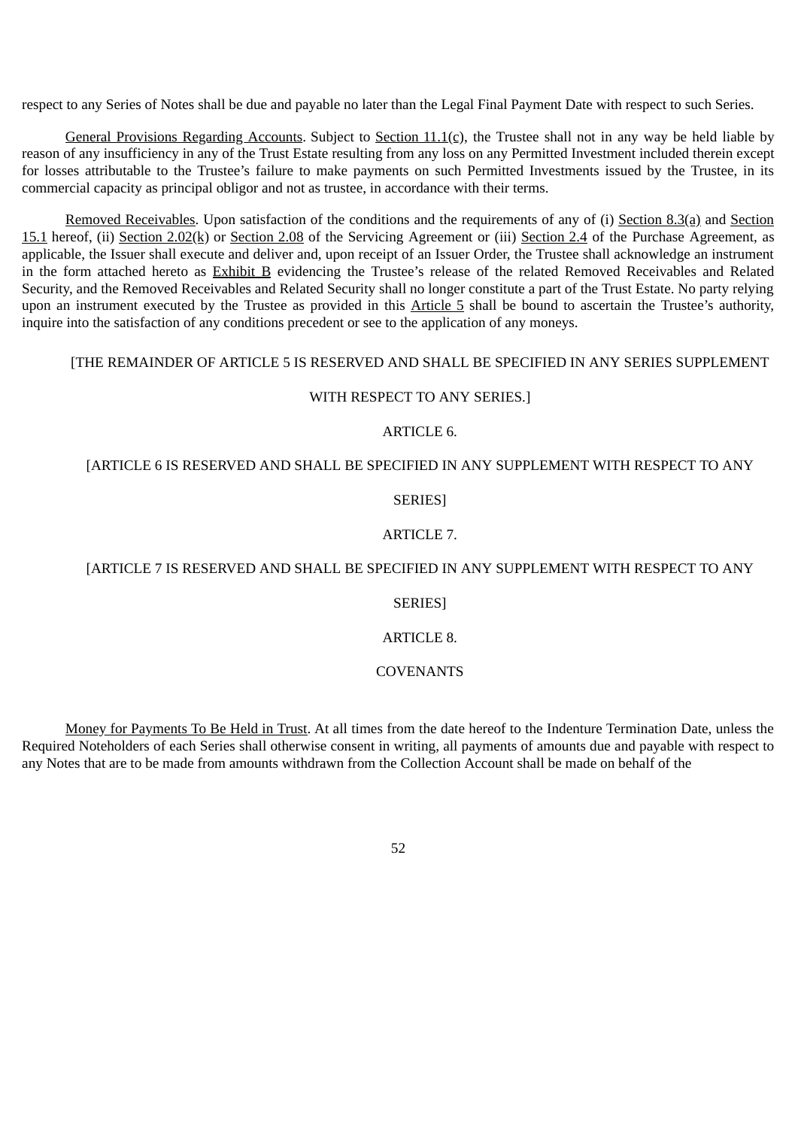respect to any Series of Notes shall be due and payable no later than the Legal Final Payment Date with respect to such Series.

General Provisions Regarding Accounts. Subject to Section  $11.1(c)$ , the Trustee shall not in any way be held liable by reason of any insufficiency in any of the Trust Estate resulting from any loss on any Permitted Investment included therein except for losses attributable to the Trustee's failure to make payments on such Permitted Investments issued by the Trustee, in its commercial capacity as principal obligor and not as trustee, in accordance with their terms.

Removed Receivables. Upon satisfaction of the conditions and the requirements of any of (i) Section 8.3(a) and Section 15.1 hereof, (ii) Section 2.02(k) or Section 2.08 of the Servicing Agreement or (iii) Section 2.4 of the Purchase Agreement, as applicable, the Issuer shall execute and deliver and, upon receipt of an Issuer Order, the Trustee shall acknowledge an instrument in the form attached hereto as Exhibit B evidencing the Trustee's release of the related Removed Receivables and Related Security, and the Removed Receivables and Related Security shall no longer constitute a part of the Trust Estate. No party relying upon an instrument executed by the Trustee as provided in this Article 5 shall be bound to ascertain the Trustee's authority, inquire into the satisfaction of any conditions precedent or see to the application of any moneys.

## [THE REMAINDER OF ARTICLE 5 IS RESERVED AND SHALL BE SPECIFIED IN ANY SERIES SUPPLEMENT

# WITH RESPECT TO ANY SERIES.]

# ARTICLE 6.

## [ARTICLE 6 IS RESERVED AND SHALL BE SPECIFIED IN ANY SUPPLEMENT WITH RESPECT TO ANY

SERIES]

## ARTICLE 7.

# [ARTICLE 7 IS RESERVED AND SHALL BE SPECIFIED IN ANY SUPPLEMENT WITH RESPECT TO ANY

### SERIES]

# ARTICLE 8.

### **COVENANTS**

Money for Payments To Be Held in Trust. At all times from the date hereof to the Indenture Termination Date, unless the Required Noteholders of each Series shall otherwise consent in writing, all payments of amounts due and payable with respect to any Notes that are to be made from amounts withdrawn from the Collection Account shall be made on behalf of the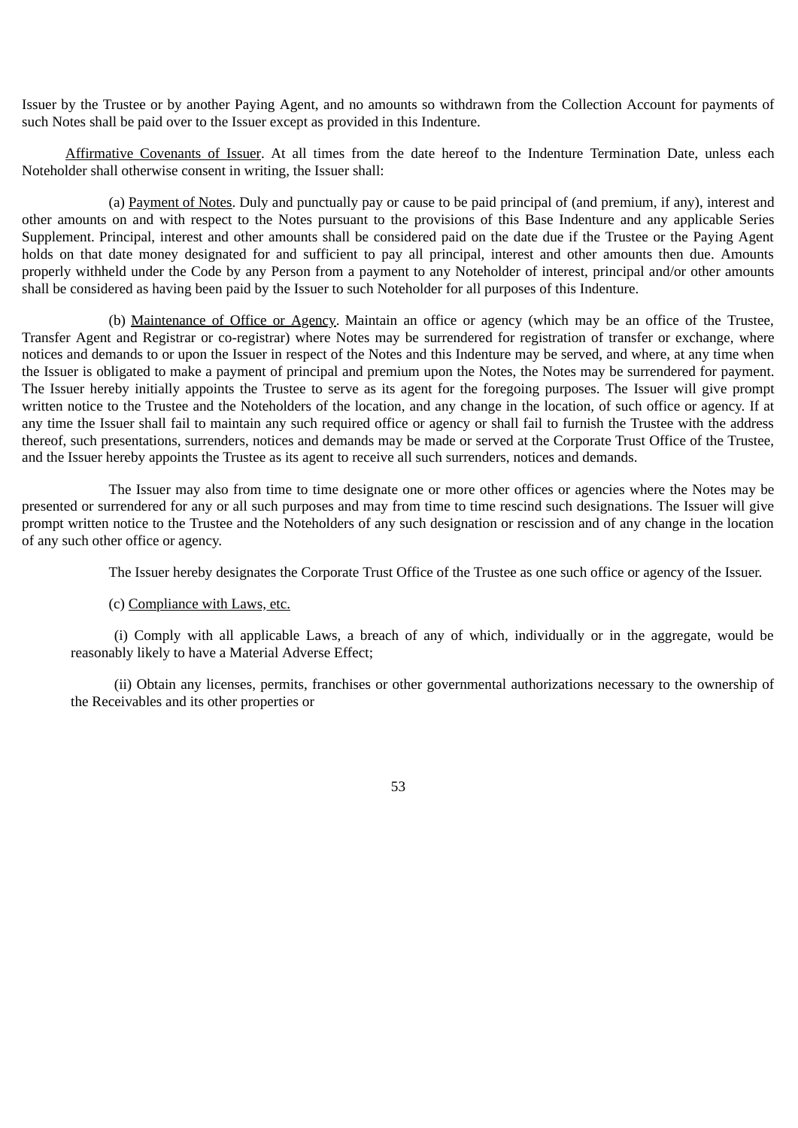Issuer by the Trustee or by another Paying Agent, and no amounts so withdrawn from the Collection Account for payments of such Notes shall be paid over to the Issuer except as provided in this Indenture.

Affirmative Covenants of Issuer. At all times from the date hereof to the Indenture Termination Date, unless each Noteholder shall otherwise consent in writing, the Issuer shall:

(a) Payment of Notes. Duly and punctually pay or cause to be paid principal of (and premium, if any), interest and other amounts on and with respect to the Notes pursuant to the provisions of this Base Indenture and any applicable Series Supplement. Principal, interest and other amounts shall be considered paid on the date due if the Trustee or the Paying Agent holds on that date money designated for and sufficient to pay all principal, interest and other amounts then due. Amounts properly withheld under the Code by any Person from a payment to any Noteholder of interest, principal and/or other amounts shall be considered as having been paid by the Issuer to such Noteholder for all purposes of this Indenture.

(b) Maintenance of Office or Agency. Maintain an office or agency (which may be an office of the Trustee, Transfer Agent and Registrar or co-registrar) where Notes may be surrendered for registration of transfer or exchange, where notices and demands to or upon the Issuer in respect of the Notes and this Indenture may be served, and where, at any time when the Issuer is obligated to make a payment of principal and premium upon the Notes, the Notes may be surrendered for payment. The Issuer hereby initially appoints the Trustee to serve as its agent for the foregoing purposes. The Issuer will give prompt written notice to the Trustee and the Noteholders of the location, and any change in the location, of such office or agency. If at any time the Issuer shall fail to maintain any such required office or agency or shall fail to furnish the Trustee with the address thereof, such presentations, surrenders, notices and demands may be made or served at the Corporate Trust Office of the Trustee, and the Issuer hereby appoints the Trustee as its agent to receive all such surrenders, notices and demands.

The Issuer may also from time to time designate one or more other offices or agencies where the Notes may be presented or surrendered for any or all such purposes and may from time to time rescind such designations. The Issuer will give prompt written notice to the Trustee and the Noteholders of any such designation or rescission and of any change in the location of any such other office or agency.

The Issuer hereby designates the Corporate Trust Office of the Trustee as one such office or agency of the Issuer.

## (c) Compliance with Laws, etc.

(i) Comply with all applicable Laws, a breach of any of which, individually or in the aggregate, would be reasonably likely to have a Material Adverse Effect;

(ii) Obtain any licenses, permits, franchises or other governmental authorizations necessary to the ownership of the Receivables and its other properties or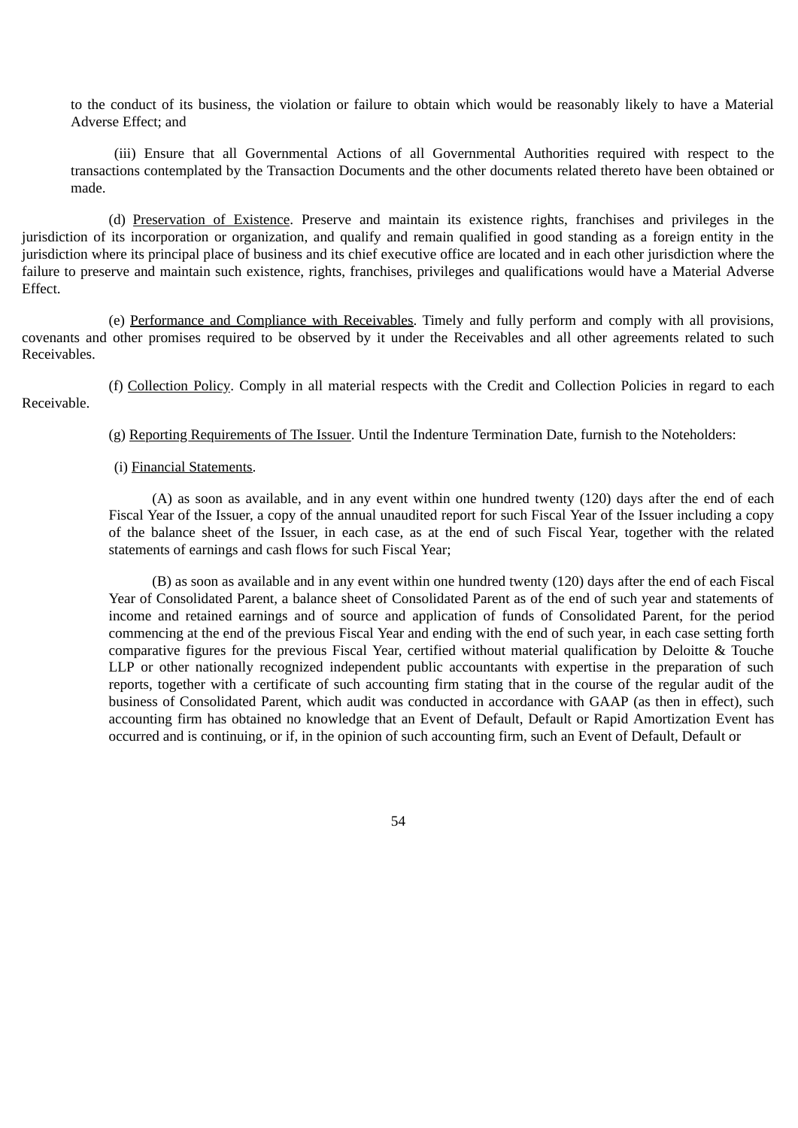to the conduct of its business, the violation or failure to obtain which would be reasonably likely to have a Material Adverse Effect; and

(iii) Ensure that all Governmental Actions of all Governmental Authorities required with respect to the transactions contemplated by the Transaction Documents and the other documents related thereto have been obtained or made.

(d) Preservation of Existence. Preserve and maintain its existence rights, franchises and privileges in the jurisdiction of its incorporation or organization, and qualify and remain qualified in good standing as a foreign entity in the jurisdiction where its principal place of business and its chief executive office are located and in each other jurisdiction where the failure to preserve and maintain such existence, rights, franchises, privileges and qualifications would have a Material Adverse Effect.

(e) Performance and Compliance with Receivables. Timely and fully perform and comply with all provisions, covenants and other promises required to be observed by it under the Receivables and all other agreements related to such Receivables.

(f) Collection Policy. Comply in all material respects with the Credit and Collection Policies in regard to each Receivable.

(g) Reporting Requirements of The Issuer. Until the Indenture Termination Date, furnish to the Noteholders:

### (i) Financial Statements.

(A) as soon as available, and in any event within one hundred twenty (120) days after the end of each Fiscal Year of the Issuer, a copy of the annual unaudited report for such Fiscal Year of the Issuer including a copy of the balance sheet of the Issuer, in each case, as at the end of such Fiscal Year, together with the related statements of earnings and cash flows for such Fiscal Year;

(B) as soon as available and in any event within one hundred twenty (120) days after the end of each Fiscal Year of Consolidated Parent, a balance sheet of Consolidated Parent as of the end of such year and statements of income and retained earnings and of source and application of funds of Consolidated Parent, for the period commencing at the end of the previous Fiscal Year and ending with the end of such year, in each case setting forth comparative figures for the previous Fiscal Year, certified without material qualification by Deloitte & Touche LLP or other nationally recognized independent public accountants with expertise in the preparation of such reports, together with a certificate of such accounting firm stating that in the course of the regular audit of the business of Consolidated Parent, which audit was conducted in accordance with GAAP (as then in effect), such accounting firm has obtained no knowledge that an Event of Default, Default or Rapid Amortization Event has occurred and is continuing, or if, in the opinion of such accounting firm, such an Event of Default, Default or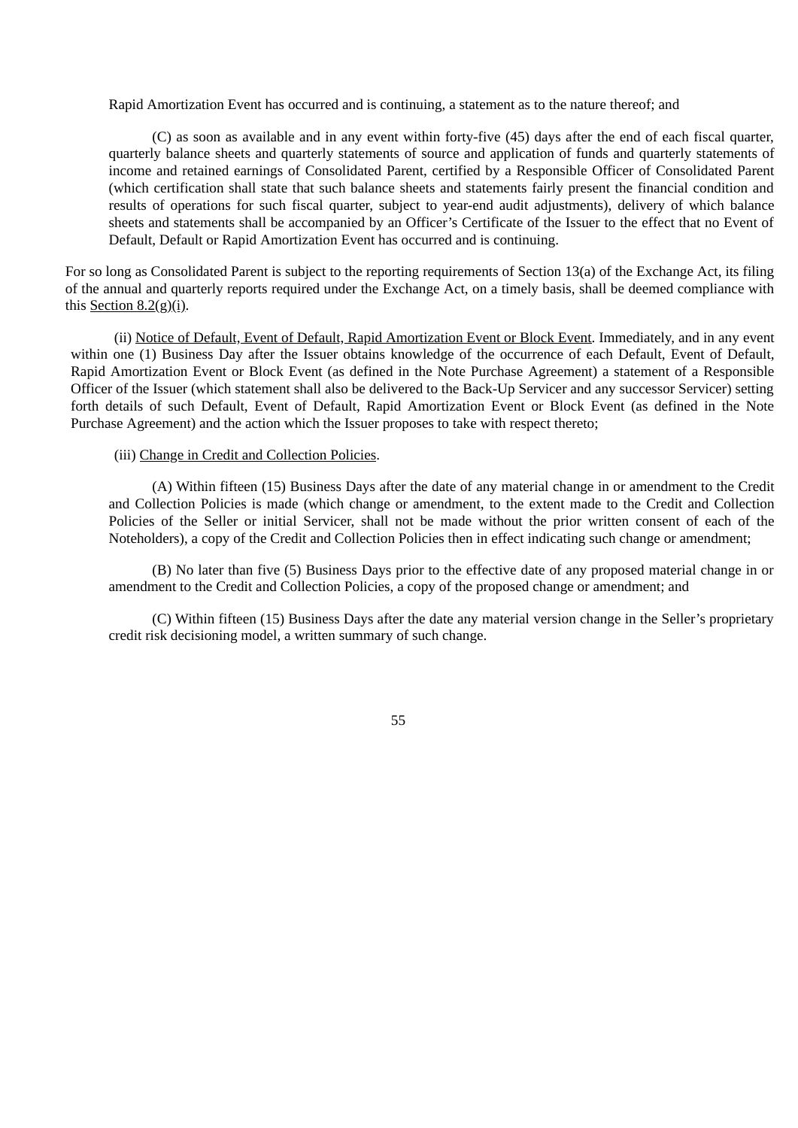Rapid Amortization Event has occurred and is continuing, a statement as to the nature thereof; and

(C) as soon as available and in any event within forty-five (45) days after the end of each fiscal quarter, quarterly balance sheets and quarterly statements of source and application of funds and quarterly statements of income and retained earnings of Consolidated Parent, certified by a Responsible Officer of Consolidated Parent (which certification shall state that such balance sheets and statements fairly present the financial condition and results of operations for such fiscal quarter, subject to year-end audit adjustments), delivery of which balance sheets and statements shall be accompanied by an Officer's Certificate of the Issuer to the effect that no Event of Default, Default or Rapid Amortization Event has occurred and is continuing.

For so long as Consolidated Parent is subject to the reporting requirements of Section 13(a) of the Exchange Act, its filing of the annual and quarterly reports required under the Exchange Act, on a timely basis, shall be deemed compliance with this Section  $8.2(g)(i)$ .

(ii) Notice of Default, Event of Default, Rapid Amortization Event or Block Event. Immediately, and in any event within one (1) Business Day after the Issuer obtains knowledge of the occurrence of each Default, Event of Default, Rapid Amortization Event or Block Event (as defined in the Note Purchase Agreement) a statement of a Responsible Officer of the Issuer (which statement shall also be delivered to the Back-Up Servicer and any successor Servicer) setting forth details of such Default, Event of Default, Rapid Amortization Event or Block Event (as defined in the Note Purchase Agreement) and the action which the Issuer proposes to take with respect thereto;

#### (iii) Change in Credit and Collection Policies.

(A) Within fifteen (15) Business Days after the date of any material change in or amendment to the Credit and Collection Policies is made (which change or amendment, to the extent made to the Credit and Collection Policies of the Seller or initial Servicer, shall not be made without the prior written consent of each of the Noteholders), a copy of the Credit and Collection Policies then in effect indicating such change or amendment;

(B) No later than five (5) Business Days prior to the effective date of any proposed material change in or amendment to the Credit and Collection Policies, a copy of the proposed change or amendment; and

(C) Within fifteen (15) Business Days after the date any material version change in the Seller's proprietary credit risk decisioning model, a written summary of such change.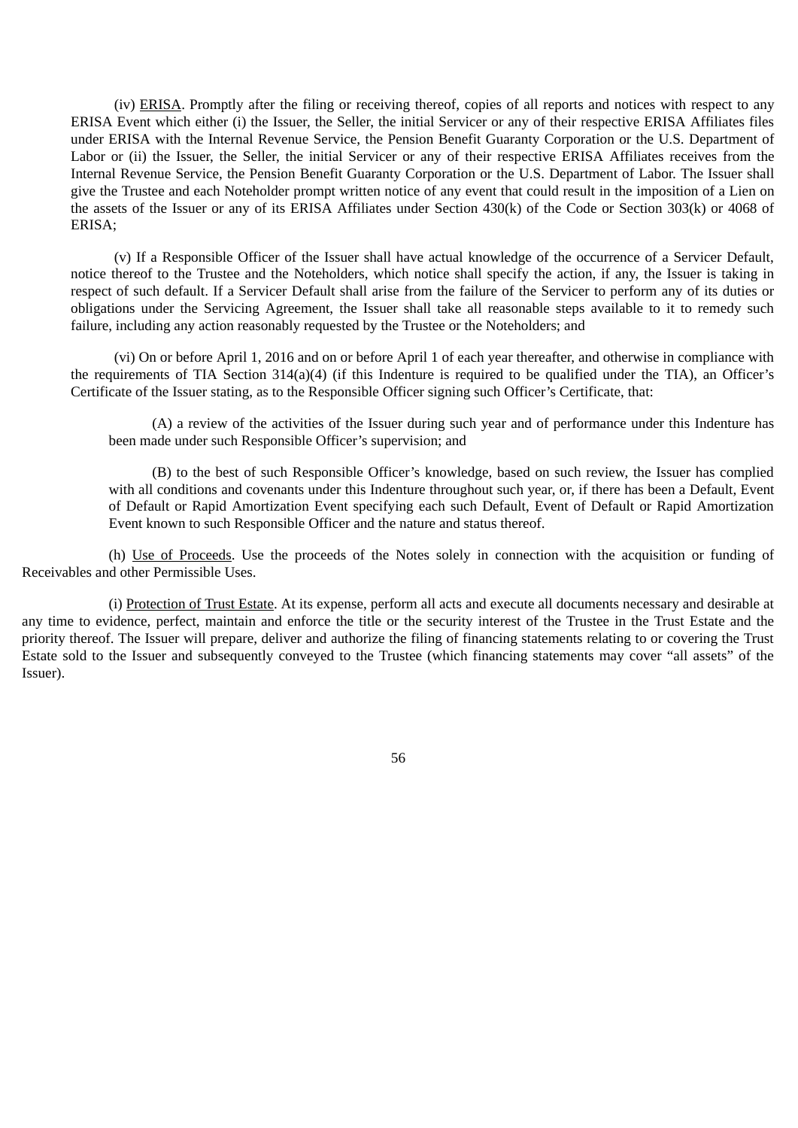(iv) ERISA. Promptly after the filing or receiving thereof, copies of all reports and notices with respect to any ERISA Event which either (i) the Issuer, the Seller, the initial Servicer or any of their respective ERISA Affiliates files under ERISA with the Internal Revenue Service, the Pension Benefit Guaranty Corporation or the U.S. Department of Labor or (ii) the Issuer, the Seller, the initial Servicer or any of their respective ERISA Affiliates receives from the Internal Revenue Service, the Pension Benefit Guaranty Corporation or the U.S. Department of Labor. The Issuer shall give the Trustee and each Noteholder prompt written notice of any event that could result in the imposition of a Lien on the assets of the Issuer or any of its ERISA Affiliates under Section 430(k) of the Code or Section 303(k) or 4068 of ERISA;

(v) If a Responsible Officer of the Issuer shall have actual knowledge of the occurrence of a Servicer Default, notice thereof to the Trustee and the Noteholders, which notice shall specify the action, if any, the Issuer is taking in respect of such default. If a Servicer Default shall arise from the failure of the Servicer to perform any of its duties or obligations under the Servicing Agreement, the Issuer shall take all reasonable steps available to it to remedy such failure, including any action reasonably requested by the Trustee or the Noteholders; and

(vi) On or before April 1, 2016 and on or before April 1 of each year thereafter, and otherwise in compliance with the requirements of TIA Section 314(a)(4) (if this Indenture is required to be qualified under the TIA), an Officer's Certificate of the Issuer stating, as to the Responsible Officer signing such Officer's Certificate, that:

(A) a review of the activities of the Issuer during such year and of performance under this Indenture has been made under such Responsible Officer's supervision; and

(B) to the best of such Responsible Officer's knowledge, based on such review, the Issuer has complied with all conditions and covenants under this Indenture throughout such year, or, if there has been a Default, Event of Default or Rapid Amortization Event specifying each such Default, Event of Default or Rapid Amortization Event known to such Responsible Officer and the nature and status thereof.

(h) Use of Proceeds. Use the proceeds of the Notes solely in connection with the acquisition or funding of Receivables and other Permissible Uses.

(i) Protection of Trust Estate. At its expense, perform all acts and execute all documents necessary and desirable at any time to evidence, perfect, maintain and enforce the title or the security interest of the Trustee in the Trust Estate and the priority thereof. The Issuer will prepare, deliver and authorize the filing of financing statements relating to or covering the Trust Estate sold to the Issuer and subsequently conveyed to the Trustee (which financing statements may cover "all assets" of the Issuer).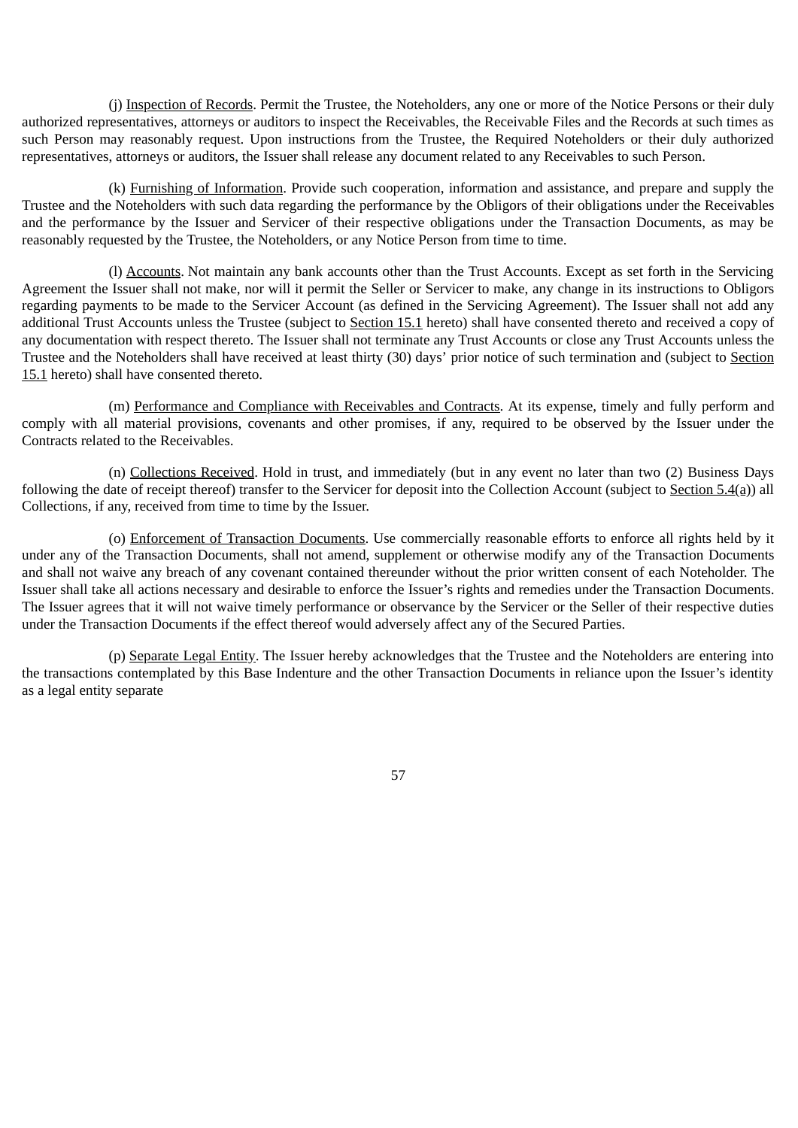(j) Inspection of Records. Permit the Trustee, the Noteholders, any one or more of the Notice Persons or their duly authorized representatives, attorneys or auditors to inspect the Receivables, the Receivable Files and the Records at such times as such Person may reasonably request. Upon instructions from the Trustee, the Required Noteholders or their duly authorized representatives, attorneys or auditors, the Issuer shall release any document related to any Receivables to such Person.

(k) Furnishing of Information. Provide such cooperation, information and assistance, and prepare and supply the Trustee and the Noteholders with such data regarding the performance by the Obligors of their obligations under the Receivables and the performance by the Issuer and Servicer of their respective obligations under the Transaction Documents, as may be reasonably requested by the Trustee, the Noteholders, or any Notice Person from time to time.

(l) Accounts. Not maintain any bank accounts other than the Trust Accounts. Except as set forth in the Servicing Agreement the Issuer shall not make, nor will it permit the Seller or Servicer to make, any change in its instructions to Obligors regarding payments to be made to the Servicer Account (as defined in the Servicing Agreement). The Issuer shall not add any additional Trust Accounts unless the Trustee (subject to Section 15.1 hereto) shall have consented thereto and received a copy of any documentation with respect thereto. The Issuer shall not terminate any Trust Accounts or close any Trust Accounts unless the Trustee and the Noteholders shall have received at least thirty (30) days' prior notice of such termination and (subject to Section 15.1 hereto) shall have consented thereto.

(m) Performance and Compliance with Receivables and Contracts. At its expense, timely and fully perform and comply with all material provisions, covenants and other promises, if any, required to be observed by the Issuer under the Contracts related to the Receivables.

(n) Collections Received. Hold in trust, and immediately (but in any event no later than two (2) Business Days following the date of receipt thereof) transfer to the Servicer for deposit into the Collection Account (subject to Section 5.4(a)) all Collections, if any, received from time to time by the Issuer.

(o) Enforcement of Transaction Documents. Use commercially reasonable efforts to enforce all rights held by it under any of the Transaction Documents, shall not amend, supplement or otherwise modify any of the Transaction Documents and shall not waive any breach of any covenant contained thereunder without the prior written consent of each Noteholder. The Issuer shall take all actions necessary and desirable to enforce the Issuer's rights and remedies under the Transaction Documents. The Issuer agrees that it will not waive timely performance or observance by the Servicer or the Seller of their respective duties under the Transaction Documents if the effect thereof would adversely affect any of the Secured Parties.

(p) Separate Legal Entity. The Issuer hereby acknowledges that the Trustee and the Noteholders are entering into the transactions contemplated by this Base Indenture and the other Transaction Documents in reliance upon the Issuer's identity as a legal entity separate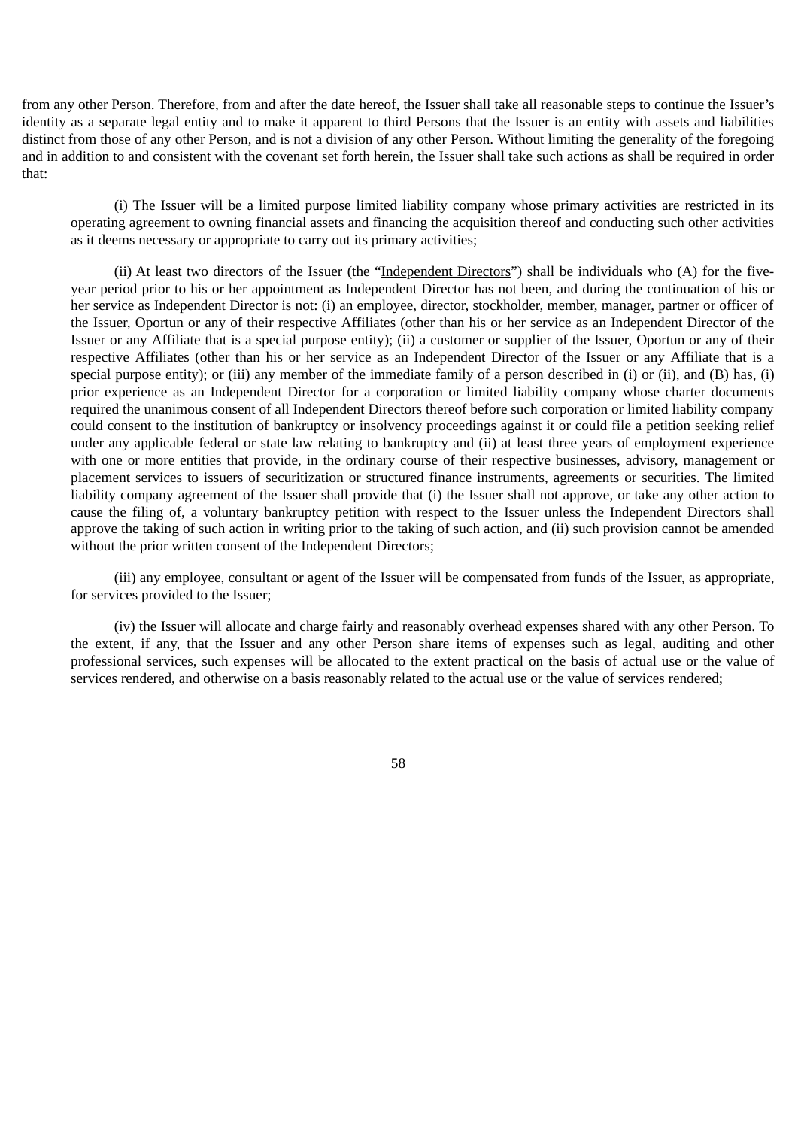from any other Person. Therefore, from and after the date hereof, the Issuer shall take all reasonable steps to continue the Issuer's identity as a separate legal entity and to make it apparent to third Persons that the Issuer is an entity with assets and liabilities distinct from those of any other Person, and is not a division of any other Person. Without limiting the generality of the foregoing and in addition to and consistent with the covenant set forth herein, the Issuer shall take such actions as shall be required in order that:

(i) The Issuer will be a limited purpose limited liability company whose primary activities are restricted in its operating agreement to owning financial assets and financing the acquisition thereof and conducting such other activities as it deems necessary or appropriate to carry out its primary activities;

(ii) At least two directors of the Issuer (the "Independent Directors") shall be individuals who (A) for the fiveyear period prior to his or her appointment as Independent Director has not been, and during the continuation of his or her service as Independent Director is not: (i) an employee, director, stockholder, member, manager, partner or officer of the Issuer, Oportun or any of their respective Affiliates (other than his or her service as an Independent Director of the Issuer or any Affiliate that is a special purpose entity); (ii) a customer or supplier of the Issuer, Oportun or any of their respective Affiliates (other than his or her service as an Independent Director of the Issuer or any Affiliate that is a special purpose entity); or (iii) any member of the immediate family of a person described in (i) or (ii), and (B) has, (i) prior experience as an Independent Director for a corporation or limited liability company whose charter documents required the unanimous consent of all Independent Directors thereof before such corporation or limited liability company could consent to the institution of bankruptcy or insolvency proceedings against it or could file a petition seeking relief under any applicable federal or state law relating to bankruptcy and (ii) at least three years of employment experience with one or more entities that provide, in the ordinary course of their respective businesses, advisory, management or placement services to issuers of securitization or structured finance instruments, agreements or securities. The limited liability company agreement of the Issuer shall provide that (i) the Issuer shall not approve, or take any other action to cause the filing of, a voluntary bankruptcy petition with respect to the Issuer unless the Independent Directors shall approve the taking of such action in writing prior to the taking of such action, and (ii) such provision cannot be amended without the prior written consent of the Independent Directors;

(iii) any employee, consultant or agent of the Issuer will be compensated from funds of the Issuer, as appropriate, for services provided to the Issuer;

(iv) the Issuer will allocate and charge fairly and reasonably overhead expenses shared with any other Person. To the extent, if any, that the Issuer and any other Person share items of expenses such as legal, auditing and other professional services, such expenses will be allocated to the extent practical on the basis of actual use or the value of services rendered, and otherwise on a basis reasonably related to the actual use or the value of services rendered;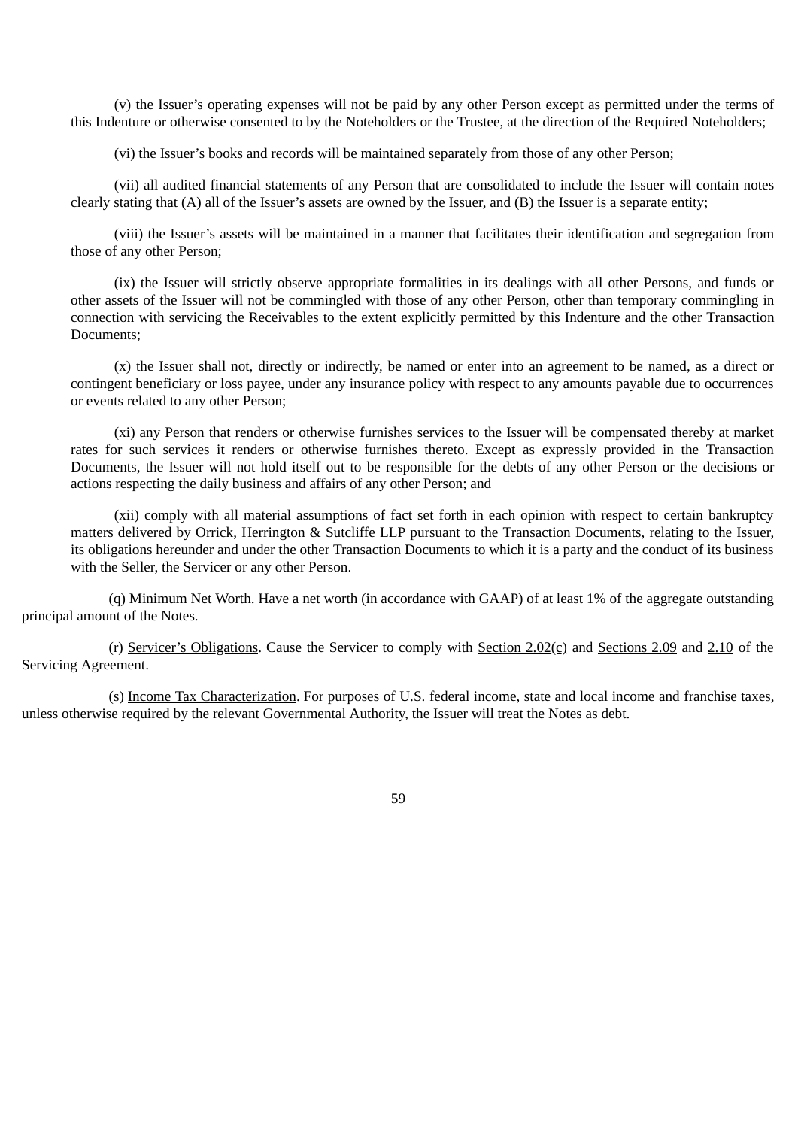(v) the Issuer's operating expenses will not be paid by any other Person except as permitted under the terms of this Indenture or otherwise consented to by the Noteholders or the Trustee, at the direction of the Required Noteholders;

(vi) the Issuer's books and records will be maintained separately from those of any other Person;

(vii) all audited financial statements of any Person that are consolidated to include the Issuer will contain notes clearly stating that (A) all of the Issuer's assets are owned by the Issuer, and (B) the Issuer is a separate entity;

(viii) the Issuer's assets will be maintained in a manner that facilitates their identification and segregation from those of any other Person;

(ix) the Issuer will strictly observe appropriate formalities in its dealings with all other Persons, and funds or other assets of the Issuer will not be commingled with those of any other Person, other than temporary commingling in connection with servicing the Receivables to the extent explicitly permitted by this Indenture and the other Transaction Documents;

(x) the Issuer shall not, directly or indirectly, be named or enter into an agreement to be named, as a direct or contingent beneficiary or loss payee, under any insurance policy with respect to any amounts payable due to occurrences or events related to any other Person;

(xi) any Person that renders or otherwise furnishes services to the Issuer will be compensated thereby at market rates for such services it renders or otherwise furnishes thereto. Except as expressly provided in the Transaction Documents, the Issuer will not hold itself out to be responsible for the debts of any other Person or the decisions or actions respecting the daily business and affairs of any other Person; and

(xii) comply with all material assumptions of fact set forth in each opinion with respect to certain bankruptcy matters delivered by Orrick, Herrington & Sutcliffe LLP pursuant to the Transaction Documents, relating to the Issuer, its obligations hereunder and under the other Transaction Documents to which it is a party and the conduct of its business with the Seller, the Servicer or any other Person.

(q) Minimum Net Worth. Have a net worth (in accordance with GAAP) of at least 1% of the aggregate outstanding principal amount of the Notes.

(r) Servicer's Obligations. Cause the Servicer to comply with Section  $2.02(c)$  and Sections  $2.09$  and  $2.10$  of the Servicing Agreement.

(s) Income Tax Characterization. For purposes of U.S. federal income, state and local income and franchise taxes, unless otherwise required by the relevant Governmental Authority, the Issuer will treat the Notes as debt.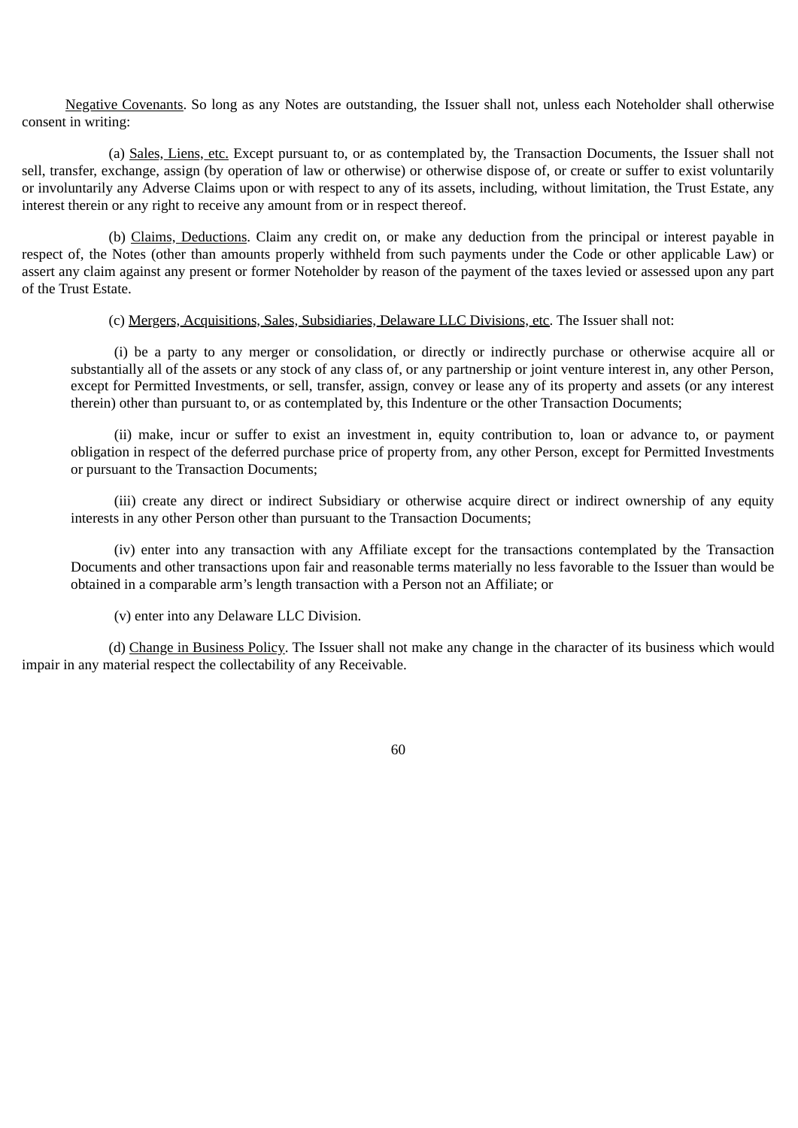Negative Covenants. So long as any Notes are outstanding, the Issuer shall not, unless each Noteholder shall otherwise consent in writing:

(a) Sales, Liens, etc. Except pursuant to, or as contemplated by, the Transaction Documents, the Issuer shall not sell, transfer, exchange, assign (by operation of law or otherwise) or otherwise dispose of, or create or suffer to exist voluntarily or involuntarily any Adverse Claims upon or with respect to any of its assets, including, without limitation, the Trust Estate, any interest therein or any right to receive any amount from or in respect thereof.

(b) Claims, Deductions. Claim any credit on, or make any deduction from the principal or interest payable in respect of, the Notes (other than amounts properly withheld from such payments under the Code or other applicable Law) or assert any claim against any present or former Noteholder by reason of the payment of the taxes levied or assessed upon any part of the Trust Estate.

(c) Mergers, Acquisitions, Sales, Subsidiaries, Delaware LLC Divisions, etc. The Issuer shall not:

(i) be a party to any merger or consolidation, or directly or indirectly purchase or otherwise acquire all or substantially all of the assets or any stock of any class of, or any partnership or joint venture interest in, any other Person, except for Permitted Investments, or sell, transfer, assign, convey or lease any of its property and assets (or any interest therein) other than pursuant to, or as contemplated by, this Indenture or the other Transaction Documents;

(ii) make, incur or suffer to exist an investment in, equity contribution to, loan or advance to, or payment obligation in respect of the deferred purchase price of property from, any other Person, except for Permitted Investments or pursuant to the Transaction Documents;

(iii) create any direct or indirect Subsidiary or otherwise acquire direct or indirect ownership of any equity interests in any other Person other than pursuant to the Transaction Documents;

(iv) enter into any transaction with any Affiliate except for the transactions contemplated by the Transaction Documents and other transactions upon fair and reasonable terms materially no less favorable to the Issuer than would be obtained in a comparable arm's length transaction with a Person not an Affiliate; or

(v) enter into any Delaware LLC Division.

(d) Change in Business Policy. The Issuer shall not make any change in the character of its business which would impair in any material respect the collectability of any Receivable.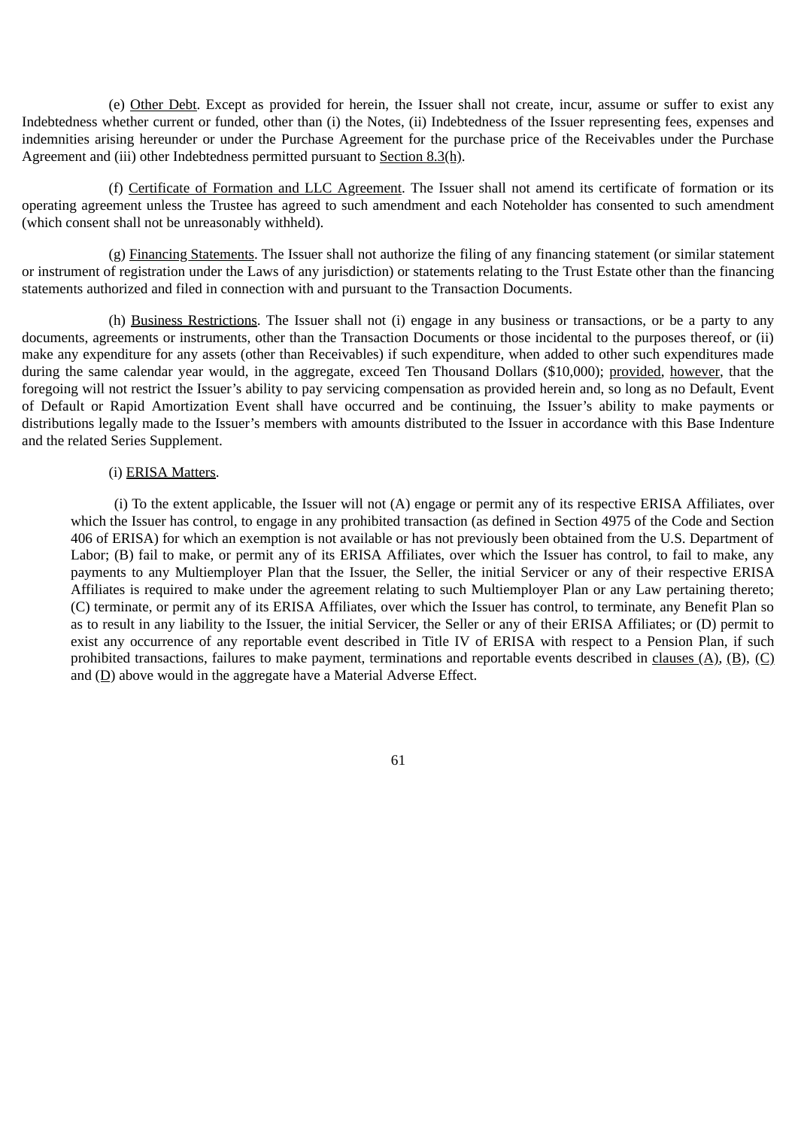(e) Other Debt. Except as provided for herein, the Issuer shall not create, incur, assume or suffer to exist any Indebtedness whether current or funded, other than (i) the Notes, (ii) Indebtedness of the Issuer representing fees, expenses and indemnities arising hereunder or under the Purchase Agreement for the purchase price of the Receivables under the Purchase Agreement and (iii) other Indebtedness permitted pursuant to Section 8.3(h).

(f) Certificate of Formation and LLC Agreement. The Issuer shall not amend its certificate of formation or its operating agreement unless the Trustee has agreed to such amendment and each Noteholder has consented to such amendment (which consent shall not be unreasonably withheld).

(g) Financing Statements. The Issuer shall not authorize the filing of any financing statement (or similar statement or instrument of registration under the Laws of any jurisdiction) or statements relating to the Trust Estate other than the financing statements authorized and filed in connection with and pursuant to the Transaction Documents.

(h) Business Restrictions. The Issuer shall not (i) engage in any business or transactions, or be a party to any documents, agreements or instruments, other than the Transaction Documents or those incidental to the purposes thereof, or (ii) make any expenditure for any assets (other than Receivables) if such expenditure, when added to other such expenditures made during the same calendar year would, in the aggregate, exceed Ten Thousand Dollars (\$10,000); provided, however, that the foregoing will not restrict the Issuer's ability to pay servicing compensation as provided herein and, so long as no Default, Event of Default or Rapid Amortization Event shall have occurred and be continuing, the Issuer's ability to make payments or distributions legally made to the Issuer's members with amounts distributed to the Issuer in accordance with this Base Indenture and the related Series Supplement.

## (i) ERISA Matters.

(i) To the extent applicable, the Issuer will not (A) engage or permit any of its respective ERISA Affiliates, over which the Issuer has control, to engage in any prohibited transaction (as defined in Section 4975 of the Code and Section 406 of ERISA) for which an exemption is not available or has not previously been obtained from the U.S. Department of Labor; (B) fail to make, or permit any of its ERISA Affiliates, over which the Issuer has control, to fail to make, any payments to any Multiemployer Plan that the Issuer, the Seller, the initial Servicer or any of their respective ERISA Affiliates is required to make under the agreement relating to such Multiemployer Plan or any Law pertaining thereto; (C) terminate, or permit any of its ERISA Affiliates, over which the Issuer has control, to terminate, any Benefit Plan so as to result in any liability to the Issuer, the initial Servicer, the Seller or any of their ERISA Affiliates; or (D) permit to exist any occurrence of any reportable event described in Title IV of ERISA with respect to a Pension Plan, if such prohibited transactions, failures to make payment, terminations and reportable events described in clauses  $(A)$ ,  $(B)$ ,  $(C)$ and  $(D)$  above would in the aggregate have a Material Adverse Effect.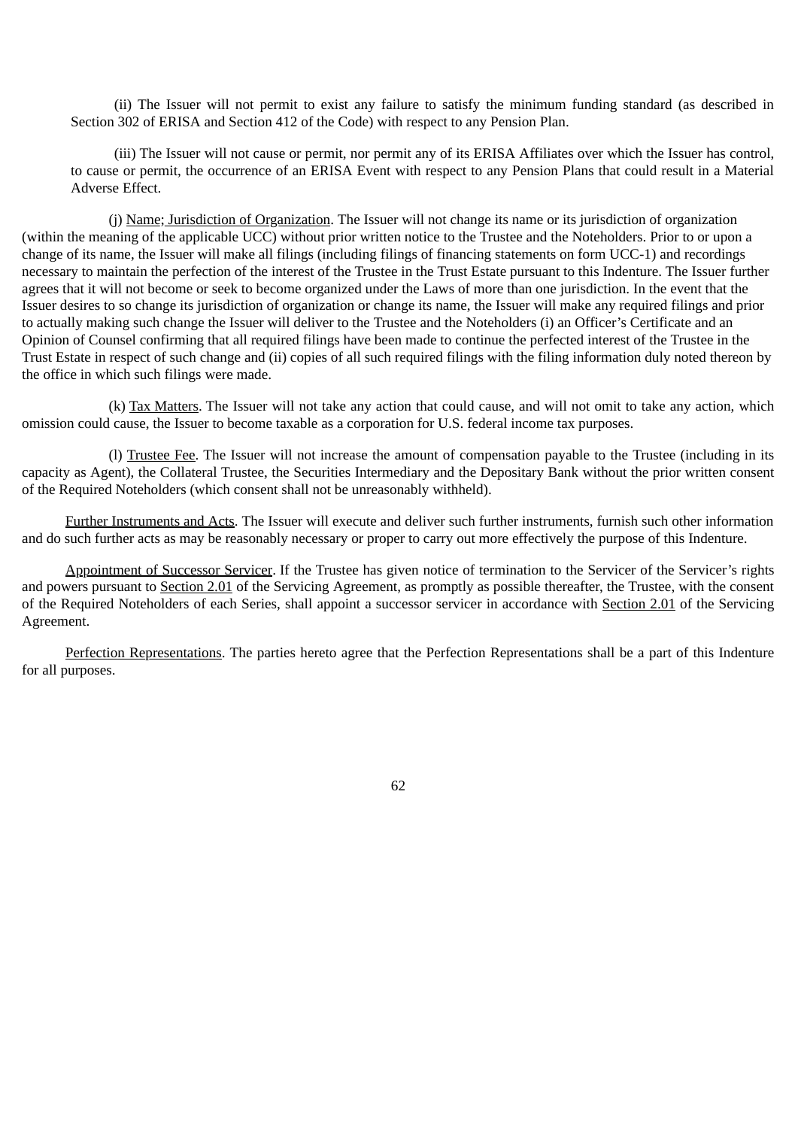(ii) The Issuer will not permit to exist any failure to satisfy the minimum funding standard (as described in Section 302 of ERISA and Section 412 of the Code) with respect to any Pension Plan.

(iii) The Issuer will not cause or permit, nor permit any of its ERISA Affiliates over which the Issuer has control, to cause or permit, the occurrence of an ERISA Event with respect to any Pension Plans that could result in a Material Adverse Effect.

(j) Name; Jurisdiction of Organization. The Issuer will not change its name or its jurisdiction of organization (within the meaning of the applicable UCC) without prior written notice to the Trustee and the Noteholders. Prior to or upon a change of its name, the Issuer will make all filings (including filings of financing statements on form UCC-1) and recordings necessary to maintain the perfection of the interest of the Trustee in the Trust Estate pursuant to this Indenture. The Issuer further agrees that it will not become or seek to become organized under the Laws of more than one jurisdiction. In the event that the Issuer desires to so change its jurisdiction of organization or change its name, the Issuer will make any required filings and prior to actually making such change the Issuer will deliver to the Trustee and the Noteholders (i) an Officer's Certificate and an Opinion of Counsel confirming that all required filings have been made to continue the perfected interest of the Trustee in the Trust Estate in respect of such change and (ii) copies of all such required filings with the filing information duly noted thereon by the office in which such filings were made.

(k) Tax Matters. The Issuer will not take any action that could cause, and will not omit to take any action, which omission could cause, the Issuer to become taxable as a corporation for U.S. federal income tax purposes.

(l) Trustee Fee. The Issuer will not increase the amount of compensation payable to the Trustee (including in its capacity as Agent), the Collateral Trustee, the Securities Intermediary and the Depositary Bank without the prior written consent of the Required Noteholders (which consent shall not be unreasonably withheld).

Further Instruments and Acts. The Issuer will execute and deliver such further instruments, furnish such other information and do such further acts as may be reasonably necessary or proper to carry out more effectively the purpose of this Indenture.

Appointment of Successor Servicer. If the Trustee has given notice of termination to the Servicer of the Servicer's rights and powers pursuant to Section 2.01 of the Servicing Agreement, as promptly as possible thereafter, the Trustee, with the consent of the Required Noteholders of each Series, shall appoint a successor servicer in accordance with Section 2.01 of the Servicing Agreement.

Perfection Representations. The parties hereto agree that the Perfection Representations shall be a part of this Indenture for all purposes.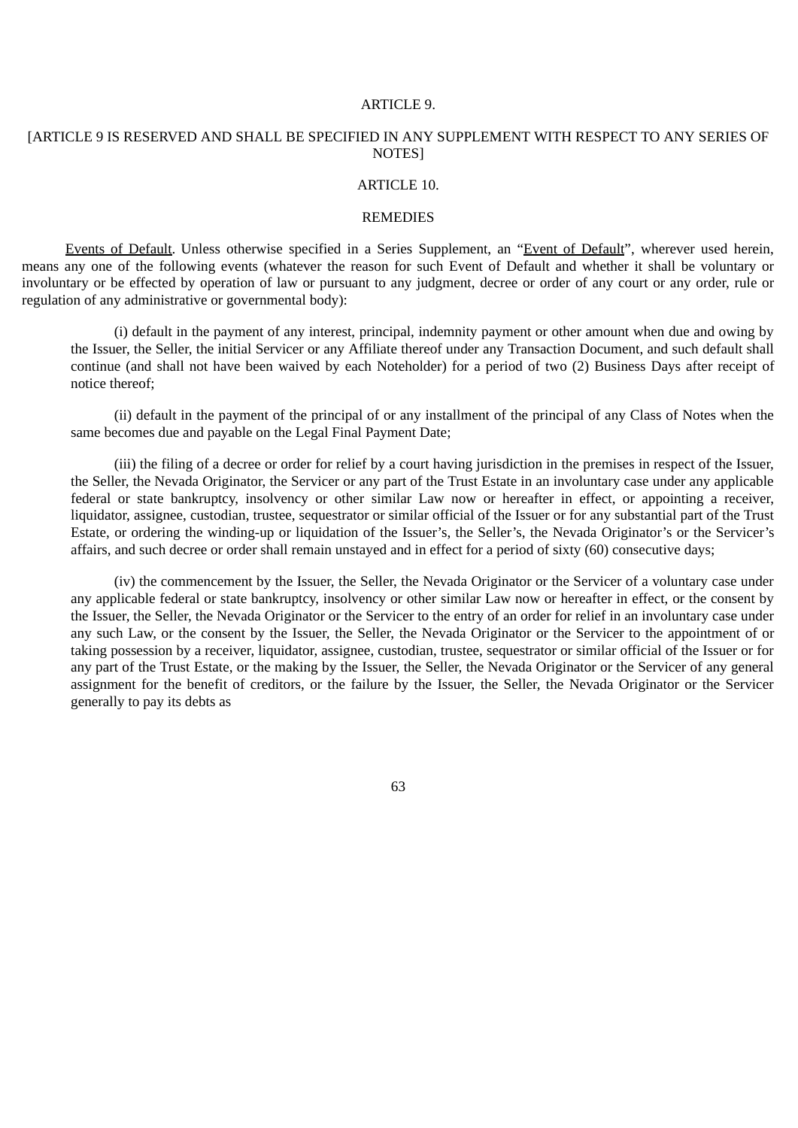#### ARTICLE 9.

## [ARTICLE 9 IS RESERVED AND SHALL BE SPECIFIED IN ANY SUPPLEMENT WITH RESPECT TO ANY SERIES OF NOTES]

## ARTICLE 10.

#### **REMEDIES**

Events of Default. Unless otherwise specified in a Series Supplement, an "Event of Default", wherever used herein, means any one of the following events (whatever the reason for such Event of Default and whether it shall be voluntary or involuntary or be effected by operation of law or pursuant to any judgment, decree or order of any court or any order, rule or regulation of any administrative or governmental body):

(i) default in the payment of any interest, principal, indemnity payment or other amount when due and owing by the Issuer, the Seller, the initial Servicer or any Affiliate thereof under any Transaction Document, and such default shall continue (and shall not have been waived by each Noteholder) for a period of two (2) Business Days after receipt of notice thereof;

(ii) default in the payment of the principal of or any installment of the principal of any Class of Notes when the same becomes due and payable on the Legal Final Payment Date;

(iii) the filing of a decree or order for relief by a court having jurisdiction in the premises in respect of the Issuer, the Seller, the Nevada Originator, the Servicer or any part of the Trust Estate in an involuntary case under any applicable federal or state bankruptcy, insolvency or other similar Law now or hereafter in effect, or appointing a receiver, liquidator, assignee, custodian, trustee, sequestrator or similar official of the Issuer or for any substantial part of the Trust Estate, or ordering the winding-up or liquidation of the Issuer's, the Seller's, the Nevada Originator's or the Servicer's affairs, and such decree or order shall remain unstayed and in effect for a period of sixty (60) consecutive days;

(iv) the commencement by the Issuer, the Seller, the Nevada Originator or the Servicer of a voluntary case under any applicable federal or state bankruptcy, insolvency or other similar Law now or hereafter in effect, or the consent by the Issuer, the Seller, the Nevada Originator or the Servicer to the entry of an order for relief in an involuntary case under any such Law, or the consent by the Issuer, the Seller, the Nevada Originator or the Servicer to the appointment of or taking possession by a receiver, liquidator, assignee, custodian, trustee, sequestrator or similar official of the Issuer or for any part of the Trust Estate, or the making by the Issuer, the Seller, the Nevada Originator or the Servicer of any general assignment for the benefit of creditors, or the failure by the Issuer, the Seller, the Nevada Originator or the Servicer generally to pay its debts as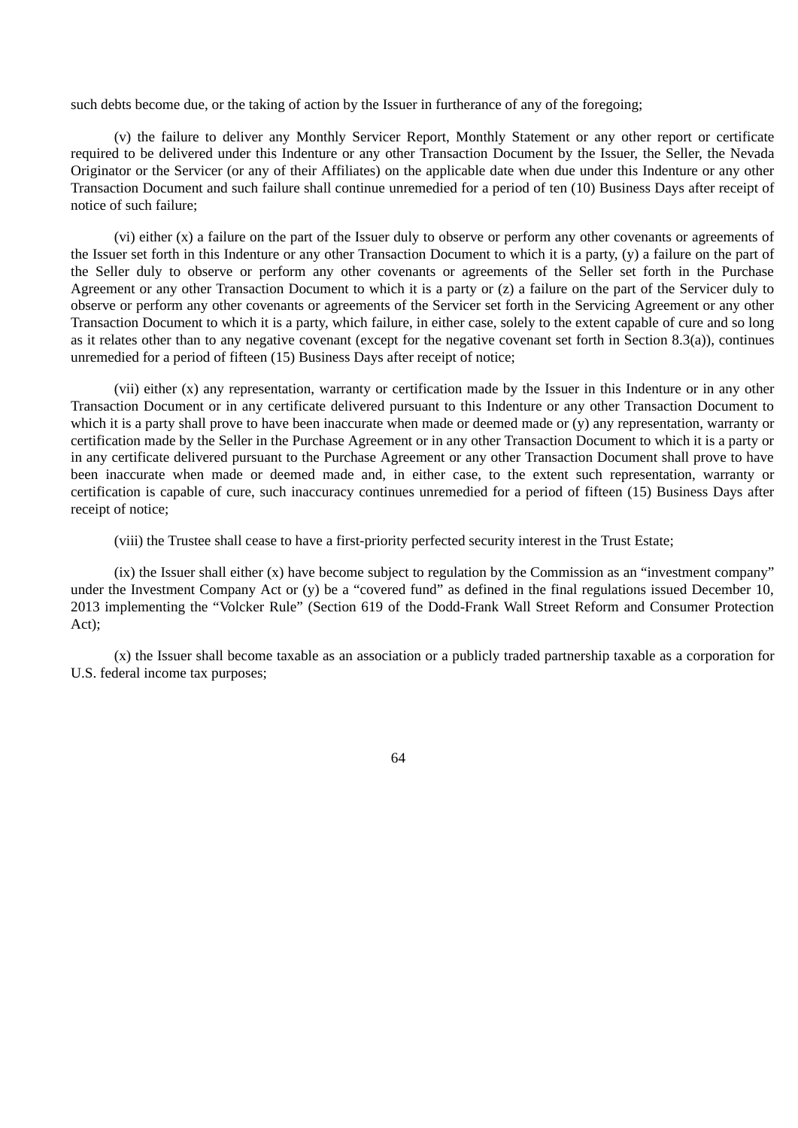such debts become due, or the taking of action by the Issuer in furtherance of any of the foregoing;

(v) the failure to deliver any Monthly Servicer Report, Monthly Statement or any other report or certificate required to be delivered under this Indenture or any other Transaction Document by the Issuer, the Seller, the Nevada Originator or the Servicer (or any of their Affiliates) on the applicable date when due under this Indenture or any other Transaction Document and such failure shall continue unremedied for a period of ten (10) Business Days after receipt of notice of such failure;

(vi) either (x) a failure on the part of the Issuer duly to observe or perform any other covenants or agreements of the Issuer set forth in this Indenture or any other Transaction Document to which it is a party, (y) a failure on the part of the Seller duly to observe or perform any other covenants or agreements of the Seller set forth in the Purchase Agreement or any other Transaction Document to which it is a party or (z) a failure on the part of the Servicer duly to observe or perform any other covenants or agreements of the Servicer set forth in the Servicing Agreement or any other Transaction Document to which it is a party, which failure, in either case, solely to the extent capable of cure and so long as it relates other than to any negative covenant (except for the negative covenant set forth in Section 8.3(a)), continues unremedied for a period of fifteen (15) Business Days after receipt of notice;

(vii) either (x) any representation, warranty or certification made by the Issuer in this Indenture or in any other Transaction Document or in any certificate delivered pursuant to this Indenture or any other Transaction Document to which it is a party shall prove to have been inaccurate when made or deemed made or (y) any representation, warranty or certification made by the Seller in the Purchase Agreement or in any other Transaction Document to which it is a party or in any certificate delivered pursuant to the Purchase Agreement or any other Transaction Document shall prove to have been inaccurate when made or deemed made and, in either case, to the extent such representation, warranty or certification is capable of cure, such inaccuracy continues unremedied for a period of fifteen (15) Business Days after receipt of notice;

(viii) the Trustee shall cease to have a first-priority perfected security interest in the Trust Estate;

(ix) the Issuer shall either (x) have become subject to regulation by the Commission as an "investment company" under the Investment Company Act or (y) be a "covered fund" as defined in the final regulations issued December 10, 2013 implementing the "Volcker Rule" (Section 619 of the Dodd-Frank Wall Street Reform and Consumer Protection Act);

(x) the Issuer shall become taxable as an association or a publicly traded partnership taxable as a corporation for U.S. federal income tax purposes;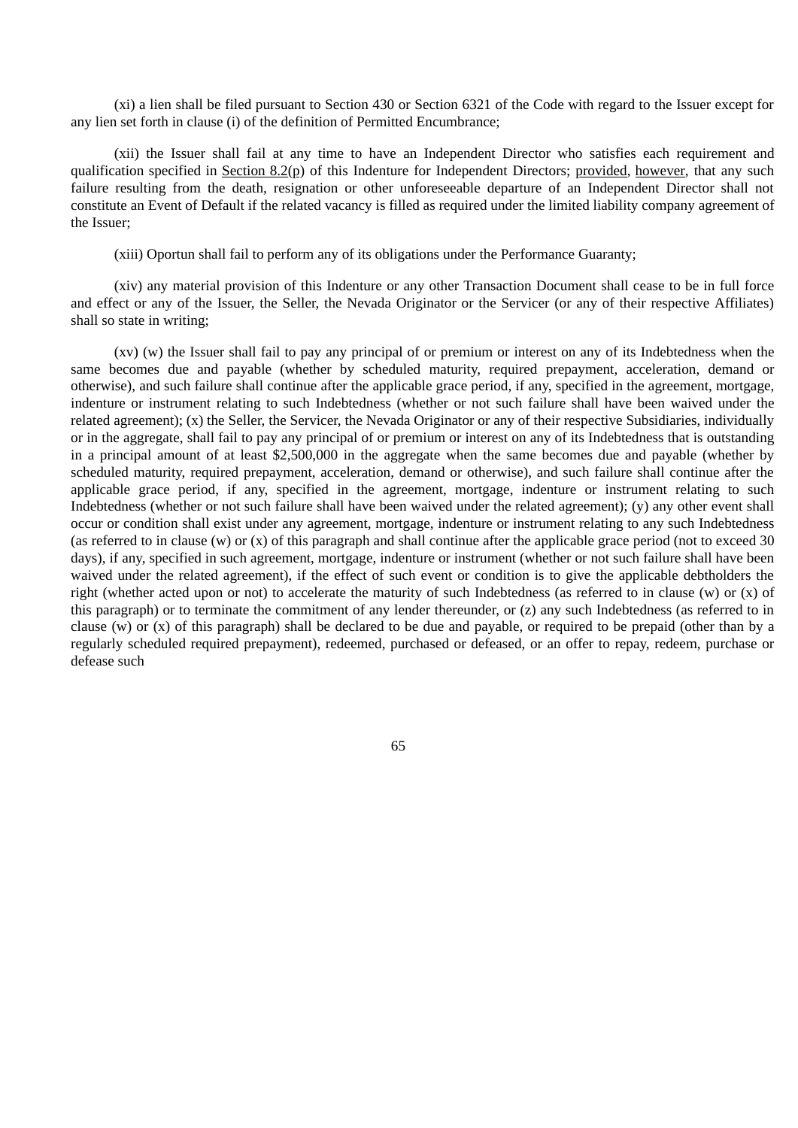(xi) a lien shall be filed pursuant to Section 430 or Section 6321 of the Code with regard to the Issuer except for any lien set forth in clause (i) of the definition of Permitted Encumbrance;

(xii) the Issuer shall fail at any time to have an Independent Director who satisfies each requirement and qualification specified in Section 8.2(p) of this Indenture for Independent Directors; provided, however, that any such failure resulting from the death, resignation or other unforeseeable departure of an Independent Director shall not constitute an Event of Default if the related vacancy is filled as required under the limited liability company agreement of the Issuer;

(xiii) Oportun shall fail to perform any of its obligations under the Performance Guaranty;

(xiv) any material provision of this Indenture or any other Transaction Document shall cease to be in full force and effect or any of the Issuer, the Seller, the Nevada Originator or the Servicer (or any of their respective Affiliates) shall so state in writing;

(xv) (w) the Issuer shall fail to pay any principal of or premium or interest on any of its Indebtedness when the same becomes due and payable (whether by scheduled maturity, required prepayment, acceleration, demand or otherwise), and such failure shall continue after the applicable grace period, if any, specified in the agreement, mortgage, indenture or instrument relating to such Indebtedness (whether or not such failure shall have been waived under the related agreement); (x) the Seller, the Servicer, the Nevada Originator or any of their respective Subsidiaries, individually or in the aggregate, shall fail to pay any principal of or premium or interest on any of its Indebtedness that is outstanding in a principal amount of at least \$2,500,000 in the aggregate when the same becomes due and payable (whether by scheduled maturity, required prepayment, acceleration, demand or otherwise), and such failure shall continue after the applicable grace period, if any, specified in the agreement, mortgage, indenture or instrument relating to such Indebtedness (whether or not such failure shall have been waived under the related agreement); (y) any other event shall occur or condition shall exist under any agreement, mortgage, indenture or instrument relating to any such Indebtedness (as referred to in clause (w) or (x) of this paragraph and shall continue after the applicable grace period (not to exceed 30 days), if any, specified in such agreement, mortgage, indenture or instrument (whether or not such failure shall have been waived under the related agreement), if the effect of such event or condition is to give the applicable debtholders the right (whether acted upon or not) to accelerate the maturity of such Indebtedness (as referred to in clause (w) or (x) of this paragraph) or to terminate the commitment of any lender thereunder, or (z) any such Indebtedness (as referred to in clause (w) or (x) of this paragraph) shall be declared to be due and payable, or required to be prepaid (other than by a regularly scheduled required prepayment), redeemed, purchased or defeased, or an offer to repay, redeem, purchase or defease such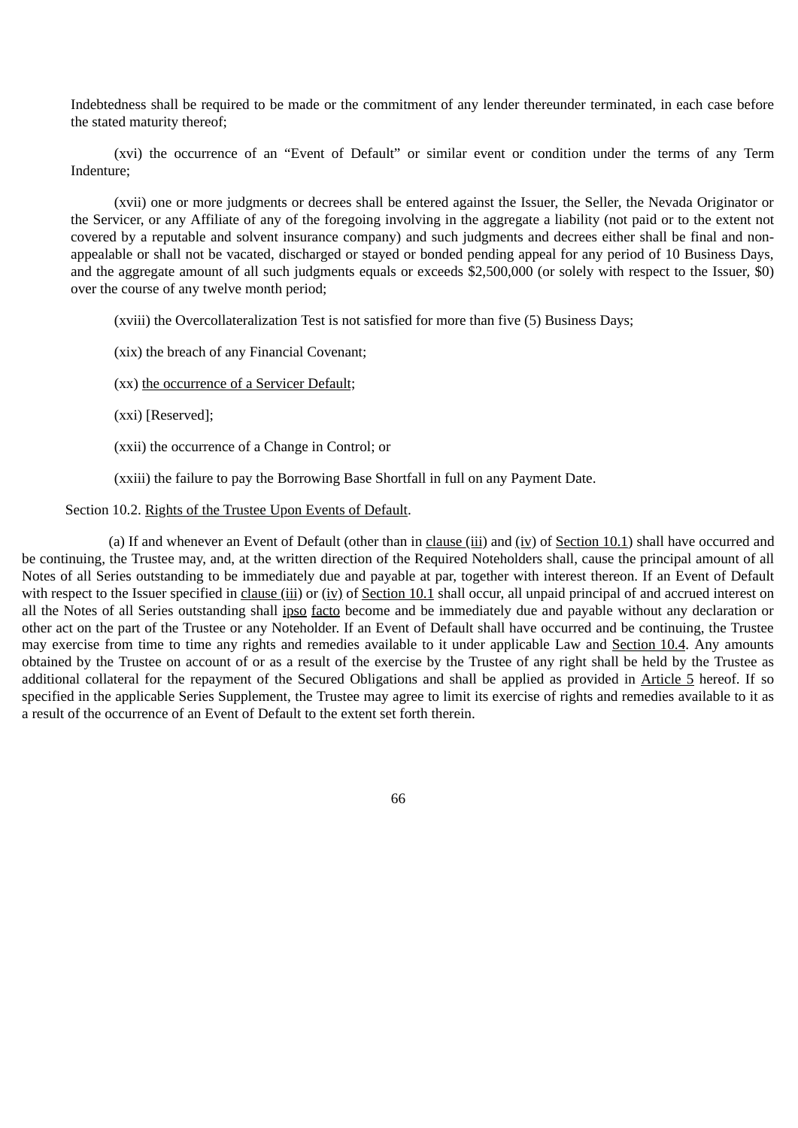Indebtedness shall be required to be made or the commitment of any lender thereunder terminated, in each case before the stated maturity thereof;

(xvi) the occurrence of an "Event of Default" or similar event or condition under the terms of any Term Indenture;

(xvii) one or more judgments or decrees shall be entered against the Issuer, the Seller, the Nevada Originator or the Servicer, or any Affiliate of any of the foregoing involving in the aggregate a liability (not paid or to the extent not covered by a reputable and solvent insurance company) and such judgments and decrees either shall be final and nonappealable or shall not be vacated, discharged or stayed or bonded pending appeal for any period of 10 Business Days, and the aggregate amount of all such judgments equals or exceeds \$2,500,000 (or solely with respect to the Issuer, \$0) over the course of any twelve month period;

(xviii) the Overcollateralization Test is not satisfied for more than five (5) Business Days;

(xix) the breach of any Financial Covenant;

(xx) the occurrence of a Servicer Default;

(xxi) [Reserved];

(xxii) the occurrence of a Change in Control; or

(xxiii) the failure to pay the Borrowing Base Shortfall in full on any Payment Date.

Section 10.2. Rights of the Trustee Upon Events of Default.

(a) If and whenever an Event of Default (other than in clause  $(iii)$  and  $(iv)$  of Section 10.1) shall have occurred and be continuing, the Trustee may, and, at the written direction of the Required Noteholders shall, cause the principal amount of all Notes of all Series outstanding to be immediately due and payable at par, together with interest thereon. If an Event of Default with respect to the Issuer specified in clause (iii) or (iv) of Section 10.1 shall occur, all unpaid principal of and accrued interest on all the Notes of all Series outstanding shall ipso facto become and be immediately due and payable without any declaration or other act on the part of the Trustee or any Noteholder. If an Event of Default shall have occurred and be continuing, the Trustee may exercise from time to time any rights and remedies available to it under applicable Law and Section 10.4. Any amounts obtained by the Trustee on account of or as a result of the exercise by the Trustee of any right shall be held by the Trustee as additional collateral for the repayment of the Secured Obligations and shall be applied as provided in Article 5 hereof. If so specified in the applicable Series Supplement, the Trustee may agree to limit its exercise of rights and remedies available to it as a result of the occurrence of an Event of Default to the extent set forth therein.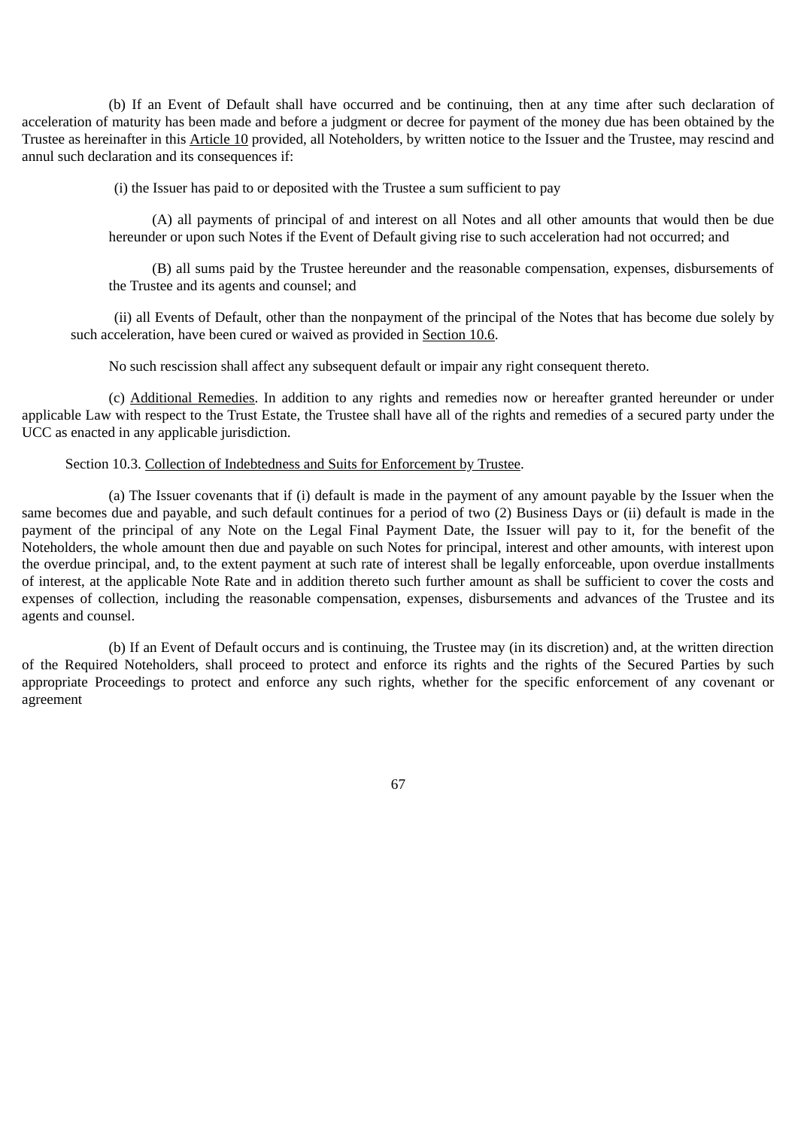(b) If an Event of Default shall have occurred and be continuing, then at any time after such declaration of acceleration of maturity has been made and before a judgment or decree for payment of the money due has been obtained by the Trustee as hereinafter in this Article 10 provided, all Noteholders, by written notice to the Issuer and the Trustee, may rescind and annul such declaration and its consequences if:

(i) the Issuer has paid to or deposited with the Trustee a sum sufficient to pay

(A) all payments of principal of and interest on all Notes and all other amounts that would then be due hereunder or upon such Notes if the Event of Default giving rise to such acceleration had not occurred; and

(B) all sums paid by the Trustee hereunder and the reasonable compensation, expenses, disbursements of the Trustee and its agents and counsel; and

(ii) all Events of Default, other than the nonpayment of the principal of the Notes that has become due solely by such acceleration, have been cured or waived as provided in Section 10.6.

No such rescission shall affect any subsequent default or impair any right consequent thereto.

(c) Additional Remedies. In addition to any rights and remedies now or hereafter granted hereunder or under applicable Law with respect to the Trust Estate, the Trustee shall have all of the rights and remedies of a secured party under the UCC as enacted in any applicable jurisdiction.

#### Section 10.3. Collection of Indebtedness and Suits for Enforcement by Trustee.

(a) The Issuer covenants that if (i) default is made in the payment of any amount payable by the Issuer when the same becomes due and payable, and such default continues for a period of two (2) Business Days or (ii) default is made in the payment of the principal of any Note on the Legal Final Payment Date, the Issuer will pay to it, for the benefit of the Noteholders, the whole amount then due and payable on such Notes for principal, interest and other amounts, with interest upon the overdue principal, and, to the extent payment at such rate of interest shall be legally enforceable, upon overdue installments of interest, at the applicable Note Rate and in addition thereto such further amount as shall be sufficient to cover the costs and expenses of collection, including the reasonable compensation, expenses, disbursements and advances of the Trustee and its agents and counsel.

(b) If an Event of Default occurs and is continuing, the Trustee may (in its discretion) and, at the written direction of the Required Noteholders, shall proceed to protect and enforce its rights and the rights of the Secured Parties by such appropriate Proceedings to protect and enforce any such rights, whether for the specific enforcement of any covenant or agreement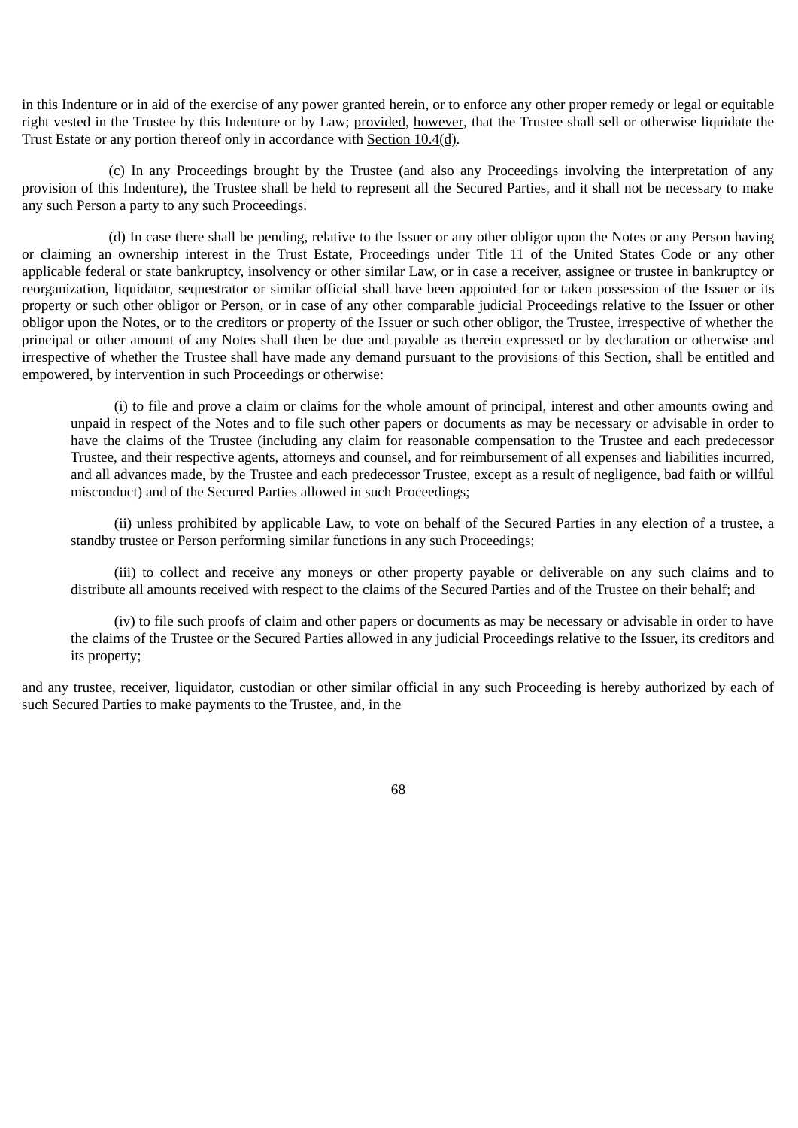in this Indenture or in aid of the exercise of any power granted herein, or to enforce any other proper remedy or legal or equitable right vested in the Trustee by this Indenture or by Law; provided, however, that the Trustee shall sell or otherwise liquidate the Trust Estate or any portion thereof only in accordance with Section 10.4(d).

(c) In any Proceedings brought by the Trustee (and also any Proceedings involving the interpretation of any provision of this Indenture), the Trustee shall be held to represent all the Secured Parties, and it shall not be necessary to make any such Person a party to any such Proceedings.

(d) In case there shall be pending, relative to the Issuer or any other obligor upon the Notes or any Person having or claiming an ownership interest in the Trust Estate, Proceedings under Title 11 of the United States Code or any other applicable federal or state bankruptcy, insolvency or other similar Law, or in case a receiver, assignee or trustee in bankruptcy or reorganization, liquidator, sequestrator or similar official shall have been appointed for or taken possession of the Issuer or its property or such other obligor or Person, or in case of any other comparable judicial Proceedings relative to the Issuer or other obligor upon the Notes, or to the creditors or property of the Issuer or such other obligor, the Trustee, irrespective of whether the principal or other amount of any Notes shall then be due and payable as therein expressed or by declaration or otherwise and irrespective of whether the Trustee shall have made any demand pursuant to the provisions of this Section, shall be entitled and empowered, by intervention in such Proceedings or otherwise:

(i) to file and prove a claim or claims for the whole amount of principal, interest and other amounts owing and unpaid in respect of the Notes and to file such other papers or documents as may be necessary or advisable in order to have the claims of the Trustee (including any claim for reasonable compensation to the Trustee and each predecessor Trustee, and their respective agents, attorneys and counsel, and for reimbursement of all expenses and liabilities incurred, and all advances made, by the Trustee and each predecessor Trustee, except as a result of negligence, bad faith or willful misconduct) and of the Secured Parties allowed in such Proceedings;

(ii) unless prohibited by applicable Law, to vote on behalf of the Secured Parties in any election of a trustee, a standby trustee or Person performing similar functions in any such Proceedings;

(iii) to collect and receive any moneys or other property payable or deliverable on any such claims and to distribute all amounts received with respect to the claims of the Secured Parties and of the Trustee on their behalf; and

(iv) to file such proofs of claim and other papers or documents as may be necessary or advisable in order to have the claims of the Trustee or the Secured Parties allowed in any judicial Proceedings relative to the Issuer, its creditors and its property;

and any trustee, receiver, liquidator, custodian or other similar official in any such Proceeding is hereby authorized by each of such Secured Parties to make payments to the Trustee, and, in the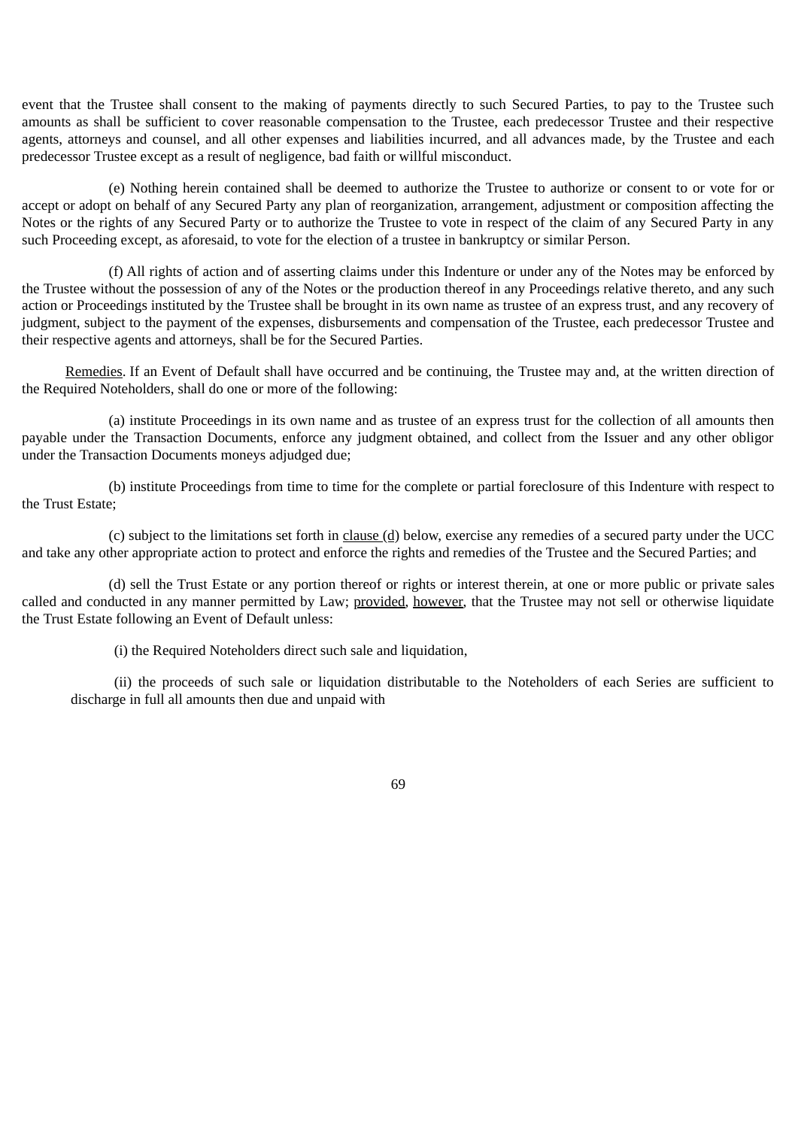event that the Trustee shall consent to the making of payments directly to such Secured Parties, to pay to the Trustee such amounts as shall be sufficient to cover reasonable compensation to the Trustee, each predecessor Trustee and their respective agents, attorneys and counsel, and all other expenses and liabilities incurred, and all advances made, by the Trustee and each predecessor Trustee except as a result of negligence, bad faith or willful misconduct.

(e) Nothing herein contained shall be deemed to authorize the Trustee to authorize or consent to or vote for or accept or adopt on behalf of any Secured Party any plan of reorganization, arrangement, adjustment or composition affecting the Notes or the rights of any Secured Party or to authorize the Trustee to vote in respect of the claim of any Secured Party in any such Proceeding except, as aforesaid, to vote for the election of a trustee in bankruptcy or similar Person.

(f) All rights of action and of asserting claims under this Indenture or under any of the Notes may be enforced by the Trustee without the possession of any of the Notes or the production thereof in any Proceedings relative thereto, and any such action or Proceedings instituted by the Trustee shall be brought in its own name as trustee of an express trust, and any recovery of judgment, subject to the payment of the expenses, disbursements and compensation of the Trustee, each predecessor Trustee and their respective agents and attorneys, shall be for the Secured Parties.

Remedies. If an Event of Default shall have occurred and be continuing, the Trustee may and, at the written direction of the Required Noteholders, shall do one or more of the following:

(a) institute Proceedings in its own name and as trustee of an express trust for the collection of all amounts then payable under the Transaction Documents, enforce any judgment obtained, and collect from the Issuer and any other obligor under the Transaction Documents moneys adjudged due;

(b) institute Proceedings from time to time for the complete or partial foreclosure of this Indenture with respect to the Trust Estate;

(c) subject to the limitations set forth in clause  $(d)$  below, exercise any remedies of a secured party under the UCC and take any other appropriate action to protect and enforce the rights and remedies of the Trustee and the Secured Parties; and

(d) sell the Trust Estate or any portion thereof or rights or interest therein, at one or more public or private sales called and conducted in any manner permitted by Law; provided, however, that the Trustee may not sell or otherwise liquidate the Trust Estate following an Event of Default unless:

(i) the Required Noteholders direct such sale and liquidation,

(ii) the proceeds of such sale or liquidation distributable to the Noteholders of each Series are sufficient to discharge in full all amounts then due and unpaid with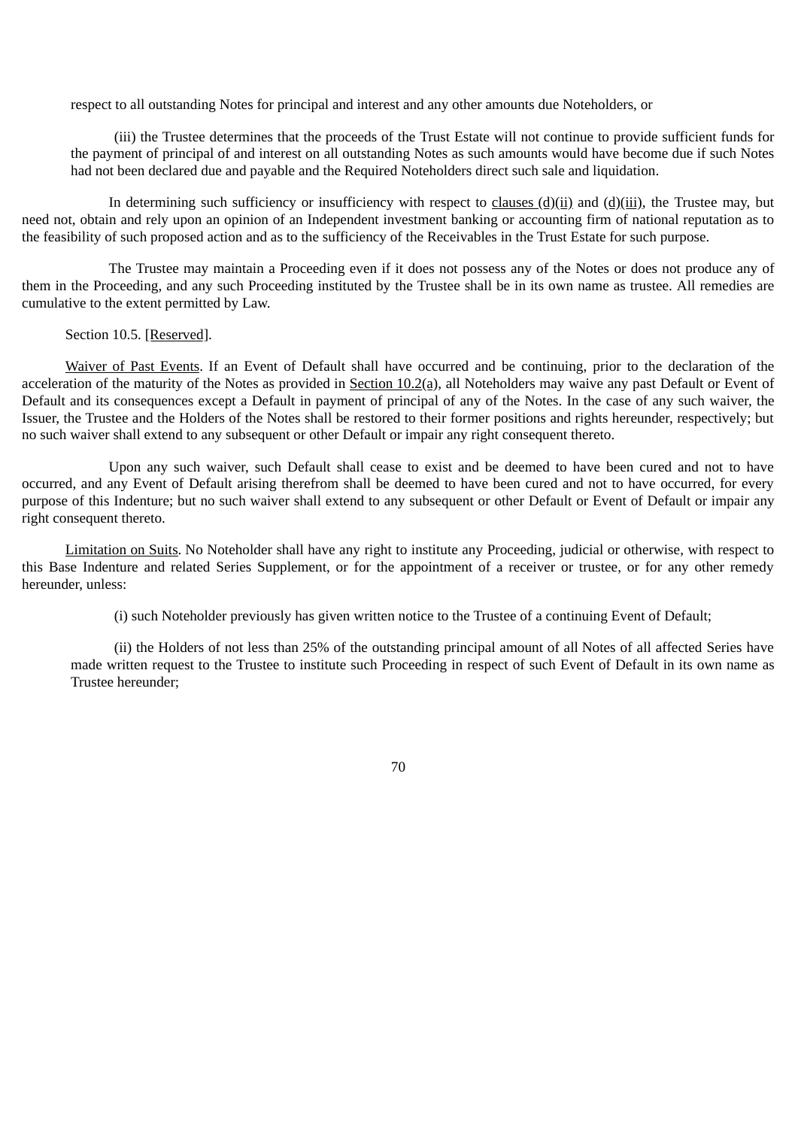respect to all outstanding Notes for principal and interest and any other amounts due Noteholders, or

(iii) the Trustee determines that the proceeds of the Trust Estate will not continue to provide sufficient funds for the payment of principal of and interest on all outstanding Notes as such amounts would have become due if such Notes had not been declared due and payable and the Required Noteholders direct such sale and liquidation.

In determining such sufficiency or insufficiency with respect to clauses  $(d)(ii)$  and  $(d)(iii)$ , the Trustee may, but need not, obtain and rely upon an opinion of an Independent investment banking or accounting firm of national reputation as to the feasibility of such proposed action and as to the sufficiency of the Receivables in the Trust Estate for such purpose.

The Trustee may maintain a Proceeding even if it does not possess any of the Notes or does not produce any of them in the Proceeding, and any such Proceeding instituted by the Trustee shall be in its own name as trustee. All remedies are cumulative to the extent permitted by Law.

#### Section 10.5. [Reserved].

Waiver of Past Events. If an Event of Default shall have occurred and be continuing, prior to the declaration of the acceleration of the maturity of the Notes as provided in Section 10.2(a), all Noteholders may waive any past Default or Event of Default and its consequences except a Default in payment of principal of any of the Notes. In the case of any such waiver, the Issuer, the Trustee and the Holders of the Notes shall be restored to their former positions and rights hereunder, respectively; but no such waiver shall extend to any subsequent or other Default or impair any right consequent thereto.

Upon any such waiver, such Default shall cease to exist and be deemed to have been cured and not to have occurred, and any Event of Default arising therefrom shall be deemed to have been cured and not to have occurred, for every purpose of this Indenture; but no such waiver shall extend to any subsequent or other Default or Event of Default or impair any right consequent thereto.

Limitation on Suits. No Noteholder shall have any right to institute any Proceeding, judicial or otherwise, with respect to this Base Indenture and related Series Supplement, or for the appointment of a receiver or trustee, or for any other remedy hereunder, unless:

(i) such Noteholder previously has given written notice to the Trustee of a continuing Event of Default;

(ii) the Holders of not less than 25% of the outstanding principal amount of all Notes of all affected Series have made written request to the Trustee to institute such Proceeding in respect of such Event of Default in its own name as Trustee hereunder;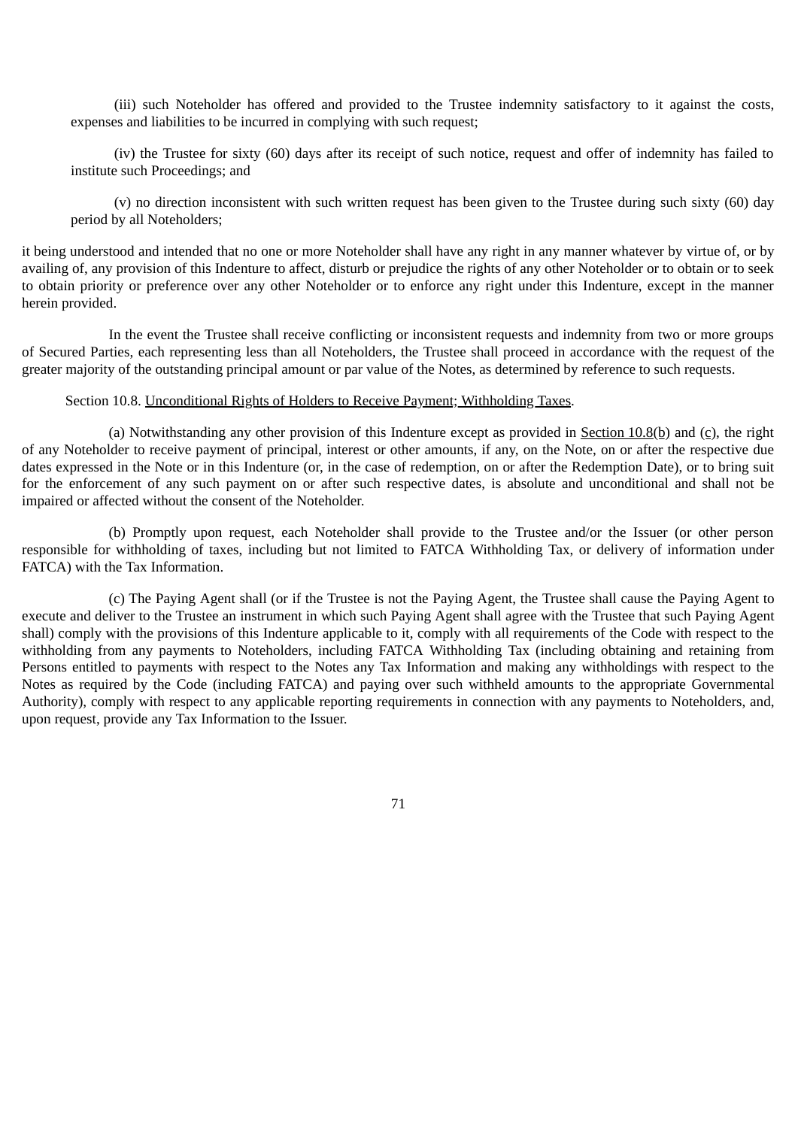(iii) such Noteholder has offered and provided to the Trustee indemnity satisfactory to it against the costs, expenses and liabilities to be incurred in complying with such request;

(iv) the Trustee for sixty (60) days after its receipt of such notice, request and offer of indemnity has failed to institute such Proceedings; and

(v) no direction inconsistent with such written request has been given to the Trustee during such sixty (60) day period by all Noteholders;

it being understood and intended that no one or more Noteholder shall have any right in any manner whatever by virtue of, or by availing of, any provision of this Indenture to affect, disturb or prejudice the rights of any other Noteholder or to obtain or to seek to obtain priority or preference over any other Noteholder or to enforce any right under this Indenture, except in the manner herein provided.

In the event the Trustee shall receive conflicting or inconsistent requests and indemnity from two or more groups of Secured Parties, each representing less than all Noteholders, the Trustee shall proceed in accordance with the request of the greater majority of the outstanding principal amount or par value of the Notes, as determined by reference to such requests.

### Section 10.8. Unconditional Rights of Holders to Receive Payment; Withholding Taxes.

(a) Notwithstanding any other provision of this Indenture except as provided in Section  $10.8(b)$  and (c), the right of any Noteholder to receive payment of principal, interest or other amounts, if any, on the Note, on or after the respective due dates expressed in the Note or in this Indenture (or, in the case of redemption, on or after the Redemption Date), or to bring suit for the enforcement of any such payment on or after such respective dates, is absolute and unconditional and shall not be impaired or affected without the consent of the Noteholder.

(b) Promptly upon request, each Noteholder shall provide to the Trustee and/or the Issuer (or other person responsible for withholding of taxes, including but not limited to FATCA Withholding Tax, or delivery of information under FATCA) with the Tax Information.

(c) The Paying Agent shall (or if the Trustee is not the Paying Agent, the Trustee shall cause the Paying Agent to execute and deliver to the Trustee an instrument in which such Paying Agent shall agree with the Trustee that such Paying Agent shall) comply with the provisions of this Indenture applicable to it, comply with all requirements of the Code with respect to the withholding from any payments to Noteholders, including FATCA Withholding Tax (including obtaining and retaining from Persons entitled to payments with respect to the Notes any Tax Information and making any withholdings with respect to the Notes as required by the Code (including FATCA) and paying over such withheld amounts to the appropriate Governmental Authority), comply with respect to any applicable reporting requirements in connection with any payments to Noteholders, and, upon request, provide any Tax Information to the Issuer.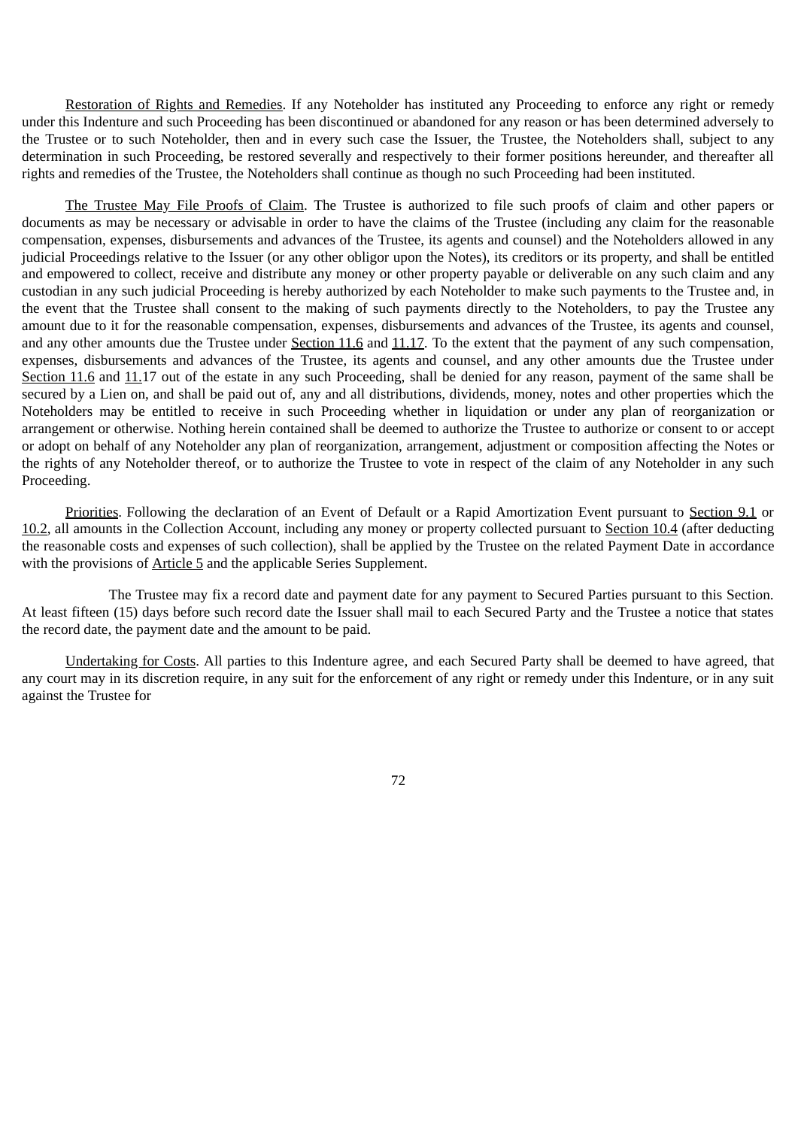Restoration of Rights and Remedies. If any Noteholder has instituted any Proceeding to enforce any right or remedy under this Indenture and such Proceeding has been discontinued or abandoned for any reason or has been determined adversely to the Trustee or to such Noteholder, then and in every such case the Issuer, the Trustee, the Noteholders shall, subject to any determination in such Proceeding, be restored severally and respectively to their former positions hereunder, and thereafter all rights and remedies of the Trustee, the Noteholders shall continue as though no such Proceeding had been instituted.

The Trustee May File Proofs of Claim. The Trustee is authorized to file such proofs of claim and other papers or documents as may be necessary or advisable in order to have the claims of the Trustee (including any claim for the reasonable compensation, expenses, disbursements and advances of the Trustee, its agents and counsel) and the Noteholders allowed in any judicial Proceedings relative to the Issuer (or any other obligor upon the Notes), its creditors or its property, and shall be entitled and empowered to collect, receive and distribute any money or other property payable or deliverable on any such claim and any custodian in any such judicial Proceeding is hereby authorized by each Noteholder to make such payments to the Trustee and, in the event that the Trustee shall consent to the making of such payments directly to the Noteholders, to pay the Trustee any amount due to it for the reasonable compensation, expenses, disbursements and advances of the Trustee, its agents and counsel, and any other amounts due the Trustee under Section 11.6 and 11.17. To the extent that the payment of any such compensation, expenses, disbursements and advances of the Trustee, its agents and counsel, and any other amounts due the Trustee under Section 11.6 and 11.17 out of the estate in any such Proceeding, shall be denied for any reason, payment of the same shall be secured by a Lien on, and shall be paid out of, any and all distributions, dividends, money, notes and other properties which the Noteholders may be entitled to receive in such Proceeding whether in liquidation or under any plan of reorganization or arrangement or otherwise. Nothing herein contained shall be deemed to authorize the Trustee to authorize or consent to or accept or adopt on behalf of any Noteholder any plan of reorganization, arrangement, adjustment or composition affecting the Notes or the rights of any Noteholder thereof, or to authorize the Trustee to vote in respect of the claim of any Noteholder in any such Proceeding.

Priorities. Following the declaration of an Event of Default or a Rapid Amortization Event pursuant to Section 9.1 or 10.2, all amounts in the Collection Account, including any money or property collected pursuant to Section 10.4 (after deducting the reasonable costs and expenses of such collection), shall be applied by the Trustee on the related Payment Date in accordance with the provisions of Article 5 and the applicable Series Supplement.

The Trustee may fix a record date and payment date for any payment to Secured Parties pursuant to this Section. At least fifteen (15) days before such record date the Issuer shall mail to each Secured Party and the Trustee a notice that states the record date, the payment date and the amount to be paid.

Undertaking for Costs. All parties to this Indenture agree, and each Secured Party shall be deemed to have agreed, that any court may in its discretion require, in any suit for the enforcement of any right or remedy under this Indenture, or in any suit against the Trustee for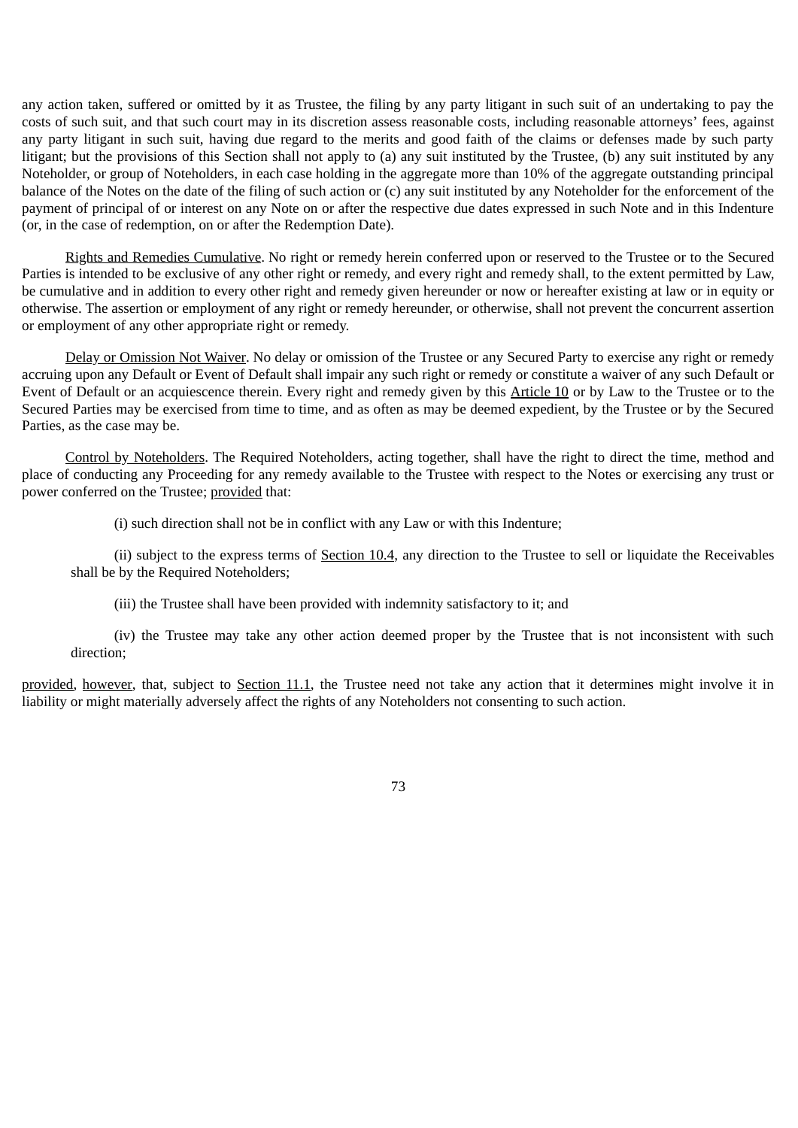any action taken, suffered or omitted by it as Trustee, the filing by any party litigant in such suit of an undertaking to pay the costs of such suit, and that such court may in its discretion assess reasonable costs, including reasonable attorneys' fees, against any party litigant in such suit, having due regard to the merits and good faith of the claims or defenses made by such party litigant; but the provisions of this Section shall not apply to (a) any suit instituted by the Trustee, (b) any suit instituted by any Noteholder, or group of Noteholders, in each case holding in the aggregate more than 10% of the aggregate outstanding principal balance of the Notes on the date of the filing of such action or (c) any suit instituted by any Noteholder for the enforcement of the payment of principal of or interest on any Note on or after the respective due dates expressed in such Note and in this Indenture (or, in the case of redemption, on or after the Redemption Date).

Rights and Remedies Cumulative. No right or remedy herein conferred upon or reserved to the Trustee or to the Secured Parties is intended to be exclusive of any other right or remedy, and every right and remedy shall, to the extent permitted by Law, be cumulative and in addition to every other right and remedy given hereunder or now or hereafter existing at law or in equity or otherwise. The assertion or employment of any right or remedy hereunder, or otherwise, shall not prevent the concurrent assertion or employment of any other appropriate right or remedy.

Delay or Omission Not Waiver. No delay or omission of the Trustee or any Secured Party to exercise any right or remedy accruing upon any Default or Event of Default shall impair any such right or remedy or constitute a waiver of any such Default or Event of Default or an acquiescence therein. Every right and remedy given by this Article 10 or by Law to the Trustee or to the Secured Parties may be exercised from time to time, and as often as may be deemed expedient, by the Trustee or by the Secured Parties, as the case may be.

Control by Noteholders. The Required Noteholders, acting together, shall have the right to direct the time, method and place of conducting any Proceeding for any remedy available to the Trustee with respect to the Notes or exercising any trust or power conferred on the Trustee; provided that:

(i) such direction shall not be in conflict with any Law or with this Indenture;

(ii) subject to the express terms of Section 10.4, any direction to the Trustee to sell or liquidate the Receivables shall be by the Required Noteholders;

(iii) the Trustee shall have been provided with indemnity satisfactory to it; and

(iv) the Trustee may take any other action deemed proper by the Trustee that is not inconsistent with such direction;

provided, however, that, subject to Section 11.1, the Trustee need not take any action that it determines might involve it in liability or might materially adversely affect the rights of any Noteholders not consenting to such action.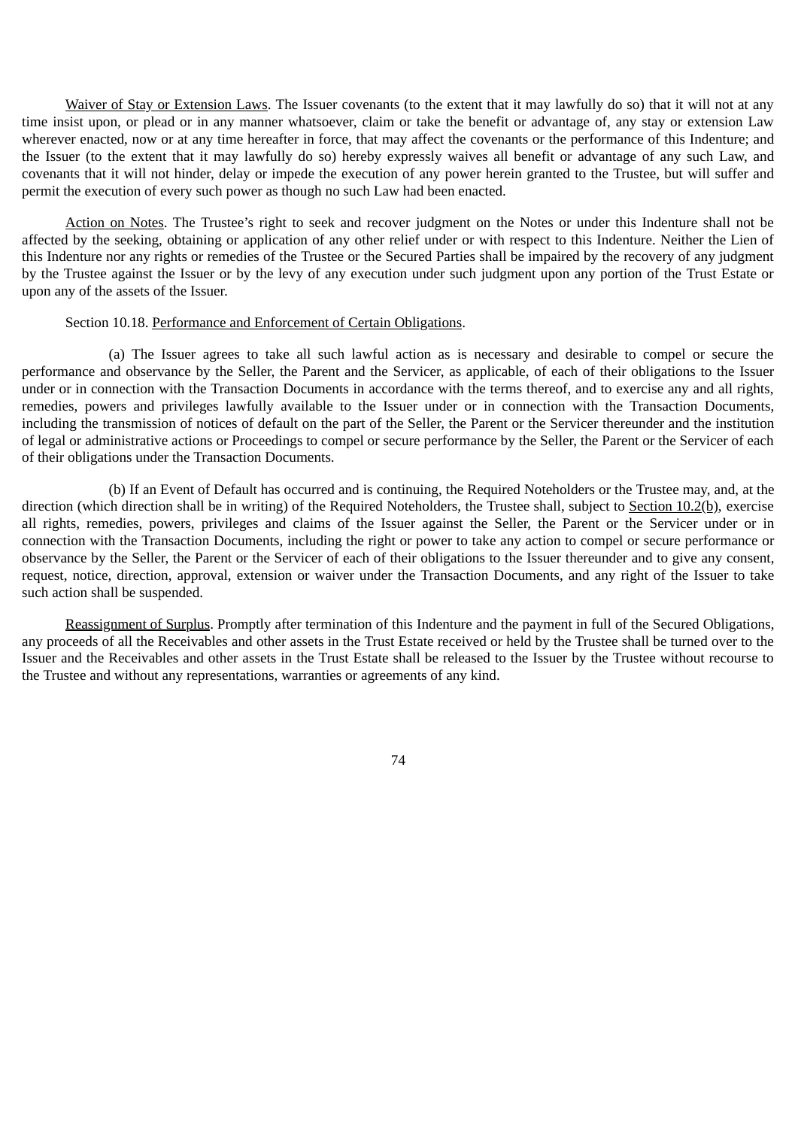Waiver of Stay or Extension Laws. The Issuer covenants (to the extent that it may lawfully do so) that it will not at any time insist upon, or plead or in any manner whatsoever, claim or take the benefit or advantage of, any stay or extension Law wherever enacted, now or at any time hereafter in force, that may affect the covenants or the performance of this Indenture; and the Issuer (to the extent that it may lawfully do so) hereby expressly waives all benefit or advantage of any such Law, and covenants that it will not hinder, delay or impede the execution of any power herein granted to the Trustee, but will suffer and permit the execution of every such power as though no such Law had been enacted.

Action on Notes. The Trustee's right to seek and recover judgment on the Notes or under this Indenture shall not be affected by the seeking, obtaining or application of any other relief under or with respect to this Indenture. Neither the Lien of this Indenture nor any rights or remedies of the Trustee or the Secured Parties shall be impaired by the recovery of any judgment by the Trustee against the Issuer or by the levy of any execution under such judgment upon any portion of the Trust Estate or upon any of the assets of the Issuer.

### Section 10.18. Performance and Enforcement of Certain Obligations.

(a) The Issuer agrees to take all such lawful action as is necessary and desirable to compel or secure the performance and observance by the Seller, the Parent and the Servicer, as applicable, of each of their obligations to the Issuer under or in connection with the Transaction Documents in accordance with the terms thereof, and to exercise any and all rights, remedies, powers and privileges lawfully available to the Issuer under or in connection with the Transaction Documents, including the transmission of notices of default on the part of the Seller, the Parent or the Servicer thereunder and the institution of legal or administrative actions or Proceedings to compel or secure performance by the Seller, the Parent or the Servicer of each of their obligations under the Transaction Documents.

(b) If an Event of Default has occurred and is continuing, the Required Noteholders or the Trustee may, and, at the direction (which direction shall be in writing) of the Required Noteholders, the Trustee shall, subject to Section 10.2(b), exercise all rights, remedies, powers, privileges and claims of the Issuer against the Seller, the Parent or the Servicer under or in connection with the Transaction Documents, including the right or power to take any action to compel or secure performance or observance by the Seller, the Parent or the Servicer of each of their obligations to the Issuer thereunder and to give any consent, request, notice, direction, approval, extension or waiver under the Transaction Documents, and any right of the Issuer to take such action shall be suspended.

Reassignment of Surplus. Promptly after termination of this Indenture and the payment in full of the Secured Obligations, any proceeds of all the Receivables and other assets in the Trust Estate received or held by the Trustee shall be turned over to the Issuer and the Receivables and other assets in the Trust Estate shall be released to the Issuer by the Trustee without recourse to the Trustee and without any representations, warranties or agreements of any kind.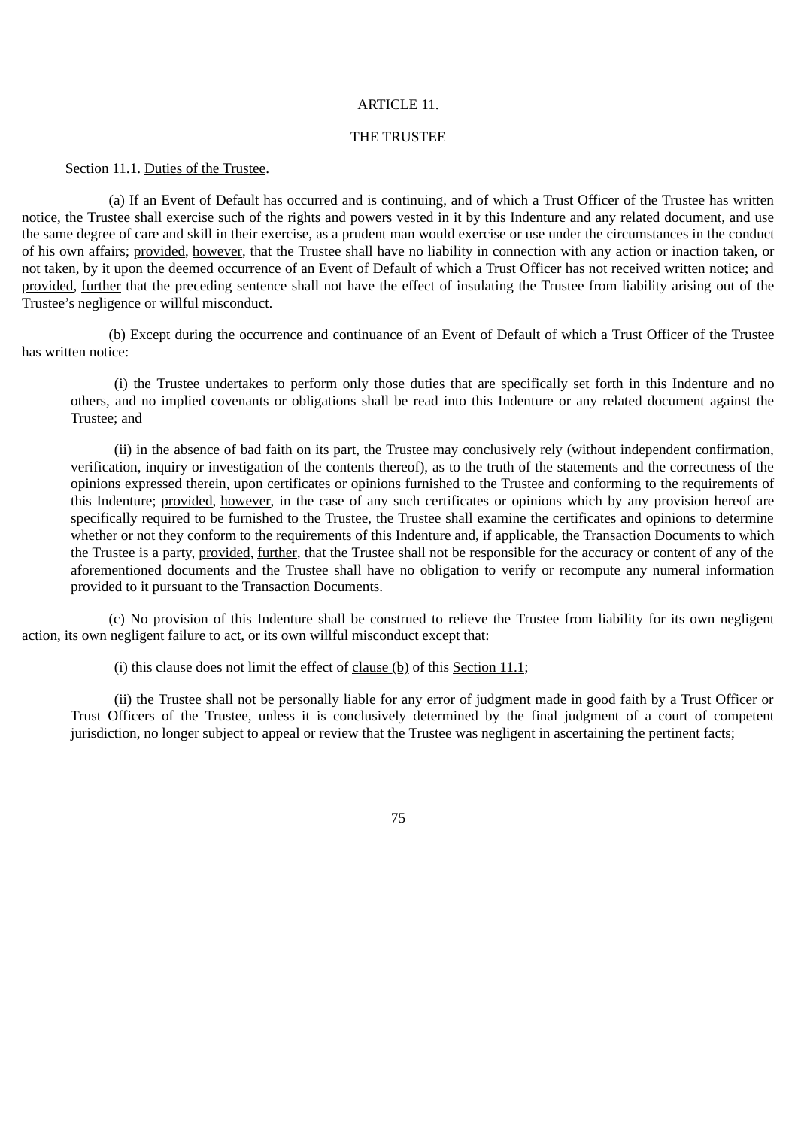#### ARTICLE 11.

#### THE TRUSTEE

### Section 11.1. Duties of the Trustee.

(a) If an Event of Default has occurred and is continuing, and of which a Trust Officer of the Trustee has written notice, the Trustee shall exercise such of the rights and powers vested in it by this Indenture and any related document, and use the same degree of care and skill in their exercise, as a prudent man would exercise or use under the circumstances in the conduct of his own affairs; provided, however, that the Trustee shall have no liability in connection with any action or inaction taken, or not taken, by it upon the deemed occurrence of an Event of Default of which a Trust Officer has not received written notice; and provided, further that the preceding sentence shall not have the effect of insulating the Trustee from liability arising out of the Trustee's negligence or willful misconduct.

(b) Except during the occurrence and continuance of an Event of Default of which a Trust Officer of the Trustee has written notice:

(i) the Trustee undertakes to perform only those duties that are specifically set forth in this Indenture and no others, and no implied covenants or obligations shall be read into this Indenture or any related document against the Trustee; and

(ii) in the absence of bad faith on its part, the Trustee may conclusively rely (without independent confirmation, verification, inquiry or investigation of the contents thereof), as to the truth of the statements and the correctness of the opinions expressed therein, upon certificates or opinions furnished to the Trustee and conforming to the requirements of this Indenture; provided, however, in the case of any such certificates or opinions which by any provision hereof are specifically required to be furnished to the Trustee, the Trustee shall examine the certificates and opinions to determine whether or not they conform to the requirements of this Indenture and, if applicable, the Transaction Documents to which the Trustee is a party, provided, further, that the Trustee shall not be responsible for the accuracy or content of any of the aforementioned documents and the Trustee shall have no obligation to verify or recompute any numeral information provided to it pursuant to the Transaction Documents.

(c) No provision of this Indenture shall be construed to relieve the Trustee from liability for its own negligent action, its own negligent failure to act, or its own willful misconduct except that:

(i) this clause does not limit the effect of  $clause(b)$  of this Section 11.1;

(ii) the Trustee shall not be personally liable for any error of judgment made in good faith by a Trust Officer or Trust Officers of the Trustee, unless it is conclusively determined by the final judgment of a court of competent jurisdiction, no longer subject to appeal or review that the Trustee was negligent in ascertaining the pertinent facts;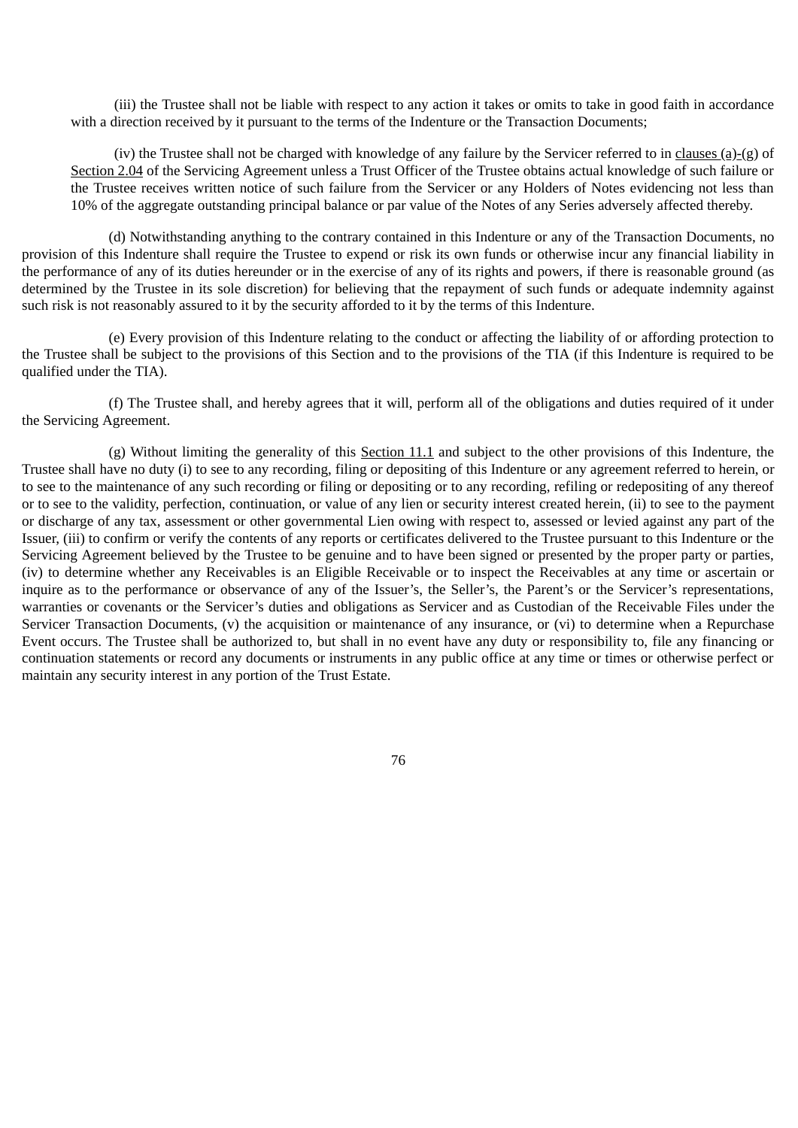(iii) the Trustee shall not be liable with respect to any action it takes or omits to take in good faith in accordance with a direction received by it pursuant to the terms of the Indenture or the Transaction Documents;

(iv) the Trustee shall not be charged with knowledge of any failure by the Servicer referred to in clauses (a)-(g) of Section 2.04 of the Servicing Agreement unless a Trust Officer of the Trustee obtains actual knowledge of such failure or the Trustee receives written notice of such failure from the Servicer or any Holders of Notes evidencing not less than 10% of the aggregate outstanding principal balance or par value of the Notes of any Series adversely affected thereby.

(d) Notwithstanding anything to the contrary contained in this Indenture or any of the Transaction Documents, no provision of this Indenture shall require the Trustee to expend or risk its own funds or otherwise incur any financial liability in the performance of any of its duties hereunder or in the exercise of any of its rights and powers, if there is reasonable ground (as determined by the Trustee in its sole discretion) for believing that the repayment of such funds or adequate indemnity against such risk is not reasonably assured to it by the security afforded to it by the terms of this Indenture.

(e) Every provision of this Indenture relating to the conduct or affecting the liability of or affording protection to the Trustee shall be subject to the provisions of this Section and to the provisions of the TIA (if this Indenture is required to be qualified under the TIA).

(f) The Trustee shall, and hereby agrees that it will, perform all of the obligations and duties required of it under the Servicing Agreement.

(g) Without limiting the generality of this Section 11.1 and subject to the other provisions of this Indenture, the Trustee shall have no duty (i) to see to any recording, filing or depositing of this Indenture or any agreement referred to herein, or to see to the maintenance of any such recording or filing or depositing or to any recording, refiling or redepositing of any thereof or to see to the validity, perfection, continuation, or value of any lien or security interest created herein, (ii) to see to the payment or discharge of any tax, assessment or other governmental Lien owing with respect to, assessed or levied against any part of the Issuer, (iii) to confirm or verify the contents of any reports or certificates delivered to the Trustee pursuant to this Indenture or the Servicing Agreement believed by the Trustee to be genuine and to have been signed or presented by the proper party or parties, (iv) to determine whether any Receivables is an Eligible Receivable or to inspect the Receivables at any time or ascertain or inquire as to the performance or observance of any of the Issuer's, the Seller's, the Parent's or the Servicer's representations, warranties or covenants or the Servicer's duties and obligations as Servicer and as Custodian of the Receivable Files under the Servicer Transaction Documents, (v) the acquisition or maintenance of any insurance, or (vi) to determine when a Repurchase Event occurs. The Trustee shall be authorized to, but shall in no event have any duty or responsibility to, file any financing or continuation statements or record any documents or instruments in any public office at any time or times or otherwise perfect or maintain any security interest in any portion of the Trust Estate.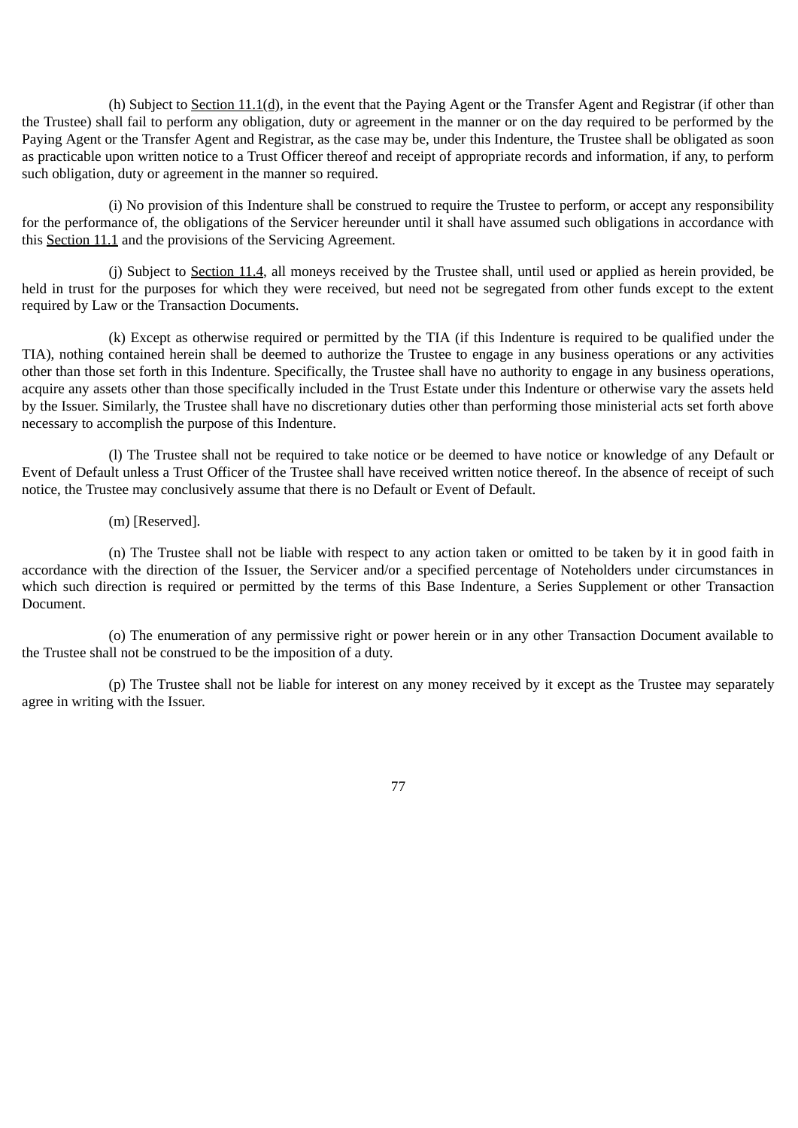(h) Subject to Section 11.1(d), in the event that the Paying Agent or the Transfer Agent and Registrar (if other than the Trustee) shall fail to perform any obligation, duty or agreement in the manner or on the day required to be performed by the Paying Agent or the Transfer Agent and Registrar, as the case may be, under this Indenture, the Trustee shall be obligated as soon as practicable upon written notice to a Trust Officer thereof and receipt of appropriate records and information, if any, to perform such obligation, duty or agreement in the manner so required.

(i) No provision of this Indenture shall be construed to require the Trustee to perform, or accept any responsibility for the performance of, the obligations of the Servicer hereunder until it shall have assumed such obligations in accordance with this Section 11.1 and the provisions of the Servicing Agreement.

(j) Subject to Section 11.4, all moneys received by the Trustee shall, until used or applied as herein provided, be held in trust for the purposes for which they were received, but need not be segregated from other funds except to the extent required by Law or the Transaction Documents.

(k) Except as otherwise required or permitted by the TIA (if this Indenture is required to be qualified under the TIA), nothing contained herein shall be deemed to authorize the Trustee to engage in any business operations or any activities other than those set forth in this Indenture. Specifically, the Trustee shall have no authority to engage in any business operations, acquire any assets other than those specifically included in the Trust Estate under this Indenture or otherwise vary the assets held by the Issuer. Similarly, the Trustee shall have no discretionary duties other than performing those ministerial acts set forth above necessary to accomplish the purpose of this Indenture.

(l) The Trustee shall not be required to take notice or be deemed to have notice or knowledge of any Default or Event of Default unless a Trust Officer of the Trustee shall have received written notice thereof. In the absence of receipt of such notice, the Trustee may conclusively assume that there is no Default or Event of Default.

(m) [Reserved].

(n) The Trustee shall not be liable with respect to any action taken or omitted to be taken by it in good faith in accordance with the direction of the Issuer, the Servicer and/or a specified percentage of Noteholders under circumstances in which such direction is required or permitted by the terms of this Base Indenture, a Series Supplement or other Transaction Document.

(o) The enumeration of any permissive right or power herein or in any other Transaction Document available to the Trustee shall not be construed to be the imposition of a duty.

(p) The Trustee shall not be liable for interest on any money received by it except as the Trustee may separately agree in writing with the Issuer.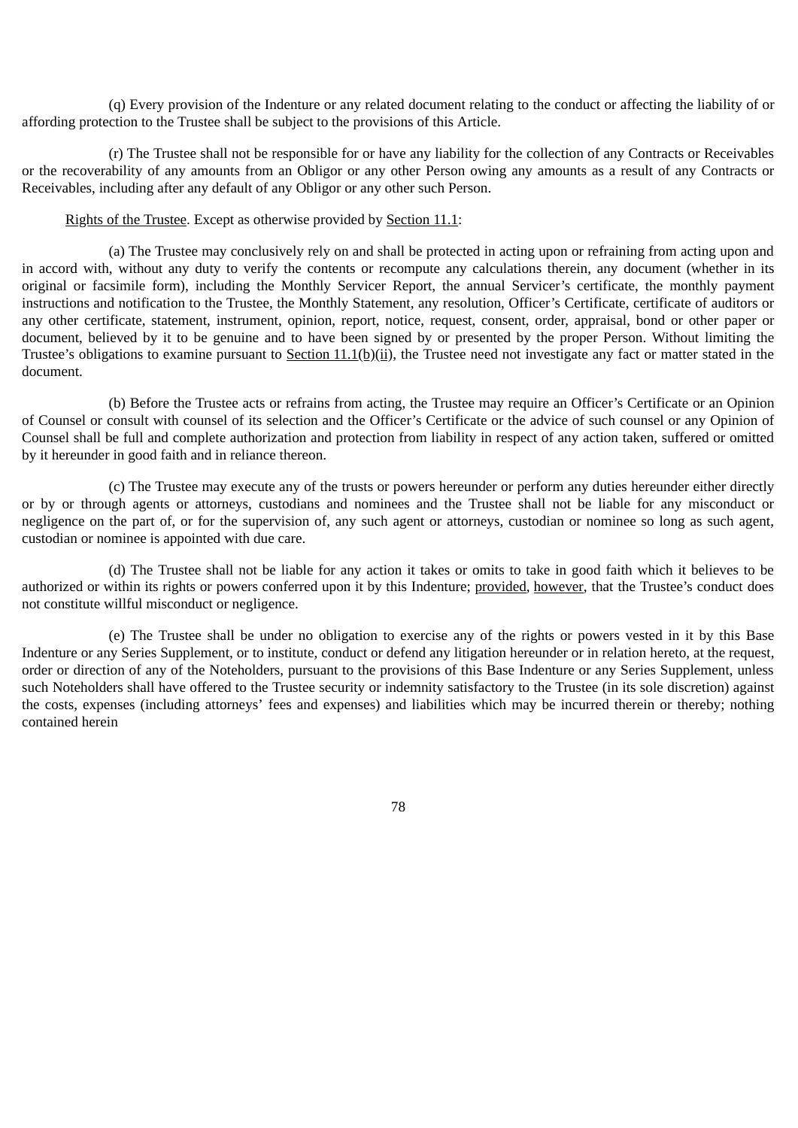(q) Every provision of the Indenture or any related document relating to the conduct or affecting the liability of or affording protection to the Trustee shall be subject to the provisions of this Article.

(r) The Trustee shall not be responsible for or have any liability for the collection of any Contracts or Receivables or the recoverability of any amounts from an Obligor or any other Person owing any amounts as a result of any Contracts or Receivables, including after any default of any Obligor or any other such Person.

### Rights of the Trustee. Except as otherwise provided by Section 11.1:

(a) The Trustee may conclusively rely on and shall be protected in acting upon or refraining from acting upon and in accord with, without any duty to verify the contents or recompute any calculations therein, any document (whether in its original or facsimile form), including the Monthly Servicer Report, the annual Servicer's certificate, the monthly payment instructions and notification to the Trustee, the Monthly Statement, any resolution, Officer's Certificate, certificate of auditors or any other certificate, statement, instrument, opinion, report, notice, request, consent, order, appraisal, bond or other paper or document, believed by it to be genuine and to have been signed by or presented by the proper Person. Without limiting the Trustee's obligations to examine pursuant to Section  $11.1(b)(ii)$ , the Trustee need not investigate any fact or matter stated in the document.

(b) Before the Trustee acts or refrains from acting, the Trustee may require an Officer's Certificate or an Opinion of Counsel or consult with counsel of its selection and the Officer's Certificate or the advice of such counsel or any Opinion of Counsel shall be full and complete authorization and protection from liability in respect of any action taken, suffered or omitted by it hereunder in good faith and in reliance thereon.

(c) The Trustee may execute any of the trusts or powers hereunder or perform any duties hereunder either directly or by or through agents or attorneys, custodians and nominees and the Trustee shall not be liable for any misconduct or negligence on the part of, or for the supervision of, any such agent or attorneys, custodian or nominee so long as such agent, custodian or nominee is appointed with due care.

(d) The Trustee shall not be liable for any action it takes or omits to take in good faith which it believes to be authorized or within its rights or powers conferred upon it by this Indenture; provided, however, that the Trustee's conduct does not constitute willful misconduct or negligence.

(e) The Trustee shall be under no obligation to exercise any of the rights or powers vested in it by this Base Indenture or any Series Supplement, or to institute, conduct or defend any litigation hereunder or in relation hereto, at the request, order or direction of any of the Noteholders, pursuant to the provisions of this Base Indenture or any Series Supplement, unless such Noteholders shall have offered to the Trustee security or indemnity satisfactory to the Trustee (in its sole discretion) against the costs, expenses (including attorneys' fees and expenses) and liabilities which may be incurred therein or thereby; nothing contained herein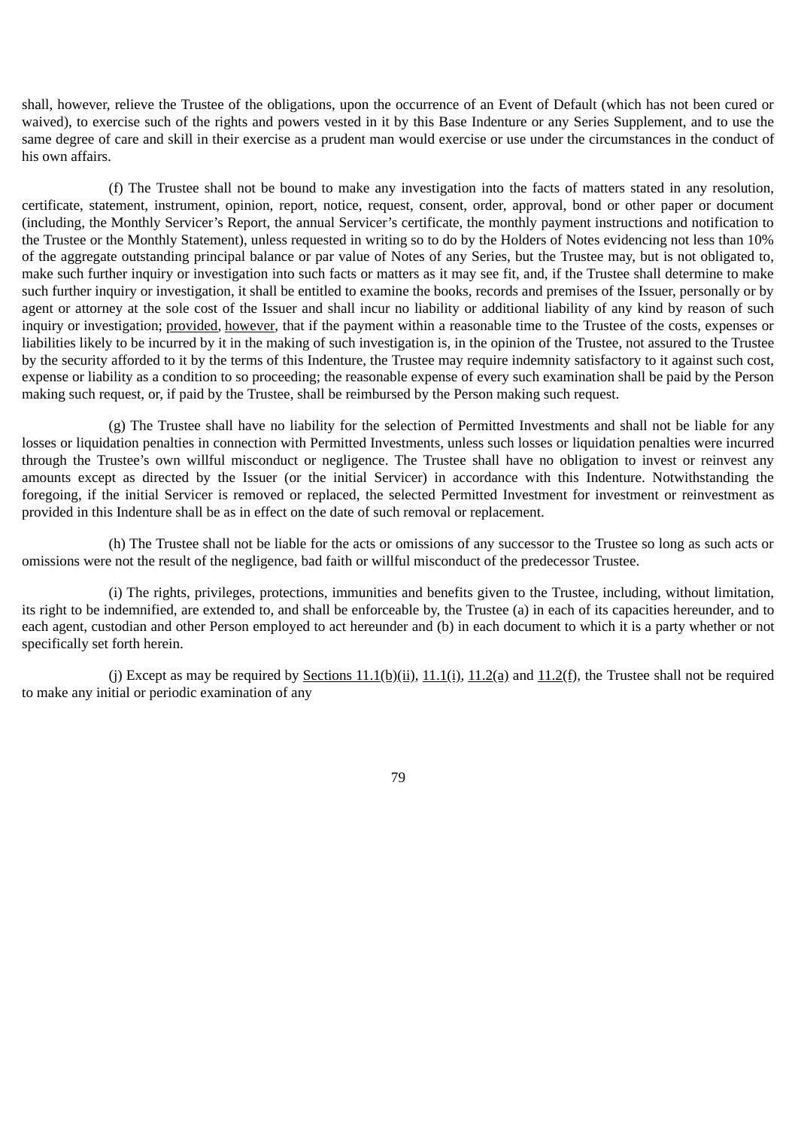shall, however, relieve the Trustee of the obligations, upon the occurrence of an Event of Default (which has not been cured or waived), to exercise such of the rights and powers vested in it by this Base Indenture or any Series Supplement, and to use the same degree of care and skill in their exercise as a prudent man would exercise or use under the circumstances in the conduct of his own affairs.

(f) The Trustee shall not be bound to make any investigation into the facts of matters stated in any resolution, certificate, statement, instrument, opinion, report, notice, request, consent, order, approval, bond or other paper or document (including, the Monthly Servicer's Report, the annual Servicer's certificate, the monthly payment instructions and notification to the Trustee or the Monthly Statement), unless requested in writing so to do by the Holders of Notes evidencing not less than 10% of the aggregate outstanding principal balance or par value of Notes of any Series, but the Trustee may, but is not obligated to, make such further inquiry or investigation into such facts or matters as it may see fit, and, if the Trustee shall determine to make such further inquiry or investigation, it shall be entitled to examine the books, records and premises of the Issuer, personally or by agent or attorney at the sole cost of the Issuer and shall incur no liability or additional liability of any kind by reason of such inquiry or investigation; provided, however, that if the payment within a reasonable time to the Trustee of the costs, expenses or liabilities likely to be incurred by it in the making of such investigation is, in the opinion of the Trustee, not assured to the Trustee by the security afforded to it by the terms of this Indenture, the Trustee may require indemnity satisfactory to it against such cost, expense or liability as a condition to so proceeding; the reasonable expense of every such examination shall be paid by the Person making such request, or, if paid by the Trustee, shall be reimbursed by the Person making such request.

(g) The Trustee shall have no liability for the selection of Permitted Investments and shall not be liable for any losses or liquidation penalties in connection with Permitted Investments, unless such losses or liquidation penalties were incurred through the Trustee's own willful misconduct or negligence. The Trustee shall have no obligation to invest or reinvest any amounts except as directed by the Issuer (or the initial Servicer) in accordance with this Indenture. Notwithstanding the foregoing, if the initial Servicer is removed or replaced, the selected Permitted Investment for investment or reinvestment as provided in this Indenture shall be as in effect on the date of such removal or replacement.

(h) The Trustee shall not be liable for the acts or omissions of any successor to the Trustee so long as such acts or omissions were not the result of the negligence, bad faith or willful misconduct of the predecessor Trustee.

(i) The rights, privileges, protections, immunities and benefits given to the Trustee, including, without limitation, its right to be indemnified, are extended to, and shall be enforceable by, the Trustee (a) in each of its capacities hereunder, and to each agent, custodian and other Person employed to act hereunder and (b) in each document to which it is a party whether or not specifically set forth herein.

(i) Except as may be required by Sections  $11.1(b)(ii)$ ,  $11.1(i)$ ,  $11.2(a)$  and  $11.2(f)$ , the Trustee shall not be required to make any initial or periodic examination of any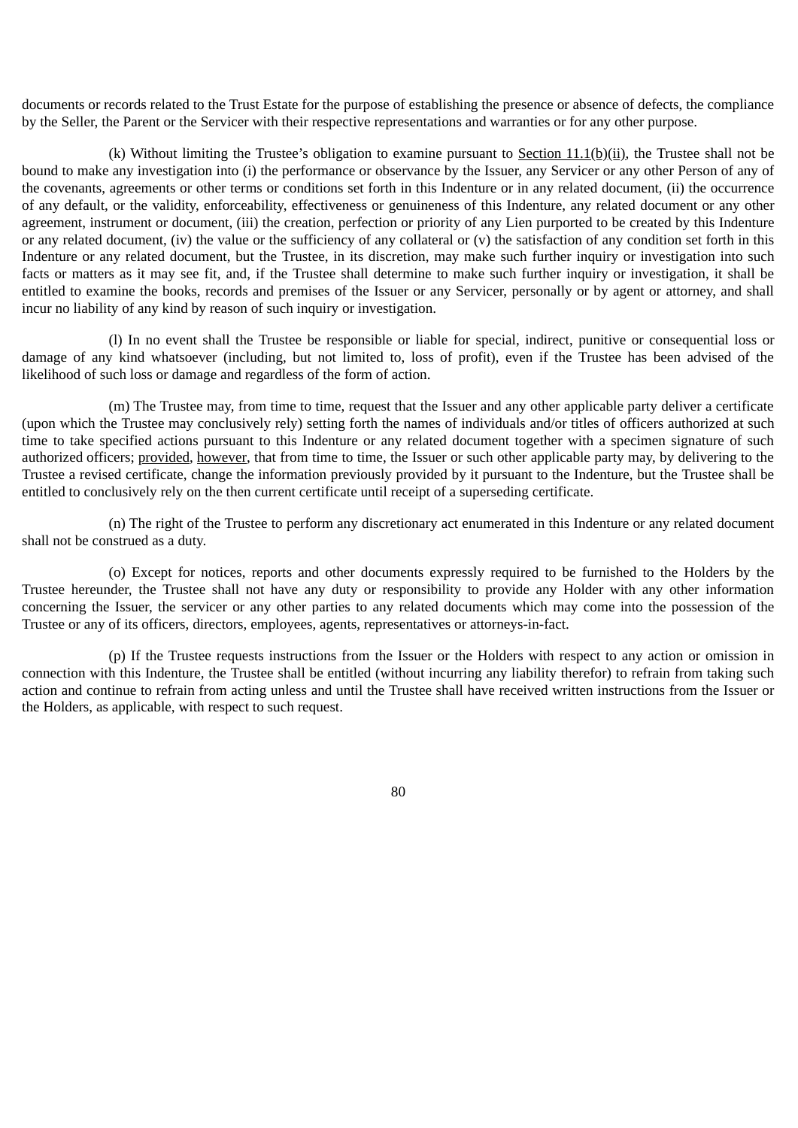documents or records related to the Trust Estate for the purpose of establishing the presence or absence of defects, the compliance by the Seller, the Parent or the Servicer with their respective representations and warranties or for any other purpose.

(k) Without limiting the Trustee's obligation to examine pursuant to Section  $11.1(b)(ii)$ , the Trustee shall not be bound to make any investigation into (i) the performance or observance by the Issuer, any Servicer or any other Person of any of the covenants, agreements or other terms or conditions set forth in this Indenture or in any related document, (ii) the occurrence of any default, or the validity, enforceability, effectiveness or genuineness of this Indenture, any related document or any other agreement, instrument or document, (iii) the creation, perfection or priority of any Lien purported to be created by this Indenture or any related document, (iv) the value or the sufficiency of any collateral or (v) the satisfaction of any condition set forth in this Indenture or any related document, but the Trustee, in its discretion, may make such further inquiry or investigation into such facts or matters as it may see fit, and, if the Trustee shall determine to make such further inquiry or investigation, it shall be entitled to examine the books, records and premises of the Issuer or any Servicer, personally or by agent or attorney, and shall incur no liability of any kind by reason of such inquiry or investigation.

(l) In no event shall the Trustee be responsible or liable for special, indirect, punitive or consequential loss or damage of any kind whatsoever (including, but not limited to, loss of profit), even if the Trustee has been advised of the likelihood of such loss or damage and regardless of the form of action.

(m) The Trustee may, from time to time, request that the Issuer and any other applicable party deliver a certificate (upon which the Trustee may conclusively rely) setting forth the names of individuals and/or titles of officers authorized at such time to take specified actions pursuant to this Indenture or any related document together with a specimen signature of such authorized officers; provided, however, that from time to time, the Issuer or such other applicable party may, by delivering to the Trustee a revised certificate, change the information previously provided by it pursuant to the Indenture, but the Trustee shall be entitled to conclusively rely on the then current certificate until receipt of a superseding certificate.

(n) The right of the Trustee to perform any discretionary act enumerated in this Indenture or any related document shall not be construed as a duty.

(o) Except for notices, reports and other documents expressly required to be furnished to the Holders by the Trustee hereunder, the Trustee shall not have any duty or responsibility to provide any Holder with any other information concerning the Issuer, the servicer or any other parties to any related documents which may come into the possession of the Trustee or any of its officers, directors, employees, agents, representatives or attorneys-in-fact.

(p) If the Trustee requests instructions from the Issuer or the Holders with respect to any action or omission in connection with this Indenture, the Trustee shall be entitled (without incurring any liability therefor) to refrain from taking such action and continue to refrain from acting unless and until the Trustee shall have received written instructions from the Issuer or the Holders, as applicable, with respect to such request.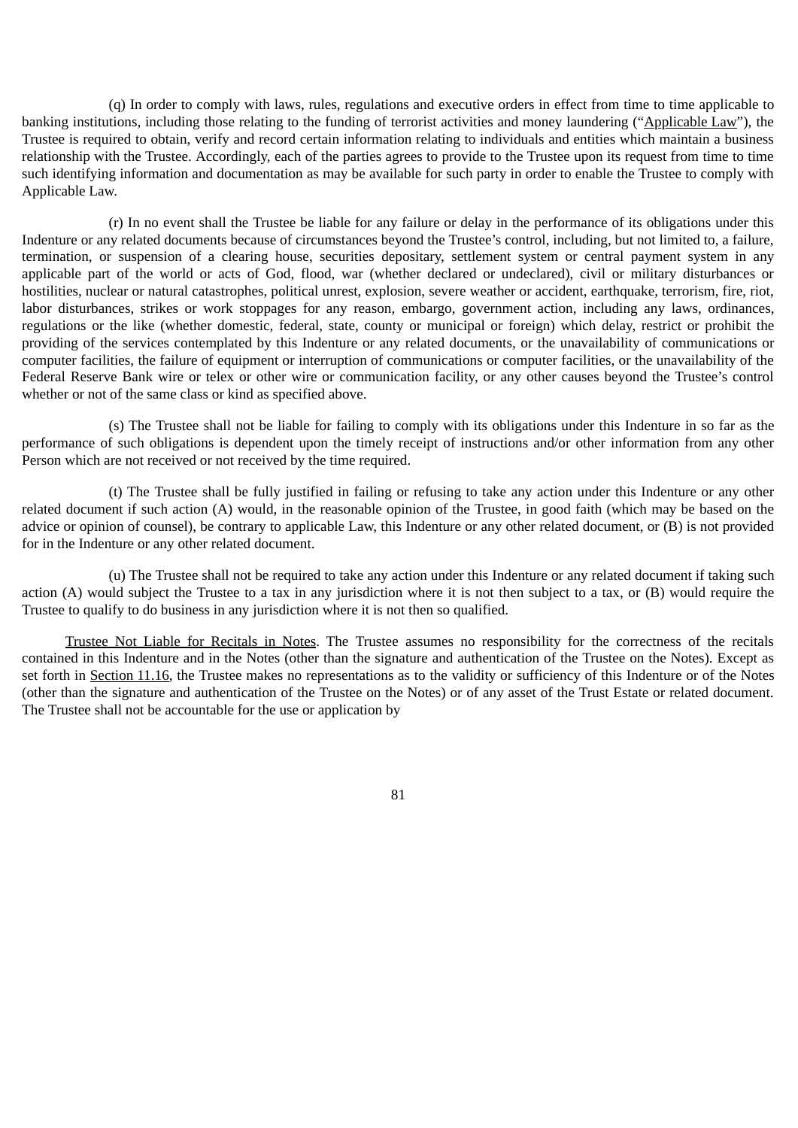(q) In order to comply with laws, rules, regulations and executive orders in effect from time to time applicable to banking institutions, including those relating to the funding of terrorist activities and money laundering ("Applicable Law"), the Trustee is required to obtain, verify and record certain information relating to individuals and entities which maintain a business relationship with the Trustee. Accordingly, each of the parties agrees to provide to the Trustee upon its request from time to time such identifying information and documentation as may be available for such party in order to enable the Trustee to comply with Applicable Law.

(r) In no event shall the Trustee be liable for any failure or delay in the performance of its obligations under this Indenture or any related documents because of circumstances beyond the Trustee's control, including, but not limited to, a failure, termination, or suspension of a clearing house, securities depositary, settlement system or central payment system in any applicable part of the world or acts of God, flood, war (whether declared or undeclared), civil or military disturbances or hostilities, nuclear or natural catastrophes, political unrest, explosion, severe weather or accident, earthquake, terrorism, fire, riot, labor disturbances, strikes or work stoppages for any reason, embargo, government action, including any laws, ordinances, regulations or the like (whether domestic, federal, state, county or municipal or foreign) which delay, restrict or prohibit the providing of the services contemplated by this Indenture or any related documents, or the unavailability of communications or computer facilities, the failure of equipment or interruption of communications or computer facilities, or the unavailability of the Federal Reserve Bank wire or telex or other wire or communication facility, or any other causes beyond the Trustee's control whether or not of the same class or kind as specified above.

(s) The Trustee shall not be liable for failing to comply with its obligations under this Indenture in so far as the performance of such obligations is dependent upon the timely receipt of instructions and/or other information from any other Person which are not received or not received by the time required.

(t) The Trustee shall be fully justified in failing or refusing to take any action under this Indenture or any other related document if such action (A) would, in the reasonable opinion of the Trustee, in good faith (which may be based on the advice or opinion of counsel), be contrary to applicable Law, this Indenture or any other related document, or (B) is not provided for in the Indenture or any other related document.

(u) The Trustee shall not be required to take any action under this Indenture or any related document if taking such action (A) would subject the Trustee to a tax in any jurisdiction where it is not then subject to a tax, or (B) would require the Trustee to qualify to do business in any jurisdiction where it is not then so qualified.

Trustee Not Liable for Recitals in Notes. The Trustee assumes no responsibility for the correctness of the recitals contained in this Indenture and in the Notes (other than the signature and authentication of the Trustee on the Notes). Except as set forth in Section 11.16, the Trustee makes no representations as to the validity or sufficiency of this Indenture or of the Notes (other than the signature and authentication of the Trustee on the Notes) or of any asset of the Trust Estate or related document. The Trustee shall not be accountable for the use or application by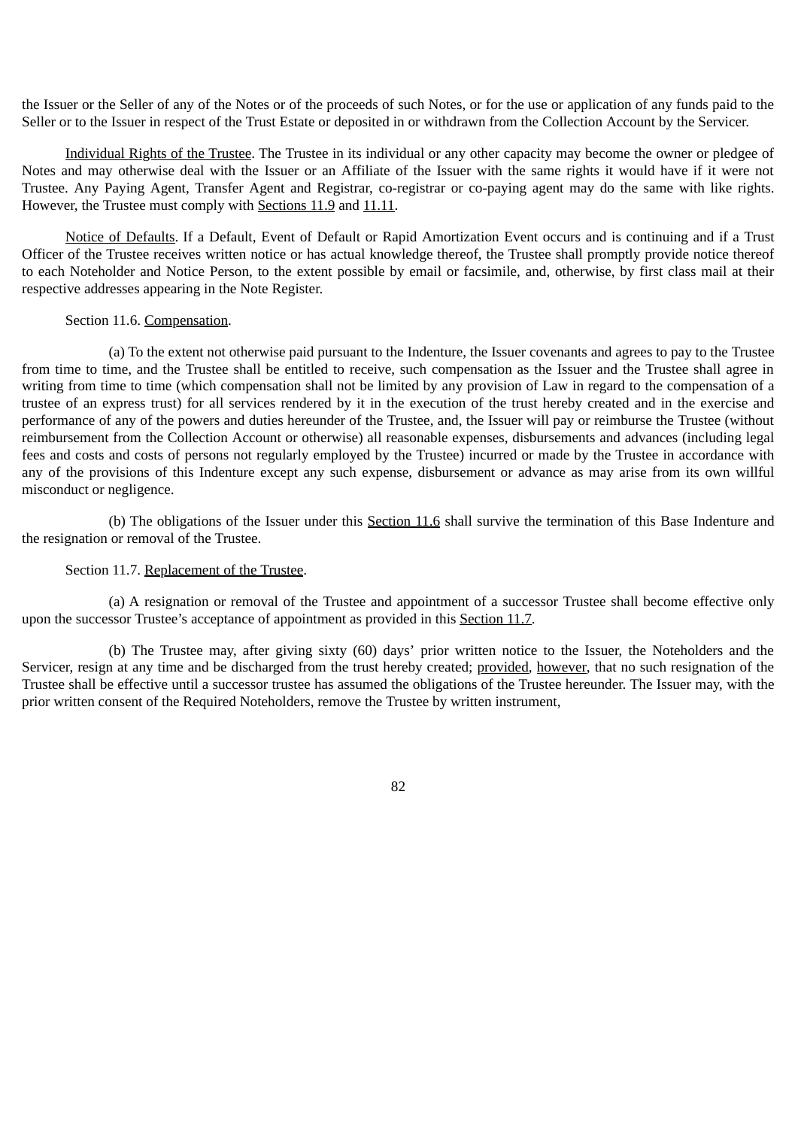the Issuer or the Seller of any of the Notes or of the proceeds of such Notes, or for the use or application of any funds paid to the Seller or to the Issuer in respect of the Trust Estate or deposited in or withdrawn from the Collection Account by the Servicer.

Individual Rights of the Trustee. The Trustee in its individual or any other capacity may become the owner or pledgee of Notes and may otherwise deal with the Issuer or an Affiliate of the Issuer with the same rights it would have if it were not Trustee. Any Paying Agent, Transfer Agent and Registrar, co-registrar or co-paying agent may do the same with like rights. However, the Trustee must comply with Sections 11.9 and 11.11.

Notice of Defaults. If a Default, Event of Default or Rapid Amortization Event occurs and is continuing and if a Trust Officer of the Trustee receives written notice or has actual knowledge thereof, the Trustee shall promptly provide notice thereof to each Noteholder and Notice Person, to the extent possible by email or facsimile, and, otherwise, by first class mail at their respective addresses appearing in the Note Register.

### Section 11.6. Compensation.

(a) To the extent not otherwise paid pursuant to the Indenture, the Issuer covenants and agrees to pay to the Trustee from time to time, and the Trustee shall be entitled to receive, such compensation as the Issuer and the Trustee shall agree in writing from time to time (which compensation shall not be limited by any provision of Law in regard to the compensation of a trustee of an express trust) for all services rendered by it in the execution of the trust hereby created and in the exercise and performance of any of the powers and duties hereunder of the Trustee, and, the Issuer will pay or reimburse the Trustee (without reimbursement from the Collection Account or otherwise) all reasonable expenses, disbursements and advances (including legal fees and costs and costs of persons not regularly employed by the Trustee) incurred or made by the Trustee in accordance with any of the provisions of this Indenture except any such expense, disbursement or advance as may arise from its own willful misconduct or negligence.

(b) The obligations of the Issuer under this Section 11.6 shall survive the termination of this Base Indenture and the resignation or removal of the Trustee.

#### Section 11.7. Replacement of the Trustee.

(a) A resignation or removal of the Trustee and appointment of a successor Trustee shall become effective only upon the successor Trustee's acceptance of appointment as provided in this Section 11.7.

(b) The Trustee may, after giving sixty (60) days' prior written notice to the Issuer, the Noteholders and the Servicer, resign at any time and be discharged from the trust hereby created; provided, however, that no such resignation of the Trustee shall be effective until a successor trustee has assumed the obligations of the Trustee hereunder. The Issuer may, with the prior written consent of the Required Noteholders, remove the Trustee by written instrument,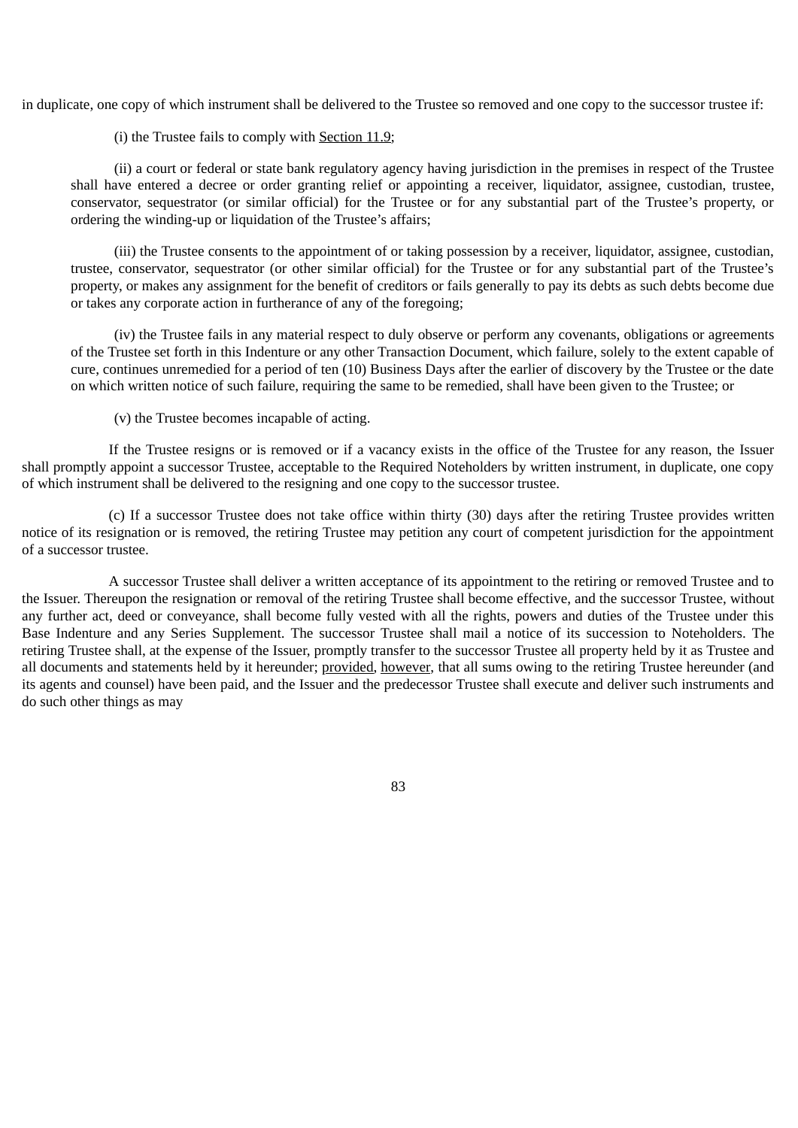in duplicate, one copy of which instrument shall be delivered to the Trustee so removed and one copy to the successor trustee if:

(i) the Trustee fails to comply with Section 11.9;

(ii) a court or federal or state bank regulatory agency having jurisdiction in the premises in respect of the Trustee shall have entered a decree or order granting relief or appointing a receiver, liquidator, assignee, custodian, trustee, conservator, sequestrator (or similar official) for the Trustee or for any substantial part of the Trustee's property, or ordering the winding-up or liquidation of the Trustee's affairs;

(iii) the Trustee consents to the appointment of or taking possession by a receiver, liquidator, assignee, custodian, trustee, conservator, sequestrator (or other similar official) for the Trustee or for any substantial part of the Trustee's property, or makes any assignment for the benefit of creditors or fails generally to pay its debts as such debts become due or takes any corporate action in furtherance of any of the foregoing;

(iv) the Trustee fails in any material respect to duly observe or perform any covenants, obligations or agreements of the Trustee set forth in this Indenture or any other Transaction Document, which failure, solely to the extent capable of cure, continues unremedied for a period of ten (10) Business Days after the earlier of discovery by the Trustee or the date on which written notice of such failure, requiring the same to be remedied, shall have been given to the Trustee; or

(v) the Trustee becomes incapable of acting.

If the Trustee resigns or is removed or if a vacancy exists in the office of the Trustee for any reason, the Issuer shall promptly appoint a successor Trustee, acceptable to the Required Noteholders by written instrument, in duplicate, one copy of which instrument shall be delivered to the resigning and one copy to the successor trustee.

(c) If a successor Trustee does not take office within thirty (30) days after the retiring Trustee provides written notice of its resignation or is removed, the retiring Trustee may petition any court of competent jurisdiction for the appointment of a successor trustee.

A successor Trustee shall deliver a written acceptance of its appointment to the retiring or removed Trustee and to the Issuer. Thereupon the resignation or removal of the retiring Trustee shall become effective, and the successor Trustee, without any further act, deed or conveyance, shall become fully vested with all the rights, powers and duties of the Trustee under this Base Indenture and any Series Supplement. The successor Trustee shall mail a notice of its succession to Noteholders. The retiring Trustee shall, at the expense of the Issuer, promptly transfer to the successor Trustee all property held by it as Trustee and all documents and statements held by it hereunder; provided, however, that all sums owing to the retiring Trustee hereunder (and its agents and counsel) have been paid, and the Issuer and the predecessor Trustee shall execute and deliver such instruments and do such other things as may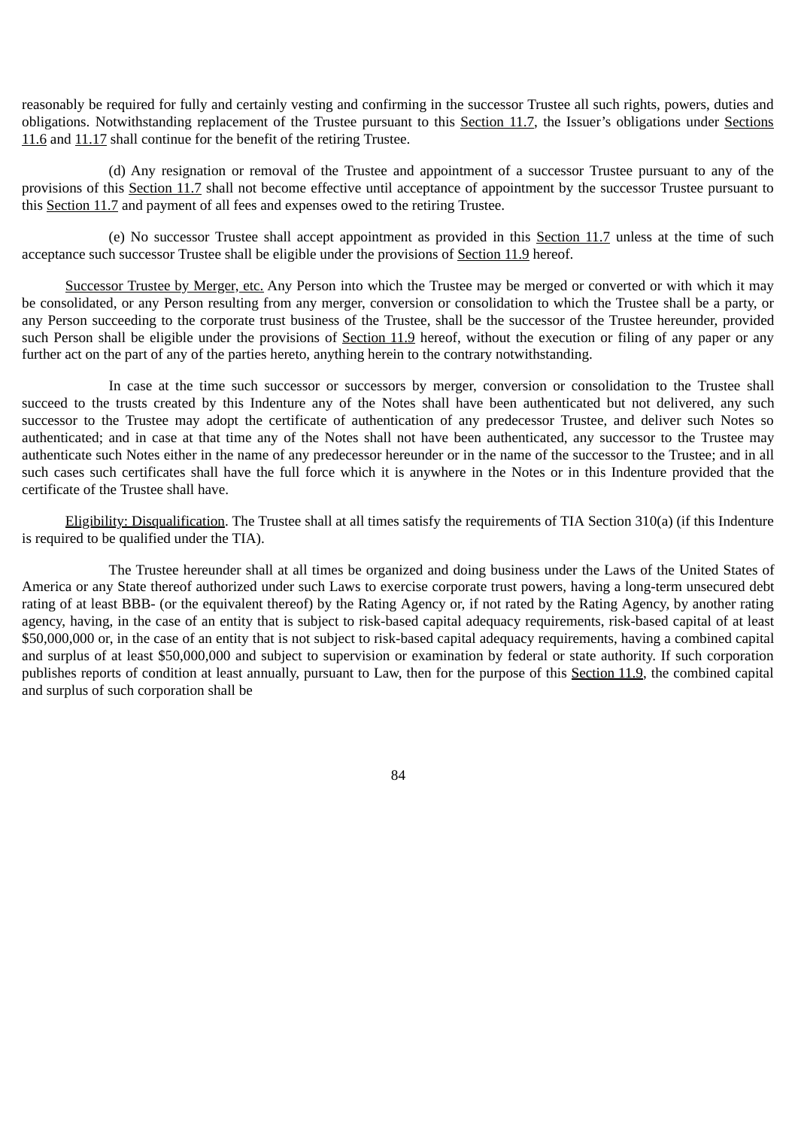reasonably be required for fully and certainly vesting and confirming in the successor Trustee all such rights, powers, duties and obligations. Notwithstanding replacement of the Trustee pursuant to this Section 11.7, the Issuer's obligations under Sections 11.6 and 11.17 shall continue for the benefit of the retiring Trustee.

(d) Any resignation or removal of the Trustee and appointment of a successor Trustee pursuant to any of the provisions of this Section 11.7 shall not become effective until acceptance of appointment by the successor Trustee pursuant to this Section 11.7 and payment of all fees and expenses owed to the retiring Trustee.

(e) No successor Trustee shall accept appointment as provided in this Section 11.7 unless at the time of such acceptance such successor Trustee shall be eligible under the provisions of Section 11.9 hereof.

Successor Trustee by Merger, etc. Any Person into which the Trustee may be merged or converted or with which it may be consolidated, or any Person resulting from any merger, conversion or consolidation to which the Trustee shall be a party, or any Person succeeding to the corporate trust business of the Trustee, shall be the successor of the Trustee hereunder, provided such Person shall be eligible under the provisions of Section 11.9 hereof, without the execution or filing of any paper or any further act on the part of any of the parties hereto, anything herein to the contrary notwithstanding.

In case at the time such successor or successors by merger, conversion or consolidation to the Trustee shall succeed to the trusts created by this Indenture any of the Notes shall have been authenticated but not delivered, any such successor to the Trustee may adopt the certificate of authentication of any predecessor Trustee, and deliver such Notes so authenticated; and in case at that time any of the Notes shall not have been authenticated, any successor to the Trustee may authenticate such Notes either in the name of any predecessor hereunder or in the name of the successor to the Trustee; and in all such cases such certificates shall have the full force which it is anywhere in the Notes or in this Indenture provided that the certificate of the Trustee shall have.

Eligibility: Disqualification. The Trustee shall at all times satisfy the requirements of TIA Section 310(a) (if this Indenture is required to be qualified under the TIA).

The Trustee hereunder shall at all times be organized and doing business under the Laws of the United States of America or any State thereof authorized under such Laws to exercise corporate trust powers, having a long-term unsecured debt rating of at least BBB- (or the equivalent thereof) by the Rating Agency or, if not rated by the Rating Agency, by another rating agency, having, in the case of an entity that is subject to risk-based capital adequacy requirements, risk-based capital of at least \$50,000,000 or, in the case of an entity that is not subject to risk-based capital adequacy requirements, having a combined capital and surplus of at least \$50,000,000 and subject to supervision or examination by federal or state authority. If such corporation publishes reports of condition at least annually, pursuant to Law, then for the purpose of this Section 11.9, the combined capital and surplus of such corporation shall be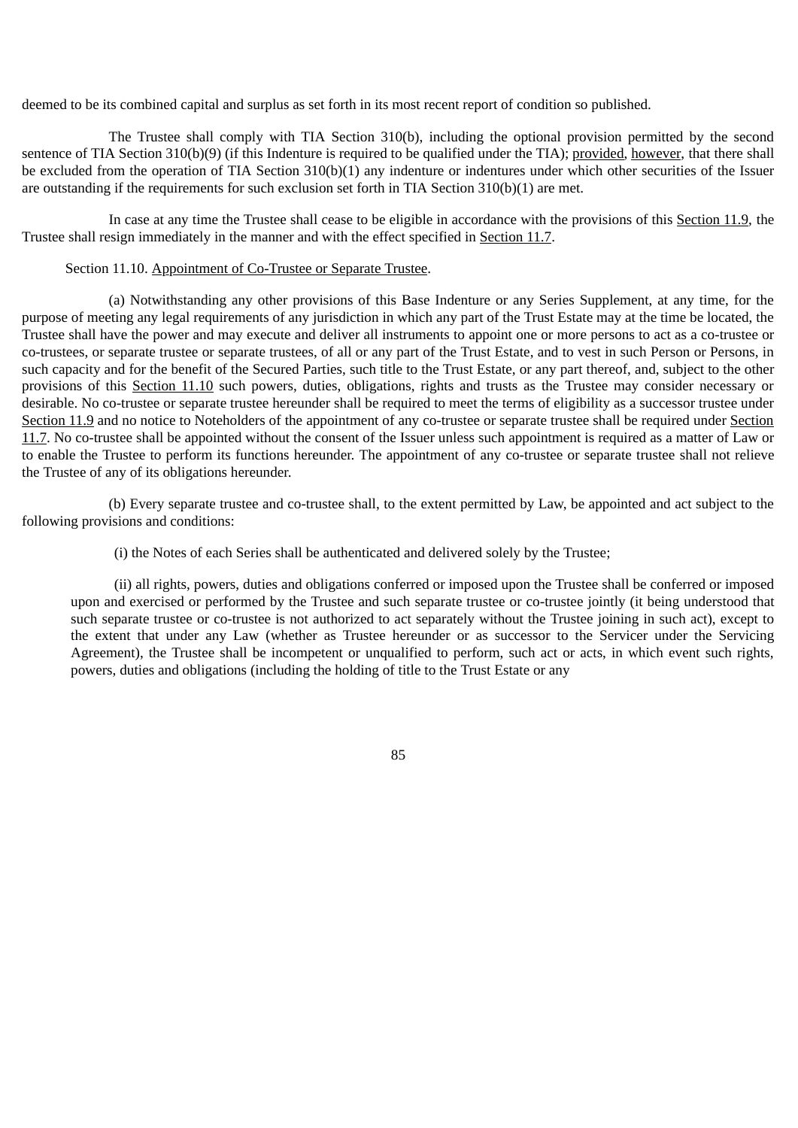deemed to be its combined capital and surplus as set forth in its most recent report of condition so published.

The Trustee shall comply with TIA Section 310(b), including the optional provision permitted by the second sentence of TIA Section 310(b)(9) (if this Indenture is required to be qualified under the TIA); provided, however, that there shall be excluded from the operation of TIA Section 310(b)(1) any indenture or indentures under which other securities of the Issuer are outstanding if the requirements for such exclusion set forth in TIA Section 310(b)(1) are met.

In case at any time the Trustee shall cease to be eligible in accordance with the provisions of this Section 11.9, the Trustee shall resign immediately in the manner and with the effect specified in Section 11.7.

## Section 11.10. Appointment of Co-Trustee or Separate Trustee.

(a) Notwithstanding any other provisions of this Base Indenture or any Series Supplement, at any time, for the purpose of meeting any legal requirements of any jurisdiction in which any part of the Trust Estate may at the time be located, the Trustee shall have the power and may execute and deliver all instruments to appoint one or more persons to act as a co-trustee or co-trustees, or separate trustee or separate trustees, of all or any part of the Trust Estate, and to vest in such Person or Persons, in such capacity and for the benefit of the Secured Parties, such title to the Trust Estate, or any part thereof, and, subject to the other provisions of this Section 11.10 such powers, duties, obligations, rights and trusts as the Trustee may consider necessary or desirable. No co-trustee or separate trustee hereunder shall be required to meet the terms of eligibility as a successor trustee under Section 11.9 and no notice to Noteholders of the appointment of any co-trustee or separate trustee shall be required under Section 11.7. No co-trustee shall be appointed without the consent of the Issuer unless such appointment is required as a matter of Law or to enable the Trustee to perform its functions hereunder. The appointment of any co-trustee or separate trustee shall not relieve the Trustee of any of its obligations hereunder.

(b) Every separate trustee and co-trustee shall, to the extent permitted by Law, be appointed and act subject to the following provisions and conditions:

(i) the Notes of each Series shall be authenticated and delivered solely by the Trustee;

(ii) all rights, powers, duties and obligations conferred or imposed upon the Trustee shall be conferred or imposed upon and exercised or performed by the Trustee and such separate trustee or co-trustee jointly (it being understood that such separate trustee or co-trustee is not authorized to act separately without the Trustee joining in such act), except to the extent that under any Law (whether as Trustee hereunder or as successor to the Servicer under the Servicing Agreement), the Trustee shall be incompetent or unqualified to perform, such act or acts, in which event such rights, powers, duties and obligations (including the holding of title to the Trust Estate or any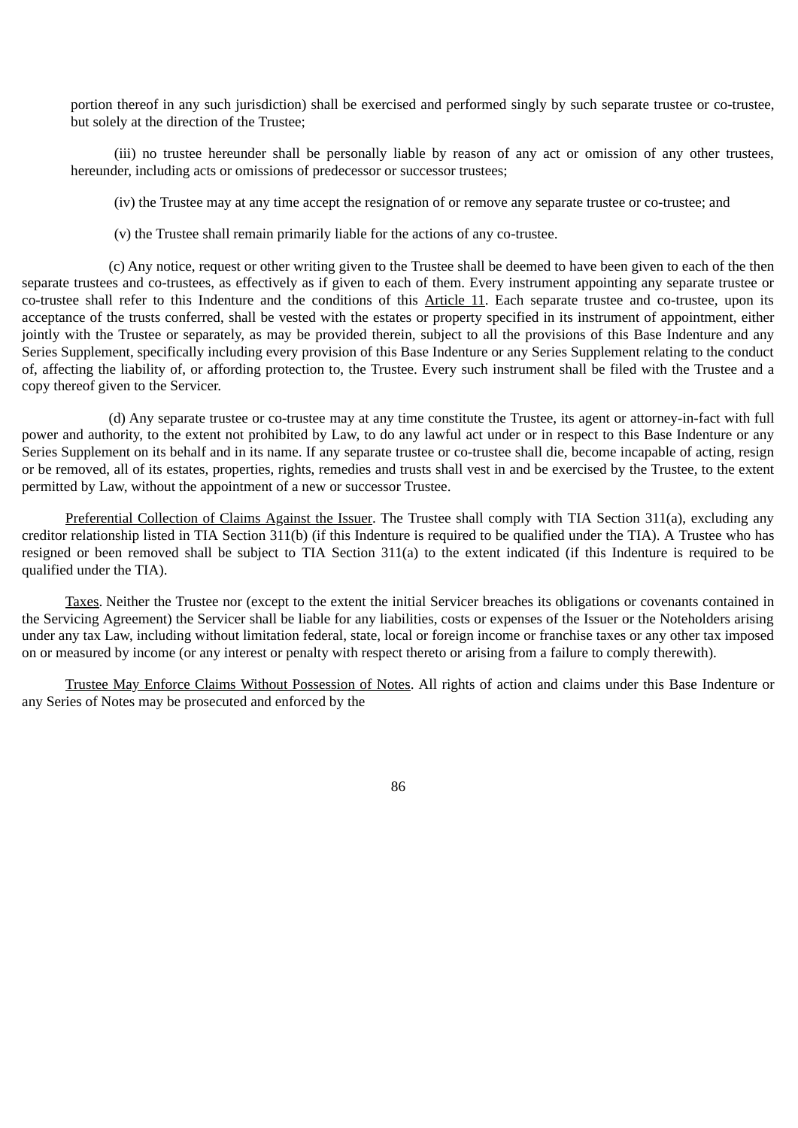portion thereof in any such jurisdiction) shall be exercised and performed singly by such separate trustee or co-trustee, but solely at the direction of the Trustee;

(iii) no trustee hereunder shall be personally liable by reason of any act or omission of any other trustees, hereunder, including acts or omissions of predecessor or successor trustees;

(iv) the Trustee may at any time accept the resignation of or remove any separate trustee or co-trustee; and

(v) the Trustee shall remain primarily liable for the actions of any co-trustee.

(c) Any notice, request or other writing given to the Trustee shall be deemed to have been given to each of the then separate trustees and co-trustees, as effectively as if given to each of them. Every instrument appointing any separate trustee or co-trustee shall refer to this Indenture and the conditions of this Article 11. Each separate trustee and co-trustee, upon its acceptance of the trusts conferred, shall be vested with the estates or property specified in its instrument of appointment, either jointly with the Trustee or separately, as may be provided therein, subject to all the provisions of this Base Indenture and any Series Supplement, specifically including every provision of this Base Indenture or any Series Supplement relating to the conduct of, affecting the liability of, or affording protection to, the Trustee. Every such instrument shall be filed with the Trustee and a copy thereof given to the Servicer.

(d) Any separate trustee or co-trustee may at any time constitute the Trustee, its agent or attorney-in-fact with full power and authority, to the extent not prohibited by Law, to do any lawful act under or in respect to this Base Indenture or any Series Supplement on its behalf and in its name. If any separate trustee or co-trustee shall die, become incapable of acting, resign or be removed, all of its estates, properties, rights, remedies and trusts shall vest in and be exercised by the Trustee, to the extent permitted by Law, without the appointment of a new or successor Trustee.

Preferential Collection of Claims Against the Issuer. The Trustee shall comply with TIA Section 311(a), excluding any creditor relationship listed in TIA Section 311(b) (if this Indenture is required to be qualified under the TIA). A Trustee who has resigned or been removed shall be subject to TIA Section 311(a) to the extent indicated (if this Indenture is required to be qualified under the TIA).

Taxes. Neither the Trustee nor (except to the extent the initial Servicer breaches its obligations or covenants contained in the Servicing Agreement) the Servicer shall be liable for any liabilities, costs or expenses of the Issuer or the Noteholders arising under any tax Law, including without limitation federal, state, local or foreign income or franchise taxes or any other tax imposed on or measured by income (or any interest or penalty with respect thereto or arising from a failure to comply therewith).

Trustee May Enforce Claims Without Possession of Notes. All rights of action and claims under this Base Indenture or any Series of Notes may be prosecuted and enforced by the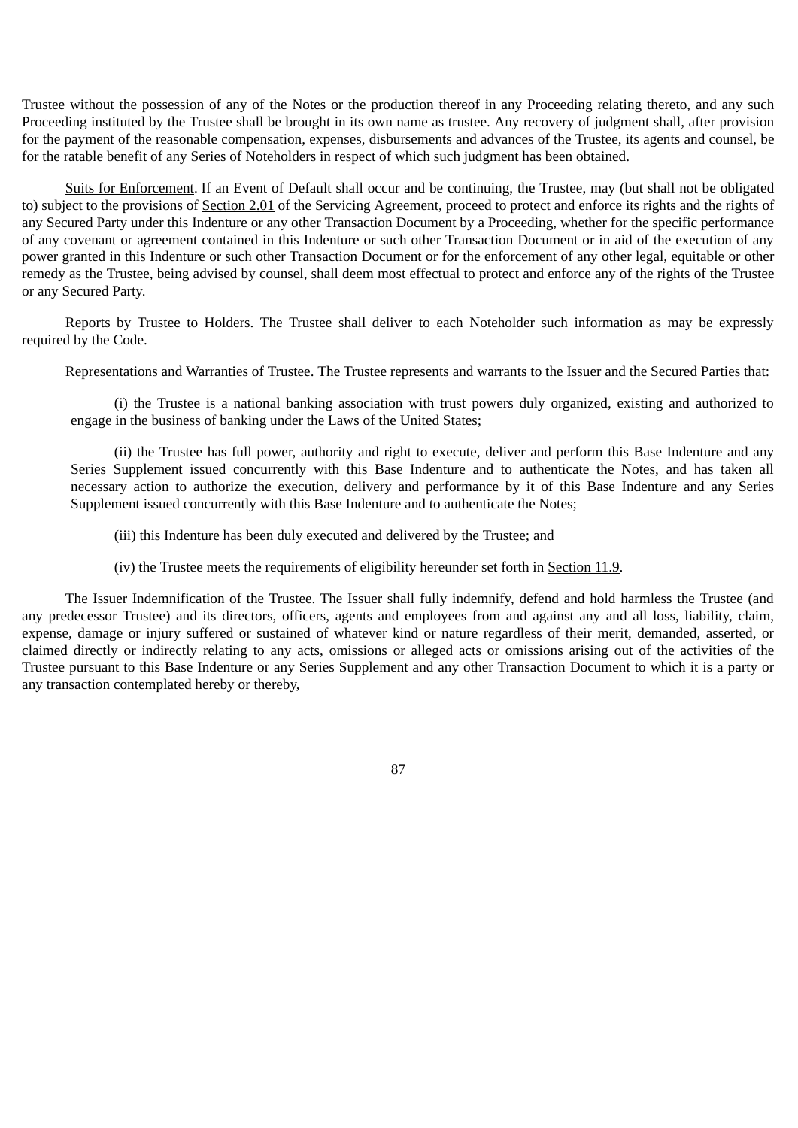Trustee without the possession of any of the Notes or the production thereof in any Proceeding relating thereto, and any such Proceeding instituted by the Trustee shall be brought in its own name as trustee. Any recovery of judgment shall, after provision for the payment of the reasonable compensation, expenses, disbursements and advances of the Trustee, its agents and counsel, be for the ratable benefit of any Series of Noteholders in respect of which such judgment has been obtained.

Suits for Enforcement. If an Event of Default shall occur and be continuing, the Trustee, may (but shall not be obligated to) subject to the provisions of Section 2.01 of the Servicing Agreement, proceed to protect and enforce its rights and the rights of any Secured Party under this Indenture or any other Transaction Document by a Proceeding, whether for the specific performance of any covenant or agreement contained in this Indenture or such other Transaction Document or in aid of the execution of any power granted in this Indenture or such other Transaction Document or for the enforcement of any other legal, equitable or other remedy as the Trustee, being advised by counsel, shall deem most effectual to protect and enforce any of the rights of the Trustee or any Secured Party.

Reports by Trustee to Holders. The Trustee shall deliver to each Noteholder such information as may be expressly required by the Code.

Representations and Warranties of Trustee. The Trustee represents and warrants to the Issuer and the Secured Parties that:

(i) the Trustee is a national banking association with trust powers duly organized, existing and authorized to engage in the business of banking under the Laws of the United States;

(ii) the Trustee has full power, authority and right to execute, deliver and perform this Base Indenture and any Series Supplement issued concurrently with this Base Indenture and to authenticate the Notes, and has taken all necessary action to authorize the execution, delivery and performance by it of this Base Indenture and any Series Supplement issued concurrently with this Base Indenture and to authenticate the Notes;

(iii) this Indenture has been duly executed and delivered by the Trustee; and

(iv) the Trustee meets the requirements of eligibility hereunder set forth in Section 11.9.

The Issuer Indemnification of the Trustee. The Issuer shall fully indemnify, defend and hold harmless the Trustee (and any predecessor Trustee) and its directors, officers, agents and employees from and against any and all loss, liability, claim, expense, damage or injury suffered or sustained of whatever kind or nature regardless of their merit, demanded, asserted, or claimed directly or indirectly relating to any acts, omissions or alleged acts or omissions arising out of the activities of the Trustee pursuant to this Base Indenture or any Series Supplement and any other Transaction Document to which it is a party or any transaction contemplated hereby or thereby,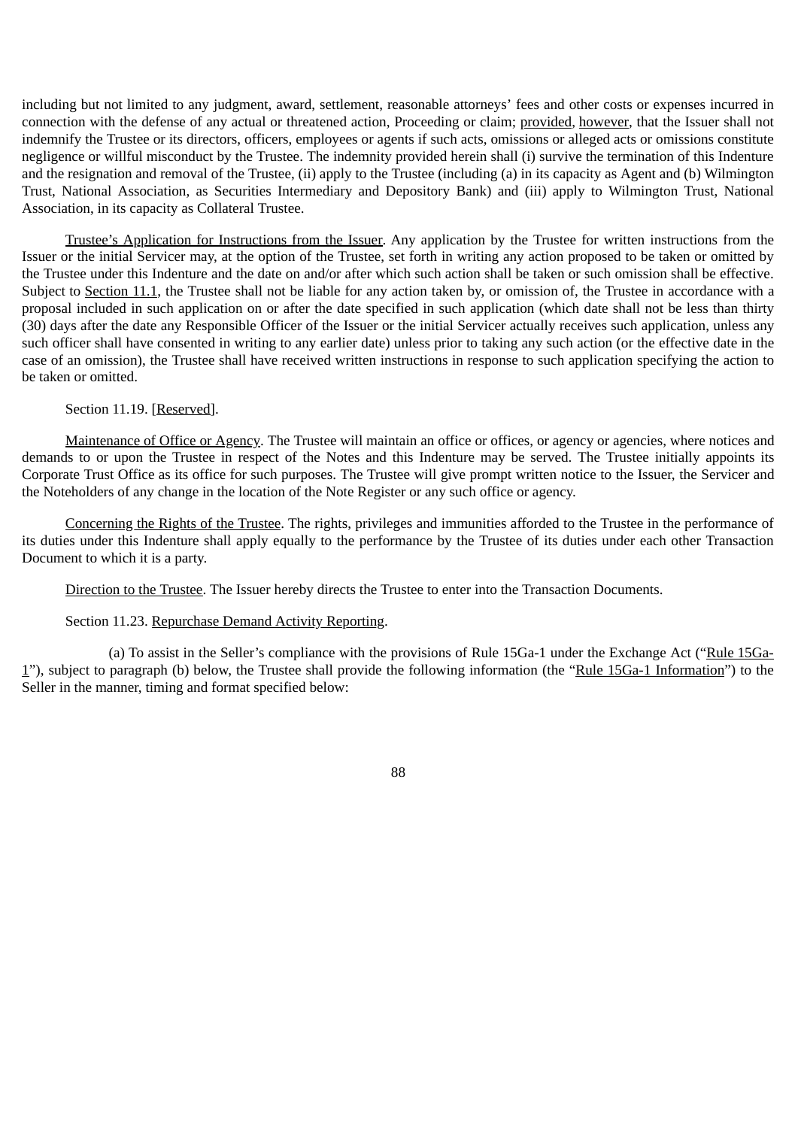including but not limited to any judgment, award, settlement, reasonable attorneys' fees and other costs or expenses incurred in connection with the defense of any actual or threatened action, Proceeding or claim; provided, however, that the Issuer shall not indemnify the Trustee or its directors, officers, employees or agents if such acts, omissions or alleged acts or omissions constitute negligence or willful misconduct by the Trustee. The indemnity provided herein shall (i) survive the termination of this Indenture and the resignation and removal of the Trustee, (ii) apply to the Trustee (including (a) in its capacity as Agent and (b) Wilmington Trust, National Association, as Securities Intermediary and Depository Bank) and (iii) apply to Wilmington Trust, National Association, in its capacity as Collateral Trustee.

Trustee's Application for Instructions from the Issuer. Any application by the Trustee for written instructions from the Issuer or the initial Servicer may, at the option of the Trustee, set forth in writing any action proposed to be taken or omitted by the Trustee under this Indenture and the date on and/or after which such action shall be taken or such omission shall be effective. Subject to Section 11.1, the Trustee shall not be liable for any action taken by, or omission of, the Trustee in accordance with a proposal included in such application on or after the date specified in such application (which date shall not be less than thirty (30) days after the date any Responsible Officer of the Issuer or the initial Servicer actually receives such application, unless any such officer shall have consented in writing to any earlier date) unless prior to taking any such action (or the effective date in the case of an omission), the Trustee shall have received written instructions in response to such application specifying the action to be taken or omitted.

## Section 11.19. [Reserved].

Maintenance of Office or Agency. The Trustee will maintain an office or offices, or agency or agencies, where notices and demands to or upon the Trustee in respect of the Notes and this Indenture may be served. The Trustee initially appoints its Corporate Trust Office as its office for such purposes. The Trustee will give prompt written notice to the Issuer, the Servicer and the Noteholders of any change in the location of the Note Register or any such office or agency.

Concerning the Rights of the Trustee. The rights, privileges and immunities afforded to the Trustee in the performance of its duties under this Indenture shall apply equally to the performance by the Trustee of its duties under each other Transaction Document to which it is a party.

Direction to the Trustee. The Issuer hereby directs the Trustee to enter into the Transaction Documents.

### Section 11.23. Repurchase Demand Activity Reporting.

(a) To assist in the Seller's compliance with the provisions of Rule 15Ga-1 under the Exchange Act ("Rule 15Ga-1"), subject to paragraph (b) below, the Trustee shall provide the following information (the "Rule 15Ga-1 Information") to the Seller in the manner, timing and format specified below: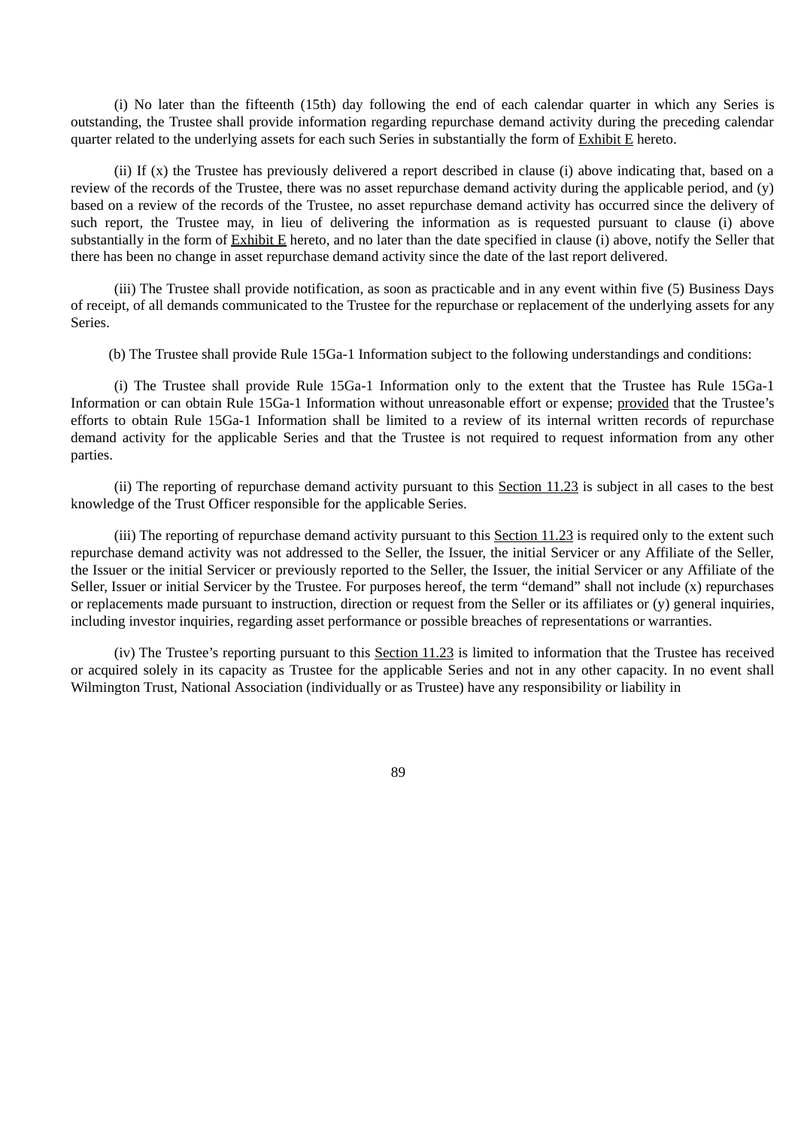(i) No later than the fifteenth (15th) day following the end of each calendar quarter in which any Series is outstanding, the Trustee shall provide information regarding repurchase demand activity during the preceding calendar quarter related to the underlying assets for each such Series in substantially the form of  $Exhibit E$  hereto.

(ii) If (x) the Trustee has previously delivered a report described in clause (i) above indicating that, based on a review of the records of the Trustee, there was no asset repurchase demand activity during the applicable period, and (y) based on a review of the records of the Trustee, no asset repurchase demand activity has occurred since the delivery of such report, the Trustee may, in lieu of delivering the information as is requested pursuant to clause (i) above substantially in the form of Exhibit E hereto, and no later than the date specified in clause (i) above, notify the Seller that there has been no change in asset repurchase demand activity since the date of the last report delivered.

(iii) The Trustee shall provide notification, as soon as practicable and in any event within five (5) Business Days of receipt, of all demands communicated to the Trustee for the repurchase or replacement of the underlying assets for any Series.

(b) The Trustee shall provide Rule 15Ga-1 Information subject to the following understandings and conditions:

(i) The Trustee shall provide Rule 15Ga-1 Information only to the extent that the Trustee has Rule 15Ga-1 Information or can obtain Rule 15Ga-1 Information without unreasonable effort or expense; provided that the Trustee's efforts to obtain Rule 15Ga-1 Information shall be limited to a review of its internal written records of repurchase demand activity for the applicable Series and that the Trustee is not required to request information from any other parties.

(ii) The reporting of repurchase demand activity pursuant to this Section 11.23 is subject in all cases to the best knowledge of the Trust Officer responsible for the applicable Series.

(iii) The reporting of repurchase demand activity pursuant to this Section 11.23 is required only to the extent such repurchase demand activity was not addressed to the Seller, the Issuer, the initial Servicer or any Affiliate of the Seller, the Issuer or the initial Servicer or previously reported to the Seller, the Issuer, the initial Servicer or any Affiliate of the Seller, Issuer or initial Servicer by the Trustee. For purposes hereof, the term "demand" shall not include (x) repurchases or replacements made pursuant to instruction, direction or request from the Seller or its affiliates or (y) general inquiries, including investor inquiries, regarding asset performance or possible breaches of representations or warranties.

(iv) The Trustee's reporting pursuant to this Section 11.23 is limited to information that the Trustee has received or acquired solely in its capacity as Trustee for the applicable Series and not in any other capacity. In no event shall Wilmington Trust, National Association (individually or as Trustee) have any responsibility or liability in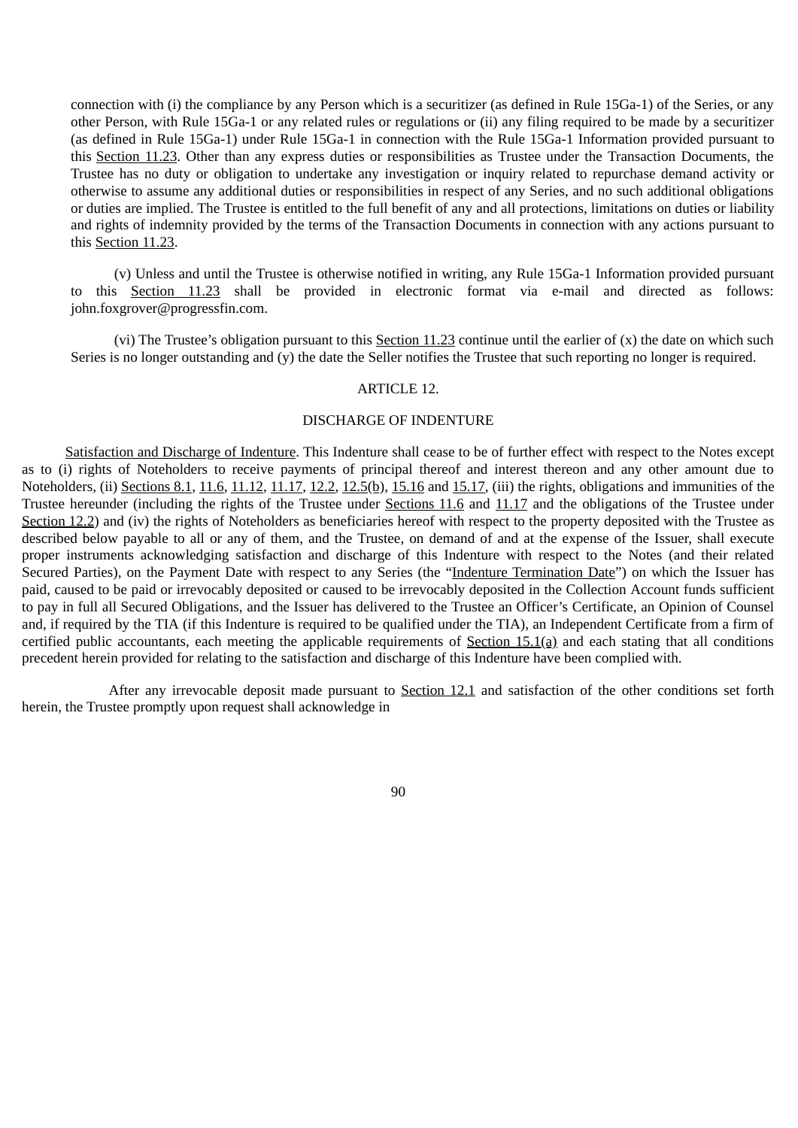connection with (i) the compliance by any Person which is a securitizer (as defined in Rule 15Ga-1) of the Series, or any other Person, with Rule 15Ga-1 or any related rules or regulations or (ii) any filing required to be made by a securitizer (as defined in Rule 15Ga-1) under Rule 15Ga-1 in connection with the Rule 15Ga-1 Information provided pursuant to this Section 11.23. Other than any express duties or responsibilities as Trustee under the Transaction Documents, the Trustee has no duty or obligation to undertake any investigation or inquiry related to repurchase demand activity or otherwise to assume any additional duties or responsibilities in respect of any Series, and no such additional obligations or duties are implied. The Trustee is entitled to the full benefit of any and all protections, limitations on duties or liability and rights of indemnity provided by the terms of the Transaction Documents in connection with any actions pursuant to this Section 11.23.

(v) Unless and until the Trustee is otherwise notified in writing, any Rule 15Ga-1 Information provided pursuant to this Section 11.23 shall be provided in electronic format via e-mail and directed as follows: john.foxgrover@progressfin.com.

(vi) The Trustee's obligation pursuant to this Section  $11.23$  continue until the earlier of  $(x)$  the date on which such Series is no longer outstanding and (y) the date the Seller notifies the Trustee that such reporting no longer is required.

### ARTICLE 12.

### DISCHARGE OF INDENTURE

Satisfaction and Discharge of Indenture. This Indenture shall cease to be of further effect with respect to the Notes except as to (i) rights of Noteholders to receive payments of principal thereof and interest thereon and any other amount due to Noteholders, (ii) Sections 8.1, 11.6, 11.12, 11.17, 12.2, 12.5(b), 15.16 and 15.17, (iii) the rights, obligations and immunities of the Trustee hereunder (including the rights of the Trustee under Sections 11.6 and 11.17 and the obligations of the Trustee under Section 12.2) and (iv) the rights of Noteholders as beneficiaries hereof with respect to the property deposited with the Trustee as described below payable to all or any of them, and the Trustee, on demand of and at the expense of the Issuer, shall execute proper instruments acknowledging satisfaction and discharge of this Indenture with respect to the Notes (and their related Secured Parties), on the Payment Date with respect to any Series (the "Indenture Termination Date") on which the Issuer has paid, caused to be paid or irrevocably deposited or caused to be irrevocably deposited in the Collection Account funds sufficient to pay in full all Secured Obligations, and the Issuer has delivered to the Trustee an Officer's Certificate, an Opinion of Counsel and, if required by the TIA (if this Indenture is required to be qualified under the TIA), an Independent Certificate from a firm of certified public accountants, each meeting the applicable requirements of Section  $15.1(a)$  and each stating that all conditions precedent herein provided for relating to the satisfaction and discharge of this Indenture have been complied with.

After any irrevocable deposit made pursuant to Section 12.1 and satisfaction of the other conditions set forth herein, the Trustee promptly upon request shall acknowledge in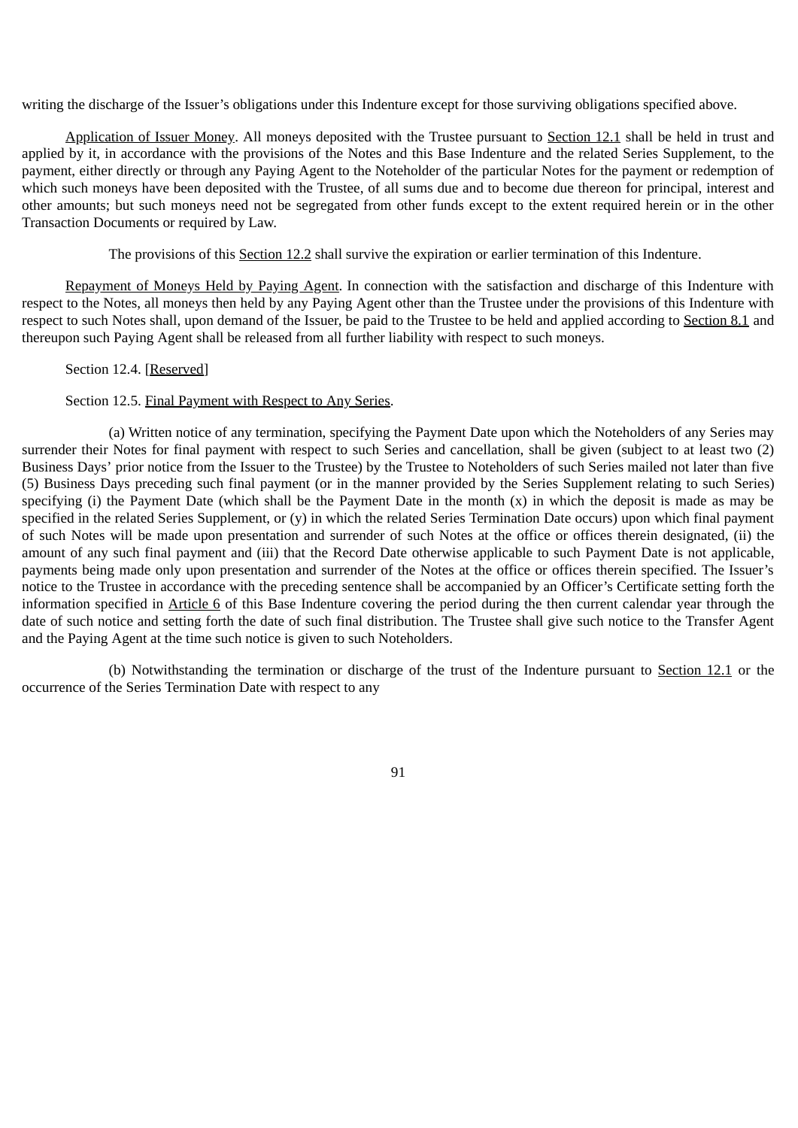writing the discharge of the Issuer's obligations under this Indenture except for those surviving obligations specified above.

Application of Issuer Money. All moneys deposited with the Trustee pursuant to Section 12.1 shall be held in trust and applied by it, in accordance with the provisions of the Notes and this Base Indenture and the related Series Supplement, to the payment, either directly or through any Paying Agent to the Noteholder of the particular Notes for the payment or redemption of which such moneys have been deposited with the Trustee, of all sums due and to become due thereon for principal, interest and other amounts; but such moneys need not be segregated from other funds except to the extent required herein or in the other Transaction Documents or required by Law.

The provisions of this Section 12.2 shall survive the expiration or earlier termination of this Indenture.

Repayment of Moneys Held by Paying Agent. In connection with the satisfaction and discharge of this Indenture with respect to the Notes, all moneys then held by any Paying Agent other than the Trustee under the provisions of this Indenture with respect to such Notes shall, upon demand of the Issuer, be paid to the Trustee to be held and applied according to Section 8.1 and thereupon such Paying Agent shall be released from all further liability with respect to such moneys.

### Section 12.4. [Reserved]

#### Section 12.5. Final Payment with Respect to Any Series.

(a) Written notice of any termination, specifying the Payment Date upon which the Noteholders of any Series may surrender their Notes for final payment with respect to such Series and cancellation, shall be given (subject to at least two (2) Business Days' prior notice from the Issuer to the Trustee) by the Trustee to Noteholders of such Series mailed not later than five (5) Business Days preceding such final payment (or in the manner provided by the Series Supplement relating to such Series) specifying (i) the Payment Date (which shall be the Payment Date in the month (x) in which the deposit is made as may be specified in the related Series Supplement, or (y) in which the related Series Termination Date occurs) upon which final payment of such Notes will be made upon presentation and surrender of such Notes at the office or offices therein designated, (ii) the amount of any such final payment and (iii) that the Record Date otherwise applicable to such Payment Date is not applicable, payments being made only upon presentation and surrender of the Notes at the office or offices therein specified. The Issuer's notice to the Trustee in accordance with the preceding sentence shall be accompanied by an Officer's Certificate setting forth the information specified in Article 6 of this Base Indenture covering the period during the then current calendar year through the date of such notice and setting forth the date of such final distribution. The Trustee shall give such notice to the Transfer Agent and the Paying Agent at the time such notice is given to such Noteholders.

(b) Notwithstanding the termination or discharge of the trust of the Indenture pursuant to Section 12.1 or the occurrence of the Series Termination Date with respect to any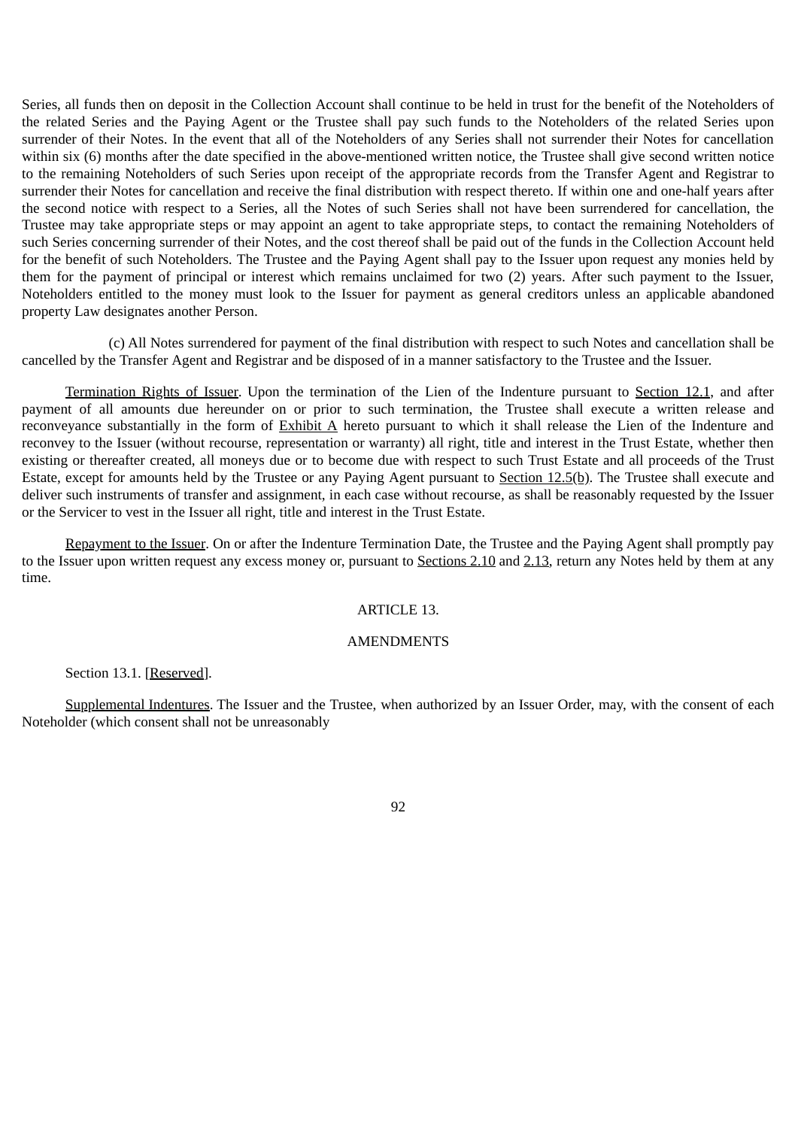Series, all funds then on deposit in the Collection Account shall continue to be held in trust for the benefit of the Noteholders of the related Series and the Paying Agent or the Trustee shall pay such funds to the Noteholders of the related Series upon surrender of their Notes. In the event that all of the Noteholders of any Series shall not surrender their Notes for cancellation within six (6) months after the date specified in the above-mentioned written notice, the Trustee shall give second written notice to the remaining Noteholders of such Series upon receipt of the appropriate records from the Transfer Agent and Registrar to surrender their Notes for cancellation and receive the final distribution with respect thereto. If within one and one-half years after the second notice with respect to a Series, all the Notes of such Series shall not have been surrendered for cancellation, the Trustee may take appropriate steps or may appoint an agent to take appropriate steps, to contact the remaining Noteholders of such Series concerning surrender of their Notes, and the cost thereof shall be paid out of the funds in the Collection Account held for the benefit of such Noteholders. The Trustee and the Paying Agent shall pay to the Issuer upon request any monies held by them for the payment of principal or interest which remains unclaimed for two (2) years. After such payment to the Issuer, Noteholders entitled to the money must look to the Issuer for payment as general creditors unless an applicable abandoned property Law designates another Person.

(c) All Notes surrendered for payment of the final distribution with respect to such Notes and cancellation shall be cancelled by the Transfer Agent and Registrar and be disposed of in a manner satisfactory to the Trustee and the Issuer.

Termination Rights of Issuer. Upon the termination of the Lien of the Indenture pursuant to Section 12.1, and after payment of all amounts due hereunder on or prior to such termination, the Trustee shall execute a written release and reconveyance substantially in the form of Exhibit A hereto pursuant to which it shall release the Lien of the Indenture and reconvey to the Issuer (without recourse, representation or warranty) all right, title and interest in the Trust Estate, whether then existing or thereafter created, all moneys due or to become due with respect to such Trust Estate and all proceeds of the Trust Estate, except for amounts held by the Trustee or any Paying Agent pursuant to Section 12.5(b). The Trustee shall execute and deliver such instruments of transfer and assignment, in each case without recourse, as shall be reasonably requested by the Issuer or the Servicer to vest in the Issuer all right, title and interest in the Trust Estate.

Repayment to the Issuer. On or after the Indenture Termination Date, the Trustee and the Paying Agent shall promptly pay to the Issuer upon written request any excess money or, pursuant to Sections 2.10 and 2.13, return any Notes held by them at any time.

## ARTICLE 13.

# **AMENDMENTS**

Section 13.1. [Reserved].

Supplemental Indentures. The Issuer and the Trustee, when authorized by an Issuer Order, may, with the consent of each Noteholder (which consent shall not be unreasonably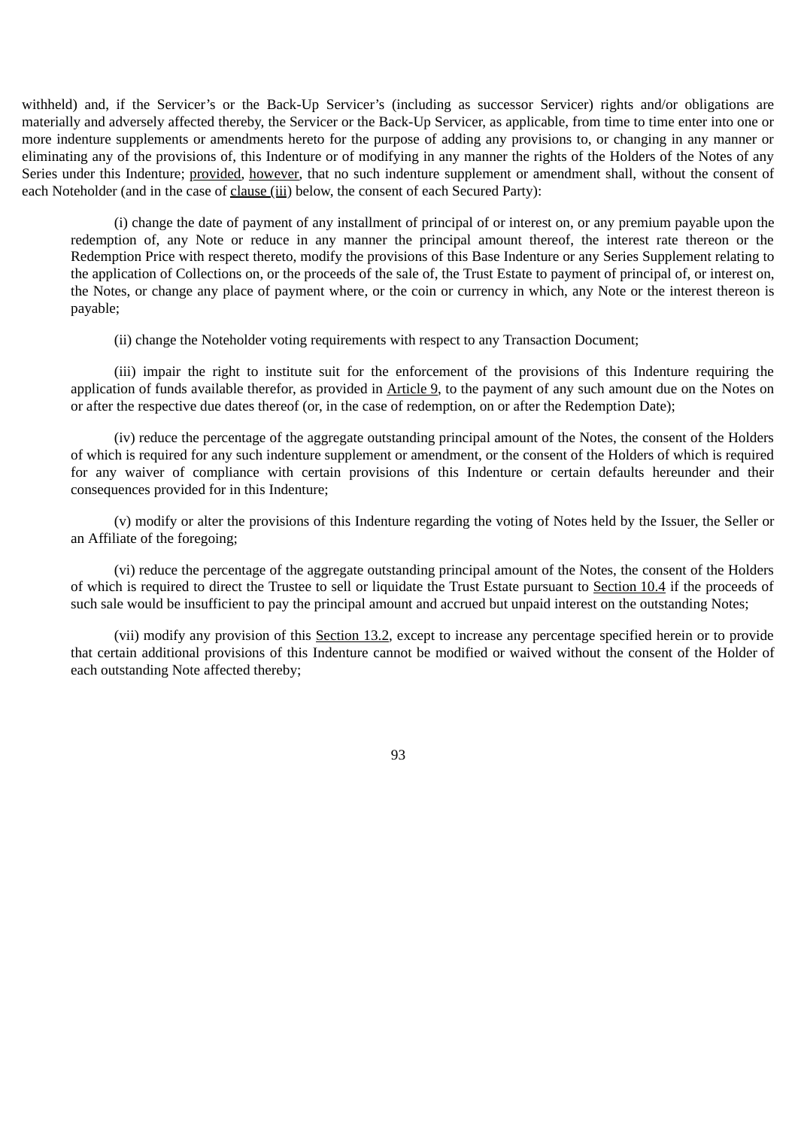withheld) and, if the Servicer's or the Back-Up Servicer's (including as successor Servicer) rights and/or obligations are materially and adversely affected thereby, the Servicer or the Back-Up Servicer, as applicable, from time to time enter into one or more indenture supplements or amendments hereto for the purpose of adding any provisions to, or changing in any manner or eliminating any of the provisions of, this Indenture or of modifying in any manner the rights of the Holders of the Notes of any Series under this Indenture; provided, however, that no such indenture supplement or amendment shall, without the consent of each Noteholder (and in the case of clause (iii) below, the consent of each Secured Party):

(i) change the date of payment of any installment of principal of or interest on, or any premium payable upon the redemption of, any Note or reduce in any manner the principal amount thereof, the interest rate thereon or the Redemption Price with respect thereto, modify the provisions of this Base Indenture or any Series Supplement relating to the application of Collections on, or the proceeds of the sale of, the Trust Estate to payment of principal of, or interest on, the Notes, or change any place of payment where, or the coin or currency in which, any Note or the interest thereon is payable;

(ii) change the Noteholder voting requirements with respect to any Transaction Document;

(iii) impair the right to institute suit for the enforcement of the provisions of this Indenture requiring the application of funds available therefor, as provided in Article 9, to the payment of any such amount due on the Notes on or after the respective due dates thereof (or, in the case of redemption, on or after the Redemption Date);

(iv) reduce the percentage of the aggregate outstanding principal amount of the Notes, the consent of the Holders of which is required for any such indenture supplement or amendment, or the consent of the Holders of which is required for any waiver of compliance with certain provisions of this Indenture or certain defaults hereunder and their consequences provided for in this Indenture;

(v) modify or alter the provisions of this Indenture regarding the voting of Notes held by the Issuer, the Seller or an Affiliate of the foregoing;

(vi) reduce the percentage of the aggregate outstanding principal amount of the Notes, the consent of the Holders of which is required to direct the Trustee to sell or liquidate the Trust Estate pursuant to Section 10.4 if the proceeds of such sale would be insufficient to pay the principal amount and accrued but unpaid interest on the outstanding Notes;

(vii) modify any provision of this Section 13.2, except to increase any percentage specified herein or to provide that certain additional provisions of this Indenture cannot be modified or waived without the consent of the Holder of each outstanding Note affected thereby;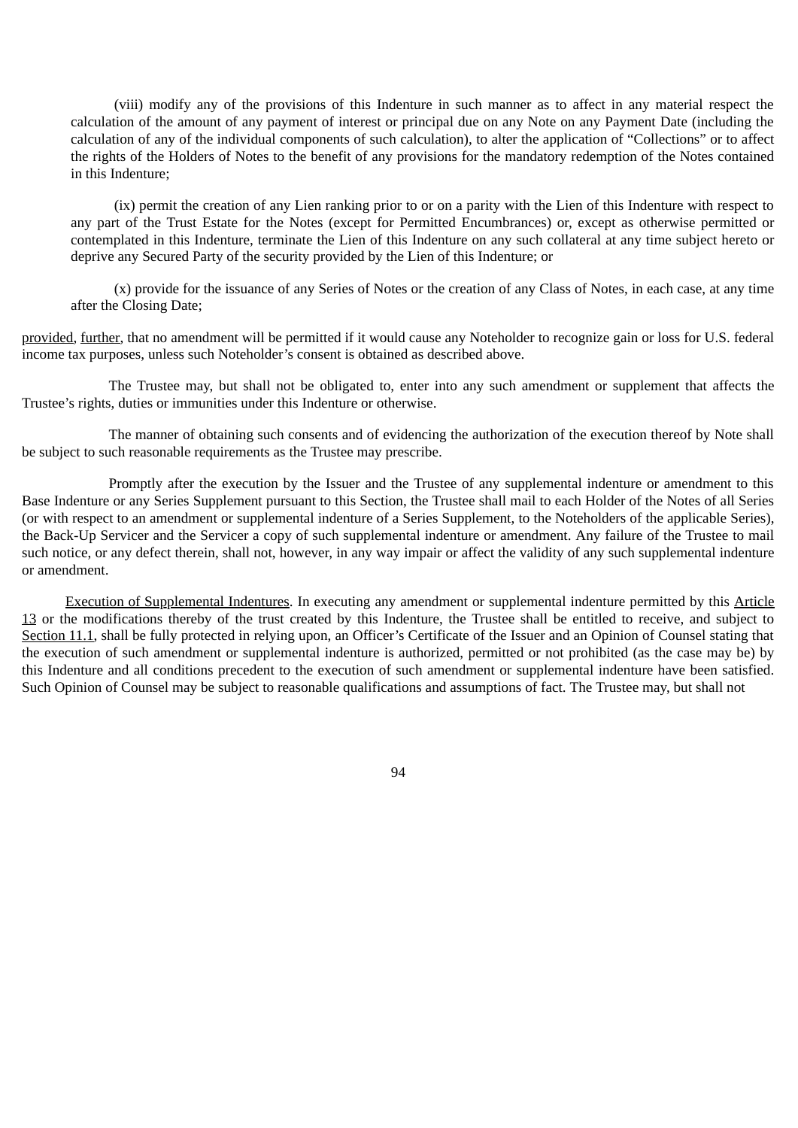(viii) modify any of the provisions of this Indenture in such manner as to affect in any material respect the calculation of the amount of any payment of interest or principal due on any Note on any Payment Date (including the calculation of any of the individual components of such calculation), to alter the application of "Collections" or to affect the rights of the Holders of Notes to the benefit of any provisions for the mandatory redemption of the Notes contained in this Indenture;

(ix) permit the creation of any Lien ranking prior to or on a parity with the Lien of this Indenture with respect to any part of the Trust Estate for the Notes (except for Permitted Encumbrances) or, except as otherwise permitted or contemplated in this Indenture, terminate the Lien of this Indenture on any such collateral at any time subject hereto or deprive any Secured Party of the security provided by the Lien of this Indenture; or

(x) provide for the issuance of any Series of Notes or the creation of any Class of Notes, in each case, at any time after the Closing Date;

provided, further, that no amendment will be permitted if it would cause any Noteholder to recognize gain or loss for U.S. federal income tax purposes, unless such Noteholder's consent is obtained as described above.

The Trustee may, but shall not be obligated to, enter into any such amendment or supplement that affects the Trustee's rights, duties or immunities under this Indenture or otherwise.

The manner of obtaining such consents and of evidencing the authorization of the execution thereof by Note shall be subject to such reasonable requirements as the Trustee may prescribe.

Promptly after the execution by the Issuer and the Trustee of any supplemental indenture or amendment to this Base Indenture or any Series Supplement pursuant to this Section, the Trustee shall mail to each Holder of the Notes of all Series (or with respect to an amendment or supplemental indenture of a Series Supplement, to the Noteholders of the applicable Series), the Back-Up Servicer and the Servicer a copy of such supplemental indenture or amendment. Any failure of the Trustee to mail such notice, or any defect therein, shall not, however, in any way impair or affect the validity of any such supplemental indenture or amendment.

Execution of Supplemental Indentures. In executing any amendment or supplemental indenture permitted by this Article 13 or the modifications thereby of the trust created by this Indenture, the Trustee shall be entitled to receive, and subject to Section 11.1, shall be fully protected in relying upon, an Officer's Certificate of the Issuer and an Opinion of Counsel stating that the execution of such amendment or supplemental indenture is authorized, permitted or not prohibited (as the case may be) by this Indenture and all conditions precedent to the execution of such amendment or supplemental indenture have been satisfied. Such Opinion of Counsel may be subject to reasonable qualifications and assumptions of fact. The Trustee may, but shall not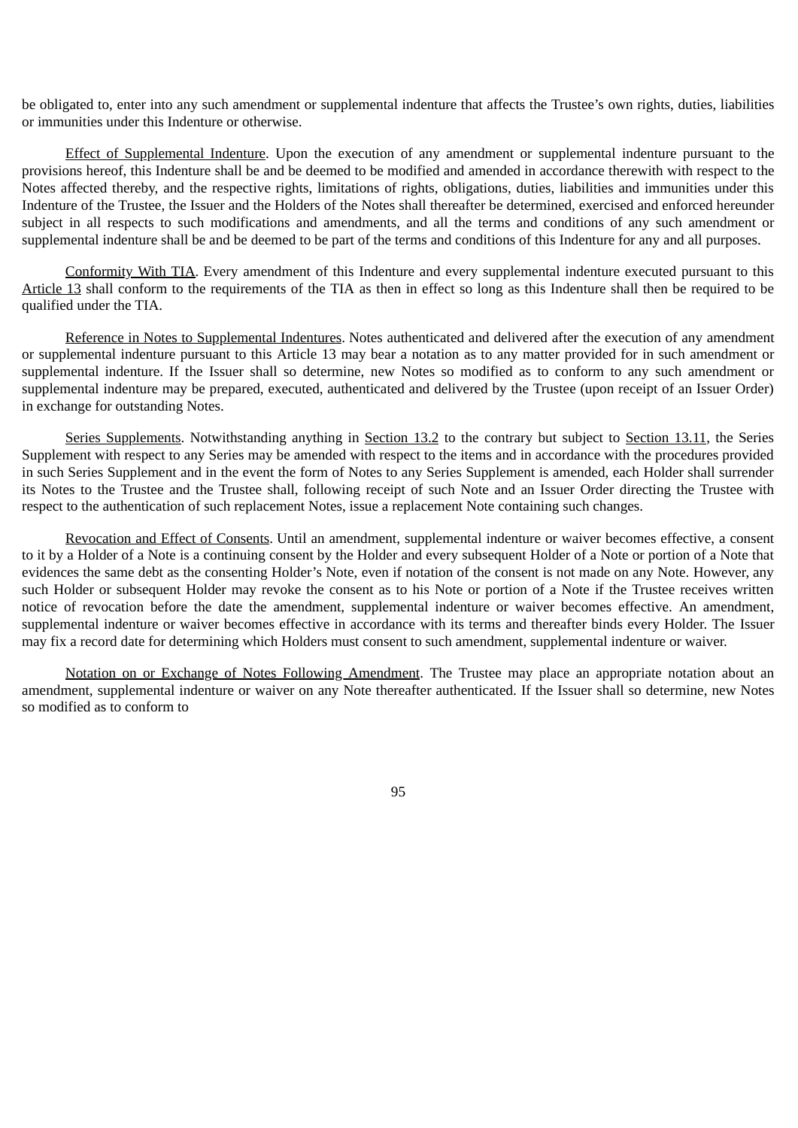be obligated to, enter into any such amendment or supplemental indenture that affects the Trustee's own rights, duties, liabilities or immunities under this Indenture or otherwise.

Effect of Supplemental Indenture. Upon the execution of any amendment or supplemental indenture pursuant to the provisions hereof, this Indenture shall be and be deemed to be modified and amended in accordance therewith with respect to the Notes affected thereby, and the respective rights, limitations of rights, obligations, duties, liabilities and immunities under this Indenture of the Trustee, the Issuer and the Holders of the Notes shall thereafter be determined, exercised and enforced hereunder subject in all respects to such modifications and amendments, and all the terms and conditions of any such amendment or supplemental indenture shall be and be deemed to be part of the terms and conditions of this Indenture for any and all purposes.

Conformity With TIA. Every amendment of this Indenture and every supplemental indenture executed pursuant to this Article 13 shall conform to the requirements of the TIA as then in effect so long as this Indenture shall then be required to be qualified under the TIA.

Reference in Notes to Supplemental Indentures. Notes authenticated and delivered after the execution of any amendment or supplemental indenture pursuant to this Article 13 may bear a notation as to any matter provided for in such amendment or supplemental indenture. If the Issuer shall so determine, new Notes so modified as to conform to any such amendment or supplemental indenture may be prepared, executed, authenticated and delivered by the Trustee (upon receipt of an Issuer Order) in exchange for outstanding Notes.

Series Supplements. Notwithstanding anything in Section 13.2 to the contrary but subject to Section 13.11, the Series Supplement with respect to any Series may be amended with respect to the items and in accordance with the procedures provided in such Series Supplement and in the event the form of Notes to any Series Supplement is amended, each Holder shall surrender its Notes to the Trustee and the Trustee shall, following receipt of such Note and an Issuer Order directing the Trustee with respect to the authentication of such replacement Notes, issue a replacement Note containing such changes.

Revocation and Effect of Consents. Until an amendment, supplemental indenture or waiver becomes effective, a consent to it by a Holder of a Note is a continuing consent by the Holder and every subsequent Holder of a Note or portion of a Note that evidences the same debt as the consenting Holder's Note, even if notation of the consent is not made on any Note. However, any such Holder or subsequent Holder may revoke the consent as to his Note or portion of a Note if the Trustee receives written notice of revocation before the date the amendment, supplemental indenture or waiver becomes effective. An amendment, supplemental indenture or waiver becomes effective in accordance with its terms and thereafter binds every Holder. The Issuer may fix a record date for determining which Holders must consent to such amendment, supplemental indenture or waiver.

Notation on or Exchange of Notes Following Amendment. The Trustee may place an appropriate notation about an amendment, supplemental indenture or waiver on any Note thereafter authenticated. If the Issuer shall so determine, new Notes so modified as to conform to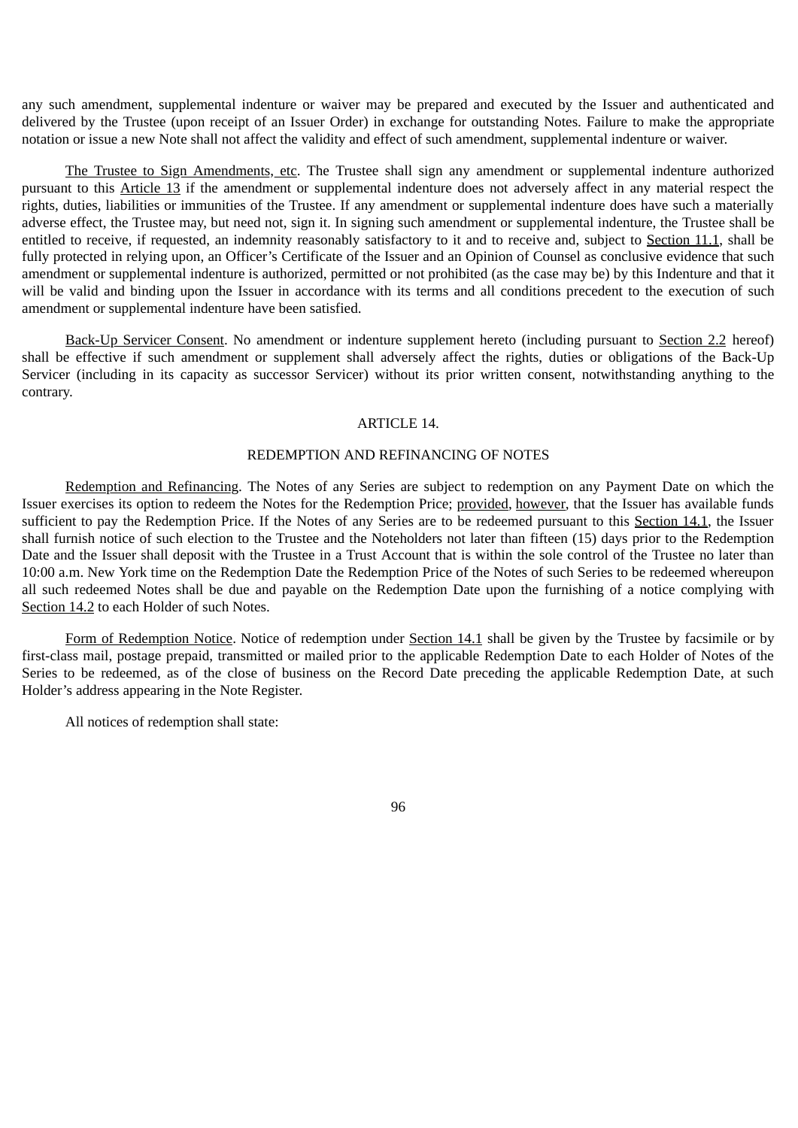any such amendment, supplemental indenture or waiver may be prepared and executed by the Issuer and authenticated and delivered by the Trustee (upon receipt of an Issuer Order) in exchange for outstanding Notes. Failure to make the appropriate notation or issue a new Note shall not affect the validity and effect of such amendment, supplemental indenture or waiver.

The Trustee to Sign Amendments, etc. The Trustee shall sign any amendment or supplemental indenture authorized pursuant to this Article 13 if the amendment or supplemental indenture does not adversely affect in any material respect the rights, duties, liabilities or immunities of the Trustee. If any amendment or supplemental indenture does have such a materially adverse effect, the Trustee may, but need not, sign it. In signing such amendment or supplemental indenture, the Trustee shall be entitled to receive, if requested, an indemnity reasonably satisfactory to it and to receive and, subject to Section 11.1, shall be fully protected in relying upon, an Officer's Certificate of the Issuer and an Opinion of Counsel as conclusive evidence that such amendment or supplemental indenture is authorized, permitted or not prohibited (as the case may be) by this Indenture and that it will be valid and binding upon the Issuer in accordance with its terms and all conditions precedent to the execution of such amendment or supplemental indenture have been satisfied.

Back-Up Servicer Consent. No amendment or indenture supplement hereto (including pursuant to Section 2.2 hereof) shall be effective if such amendment or supplement shall adversely affect the rights, duties or obligations of the Back-Up Servicer (including in its capacity as successor Servicer) without its prior written consent, notwithstanding anything to the contrary.

### ARTICLE 14.

#### REDEMPTION AND REFINANCING OF NOTES

Redemption and Refinancing. The Notes of any Series are subject to redemption on any Payment Date on which the Issuer exercises its option to redeem the Notes for the Redemption Price; provided, however, that the Issuer has available funds sufficient to pay the Redemption Price. If the Notes of any Series are to be redeemed pursuant to this Section 14.1, the Issuer shall furnish notice of such election to the Trustee and the Noteholders not later than fifteen (15) days prior to the Redemption Date and the Issuer shall deposit with the Trustee in a Trust Account that is within the sole control of the Trustee no later than 10:00 a.m. New York time on the Redemption Date the Redemption Price of the Notes of such Series to be redeemed whereupon all such redeemed Notes shall be due and payable on the Redemption Date upon the furnishing of a notice complying with Section 14.2 to each Holder of such Notes.

Form of Redemption Notice. Notice of redemption under Section 14.1 shall be given by the Trustee by facsimile or by first-class mail, postage prepaid, transmitted or mailed prior to the applicable Redemption Date to each Holder of Notes of the Series to be redeemed, as of the close of business on the Record Date preceding the applicable Redemption Date, at such Holder's address appearing in the Note Register.

All notices of redemption shall state: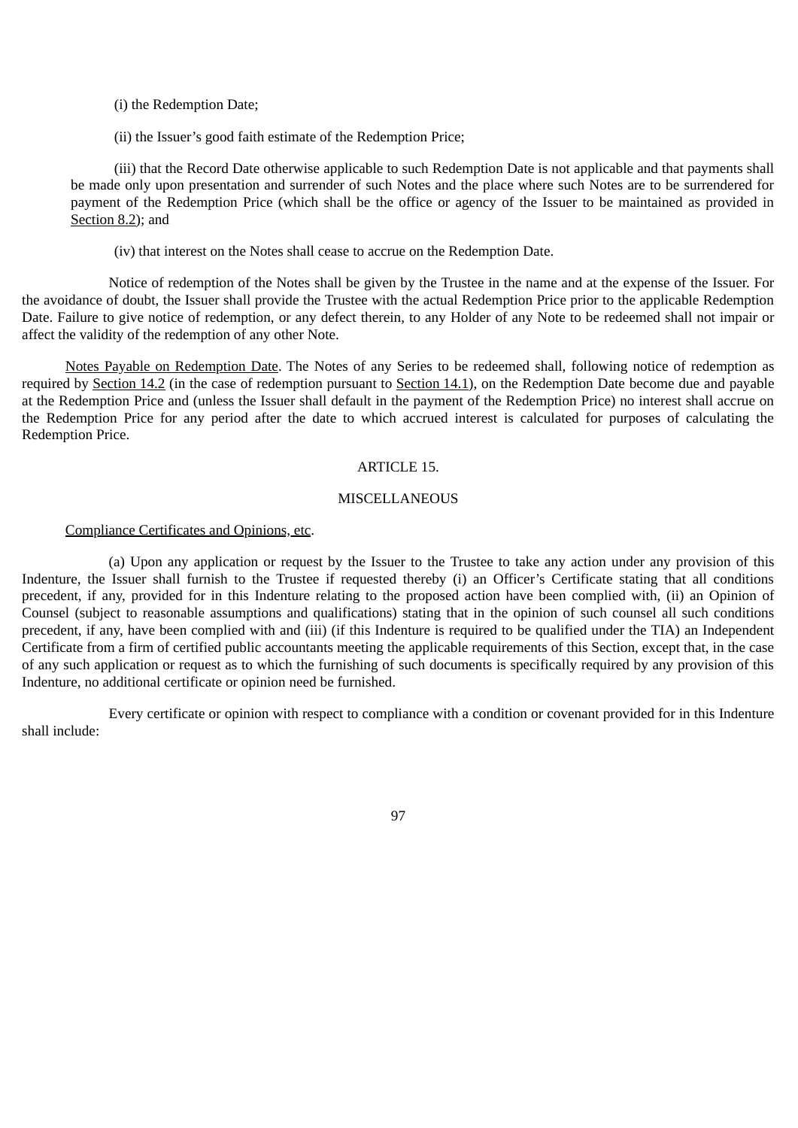(i) the Redemption Date;

(ii) the Issuer's good faith estimate of the Redemption Price;

(iii) that the Record Date otherwise applicable to such Redemption Date is not applicable and that payments shall be made only upon presentation and surrender of such Notes and the place where such Notes are to be surrendered for payment of the Redemption Price (which shall be the office or agency of the Issuer to be maintained as provided in Section 8.2); and

(iv) that interest on the Notes shall cease to accrue on the Redemption Date.

Notice of redemption of the Notes shall be given by the Trustee in the name and at the expense of the Issuer. For the avoidance of doubt, the Issuer shall provide the Trustee with the actual Redemption Price prior to the applicable Redemption Date. Failure to give notice of redemption, or any defect therein, to any Holder of any Note to be redeemed shall not impair or affect the validity of the redemption of any other Note.

Notes Payable on Redemption Date. The Notes of any Series to be redeemed shall, following notice of redemption as required by Section 14.2 (in the case of redemption pursuant to Section 14.1), on the Redemption Date become due and payable at the Redemption Price and (unless the Issuer shall default in the payment of the Redemption Price) no interest shall accrue on the Redemption Price for any period after the date to which accrued interest is calculated for purposes of calculating the Redemption Price.

## ARTICLE 15.

## **MISCELLANEOUS**

#### Compliance Certificates and Opinions, etc.

(a) Upon any application or request by the Issuer to the Trustee to take any action under any provision of this Indenture, the Issuer shall furnish to the Trustee if requested thereby (i) an Officer's Certificate stating that all conditions precedent, if any, provided for in this Indenture relating to the proposed action have been complied with, (ii) an Opinion of Counsel (subject to reasonable assumptions and qualifications) stating that in the opinion of such counsel all such conditions precedent, if any, have been complied with and (iii) (if this Indenture is required to be qualified under the TIA) an Independent Certificate from a firm of certified public accountants meeting the applicable requirements of this Section, except that, in the case of any such application or request as to which the furnishing of such documents is specifically required by any provision of this Indenture, no additional certificate or opinion need be furnished.

Every certificate or opinion with respect to compliance with a condition or covenant provided for in this Indenture shall include: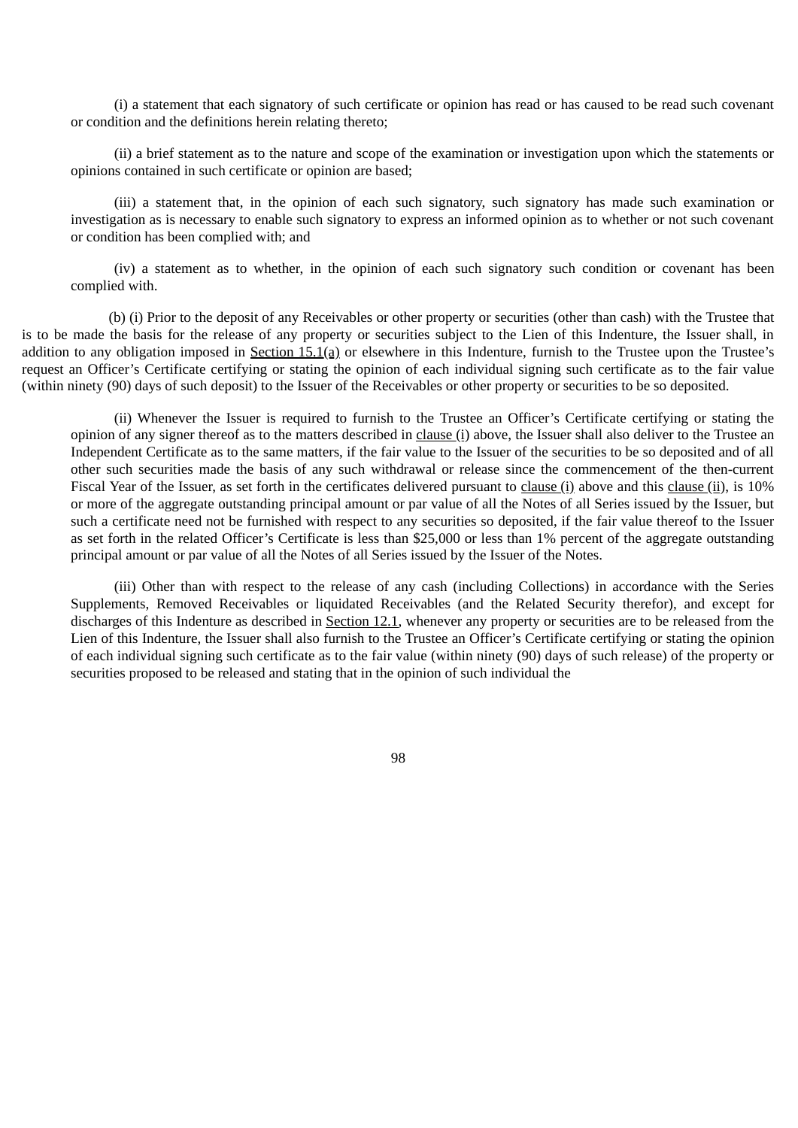(i) a statement that each signatory of such certificate or opinion has read or has caused to be read such covenant or condition and the definitions herein relating thereto;

(ii) a brief statement as to the nature and scope of the examination or investigation upon which the statements or opinions contained in such certificate or opinion are based;

(iii) a statement that, in the opinion of each such signatory, such signatory has made such examination or investigation as is necessary to enable such signatory to express an informed opinion as to whether or not such covenant or condition has been complied with; and

(iv) a statement as to whether, in the opinion of each such signatory such condition or covenant has been complied with.

(b) (i) Prior to the deposit of any Receivables or other property or securities (other than cash) with the Trustee that is to be made the basis for the release of any property or securities subject to the Lien of this Indenture, the Issuer shall, in addition to any obligation imposed in Section 15.1(a) or elsewhere in this Indenture, furnish to the Trustee upon the Trustee's request an Officer's Certificate certifying or stating the opinion of each individual signing such certificate as to the fair value (within ninety (90) days of such deposit) to the Issuer of the Receivables or other property or securities to be so deposited.

(ii) Whenever the Issuer is required to furnish to the Trustee an Officer's Certificate certifying or stating the opinion of any signer thereof as to the matters described in clause (i) above, the Issuer shall also deliver to the Trustee an Independent Certificate as to the same matters, if the fair value to the Issuer of the securities to be so deposited and of all other such securities made the basis of any such withdrawal or release since the commencement of the then-current Fiscal Year of the Issuer, as set forth in the certificates delivered pursuant to clause (i) above and this clause (ii), is 10% or more of the aggregate outstanding principal amount or par value of all the Notes of all Series issued by the Issuer, but such a certificate need not be furnished with respect to any securities so deposited, if the fair value thereof to the Issuer as set forth in the related Officer's Certificate is less than \$25,000 or less than 1% percent of the aggregate outstanding principal amount or par value of all the Notes of all Series issued by the Issuer of the Notes.

(iii) Other than with respect to the release of any cash (including Collections) in accordance with the Series Supplements, Removed Receivables or liquidated Receivables (and the Related Security therefor), and except for discharges of this Indenture as described in Section 12.1, whenever any property or securities are to be released from the Lien of this Indenture, the Issuer shall also furnish to the Trustee an Officer's Certificate certifying or stating the opinion of each individual signing such certificate as to the fair value (within ninety (90) days of such release) of the property or securities proposed to be released and stating that in the opinion of such individual the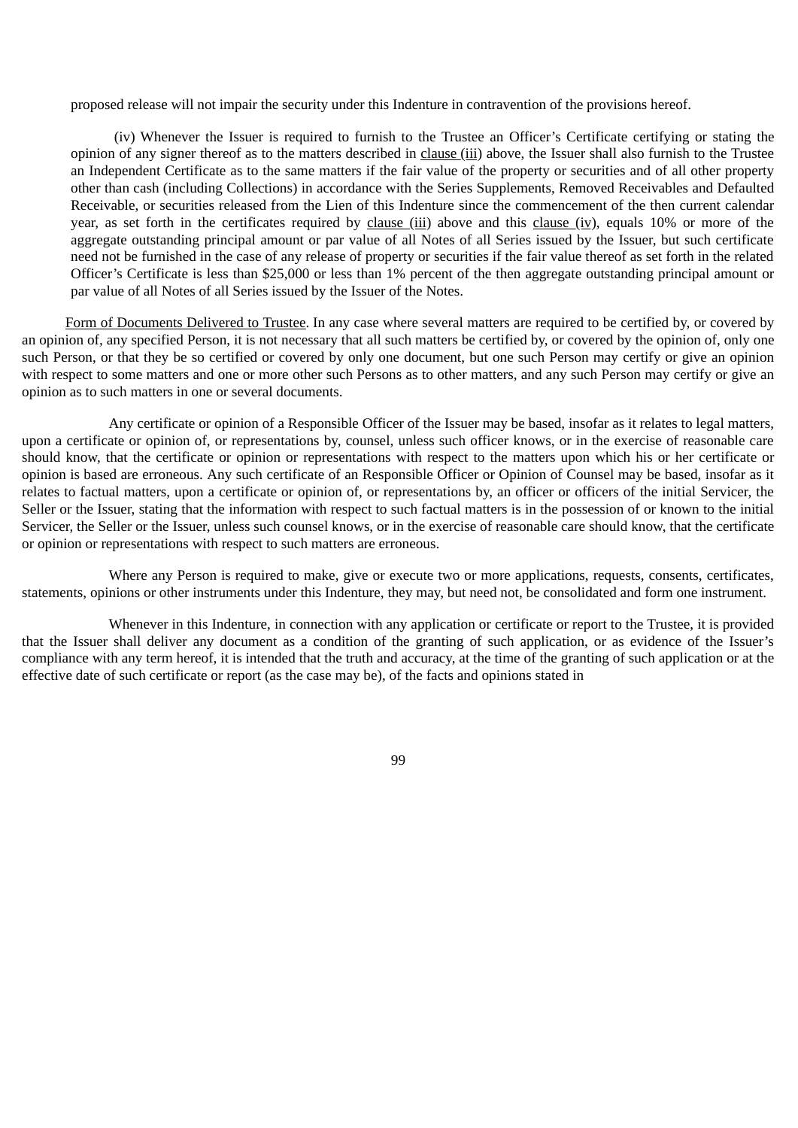proposed release will not impair the security under this Indenture in contravention of the provisions hereof.

(iv) Whenever the Issuer is required to furnish to the Trustee an Officer's Certificate certifying or stating the opinion of any signer thereof as to the matters described in clause (iii) above, the Issuer shall also furnish to the Trustee an Independent Certificate as to the same matters if the fair value of the property or securities and of all other property other than cash (including Collections) in accordance with the Series Supplements, Removed Receivables and Defaulted Receivable, or securities released from the Lien of this Indenture since the commencement of the then current calendar year, as set forth in the certificates required by clause (iii) above and this clause (iv), equals 10% or more of the aggregate outstanding principal amount or par value of all Notes of all Series issued by the Issuer, but such certificate need not be furnished in the case of any release of property or securities if the fair value thereof as set forth in the related Officer's Certificate is less than \$25,000 or less than 1% percent of the then aggregate outstanding principal amount or par value of all Notes of all Series issued by the Issuer of the Notes.

Form of Documents Delivered to Trustee. In any case where several matters are required to be certified by, or covered by an opinion of, any specified Person, it is not necessary that all such matters be certified by, or covered by the opinion of, only one such Person, or that they be so certified or covered by only one document, but one such Person may certify or give an opinion with respect to some matters and one or more other such Persons as to other matters, and any such Person may certify or give an opinion as to such matters in one or several documents.

Any certificate or opinion of a Responsible Officer of the Issuer may be based, insofar as it relates to legal matters, upon a certificate or opinion of, or representations by, counsel, unless such officer knows, or in the exercise of reasonable care should know, that the certificate or opinion or representations with respect to the matters upon which his or her certificate or opinion is based are erroneous. Any such certificate of an Responsible Officer or Opinion of Counsel may be based, insofar as it relates to factual matters, upon a certificate or opinion of, or representations by, an officer or officers of the initial Servicer, the Seller or the Issuer, stating that the information with respect to such factual matters is in the possession of or known to the initial Servicer, the Seller or the Issuer, unless such counsel knows, or in the exercise of reasonable care should know, that the certificate or opinion or representations with respect to such matters are erroneous.

Where any Person is required to make, give or execute two or more applications, requests, consents, certificates, statements, opinions or other instruments under this Indenture, they may, but need not, be consolidated and form one instrument.

Whenever in this Indenture, in connection with any application or certificate or report to the Trustee, it is provided that the Issuer shall deliver any document as a condition of the granting of such application, or as evidence of the Issuer's compliance with any term hereof, it is intended that the truth and accuracy, at the time of the granting of such application or at the effective date of such certificate or report (as the case may be), of the facts and opinions stated in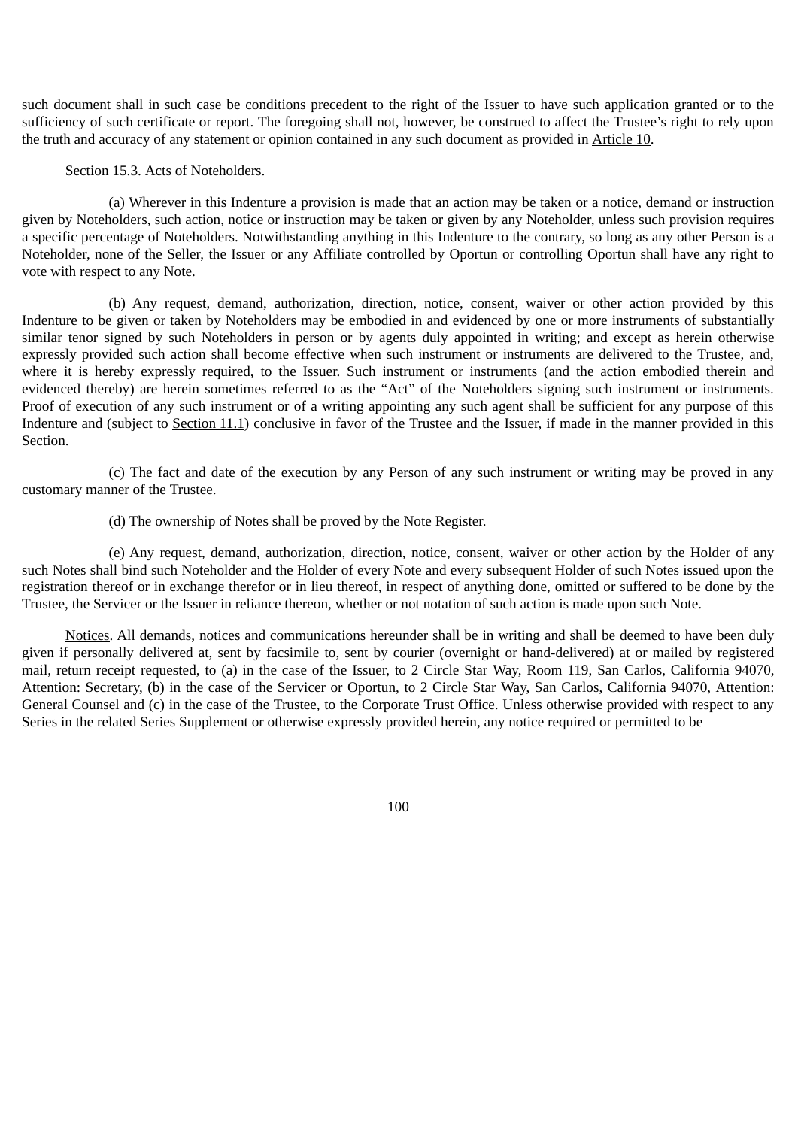such document shall in such case be conditions precedent to the right of the Issuer to have such application granted or to the sufficiency of such certificate or report. The foregoing shall not, however, be construed to affect the Trustee's right to rely upon the truth and accuracy of any statement or opinion contained in any such document as provided in Article 10.

## Section 15.3. Acts of Noteholders.

(a) Wherever in this Indenture a provision is made that an action may be taken or a notice, demand or instruction given by Noteholders, such action, notice or instruction may be taken or given by any Noteholder, unless such provision requires a specific percentage of Noteholders. Notwithstanding anything in this Indenture to the contrary, so long as any other Person is a Noteholder, none of the Seller, the Issuer or any Affiliate controlled by Oportun or controlling Oportun shall have any right to vote with respect to any Note.

(b) Any request, demand, authorization, direction, notice, consent, waiver or other action provided by this Indenture to be given or taken by Noteholders may be embodied in and evidenced by one or more instruments of substantially similar tenor signed by such Noteholders in person or by agents duly appointed in writing; and except as herein otherwise expressly provided such action shall become effective when such instrument or instruments are delivered to the Trustee, and, where it is hereby expressly required, to the Issuer. Such instrument or instruments (and the action embodied therein and evidenced thereby) are herein sometimes referred to as the "Act" of the Noteholders signing such instrument or instruments. Proof of execution of any such instrument or of a writing appointing any such agent shall be sufficient for any purpose of this Indenture and (subject to Section 11.1) conclusive in favor of the Trustee and the Issuer, if made in the manner provided in this Section.

(c) The fact and date of the execution by any Person of any such instrument or writing may be proved in any customary manner of the Trustee.

(d) The ownership of Notes shall be proved by the Note Register.

(e) Any request, demand, authorization, direction, notice, consent, waiver or other action by the Holder of any such Notes shall bind such Noteholder and the Holder of every Note and every subsequent Holder of such Notes issued upon the registration thereof or in exchange therefor or in lieu thereof, in respect of anything done, omitted or suffered to be done by the Trustee, the Servicer or the Issuer in reliance thereon, whether or not notation of such action is made upon such Note.

Notices. All demands, notices and communications hereunder shall be in writing and shall be deemed to have been duly given if personally delivered at, sent by facsimile to, sent by courier (overnight or hand-delivered) at or mailed by registered mail, return receipt requested, to (a) in the case of the Issuer, to 2 Circle Star Way, Room 119, San Carlos, California 94070, Attention: Secretary, (b) in the case of the Servicer or Oportun, to 2 Circle Star Way, San Carlos, California 94070, Attention: General Counsel and (c) in the case of the Trustee, to the Corporate Trust Office. Unless otherwise provided with respect to any Series in the related Series Supplement or otherwise expressly provided herein, any notice required or permitted to be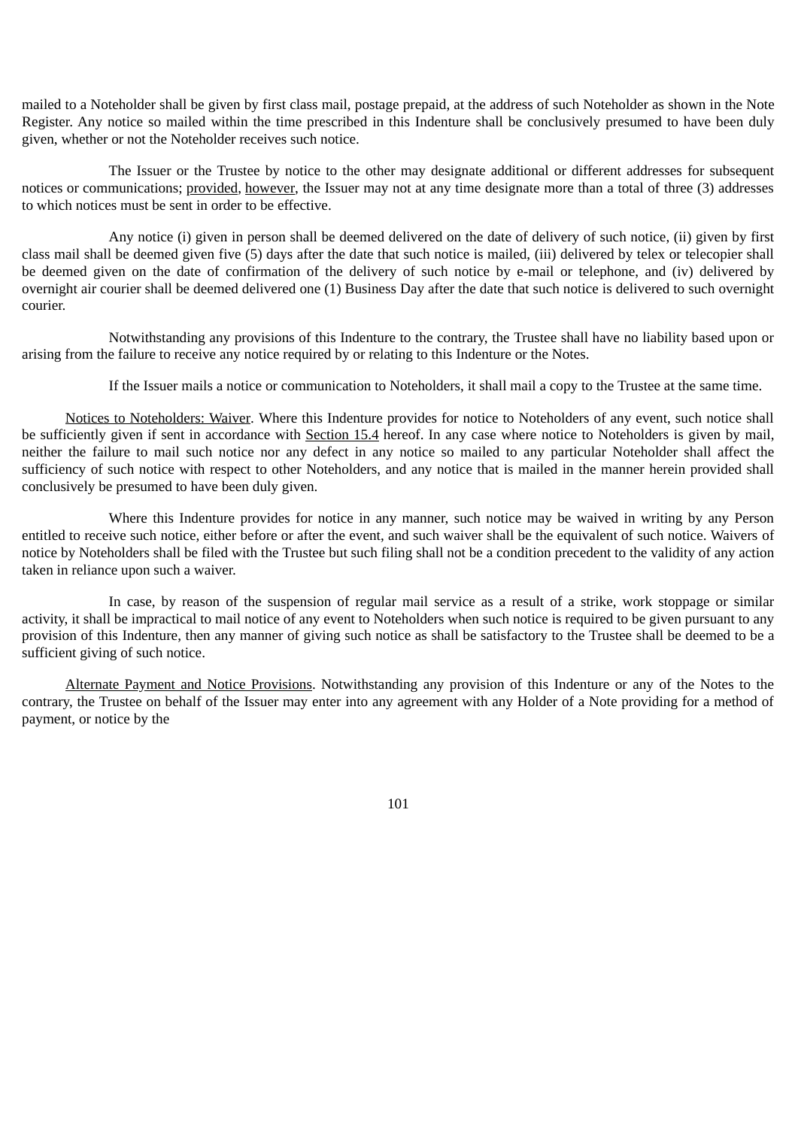mailed to a Noteholder shall be given by first class mail, postage prepaid, at the address of such Noteholder as shown in the Note Register. Any notice so mailed within the time prescribed in this Indenture shall be conclusively presumed to have been duly given, whether or not the Noteholder receives such notice.

The Issuer or the Trustee by notice to the other may designate additional or different addresses for subsequent notices or communications; provided, however, the Issuer may not at any time designate more than a total of three (3) addresses to which notices must be sent in order to be effective.

Any notice (i) given in person shall be deemed delivered on the date of delivery of such notice, (ii) given by first class mail shall be deemed given five (5) days after the date that such notice is mailed, (iii) delivered by telex or telecopier shall be deemed given on the date of confirmation of the delivery of such notice by e-mail or telephone, and (iv) delivered by overnight air courier shall be deemed delivered one (1) Business Day after the date that such notice is delivered to such overnight courier.

Notwithstanding any provisions of this Indenture to the contrary, the Trustee shall have no liability based upon or arising from the failure to receive any notice required by or relating to this Indenture or the Notes.

If the Issuer mails a notice or communication to Noteholders, it shall mail a copy to the Trustee at the same time.

Notices to Noteholders: Waiver. Where this Indenture provides for notice to Noteholders of any event, such notice shall be sufficiently given if sent in accordance with Section 15.4 hereof. In any case where notice to Noteholders is given by mail, neither the failure to mail such notice nor any defect in any notice so mailed to any particular Noteholder shall affect the sufficiency of such notice with respect to other Noteholders, and any notice that is mailed in the manner herein provided shall conclusively be presumed to have been duly given.

Where this Indenture provides for notice in any manner, such notice may be waived in writing by any Person entitled to receive such notice, either before or after the event, and such waiver shall be the equivalent of such notice. Waivers of notice by Noteholders shall be filed with the Trustee but such filing shall not be a condition precedent to the validity of any action taken in reliance upon such a waiver.

In case, by reason of the suspension of regular mail service as a result of a strike, work stoppage or similar activity, it shall be impractical to mail notice of any event to Noteholders when such notice is required to be given pursuant to any provision of this Indenture, then any manner of giving such notice as shall be satisfactory to the Trustee shall be deemed to be a sufficient giving of such notice.

Alternate Payment and Notice Provisions. Notwithstanding any provision of this Indenture or any of the Notes to the contrary, the Trustee on behalf of the Issuer may enter into any agreement with any Holder of a Note providing for a method of payment, or notice by the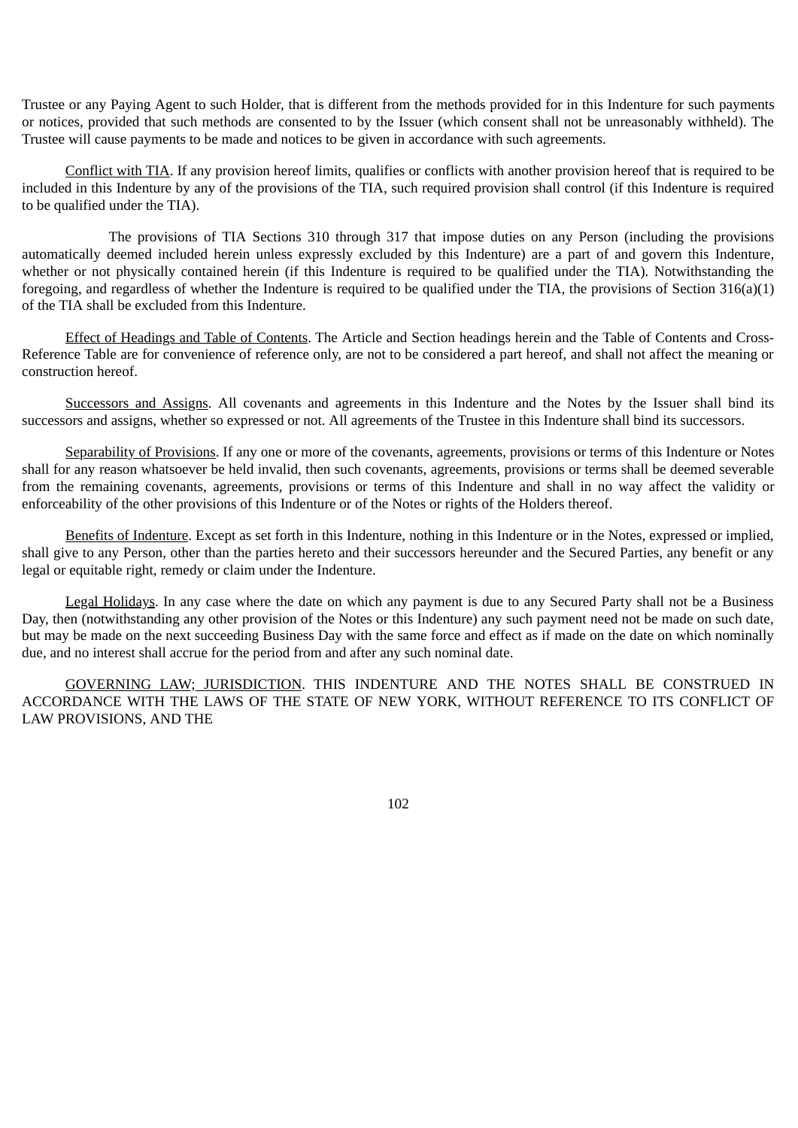Trustee or any Paying Agent to such Holder, that is different from the methods provided for in this Indenture for such payments or notices, provided that such methods are consented to by the Issuer (which consent shall not be unreasonably withheld). The Trustee will cause payments to be made and notices to be given in accordance with such agreements.

Conflict with TIA. If any provision hereof limits, qualifies or conflicts with another provision hereof that is required to be included in this Indenture by any of the provisions of the TIA, such required provision shall control (if this Indenture is required to be qualified under the TIA).

The provisions of TIA Sections 310 through 317 that impose duties on any Person (including the provisions automatically deemed included herein unless expressly excluded by this Indenture) are a part of and govern this Indenture, whether or not physically contained herein (if this Indenture is required to be qualified under the TIA). Notwithstanding the foregoing, and regardless of whether the Indenture is required to be qualified under the TIA, the provisions of Section 316(a)(1) of the TIA shall be excluded from this Indenture.

Effect of Headings and Table of Contents. The Article and Section headings herein and the Table of Contents and Cross-Reference Table are for convenience of reference only, are not to be considered a part hereof, and shall not affect the meaning or construction hereof.

Successors and Assigns. All covenants and agreements in this Indenture and the Notes by the Issuer shall bind its successors and assigns, whether so expressed or not. All agreements of the Trustee in this Indenture shall bind its successors.

Separability of Provisions. If any one or more of the covenants, agreements, provisions or terms of this Indenture or Notes shall for any reason whatsoever be held invalid, then such covenants, agreements, provisions or terms shall be deemed severable from the remaining covenants, agreements, provisions or terms of this Indenture and shall in no way affect the validity or enforceability of the other provisions of this Indenture or of the Notes or rights of the Holders thereof.

Benefits of Indenture. Except as set forth in this Indenture, nothing in this Indenture or in the Notes, expressed or implied, shall give to any Person, other than the parties hereto and their successors hereunder and the Secured Parties, any benefit or any legal or equitable right, remedy or claim under the Indenture.

Legal Holidays. In any case where the date on which any payment is due to any Secured Party shall not be a Business Day, then (notwithstanding any other provision of the Notes or this Indenture) any such payment need not be made on such date, but may be made on the next succeeding Business Day with the same force and effect as if made on the date on which nominally due, and no interest shall accrue for the period from and after any such nominal date.

GOVERNING LAW; JURISDICTION. THIS INDENTURE AND THE NOTES SHALL BE CONSTRUED IN ACCORDANCE WITH THE LAWS OF THE STATE OF NEW YORK, WITHOUT REFERENCE TO ITS CONFLICT OF LAW PROVISIONS, AND THE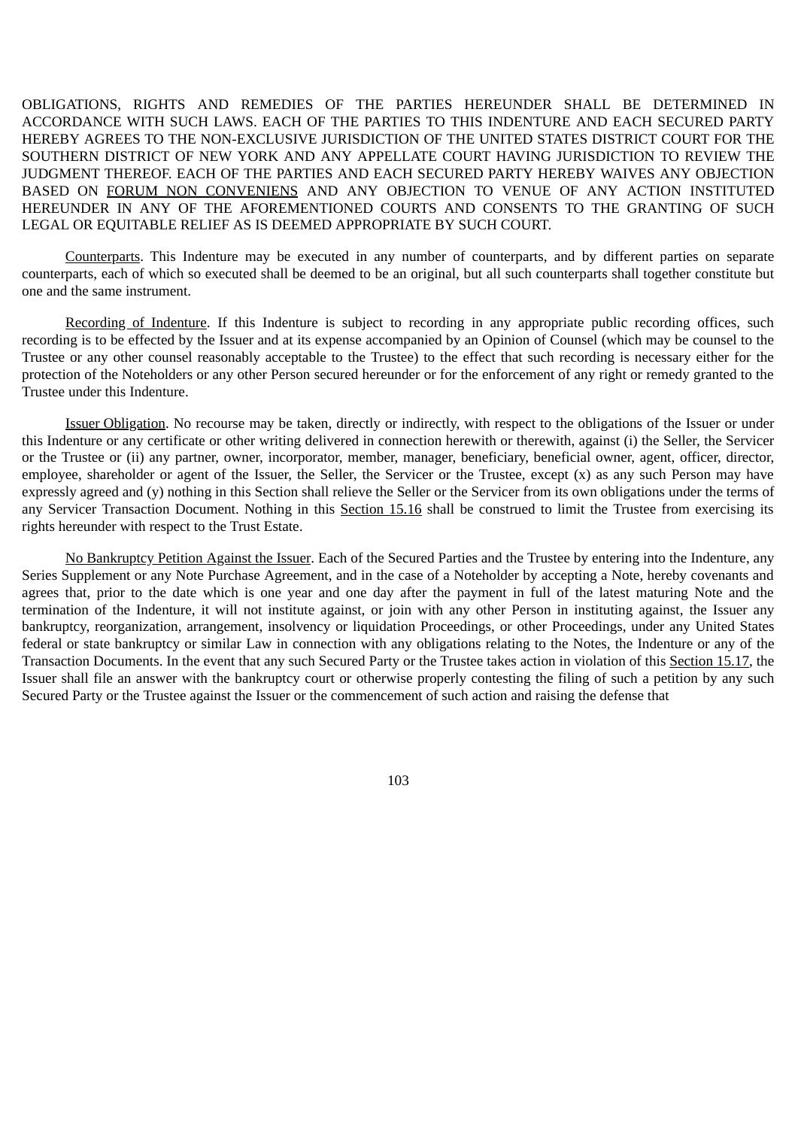OBLIGATIONS, RIGHTS AND REMEDIES OF THE PARTIES HEREUNDER SHALL BE DETERMINED IN ACCORDANCE WITH SUCH LAWS. EACH OF THE PARTIES TO THIS INDENTURE AND EACH SECURED PARTY HEREBY AGREES TO THE NON-EXCLUSIVE JURISDICTION OF THE UNITED STATES DISTRICT COURT FOR THE SOUTHERN DISTRICT OF NEW YORK AND ANY APPELLATE COURT HAVING JURISDICTION TO REVIEW THE JUDGMENT THEREOF. EACH OF THE PARTIES AND EACH SECURED PARTY HEREBY WAIVES ANY OBJECTION BASED ON FORUM NON CONVENIENS AND ANY OBJECTION TO VENUE OF ANY ACTION INSTITUTED HEREUNDER IN ANY OF THE AFOREMENTIONED COURTS AND CONSENTS TO THE GRANTING OF SUCH LEGAL OR EQUITABLE RELIEF AS IS DEEMED APPROPRIATE BY SUCH COURT.

Counterparts. This Indenture may be executed in any number of counterparts, and by different parties on separate counterparts, each of which so executed shall be deemed to be an original, but all such counterparts shall together constitute but one and the same instrument.

Recording of Indenture. If this Indenture is subject to recording in any appropriate public recording offices, such recording is to be effected by the Issuer and at its expense accompanied by an Opinion of Counsel (which may be counsel to the Trustee or any other counsel reasonably acceptable to the Trustee) to the effect that such recording is necessary either for the protection of the Noteholders or any other Person secured hereunder or for the enforcement of any right or remedy granted to the Trustee under this Indenture.

Issuer Obligation. No recourse may be taken, directly or indirectly, with respect to the obligations of the Issuer or under this Indenture or any certificate or other writing delivered in connection herewith or therewith, against (i) the Seller, the Servicer or the Trustee or (ii) any partner, owner, incorporator, member, manager, beneficiary, beneficial owner, agent, officer, director, employee, shareholder or agent of the Issuer, the Seller, the Servicer or the Trustee, except (x) as any such Person may have expressly agreed and (y) nothing in this Section shall relieve the Seller or the Servicer from its own obligations under the terms of any Servicer Transaction Document. Nothing in this Section 15.16 shall be construed to limit the Trustee from exercising its rights hereunder with respect to the Trust Estate.

No Bankruptcy Petition Against the Issuer. Each of the Secured Parties and the Trustee by entering into the Indenture, any Series Supplement or any Note Purchase Agreement, and in the case of a Noteholder by accepting a Note, hereby covenants and agrees that, prior to the date which is one year and one day after the payment in full of the latest maturing Note and the termination of the Indenture, it will not institute against, or join with any other Person in instituting against, the Issuer any bankruptcy, reorganization, arrangement, insolvency or liquidation Proceedings, or other Proceedings, under any United States federal or state bankruptcy or similar Law in connection with any obligations relating to the Notes, the Indenture or any of the Transaction Documents. In the event that any such Secured Party or the Trustee takes action in violation of this Section 15.17, the Issuer shall file an answer with the bankruptcy court or otherwise properly contesting the filing of such a petition by any such Secured Party or the Trustee against the Issuer or the commencement of such action and raising the defense that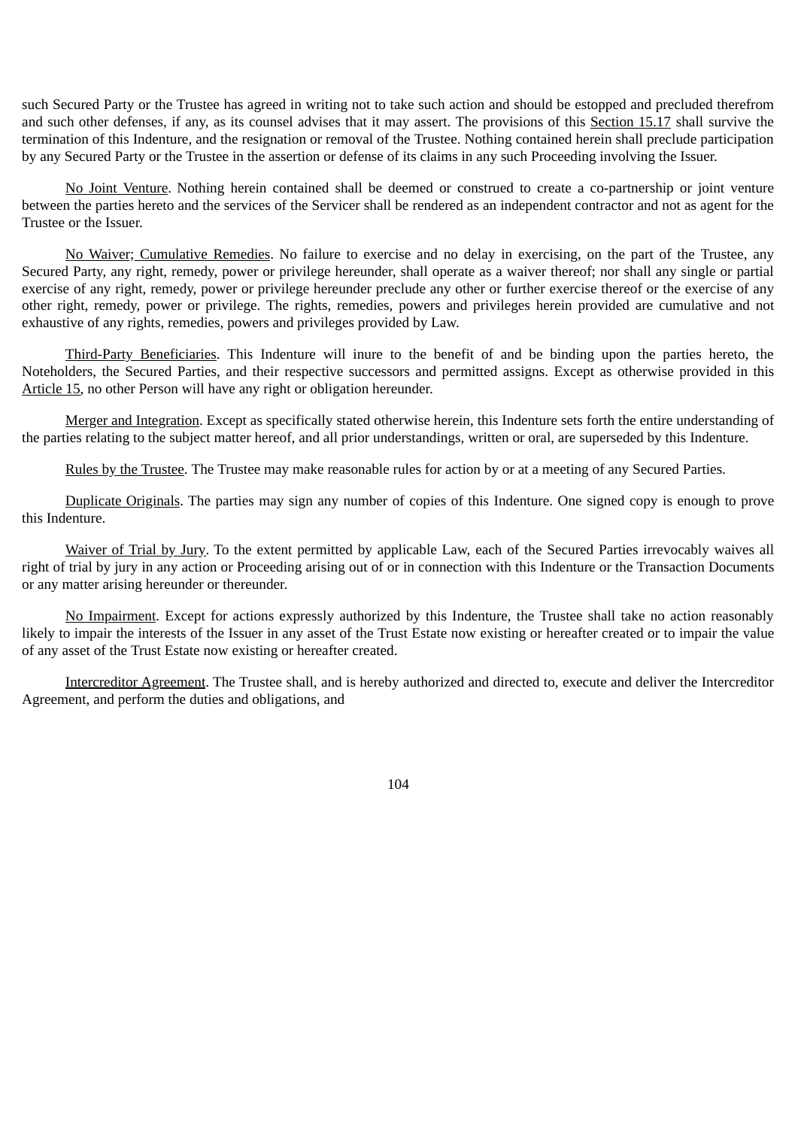such Secured Party or the Trustee has agreed in writing not to take such action and should be estopped and precluded therefrom and such other defenses, if any, as its counsel advises that it may assert. The provisions of this Section 15.17 shall survive the termination of this Indenture, and the resignation or removal of the Trustee. Nothing contained herein shall preclude participation by any Secured Party or the Trustee in the assertion or defense of its claims in any such Proceeding involving the Issuer.

No Joint Venture. Nothing herein contained shall be deemed or construed to create a co-partnership or joint venture between the parties hereto and the services of the Servicer shall be rendered as an independent contractor and not as agent for the Trustee or the Issuer.

No Waiver; Cumulative Remedies. No failure to exercise and no delay in exercising, on the part of the Trustee, any Secured Party, any right, remedy, power or privilege hereunder, shall operate as a waiver thereof; nor shall any single or partial exercise of any right, remedy, power or privilege hereunder preclude any other or further exercise thereof or the exercise of any other right, remedy, power or privilege. The rights, remedies, powers and privileges herein provided are cumulative and not exhaustive of any rights, remedies, powers and privileges provided by Law.

Third-Party Beneficiaries. This Indenture will inure to the benefit of and be binding upon the parties hereto, the Noteholders, the Secured Parties, and their respective successors and permitted assigns. Except as otherwise provided in this Article 15, no other Person will have any right or obligation hereunder.

Merger and Integration. Except as specifically stated otherwise herein, this Indenture sets forth the entire understanding of the parties relating to the subject matter hereof, and all prior understandings, written or oral, are superseded by this Indenture.

Rules by the Trustee. The Trustee may make reasonable rules for action by or at a meeting of any Secured Parties.

Duplicate Originals. The parties may sign any number of copies of this Indenture. One signed copy is enough to prove this Indenture.

Waiver of Trial by Jury. To the extent permitted by applicable Law, each of the Secured Parties irrevocably waives all right of trial by jury in any action or Proceeding arising out of or in connection with this Indenture or the Transaction Documents or any matter arising hereunder or thereunder.

No Impairment. Except for actions expressly authorized by this Indenture, the Trustee shall take no action reasonably likely to impair the interests of the Issuer in any asset of the Trust Estate now existing or hereafter created or to impair the value of any asset of the Trust Estate now existing or hereafter created.

Intercreditor Agreement. The Trustee shall, and is hereby authorized and directed to, execute and deliver the Intercreditor Agreement, and perform the duties and obligations, and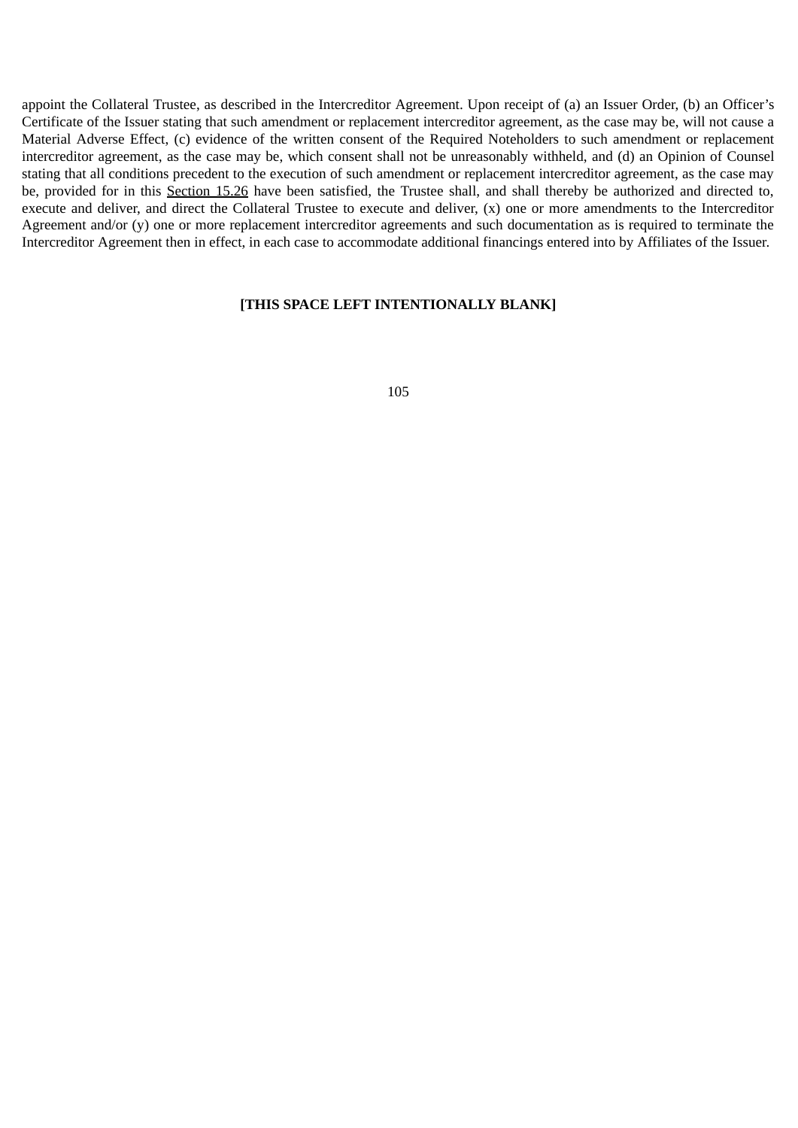appoint the Collateral Trustee, as described in the Intercreditor Agreement. Upon receipt of (a) an Issuer Order, (b) an Officer's Certificate of the Issuer stating that such amendment or replacement intercreditor agreement, as the case may be, will not cause a Material Adverse Effect, (c) evidence of the written consent of the Required Noteholders to such amendment or replacement intercreditor agreement, as the case may be, which consent shall not be unreasonably withheld, and (d) an Opinion of Counsel stating that all conditions precedent to the execution of such amendment or replacement intercreditor agreement, as the case may be, provided for in this Section 15.26 have been satisfied, the Trustee shall, and shall thereby be authorized and directed to, execute and deliver, and direct the Collateral Trustee to execute and deliver, (x) one or more amendments to the Intercreditor Agreement and/or (y) one or more replacement intercreditor agreements and such documentation as is required to terminate the Intercreditor Agreement then in effect, in each case to accommodate additional financings entered into by Affiliates of the Issuer.

## **[THIS SPACE LEFT INTENTIONALLY BLANK]**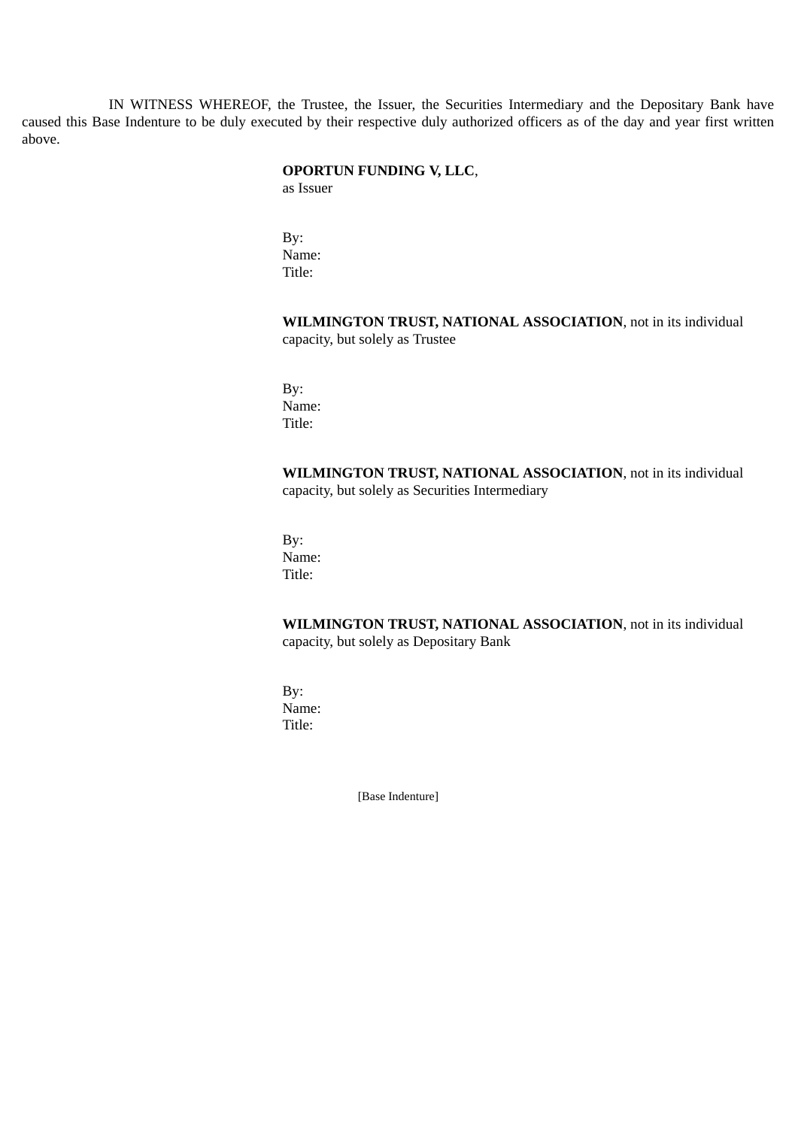IN WITNESS WHEREOF, the Trustee, the Issuer, the Securities Intermediary and the Depositary Bank have caused this Base Indenture to be duly executed by their respective duly authorized officers as of the day and year first written above.

# **OPORTUN FUNDING V, LLC**,

as Issuer

By: Name: Title:

**WILMINGTON TRUST, NATIONAL ASSOCIATION**, not in its individual capacity, but solely as Trustee

By: Name: Title:

**WILMINGTON TRUST, NATIONAL ASSOCIATION**, not in its individual capacity, but solely as Securities Intermediary

By: Name: Title:

**WILMINGTON TRUST, NATIONAL ASSOCIATION**, not in its individual capacity, but solely as Depositary Bank

By: Name: Title:

[Base Indenture]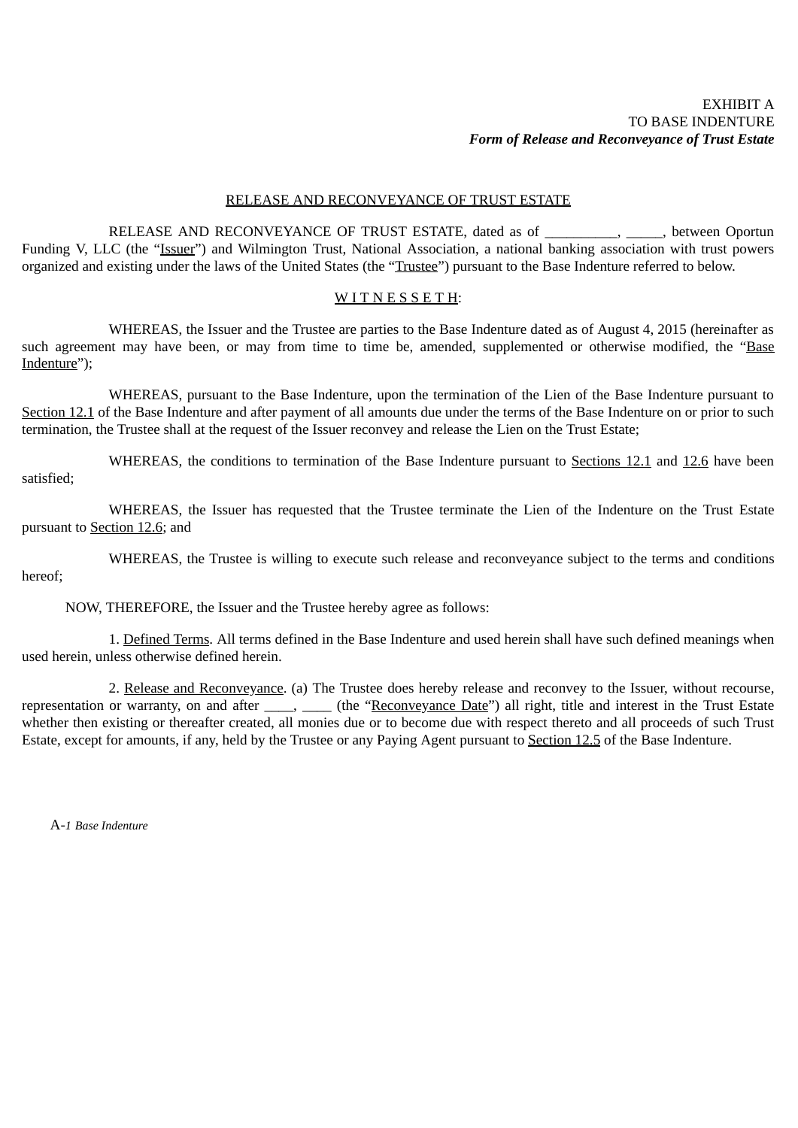## EXHIBIT A TO BASE INDENTURE *Form of Release and Reconveyance of Trust Estate*

### RELEASE AND RECONVEYANCE OF TRUST ESTATE

RELEASE AND RECONVEYANCE OF TRUST ESTATE, dated as of \_\_\_\_\_\_\_\_\_\_, \_\_\_\_\_, between Oportun Funding V, LLC (the "Issuer") and Wilmington Trust, National Association, a national banking association with trust powers organized and existing under the laws of the United States (the "Trustee") pursuant to the Base Indenture referred to below.

#### WITNESSETH:

WHEREAS, the Issuer and the Trustee are parties to the Base Indenture dated as of August 4, 2015 (hereinafter as such agreement may have been, or may from time to time be, amended, supplemented or otherwise modified, the "Base Indenture");

WHEREAS, pursuant to the Base Indenture, upon the termination of the Lien of the Base Indenture pursuant to Section 12.1 of the Base Indenture and after payment of all amounts due under the terms of the Base Indenture on or prior to such termination, the Trustee shall at the request of the Issuer reconvey and release the Lien on the Trust Estate;

WHEREAS, the conditions to termination of the Base Indenture pursuant to Sections 12.1 and 12.6 have been satisfied;

WHEREAS, the Issuer has requested that the Trustee terminate the Lien of the Indenture on the Trust Estate pursuant to Section 12.6; and

WHEREAS, the Trustee is willing to execute such release and reconveyance subject to the terms and conditions hereof;

NOW, THEREFORE, the Issuer and the Trustee hereby agree as follows:

1. Defined Terms. All terms defined in the Base Indenture and used herein shall have such defined meanings when used herein, unless otherwise defined herein.

2. Release and Reconveyance. (a) The Trustee does hereby release and reconvey to the Issuer, without recourse, representation or warranty, on and after \_\_\_\_, \_\_\_\_ (the "Reconveyance Date") all right, title and interest in the Trust Estate whether then existing or thereafter created, all monies due or to become due with respect thereto and all proceeds of such Trust Estate, except for amounts, if any, held by the Trustee or any Paying Agent pursuant to Section 12.5 of the Base Indenture.

A-*1 Base Indenture*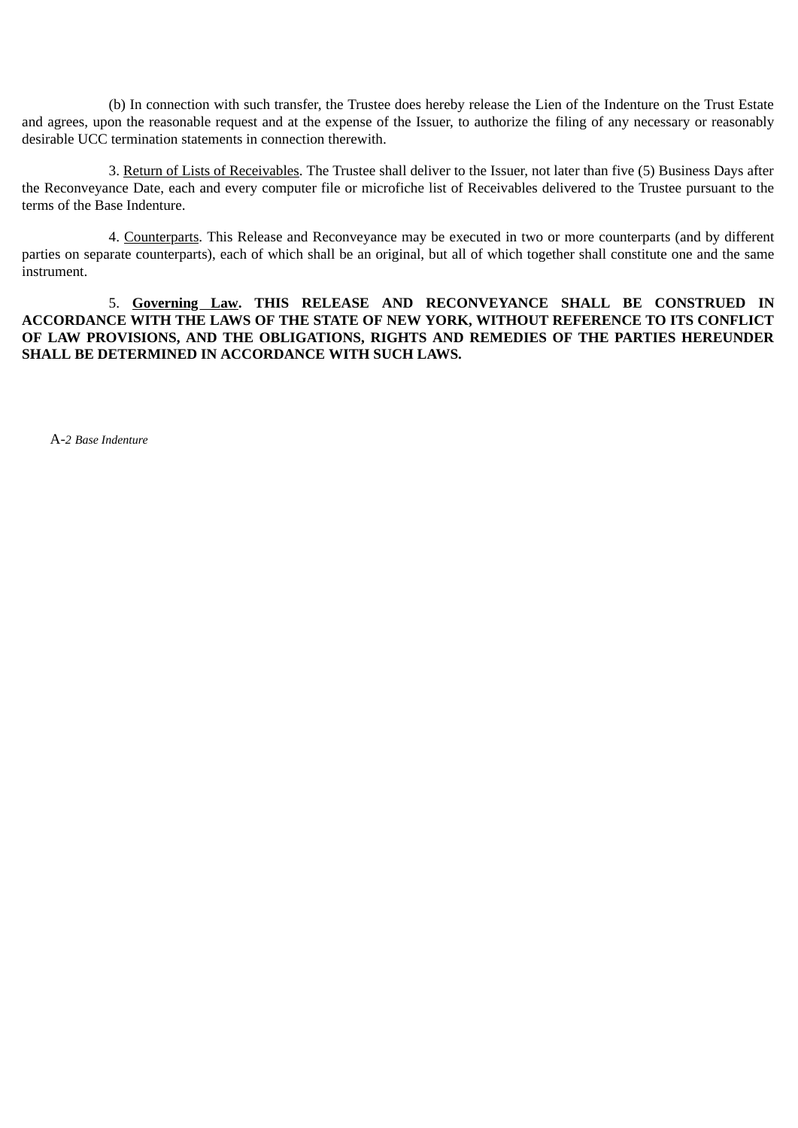(b) In connection with such transfer, the Trustee does hereby release the Lien of the Indenture on the Trust Estate and agrees, upon the reasonable request and at the expense of the Issuer, to authorize the filing of any necessary or reasonably desirable UCC termination statements in connection therewith.

3. Return of Lists of Receivables. The Trustee shall deliver to the Issuer, not later than five (5) Business Days after the Reconveyance Date, each and every computer file or microfiche list of Receivables delivered to the Trustee pursuant to the terms of the Base Indenture.

4. Counterparts. This Release and Reconveyance may be executed in two or more counterparts (and by different parties on separate counterparts), each of which shall be an original, but all of which together shall constitute one and the same instrument.

5. **Governing Law. THIS RELEASE AND RECONVEYANCE SHALL BE CONSTRUED IN ACCORDANCE WITH THE LAWS OF THE STATE OF NEW YORK, WITHOUT REFERENCE TO ITS CONFLICT OF LAW PROVISIONS, AND THE OBLIGATIONS, RIGHTS AND REMEDIES OF THE PARTIES HEREUNDER SHALL BE DETERMINED IN ACCORDANCE WITH SUCH LAWS.**

A-*2 Base Indenture*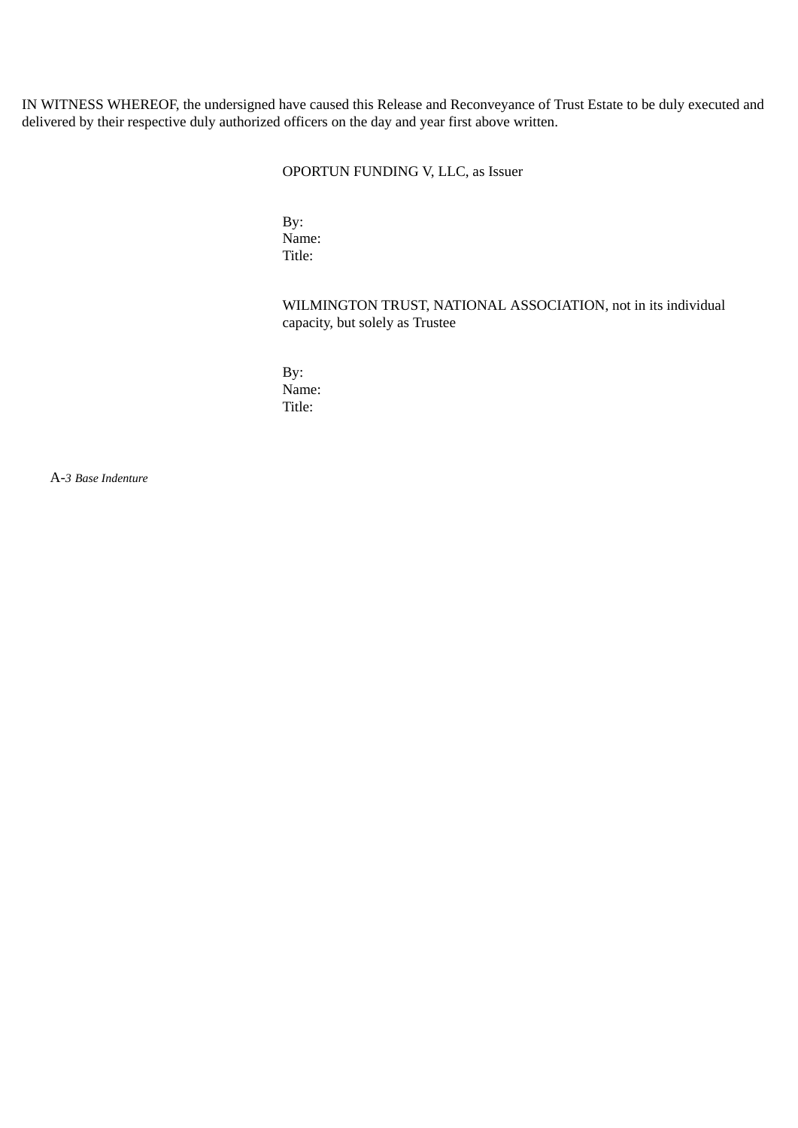IN WITNESS WHEREOF, the undersigned have caused this Release and Reconveyance of Trust Estate to be duly executed and delivered by their respective duly authorized officers on the day and year first above written.

# OPORTUN FUNDING V, LLC, as Issuer

By: Name: Title:

# WILMINGTON TRUST, NATIONAL ASSOCIATION, not in its individual capacity, but solely as Trustee

By: Name: Title:

A-*3 Base Indenture*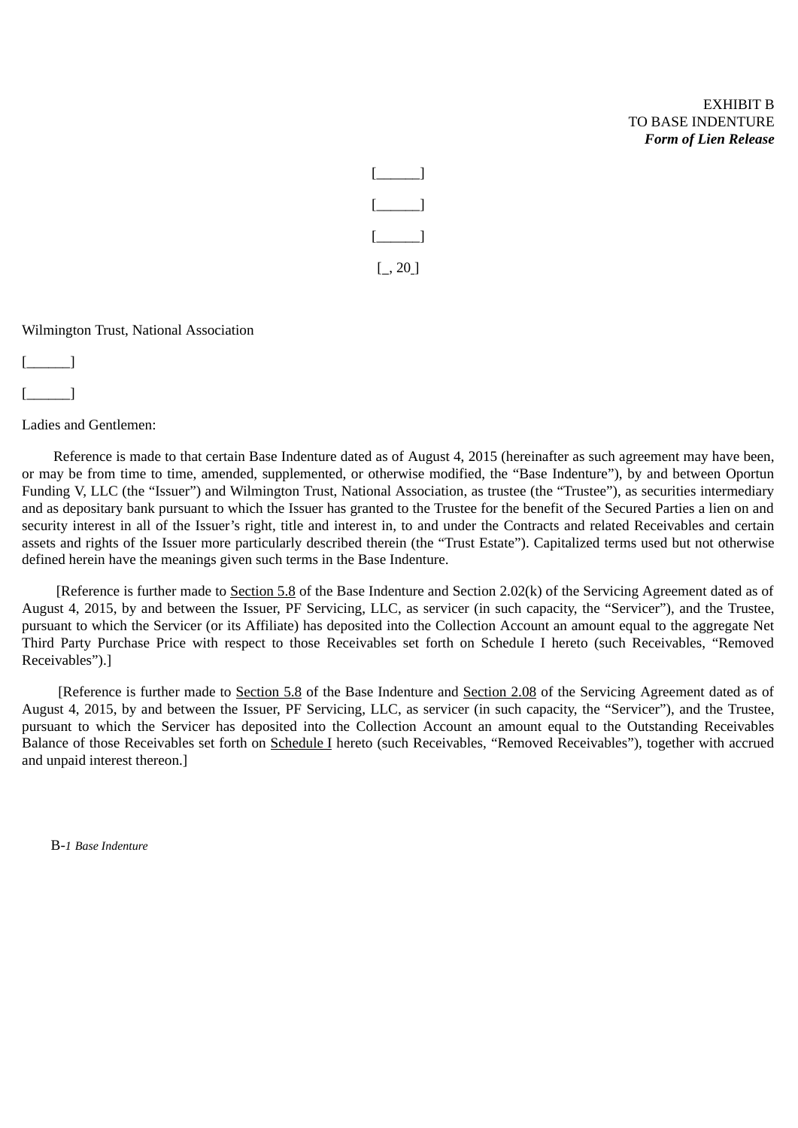# EXHIBIT B TO BASE INDENTURE *Form of Lien Release*



Wilmington Trust, National Association

[\_\_\_\_\_\_]

 $\begin{bmatrix} \end{bmatrix}$ 

Ladies and Gentlemen:

Reference is made to that certain Base Indenture dated as of August 4, 2015 (hereinafter as such agreement may have been, or may be from time to time, amended, supplemented, or otherwise modified, the "Base Indenture"), by and between Oportun Funding V, LLC (the "Issuer") and Wilmington Trust, National Association, as trustee (the "Trustee"), as securities intermediary and as depositary bank pursuant to which the Issuer has granted to the Trustee for the benefit of the Secured Parties a lien on and security interest in all of the Issuer's right, title and interest in, to and under the Contracts and related Receivables and certain assets and rights of the Issuer more particularly described therein (the "Trust Estate"). Capitalized terms used but not otherwise defined herein have the meanings given such terms in the Base Indenture.

[Reference is further made to Section 5.8 of the Base Indenture and Section 2.02(k) of the Servicing Agreement dated as of August 4, 2015, by and between the Issuer, PF Servicing, LLC, as servicer (in such capacity, the "Servicer"), and the Trustee, pursuant to which the Servicer (or its Affiliate) has deposited into the Collection Account an amount equal to the aggregate Net Third Party Purchase Price with respect to those Receivables set forth on Schedule I hereto (such Receivables, "Removed Receivables").]

[Reference is further made to Section 5.8 of the Base Indenture and Section 2.08 of the Servicing Agreement dated as of August 4, 2015, by and between the Issuer, PF Servicing, LLC, as servicer (in such capacity, the "Servicer"), and the Trustee, pursuant to which the Servicer has deposited into the Collection Account an amount equal to the Outstanding Receivables Balance of those Receivables set forth on Schedule I hereto (such Receivables, "Removed Receivables"), together with accrued and unpaid interest thereon.]

B-*1 Base Indenture*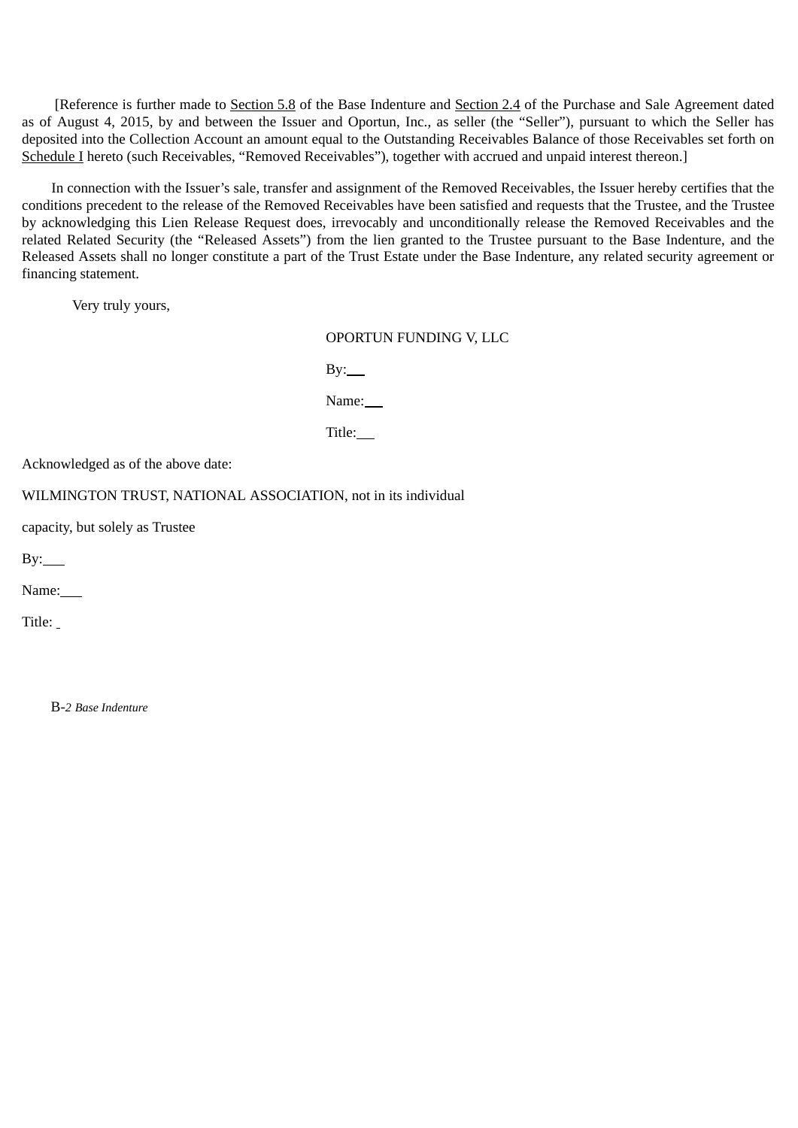[Reference is further made to Section 5.8 of the Base Indenture and Section 2.4 of the Purchase and Sale Agreement dated as of August 4, 2015, by and between the Issuer and Oportun, Inc., as seller (the "Seller"), pursuant to which the Seller has deposited into the Collection Account an amount equal to the Outstanding Receivables Balance of those Receivables set forth on Schedule I hereto (such Receivables, "Removed Receivables"), together with accrued and unpaid interest thereon.]

In connection with the Issuer's sale, transfer and assignment of the Removed Receivables, the Issuer hereby certifies that the conditions precedent to the release of the Removed Receivables have been satisfied and requests that the Trustee, and the Trustee by acknowledging this Lien Release Request does, irrevocably and unconditionally release the Removed Receivables and the related Related Security (the "Released Assets") from the lien granted to the Trustee pursuant to the Base Indenture, and the Released Assets shall no longer constitute a part of the Trust Estate under the Base Indenture, any related security agreement or financing statement.

Very truly yours,

OPORTUN FUNDING V, LLC

 $By:$ 

Name:

Title:

Acknowledged as of the above date:

WILMINGTON TRUST, NATIONAL ASSOCIATION, not in its individual

capacity, but solely as Trustee

 $By:$ 

Name:

Title:

B-*2 Base Indenture*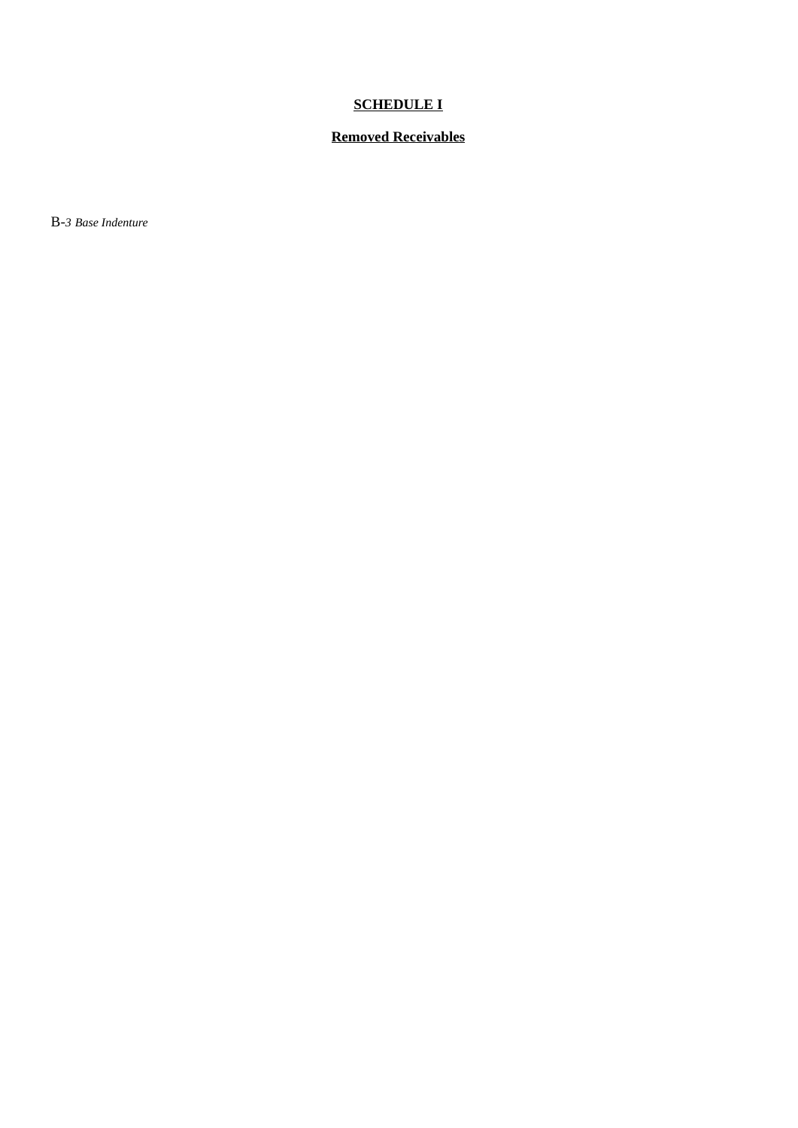# **SCHEDULE I**

# **Removed Receivables**

B-*3 Base Indenture*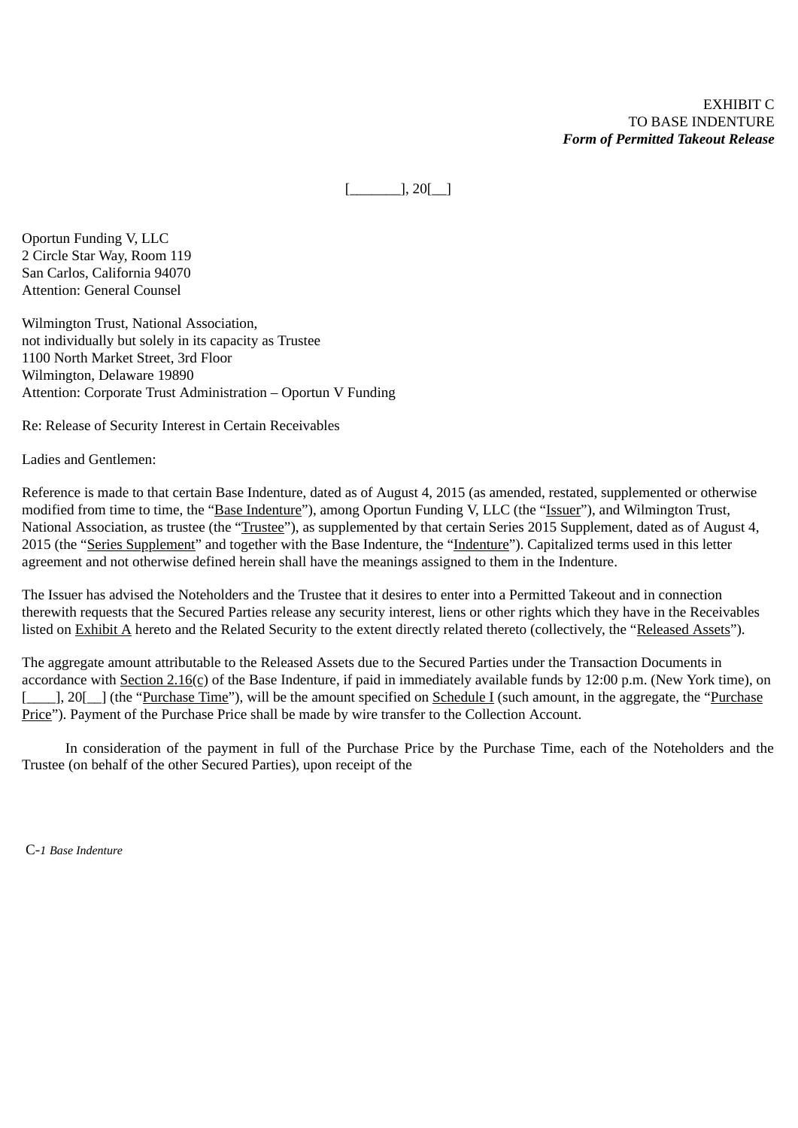EXHIBIT C TO BASE INDENTURE *Form of Permitted Takeout Release*

 $[\underline{\hspace{1cm}}], 20[\underline{\hspace{1cm}}]$ 

Oportun Funding V, LLC 2 Circle Star Way, Room 119 San Carlos, California 94070 Attention: General Counsel

Wilmington Trust, National Association, not individually but solely in its capacity as Trustee 1100 North Market Street, 3rd Floor Wilmington, Delaware 19890 Attention: Corporate Trust Administration – Oportun V Funding

Re: Release of Security Interest in Certain Receivables

Ladies and Gentlemen:

Reference is made to that certain Base Indenture, dated as of August 4, 2015 (as amended, restated, supplemented or otherwise modified from time to time, the "Base Indenture"), among Oportun Funding V, LLC (the "Issuer"), and Wilmington Trust, National Association, as trustee (the "Trustee"), as supplemented by that certain Series 2015 Supplement, dated as of August 4, 2015 (the "Series Supplement" and together with the Base Indenture, the "Indenture"). Capitalized terms used in this letter agreement and not otherwise defined herein shall have the meanings assigned to them in the Indenture.

The Issuer has advised the Noteholders and the Trustee that it desires to enter into a Permitted Takeout and in connection therewith requests that the Secured Parties release any security interest, liens or other rights which they have in the Receivables listed on Exhibit A hereto and the Related Security to the extent directly related thereto (collectively, the "Released Assets").

The aggregate amount attributable to the Released Assets due to the Secured Parties under the Transaction Documents in accordance with Section 2.16(c) of the Base Indenture, if paid in immediately available funds by 12:00 p.m. (New York time), on [\_\_\_\_\_], 20[\_\_] (the "Purchase Time"), will be the amount specified on Schedule I (such amount, in the aggregate, the "Purchase Price"). Payment of the Purchase Price shall be made by wire transfer to the Collection Account.

In consideration of the payment in full of the Purchase Price by the Purchase Time, each of the Noteholders and the Trustee (on behalf of the other Secured Parties), upon receipt of the

C-*1 Base Indenture*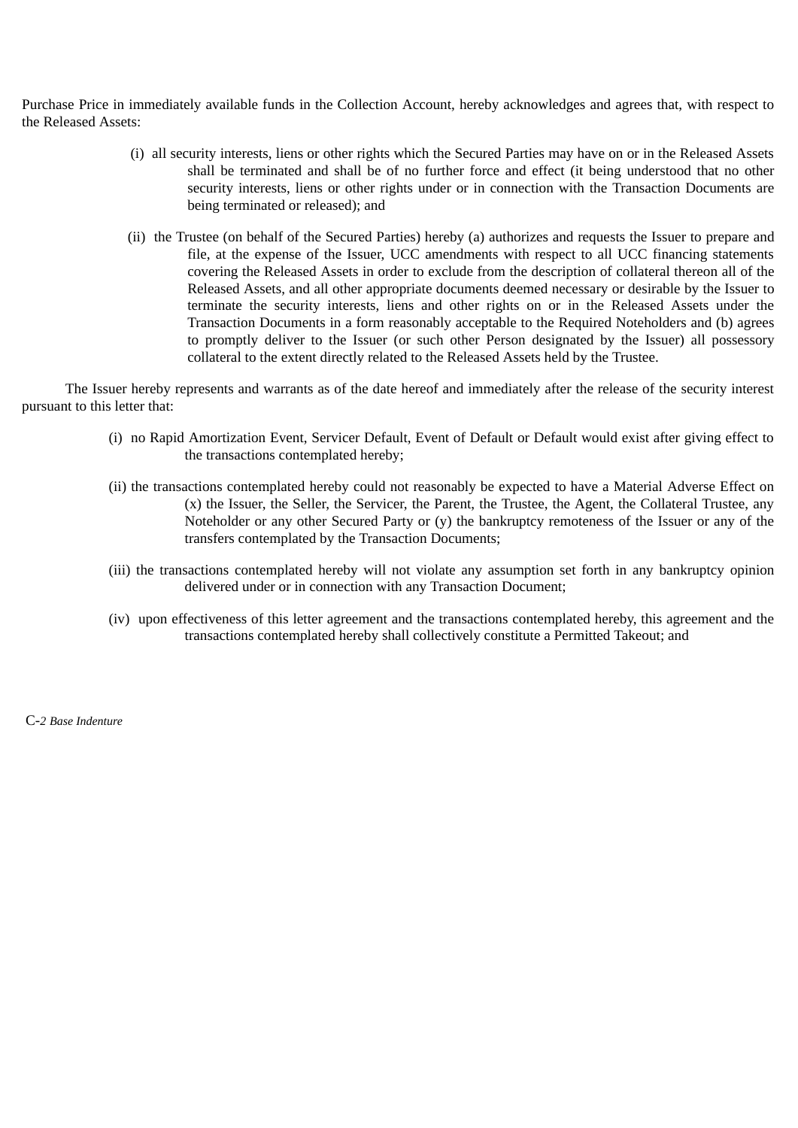Purchase Price in immediately available funds in the Collection Account, hereby acknowledges and agrees that, with respect to the Released Assets:

- (i) all security interests, liens or other rights which the Secured Parties may have on or in the Released Assets shall be terminated and shall be of no further force and effect (it being understood that no other security interests, liens or other rights under or in connection with the Transaction Documents are being terminated or released); and
- (ii) the Trustee (on behalf of the Secured Parties) hereby (a) authorizes and requests the Issuer to prepare and file, at the expense of the Issuer, UCC amendments with respect to all UCC financing statements covering the Released Assets in order to exclude from the description of collateral thereon all of the Released Assets, and all other appropriate documents deemed necessary or desirable by the Issuer to terminate the security interests, liens and other rights on or in the Released Assets under the Transaction Documents in a form reasonably acceptable to the Required Noteholders and (b) agrees to promptly deliver to the Issuer (or such other Person designated by the Issuer) all possessory collateral to the extent directly related to the Released Assets held by the Trustee.

The Issuer hereby represents and warrants as of the date hereof and immediately after the release of the security interest pursuant to this letter that:

- (i) no Rapid Amortization Event, Servicer Default, Event of Default or Default would exist after giving effect to the transactions contemplated hereby;
- (ii) the transactions contemplated hereby could not reasonably be expected to have a Material Adverse Effect on (x) the Issuer, the Seller, the Servicer, the Parent, the Trustee, the Agent, the Collateral Trustee, any Noteholder or any other Secured Party or (y) the bankruptcy remoteness of the Issuer or any of the transfers contemplated by the Transaction Documents;
- (iii) the transactions contemplated hereby will not violate any assumption set forth in any bankruptcy opinion delivered under or in connection with any Transaction Document;
- (iv) upon effectiveness of this letter agreement and the transactions contemplated hereby, this agreement and the transactions contemplated hereby shall collectively constitute a Permitted Takeout; and

C-*2 Base Indenture*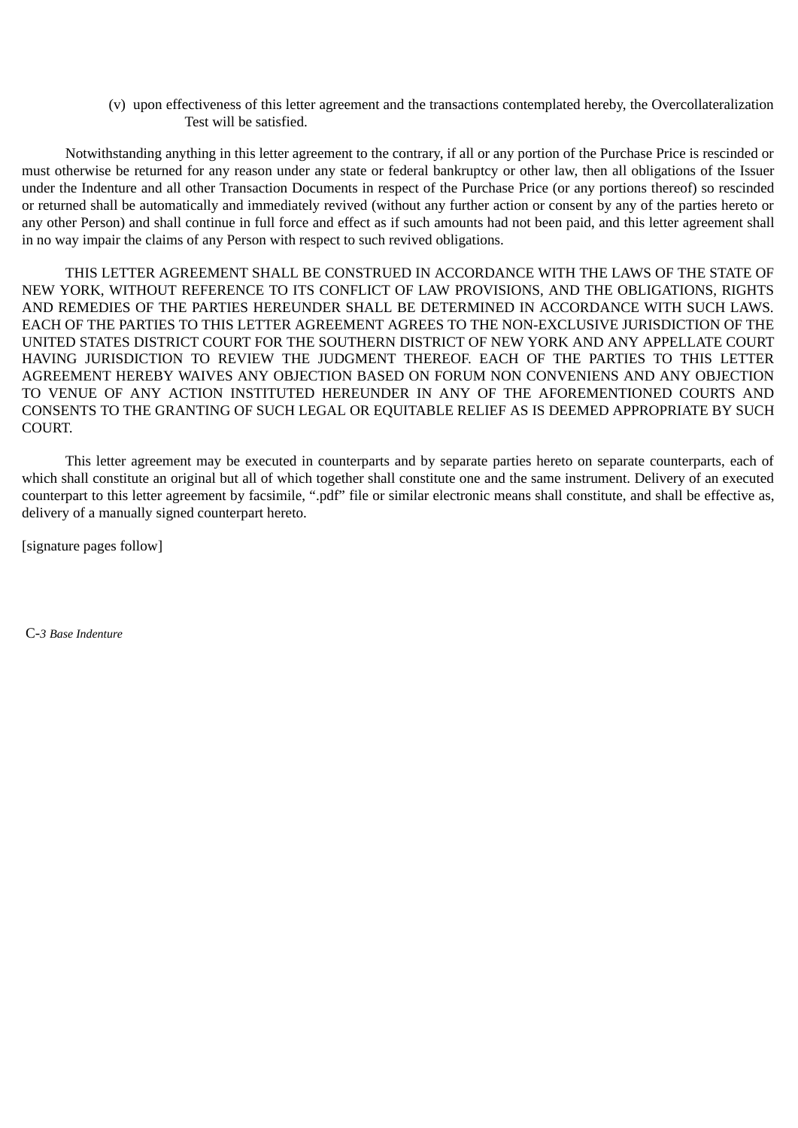(v) upon effectiveness of this letter agreement and the transactions contemplated hereby, the Overcollateralization Test will be satisfied.

Notwithstanding anything in this letter agreement to the contrary, if all or any portion of the Purchase Price is rescinded or must otherwise be returned for any reason under any state or federal bankruptcy or other law, then all obligations of the Issuer under the Indenture and all other Transaction Documents in respect of the Purchase Price (or any portions thereof) so rescinded or returned shall be automatically and immediately revived (without any further action or consent by any of the parties hereto or any other Person) and shall continue in full force and effect as if such amounts had not been paid, and this letter agreement shall in no way impair the claims of any Person with respect to such revived obligations.

THIS LETTER AGREEMENT SHALL BE CONSTRUED IN ACCORDANCE WITH THE LAWS OF THE STATE OF NEW YORK, WITHOUT REFERENCE TO ITS CONFLICT OF LAW PROVISIONS, AND THE OBLIGATIONS, RIGHTS AND REMEDIES OF THE PARTIES HEREUNDER SHALL BE DETERMINED IN ACCORDANCE WITH SUCH LAWS. EACH OF THE PARTIES TO THIS LETTER AGREEMENT AGREES TO THE NON-EXCLUSIVE JURISDICTION OF THE UNITED STATES DISTRICT COURT FOR THE SOUTHERN DISTRICT OF NEW YORK AND ANY APPELLATE COURT HAVING JURISDICTION TO REVIEW THE JUDGMENT THEREOF. EACH OF THE PARTIES TO THIS LETTER AGREEMENT HEREBY WAIVES ANY OBJECTION BASED ON FORUM NON CONVENIENS AND ANY OBJECTION TO VENUE OF ANY ACTION INSTITUTED HEREUNDER IN ANY OF THE AFOREMENTIONED COURTS AND CONSENTS TO THE GRANTING OF SUCH LEGAL OR EQUITABLE RELIEF AS IS DEEMED APPROPRIATE BY SUCH COURT.

This letter agreement may be executed in counterparts and by separate parties hereto on separate counterparts, each of which shall constitute an original but all of which together shall constitute one and the same instrument. Delivery of an executed counterpart to this letter agreement by facsimile, ".pdf" file or similar electronic means shall constitute, and shall be effective as, delivery of a manually signed counterpart hereto.

[signature pages follow]

C-*3 Base Indenture*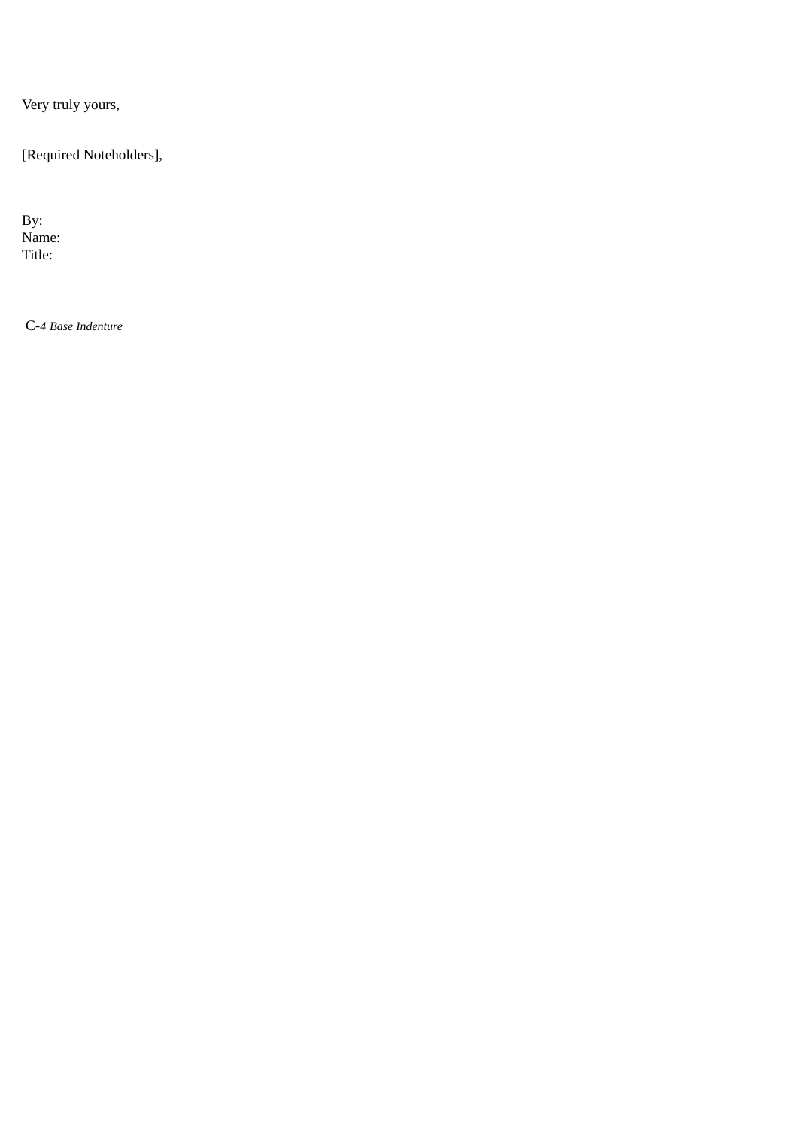Very truly yours,

[Required Noteholders],

By: Name: Title:

C-*4 Base Indenture*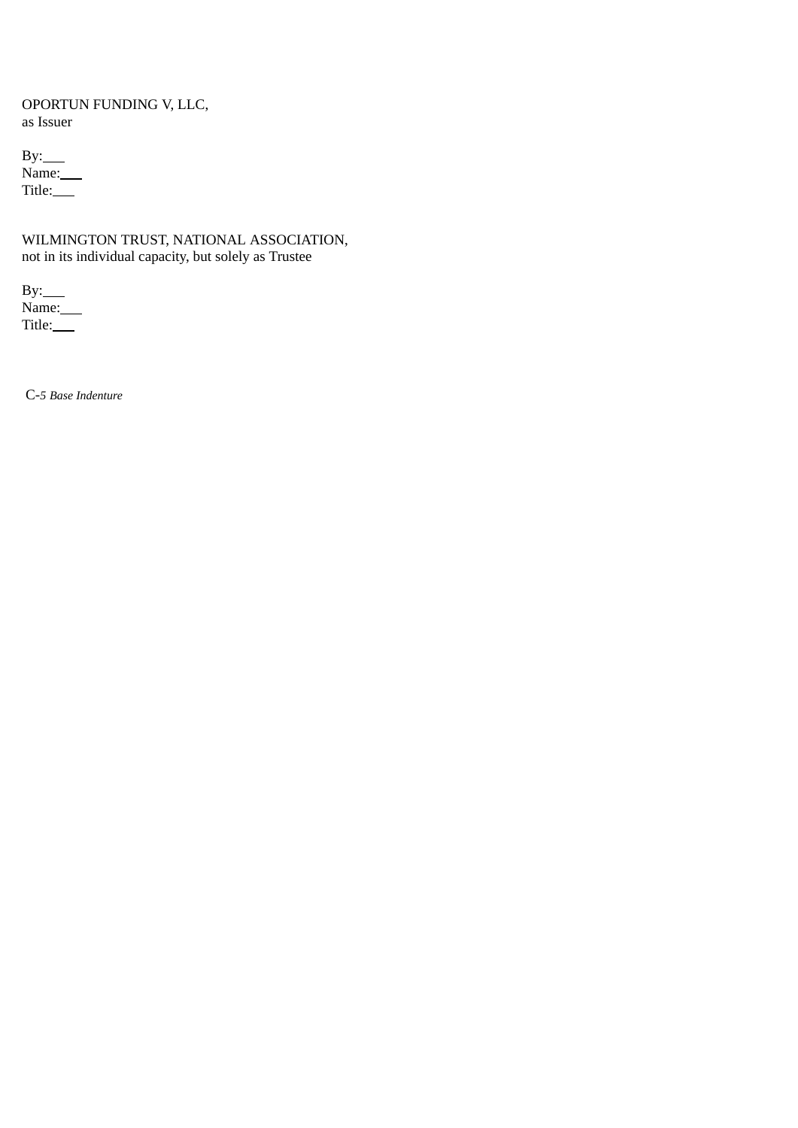# OPORTUN FUNDING V, LLC, as Issuer

By: Name: Title:\_\_\_\_

# WILMINGTON TRUST, NATIONAL ASSOCIATION, not in its individual capacity, but solely as Trustee

 $By:$ Name: Title:

C-*5 Base Indenture*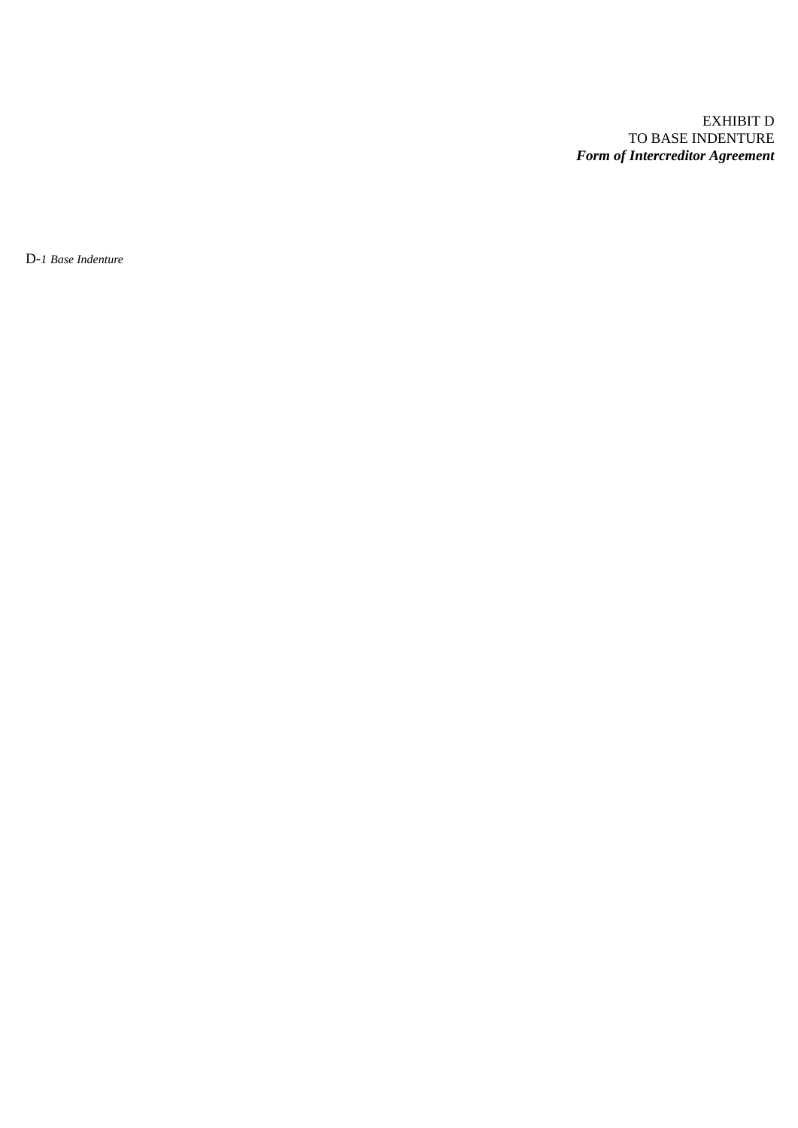# EXHIBIT D TO BASE INDENTURE *Form of Intercreditor Agreement*

D-*1 Base Indenture*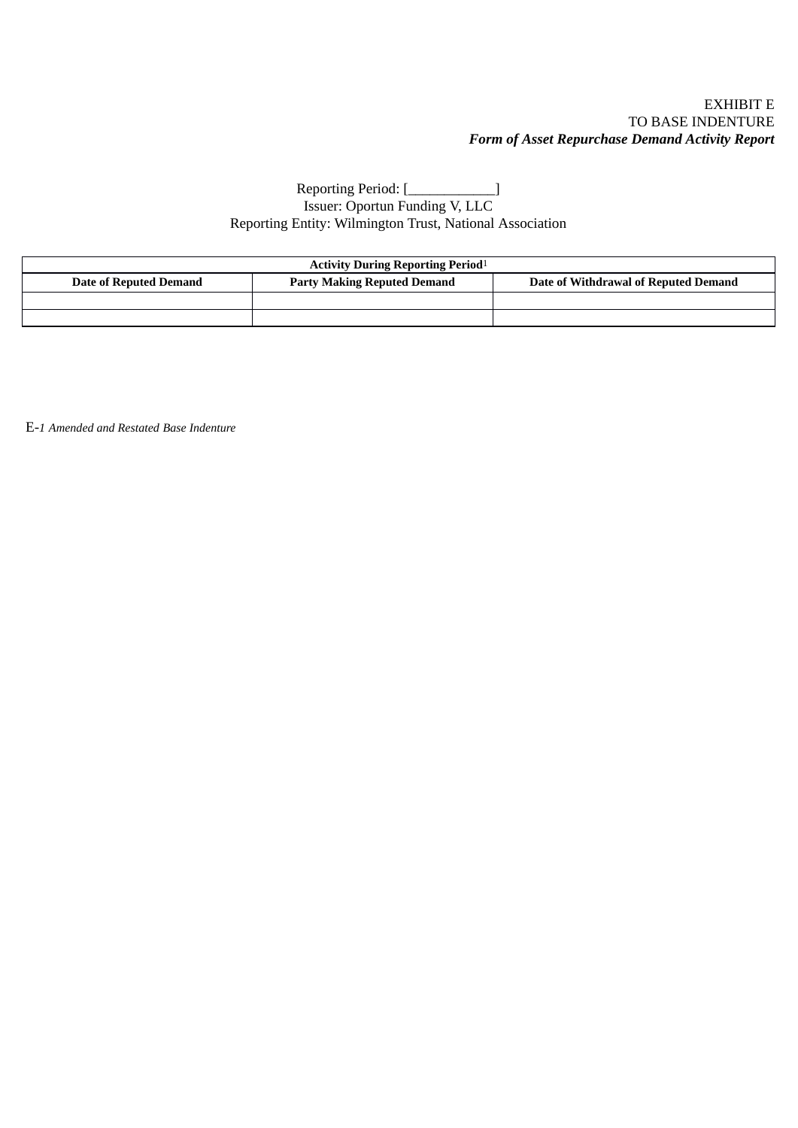## EXHIBIT E TO BASE INDENTURE *Form of Asset Repurchase Demand Activity Report*

# Reporting Period: [\_\_\_\_\_\_\_\_\_\_\_\_\_\_] Issuer: Oportun Funding V, LLC Reporting Entity: Wilmington Trust, National Association

| <b>Activity During Reporting Period</b> <sup>1</sup> |                                    |                                      |
|------------------------------------------------------|------------------------------------|--------------------------------------|
| Date of Reputed Demand                               | <b>Party Making Reputed Demand</b> | Date of Withdrawal of Reputed Demand |
|                                                      |                                    |                                      |
|                                                      |                                    |                                      |

E-*1 Amended and Restated Base Indenture*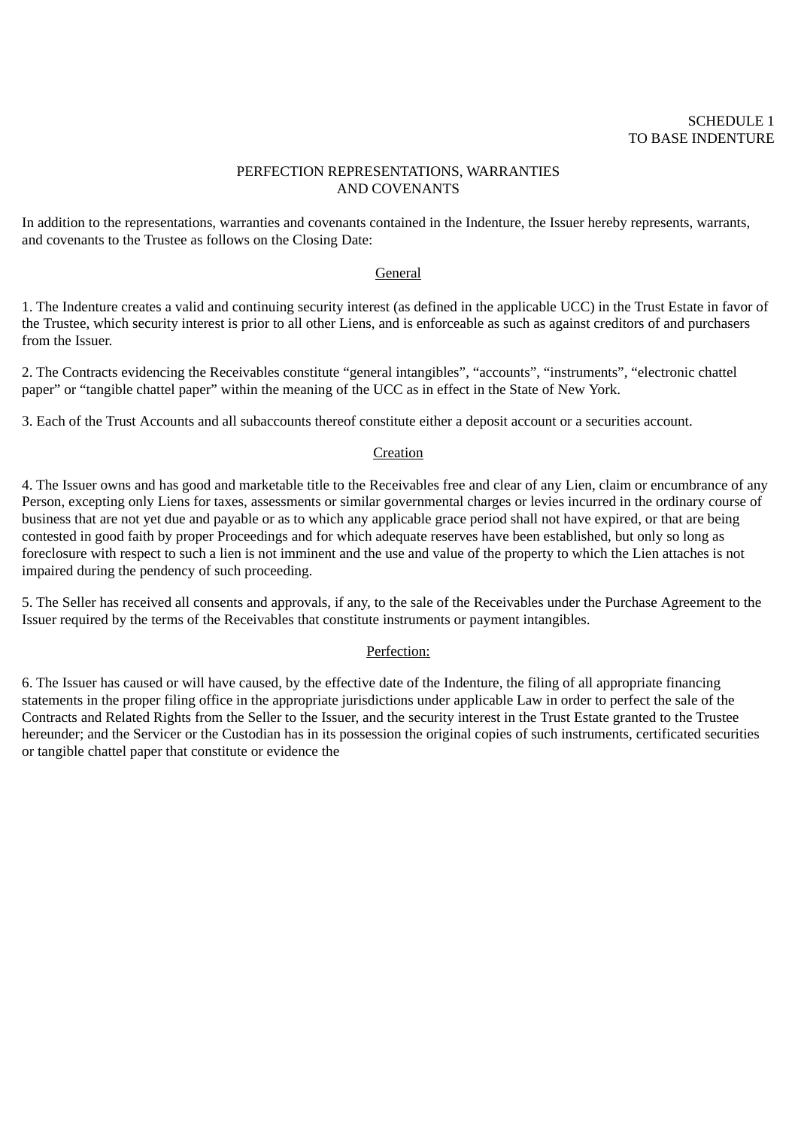## PERFECTION REPRESENTATIONS, WARRANTIES AND COVENANTS

In addition to the representations, warranties and covenants contained in the Indenture, the Issuer hereby represents, warrants, and covenants to the Trustee as follows on the Closing Date:

## General

1. The Indenture creates a valid and continuing security interest (as defined in the applicable UCC) in the Trust Estate in favor of the Trustee, which security interest is prior to all other Liens, and is enforceable as such as against creditors of and purchasers from the Issuer.

2. The Contracts evidencing the Receivables constitute "general intangibles", "accounts", "instruments", "electronic chattel paper" or "tangible chattel paper" within the meaning of the UCC as in effect in the State of New York.

3. Each of the Trust Accounts and all subaccounts thereof constitute either a deposit account or a securities account.

### **Creation**

4. The Issuer owns and has good and marketable title to the Receivables free and clear of any Lien, claim or encumbrance of any Person, excepting only Liens for taxes, assessments or similar governmental charges or levies incurred in the ordinary course of business that are not yet due and payable or as to which any applicable grace period shall not have expired, or that are being contested in good faith by proper Proceedings and for which adequate reserves have been established, but only so long as foreclosure with respect to such a lien is not imminent and the use and value of the property to which the Lien attaches is not impaired during the pendency of such proceeding.

5. The Seller has received all consents and approvals, if any, to the sale of the Receivables under the Purchase Agreement to the Issuer required by the terms of the Receivables that constitute instruments or payment intangibles.

#### Perfection:

6. The Issuer has caused or will have caused, by the effective date of the Indenture, the filing of all appropriate financing statements in the proper filing office in the appropriate jurisdictions under applicable Law in order to perfect the sale of the Contracts and Related Rights from the Seller to the Issuer, and the security interest in the Trust Estate granted to the Trustee hereunder; and the Servicer or the Custodian has in its possession the original copies of such instruments, certificated securities or tangible chattel paper that constitute or evidence the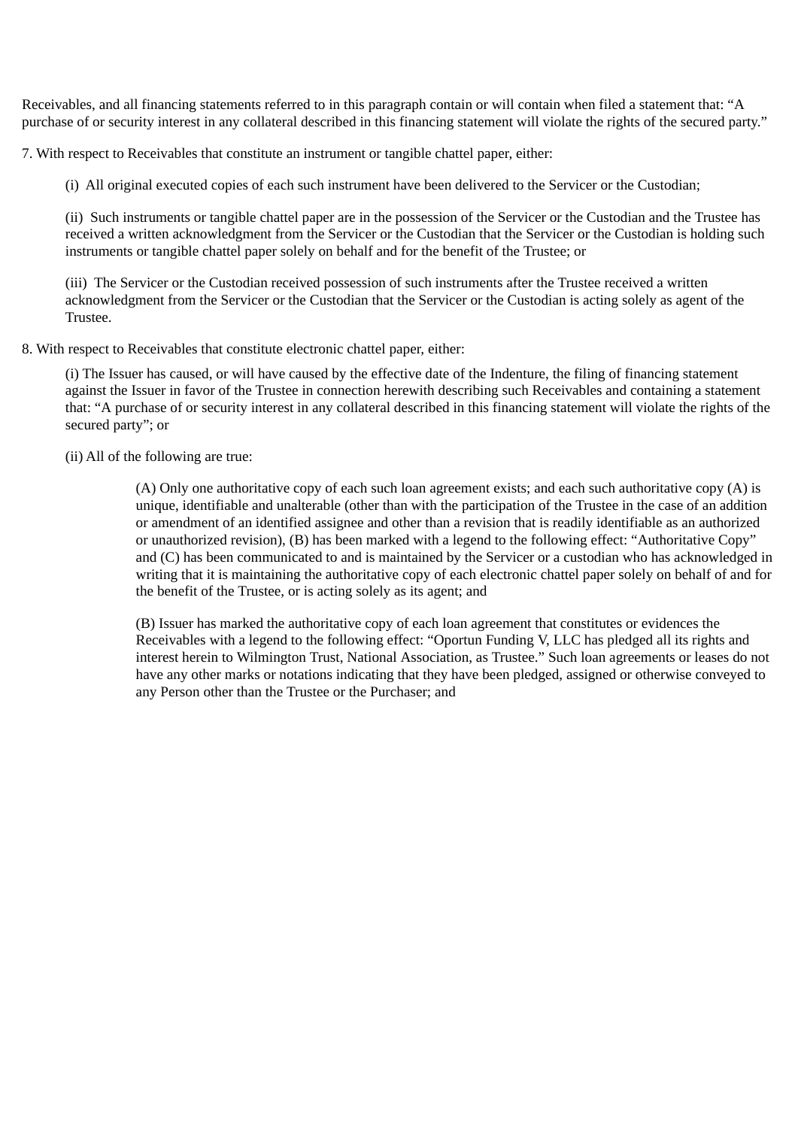Receivables, and all financing statements referred to in this paragraph contain or will contain when filed a statement that: "A purchase of or security interest in any collateral described in this financing statement will violate the rights of the secured party."

7. With respect to Receivables that constitute an instrument or tangible chattel paper, either:

(i) All original executed copies of each such instrument have been delivered to the Servicer or the Custodian;

(ii) Such instruments or tangible chattel paper are in the possession of the Servicer or the Custodian and the Trustee has received a written acknowledgment from the Servicer or the Custodian that the Servicer or the Custodian is holding such instruments or tangible chattel paper solely on behalf and for the benefit of the Trustee; or

(iii) The Servicer or the Custodian received possession of such instruments after the Trustee received a written acknowledgment from the Servicer or the Custodian that the Servicer or the Custodian is acting solely as agent of the Trustee.

8. With respect to Receivables that constitute electronic chattel paper, either:

(i) The Issuer has caused, or will have caused by the effective date of the Indenture, the filing of financing statement against the Issuer in favor of the Trustee in connection herewith describing such Receivables and containing a statement that: "A purchase of or security interest in any collateral described in this financing statement will violate the rights of the secured party"; or

(ii) All of the following are true:

(A) Only one authoritative copy of each such loan agreement exists; and each such authoritative copy (A) is unique, identifiable and unalterable (other than with the participation of the Trustee in the case of an addition or amendment of an identified assignee and other than a revision that is readily identifiable as an authorized or unauthorized revision), (B) has been marked with a legend to the following effect: "Authoritative Copy" and (C) has been communicated to and is maintained by the Servicer or a custodian who has acknowledged in writing that it is maintaining the authoritative copy of each electronic chattel paper solely on behalf of and for the benefit of the Trustee, or is acting solely as its agent; and

(B) Issuer has marked the authoritative copy of each loan agreement that constitutes or evidences the Receivables with a legend to the following effect: "Oportun Funding V, LLC has pledged all its rights and interest herein to Wilmington Trust, National Association, as Trustee." Such loan agreements or leases do not have any other marks or notations indicating that they have been pledged, assigned or otherwise conveyed to any Person other than the Trustee or the Purchaser; and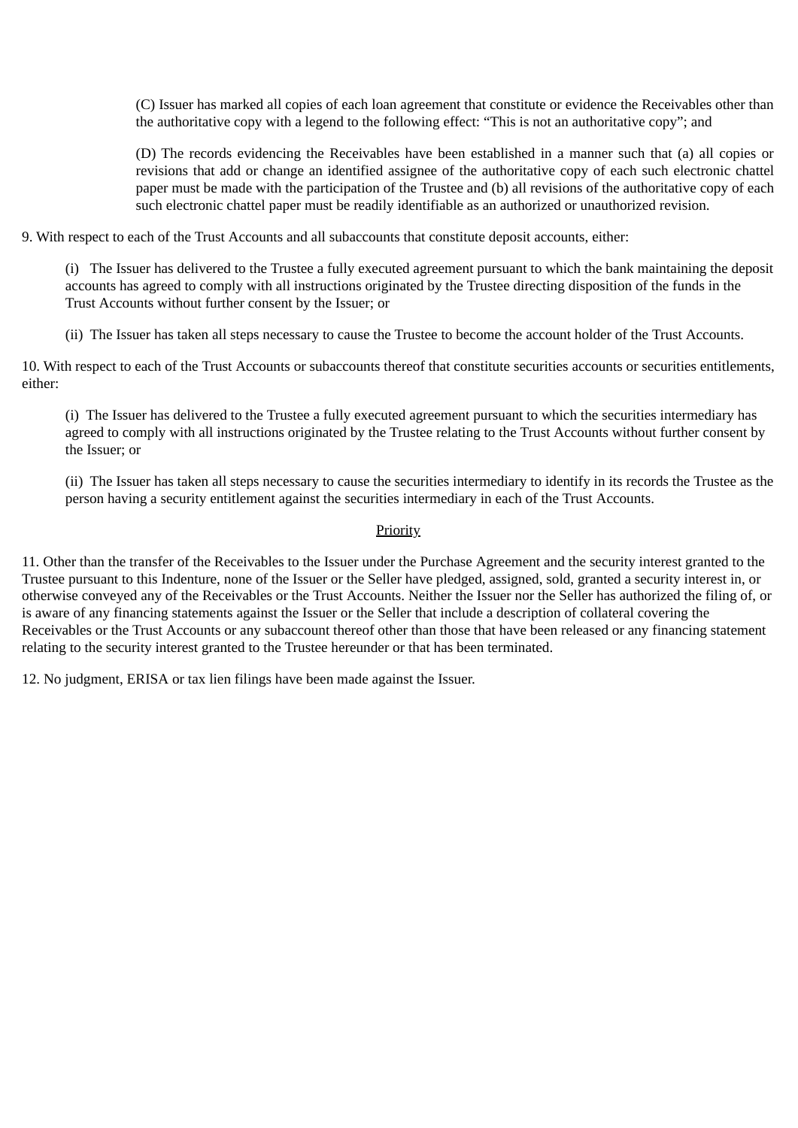(C) Issuer has marked all copies of each loan agreement that constitute or evidence the Receivables other than the authoritative copy with a legend to the following effect: "This is not an authoritative copy"; and

(D) The records evidencing the Receivables have been established in a manner such that (a) all copies or revisions that add or change an identified assignee of the authoritative copy of each such electronic chattel paper must be made with the participation of the Trustee and (b) all revisions of the authoritative copy of each such electronic chattel paper must be readily identifiable as an authorized or unauthorized revision.

9. With respect to each of the Trust Accounts and all subaccounts that constitute deposit accounts, either:

(i) The Issuer has delivered to the Trustee a fully executed agreement pursuant to which the bank maintaining the deposit accounts has agreed to comply with all instructions originated by the Trustee directing disposition of the funds in the Trust Accounts without further consent by the Issuer; or

(ii) The Issuer has taken all steps necessary to cause the Trustee to become the account holder of the Trust Accounts.

10. With respect to each of the Trust Accounts or subaccounts thereof that constitute securities accounts or securities entitlements, either:

(i) The Issuer has delivered to the Trustee a fully executed agreement pursuant to which the securities intermediary has agreed to comply with all instructions originated by the Trustee relating to the Trust Accounts without further consent by the Issuer; or

(ii) The Issuer has taken all steps necessary to cause the securities intermediary to identify in its records the Trustee as the person having a security entitlement against the securities intermediary in each of the Trust Accounts.

# Priority

11. Other than the transfer of the Receivables to the Issuer under the Purchase Agreement and the security interest granted to the Trustee pursuant to this Indenture, none of the Issuer or the Seller have pledged, assigned, sold, granted a security interest in, or otherwise conveyed any of the Receivables or the Trust Accounts. Neither the Issuer nor the Seller has authorized the filing of, or is aware of any financing statements against the Issuer or the Seller that include a description of collateral covering the Receivables or the Trust Accounts or any subaccount thereof other than those that have been released or any financing statement relating to the security interest granted to the Trustee hereunder or that has been terminated.

12. No judgment, ERISA or tax lien filings have been made against the Issuer.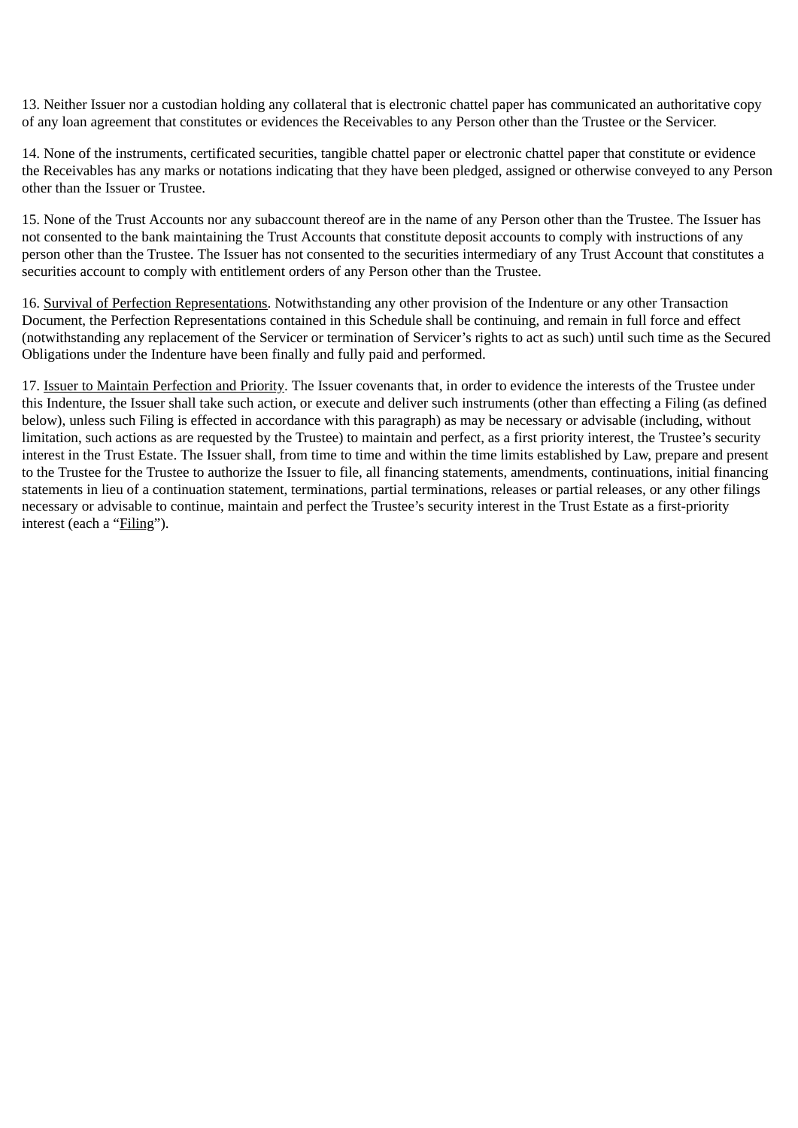13. Neither Issuer nor a custodian holding any collateral that is electronic chattel paper has communicated an authoritative copy of any loan agreement that constitutes or evidences the Receivables to any Person other than the Trustee or the Servicer.

14. None of the instruments, certificated securities, tangible chattel paper or electronic chattel paper that constitute or evidence the Receivables has any marks or notations indicating that they have been pledged, assigned or otherwise conveyed to any Person other than the Issuer or Trustee.

15. None of the Trust Accounts nor any subaccount thereof are in the name of any Person other than the Trustee. The Issuer has not consented to the bank maintaining the Trust Accounts that constitute deposit accounts to comply with instructions of any person other than the Trustee. The Issuer has not consented to the securities intermediary of any Trust Account that constitutes a securities account to comply with entitlement orders of any Person other than the Trustee.

16. Survival of Perfection Representations. Notwithstanding any other provision of the Indenture or any other Transaction Document, the Perfection Representations contained in this Schedule shall be continuing, and remain in full force and effect (notwithstanding any replacement of the Servicer or termination of Servicer's rights to act as such) until such time as the Secured Obligations under the Indenture have been finally and fully paid and performed.

17. Issuer to Maintain Perfection and Priority. The Issuer covenants that, in order to evidence the interests of the Trustee under this Indenture, the Issuer shall take such action, or execute and deliver such instruments (other than effecting a Filing (as defined below), unless such Filing is effected in accordance with this paragraph) as may be necessary or advisable (including, without limitation, such actions as are requested by the Trustee) to maintain and perfect, as a first priority interest, the Trustee's security interest in the Trust Estate. The Issuer shall, from time to time and within the time limits established by Law, prepare and present to the Trustee for the Trustee to authorize the Issuer to file, all financing statements, amendments, continuations, initial financing statements in lieu of a continuation statement, terminations, partial terminations, releases or partial releases, or any other filings necessary or advisable to continue, maintain and perfect the Trustee's security interest in the Trust Estate as a first-priority interest (each a "Filing").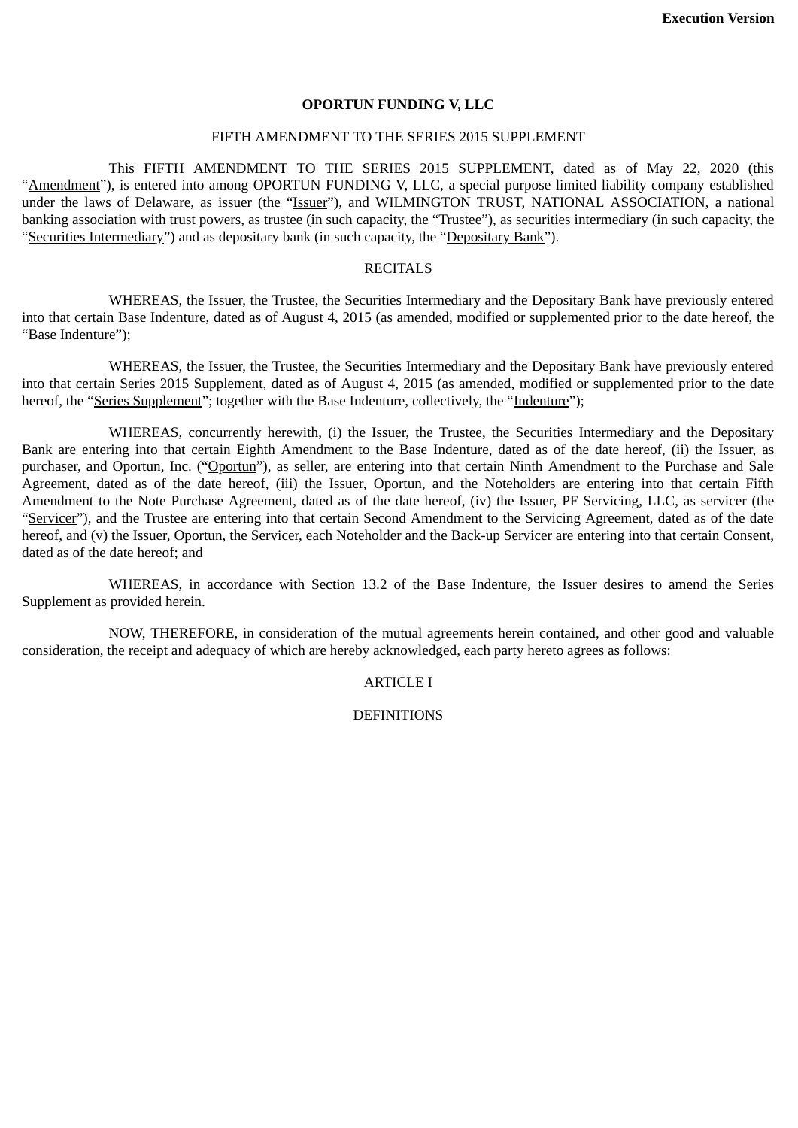#### **OPORTUN FUNDING V, LLC**

#### FIFTH AMENDMENT TO THE SERIES 2015 SUPPLEMENT

This FIFTH AMENDMENT TO THE SERIES 2015 SUPPLEMENT, dated as of May 22, 2020 (this "Amendment"), is entered into among OPORTUN FUNDING V, LLC, a special purpose limited liability company established under the laws of Delaware, as issuer (the "Issuer"), and WILMINGTON TRUST, NATIONAL ASSOCIATION, a national banking association with trust powers, as trustee (in such capacity, the "Trustee"), as securities intermediary (in such capacity, the "Securities Intermediary") and as depositary bank (in such capacity, the "Depositary Bank").

## **RECITALS**

WHEREAS, the Issuer, the Trustee, the Securities Intermediary and the Depositary Bank have previously entered into that certain Base Indenture, dated as of August 4, 2015 (as amended, modified or supplemented prior to the date hereof, the "Base Indenture");

WHEREAS, the Issuer, the Trustee, the Securities Intermediary and the Depositary Bank have previously entered into that certain Series 2015 Supplement, dated as of August 4, 2015 (as amended, modified or supplemented prior to the date hereof, the "Series Supplement"; together with the Base Indenture, collectively, the "Indenture");

WHEREAS, concurrently herewith, (i) the Issuer, the Trustee, the Securities Intermediary and the Depositary Bank are entering into that certain Eighth Amendment to the Base Indenture, dated as of the date hereof, (ii) the Issuer, as purchaser, and Oportun, Inc. ("Oportun"), as seller, are entering into that certain Ninth Amendment to the Purchase and Sale Agreement, dated as of the date hereof, (iii) the Issuer, Oportun, and the Noteholders are entering into that certain Fifth Amendment to the Note Purchase Agreement, dated as of the date hereof, (iv) the Issuer, PF Servicing, LLC, as servicer (the "Servicer"), and the Trustee are entering into that certain Second Amendment to the Servicing Agreement, dated as of the date hereof, and (v) the Issuer, Oportun, the Servicer, each Noteholder and the Back-up Servicer are entering into that certain Consent, dated as of the date hereof; and

WHEREAS, in accordance with Section 13.2 of the Base Indenture, the Issuer desires to amend the Series Supplement as provided herein.

NOW, THEREFORE, in consideration of the mutual agreements herein contained, and other good and valuable consideration, the receipt and adequacy of which are hereby acknowledged, each party hereto agrees as follows:

## ARTICLE I

## **DEFINITIONS**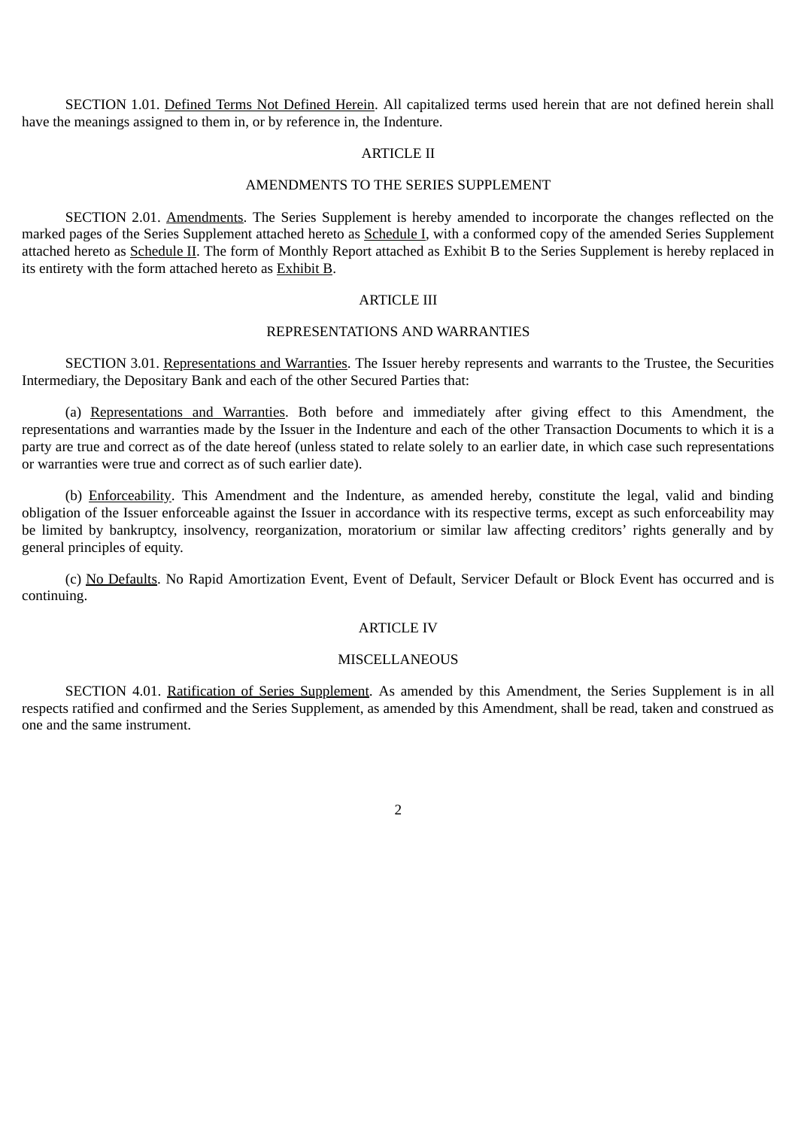SECTION 1.01. Defined Terms Not Defined Herein. All capitalized terms used herein that are not defined herein shall have the meanings assigned to them in, or by reference in, the Indenture.

#### ARTICLE II

#### AMENDMENTS TO THE SERIES SUPPLEMENT

SECTION 2.01. Amendments. The Series Supplement is hereby amended to incorporate the changes reflected on the marked pages of the Series Supplement attached hereto as Schedule I, with a conformed copy of the amended Series Supplement attached hereto as Schedule II. The form of Monthly Report attached as Exhibit B to the Series Supplement is hereby replaced in its entirety with the form attached hereto as Exhibit B.

#### ARTICLE III

### REPRESENTATIONS AND WARRANTIES

SECTION 3.01. Representations and Warranties. The Issuer hereby represents and warrants to the Trustee, the Securities Intermediary, the Depositary Bank and each of the other Secured Parties that:

(a) Representations and Warranties. Both before and immediately after giving effect to this Amendment, the representations and warranties made by the Issuer in the Indenture and each of the other Transaction Documents to which it is a party are true and correct as of the date hereof (unless stated to relate solely to an earlier date, in which case such representations or warranties were true and correct as of such earlier date).

(b) Enforceability. This Amendment and the Indenture, as amended hereby, constitute the legal, valid and binding obligation of the Issuer enforceable against the Issuer in accordance with its respective terms, except as such enforceability may be limited by bankruptcy, insolvency, reorganization, moratorium or similar law affecting creditors' rights generally and by general principles of equity.

(c) No Defaults. No Rapid Amortization Event, Event of Default, Servicer Default or Block Event has occurred and is continuing.

#### ARTICLE IV

#### **MISCELLANEOUS**

SECTION 4.01. Ratification of Series Supplement. As amended by this Amendment, the Series Supplement is in all respects ratified and confirmed and the Series Supplement, as amended by this Amendment, shall be read, taken and construed as one and the same instrument.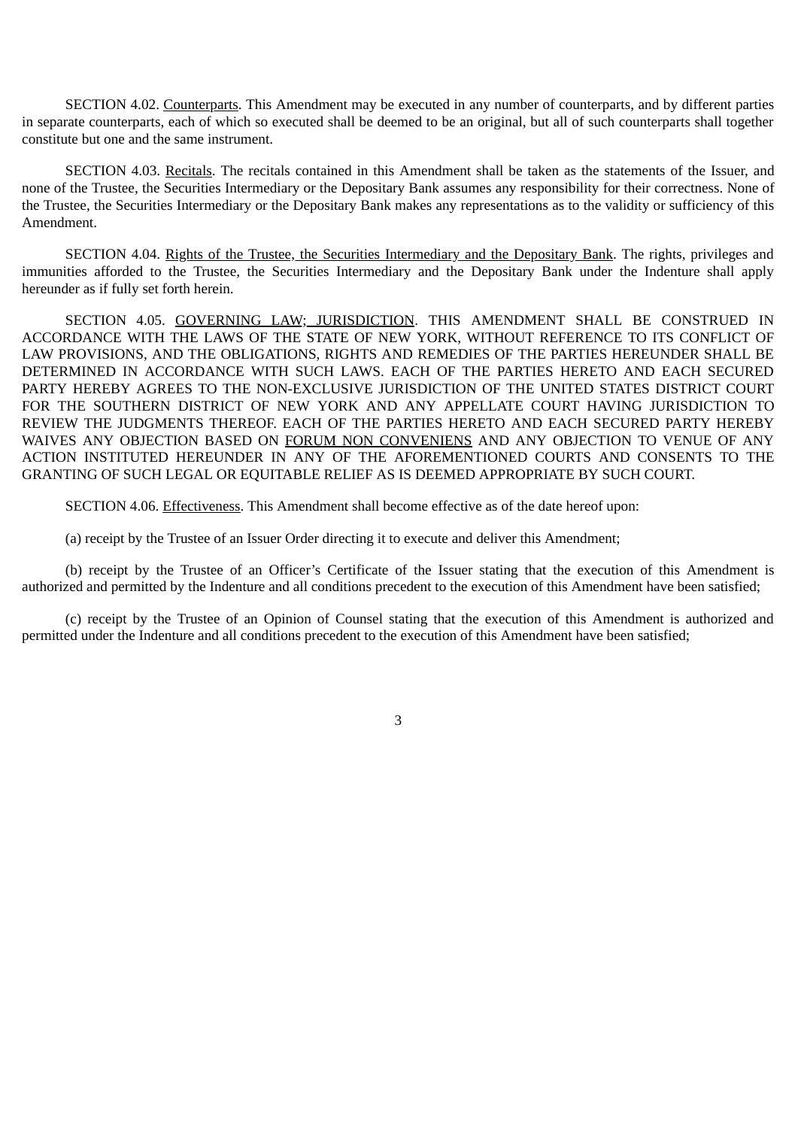SECTION 4.02. Counterparts. This Amendment may be executed in any number of counterparts, and by different parties in separate counterparts, each of which so executed shall be deemed to be an original, but all of such counterparts shall together constitute but one and the same instrument.

SECTION 4.03. Recitals. The recitals contained in this Amendment shall be taken as the statements of the Issuer, and none of the Trustee, the Securities Intermediary or the Depositary Bank assumes any responsibility for their correctness. None of the Trustee, the Securities Intermediary or the Depositary Bank makes any representations as to the validity or sufficiency of this Amendment.

SECTION 4.04. Rights of the Trustee, the Securities Intermediary and the Depositary Bank. The rights, privileges and immunities afforded to the Trustee, the Securities Intermediary and the Depositary Bank under the Indenture shall apply hereunder as if fully set forth herein.

SECTION 4.05. GOVERNING LAW; JURISDICTION. THIS AMENDMENT SHALL BE CONSTRUED IN ACCORDANCE WITH THE LAWS OF THE STATE OF NEW YORK, WITHOUT REFERENCE TO ITS CONFLICT OF LAW PROVISIONS, AND THE OBLIGATIONS, RIGHTS AND REMEDIES OF THE PARTIES HEREUNDER SHALL BE DETERMINED IN ACCORDANCE WITH SUCH LAWS. EACH OF THE PARTIES HERETO AND EACH SECURED PARTY HEREBY AGREES TO THE NON-EXCLUSIVE JURISDICTION OF THE UNITED STATES DISTRICT COURT FOR THE SOUTHERN DISTRICT OF NEW YORK AND ANY APPELLATE COURT HAVING JURISDICTION TO REVIEW THE JUDGMENTS THEREOF. EACH OF THE PARTIES HERETO AND EACH SECURED PARTY HEREBY WAIVES ANY OBJECTION BASED ON FORUM NON CONVENIENS AND ANY OBJECTION TO VENUE OF ANY ACTION INSTITUTED HEREUNDER IN ANY OF THE AFOREMENTIONED COURTS AND CONSENTS TO THE GRANTING OF SUCH LEGAL OR EQUITABLE RELIEF AS IS DEEMED APPROPRIATE BY SUCH COURT.

SECTION 4.06. Effectiveness. This Amendment shall become effective as of the date hereof upon:

(a) receipt by the Trustee of an Issuer Order directing it to execute and deliver this Amendment;

(b) receipt by the Trustee of an Officer's Certificate of the Issuer stating that the execution of this Amendment is authorized and permitted by the Indenture and all conditions precedent to the execution of this Amendment have been satisfied;

(c) receipt by the Trustee of an Opinion of Counsel stating that the execution of this Amendment is authorized and permitted under the Indenture and all conditions precedent to the execution of this Amendment have been satisfied;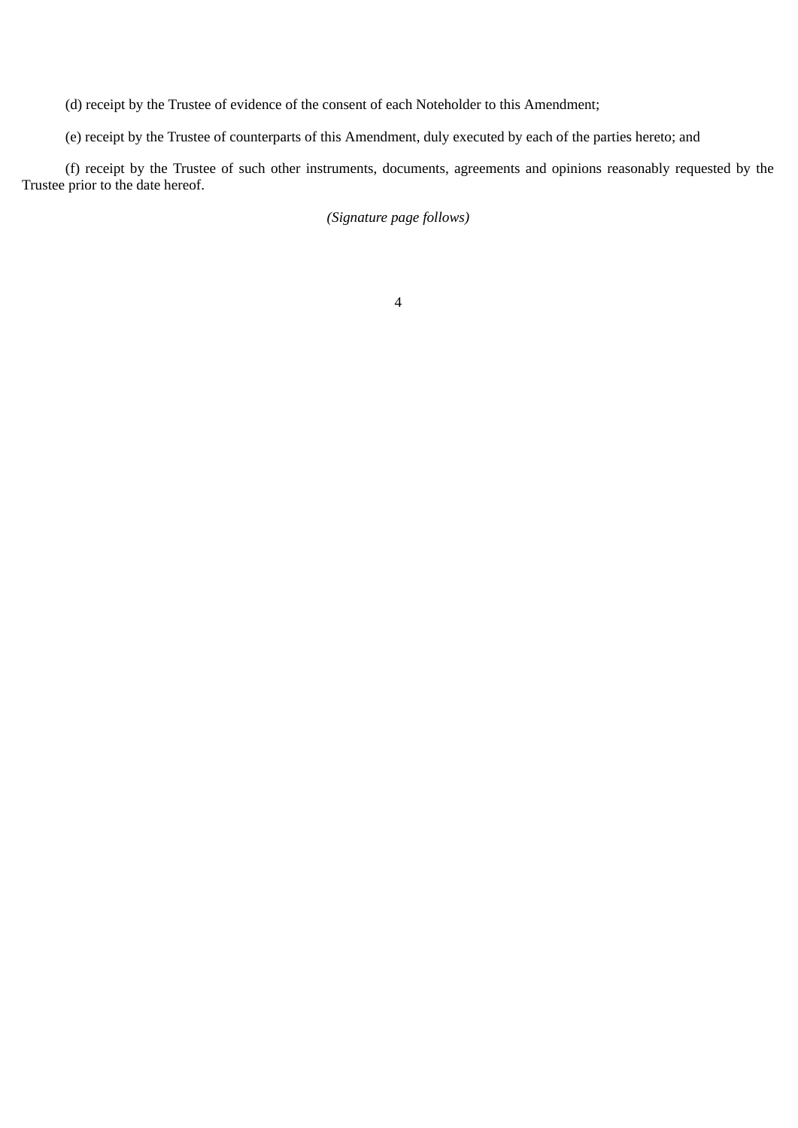(d) receipt by the Trustee of evidence of the consent of each Noteholder to this Amendment;

(e) receipt by the Trustee of counterparts of this Amendment, duly executed by each of the parties hereto; and

(f) receipt by the Trustee of such other instruments, documents, agreements and opinions reasonably requested by the Trustee prior to the date hereof.

*(Signature page follows)*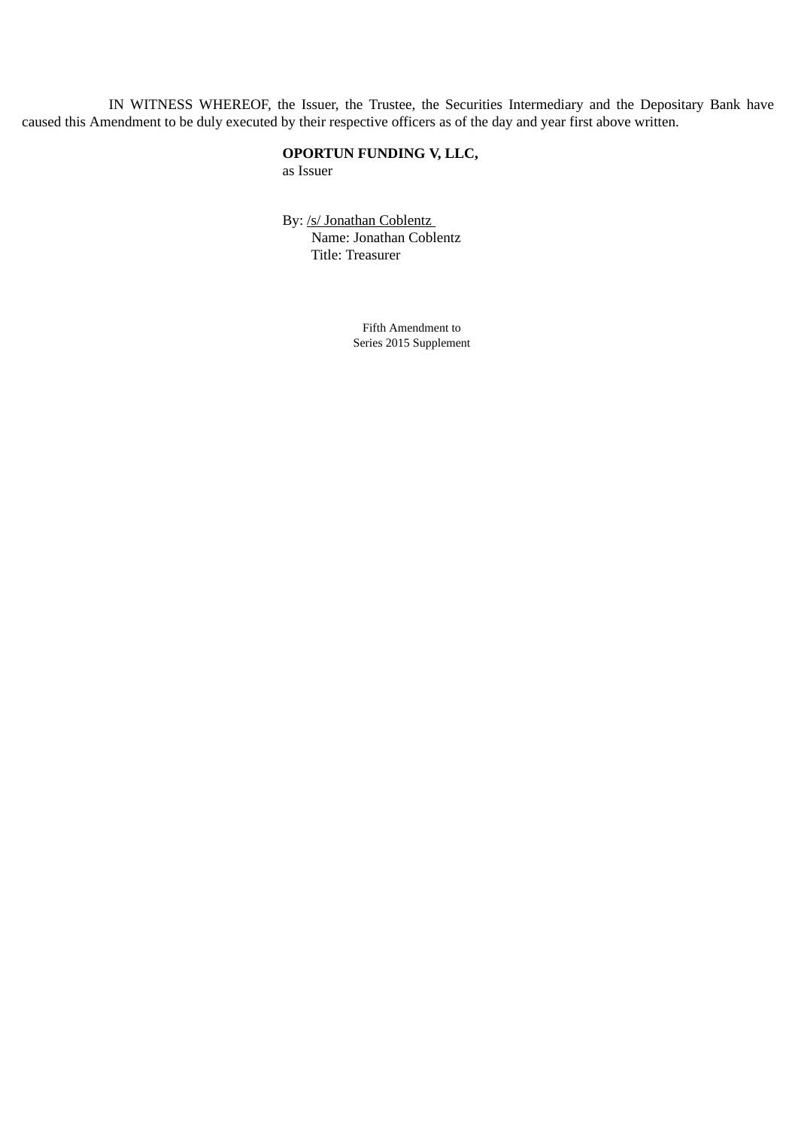IN WITNESS WHEREOF, the Issuer, the Trustee, the Securities Intermediary and the Depositary Bank have caused this Amendment to be duly executed by their respective officers as of the day and year first above written.

# **OPORTUN FUNDING V, LLC,** as Issuer

By: /s/ Jonathan Coblentz Name: Jonathan Coblentz Title: Treasurer

> Fifth Amendment to Series 2015 Supplement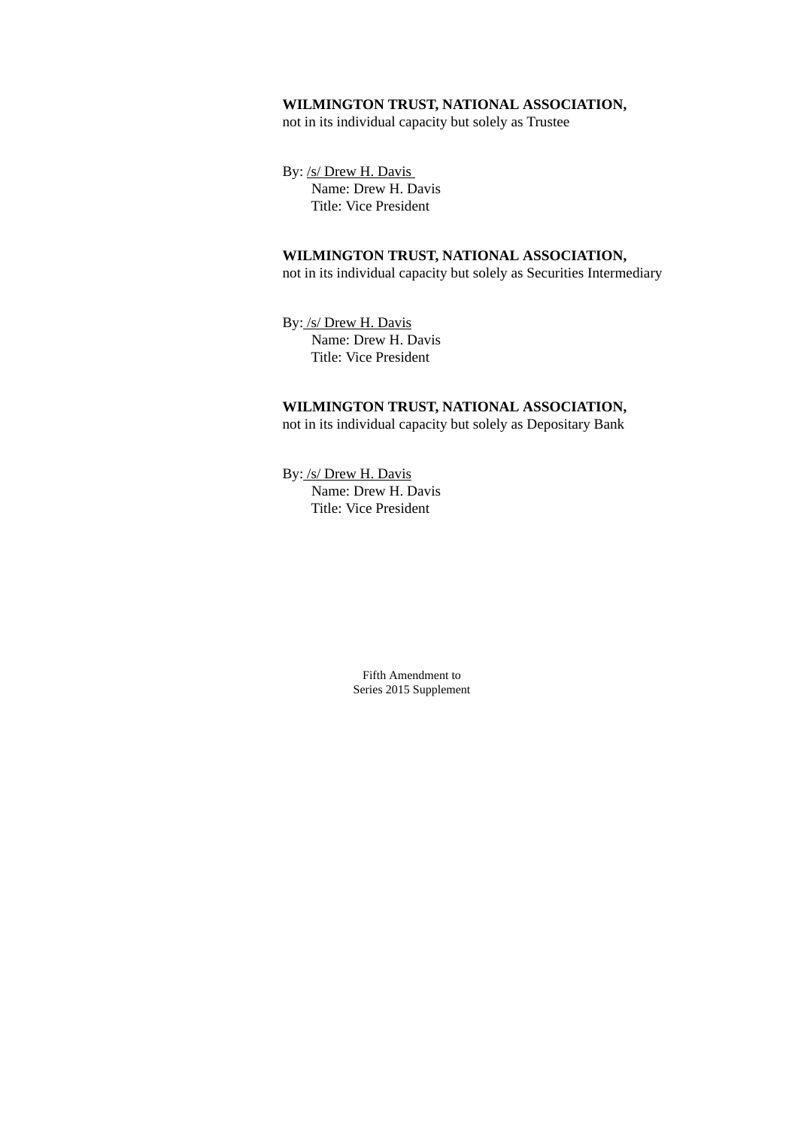## **WILMINGTON TRUST, NATIONAL ASSOCIATION,**

not in its individual capacity but solely as Trustee

By: /s/ Drew H. Davis Name: Drew H. Davis Title: Vice President

# **WILMINGTON TRUST, NATIONAL ASSOCIATION,**

not in its individual capacity but solely as Securities Intermediary

By: /s/ Drew H. Davis Name: Drew H. Davis Title: Vice President

# **WILMINGTON TRUST, NATIONAL ASSOCIATION,** not in its individual capacity but solely as Depositary Bank

By: /s/ Drew H. Davis Name: Drew H. Davis Title: Vice President

> Fifth Amendment to Series 2015 Supplement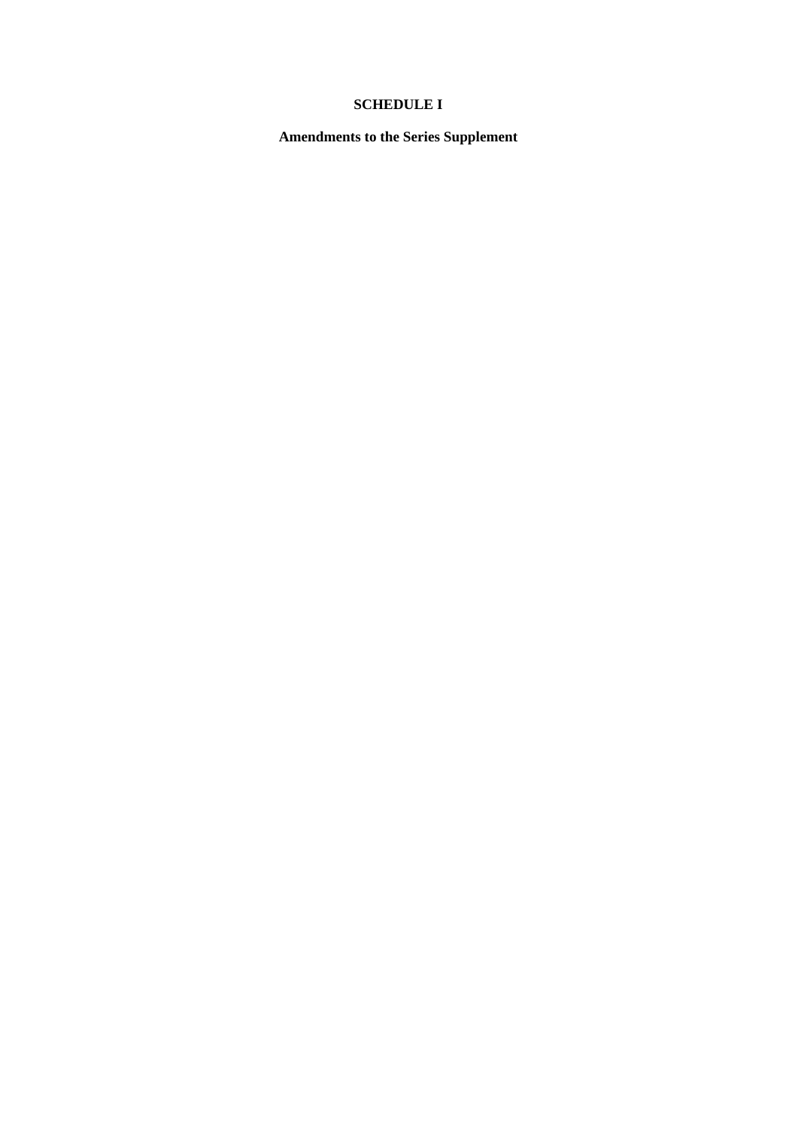# **SCHEDULE I**

**Amendments to the Series Supplement**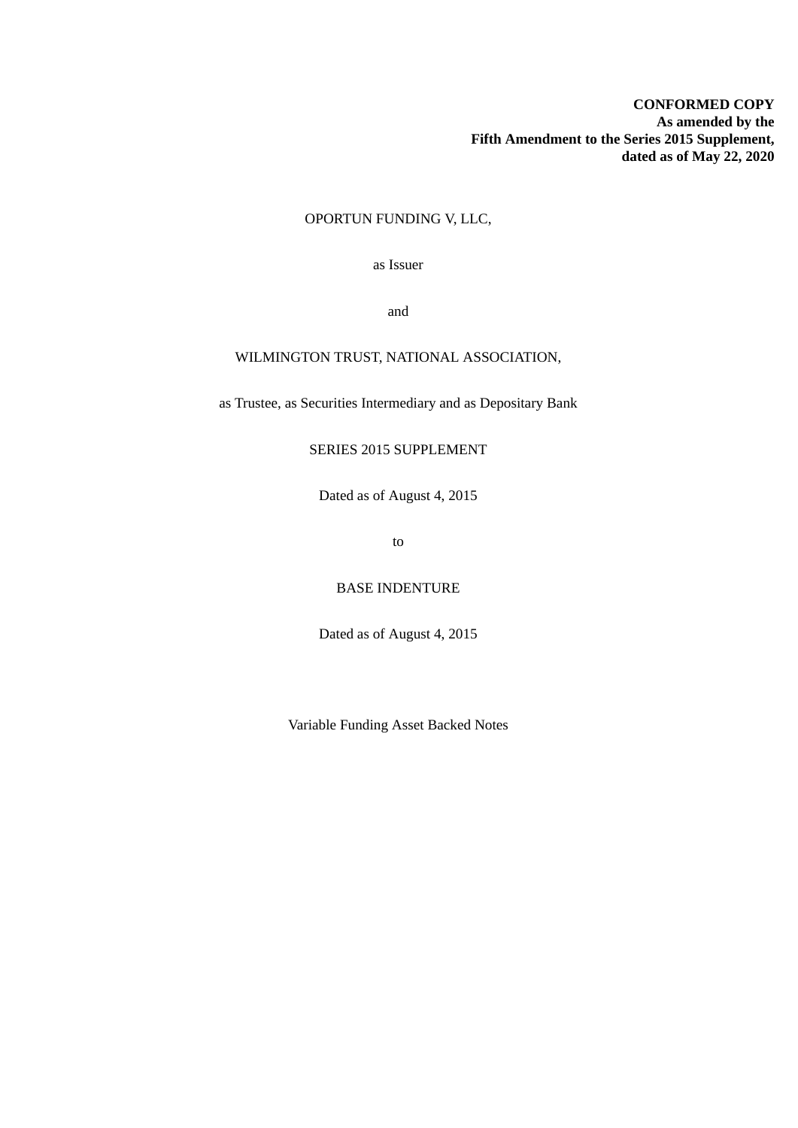# OPORTUN FUNDING V, LLC,

as Issuer

and

# WILMINGTON TRUST, NATIONAL ASSOCIATION,

as Trustee, as Securities Intermediary and as Depositary Bank

# SERIES 2015 SUPPLEMENT

Dated as of August 4, 2015

to

BASE INDENTURE

Dated as of August 4, 2015

Variable Funding Asset Backed Notes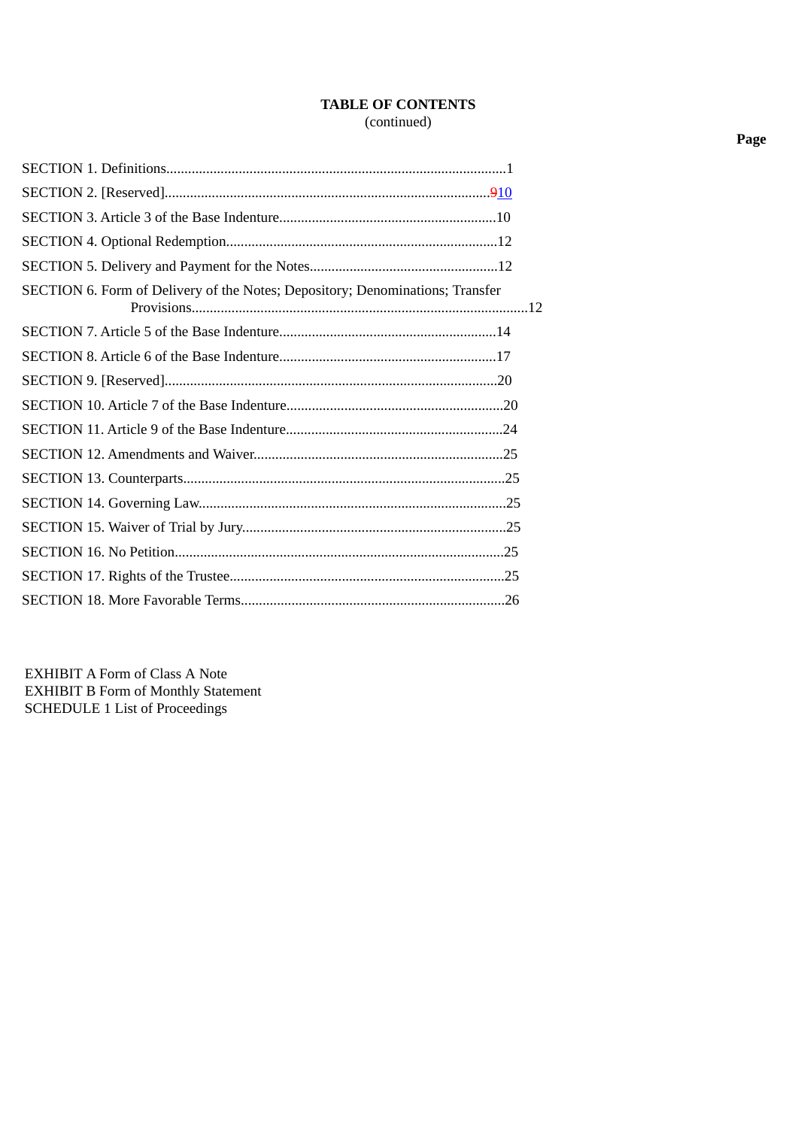# **TABLE OF CONTENTS** (continued)

| SECTION 6. Form of Delivery of the Notes; Depository; Denominations; Transfer |
|-------------------------------------------------------------------------------|
|                                                                               |
|                                                                               |
|                                                                               |
|                                                                               |
|                                                                               |
|                                                                               |
|                                                                               |
|                                                                               |
|                                                                               |
|                                                                               |
|                                                                               |
|                                                                               |

EXHIBIT A Form of Class A Note EXHIBIT B Form of Monthly Statement SCHEDULE 1 List of Proceedings

**Page**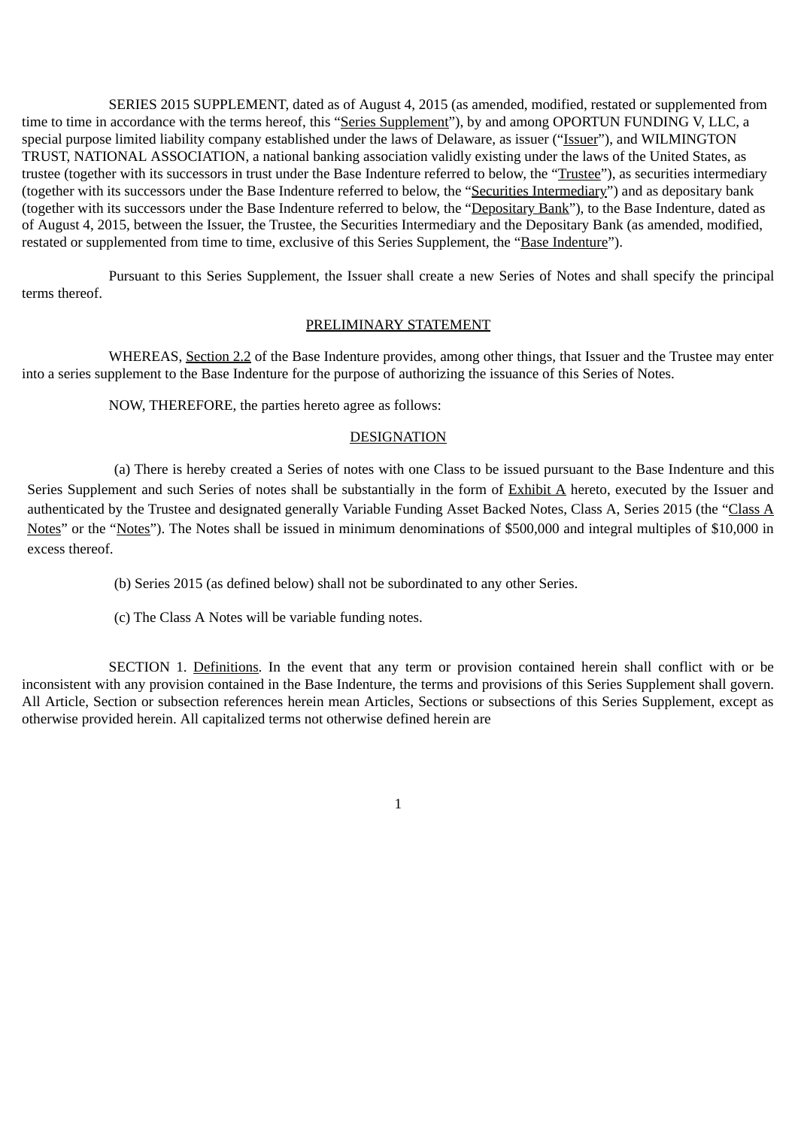SERIES 2015 SUPPLEMENT, dated as of August 4, 2015 (as amended, modified, restated or supplemented from time to time in accordance with the terms hereof, this "Series Supplement"), by and among OPORTUN FUNDING V, LLC, a special purpose limited liability company established under the laws of Delaware, as issuer ("Issuer"), and WILMINGTON TRUST, NATIONAL ASSOCIATION, a national banking association validly existing under the laws of the United States, as trustee (together with its successors in trust under the Base Indenture referred to below, the "Trustee"), as securities intermediary (together with its successors under the Base Indenture referred to below, the "Securities Intermediary") and as depositary bank (together with its successors under the Base Indenture referred to below, the "Depositary Bank"), to the Base Indenture, dated as of August 4, 2015, between the Issuer, the Trustee, the Securities Intermediary and the Depositary Bank (as amended, modified, restated or supplemented from time to time, exclusive of this Series Supplement, the "Base Indenture").

Pursuant to this Series Supplement, the Issuer shall create a new Series of Notes and shall specify the principal terms thereof.

#### PRELIMINARY STATEMENT

WHEREAS, Section 2.2 of the Base Indenture provides, among other things, that Issuer and the Trustee may enter into a series supplement to the Base Indenture for the purpose of authorizing the issuance of this Series of Notes.

NOW, THEREFORE, the parties hereto agree as follows:

# **DESIGNATION**

(a) There is hereby created a Series of notes with one Class to be issued pursuant to the Base Indenture and this Series Supplement and such Series of notes shall be substantially in the form of Exhibit A hereto, executed by the Issuer and authenticated by the Trustee and designated generally Variable Funding Asset Backed Notes, Class A, Series 2015 (the "Class A Notes" or the "Notes"). The Notes shall be issued in minimum denominations of \$500,000 and integral multiples of \$10,000 in excess thereof.

(b) Series 2015 (as defined below) shall not be subordinated to any other Series.

(c) The Class A Notes will be variable funding notes.

SECTION 1. Definitions. In the event that any term or provision contained herein shall conflict with or be inconsistent with any provision contained in the Base Indenture, the terms and provisions of this Series Supplement shall govern. All Article, Section or subsection references herein mean Articles, Sections or subsections of this Series Supplement, except as otherwise provided herein. All capitalized terms not otherwise defined herein are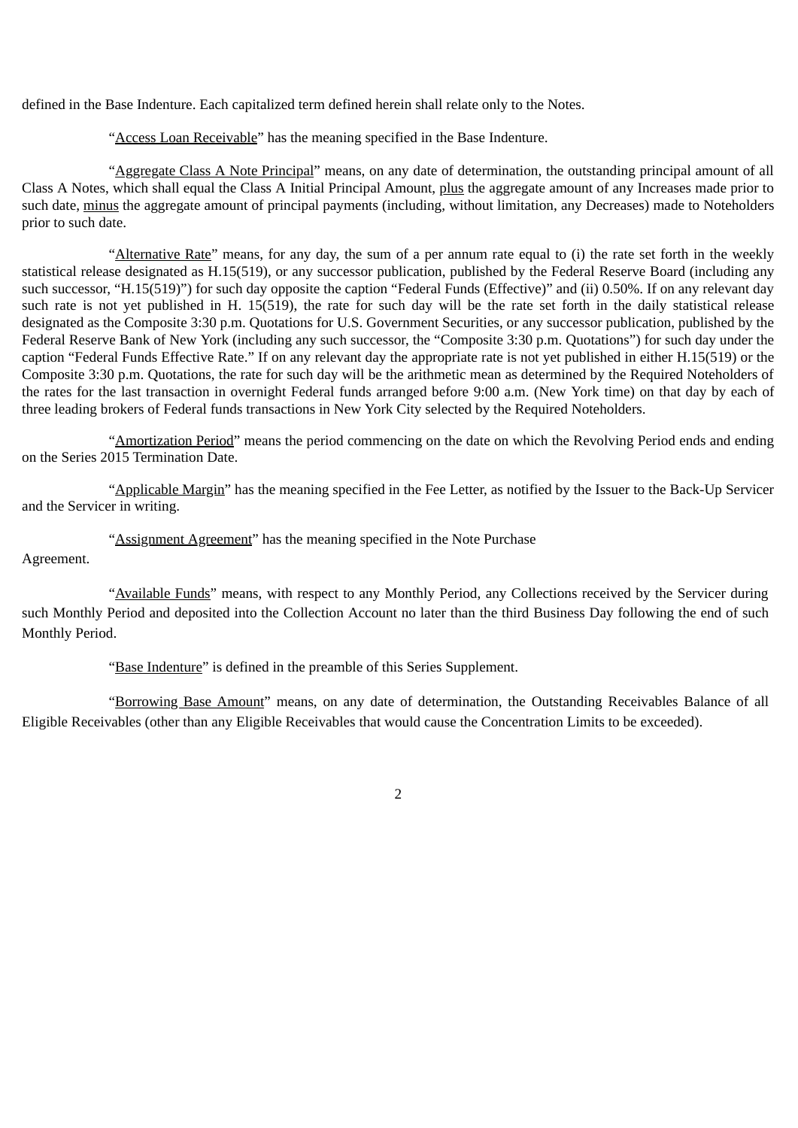defined in the Base Indenture. Each capitalized term defined herein shall relate only to the Notes.

# "Access Loan Receivable" has the meaning specified in the Base Indenture.

"Aggregate Class A Note Principal" means, on any date of determination, the outstanding principal amount of all Class A Notes, which shall equal the Class A Initial Principal Amount, plus the aggregate amount of any Increases made prior to such date, minus the aggregate amount of principal payments (including, without limitation, any Decreases) made to Noteholders prior to such date.

"Alternative Rate" means, for any day, the sum of a per annum rate equal to (i) the rate set forth in the weekly statistical release designated as H.15(519), or any successor publication, published by the Federal Reserve Board (including any such successor, "H.15(519)") for such day opposite the caption "Federal Funds (Effective)" and (ii) 0.50%. If on any relevant day such rate is not yet published in H. 15(519), the rate for such day will be the rate set forth in the daily statistical release designated as the Composite 3:30 p.m. Quotations for U.S. Government Securities, or any successor publication, published by the Federal Reserve Bank of New York (including any such successor, the "Composite 3:30 p.m. Quotations") for such day under the caption "Federal Funds Effective Rate." If on any relevant day the appropriate rate is not yet published in either H.15(519) or the Composite 3:30 p.m. Quotations, the rate for such day will be the arithmetic mean as determined by the Required Noteholders of the rates for the last transaction in overnight Federal funds arranged before 9:00 a.m. (New York time) on that day by each of three leading brokers of Federal funds transactions in New York City selected by the Required Noteholders.

"Amortization Period" means the period commencing on the date on which the Revolving Period ends and ending on the Series 2015 Termination Date.

"Applicable Margin" has the meaning specified in the Fee Letter, as notified by the Issuer to the Back-Up Servicer and the Servicer in writing.

"Assignment Agreement" has the meaning specified in the Note Purchase

Agreement.

"Available Funds" means, with respect to any Monthly Period, any Collections received by the Servicer during such Monthly Period and deposited into the Collection Account no later than the third Business Day following the end of such Monthly Period.

"Base Indenture" is defined in the preamble of this Series Supplement.

"Borrowing Base Amount" means, on any date of determination, the Outstanding Receivables Balance of all Eligible Receivables (other than any Eligible Receivables that would cause the Concentration Limits to be exceeded).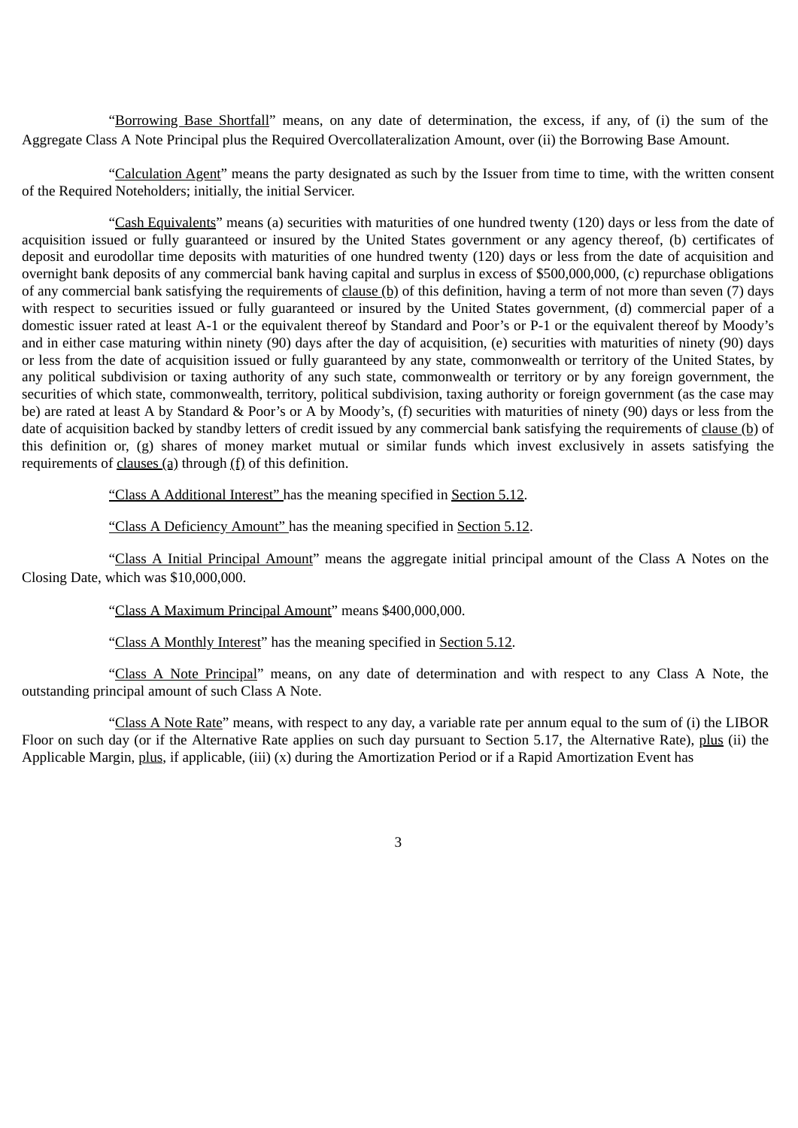"Borrowing Base Shortfall" means, on any date of determination, the excess, if any, of (i) the sum of the Aggregate Class A Note Principal plus the Required Overcollateralization Amount, over (ii) the Borrowing Base Amount.

"Calculation Agent" means the party designated as such by the Issuer from time to time, with the written consent of the Required Noteholders; initially, the initial Servicer.

"Cash Equivalents" means (a) securities with maturities of one hundred twenty (120) days or less from the date of acquisition issued or fully guaranteed or insured by the United States government or any agency thereof, (b) certificates of deposit and eurodollar time deposits with maturities of one hundred twenty (120) days or less from the date of acquisition and overnight bank deposits of any commercial bank having capital and surplus in excess of \$500,000,000, (c) repurchase obligations of any commercial bank satisfying the requirements of clause (b) of this definition, having a term of not more than seven (7) days with respect to securities issued or fully guaranteed or insured by the United States government, (d) commercial paper of a domestic issuer rated at least A-1 or the equivalent thereof by Standard and Poor's or P-1 or the equivalent thereof by Moody's and in either case maturing within ninety (90) days after the day of acquisition, (e) securities with maturities of ninety (90) days or less from the date of acquisition issued or fully guaranteed by any state, commonwealth or territory of the United States, by any political subdivision or taxing authority of any such state, commonwealth or territory or by any foreign government, the securities of which state, commonwealth, territory, political subdivision, taxing authority or foreign government (as the case may be) are rated at least A by Standard & Poor's or A by Moody's, (f) securities with maturities of ninety (90) days or less from the date of acquisition backed by standby letters of credit issued by any commercial bank satisfying the requirements of clause (b) of this definition or, (g) shares of money market mutual or similar funds which invest exclusively in assets satisfying the requirements of clauses (a) through  $(f)$  of this definition.

"Class A Additional Interest" has the meaning specified in Section 5.12.

"Class A Deficiency Amount" has the meaning specified in Section 5.12.

"Class A Initial Principal Amount" means the aggregate initial principal amount of the Class A Notes on the Closing Date, which was \$10,000,000.

"Class A Maximum Principal Amount" means \$400,000,000.

"Class A Monthly Interest" has the meaning specified in Section 5.12.

"Class A Note Principal" means, on any date of determination and with respect to any Class A Note, the outstanding principal amount of such Class A Note.

"Class A Note Rate" means, with respect to any day, a variable rate per annum equal to the sum of (i) the LIBOR Floor on such day (or if the Alternative Rate applies on such day pursuant to Section 5.17, the Alternative Rate), plus (ii) the Applicable Margin, plus, if applicable, (iii) (x) during the Amortization Period or if a Rapid Amortization Event has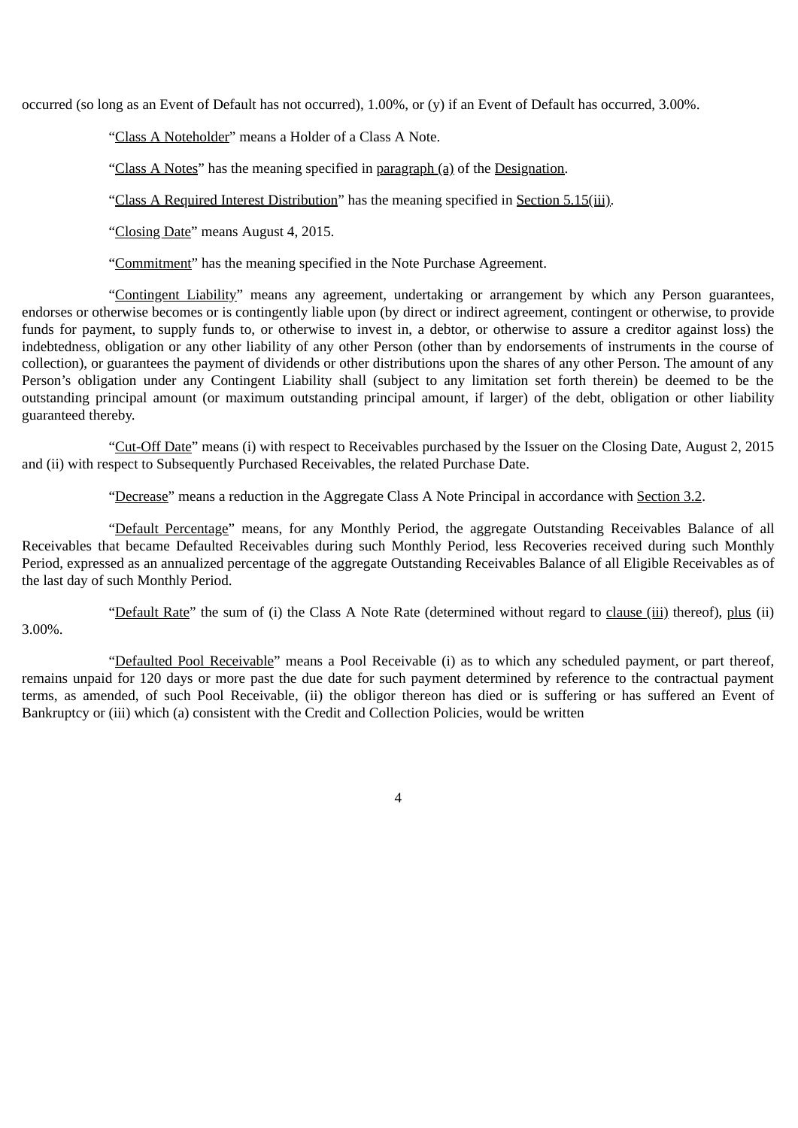occurred (so long as an Event of Default has not occurred), 1.00%, or (y) if an Event of Default has occurred, 3.00%.

"Class A Noteholder" means a Holder of a Class A Note.

"Class A Notes" has the meaning specified in paragraph (a) of the Designation.

"Class A Required Interest Distribution" has the meaning specified in Section 5.15(iii).

"Closing Date" means August 4, 2015.

"Commitment" has the meaning specified in the Note Purchase Agreement.

"Contingent Liability" means any agreement, undertaking or arrangement by which any Person guarantees, endorses or otherwise becomes or is contingently liable upon (by direct or indirect agreement, contingent or otherwise, to provide funds for payment, to supply funds to, or otherwise to invest in, a debtor, or otherwise to assure a creditor against loss) the indebtedness, obligation or any other liability of any other Person (other than by endorsements of instruments in the course of collection), or guarantees the payment of dividends or other distributions upon the shares of any other Person. The amount of any Person's obligation under any Contingent Liability shall (subject to any limitation set forth therein) be deemed to be the outstanding principal amount (or maximum outstanding principal amount, if larger) of the debt, obligation or other liability guaranteed thereby.

"Cut-Off Date" means (i) with respect to Receivables purchased by the Issuer on the Closing Date, August 2, 2015 and (ii) with respect to Subsequently Purchased Receivables, the related Purchase Date.

"Decrease" means a reduction in the Aggregate Class A Note Principal in accordance with Section 3.2.

"Default Percentage" means, for any Monthly Period, the aggregate Outstanding Receivables Balance of all Receivables that became Defaulted Receivables during such Monthly Period, less Recoveries received during such Monthly Period, expressed as an annualized percentage of the aggregate Outstanding Receivables Balance of all Eligible Receivables as of the last day of such Monthly Period.

"Default Rate" the sum of (i) the Class A Note Rate (determined without regard to clause (iii) thereof), plus (ii) 3.00%.

"Defaulted Pool Receivable" means a Pool Receivable (i) as to which any scheduled payment, or part thereof, remains unpaid for 120 days or more past the due date for such payment determined by reference to the contractual payment terms, as amended, of such Pool Receivable, (ii) the obligor thereon has died or is suffering or has suffered an Event of Bankruptcy or (iii) which (a) consistent with the Credit and Collection Policies, would be written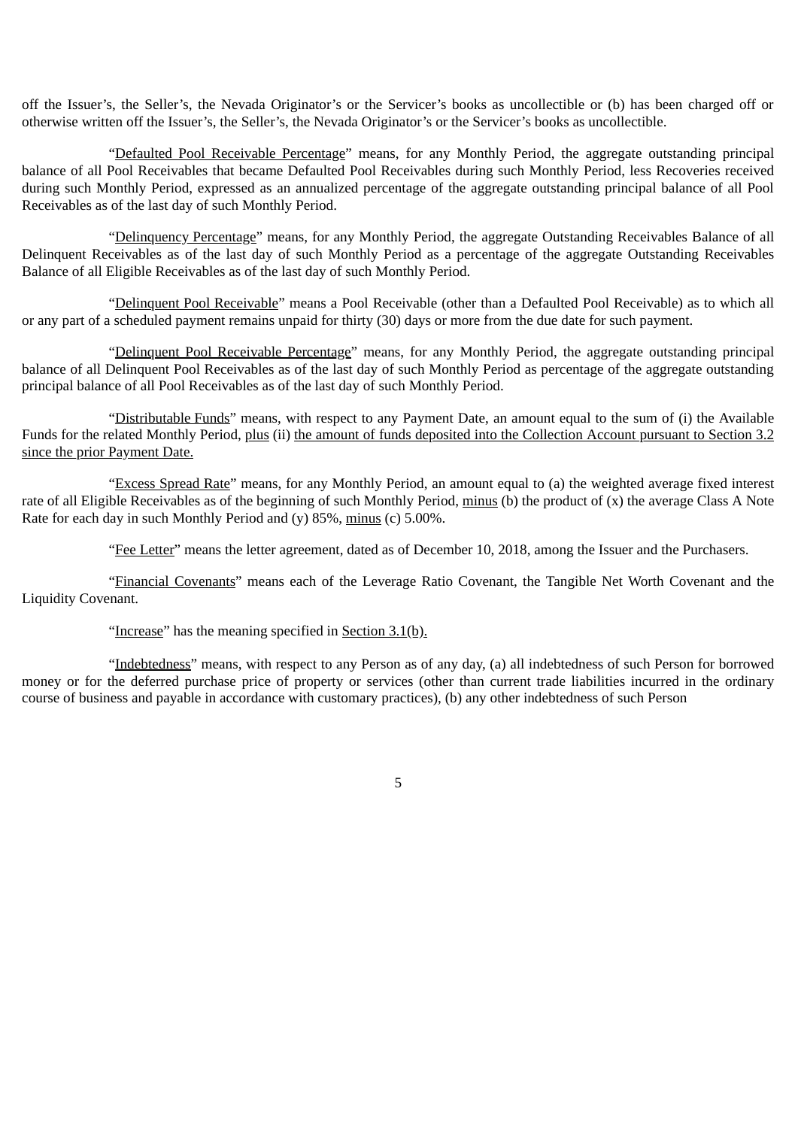off the Issuer's, the Seller's, the Nevada Originator's or the Servicer's books as uncollectible or (b) has been charged off or otherwise written off the Issuer's, the Seller's, the Nevada Originator's or the Servicer's books as uncollectible.

"Defaulted Pool Receivable Percentage" means, for any Monthly Period, the aggregate outstanding principal balance of all Pool Receivables that became Defaulted Pool Receivables during such Monthly Period, less Recoveries received during such Monthly Period, expressed as an annualized percentage of the aggregate outstanding principal balance of all Pool Receivables as of the last day of such Monthly Period.

"Delinquency Percentage" means, for any Monthly Period, the aggregate Outstanding Receivables Balance of all Delinquent Receivables as of the last day of such Monthly Period as a percentage of the aggregate Outstanding Receivables Balance of all Eligible Receivables as of the last day of such Monthly Period.

"Delinquent Pool Receivable" means a Pool Receivable (other than a Defaulted Pool Receivable) as to which all or any part of a scheduled payment remains unpaid for thirty (30) days or more from the due date for such payment.

"Delinquent Pool Receivable Percentage" means, for any Monthly Period, the aggregate outstanding principal balance of all Delinquent Pool Receivables as of the last day of such Monthly Period as percentage of the aggregate outstanding principal balance of all Pool Receivables as of the last day of such Monthly Period.

"Distributable Funds" means, with respect to any Payment Date, an amount equal to the sum of (i) the Available Funds for the related Monthly Period, plus (ii) the amount of funds deposited into the Collection Account pursuant to Section 3.2 since the prior Payment Date.

"Excess Spread Rate" means, for any Monthly Period, an amount equal to (a) the weighted average fixed interest rate of all Eligible Receivables as of the beginning of such Monthly Period, minus (b) the product of (x) the average Class A Note Rate for each day in such Monthly Period and (y) 85%, minus (c) 5.00%.

"Fee Letter" means the letter agreement, dated as of December 10, 2018, among the Issuer and the Purchasers.

"Financial Covenants" means each of the Leverage Ratio Covenant, the Tangible Net Worth Covenant and the Liquidity Covenant.

"Increase" has the meaning specified in Section 3.1(b).

"Indebtedness" means, with respect to any Person as of any day, (a) all indebtedness of such Person for borrowed money or for the deferred purchase price of property or services (other than current trade liabilities incurred in the ordinary course of business and payable in accordance with customary practices), (b) any other indebtedness of such Person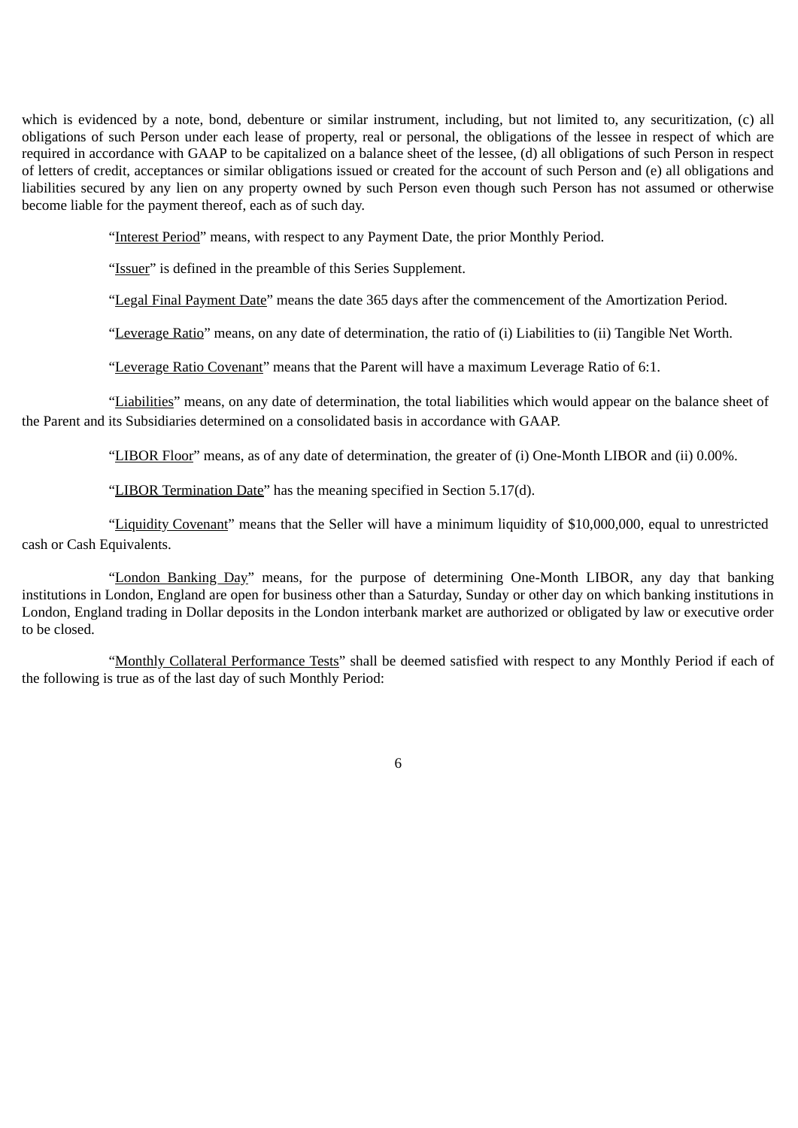which is evidenced by a note, bond, debenture or similar instrument, including, but not limited to, any securitization, (c) all obligations of such Person under each lease of property, real or personal, the obligations of the lessee in respect of which are required in accordance with GAAP to be capitalized on a balance sheet of the lessee, (d) all obligations of such Person in respect of letters of credit, acceptances or similar obligations issued or created for the account of such Person and (e) all obligations and liabilities secured by any lien on any property owned by such Person even though such Person has not assumed or otherwise become liable for the payment thereof, each as of such day.

"Interest Period" means, with respect to any Payment Date, the prior Monthly Period.

"Issuer" is defined in the preamble of this Series Supplement.

"Legal Final Payment Date" means the date 365 days after the commencement of the Amortization Period.

"Leverage Ratio" means, on any date of determination, the ratio of (i) Liabilities to (ii) Tangible Net Worth.

"Leverage Ratio Covenant" means that the Parent will have a maximum Leverage Ratio of 6:1.

"Liabilities" means, on any date of determination, the total liabilities which would appear on the balance sheet of the Parent and its Subsidiaries determined on a consolidated basis in accordance with GAAP.

"LIBOR Floor" means, as of any date of determination, the greater of (i) One-Month LIBOR and (ii) 0.00%.

"LIBOR Termination Date" has the meaning specified in Section 5.17(d).

"Liquidity Covenant" means that the Seller will have a minimum liquidity of \$10,000,000, equal to unrestricted cash or Cash Equivalents.

"London Banking Day" means, for the purpose of determining One-Month LIBOR, any day that banking institutions in London, England are open for business other than a Saturday, Sunday or other day on which banking institutions in London, England trading in Dollar deposits in the London interbank market are authorized or obligated by law or executive order to be closed.

"Monthly Collateral Performance Tests" shall be deemed satisfied with respect to any Monthly Period if each of the following is true as of the last day of such Monthly Period: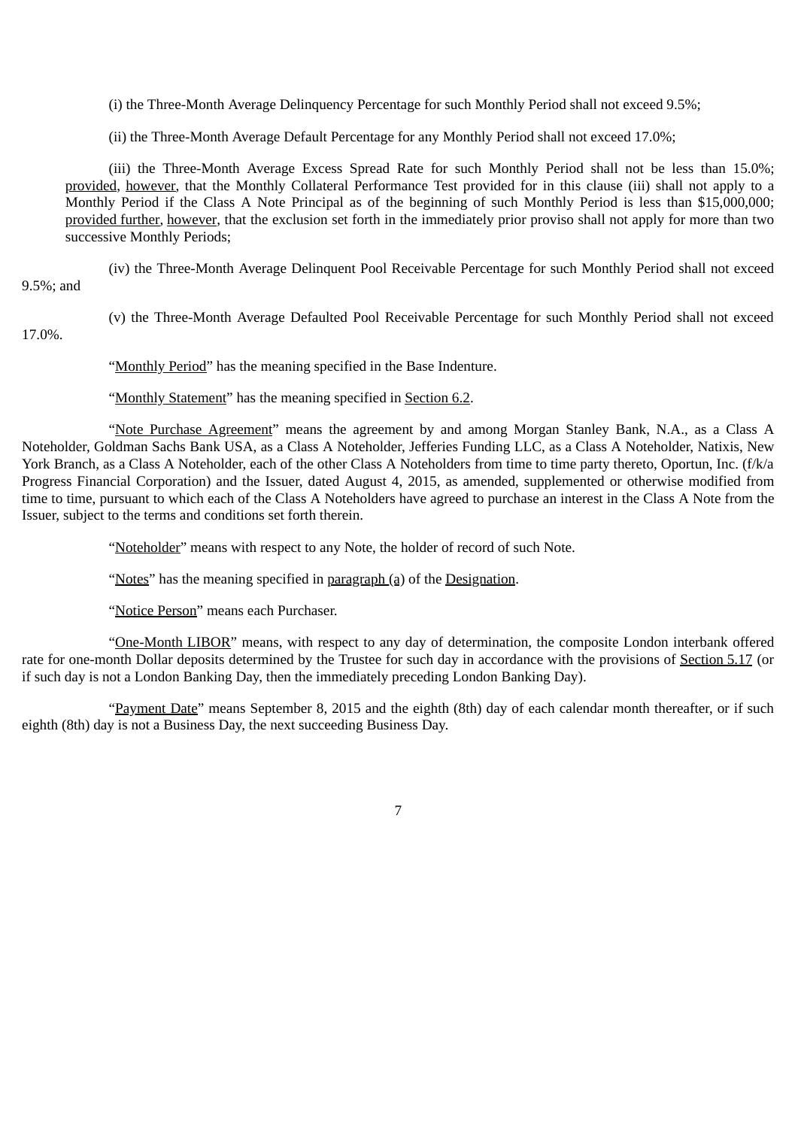(i) the Three-Month Average Delinquency Percentage for such Monthly Period shall not exceed 9.5%;

(ii) the Three-Month Average Default Percentage for any Monthly Period shall not exceed 17.0%;

(iii) the Three-Month Average Excess Spread Rate for such Monthly Period shall not be less than 15.0%; provided, however, that the Monthly Collateral Performance Test provided for in this clause (iii) shall not apply to a Monthly Period if the Class A Note Principal as of the beginning of such Monthly Period is less than \$15,000,000; provided further, however, that the exclusion set forth in the immediately prior proviso shall not apply for more than two successive Monthly Periods;

(iv) the Three-Month Average Delinquent Pool Receivable Percentage for such Monthly Period shall not exceed 9.5%; and

(v) the Three-Month Average Defaulted Pool Receivable Percentage for such Monthly Period shall not exceed

17.0%.

"Monthly Period" has the meaning specified in the Base Indenture.

"Monthly Statement" has the meaning specified in Section 6.2.

"Note Purchase Agreement" means the agreement by and among Morgan Stanley Bank, N.A., as a Class A Noteholder, Goldman Sachs Bank USA, as a Class A Noteholder, Jefferies Funding LLC, as a Class A Noteholder, Natixis, New York Branch, as a Class A Noteholder, each of the other Class A Noteholders from time to time party thereto, Oportun, Inc. (f/k/a Progress Financial Corporation) and the Issuer, dated August 4, 2015, as amended, supplemented or otherwise modified from time to time, pursuant to which each of the Class A Noteholders have agreed to purchase an interest in the Class A Note from the Issuer, subject to the terms and conditions set forth therein.

"Noteholder" means with respect to any Note, the holder of record of such Note.

"Notes" has the meaning specified in paragraph (a) of the Designation.

"Notice Person" means each Purchaser.

"One-Month LIBOR" means, with respect to any day of determination, the composite London interbank offered rate for one-month Dollar deposits determined by the Trustee for such day in accordance with the provisions of Section 5.17 (or if such day is not a London Banking Day, then the immediately preceding London Banking Day).

"Payment Date" means September 8, 2015 and the eighth (8th) day of each calendar month thereafter, or if such eighth (8th) day is not a Business Day, the next succeeding Business Day.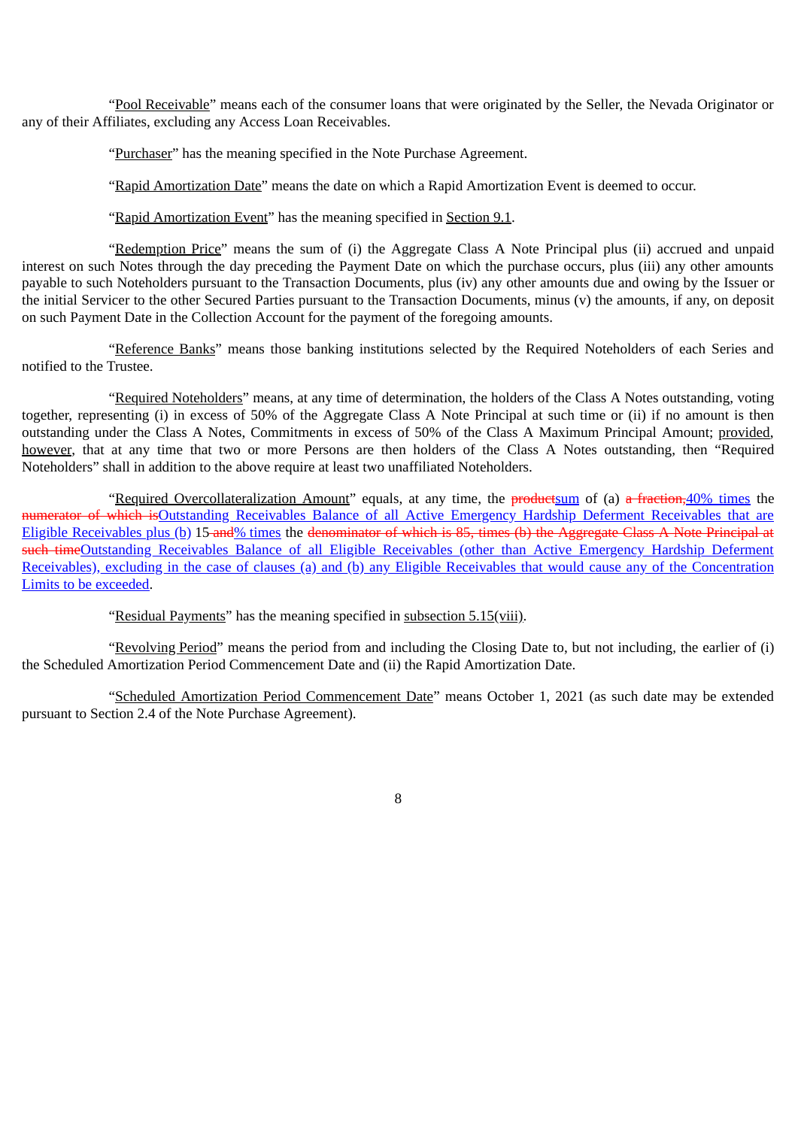"Pool Receivable" means each of the consumer loans that were originated by the Seller, the Nevada Originator or any of their Affiliates, excluding any Access Loan Receivables.

"Purchaser" has the meaning specified in the Note Purchase Agreement.

"Rapid Amortization Date" means the date on which a Rapid Amortization Event is deemed to occur.

"Rapid Amortization Event" has the meaning specified in Section 9.1.

"Redemption Price" means the sum of (i) the Aggregate Class A Note Principal plus (ii) accrued and unpaid interest on such Notes through the day preceding the Payment Date on which the purchase occurs, plus (iii) any other amounts payable to such Noteholders pursuant to the Transaction Documents, plus (iv) any other amounts due and owing by the Issuer or the initial Servicer to the other Secured Parties pursuant to the Transaction Documents, minus (v) the amounts, if any, on deposit on such Payment Date in the Collection Account for the payment of the foregoing amounts.

"Reference Banks" means those banking institutions selected by the Required Noteholders of each Series and notified to the Trustee.

"Required Noteholders" means, at any time of determination, the holders of the Class A Notes outstanding, voting together, representing (i) in excess of 50% of the Aggregate Class A Note Principal at such time or (ii) if no amount is then outstanding under the Class A Notes, Commitments in excess of 50% of the Class A Maximum Principal Amount; provided, however, that at any time that two or more Persons are then holders of the Class A Notes outstanding, then "Required Noteholders" shall in addition to the above require at least two unaffiliated Noteholders.

"Required Overcollateralization Amount" equals, at any time, the productsum of (a) a fraction, 40% times the numerator of which is Outstanding Receivables Balance of all Active Emergency Hardship Deferment Receivables that are Eligible Receivables plus (b) 15 and% times the denominator of which is 85, times (b) the Aggregate Class A Note Principal at such timeOutstanding Receivables Balance of all Eligible Receivables (other than Active Emergency Hardship Deferment Receivables), excluding in the case of clauses (a) and (b) any Eligible Receivables that would cause any of the Concentration Limits to be exceeded.

"Residual Payments" has the meaning specified in subsection 5.15(viii).

"Revolving Period" means the period from and including the Closing Date to, but not including, the earlier of (i) the Scheduled Amortization Period Commencement Date and (ii) the Rapid Amortization Date.

"Scheduled Amortization Period Commencement Date" means October 1, 2021 (as such date may be extended pursuant to Section 2.4 of the Note Purchase Agreement).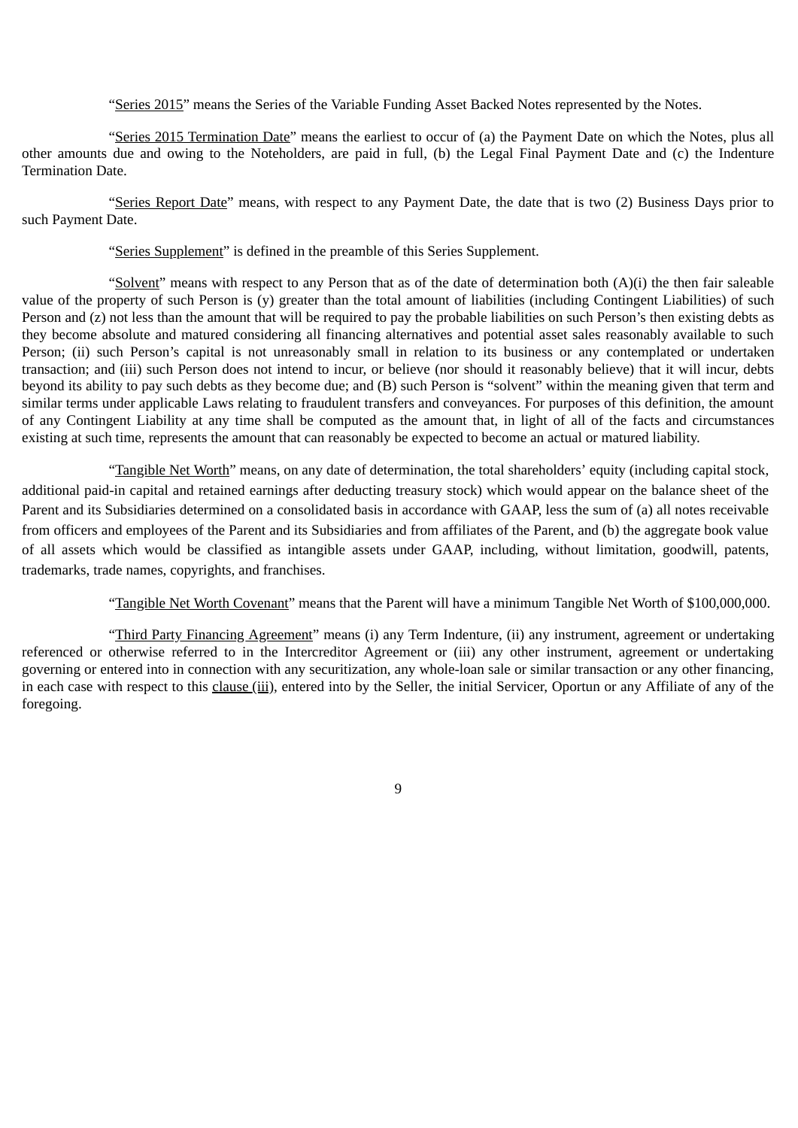"Series 2015" means the Series of the Variable Funding Asset Backed Notes represented by the Notes.

"Series 2015 Termination Date" means the earliest to occur of (a) the Payment Date on which the Notes, plus all other amounts due and owing to the Noteholders, are paid in full, (b) the Legal Final Payment Date and (c) the Indenture Termination Date.

"Series Report Date" means, with respect to any Payment Date, the date that is two (2) Business Days prior to such Payment Date.

"Series Supplement" is defined in the preamble of this Series Supplement.

"Solvent" means with respect to any Person that as of the date of determination both  $(A)(i)$  the then fair saleable value of the property of such Person is (y) greater than the total amount of liabilities (including Contingent Liabilities) of such Person and (z) not less than the amount that will be required to pay the probable liabilities on such Person's then existing debts as they become absolute and matured considering all financing alternatives and potential asset sales reasonably available to such Person; (ii) such Person's capital is not unreasonably small in relation to its business or any contemplated or undertaken transaction; and (iii) such Person does not intend to incur, or believe (nor should it reasonably believe) that it will incur, debts beyond its ability to pay such debts as they become due; and (B) such Person is "solvent" within the meaning given that term and similar terms under applicable Laws relating to fraudulent transfers and conveyances. For purposes of this definition, the amount of any Contingent Liability at any time shall be computed as the amount that, in light of all of the facts and circumstances existing at such time, represents the amount that can reasonably be expected to become an actual or matured liability.

"Tangible Net Worth" means, on any date of determination, the total shareholders' equity (including capital stock, additional paid-in capital and retained earnings after deducting treasury stock) which would appear on the balance sheet of the Parent and its Subsidiaries determined on a consolidated basis in accordance with GAAP, less the sum of (a) all notes receivable from officers and employees of the Parent and its Subsidiaries and from affiliates of the Parent, and (b) the aggregate book value of all assets which would be classified as intangible assets under GAAP, including, without limitation, goodwill, patents, trademarks, trade names, copyrights, and franchises.

"Tangible Net Worth Covenant" means that the Parent will have a minimum Tangible Net Worth of \$100,000,000.

"Third Party Financing Agreement" means (i) any Term Indenture, (ii) any instrument, agreement or undertaking referenced or otherwise referred to in the Intercreditor Agreement or (iii) any other instrument, agreement or undertaking governing or entered into in connection with any securitization, any whole-loan sale or similar transaction or any other financing, in each case with respect to this clause (iii), entered into by the Seller, the initial Servicer, Oportun or any Affiliate of any of the foregoing.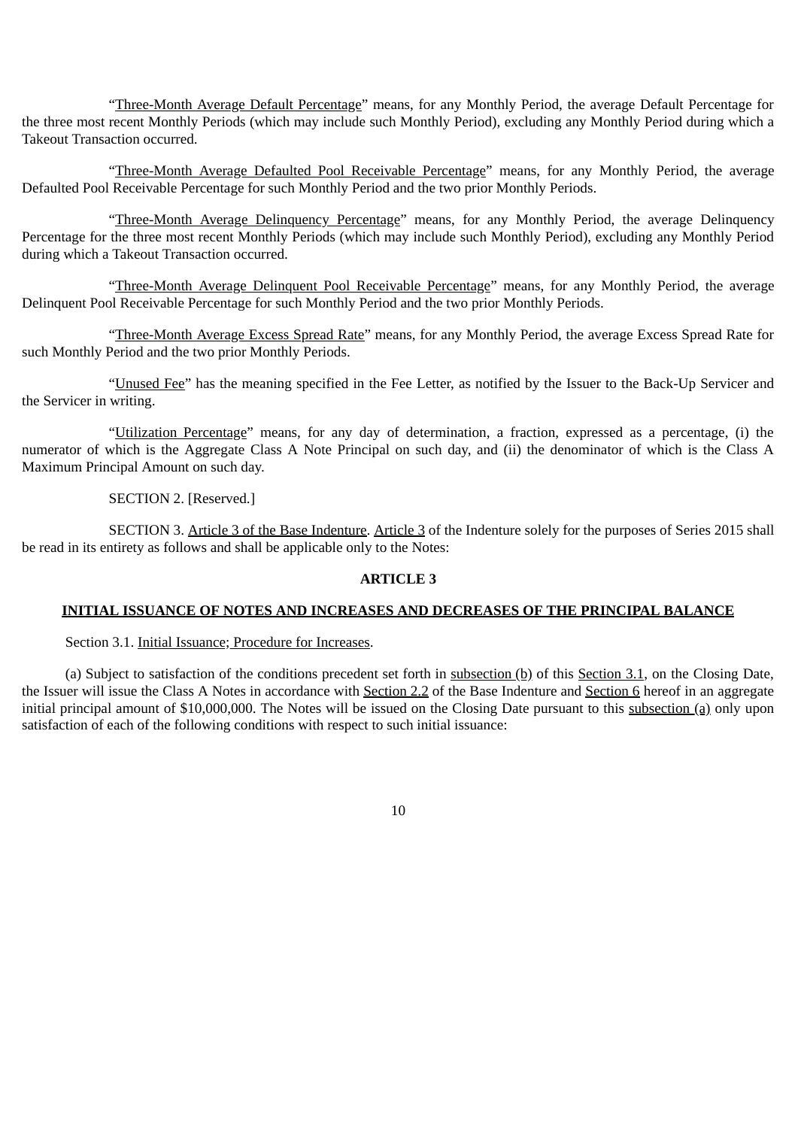"Three-Month Average Default Percentage" means, for any Monthly Period, the average Default Percentage for the three most recent Monthly Periods (which may include such Monthly Period), excluding any Monthly Period during which a Takeout Transaction occurred.

"Three-Month Average Defaulted Pool Receivable Percentage" means, for any Monthly Period, the average Defaulted Pool Receivable Percentage for such Monthly Period and the two prior Monthly Periods.

"Three-Month Average Delinquency Percentage" means, for any Monthly Period, the average Delinquency Percentage for the three most recent Monthly Periods (which may include such Monthly Period), excluding any Monthly Period during which a Takeout Transaction occurred.

"Three-Month Average Delinquent Pool Receivable Percentage" means, for any Monthly Period, the average Delinquent Pool Receivable Percentage for such Monthly Period and the two prior Monthly Periods.

"Three-Month Average Excess Spread Rate" means, for any Monthly Period, the average Excess Spread Rate for such Monthly Period and the two prior Monthly Periods.

"Unused Fee" has the meaning specified in the Fee Letter, as notified by the Issuer to the Back-Up Servicer and the Servicer in writing.

"Utilization Percentage" means, for any day of determination, a fraction, expressed as a percentage, (i) the numerator of which is the Aggregate Class A Note Principal on such day, and (ii) the denominator of which is the Class A Maximum Principal Amount on such day.

# SECTION 2. [Reserved.]

SECTION 3. Article 3 of the Base Indenture. Article 3 of the Indenture solely for the purposes of Series 2015 shall be read in its entirety as follows and shall be applicable only to the Notes:

## **ARTICLE 3**

# **INITIAL ISSUANCE OF NOTES AND INCREASES AND DECREASES OF THE PRINCIPAL BALANCE**

## Section 3.1. Initial Issuance; Procedure for Increases.

(a) Subject to satisfaction of the conditions precedent set forth in  $subsection(b)$  of this Section 3.1, on the Closing Date, the Issuer will issue the Class A Notes in accordance with Section 2.2 of the Base Indenture and Section 6 hereof in an aggregate initial principal amount of \$10,000,000. The Notes will be issued on the Closing Date pursuant to this subsection (a) only upon satisfaction of each of the following conditions with respect to such initial issuance: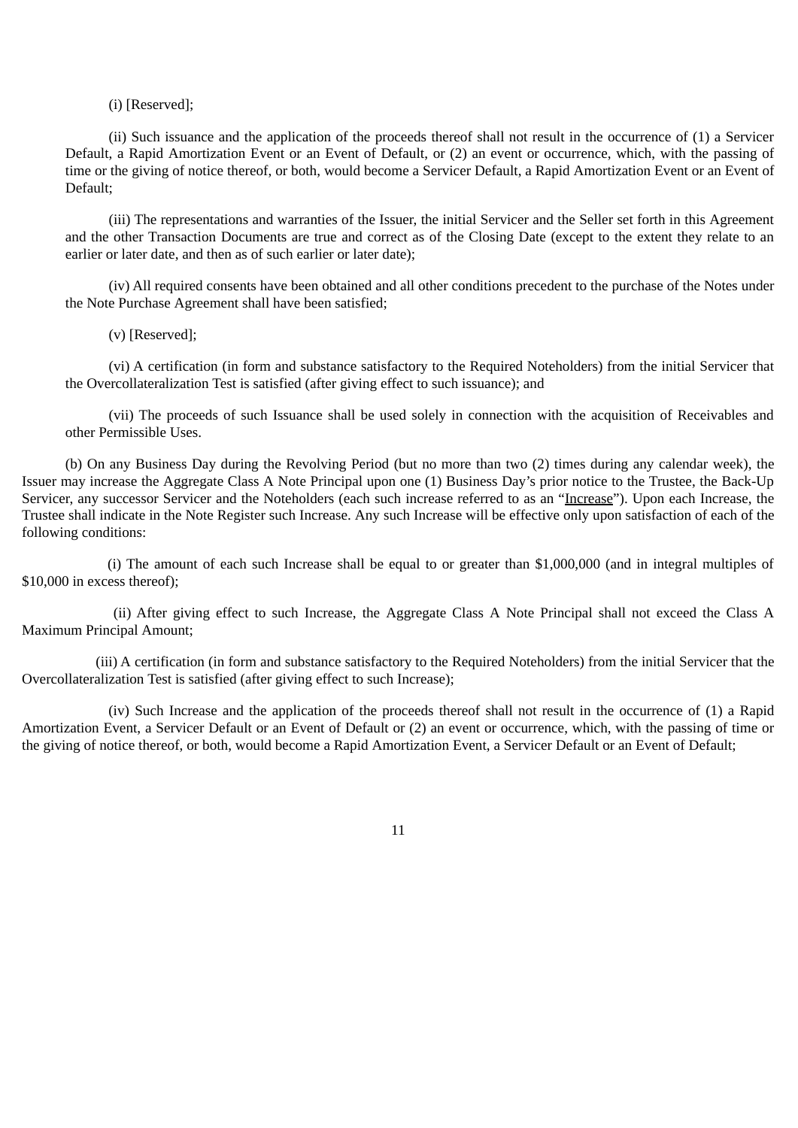#### (i) [Reserved];

(ii) Such issuance and the application of the proceeds thereof shall not result in the occurrence of (1) a Servicer Default, a Rapid Amortization Event or an Event of Default, or (2) an event or occurrence, which, with the passing of time or the giving of notice thereof, or both, would become a Servicer Default, a Rapid Amortization Event or an Event of Default;

(iii) The representations and warranties of the Issuer, the initial Servicer and the Seller set forth in this Agreement and the other Transaction Documents are true and correct as of the Closing Date (except to the extent they relate to an earlier or later date, and then as of such earlier or later date);

(iv) All required consents have been obtained and all other conditions precedent to the purchase of the Notes under the Note Purchase Agreement shall have been satisfied;

(v) [Reserved];

(vi) A certification (in form and substance satisfactory to the Required Noteholders) from the initial Servicer that the Overcollateralization Test is satisfied (after giving effect to such issuance); and

(vii) The proceeds of such Issuance shall be used solely in connection with the acquisition of Receivables and other Permissible Uses.

(b) On any Business Day during the Revolving Period (but no more than two (2) times during any calendar week), the Issuer may increase the Aggregate Class A Note Principal upon one (1) Business Day's prior notice to the Trustee, the Back-Up Servicer, any successor Servicer and the Noteholders (each such increase referred to as an "Increase"). Upon each Increase, the Trustee shall indicate in the Note Register such Increase. Any such Increase will be effective only upon satisfaction of each of the following conditions:

(i) The amount of each such Increase shall be equal to or greater than \$1,000,000 (and in integral multiples of \$10,000 in excess thereof);

(ii) After giving effect to such Increase, the Aggregate Class A Note Principal shall not exceed the Class A Maximum Principal Amount;

(iii) A certification (in form and substance satisfactory to the Required Noteholders) from the initial Servicer that the Overcollateralization Test is satisfied (after giving effect to such Increase);

(iv) Such Increase and the application of the proceeds thereof shall not result in the occurrence of (1) a Rapid Amortization Event, a Servicer Default or an Event of Default or (2) an event or occurrence, which, with the passing of time or the giving of notice thereof, or both, would become a Rapid Amortization Event, a Servicer Default or an Event of Default;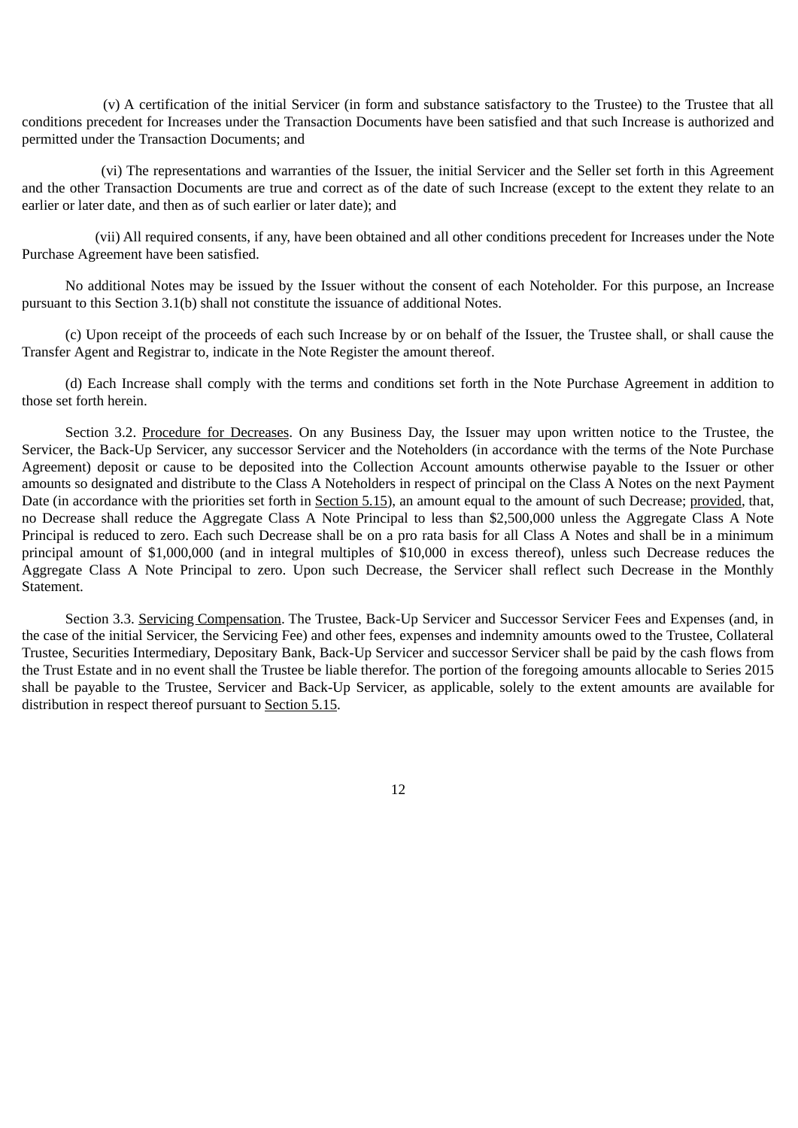(v) A certification of the initial Servicer (in form and substance satisfactory to the Trustee) to the Trustee that all conditions precedent for Increases under the Transaction Documents have been satisfied and that such Increase is authorized and permitted under the Transaction Documents; and

(vi) The representations and warranties of the Issuer, the initial Servicer and the Seller set forth in this Agreement and the other Transaction Documents are true and correct as of the date of such Increase (except to the extent they relate to an earlier or later date, and then as of such earlier or later date); and

(vii) All required consents, if any, have been obtained and all other conditions precedent for Increases under the Note Purchase Agreement have been satisfied.

No additional Notes may be issued by the Issuer without the consent of each Noteholder. For this purpose, an Increase pursuant to this Section 3.1(b) shall not constitute the issuance of additional Notes.

(c) Upon receipt of the proceeds of each such Increase by or on behalf of the Issuer, the Trustee shall, or shall cause the Transfer Agent and Registrar to, indicate in the Note Register the amount thereof.

(d) Each Increase shall comply with the terms and conditions set forth in the Note Purchase Agreement in addition to those set forth herein.

Section 3.2. Procedure for Decreases. On any Business Day, the Issuer may upon written notice to the Trustee, the Servicer, the Back-Up Servicer, any successor Servicer and the Noteholders (in accordance with the terms of the Note Purchase Agreement) deposit or cause to be deposited into the Collection Account amounts otherwise payable to the Issuer or other amounts so designated and distribute to the Class A Noteholders in respect of principal on the Class A Notes on the next Payment Date (in accordance with the priorities set forth in Section 5.15), an amount equal to the amount of such Decrease; provided, that, no Decrease shall reduce the Aggregate Class A Note Principal to less than \$2,500,000 unless the Aggregate Class A Note Principal is reduced to zero. Each such Decrease shall be on a pro rata basis for all Class A Notes and shall be in a minimum principal amount of \$1,000,000 (and in integral multiples of \$10,000 in excess thereof), unless such Decrease reduces the Aggregate Class A Note Principal to zero. Upon such Decrease, the Servicer shall reflect such Decrease in the Monthly Statement.

Section 3.3. Servicing Compensation. The Trustee, Back-Up Servicer and Successor Servicer Fees and Expenses (and, in the case of the initial Servicer, the Servicing Fee) and other fees, expenses and indemnity amounts owed to the Trustee, Collateral Trustee, Securities Intermediary, Depositary Bank, Back-Up Servicer and successor Servicer shall be paid by the cash flows from the Trust Estate and in no event shall the Trustee be liable therefor. The portion of the foregoing amounts allocable to Series 2015 shall be payable to the Trustee, Servicer and Back-Up Servicer, as applicable, solely to the extent amounts are available for distribution in respect thereof pursuant to Section 5.15.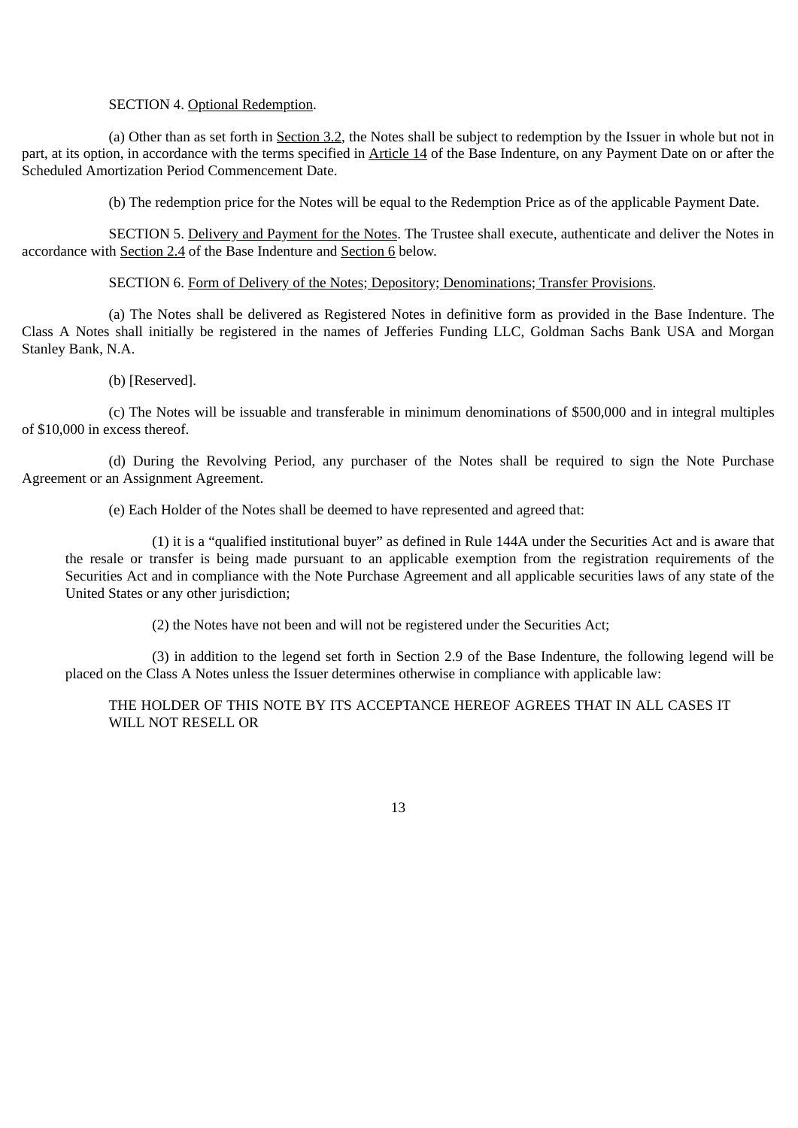# SECTION 4. Optional Redemption.

(a) Other than as set forth in Section 3.2, the Notes shall be subject to redemption by the Issuer in whole but not in part, at its option, in accordance with the terms specified in Article 14 of the Base Indenture, on any Payment Date on or after the Scheduled Amortization Period Commencement Date.

(b) The redemption price for the Notes will be equal to the Redemption Price as of the applicable Payment Date.

SECTION 5. Delivery and Payment for the Notes. The Trustee shall execute, authenticate and deliver the Notes in accordance with Section 2.4 of the Base Indenture and Section 6 below.

## SECTION 6. Form of Delivery of the Notes; Depository; Denominations; Transfer Provisions.

(a) The Notes shall be delivered as Registered Notes in definitive form as provided in the Base Indenture. The Class A Notes shall initially be registered in the names of Jefferies Funding LLC, Goldman Sachs Bank USA and Morgan Stanley Bank, N.A.

## (b) [Reserved].

(c) The Notes will be issuable and transferable in minimum denominations of \$500,000 and in integral multiples of \$10,000 in excess thereof.

(d) During the Revolving Period, any purchaser of the Notes shall be required to sign the Note Purchase Agreement or an Assignment Agreement.

(e) Each Holder of the Notes shall be deemed to have represented and agreed that:

(1) it is a "qualified institutional buyer" as defined in Rule 144A under the Securities Act and is aware that the resale or transfer is being made pursuant to an applicable exemption from the registration requirements of the Securities Act and in compliance with the Note Purchase Agreement and all applicable securities laws of any state of the United States or any other jurisdiction;

(2) the Notes have not been and will not be registered under the Securities Act;

(3) in addition to the legend set forth in Section 2.9 of the Base Indenture, the following legend will be placed on the Class A Notes unless the Issuer determines otherwise in compliance with applicable law:

THE HOLDER OF THIS NOTE BY ITS ACCEPTANCE HEREOF AGREES THAT IN ALL CASES IT WILL NOT RESELL OR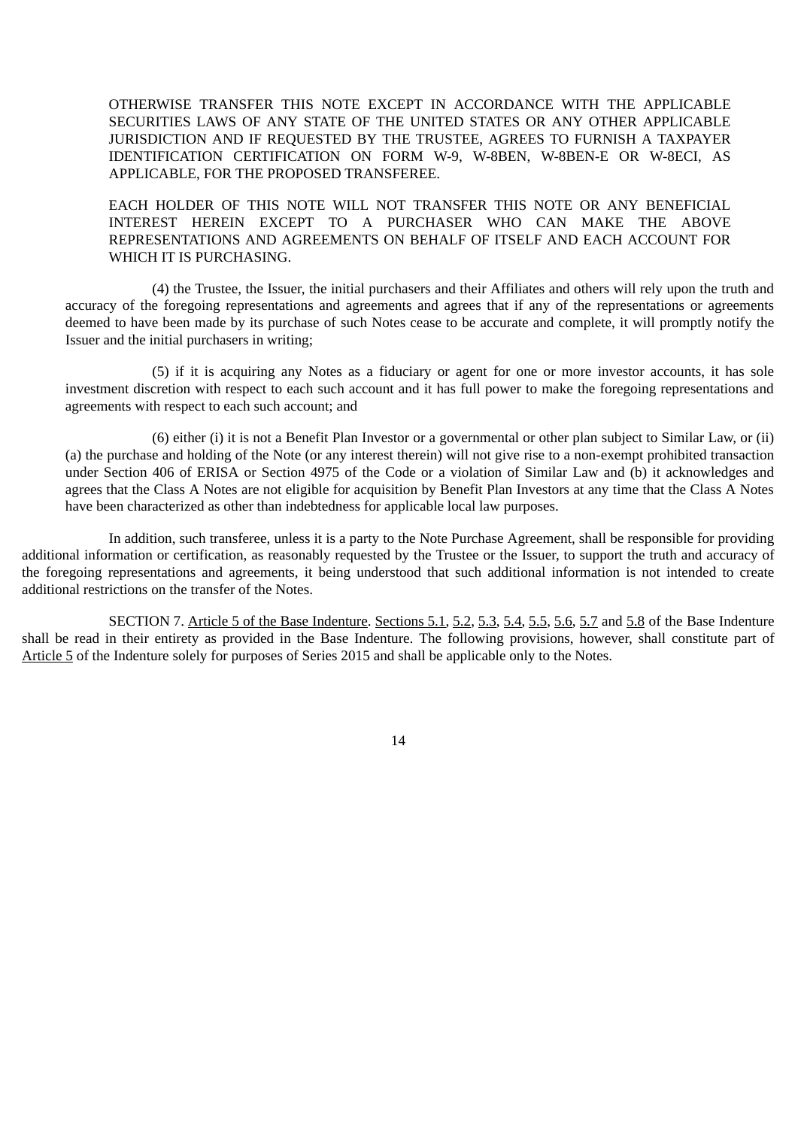OTHERWISE TRANSFER THIS NOTE EXCEPT IN ACCORDANCE WITH THE APPLICABLE SECURITIES LAWS OF ANY STATE OF THE UNITED STATES OR ANY OTHER APPLICABLE JURISDICTION AND IF REQUESTED BY THE TRUSTEE, AGREES TO FURNISH A TAXPAYER IDENTIFICATION CERTIFICATION ON FORM W-9, W-8BEN, W-8BEN-E OR W-8ECI, AS APPLICABLE, FOR THE PROPOSED TRANSFEREE.

EACH HOLDER OF THIS NOTE WILL NOT TRANSFER THIS NOTE OR ANY BENEFICIAL INTEREST HEREIN EXCEPT TO A PURCHASER WHO CAN MAKE THE ABOVE REPRESENTATIONS AND AGREEMENTS ON BEHALF OF ITSELF AND EACH ACCOUNT FOR WHICH IT IS PURCHASING.

(4) the Trustee, the Issuer, the initial purchasers and their Affiliates and others will rely upon the truth and accuracy of the foregoing representations and agreements and agrees that if any of the representations or agreements deemed to have been made by its purchase of such Notes cease to be accurate and complete, it will promptly notify the Issuer and the initial purchasers in writing;

(5) if it is acquiring any Notes as a fiduciary or agent for one or more investor accounts, it has sole investment discretion with respect to each such account and it has full power to make the foregoing representations and agreements with respect to each such account; and

(6) either (i) it is not a Benefit Plan Investor or a governmental or other plan subject to Similar Law, or (ii) (a) the purchase and holding of the Note (or any interest therein) will not give rise to a non-exempt prohibited transaction under Section 406 of ERISA or Section 4975 of the Code or a violation of Similar Law and (b) it acknowledges and agrees that the Class A Notes are not eligible for acquisition by Benefit Plan Investors at any time that the Class A Notes have been characterized as other than indebtedness for applicable local law purposes.

In addition, such transferee, unless it is a party to the Note Purchase Agreement, shall be responsible for providing additional information or certification, as reasonably requested by the Trustee or the Issuer, to support the truth and accuracy of the foregoing representations and agreements, it being understood that such additional information is not intended to create additional restrictions on the transfer of the Notes.

SECTION 7. Article 5 of the Base Indenture. Sections 5.1, 5.2, 5.3, 5.4, 5.5, 5.6, 5.7 and 5.8 of the Base Indenture shall be read in their entirety as provided in the Base Indenture. The following provisions, however, shall constitute part of Article 5 of the Indenture solely for purposes of Series 2015 and shall be applicable only to the Notes.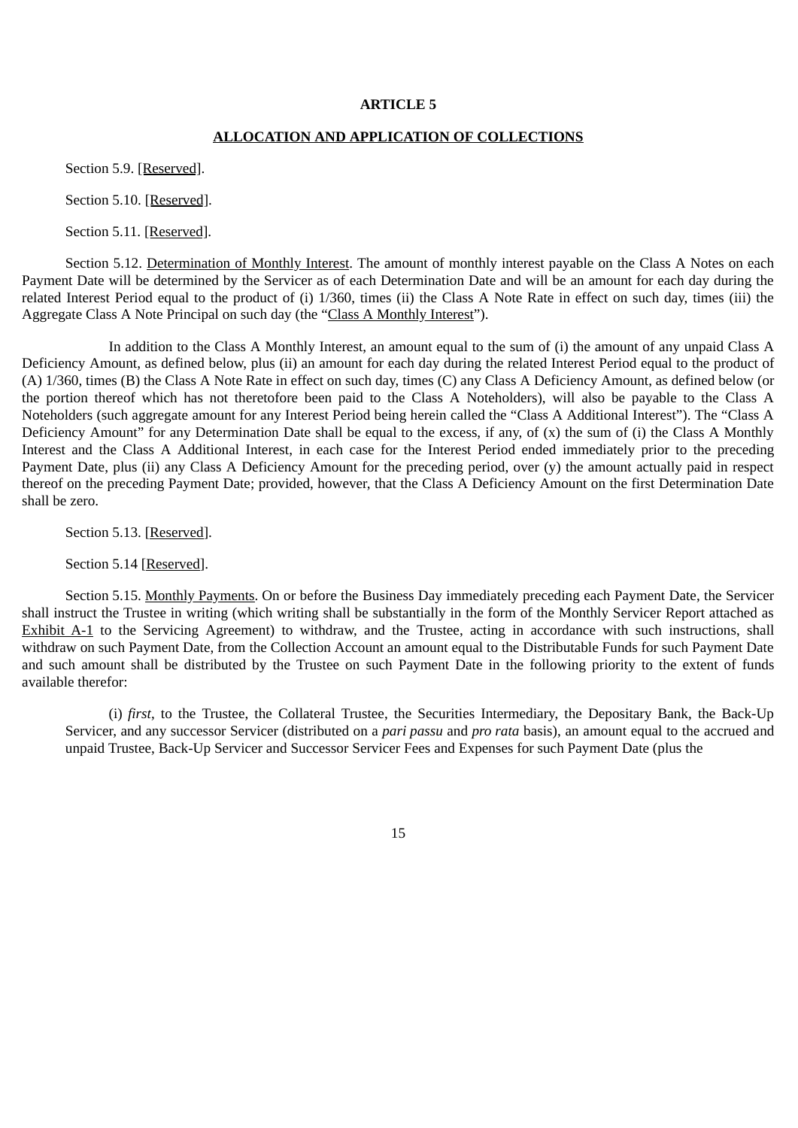#### **ARTICLE 5**

## **ALLOCATION AND APPLICATION OF COLLECTIONS**

Section 5.9. [Reserved].

Section 5.10. [Reserved].

Section 5.11. [Reserved].

Section 5.12. Determination of Monthly Interest. The amount of monthly interest payable on the Class A Notes on each Payment Date will be determined by the Servicer as of each Determination Date and will be an amount for each day during the related Interest Period equal to the product of (i) 1/360, times (ii) the Class A Note Rate in effect on such day, times (iii) the Aggregate Class A Note Principal on such day (the "Class A Monthly Interest").

In addition to the Class A Monthly Interest, an amount equal to the sum of (i) the amount of any unpaid Class A Deficiency Amount, as defined below, plus (ii) an amount for each day during the related Interest Period equal to the product of (A) 1/360, times (B) the Class A Note Rate in effect on such day, times (C) any Class A Deficiency Amount, as defined below (or the portion thereof which has not theretofore been paid to the Class A Noteholders), will also be payable to the Class A Noteholders (such aggregate amount for any Interest Period being herein called the "Class A Additional Interest"). The "Class A Deficiency Amount" for any Determination Date shall be equal to the excess, if any, of (x) the sum of (i) the Class A Monthly Interest and the Class A Additional Interest, in each case for the Interest Period ended immediately prior to the preceding Payment Date, plus (ii) any Class A Deficiency Amount for the preceding period, over (y) the amount actually paid in respect thereof on the preceding Payment Date; provided, however, that the Class A Deficiency Amount on the first Determination Date shall be zero.

Section 5.13. [Reserved].

Section 5.14 [Reserved].

Section 5.15. Monthly Payments. On or before the Business Day immediately preceding each Payment Date, the Servicer shall instruct the Trustee in writing (which writing shall be substantially in the form of the Monthly Servicer Report attached as Exhibit A-1 to the Servicing Agreement) to withdraw, and the Trustee, acting in accordance with such instructions, shall withdraw on such Payment Date, from the Collection Account an amount equal to the Distributable Funds for such Payment Date and such amount shall be distributed by the Trustee on such Payment Date in the following priority to the extent of funds available therefor:

(i) *first*, to the Trustee, the Collateral Trustee, the Securities Intermediary, the Depositary Bank, the Back-Up Servicer, and any successor Servicer (distributed on a *pari passu* and *pro rata* basis), an amount equal to the accrued and unpaid Trustee, Back-Up Servicer and Successor Servicer Fees and Expenses for such Payment Date (plus the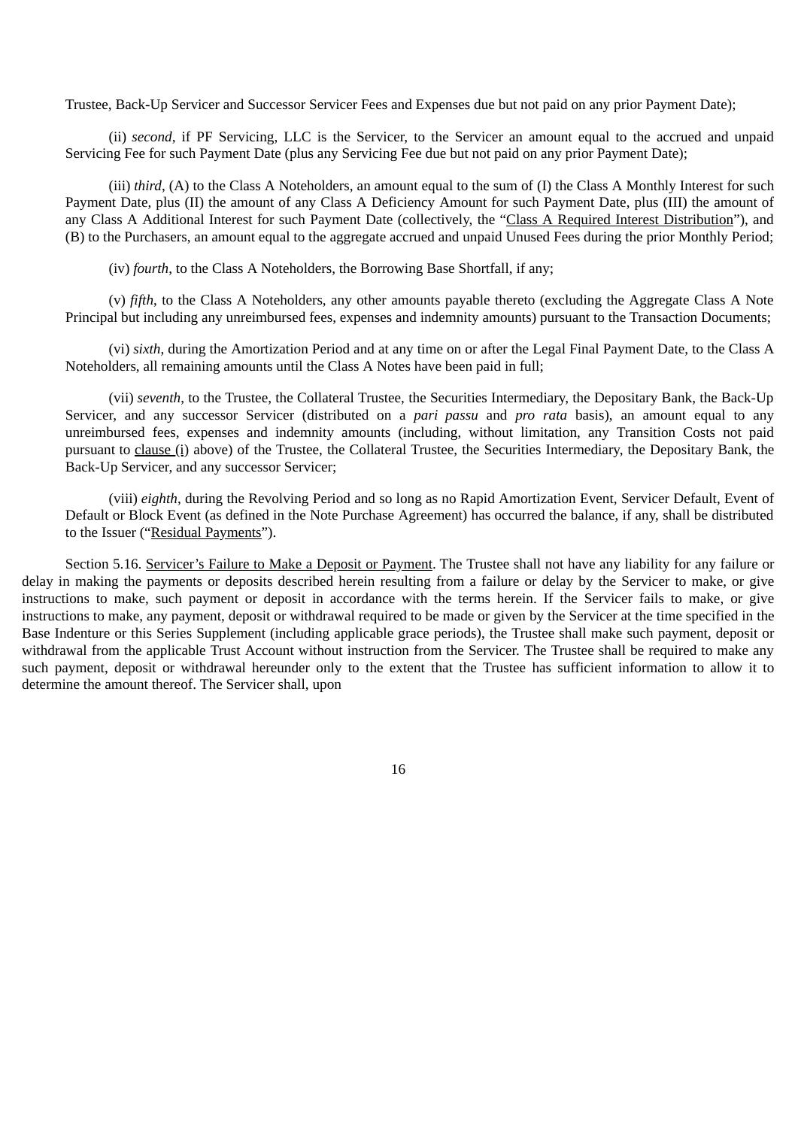Trustee, Back-Up Servicer and Successor Servicer Fees and Expenses due but not paid on any prior Payment Date);

(ii) *second*, if PF Servicing, LLC is the Servicer, to the Servicer an amount equal to the accrued and unpaid Servicing Fee for such Payment Date (plus any Servicing Fee due but not paid on any prior Payment Date);

(iii) *third*, (A) to the Class A Noteholders, an amount equal to the sum of (I) the Class A Monthly Interest for such Payment Date, plus (II) the amount of any Class A Deficiency Amount for such Payment Date, plus (III) the amount of any Class A Additional Interest for such Payment Date (collectively, the "Class A Required Interest Distribution"), and (B) to the Purchasers, an amount equal to the aggregate accrued and unpaid Unused Fees during the prior Monthly Period;

(iv) *fourth*, to the Class A Noteholders, the Borrowing Base Shortfall, if any;

(v) *fifth*, to the Class A Noteholders, any other amounts payable thereto (excluding the Aggregate Class A Note Principal but including any unreimbursed fees, expenses and indemnity amounts) pursuant to the Transaction Documents;

(vi) *sixth*, during the Amortization Period and at any time on or after the Legal Final Payment Date, to the Class A Noteholders, all remaining amounts until the Class A Notes have been paid in full;

(vii) *seventh*, to the Trustee, the Collateral Trustee, the Securities Intermediary, the Depositary Bank, the Back-Up Servicer, and any successor Servicer (distributed on a *pari passu* and *pro rata* basis), an amount equal to any unreimbursed fees, expenses and indemnity amounts (including, without limitation, any Transition Costs not paid pursuant to clause (i) above) of the Trustee, the Collateral Trustee, the Securities Intermediary, the Depositary Bank, the Back-Up Servicer, and any successor Servicer;

(viii) *eighth*, during the Revolving Period and so long as no Rapid Amortization Event, Servicer Default, Event of Default or Block Event (as defined in the Note Purchase Agreement) has occurred the balance, if any, shall be distributed to the Issuer ("Residual Payments").

Section 5.16. Servicer's Failure to Make a Deposit or Payment. The Trustee shall not have any liability for any failure or delay in making the payments or deposits described herein resulting from a failure or delay by the Servicer to make, or give instructions to make, such payment or deposit in accordance with the terms herein. If the Servicer fails to make, or give instructions to make, any payment, deposit or withdrawal required to be made or given by the Servicer at the time specified in the Base Indenture or this Series Supplement (including applicable grace periods), the Trustee shall make such payment, deposit or withdrawal from the applicable Trust Account without instruction from the Servicer. The Trustee shall be required to make any such payment, deposit or withdrawal hereunder only to the extent that the Trustee has sufficient information to allow it to determine the amount thereof. The Servicer shall, upon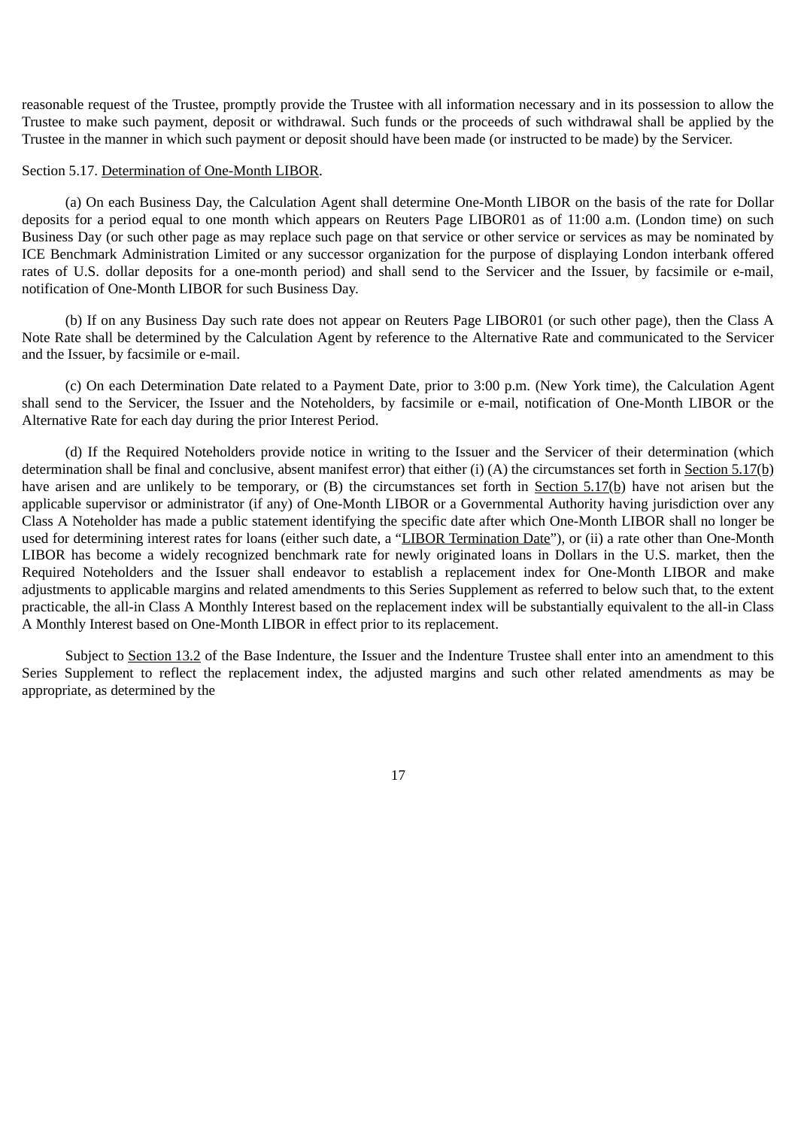reasonable request of the Trustee, promptly provide the Trustee with all information necessary and in its possession to allow the Trustee to make such payment, deposit or withdrawal. Such funds or the proceeds of such withdrawal shall be applied by the Trustee in the manner in which such payment or deposit should have been made (or instructed to be made) by the Servicer.

## Section 5.17. Determination of One-Month LIBOR.

(a) On each Business Day, the Calculation Agent shall determine One-Month LIBOR on the basis of the rate for Dollar deposits for a period equal to one month which appears on Reuters Page LIBOR01 as of 11:00 a.m. (London time) on such Business Day (or such other page as may replace such page on that service or other service or services as may be nominated by ICE Benchmark Administration Limited or any successor organization for the purpose of displaying London interbank offered rates of U.S. dollar deposits for a one-month period) and shall send to the Servicer and the Issuer, by facsimile or e-mail, notification of One-Month LIBOR for such Business Day.

(b) If on any Business Day such rate does not appear on Reuters Page LIBOR01 (or such other page), then the Class A Note Rate shall be determined by the Calculation Agent by reference to the Alternative Rate and communicated to the Servicer and the Issuer, by facsimile or e-mail.

(c) On each Determination Date related to a Payment Date, prior to 3:00 p.m. (New York time), the Calculation Agent shall send to the Servicer, the Issuer and the Noteholders, by facsimile or e-mail, notification of One-Month LIBOR or the Alternative Rate for each day during the prior Interest Period.

(d) If the Required Noteholders provide notice in writing to the Issuer and the Servicer of their determination (which determination shall be final and conclusive, absent manifest error) that either (i) (A) the circumstances set forth in Section 5.17(b) have arisen and are unlikely to be temporary, or (B) the circumstances set forth in Section 5.17(b) have not arisen but the applicable supervisor or administrator (if any) of One-Month LIBOR or a Governmental Authority having jurisdiction over any Class A Noteholder has made a public statement identifying the specific date after which One-Month LIBOR shall no longer be used for determining interest rates for loans (either such date, a "LIBOR Termination Date"), or (ii) a rate other than One-Month LIBOR has become a widely recognized benchmark rate for newly originated loans in Dollars in the U.S. market, then the Required Noteholders and the Issuer shall endeavor to establish a replacement index for One-Month LIBOR and make adjustments to applicable margins and related amendments to this Series Supplement as referred to below such that, to the extent practicable, the all-in Class A Monthly Interest based on the replacement index will be substantially equivalent to the all-in Class A Monthly Interest based on One-Month LIBOR in effect prior to its replacement.

Subject to Section 13.2 of the Base Indenture, the Issuer and the Indenture Trustee shall enter into an amendment to this Series Supplement to reflect the replacement index, the adjusted margins and such other related amendments as may be appropriate, as determined by the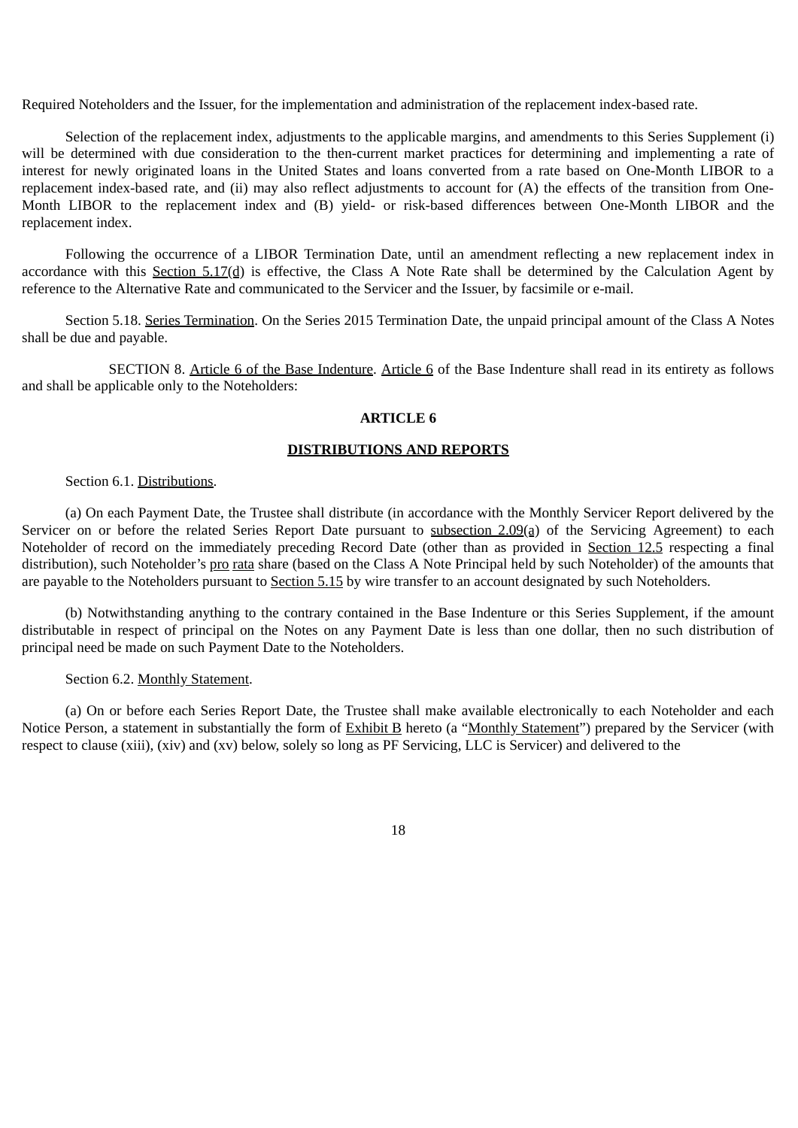Required Noteholders and the Issuer, for the implementation and administration of the replacement index-based rate.

Selection of the replacement index, adjustments to the applicable margins, and amendments to this Series Supplement (i) will be determined with due consideration to the then-current market practices for determining and implementing a rate of interest for newly originated loans in the United States and loans converted from a rate based on One-Month LIBOR to a replacement index-based rate, and (ii) may also reflect adjustments to account for (A) the effects of the transition from One-Month LIBOR to the replacement index and (B) yield- or risk-based differences between One-Month LIBOR and the replacement index.

Following the occurrence of a LIBOR Termination Date, until an amendment reflecting a new replacement index in accordance with this Section  $5.17(d)$  is effective, the Class A Note Rate shall be determined by the Calculation Agent by reference to the Alternative Rate and communicated to the Servicer and the Issuer, by facsimile or e-mail.

Section 5.18. Series Termination. On the Series 2015 Termination Date, the unpaid principal amount of the Class A Notes shall be due and payable.

SECTION 8. Article 6 of the Base Indenture. Article 6 of the Base Indenture shall read in its entirety as follows and shall be applicable only to the Noteholders:

#### **ARTICLE 6**

# **DISTRIBUTIONS AND REPORTS**

#### Section 6.1. Distributions.

(a) On each Payment Date, the Trustee shall distribute (in accordance with the Monthly Servicer Report delivered by the Servicer on or before the related Series Report Date pursuant to subsection 2.09(a) of the Servicing Agreement) to each Noteholder of record on the immediately preceding Record Date (other than as provided in Section 12.5 respecting a final distribution), such Noteholder's pro rata share (based on the Class A Note Principal held by such Noteholder) of the amounts that are payable to the Noteholders pursuant to Section 5.15 by wire transfer to an account designated by such Noteholders.

(b) Notwithstanding anything to the contrary contained in the Base Indenture or this Series Supplement, if the amount distributable in respect of principal on the Notes on any Payment Date is less than one dollar, then no such distribution of principal need be made on such Payment Date to the Noteholders.

## Section 6.2. Monthly Statement.

(a) On or before each Series Report Date, the Trustee shall make available electronically to each Noteholder and each Notice Person, a statement in substantially the form of Exhibit B hereto (a "Monthly Statement") prepared by the Servicer (with respect to clause (xiii), (xiv) and (xv) below, solely so long as PF Servicing, LLC is Servicer) and delivered to the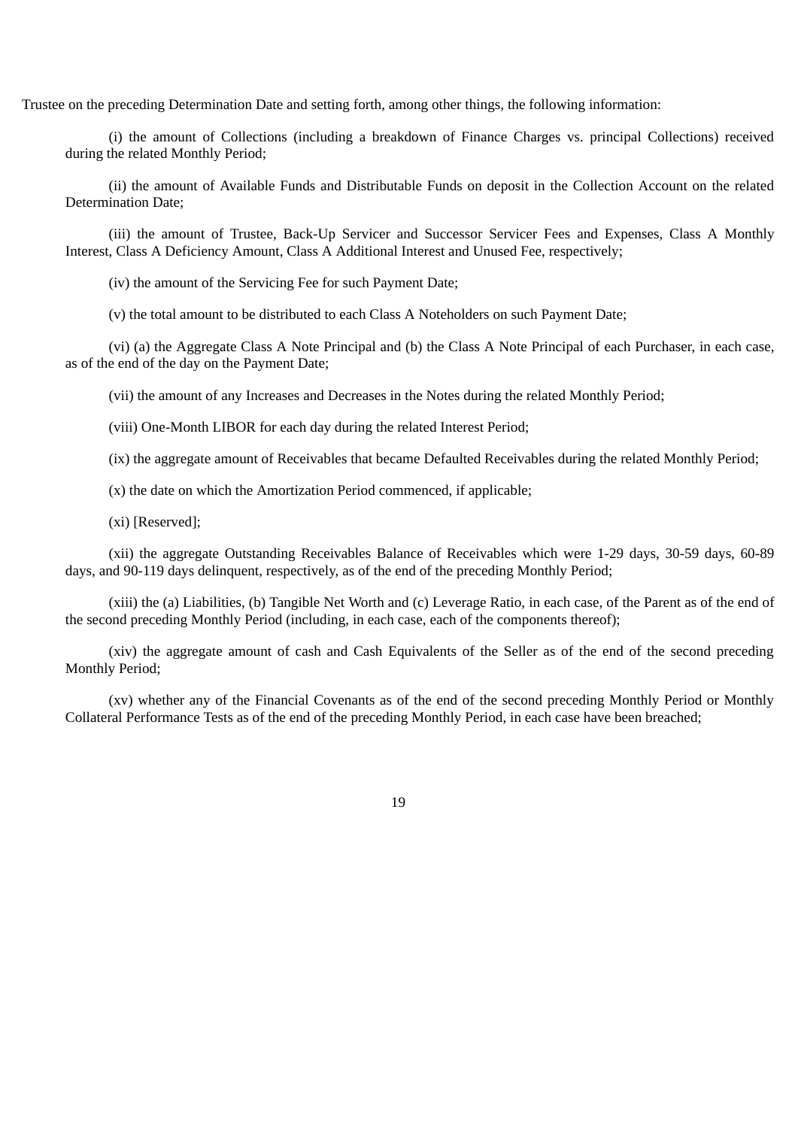Trustee on the preceding Determination Date and setting forth, among other things, the following information:

(i) the amount of Collections (including a breakdown of Finance Charges vs. principal Collections) received during the related Monthly Period;

(ii) the amount of Available Funds and Distributable Funds on deposit in the Collection Account on the related Determination Date;

(iii) the amount of Trustee, Back-Up Servicer and Successor Servicer Fees and Expenses, Class A Monthly Interest, Class A Deficiency Amount, Class A Additional Interest and Unused Fee, respectively;

(iv) the amount of the Servicing Fee for such Payment Date;

(v) the total amount to be distributed to each Class A Noteholders on such Payment Date;

(vi) (a) the Aggregate Class A Note Principal and (b) the Class A Note Principal of each Purchaser, in each case, as of the end of the day on the Payment Date;

(vii) the amount of any Increases and Decreases in the Notes during the related Monthly Period;

(viii) One-Month LIBOR for each day during the related Interest Period;

(ix) the aggregate amount of Receivables that became Defaulted Receivables during the related Monthly Period;

(x) the date on which the Amortization Period commenced, if applicable;

(xi) [Reserved];

(xii) the aggregate Outstanding Receivables Balance of Receivables which were 1-29 days, 30-59 days, 60-89 days, and 90-119 days delinquent, respectively, as of the end of the preceding Monthly Period;

(xiii) the (a) Liabilities, (b) Tangible Net Worth and (c) Leverage Ratio, in each case, of the Parent as of the end of the second preceding Monthly Period (including, in each case, each of the components thereof);

(xiv) the aggregate amount of cash and Cash Equivalents of the Seller as of the end of the second preceding Monthly Period;

(xv) whether any of the Financial Covenants as of the end of the second preceding Monthly Period or Monthly Collateral Performance Tests as of the end of the preceding Monthly Period, in each case have been breached;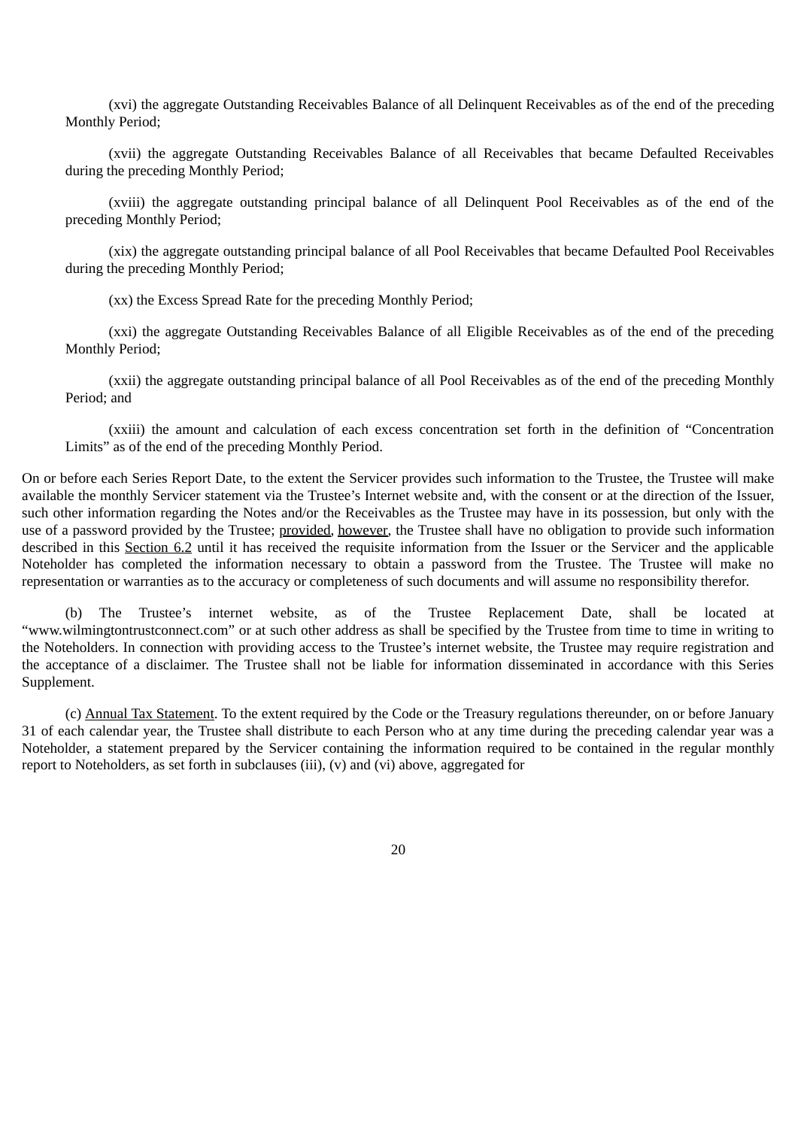(xvi) the aggregate Outstanding Receivables Balance of all Delinquent Receivables as of the end of the preceding Monthly Period;

(xvii) the aggregate Outstanding Receivables Balance of all Receivables that became Defaulted Receivables during the preceding Monthly Period;

(xviii) the aggregate outstanding principal balance of all Delinquent Pool Receivables as of the end of the preceding Monthly Period;

(xix) the aggregate outstanding principal balance of all Pool Receivables that became Defaulted Pool Receivables during the preceding Monthly Period;

(xx) the Excess Spread Rate for the preceding Monthly Period;

(xxi) the aggregate Outstanding Receivables Balance of all Eligible Receivables as of the end of the preceding Monthly Period;

(xxii) the aggregate outstanding principal balance of all Pool Receivables as of the end of the preceding Monthly Period; and

(xxiii) the amount and calculation of each excess concentration set forth in the definition of "Concentration Limits" as of the end of the preceding Monthly Period.

On or before each Series Report Date, to the extent the Servicer provides such information to the Trustee, the Trustee will make available the monthly Servicer statement via the Trustee's Internet website and, with the consent or at the direction of the Issuer, such other information regarding the Notes and/or the Receivables as the Trustee may have in its possession, but only with the use of a password provided by the Trustee; provided, however, the Trustee shall have no obligation to provide such information described in this Section 6.2 until it has received the requisite information from the Issuer or the Servicer and the applicable Noteholder has completed the information necessary to obtain a password from the Trustee. The Trustee will make no representation or warranties as to the accuracy or completeness of such documents and will assume no responsibility therefor.

(b) The Trustee's internet website, as of the Trustee Replacement Date, shall be located at "www.wilmingtontrustconnect.com" or at such other address as shall be specified by the Trustee from time to time in writing to the Noteholders. In connection with providing access to the Trustee's internet website, the Trustee may require registration and the acceptance of a disclaimer. The Trustee shall not be liable for information disseminated in accordance with this Series Supplement.

(c) Annual Tax Statement. To the extent required by the Code or the Treasury regulations thereunder, on or before January 31 of each calendar year, the Trustee shall distribute to each Person who at any time during the preceding calendar year was a Noteholder, a statement prepared by the Servicer containing the information required to be contained in the regular monthly report to Noteholders, as set forth in subclauses (iii),  $(v)$  and  $(vi)$  above, aggregated for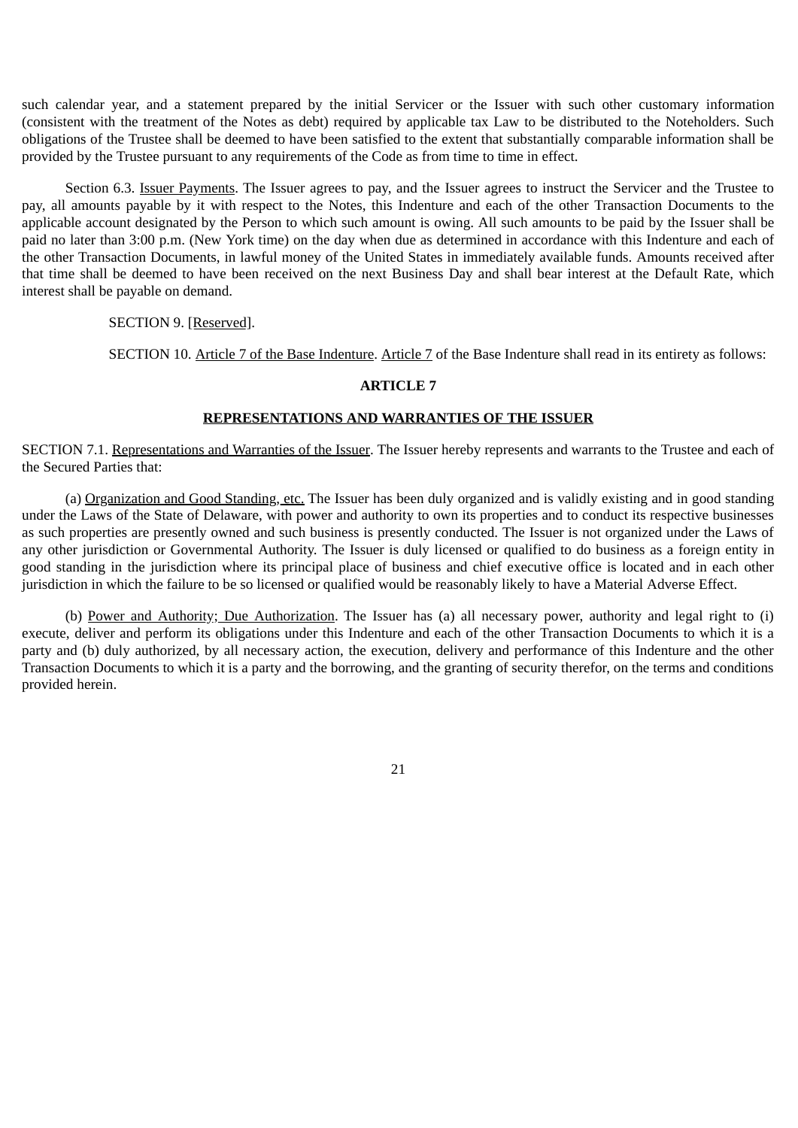such calendar year, and a statement prepared by the initial Servicer or the Issuer with such other customary information (consistent with the treatment of the Notes as debt) required by applicable tax Law to be distributed to the Noteholders. Such obligations of the Trustee shall be deemed to have been satisfied to the extent that substantially comparable information shall be provided by the Trustee pursuant to any requirements of the Code as from time to time in effect.

Section 6.3. Issuer Payments. The Issuer agrees to pay, and the Issuer agrees to instruct the Servicer and the Trustee to pay, all amounts payable by it with respect to the Notes, this Indenture and each of the other Transaction Documents to the applicable account designated by the Person to which such amount is owing. All such amounts to be paid by the Issuer shall be paid no later than 3:00 p.m. (New York time) on the day when due as determined in accordance with this Indenture and each of the other Transaction Documents, in lawful money of the United States in immediately available funds. Amounts received after that time shall be deemed to have been received on the next Business Day and shall bear interest at the Default Rate, which interest shall be payable on demand.

SECTION 9. [Reserved].

SECTION 10. Article 7 of the Base Indenture. Article 7 of the Base Indenture shall read in its entirety as follows:

## **ARTICLE 7**

# **REPRESENTATIONS AND WARRANTIES OF THE ISSUER**

SECTION 7.1. Representations and Warranties of the Issuer. The Issuer hereby represents and warrants to the Trustee and each of the Secured Parties that:

(a) Organization and Good Standing, etc. The Issuer has been duly organized and is validly existing and in good standing under the Laws of the State of Delaware, with power and authority to own its properties and to conduct its respective businesses as such properties are presently owned and such business is presently conducted. The Issuer is not organized under the Laws of any other jurisdiction or Governmental Authority. The Issuer is duly licensed or qualified to do business as a foreign entity in good standing in the jurisdiction where its principal place of business and chief executive office is located and in each other jurisdiction in which the failure to be so licensed or qualified would be reasonably likely to have a Material Adverse Effect.

(b) Power and Authority; Due Authorization. The Issuer has (a) all necessary power, authority and legal right to (i) execute, deliver and perform its obligations under this Indenture and each of the other Transaction Documents to which it is a party and (b) duly authorized, by all necessary action, the execution, delivery and performance of this Indenture and the other Transaction Documents to which it is a party and the borrowing, and the granting of security therefor, on the terms and conditions provided herein.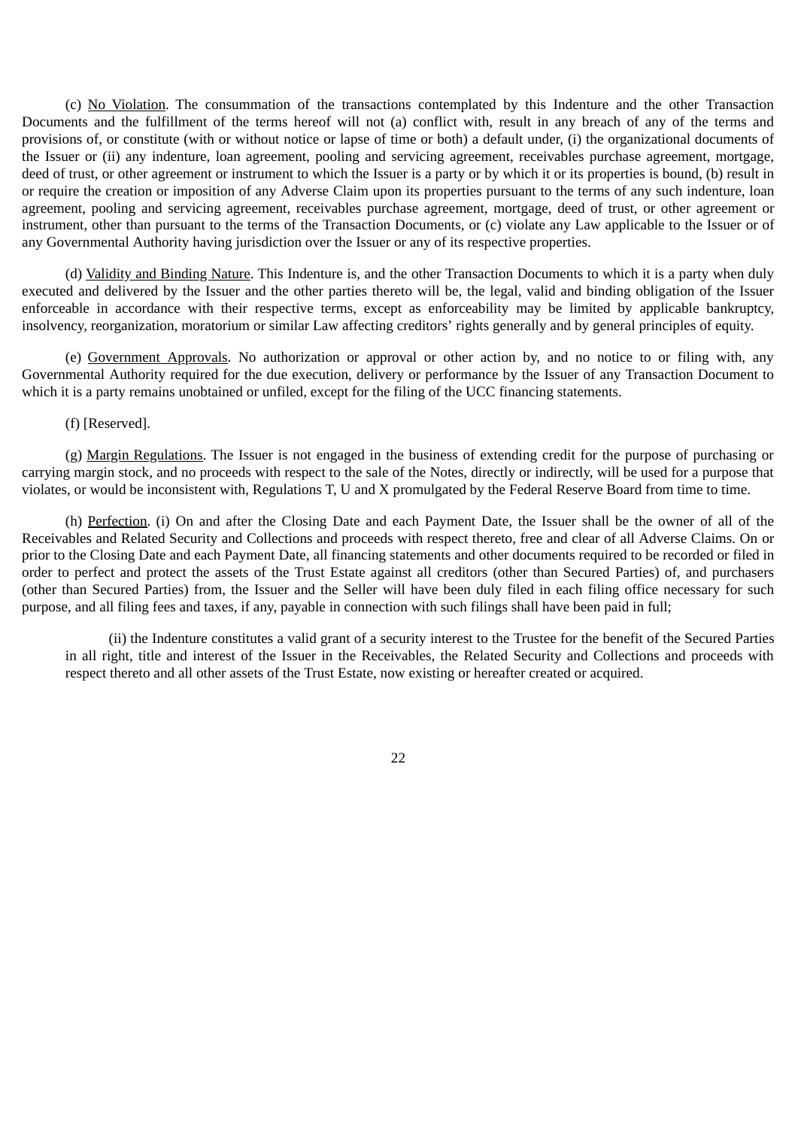(c) No Violation. The consummation of the transactions contemplated by this Indenture and the other Transaction Documents and the fulfillment of the terms hereof will not (a) conflict with, result in any breach of any of the terms and provisions of, or constitute (with or without notice or lapse of time or both) a default under, (i) the organizational documents of the Issuer or (ii) any indenture, loan agreement, pooling and servicing agreement, receivables purchase agreement, mortgage, deed of trust, or other agreement or instrument to which the Issuer is a party or by which it or its properties is bound, (b) result in or require the creation or imposition of any Adverse Claim upon its properties pursuant to the terms of any such indenture, loan agreement, pooling and servicing agreement, receivables purchase agreement, mortgage, deed of trust, or other agreement or instrument, other than pursuant to the terms of the Transaction Documents, or (c) violate any Law applicable to the Issuer or of any Governmental Authority having jurisdiction over the Issuer or any of its respective properties.

(d) Validity and Binding Nature. This Indenture is, and the other Transaction Documents to which it is a party when duly executed and delivered by the Issuer and the other parties thereto will be, the legal, valid and binding obligation of the Issuer enforceable in accordance with their respective terms, except as enforceability may be limited by applicable bankruptcy, insolvency, reorganization, moratorium or similar Law affecting creditors' rights generally and by general principles of equity.

(e) Government Approvals. No authorization or approval or other action by, and no notice to or filing with, any Governmental Authority required for the due execution, delivery or performance by the Issuer of any Transaction Document to which it is a party remains unobtained or unfiled, except for the filing of the UCC financing statements.

(f) [Reserved].

(g) Margin Regulations. The Issuer is not engaged in the business of extending credit for the purpose of purchasing or carrying margin stock, and no proceeds with respect to the sale of the Notes, directly or indirectly, will be used for a purpose that violates, or would be inconsistent with, Regulations T, U and X promulgated by the Federal Reserve Board from time to time.

(h) Perfection. (i) On and after the Closing Date and each Payment Date, the Issuer shall be the owner of all of the Receivables and Related Security and Collections and proceeds with respect thereto, free and clear of all Adverse Claims. On or prior to the Closing Date and each Payment Date, all financing statements and other documents required to be recorded or filed in order to perfect and protect the assets of the Trust Estate against all creditors (other than Secured Parties) of, and purchasers (other than Secured Parties) from, the Issuer and the Seller will have been duly filed in each filing office necessary for such purpose, and all filing fees and taxes, if any, payable in connection with such filings shall have been paid in full;

(ii) the Indenture constitutes a valid grant of a security interest to the Trustee for the benefit of the Secured Parties in all right, title and interest of the Issuer in the Receivables, the Related Security and Collections and proceeds with respect thereto and all other assets of the Trust Estate, now existing or hereafter created or acquired.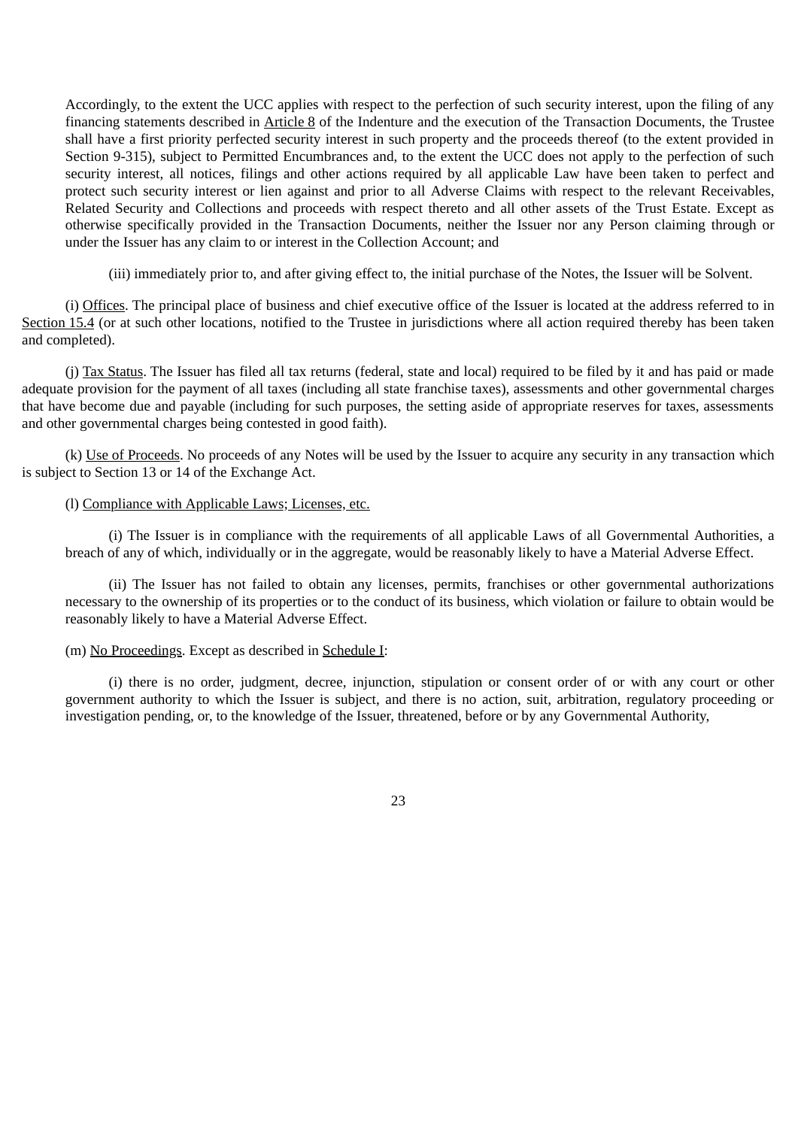Accordingly, to the extent the UCC applies with respect to the perfection of such security interest, upon the filing of any financing statements described in Article 8 of the Indenture and the execution of the Transaction Documents, the Trustee shall have a first priority perfected security interest in such property and the proceeds thereof (to the extent provided in Section 9-315), subject to Permitted Encumbrances and, to the extent the UCC does not apply to the perfection of such security interest, all notices, filings and other actions required by all applicable Law have been taken to perfect and protect such security interest or lien against and prior to all Adverse Claims with respect to the relevant Receivables, Related Security and Collections and proceeds with respect thereto and all other assets of the Trust Estate. Except as otherwise specifically provided in the Transaction Documents, neither the Issuer nor any Person claiming through or under the Issuer has any claim to or interest in the Collection Account; and

(iii) immediately prior to, and after giving effect to, the initial purchase of the Notes, the Issuer will be Solvent.

(i) Offices. The principal place of business and chief executive office of the Issuer is located at the address referred to in Section 15.4 (or at such other locations, notified to the Trustee in jurisdictions where all action required thereby has been taken and completed).

(j) Tax Status. The Issuer has filed all tax returns (federal, state and local) required to be filed by it and has paid or made adequate provision for the payment of all taxes (including all state franchise taxes), assessments and other governmental charges that have become due and payable (including for such purposes, the setting aside of appropriate reserves for taxes, assessments and other governmental charges being contested in good faith).

(k) Use of Proceeds. No proceeds of any Notes will be used by the Issuer to acquire any security in any transaction which is subject to Section 13 or 14 of the Exchange Act.

# (l) Compliance with Applicable Laws; Licenses, etc.

(i) The Issuer is in compliance with the requirements of all applicable Laws of all Governmental Authorities, a breach of any of which, individually or in the aggregate, would be reasonably likely to have a Material Adverse Effect.

(ii) The Issuer has not failed to obtain any licenses, permits, franchises or other governmental authorizations necessary to the ownership of its properties or to the conduct of its business, which violation or failure to obtain would be reasonably likely to have a Material Adverse Effect.

## (m) No Proceedings. Except as described in Schedule I:

(i) there is no order, judgment, decree, injunction, stipulation or consent order of or with any court or other government authority to which the Issuer is subject, and there is no action, suit, arbitration, regulatory proceeding or investigation pending, or, to the knowledge of the Issuer, threatened, before or by any Governmental Authority,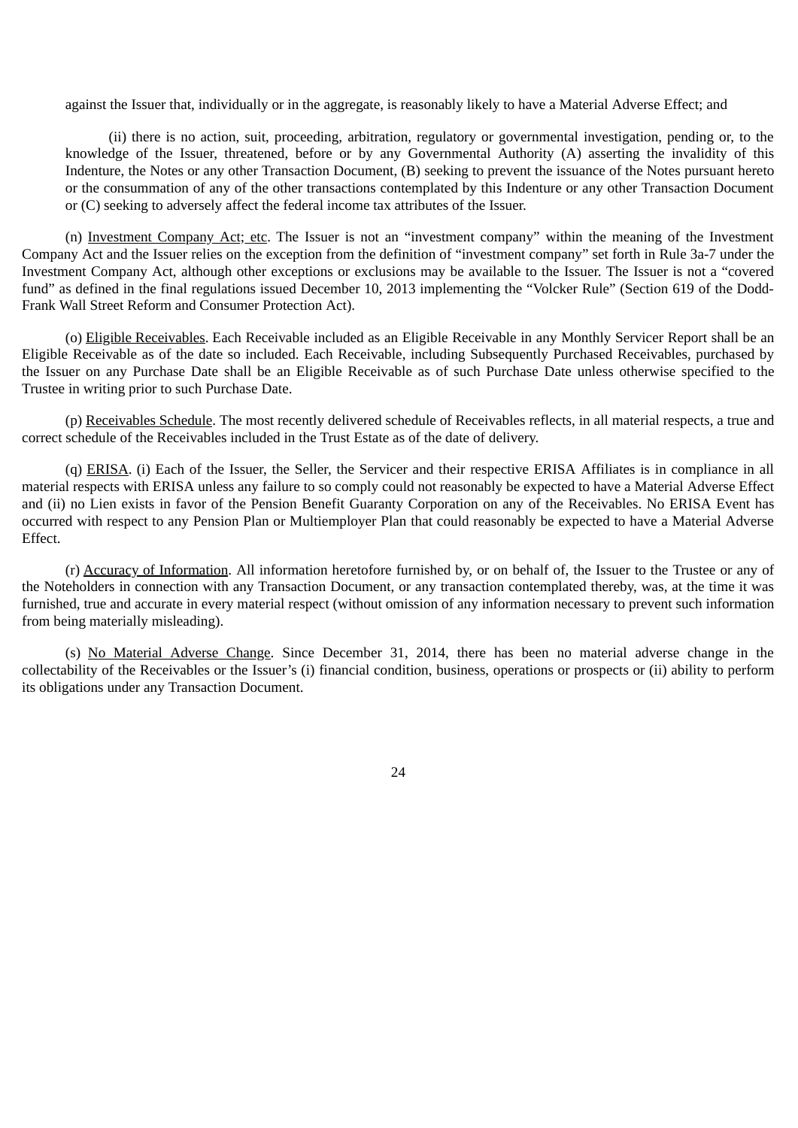against the Issuer that, individually or in the aggregate, is reasonably likely to have a Material Adverse Effect; and

(ii) there is no action, suit, proceeding, arbitration, regulatory or governmental investigation, pending or, to the knowledge of the Issuer, threatened, before or by any Governmental Authority (A) asserting the invalidity of this Indenture, the Notes or any other Transaction Document, (B) seeking to prevent the issuance of the Notes pursuant hereto or the consummation of any of the other transactions contemplated by this Indenture or any other Transaction Document or (C) seeking to adversely affect the federal income tax attributes of the Issuer.

(n) Investment Company Act; etc. The Issuer is not an "investment company" within the meaning of the Investment Company Act and the Issuer relies on the exception from the definition of "investment company" set forth in Rule 3a-7 under the Investment Company Act, although other exceptions or exclusions may be available to the Issuer. The Issuer is not a "covered fund" as defined in the final regulations issued December 10, 2013 implementing the "Volcker Rule" (Section 619 of the Dodd-Frank Wall Street Reform and Consumer Protection Act).

(o) Eligible Receivables. Each Receivable included as an Eligible Receivable in any Monthly Servicer Report shall be an Eligible Receivable as of the date so included. Each Receivable, including Subsequently Purchased Receivables, purchased by the Issuer on any Purchase Date shall be an Eligible Receivable as of such Purchase Date unless otherwise specified to the Trustee in writing prior to such Purchase Date.

(p) Receivables Schedule. The most recently delivered schedule of Receivables reflects, in all material respects, a true and correct schedule of the Receivables included in the Trust Estate as of the date of delivery.

(q) ERISA. (i) Each of the Issuer, the Seller, the Servicer and their respective ERISA Affiliates is in compliance in all material respects with ERISA unless any failure to so comply could not reasonably be expected to have a Material Adverse Effect and (ii) no Lien exists in favor of the Pension Benefit Guaranty Corporation on any of the Receivables. No ERISA Event has occurred with respect to any Pension Plan or Multiemployer Plan that could reasonably be expected to have a Material Adverse Effect.

(r) Accuracy of Information. All information heretofore furnished by, or on behalf of, the Issuer to the Trustee or any of the Noteholders in connection with any Transaction Document, or any transaction contemplated thereby, was, at the time it was furnished, true and accurate in every material respect (without omission of any information necessary to prevent such information from being materially misleading).

(s) No Material Adverse Change. Since December 31, 2014, there has been no material adverse change in the collectability of the Receivables or the Issuer's (i) financial condition, business, operations or prospects or (ii) ability to perform its obligations under any Transaction Document.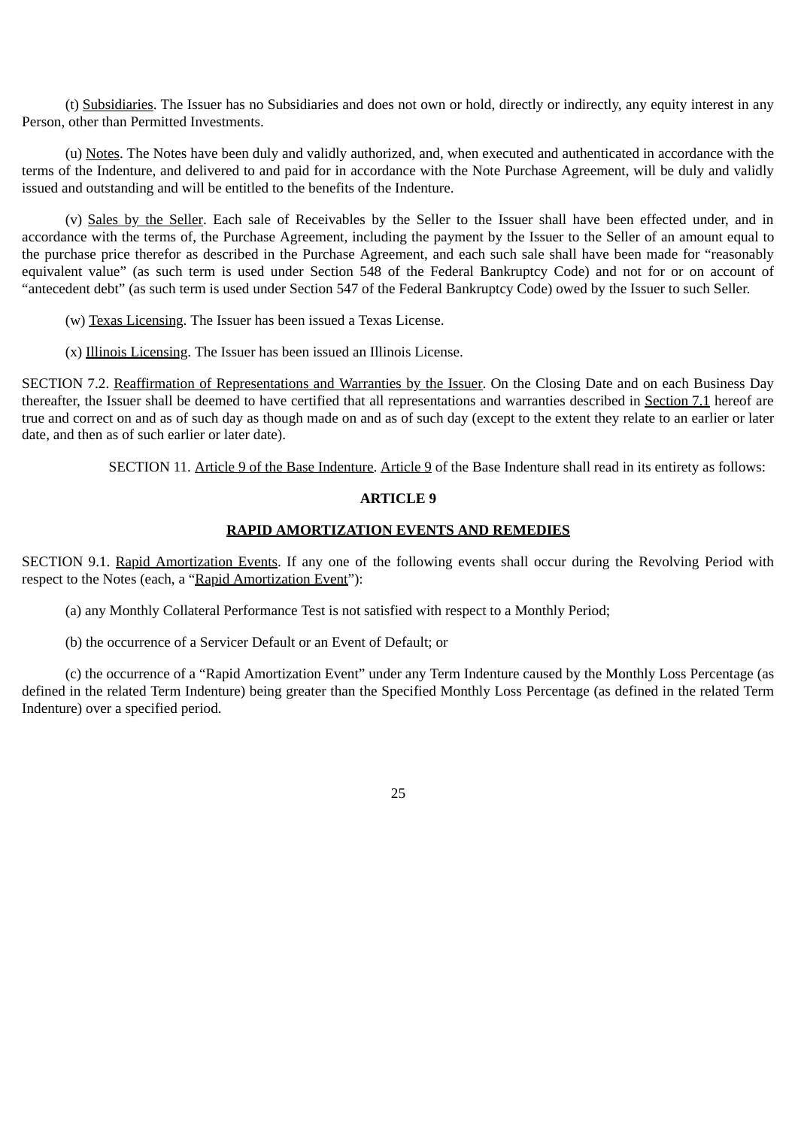(t) Subsidiaries. The Issuer has no Subsidiaries and does not own or hold, directly or indirectly, any equity interest in any Person, other than Permitted Investments.

(u) Notes. The Notes have been duly and validly authorized, and, when executed and authenticated in accordance with the terms of the Indenture, and delivered to and paid for in accordance with the Note Purchase Agreement, will be duly and validly issued and outstanding and will be entitled to the benefits of the Indenture.

(v) Sales by the Seller. Each sale of Receivables by the Seller to the Issuer shall have been effected under, and in accordance with the terms of, the Purchase Agreement, including the payment by the Issuer to the Seller of an amount equal to the purchase price therefor as described in the Purchase Agreement, and each such sale shall have been made for "reasonably equivalent value" (as such term is used under Section 548 of the Federal Bankruptcy Code) and not for or on account of "antecedent debt" (as such term is used under Section 547 of the Federal Bankruptcy Code) owed by the Issuer to such Seller.

(w) Texas Licensing. The Issuer has been issued a Texas License.

(x) Illinois Licensing. The Issuer has been issued an Illinois License.

SECTION 7.2. Reaffirmation of Representations and Warranties by the Issuer. On the Closing Date and on each Business Day thereafter, the Issuer shall be deemed to have certified that all representations and warranties described in Section 7.1 hereof are true and correct on and as of such day as though made on and as of such day (except to the extent they relate to an earlier or later date, and then as of such earlier or later date).

SECTION 11. Article 9 of the Base Indenture. Article 9 of the Base Indenture shall read in its entirety as follows:

# **ARTICLE 9**

# **RAPID AMORTIZATION EVENTS AND REMEDIES**

SECTION 9.1. Rapid Amortization Events. If any one of the following events shall occur during the Revolving Period with respect to the Notes (each, a "Rapid Amortization Event"):

(a) any Monthly Collateral Performance Test is not satisfied with respect to a Monthly Period;

(b) the occurrence of a Servicer Default or an Event of Default; or

(c) the occurrence of a "Rapid Amortization Event" under any Term Indenture caused by the Monthly Loss Percentage (as defined in the related Term Indenture) being greater than the Specified Monthly Loss Percentage (as defined in the related Term Indenture) over a specified period.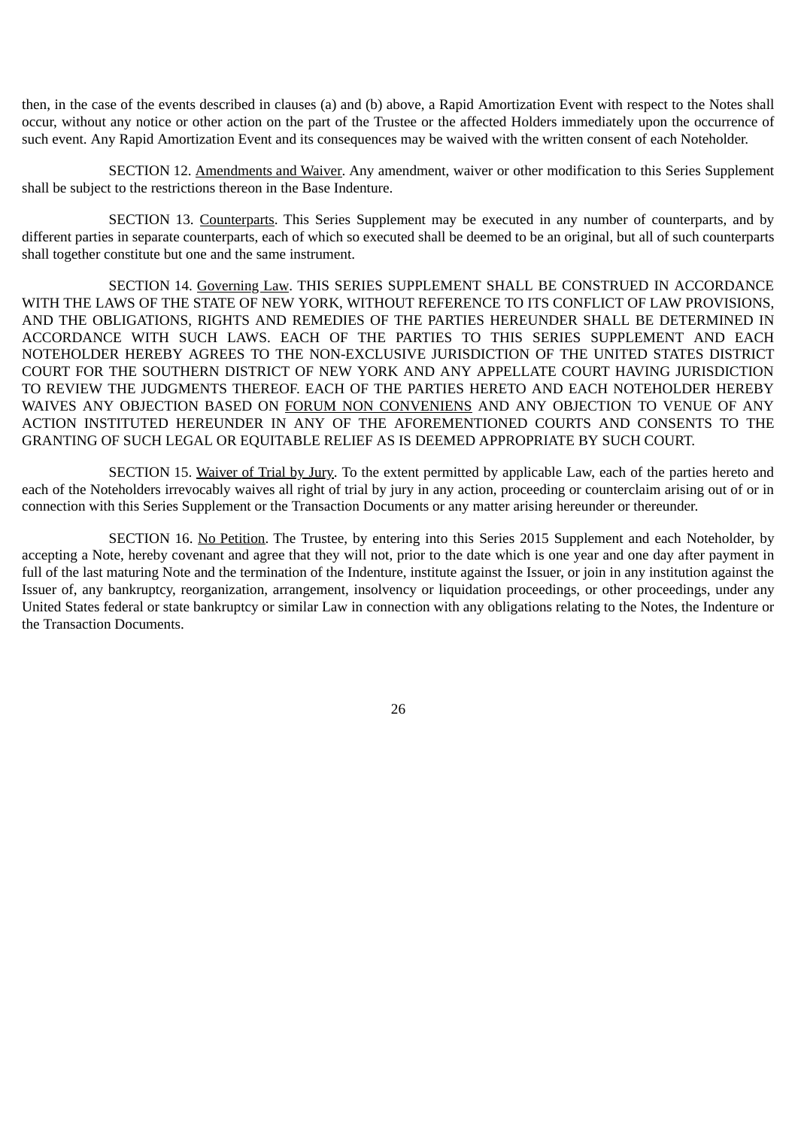then, in the case of the events described in clauses (a) and (b) above, a Rapid Amortization Event with respect to the Notes shall occur, without any notice or other action on the part of the Trustee or the affected Holders immediately upon the occurrence of such event. Any Rapid Amortization Event and its consequences may be waived with the written consent of each Noteholder.

SECTION 12. Amendments and Waiver. Any amendment, waiver or other modification to this Series Supplement shall be subject to the restrictions thereon in the Base Indenture.

SECTION 13. Counterparts. This Series Supplement may be executed in any number of counterparts, and by different parties in separate counterparts, each of which so executed shall be deemed to be an original, but all of such counterparts shall together constitute but one and the same instrument.

SECTION 14. Governing Law. THIS SERIES SUPPLEMENT SHALL BE CONSTRUED IN ACCORDANCE WITH THE LAWS OF THE STATE OF NEW YORK, WITHOUT REFERENCE TO ITS CONFLICT OF LAW PROVISIONS, AND THE OBLIGATIONS, RIGHTS AND REMEDIES OF THE PARTIES HEREUNDER SHALL BE DETERMINED IN ACCORDANCE WITH SUCH LAWS. EACH OF THE PARTIES TO THIS SERIES SUPPLEMENT AND EACH NOTEHOLDER HEREBY AGREES TO THE NON-EXCLUSIVE JURISDICTION OF THE UNITED STATES DISTRICT COURT FOR THE SOUTHERN DISTRICT OF NEW YORK AND ANY APPELLATE COURT HAVING JURISDICTION TO REVIEW THE JUDGMENTS THEREOF. EACH OF THE PARTIES HERETO AND EACH NOTEHOLDER HEREBY WAIVES ANY OBJECTION BASED ON FORUM NON CONVENIENS AND ANY OBJECTION TO VENUE OF ANY ACTION INSTITUTED HEREUNDER IN ANY OF THE AFOREMENTIONED COURTS AND CONSENTS TO THE GRANTING OF SUCH LEGAL OR EQUITABLE RELIEF AS IS DEEMED APPROPRIATE BY SUCH COURT.

SECTION 15. Waiver of Trial by Jury. To the extent permitted by applicable Law, each of the parties hereto and each of the Noteholders irrevocably waives all right of trial by jury in any action, proceeding or counterclaim arising out of or in connection with this Series Supplement or the Transaction Documents or any matter arising hereunder or thereunder.

SECTION 16. No Petition. The Trustee, by entering into this Series 2015 Supplement and each Noteholder, by accepting a Note, hereby covenant and agree that they will not, prior to the date which is one year and one day after payment in full of the last maturing Note and the termination of the Indenture, institute against the Issuer, or join in any institution against the Issuer of, any bankruptcy, reorganization, arrangement, insolvency or liquidation proceedings, or other proceedings, under any United States federal or state bankruptcy or similar Law in connection with any obligations relating to the Notes, the Indenture or the Transaction Documents.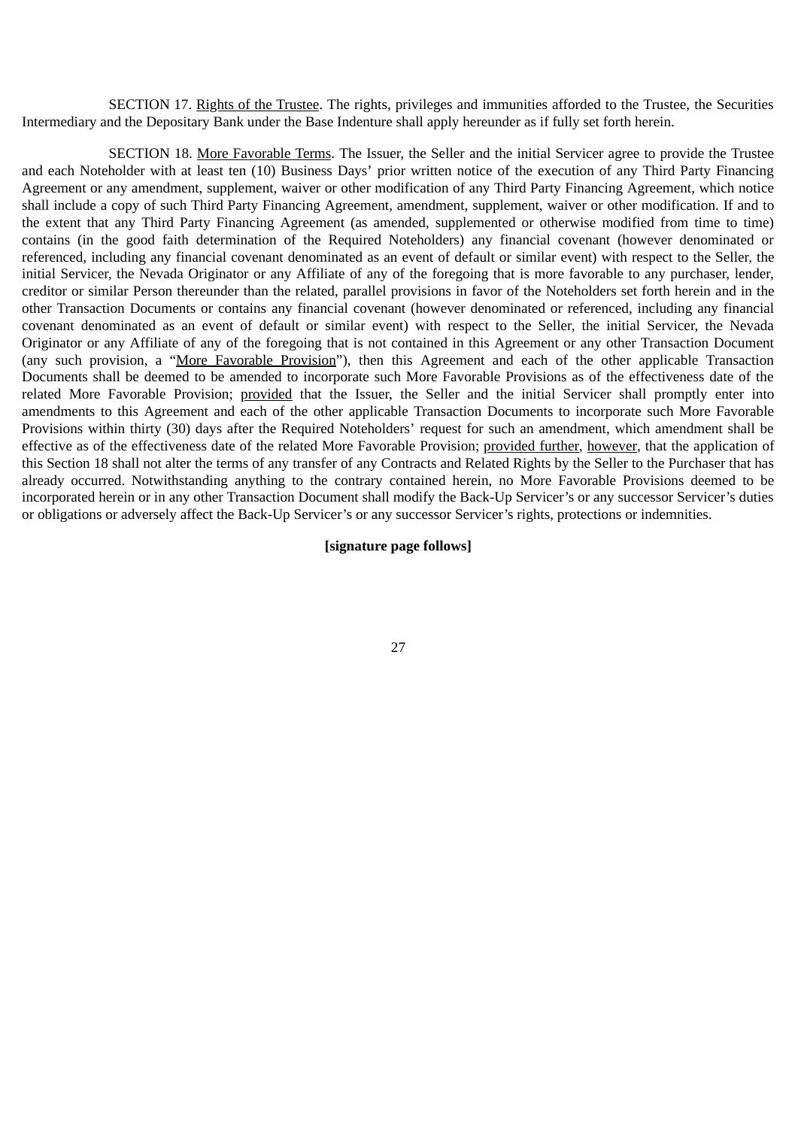SECTION 17. Rights of the Trustee. The rights, privileges and immunities afforded to the Trustee, the Securities Intermediary and the Depositary Bank under the Base Indenture shall apply hereunder as if fully set forth herein.

SECTION 18. More Favorable Terms. The Issuer, the Seller and the initial Servicer agree to provide the Trustee and each Noteholder with at least ten (10) Business Days' prior written notice of the execution of any Third Party Financing Agreement or any amendment, supplement, waiver or other modification of any Third Party Financing Agreement, which notice shall include a copy of such Third Party Financing Agreement, amendment, supplement, waiver or other modification. If and to the extent that any Third Party Financing Agreement (as amended, supplemented or otherwise modified from time to time) contains (in the good faith determination of the Required Noteholders) any financial covenant (however denominated or referenced, including any financial covenant denominated as an event of default or similar event) with respect to the Seller, the initial Servicer, the Nevada Originator or any Affiliate of any of the foregoing that is more favorable to any purchaser, lender, creditor or similar Person thereunder than the related, parallel provisions in favor of the Noteholders set forth herein and in the other Transaction Documents or contains any financial covenant (however denominated or referenced, including any financial covenant denominated as an event of default or similar event) with respect to the Seller, the initial Servicer, the Nevada Originator or any Affiliate of any of the foregoing that is not contained in this Agreement or any other Transaction Document (any such provision, a "More Favorable Provision"), then this Agreement and each of the other applicable Transaction Documents shall be deemed to be amended to incorporate such More Favorable Provisions as of the effectiveness date of the related More Favorable Provision; provided that the Issuer, the Seller and the initial Servicer shall promptly enter into amendments to this Agreement and each of the other applicable Transaction Documents to incorporate such More Favorable Provisions within thirty (30) days after the Required Noteholders' request for such an amendment, which amendment shall be effective as of the effectiveness date of the related More Favorable Provision; provided further, however, that the application of this Section 18 shall not alter the terms of any transfer of any Contracts and Related Rights by the Seller to the Purchaser that has already occurred. Notwithstanding anything to the contrary contained herein, no More Favorable Provisions deemed to be incorporated herein or in any other Transaction Document shall modify the Back-Up Servicer's or any successor Servicer's duties or obligations or adversely affect the Back-Up Servicer's or any successor Servicer's rights, protections or indemnities.

# **[signature page follows]**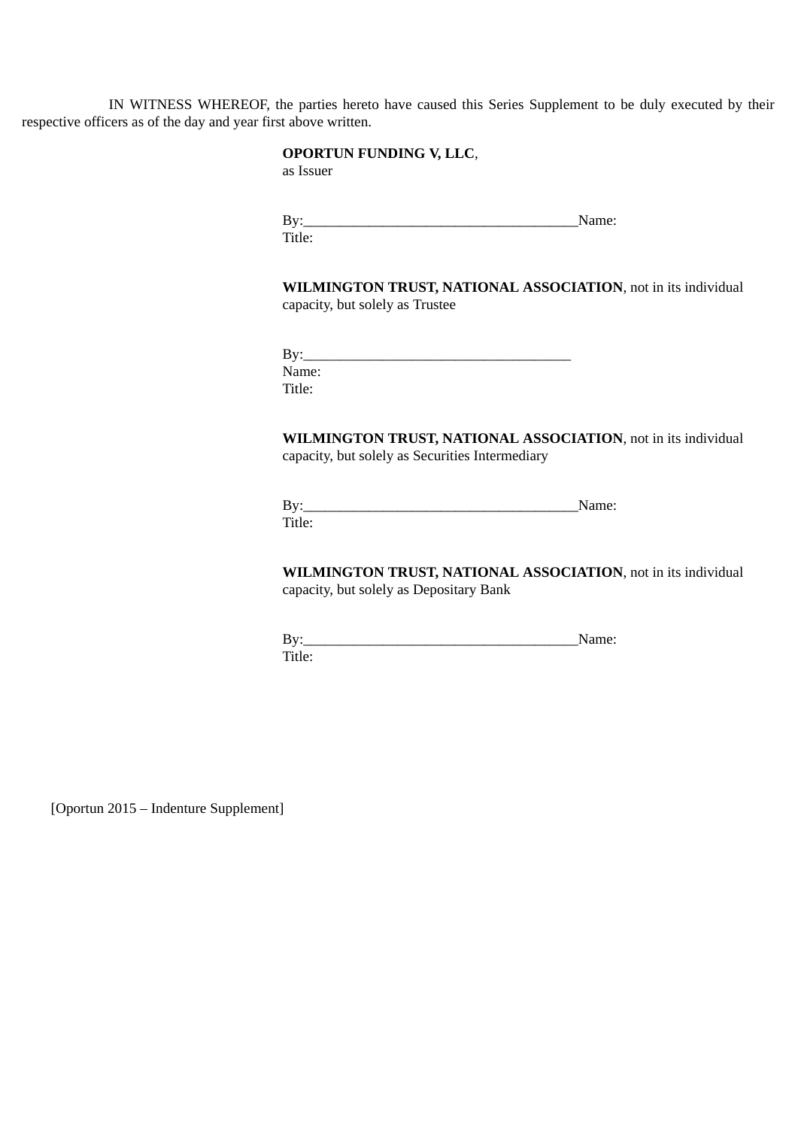IN WITNESS WHEREOF, the parties hereto have caused this Series Supplement to be duly executed by their respective officers as of the day and year first above written.

# **OPORTUN FUNDING V, LLC**,

as Issuer

By:\_\_\_\_\_\_\_\_\_\_\_\_\_\_\_\_\_\_\_\_\_\_\_\_\_\_\_\_\_\_\_\_\_\_\_\_\_\_Name: Title:

**WILMINGTON TRUST, NATIONAL ASSOCIATION**, not in its individual capacity, but solely as Trustee

| By:    |  |  |
|--------|--|--|
| Name:  |  |  |
| Title: |  |  |

**WILMINGTON TRUST, NATIONAL ASSOCIATION**, not in its individual capacity, but solely as Securities Intermediary

|    | N<br>. . |
|----|----------|
| п. |          |

**WILMINGTON TRUST, NATIONAL ASSOCIATION**, not in its individual capacity, but solely as Depositary Bank

By:\_\_\_\_\_\_\_\_\_\_\_\_\_\_\_\_\_\_\_\_\_\_\_\_\_\_\_\_\_\_\_\_\_\_\_\_\_\_Name: Title:

[Oportun 2015 – Indenture Supplement]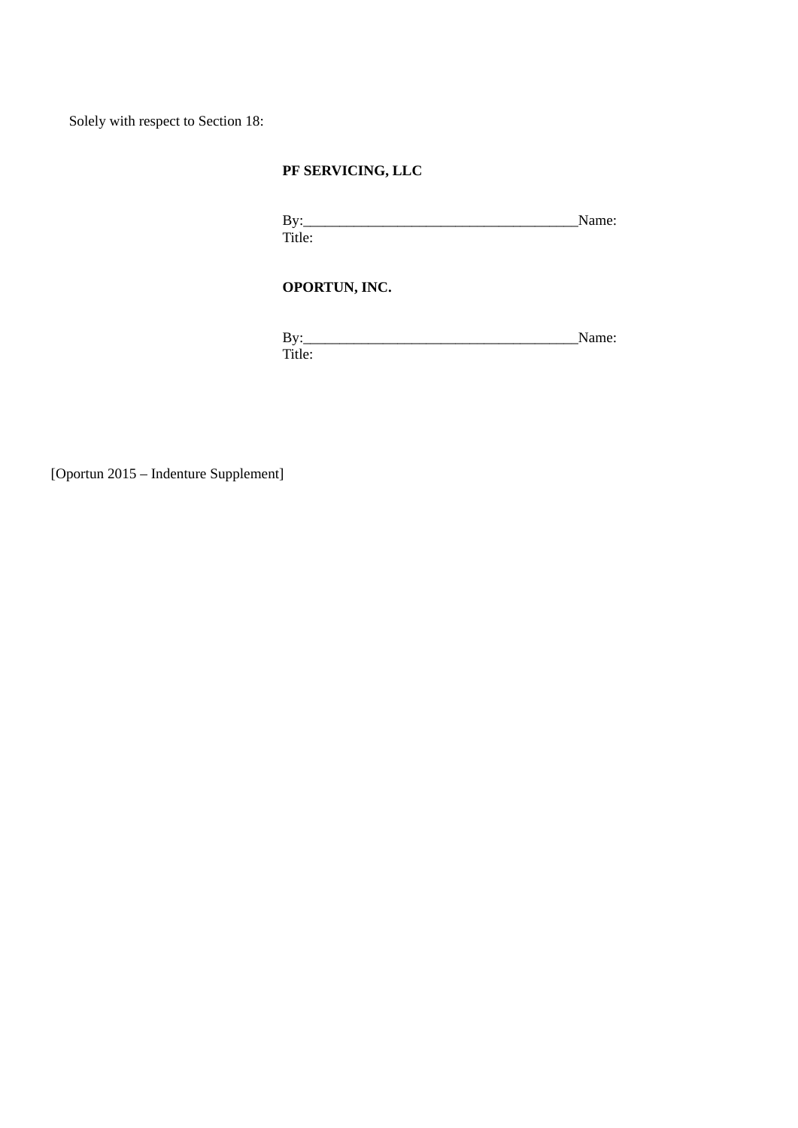Solely with respect to Section 18:

# **PF SERVICING, LLC**

 $By: \begin{tabular}{lcccccc} \bf{By:} & \bf{Name:} & \bf{Name:} \\ \bf{10.} & \bf{11.} & \bf{12.} & \bf{13.} \\ \bf{14.} & \bf{15.} & \bf{16.} & \bf{17.} \\ \bf{18.} & \bf{19.} & \bf{19.} \\ \bf{19.} & \bf{19.} & \bf{19.} \\ \bf{19.} & \bf{19.} & \bf{19.} \\ \bf{19.} & \bf{19.} & \bf{19.} \\ \bf{19.} & \bf{19.} & \bf{19.} \\ \bf{$ Title:

# **OPORTUN, INC.**

By:\_\_\_\_\_\_\_\_\_\_\_\_\_\_\_\_\_\_\_\_\_\_\_\_\_\_\_\_\_\_\_\_\_\_\_\_\_\_Name: Title:

[Oportun 2015 – Indenture Supplement]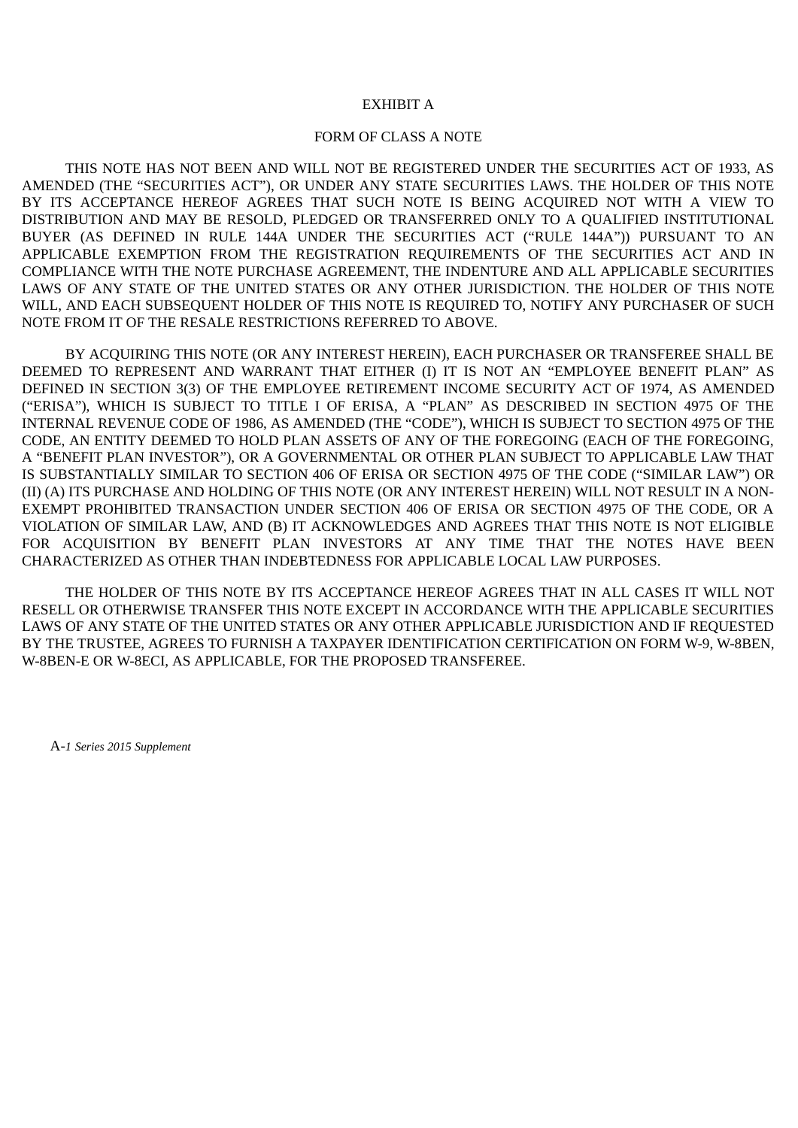## EXHIBIT A

## FORM OF CLASS A NOTE

THIS NOTE HAS NOT BEEN AND WILL NOT BE REGISTERED UNDER THE SECURITIES ACT OF 1933, AS AMENDED (THE "SECURITIES ACT"), OR UNDER ANY STATE SECURITIES LAWS. THE HOLDER OF THIS NOTE BY ITS ACCEPTANCE HEREOF AGREES THAT SUCH NOTE IS BEING ACQUIRED NOT WITH A VIEW TO DISTRIBUTION AND MAY BE RESOLD, PLEDGED OR TRANSFERRED ONLY TO A QUALIFIED INSTITUTIONAL BUYER (AS DEFINED IN RULE 144A UNDER THE SECURITIES ACT ("RULE 144A")) PURSUANT TO AN APPLICABLE EXEMPTION FROM THE REGISTRATION REQUIREMENTS OF THE SECURITIES ACT AND IN COMPLIANCE WITH THE NOTE PURCHASE AGREEMENT, THE INDENTURE AND ALL APPLICABLE SECURITIES LAWS OF ANY STATE OF THE UNITED STATES OR ANY OTHER JURISDICTION. THE HOLDER OF THIS NOTE WILL, AND EACH SUBSEQUENT HOLDER OF THIS NOTE IS REQUIRED TO, NOTIFY ANY PURCHASER OF SUCH NOTE FROM IT OF THE RESALE RESTRICTIONS REFERRED TO ABOVE.

BY ACQUIRING THIS NOTE (OR ANY INTEREST HEREIN), EACH PURCHASER OR TRANSFEREE SHALL BE DEEMED TO REPRESENT AND WARRANT THAT EITHER (I) IT IS NOT AN "EMPLOYEE BENEFIT PLAN" AS DEFINED IN SECTION 3(3) OF THE EMPLOYEE RETIREMENT INCOME SECURITY ACT OF 1974, AS AMENDED ("ERISA"), WHICH IS SUBJECT TO TITLE I OF ERISA, A "PLAN" AS DESCRIBED IN SECTION 4975 OF THE INTERNAL REVENUE CODE OF 1986, AS AMENDED (THE "CODE"), WHICH IS SUBJECT TO SECTION 4975 OF THE CODE, AN ENTITY DEEMED TO HOLD PLAN ASSETS OF ANY OF THE FOREGOING (EACH OF THE FOREGOING, A "BENEFIT PLAN INVESTOR"), OR A GOVERNMENTAL OR OTHER PLAN SUBJECT TO APPLICABLE LAW THAT IS SUBSTANTIALLY SIMILAR TO SECTION 406 OF ERISA OR SECTION 4975 OF THE CODE ("SIMILAR LAW") OR (II) (A) ITS PURCHASE AND HOLDING OF THIS NOTE (OR ANY INTEREST HEREIN) WILL NOT RESULT IN A NON-EXEMPT PROHIBITED TRANSACTION UNDER SECTION 406 OF ERISA OR SECTION 4975 OF THE CODE, OR A VIOLATION OF SIMILAR LAW, AND (B) IT ACKNOWLEDGES AND AGREES THAT THIS NOTE IS NOT ELIGIBLE FOR ACQUISITION BY BENEFIT PLAN INVESTORS AT ANY TIME THAT THE NOTES HAVE BEEN CHARACTERIZED AS OTHER THAN INDEBTEDNESS FOR APPLICABLE LOCAL LAW PURPOSES.

THE HOLDER OF THIS NOTE BY ITS ACCEPTANCE HEREOF AGREES THAT IN ALL CASES IT WILL NOT RESELL OR OTHERWISE TRANSFER THIS NOTE EXCEPT IN ACCORDANCE WITH THE APPLICABLE SECURITIES LAWS OF ANY STATE OF THE UNITED STATES OR ANY OTHER APPLICABLE JURISDICTION AND IF REQUESTED BY THE TRUSTEE, AGREES TO FURNISH A TAXPAYER IDENTIFICATION CERTIFICATION ON FORM W-9, W-8BEN, W-8BEN-E OR W-8ECI, AS APPLICABLE, FOR THE PROPOSED TRANSFEREE.

A-*1 Series 2015 Supplement*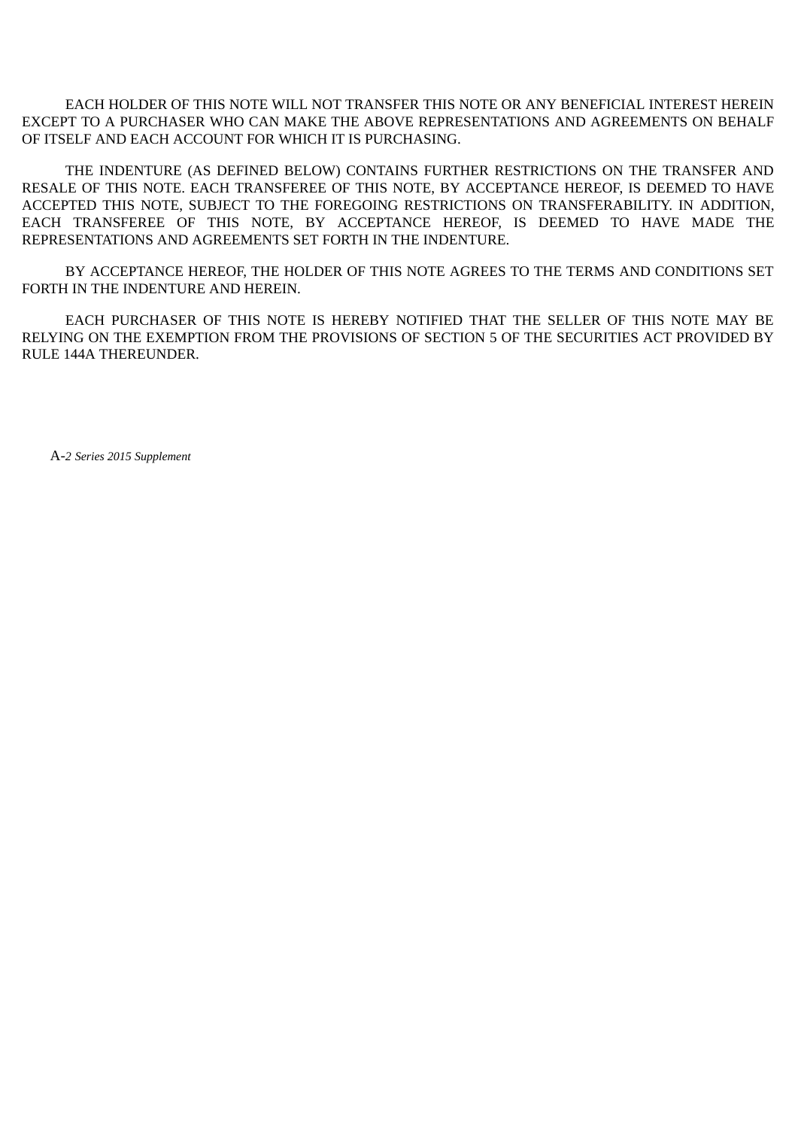EACH HOLDER OF THIS NOTE WILL NOT TRANSFER THIS NOTE OR ANY BENEFICIAL INTEREST HEREIN EXCEPT TO A PURCHASER WHO CAN MAKE THE ABOVE REPRESENTATIONS AND AGREEMENTS ON BEHALF OF ITSELF AND EACH ACCOUNT FOR WHICH IT IS PURCHASING.

THE INDENTURE (AS DEFINED BELOW) CONTAINS FURTHER RESTRICTIONS ON THE TRANSFER AND RESALE OF THIS NOTE. EACH TRANSFEREE OF THIS NOTE, BY ACCEPTANCE HEREOF, IS DEEMED TO HAVE ACCEPTED THIS NOTE, SUBJECT TO THE FOREGOING RESTRICTIONS ON TRANSFERABILITY. IN ADDITION, EACH TRANSFEREE OF THIS NOTE, BY ACCEPTANCE HEREOF, IS DEEMED TO HAVE MADE THE REPRESENTATIONS AND AGREEMENTS SET FORTH IN THE INDENTURE.

BY ACCEPTANCE HEREOF, THE HOLDER OF THIS NOTE AGREES TO THE TERMS AND CONDITIONS SET FORTH IN THE INDENTURE AND HEREIN.

EACH PURCHASER OF THIS NOTE IS HEREBY NOTIFIED THAT THE SELLER OF THIS NOTE MAY BE RELYING ON THE EXEMPTION FROM THE PROVISIONS OF SECTION 5 OF THE SECURITIES ACT PROVIDED BY RULE 144A THEREUNDER.

A-*2 Series 2015 Supplement*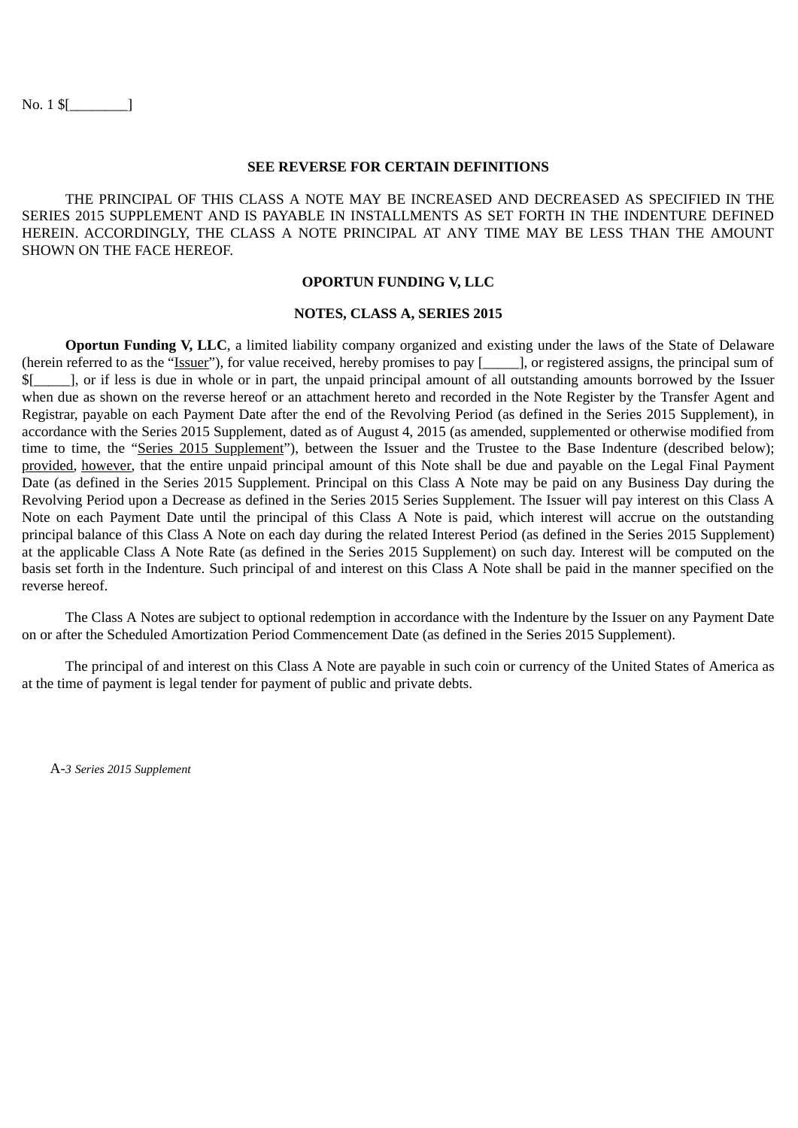No. 1 \$[\_\_\_\_\_\_\_\_]

#### **SEE REVERSE FOR CERTAIN DEFINITIONS**

THE PRINCIPAL OF THIS CLASS A NOTE MAY BE INCREASED AND DECREASED AS SPECIFIED IN THE SERIES 2015 SUPPLEMENT AND IS PAYABLE IN INSTALLMENTS AS SET FORTH IN THE INDENTURE DEFINED HEREIN. ACCORDINGLY, THE CLASS A NOTE PRINCIPAL AT ANY TIME MAY BE LESS THAN THE AMOUNT SHOWN ON THE FACE HEREOF.

#### **OPORTUN FUNDING V, LLC**

## **NOTES, CLASS A, SERIES 2015**

**Oportun Funding V, LLC**, a limited liability company organized and existing under the laws of the State of Delaware (herein referred to as the "Issuer"), for value received, hereby promises to pay [\_\_\_\_\_], or registered assigns, the principal sum of \$[\_\_\_\_\_], or if less is due in whole or in part, the unpaid principal amount of all outstanding amounts borrowed by the Issuer when due as shown on the reverse hereof or an attachment hereto and recorded in the Note Register by the Transfer Agent and Registrar, payable on each Payment Date after the end of the Revolving Period (as defined in the Series 2015 Supplement), in accordance with the Series 2015 Supplement, dated as of August 4, 2015 (as amended, supplemented or otherwise modified from time to time, the "Series 2015 Supplement"), between the Issuer and the Trustee to the Base Indenture (described below); provided, however, that the entire unpaid principal amount of this Note shall be due and payable on the Legal Final Payment Date (as defined in the Series 2015 Supplement. Principal on this Class A Note may be paid on any Business Day during the Revolving Period upon a Decrease as defined in the Series 2015 Series Supplement. The Issuer will pay interest on this Class A Note on each Payment Date until the principal of this Class A Note is paid, which interest will accrue on the outstanding principal balance of this Class A Note on each day during the related Interest Period (as defined in the Series 2015 Supplement) at the applicable Class A Note Rate (as defined in the Series 2015 Supplement) on such day. Interest will be computed on the basis set forth in the Indenture. Such principal of and interest on this Class A Note shall be paid in the manner specified on the reverse hereof.

The Class A Notes are subject to optional redemption in accordance with the Indenture by the Issuer on any Payment Date on or after the Scheduled Amortization Period Commencement Date (as defined in the Series 2015 Supplement).

The principal of and interest on this Class A Note are payable in such coin or currency of the United States of America as at the time of payment is legal tender for payment of public and private debts.

A-*3 Series 2015 Supplement*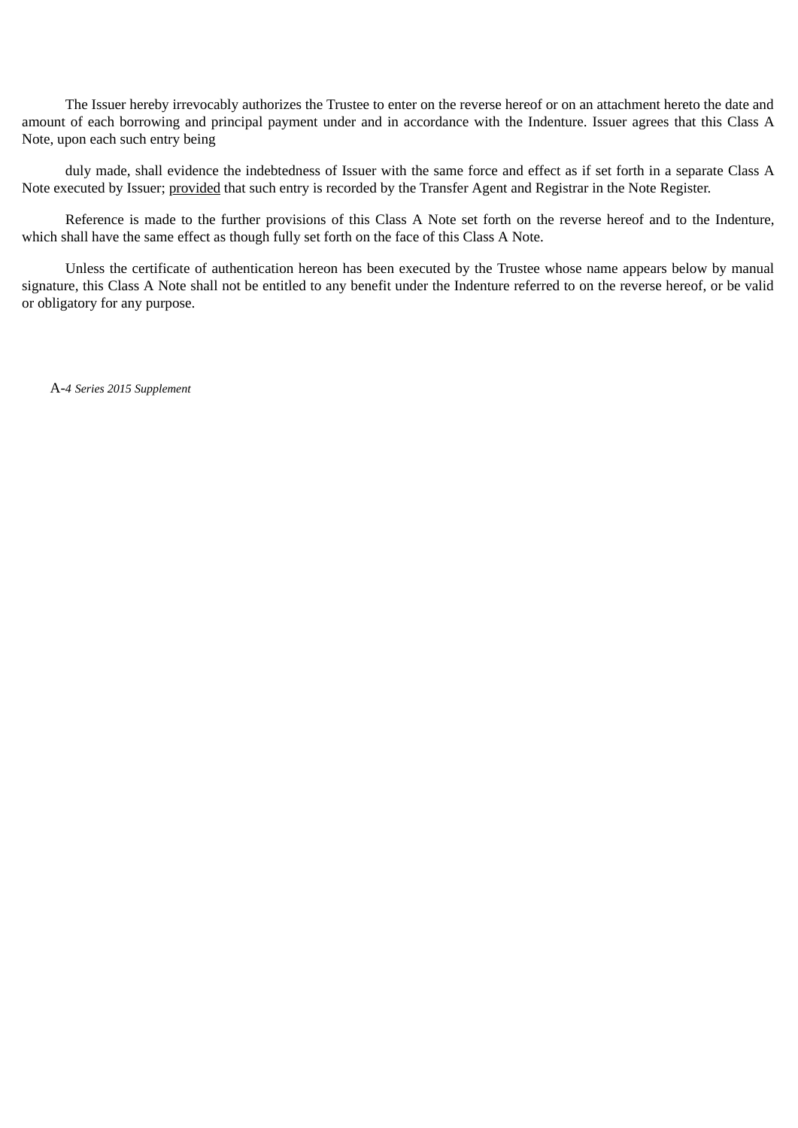The Issuer hereby irrevocably authorizes the Trustee to enter on the reverse hereof or on an attachment hereto the date and amount of each borrowing and principal payment under and in accordance with the Indenture. Issuer agrees that this Class A Note, upon each such entry being

duly made, shall evidence the indebtedness of Issuer with the same force and effect as if set forth in a separate Class A Note executed by Issuer; provided that such entry is recorded by the Transfer Agent and Registrar in the Note Register.

Reference is made to the further provisions of this Class A Note set forth on the reverse hereof and to the Indenture, which shall have the same effect as though fully set forth on the face of this Class A Note.

Unless the certificate of authentication hereon has been executed by the Trustee whose name appears below by manual signature, this Class A Note shall not be entitled to any benefit under the Indenture referred to on the reverse hereof, or be valid or obligatory for any purpose.

A-*4 Series 2015 Supplement*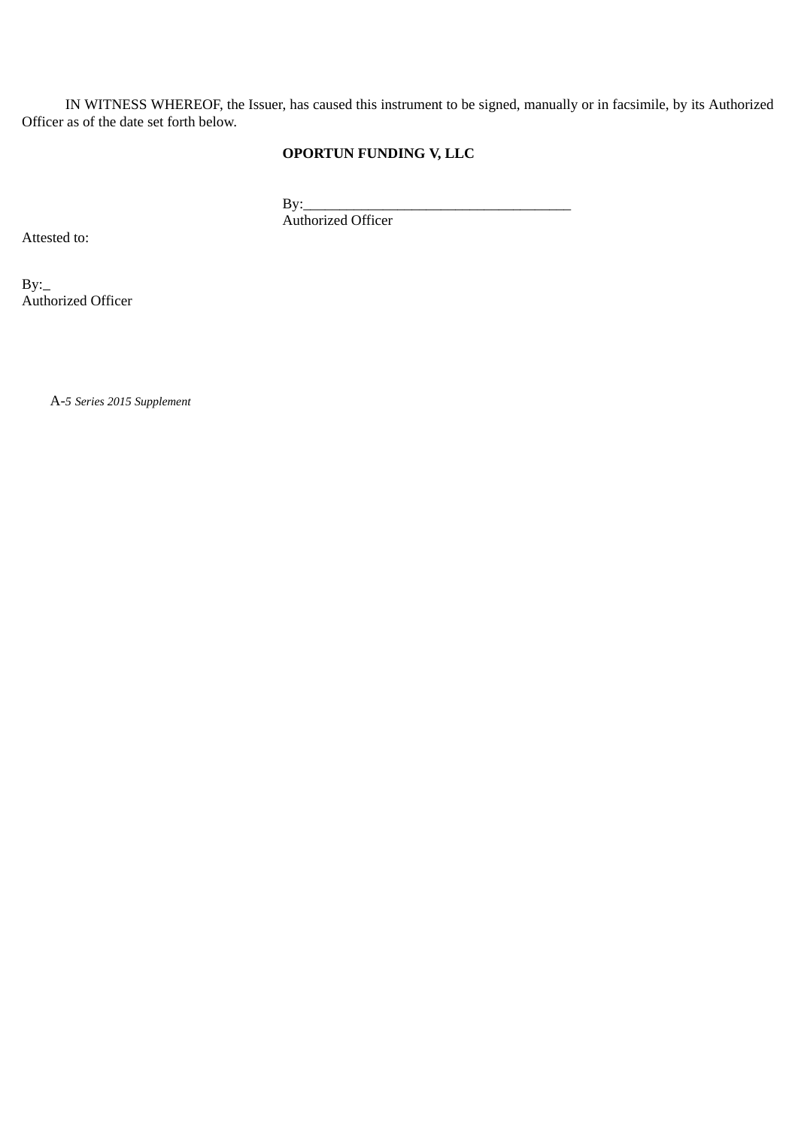IN WITNESS WHEREOF, the Issuer, has caused this instrument to be signed, manually or in facsimile, by its Authorized Officer as of the date set forth below.

## **OPORTUN FUNDING V, LLC**

 $By:$ 

Authorized Officer

Attested to:

 $By:$ Authorized Officer

A-*5 Series 2015 Supplement*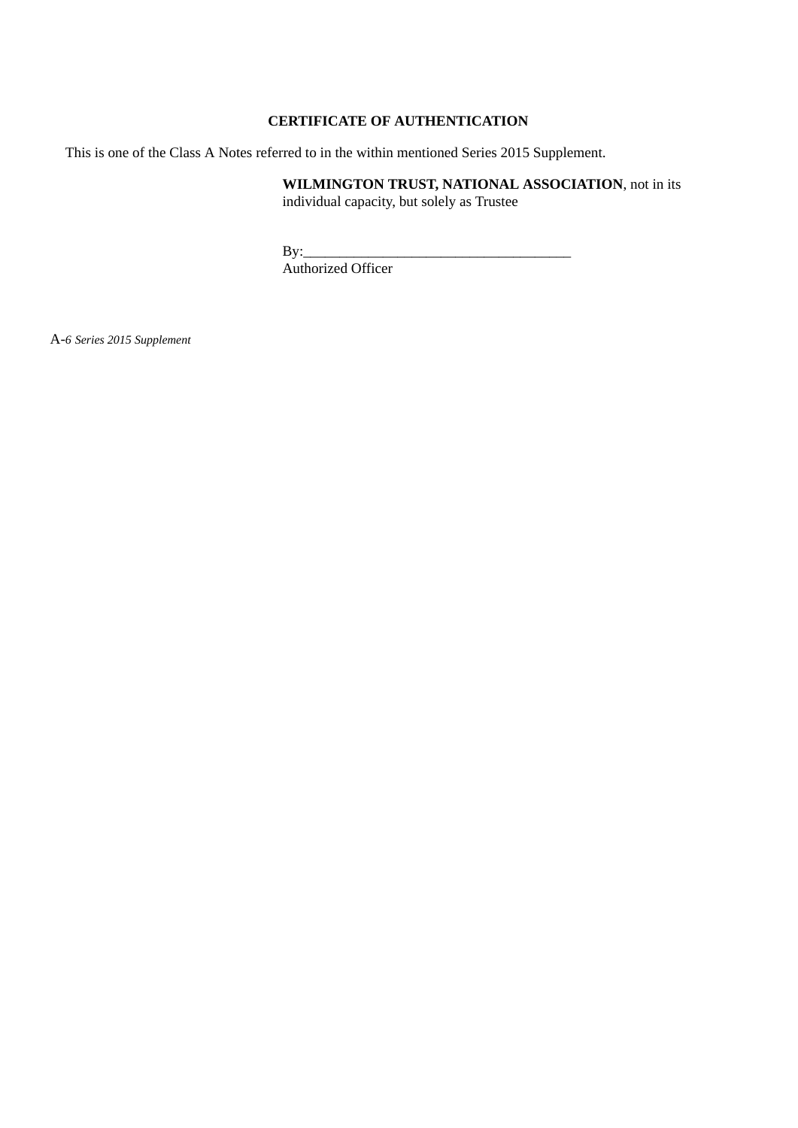### **CERTIFICATE OF AUTHENTICATION**

This is one of the Class A Notes referred to in the within mentioned Series 2015 Supplement.

**WILMINGTON TRUST, NATIONAL ASSOCIATION**, not in its individual capacity, but solely as Trustee

 $\mathbf{By:}$ 

Authorized Officer

A-*6 Series 2015 Supplement*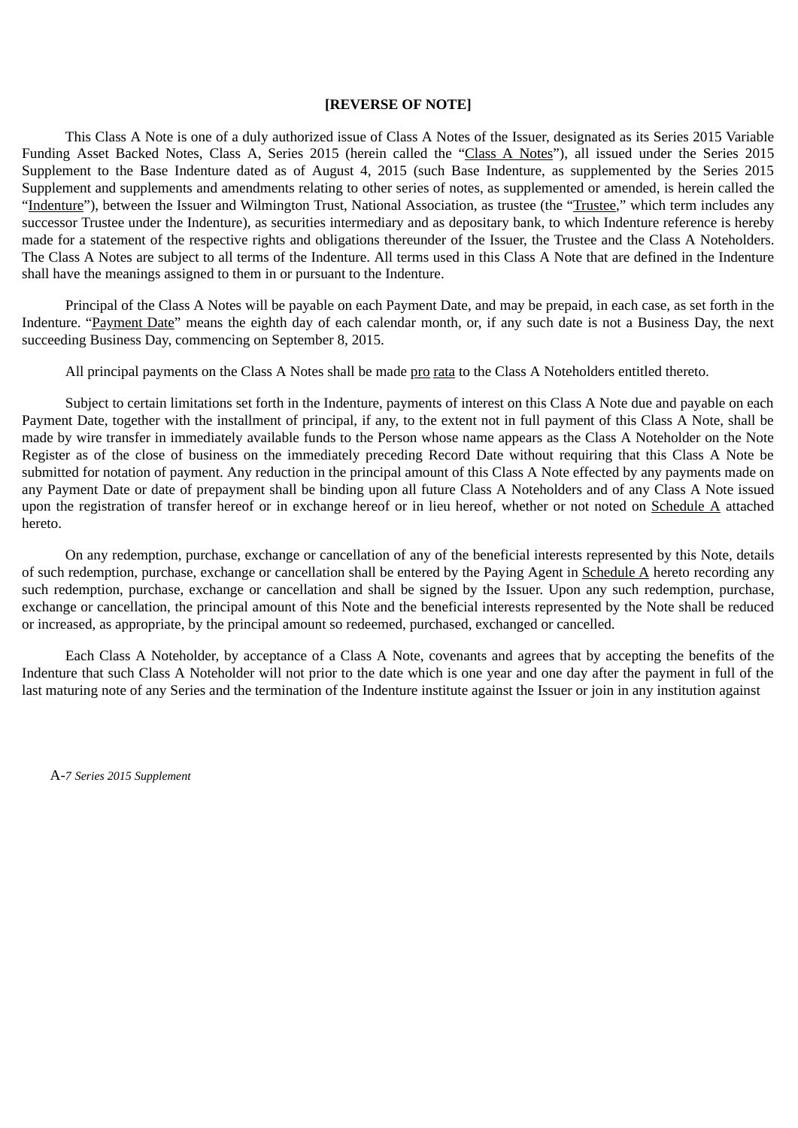#### **[REVERSE OF NOTE]**

This Class A Note is one of a duly authorized issue of Class A Notes of the Issuer, designated as its Series 2015 Variable Funding Asset Backed Notes, Class A, Series 2015 (herein called the "Class A Notes"), all issued under the Series 2015 Supplement to the Base Indenture dated as of August 4, 2015 (such Base Indenture, as supplemented by the Series 2015 Supplement and supplements and amendments relating to other series of notes, as supplemented or amended, is herein called the "Indenture"), between the Issuer and Wilmington Trust, National Association, as trustee (the "Trustee," which term includes any successor Trustee under the Indenture), as securities intermediary and as depositary bank, to which Indenture reference is hereby made for a statement of the respective rights and obligations thereunder of the Issuer, the Trustee and the Class A Noteholders. The Class A Notes are subject to all terms of the Indenture. All terms used in this Class A Note that are defined in the Indenture shall have the meanings assigned to them in or pursuant to the Indenture.

Principal of the Class A Notes will be payable on each Payment Date, and may be prepaid, in each case, as set forth in the Indenture. "Payment Date" means the eighth day of each calendar month, or, if any such date is not a Business Day, the next succeeding Business Day, commencing on September 8, 2015.

All principal payments on the Class A Notes shall be made pro rata to the Class A Noteholders entitled thereto.

Subject to certain limitations set forth in the Indenture, payments of interest on this Class A Note due and payable on each Payment Date, together with the installment of principal, if any, to the extent not in full payment of this Class A Note, shall be made by wire transfer in immediately available funds to the Person whose name appears as the Class A Noteholder on the Note Register as of the close of business on the immediately preceding Record Date without requiring that this Class A Note be submitted for notation of payment. Any reduction in the principal amount of this Class A Note effected by any payments made on any Payment Date or date of prepayment shall be binding upon all future Class A Noteholders and of any Class A Note issued upon the registration of transfer hereof or in exchange hereof or in lieu hereof, whether or not noted on Schedule A attached hereto.

On any redemption, purchase, exchange or cancellation of any of the beneficial interests represented by this Note, details of such redemption, purchase, exchange or cancellation shall be entered by the Paying Agent in Schedule  $\overline{A}$  hereto recording any such redemption, purchase, exchange or cancellation and shall be signed by the Issuer. Upon any such redemption, purchase, exchange or cancellation, the principal amount of this Note and the beneficial interests represented by the Note shall be reduced or increased, as appropriate, by the principal amount so redeemed, purchased, exchanged or cancelled.

Each Class A Noteholder, by acceptance of a Class A Note, covenants and agrees that by accepting the benefits of the Indenture that such Class A Noteholder will not prior to the date which is one year and one day after the payment in full of the last maturing note of any Series and the termination of the Indenture institute against the Issuer or join in any institution against

A-*7 Series 2015 Supplement*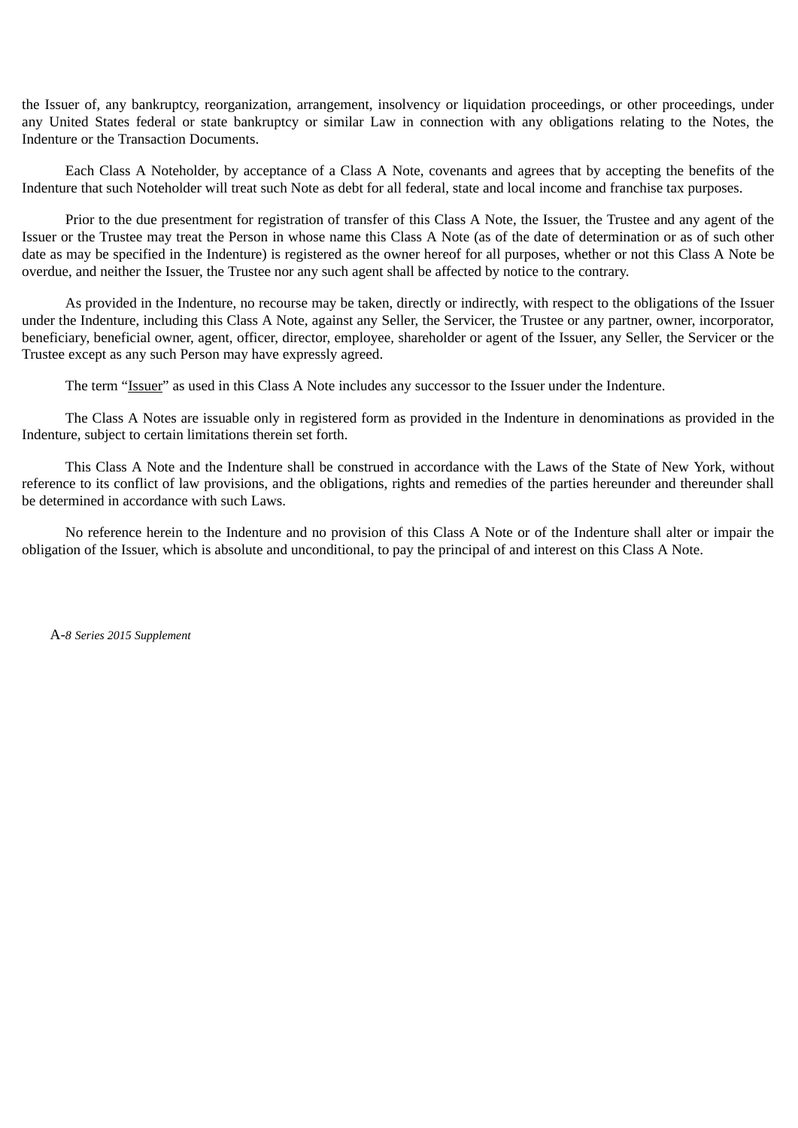the Issuer of, any bankruptcy, reorganization, arrangement, insolvency or liquidation proceedings, or other proceedings, under any United States federal or state bankruptcy or similar Law in connection with any obligations relating to the Notes, the Indenture or the Transaction Documents.

Each Class A Noteholder, by acceptance of a Class A Note, covenants and agrees that by accepting the benefits of the Indenture that such Noteholder will treat such Note as debt for all federal, state and local income and franchise tax purposes.

Prior to the due presentment for registration of transfer of this Class A Note, the Issuer, the Trustee and any agent of the Issuer or the Trustee may treat the Person in whose name this Class A Note (as of the date of determination or as of such other date as may be specified in the Indenture) is registered as the owner hereof for all purposes, whether or not this Class A Note be overdue, and neither the Issuer, the Trustee nor any such agent shall be affected by notice to the contrary.

As provided in the Indenture, no recourse may be taken, directly or indirectly, with respect to the obligations of the Issuer under the Indenture, including this Class A Note, against any Seller, the Servicer, the Trustee or any partner, owner, incorporator, beneficiary, beneficial owner, agent, officer, director, employee, shareholder or agent of the Issuer, any Seller, the Servicer or the Trustee except as any such Person may have expressly agreed.

The term "Issuer" as used in this Class A Note includes any successor to the Issuer under the Indenture.

The Class A Notes are issuable only in registered form as provided in the Indenture in denominations as provided in the Indenture, subject to certain limitations therein set forth.

This Class A Note and the Indenture shall be construed in accordance with the Laws of the State of New York, without reference to its conflict of law provisions, and the obligations, rights and remedies of the parties hereunder and thereunder shall be determined in accordance with such Laws.

No reference herein to the Indenture and no provision of this Class A Note or of the Indenture shall alter or impair the obligation of the Issuer, which is absolute and unconditional, to pay the principal of and interest on this Class A Note.

A-*8 Series 2015 Supplement*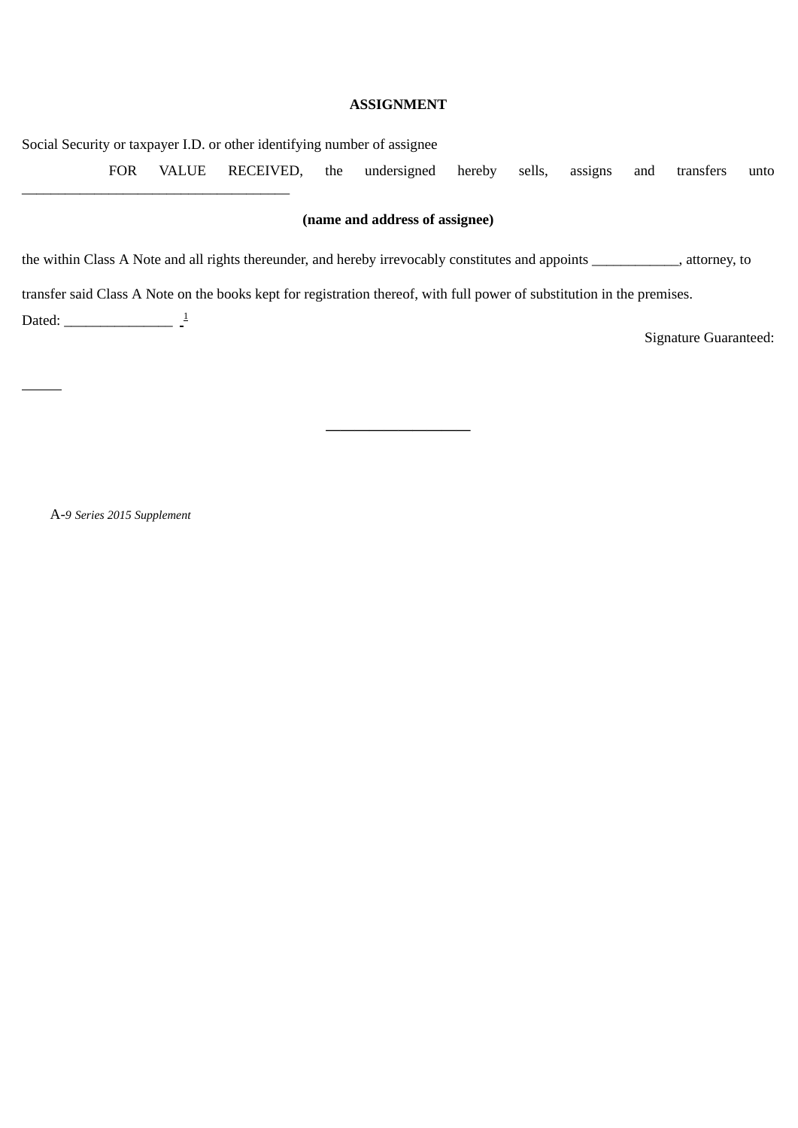#### **ASSIGNMENT**

Social Security or taxpayer I.D. or other identifying number of assignee

FOR VALUE RECEIVED, the undersigned hereby sells, assigns and transfers unto

#### **(name and address of assignee)**

**——————————**

the within Class A Note and all rights thereunder, and hereby irrevocably constitutes and appoints \_\_\_\_\_\_\_\_\_\_\_\_, attorney, to

transfer said Class A Note on the books kept for registration thereof, with full power of substitution in the premises.

Dated: \_\_\_\_\_\_\_\_\_\_\_\_\_\_  $\frac{1}{2}$ 

 $\overline{a}$ 

\_\_\_\_\_\_\_\_\_\_\_\_\_\_\_\_\_\_\_\_\_\_\_\_\_\_\_\_\_\_\_\_\_\_\_\_\_

Signature Guaranteed:

A-*9 Series 2015 Supplement*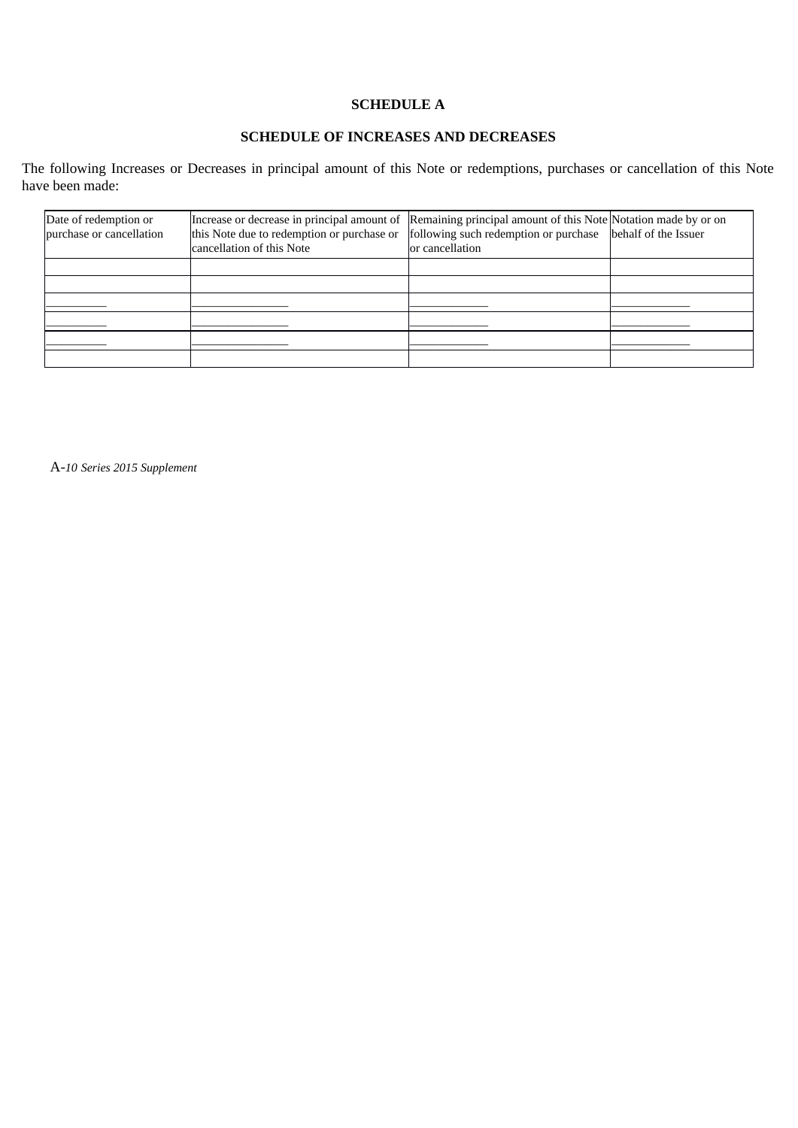## **SCHEDULE A**

### **SCHEDULE OF INCREASES AND DECREASES**

The following Increases or Decreases in principal amount of this Note or redemptions, purchases or cancellation of this Note have been made:

| Date of redemption or<br>purchase or cancellation | Increase or decrease in principal amount of Remaining principal amount of this Note Notation made by or on<br>this Note due to redemption or purchase or<br>cancellation of this Note | following such redemption or purchase<br>or cancellation | behalf of the Issuer |
|---------------------------------------------------|---------------------------------------------------------------------------------------------------------------------------------------------------------------------------------------|----------------------------------------------------------|----------------------|
|                                                   |                                                                                                                                                                                       |                                                          |                      |
|                                                   |                                                                                                                                                                                       |                                                          |                      |
|                                                   |                                                                                                                                                                                       |                                                          |                      |
|                                                   |                                                                                                                                                                                       |                                                          |                      |
|                                                   |                                                                                                                                                                                       |                                                          |                      |
|                                                   |                                                                                                                                                                                       |                                                          |                      |

A-*10 Series 2015 Supplement*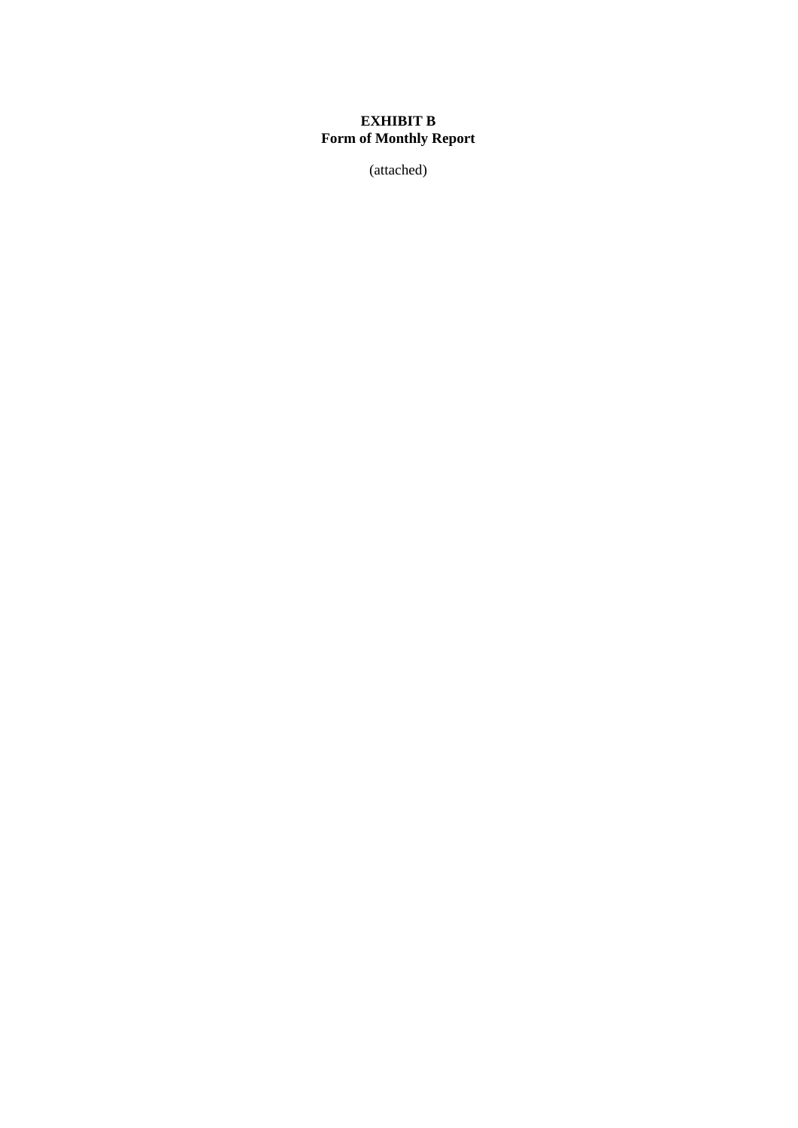### **EXHIBIT B Form of Monthly Report**

(attached)